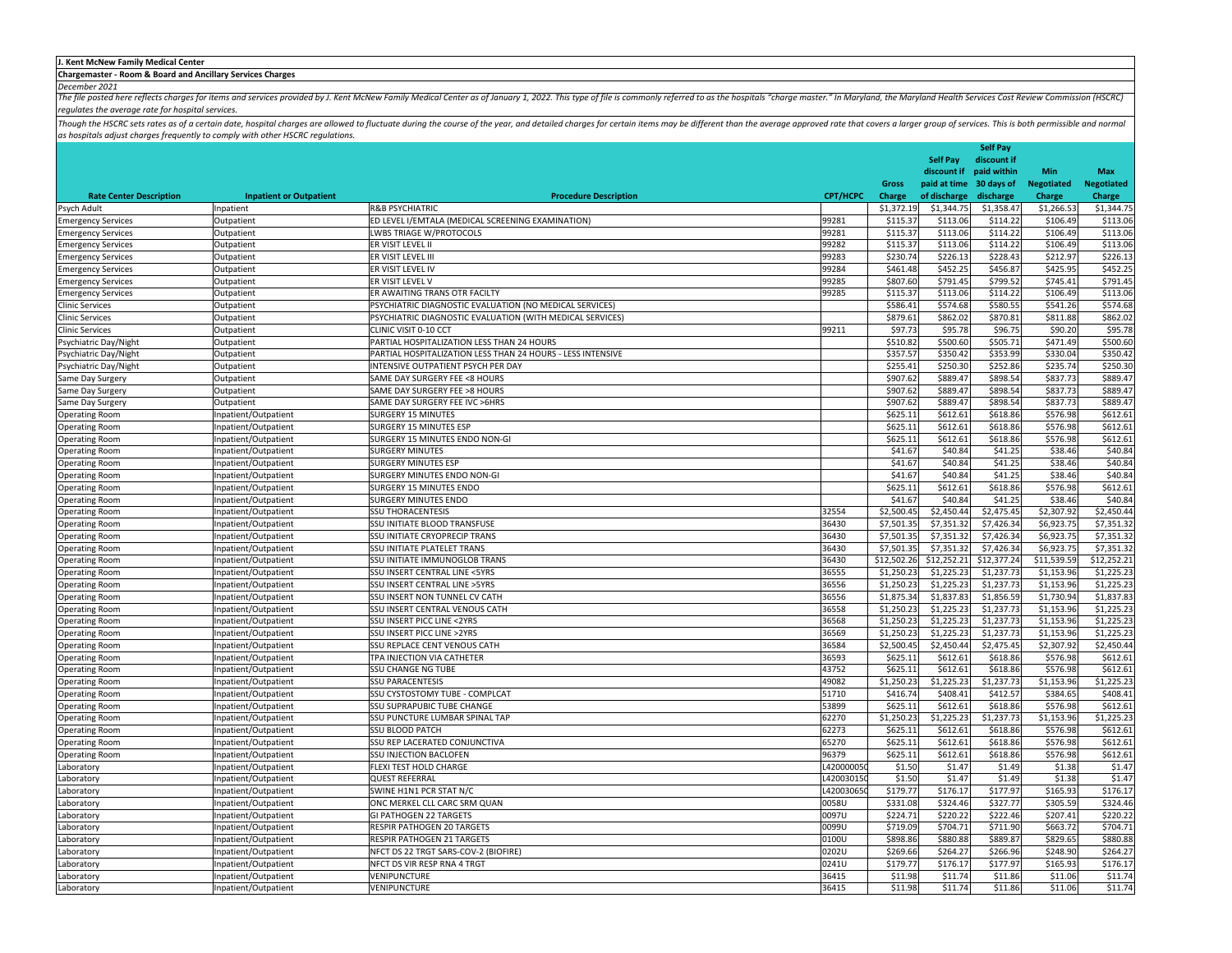## **J. Kent McNew Family Medical Center**

**Chargemaster ‐ Room & Board and Ancillary Services Charges**

December 2021<br>The file posted here reflects charges for items and services provided by J. Kent McNew Family Medical Center as of January 1, 2022. This type of file is commonly referred to as the hospitals "charge master." *regulates the average rate for hospital services.*

Though the HSCRC sets rates as of a certain date, hospital charges are allowed to fluctuate during the course of the year, and detailed charges for certain items may be different than the average approved rate that covers *as hospitals adjust charges frequently to comply with other HSCRC regulations.*

|                                |                                |                                                             |           |                    |                    | <b>Self Pay</b>    |                    |                    |
|--------------------------------|--------------------------------|-------------------------------------------------------------|-----------|--------------------|--------------------|--------------------|--------------------|--------------------|
|                                |                                |                                                             |           |                    | Self Pay           | discount if        |                    |                    |
|                                |                                |                                                             |           |                    | discount if        | paid within        | <b>Min</b>         | <b>Max</b>         |
|                                |                                |                                                             |           | <b>Gross</b>       | paid at time       | 30 days of         | <b>Negotiated</b>  | <b>Negotiated</b>  |
| <b>Rate Center Description</b> | <b>Inpatient or Outpatient</b> | <b>Procedure Description</b>                                | CPT/HCPC  | Charge             | of discharge       | discharge          | Charge             | Charge             |
| Psych Adult                    | Inpatient                      | <b>R&amp;B PSYCHIATRIC</b>                                  |           | \$1,372.19         | \$1,344.75         | \$1,358.47         | \$1,266.53         | \$1,344.75         |
| <b>Emergency Services</b>      | Outpatient                     | ED LEVEL I/EMTALA (MEDICAL SCREENING EXAMINATION)           | 99281     | \$115.37           | \$113.06           | \$114.22           | \$106.49           | \$113.06           |
| <b>Emergency Services</b>      | Outpatient                     | LWBS TRIAGE W/PROTOCOLS                                     | 99281     | \$115.37           | \$113.06           | \$114.22           | \$106.49           | \$113.06           |
| <b>Emergency Services</b>      | Outpatient                     | ER VISIT LEVEL II                                           | 99282     | \$115.37           | \$113.06           | \$114.22           | \$106.49           | \$113.06           |
| <b>Emergency Services</b>      | Outpatient                     | ER VISIT LEVEL II                                           | 99283     | \$230.74           | \$226.13           | \$228.43           | \$212.97           | \$226.13           |
| <b>Emergency Services</b>      | Outpatient                     | ER VISIT LEVEL IV                                           | 99284     | \$461.48           | \$452.25           | \$456.87           | \$425.95           | \$452.25           |
| <b>Emergency Services</b>      | Outpatient                     | ER VISIT LEVEL V                                            | 99285     | \$807.60           | \$791.45           | \$799.52           | \$745.41           | \$791.45           |
| <b>Emergency Services</b>      | Outpatient                     | ER AWAITING TRANS OTR FACILTY                               | 99285     | \$115.37           | \$113.06           | \$114.22           | \$106.49           | \$113.06           |
| <b>Clinic Services</b>         | Outpatient                     | PSYCHIATRIC DIAGNOSTIC EVALUATION (NO MEDICAL SERVICES)     |           | \$586.41           | \$574.68           | \$580.55           | \$541.26           | \$574.68           |
| <b>Clinic Services</b>         | Outpatient                     | PSYCHIATRIC DIAGNOSTIC EVALUATION (WITH MEDICAL SERVICES)   |           | \$879.61           | \$862.02           | \$870.81           | \$811.88           | \$862.02           |
| <b>Clinic Services</b>         | Outpatient                     | CLINIC VISIT 0-10 CCT                                       | 99211     | \$97.73            | \$95.78            | \$96.75            | \$90.20            | \$95.78            |
| Psychiatric Day/Night          | Outpatient                     | PARTIAL HOSPITALIZATION LESS THAN 24 HOURS                  |           | \$510.82           | \$500.60           | \$505.71           | \$471.49           | \$500.60           |
| Psychiatric Day/Night          | Outpatient                     | PARTIAL HOSPITALIZATION LESS THAN 24 HOURS - LESS INTENSIVE |           | \$357.57           | \$350.42           | \$353.99           | \$330.04           | \$350.42           |
| Psychiatric Day/Night          | Outpatient                     | INTENSIVE OUTPATIENT PSYCH PER DAY                          |           | \$255.41           | \$250.30           | \$252.86           | \$235.74           | \$250.30           |
| Same Day Surgery               | Outpatient                     | SAME DAY SURGERY FEE <8 HOURS                               |           | \$907.62           | \$889.47           | \$898.54           | \$837.73           | \$889.47           |
| Same Day Surgery               | Outpatient                     | SAME DAY SURGERY FEE >8 HOURS                               |           | \$907.62           | \$889.47           | \$898.54           | \$837.73           | \$889.47           |
| Same Day Surgery               | Outpatient                     | SAME DAY SURGERY FEE IVC >6HRS                              |           | \$907.62           | \$889.47           | \$898.54           | \$837.73           | \$889.47           |
| <b>Operating Room</b>          | Inpatient/Outpatient           | <b>SURGERY 15 MINUTES</b>                                   |           | \$625.11           | \$612.61           | \$618.86           | \$576.98           | \$612.61           |
| <b>Operating Room</b>          | Inpatient/Outpatient           | SURGERY 15 MINUTES ESP                                      |           | \$625.11           | \$612.61           | \$618.86           | \$576.98           | \$612.61           |
|                                |                                |                                                             |           | \$625.11           | \$612.61           | \$618.86           | \$576.98           | \$612.61           |
| <b>Operating Room</b>          | npatient/Outpatient            | SURGERY 15 MINUTES ENDO NON-GI                              |           |                    |                    |                    |                    |                    |
| <b>Operating Room</b>          | Inpatient/Outpatient           | <b>SURGERY MINUTES</b><br><b>SURGERY MINUTES ESP</b>        |           | \$41.67<br>\$41.67 | \$40.84<br>\$40.84 | \$41.25<br>\$41.25 | \$38.46<br>\$38.46 | \$40.84<br>\$40.84 |
| <b>Operating Room</b>          | Inpatient/Outpatient           |                                                             |           |                    |                    |                    |                    |                    |
| <b>Operating Room</b>          | Inpatient/Outpatient           | SURGERY MINUTES ENDO NON-GI                                 |           | \$41.67            | \$40.84            | \$41.25            | \$38.46            | \$40.84            |
| <b>Operating Room</b>          | Inpatient/Outpatient           | SURGERY 15 MINUTES ENDO                                     |           | \$625.11           | \$612.61           | \$618.86           | \$576.98           | \$612.61           |
| <b>Operating Room</b>          | Inpatient/Outpatient           | SURGERY MINUTES ENDO                                        |           | \$41.67            | \$40.84            | \$41.25            | \$38.46            | \$40.84            |
| <b>Operating Room</b>          | Inpatient/Outpatient           | <b>SSU THORACENTESIS</b>                                    | 32554     | \$2,500.45         | \$2,450.44         | \$2,475.45         | \$2,307.92         | \$2,450.44         |
| )perating Room                 | Inpatient/Outpatient           | SSU INITIATE BLOOD TRANSFUSE                                | 36430     | \$7,501.35         | \$7,351.32         | \$7,426.34         | \$6,923.75         | \$7,351.3          |
| <b>perating Room</b>           | Inpatient/Outpatient           | SSU INITIATE CRYOPRECIP TRANS                               | 36430     | \$7,501.35         | \$7,351.32         | \$7,426.34         | \$6,923.75         | \$7,351.32         |
| <b>Operating Room</b>          | Inpatient/Outpatient           | SSU INITIATE PLATELET TRANS                                 | 36430     | \$7,501.35         | \$7,351.32         | \$7,426.34         | \$6,923.75         | \$7,351.32         |
| <b>Operating Room</b>          | Inpatient/Outpatient           | SSU INITIATE IMMUNOGLOB TRANS                               | 36430     | \$12,502.26        | \$12,252.21        | \$12,377.24        | \$11,539.59        | \$12,252.21        |
| <b>Operating Room</b>          | Inpatient/Outpatient           | SSU INSERT CENTRAL LINE <5YRS                               | 36555     | \$1,250.23         | \$1,225.23         | \$1,237.73         | \$1,153.96         | \$1,225.23         |
| <b>Operating Room</b>          | Inpatient/Outpatient           | SSU INSERT CENTRAL LINE >5YRS                               | 36556     | \$1,250.23         | \$1,225.23         | \$1,237.73         | \$1,153.96         | \$1,225.23         |
| <b>Operating Room</b>          | Inpatient/Outpatient           | SSU INSERT NON TUNNEL CV CATH                               | 36556     | \$1,875.34         | \$1,837.83         | \$1,856.59         | \$1,730.94         | \$1,837.83         |
| <b>Operating Room</b>          | Inpatient/Outpatient           | SSU INSERT CENTRAL VENOUS CATH                              | 36558     | \$1,250.23         | \$1,225.23         | \$1,237.73         | \$1,153.96         | \$1,225.23         |
| <b>Operating Room</b>          | Inpatient/Outpatient           | SSU INSERT PICC LINE <2YRS                                  | 36568     | \$1,250.23         | \$1,225.23         | \$1,237.73         | \$1,153.96         | \$1,225.23         |
| <b>Dperating Room</b>          | Inpatient/Outpatient           | SSU INSERT PICC LINE >2YRS                                  | 36569     | \$1,250.23         | \$1,225.23         | \$1,237.73         | \$1,153.96         | \$1,225.23         |
| <b>Operating Room</b>          | Inpatient/Outpatient           | SSU REPLACE CENT VENOUS CATH                                | 36584     | \$2,500.45         | \$2,450.44         | \$2,475.45         | \$2,307.92         | \$2,450.44         |
| <b>Operating Room</b>          | Inpatient/Outpatient           | TPA INJECTION VIA CATHETER                                  | 36593     | \$625.11           | \$612.61           | \$618.86           | \$576.98           | \$612.61           |
| <b>Operating Room</b>          | Inpatient/Outpatient           | <b>SSU CHANGE NG TUBE</b>                                   | 43752     | \$625.11           | \$612.61           | \$618.86           | \$576.98           | \$612.61           |
| <b>Operating Room</b>          | Inpatient/Outpatient           | <b>SSU PARACENTESIS</b>                                     | 49082     | \$1,250.23         | \$1,225.23         | \$1,237.73         | \$1,153.96         | \$1,225.23         |
| )perating Room                 | Inpatient/Outpatient           | SSU CYSTOSTOMY TUBE - COMPLCAT                              | 51710     | \$416.74           | \$408.41           | \$412.57           | \$384.65           | \$408.4            |
| <b>Operating Room</b>          | npatient/Outpatient            | SSU SUPRAPUBIC TUBE CHANGE                                  | 53899     | \$625.11           | \$612.61           | \$618.86           | \$576.98           | \$612.61           |
| <b>Operating Room</b>          | Inpatient/Outpatient           | SSU PUNCTURE LUMBAR SPINAL TAP                              | 62270     | \$1,250.23         | \$1,225.23         | \$1,237.73         | \$1,153.96         | \$1,225.23         |
| <b>Operating Room</b>          | Inpatient/Outpatient           | <b>SSU BLOOD PATCH</b>                                      | 62273     | \$625.11           | \$612.61           | \$618.86           | \$576.98           | \$612.61           |
| <b>Operating Room</b>          | Inpatient/Outpatient           | SSU REP LACERATED CONJUNCTIVA                               | 65270     | \$625.11           | \$612.61           | \$618.86           | \$576.98           | \$612.61           |
| <b>perating Room</b>           | npatient/Outpatient            | SSU INJECTION BACLOFEN                                      | 96379     | \$625.11           | \$612.61           | \$618.86           | \$576.98           | \$612.61           |
| aboratory.                     | Inpatient/Outpatient           | FLEXI TEST HOLD CHARGE                                      | L42000005 | \$1.50             | \$1.47             | \$1.49             | \$1.38             | \$1.47             |
| aboratory.                     | Inpatient/Outpatient           | <b>QUEST REFERRAL</b>                                       | L42003015 | \$1.50             | \$1.47             | \$1.49             | \$1.38             | \$1.47             |
| Laboratory                     | Inpatient/Outpatient           | SWINE H1N1 PCR STAT N/C                                     | L42003065 | \$179.77           | \$176.17           | \$177.97           | \$165.93           | \$176.17           |
| aboratory                      | Inpatient/Outpatient           | ONC MERKEL CLL CARC SRM QUAN                                | 0058U     | \$331.08           | \$324.46           | \$327.77           | \$305.59           | \$324.46           |
|                                |                                | <b>GI PATHOGEN 22 TARGETS</b>                               | 0097U     | \$224.71           | \$220.22           | \$222.46           | \$207.41           | \$220.22           |
| aboratory                      | Inpatient/Outpatient           | RESPIR PATHOGEN 20 TARGETS                                  | 0099U     | \$719.09           | \$704.71           | \$711.90           | \$663.72           | \$704.71           |
| aboratory                      | Inpatient/Outpatient           | RESPIR PATHOGEN 21 TARGETS                                  | 0100U     | \$898.86           | \$880.88           | \$889.87           | \$829.65           | \$880.88           |
| aboratory                      | Inpatient/Outpatient           |                                                             |           |                    |                    |                    |                    |                    |
| aboratory.                     | Inpatient/Outpatient           | NFCT DS 22 TRGT SARS-COV-2 (BIOFIRE)                        | 0202U     | \$269.66           | \$264.27           | \$266.96           | \$248.90           | \$264.27           |
| aboratory                      | Inpatient/Outpatient           | NFCT DS VIR RESP RNA 4 TRGT                                 | 0241U     | \$179.77           | \$176.17           | \$177.97           | \$165.93           | \$176.17           |
| aboratory                      | Inpatient/Outpatient           | VENIPUNCTURE                                                | 36415     | \$11.98            | \$11.74            | \$11.86            | \$11.06            | \$11.74            |
| Laboratory                     | Inpatient/Outpatient           | VENIPUNCTURE                                                | 36415     | \$11.98            | \$11.74            | \$11.86            | \$11.06            | \$11.74            |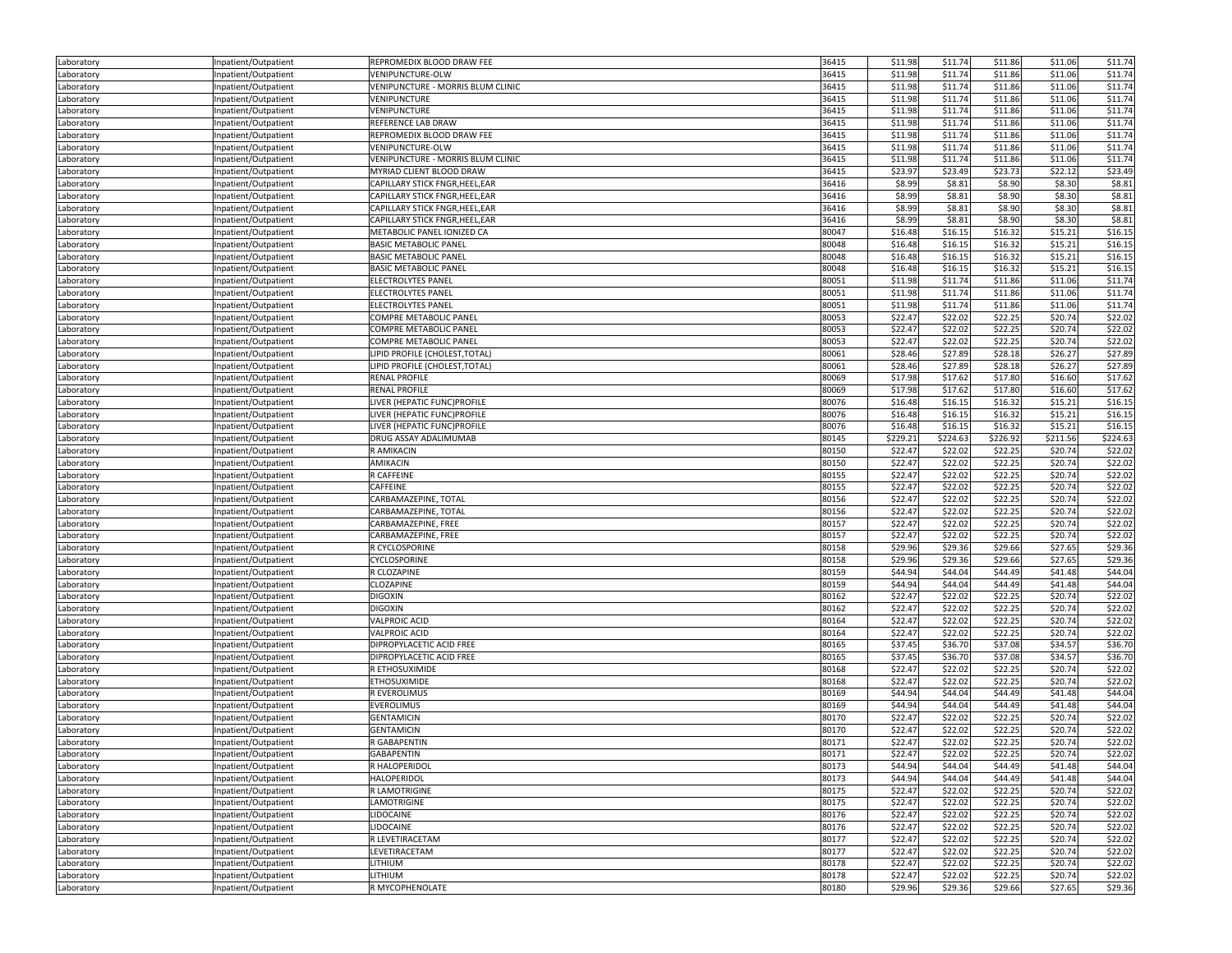| Laboratory               | Inpatient/Outpatient | REPROMEDIX BLOOD DRAW FEE                                  | 36415          | \$11.98            | \$11.74  | \$11.86            | \$11.06  | \$11.74            |
|--------------------------|----------------------|------------------------------------------------------------|----------------|--------------------|----------|--------------------|----------|--------------------|
| Laboratory               | Inpatient/Outpatient | VENIPUNCTURE-OLW                                           | 36415          | \$11.98            | \$11.74  | \$11.86            | \$11.06  | \$11.74            |
| Laboratory               | Inpatient/Outpatient | VENIPUNCTURE - MORRIS BLUM CLINIC                          | 36415          | \$11.98            | \$11.74  | \$11.86            | \$11.06  | \$11.74            |
| Laboratory               | Inpatient/Outpatient | VENIPUNCTURE                                               | 36415          | \$11.98            | \$11.74  | \$11.86            | \$11.06  | \$11.74            |
| Laboratory               | Inpatient/Outpatient | VENIPUNCTURE                                               | 36415          | \$11.98            | \$11.74  | \$11.86            | \$11.06  | \$11.74            |
| Laboratory               | Inpatient/Outpatient | REFERENCE LAB DRAW                                         | 36415          | \$11.98            | \$11.74  | \$11.86            | \$11.06  | \$11.74            |
| Laboratory               | Inpatient/Outpatient | REPROMEDIX BLOOD DRAW FEE                                  | 36415          | \$11.98            | \$11.74  | \$11.86            | \$11.06  | \$11.74            |
| Laboratory               | Inpatient/Outpatient | VENIPUNCTURE-OLW                                           | 36415          | \$11.98            | \$11.74  | \$11.86            | \$11.06  | \$11.74            |
| Laboratory               | Inpatient/Outpatient | VENIPUNCTURE - MORRIS BLUM CLINIC                          | 36415          | \$11.98            | \$11.74  | \$11.86            | \$11.06  | \$11.74            |
| Laboratory               | Inpatient/Outpatient | MYRIAD CLIENT BLOOD DRAW                                   | 36415          | \$23.97            | \$23.49  | \$23.73            | \$22.12  | \$23.49            |
| Laboratory               | Inpatient/Outpatient | CAPILLARY STICK FNGR, HEEL, EAR                            | 36416          | \$8.99             | \$8.81   | \$8.90             | \$8.30   | \$8.81             |
| Laboratory               | Inpatient/Outpatient | CAPILLARY STICK FNGR, HEEL, EAR                            | 36416          | \$8.99             | \$8.81   | \$8.90             | \$8.30   | \$8.81             |
| Laboratory               | Inpatient/Outpatient | CAPILLARY STICK FNGR, HEEL, EAR                            | 36416          | \$8.99             | \$8.81   | \$8.90             | \$8.30   | \$8.81             |
|                          | Inpatient/Outpatient | CAPILLARY STICK FNGR, HEEL, EAR                            | 36416          | \$8.99             | \$8.81   | \$8.90             | \$8.30   | \$8.81             |
| Laboratory               |                      |                                                            | 80047          | \$16.48            | \$16.15  | \$16.32            | \$15.21  | \$16.15            |
| Laboratory               | Inpatient/Outpatient | METABOLIC PANEL IONIZED CA<br><b>BASIC METABOLIC PANEL</b> | 80048          | \$16.48            | \$16.15  | \$16.32            | \$15.21  | \$16.15            |
| Laboratory               | Inpatient/Outpatient |                                                            | 80048          | \$16.48            | \$16.15  | \$16.32            | \$15.21  | \$16.15            |
| Laboratory               | Inpatient/Outpatient | <b>BASIC METABOLIC PANEL</b>                               |                |                    |          |                    |          |                    |
| .aboratory               | Inpatient/Outpatient | <b>BASIC METABOLIC PANEL</b>                               | 80048          | \$16.48            | \$16.15  | \$16.32            | \$15.21  | \$16.15            |
| Laboratory               | Inpatient/Outpatient | ELECTROLYTES PANEL                                         | 80051          | \$11.98            | \$11.74  | \$11.86            | \$11.06  | \$11.74            |
| Laboratory               | Inpatient/Outpatient | ELECTROLYTES PANEL                                         | 80051          | \$11.98            | \$11.74  | \$11.86            | \$11.06  | \$11.74            |
| Laboratory               | Inpatient/Outpatient | ELECTROLYTES PANEL                                         | 80051          | \$11.98            | \$11.74  | \$11.86            | \$11.06  | \$11.74            |
| Laboratory               | Inpatient/Outpatient | COMPRE METABOLIC PANEL                                     | 80053          | \$22.47            | \$22.02  | \$22.25            | \$20.74  | \$22.02            |
| Laboratory               | Inpatient/Outpatient | COMPRE METABOLIC PANEL                                     | 80053          | \$22.47            | \$22.02  | \$22.25            | \$20.74  | \$22.02            |
| Laboratory               | Inpatient/Outpatient | COMPRE METABOLIC PANEL                                     | 80053          | \$22.47            | \$22.02  | \$22.25            | \$20.74  | \$22.02            |
| Laboratory               | Inpatient/Outpatient | LIPID PROFILE (CHOLEST, TOTAL)                             | 80061          | \$28.46            | \$27.89  | \$28.18            | \$26.27  | \$27.89            |
| Laboratory               | Inpatient/Outpatient | LIPID PROFILE (CHOLEST, TOTAL)                             | 80061          | \$28.46            | \$27.89  | \$28.18            | \$26.27  | \$27.89            |
| Laboratory               | Inpatient/Outpatient | <b>RENAL PROFILE</b>                                       | 80069          | \$17.98            | \$17.62  | \$17.80            | \$16.60  | \$17.62            |
| Laboratory               | Inpatient/Outpatient | <b>RENAL PROFILE</b>                                       | 80069          | \$17.98            | \$17.62  | \$17.80            | \$16.60  | \$17.62            |
| Laboratory               | Inpatient/Outpatient | LIVER (HEPATIC FUNC)PROFILE                                | 80076          | \$16.48            | \$16.15  | \$16.32            | \$15.21  | \$16.15            |
| Laboratory               | Inpatient/Outpatient | LIVER (HEPATIC FUNC)PROFILE                                | 80076          | \$16.48            | \$16.15  | \$16.32            | \$15.21  | \$16.15            |
| Laboratory               | Inpatient/Outpatient | LIVER (HEPATIC FUNC)PROFILE                                | 80076          | \$16.48            | \$16.15  | \$16.32            | \$15.21  | \$16.15            |
| Laboratory               | Inpatient/Outpatient | DRUG ASSAY ADALIMUMAB                                      | 80145          | \$229.21           | \$224.63 | \$226.92           | \$211.56 | \$224.63           |
| Laboratory               | Inpatient/Outpatient | R AMIKACIN                                                 | 80150          | \$22.47            | \$22.02  | \$22.25            | \$20.74  | \$22.02            |
| Laboratory               | Inpatient/Outpatient | AMIKACIN                                                   | 80150          | \$22.47            | \$22.02  | \$22.25            | \$20.74  | \$22.02            |
| Laboratory               | Inpatient/Outpatient | R CAFFEINE                                                 | 80155          | \$22.47            | \$22.02  | \$22.25            | \$20.74  | \$22.02            |
| Laboratory               | Inpatient/Outpatient | CAFFEINE                                                   | 80155          | \$22.47            | \$22.02  | \$22.25            | \$20.74  | \$22.02            |
| Laboratory               | Inpatient/Outpatient | CARBAMAZEPINE, TOTAL                                       | 80156          | \$22.47            | \$22.02  | \$22.25            | \$20.74  | \$22.02            |
| .aboratory               | Inpatient/Outpatient | CARBAMAZEPINE, TOTAL                                       | 80156          | \$22.47            | \$22.02  | \$22.25            | \$20.74  | \$22.02            |
| Laboratory               | Inpatient/Outpatient | CARBAMAZEPINE, FREE                                        | 80157          | \$22.47            | \$22.02  | \$22.25            | \$20.74  | \$22.02            |
| Laboratory               | Inpatient/Outpatient | CARBAMAZEPINE, FREE                                        | 80157          | \$22.47            | \$22.02  | \$22.25            | \$20.74  | \$22.02            |
| Laboratory               | Inpatient/Outpatient | R CYCLOSPORINE                                             | 80158          | \$29.96            | \$29.36  | \$29.66            | \$27.65  | \$29.36            |
| Laboratory               | Inpatient/Outpatient | CYCLOSPORINE                                               | 80158          | \$29.96            | \$29.36  | \$29.66            | \$27.65  | \$29.36            |
| Laboratory               | Inpatient/Outpatient | R CLOZAPINE                                                | 80159          | \$44.94            | \$44.04  | \$44.49            | \$41.48  | \$44.04            |
| Laboratory               | Inpatient/Outpatient | CLOZAPINE                                                  | 80159          | \$44.94            | \$44.04  | \$44.49            | \$41.48  | \$44.04            |
| Laboratory               | Inpatient/Outpatient | <b>DIGOXIN</b>                                             | 80162          | \$22.47            | \$22.02  | \$22.25            | \$20.74  | \$22.02            |
| Laboratory               | Inpatient/Outpatient | <b>DIGOXIN</b>                                             | 80162          | \$22.47            | \$22.02  | \$22.25            | \$20.74  | \$22.02            |
| Laboratory               | Inpatient/Outpatient | <b>VALPROIC ACID</b>                                       | 80164          | \$22.47            | \$22.02  | \$22.25            | \$20.74  | \$22.02            |
| Laboratory               | Inpatient/Outpatient | VALPROIC ACID                                              | 80164          | \$22.47            | \$22.02  | \$22.25            | \$20.74  | \$22.02            |
| Laboratory               | Inpatient/Outpatient | DIPROPYLACETIC ACID FREE                                   | 80165          | \$37.45            | \$36.70  | \$37.08            | \$34.57  | \$36.70            |
|                          | Inpatient/Outpatient | DIPROPYLACETIC ACID FREE                                   | 80165          | \$37.45            | \$36.70  | \$37.08            | \$34.57  | \$36.70            |
| Laboratory<br>Laboratory | Inpatient/Outpatient | R ETHOSUXIMIDE                                             | 80168          | \$22.47            | \$22.02  | \$22.25            | \$20.74  | \$22.02            |
|                          | Inpatient/Outpatient | <b>ETHOSUXIMIDE</b>                                        | 80168          | \$22.47            | \$22.02  | \$22.25            | \$20.74  | \$22.02            |
| Laboratory<br>Laboratory | Inpatient/Outpatient | R EVEROLIMUS                                               | 80169          | \$44.94            | \$44.04  | \$44.49            | \$41.48  | \$44.04            |
|                          |                      |                                                            | 80169          | \$44.94            | \$44.04  | \$44.49            | \$41.48  | \$44.04            |
| Laboratory               | Inpatient/Outpatient | <b>EVEROLIMUS</b>                                          |                |                    |          |                    |          |                    |
| Laboratory               | Inpatient/Outpatient | <b>GENTAMICIN</b>                                          | 80170<br>80170 | \$22.47<br>\$22.47 | \$22.02  | \$22.25<br>\$22.25 | \$20.74  | \$22.02<br>\$22.02 |
| Laboratory               | Inpatient/Outpatient | <b>GENTAMICIN</b>                                          |                |                    | \$22.02  |                    | \$20.74  |                    |
| Laboratory               | Inpatient/Outpatient | R GABAPENTIN                                               | 80171          | \$22.47            | \$22.02  | \$22.25            | \$20.74  | \$22.02            |
| Laboratory               | Inpatient/Outpatient | GABAPENTIN                                                 | 80171          | \$22.47            | \$22.02  | \$22.25            | \$20.74  | \$22.02            |
| Laboratory               | Inpatient/Outpatient | R HALOPERIDOL                                              | 80173          | \$44.94            | \$44.04  | \$44.49            | \$41.48  | \$44.04            |
| Laboratory               | Inpatient/Outpatient | <b>HALOPERIDOL</b>                                         | 80173          | \$44.94            | \$44.04  | \$44.49            | \$41.48  | \$44.04            |
| Laboratory               | Inpatient/Outpatient | R LAMOTRIGINE                                              | 80175          | \$22.47            | \$22.02  | \$22.25            | \$20.74  | \$22.02            |
| Laboratory               | Inpatient/Outpatient | LAMOTRIGINE                                                | 80175          | \$22.47            | \$22.02  | \$22.25            | \$20.74  | \$22.02            |
| Laboratory               | Inpatient/Outpatient | LIDOCAINE                                                  | 80176          | \$22.47            | \$22.02  | \$22.25            | \$20.74  | \$22.02            |
| Laboratory               | Inpatient/Outpatient | LIDOCAINE                                                  | 80176          | \$22.47            | \$22.02  | \$22.25            | \$20.74  | \$22.02            |
| Laboratory               | Inpatient/Outpatient | R LEVETIRACETAM                                            | 80177          | \$22.47            | \$22.02  | \$22.25            | \$20.74  | \$22.02            |
| Laboratory               | Inpatient/Outpatient | LEVETIRACETAM                                              | 80177          | \$22.47            | \$22.02  | \$22.25            | \$20.74  | \$22.02            |
| Laboratory               | Inpatient/Outpatient | LITHIUM                                                    | 80178          | \$22.47            | \$22.02  | \$22.25            | \$20.74  | \$22.02            |
| Laboratory               | Inpatient/Outpatient | LITHIUM                                                    | 80178          | \$22.47            | \$22.02  | \$22.25            | \$20.74  | \$22.02            |
| Laboratory               | Inpatient/Outpatient | R MYCOPHENOLATE                                            | 80180          | \$29.96            | \$29.36  | \$29.66            | \$27.65  | \$29.36            |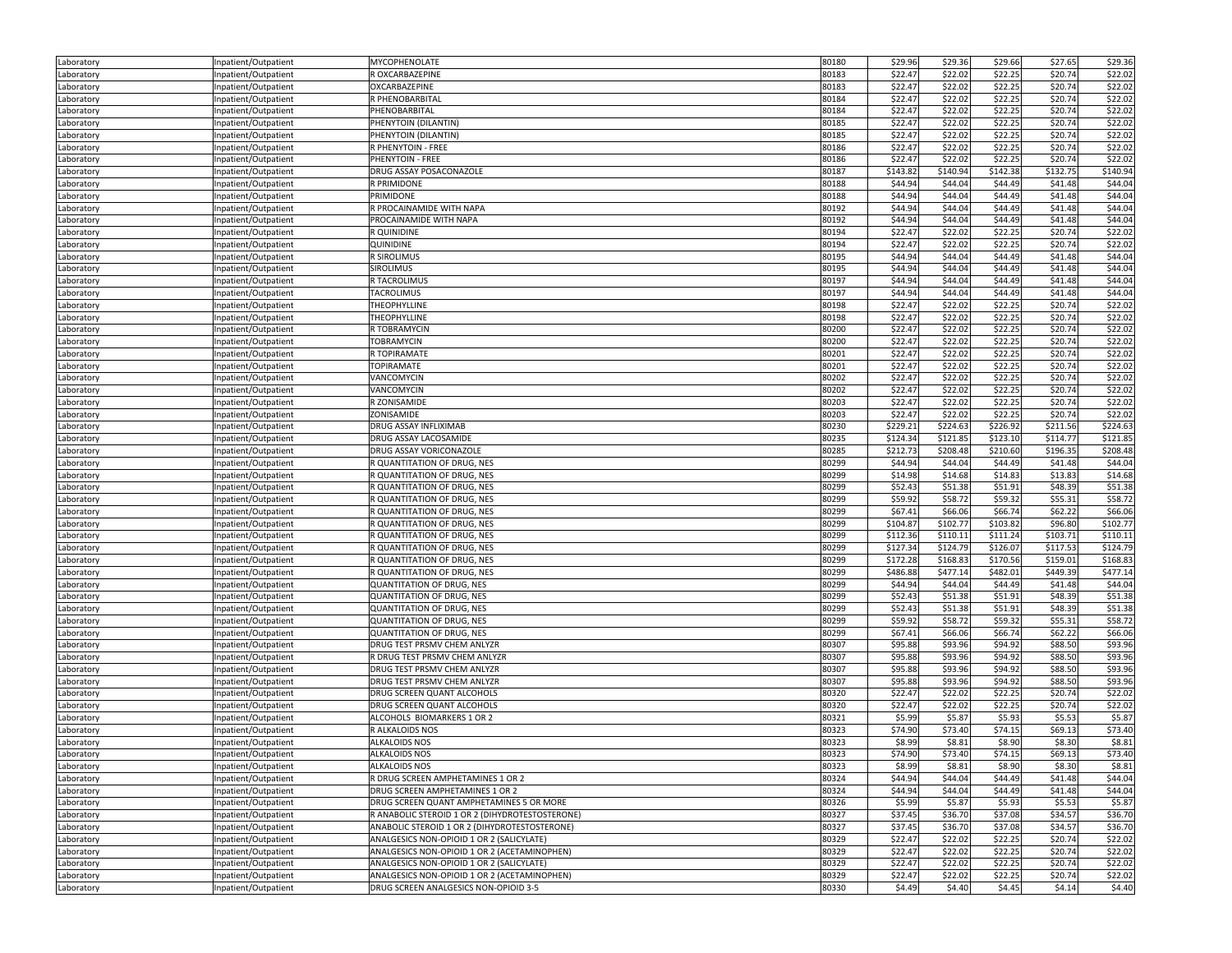| Laboratory               | Inpatient/Outpatient                         | MYCOPHENOLATE                                   | 80180 | \$29.96  | \$29.36  | \$29.66  | \$27.65  | \$29.36  |
|--------------------------|----------------------------------------------|-------------------------------------------------|-------|----------|----------|----------|----------|----------|
| Laboratory               | Inpatient/Outpatient                         | R OXCARBAZEPINE                                 | 80183 | \$22.47  | \$22.02  | \$22.25  | \$20.74  | \$22.02  |
| Laboratory               | Inpatient/Outpatient                         | OXCARBAZEPINE                                   | 80183 | \$22.47  | \$22.02  | \$22.25  | \$20.74  | \$22.02  |
| Laboratory               | Inpatient/Outpatient                         | R PHENOBARBITAL                                 | 80184 | \$22.47  | \$22.02  | \$22.25  | \$20.74  | \$22.02  |
| Laboratory               | Inpatient/Outpatient                         | PHENOBARBITAL                                   | 80184 | \$22.47  | \$22.02  | \$22.25  | \$20.74  | \$22.02  |
| Laboratory               | Inpatient/Outpatient                         | PHENYTOIN (DILANTIN)                            | 80185 | \$22.47  | \$22.02  | \$22.25  | \$20.74  | \$22.02  |
| Laboratory               | Inpatient/Outpatient                         | PHENYTOIN (DILANTIN)                            | 80185 | \$22.47  | \$22.02  | \$22.25  | \$20.74  | \$22.02  |
| Laboratory               | npatient/Outpatient                          | R PHENYTOIN - FREE                              | 80186 | \$22.47  | \$22.02  | \$22.25  | \$20.74  | \$22.02  |
| Laboratory               | Inpatient/Outpatient                         | PHENYTOIN - FREE                                | 80186 | \$22.47  | \$22.02  | \$22.25  | \$20.74  | \$22.02  |
| Laboratory               | Inpatient/Outpatient                         | DRUG ASSAY POSACONAZOLE                         | 80187 | \$143.82 | \$140.94 | \$142.38 | \$132.75 | \$140.94 |
| Laboratory               | Inpatient/Outpatient                         | R PRIMIDONE                                     | 80188 | \$44.94  | \$44.04  | \$44.49  | \$41.48  | \$44.04  |
| Laboratory               | Inpatient/Outpatient                         | PRIMIDONE                                       | 80188 | \$44.94  | \$44.04  | \$44.49  | \$41.48  | \$44.04  |
| Laboratory               | Inpatient/Outpatient                         | R PROCAINAMIDE WITH NAPA                        | 80192 | \$44.94  | \$44.04  | \$44.49  | \$41.48  | \$44.04  |
| Laboratory               | Inpatient/Outpatient                         | PROCAINAMIDE WITH NAPA                          | 80192 | \$44.94  | \$44.04  | \$44.49  | \$41.48  | \$44.04  |
|                          |                                              | R QUINIDINE                                     | 80194 | \$22.47  | \$22.02  | \$22.25  | \$20.74  | \$22.02  |
| Laboratory<br>Laboratory | Inpatient/Outpatient<br>Inpatient/Outpatient | QUINIDINE                                       | 80194 | \$22.47  | \$22.02  | \$22.25  | \$20.74  | \$22.02  |
|                          | Inpatient/Outpatient                         | <b>R SIROLIMUS</b>                              | 80195 | \$44.94  | \$44.04  | \$44.49  | \$41.48  | \$44.04  |
| Laboratory               |                                              | <b>SIROLIMUS</b>                                | 80195 | \$44.94  | \$44.04  | \$44.49  | \$41.48  | \$44.04  |
| Laboratory               | Inpatient/Outpatient                         |                                                 |       |          |          |          |          |          |
| Laboratory               | Inpatient/Outpatient                         | R TACROLIMUS                                    | 80197 | \$44.94  | \$44.04  | \$44.49  | \$41.48  | \$44.04  |
| Laboratory               | Inpatient/Outpatient                         | TACROLIMUS                                      | 80197 | \$44.94  | \$44.04  | \$44.49  | \$41.48  | \$44.04  |
| Laboratory               | Inpatient/Outpatient                         | THEOPHYLLINE                                    | 80198 | \$22.47  | \$22.02  | \$22.25  | \$20.74  | \$22.02  |
| Laboratory               | Inpatient/Outpatient                         | THEOPHYLLINE                                    | 80198 | \$22.47  | \$22.02  | \$22.25  | \$20.74  | \$22.02  |
| Laboratory               | Inpatient/Outpatient                         | R TOBRAMYCIN                                    | 80200 | \$22.47  | \$22.02  | \$22.25  | \$20.74  | \$22.02  |
| Laboratory               | Inpatient/Outpatient                         | TOBRAMYCIN                                      | 80200 | \$22.47  | \$22.02  | \$22.25  | \$20.74  | \$22.02  |
| Laboratory               | Inpatient/Outpatient                         | R TOPIRAMATE                                    | 80201 | \$22.47  | \$22.02  | \$22.25  | \$20.74  | \$22.02  |
| Laboratory               | Inpatient/Outpatient                         | <b>TOPIRAMATE</b>                               | 80201 | \$22.47  | \$22.02  | \$22.25  | \$20.74  | \$22.02  |
| Laboratory               | Inpatient/Outpatient                         | VANCOMYCIN                                      | 80202 | \$22.47  | \$22.02  | \$22.25  | \$20.74  | \$22.02  |
| Laboratory               | Inpatient/Outpatient                         | VANCOMYCIN                                      | 80202 | \$22.47  | \$22.02  | \$22.25  | \$20.74  | \$22.02  |
| Laboratory               | Inpatient/Outpatient                         | R ZONISAMIDE                                    | 80203 | \$22.47  | \$22.02  | \$22.25  | \$20.74  | \$22.02  |
| Laboratory               | Inpatient/Outpatient                         | ZONISAMIDE                                      | 80203 | \$22.47  | \$22.02  | \$22.25  | \$20.74  | \$22.02  |
| Laboratory               | Inpatient/Outpatient                         | DRUG ASSAY INFLIXIMAB                           | 80230 | \$229.21 | \$224.63 | \$226.92 | \$211.56 | \$224.63 |
| Laboratory               | Inpatient/Outpatient                         | DRUG ASSAY LACOSAMIDE                           | 80235 | \$124.34 | \$121.85 | \$123.10 | \$114.77 | \$121.85 |
| Laboratory               | Inpatient/Outpatient                         | DRUG ASSAY VORICONAZOLE                         | 80285 | \$212.73 | \$208.48 | \$210.60 | \$196.35 | \$208.48 |
| Laboratory               | Inpatient/Outpatient                         | R QUANTITATION OF DRUG, NES                     | 80299 | \$44.94  | \$44.04  | \$44.49  | \$41.48  | \$44.04  |
| Laboratory               | Inpatient/Outpatient                         | R QUANTITATION OF DRUG, NES                     | 80299 | \$14.98  | \$14.68  | \$14.83  | \$13.83  | \$14.68  |
| Laboratory               | Inpatient/Outpatient                         | R QUANTITATION OF DRUG, NES                     | 80299 | \$52.43  | \$51.38  | \$51.91  | \$48.39  | \$51.38  |
| Laboratory               | Inpatient/Outpatient                         | R QUANTITATION OF DRUG, NES                     | 80299 | \$59.92  | \$58.72  | \$59.32  | \$55.31  | \$58.72  |
| Laboratory               | npatient/Outpatient                          | R QUANTITATION OF DRUG, NES                     | 80299 | \$67.41  | \$66.06  | \$66.74  | \$62.22  | \$66.06  |
| Laboratory               | Inpatient/Outpatient                         | R QUANTITATION OF DRUG, NES                     | 80299 | \$104.87 | \$102.77 | \$103.82 | \$96.80  | \$102.77 |
| Laboratory               | Inpatient/Outpatient                         | R QUANTITATION OF DRUG, NES                     | 80299 | \$112.36 | \$110.11 | \$111.24 | \$103.71 | \$110.11 |
| Laboratory               | Inpatient/Outpatient                         | R QUANTITATION OF DRUG, NES                     | 80299 | \$127.34 | \$124.79 | \$126.07 | \$117.53 | \$124.79 |
| Laboratory               | Inpatient/Outpatient                         | R QUANTITATION OF DRUG, NES                     | 80299 | \$172.28 | \$168.83 | \$170.56 | \$159.01 | \$168.83 |
| Laboratory               | Inpatient/Outpatient                         | R QUANTITATION OF DRUG, NES                     | 80299 | \$486.88 | \$477.14 | \$482.01 | \$449.39 | \$477.14 |
| Laboratory               | Inpatient/Outpatient                         | <b>QUANTITATION OF DRUG, NES</b>                | 80299 | \$44.94  | \$44.04  | \$44.49  | \$41.48  | \$44.04  |
| Laboratory               | Inpatient/Outpatient                         | QUANTITATION OF DRUG, NES                       | 80299 | \$52.43  | \$51.38  | \$51.91  | \$48.39  | \$51.38  |
| Laboratory               | Inpatient/Outpatient                         | QUANTITATION OF DRUG, NES                       | 80299 | \$52.43  | \$51.38  | \$51.91  | \$48.39  | \$51.38  |
| Laboratory               | Inpatient/Outpatient                         | QUANTITATION OF DRUG, NES                       | 80299 | \$59.92  | \$58.72  | \$59.32  | \$55.31  | \$58.72  |
| Laboratory               | npatient/Outpatient                          | QUANTITATION OF DRUG, NES                       | 80299 | \$67.41  | \$66.06  | \$66.74  | \$62.22  | \$66.06  |
| Laboratory               | Inpatient/Outpatient                         | DRUG TEST PRSMV CHEM ANLYZR                     | 80307 | \$95.88  | \$93.96  | \$94.92  | \$88.50  | \$93.96  |
| Laboratory               | Inpatient/Outpatient                         | R DRUG TEST PRSMV CHEM ANLYZR                   | 80307 | \$95.88  | \$93.96  | \$94.92  | \$88.50  | \$93.96  |
| Laboratory               | Inpatient/Outpatient                         | DRUG TEST PRSMV CHEM ANLYZR                     | 80307 | \$95.88  | \$93.96  | \$94.92  | \$88.50  | \$93.96  |
| Laboratory               | Inpatient/Outpatient                         | DRUG TEST PRSMV CHEM ANLYZR                     | 80307 | \$95.88  | \$93.96  | \$94.92  | \$88.50  | \$93.96  |
| Laboratory               | Inpatient/Outpatient                         | DRUG SCREEN QUANT ALCOHOLS                      | 80320 | \$22.47  | \$22.02  | \$22.25  | \$20.74  | \$22.02  |
| Laboratory               | Inpatient/Outpatient                         | DRUG SCREEN QUANT ALCOHOLS                      | 80320 | \$22.47  | \$22.02  | \$22.25  | \$20.74  | \$22.02  |
| Laboratory               | Inpatient/Outpatient                         | ALCOHOLS BIOMARKERS 1 OR 2                      | 80321 | \$5.99   | \$5.87   | \$5.93   | \$5.53   | \$5.87   |
| Laboratory               | Inpatient/Outpatient                         | R ALKALOIDS NOS                                 | 80323 | \$74.90  | \$73.40  | \$74.15  | \$69.13  | \$73.40  |
|                          |                                              | <b>ALKALOIDS NOS</b>                            | 80323 | \$8.99   | \$8.81   | \$8.90   | \$8.30   | \$8.81   |
| Laboratory               | Inpatient/Outpatient                         |                                                 |       |          | \$73.40  |          |          | \$73.40  |
| Laboratory               | Inpatient/Outpatient                         | ALKALOIDS NOS                                   | 80323 | \$74.90  |          | \$74.15  | \$69.13  |          |
| Laboratory               | Inpatient/Outpatient                         | <b>ALKALOIDS NOS</b>                            | 80323 | \$8.99   | \$8.81   | \$8.90   | \$8.30   | \$8.81   |
| Laboratory               | Inpatient/Outpatient                         | R DRUG SCREEN AMPHETAMINES 1 OR 2               | 80324 | \$44.94  | \$44.04  | \$44.49  | \$41.48  | \$44.04  |
| Laboratory               | Inpatient/Outpatient                         | DRUG SCREEN AMPHETAMINES 1 OR 2                 | 80324 | \$44.94  | \$44.04  | \$44.49  | \$41.48  | \$44.04  |
| Laboratory               | Inpatient/Outpatient                         | DRUG SCREEN QUANT AMPHETAMINES 5 OR MORE        | 80326 | \$5.99   | \$5.87   | \$5.93   | \$5.53   | \$5.87   |
| Laboratory               | Inpatient/Outpatient                         | R ANABOLIC STEROID 1 OR 2 (DIHYDROTESTOSTERONE) | 80327 | \$37.45  | \$36.70  | \$37.08  | \$34.57  | \$36.70  |
| Laboratory               | Inpatient/Outpatient                         | ANABOLIC STEROID 1 OR 2 (DIHYDROTESTOSTERONE)   | 80327 | \$37.45  | \$36.70  | \$37.08  | \$34.57  | \$36.70  |
| Laboratory               | Inpatient/Outpatient                         | ANALGESICS NON-OPIOID 1 OR 2 (SALICYLATE)       | 80329 | \$22.47  | \$22.02  | \$22.25  | \$20.74  | \$22.02  |
| Laboratory               | Inpatient/Outpatient                         | ANALGESICS NON-OPIOID 1 OR 2 (ACETAMINOPHEN)    | 80329 | \$22.47  | \$22.02  | \$22.25  | \$20.74  | \$22.02  |
| Laboratory               | Inpatient/Outpatient                         | ANALGESICS NON-OPIOID 1 OR 2 (SALICYLATE)       | 80329 | \$22.47  | \$22.02  | \$22.25  | \$20.74  | \$22.02  |
| Laboratory               | Inpatient/Outpatient                         | ANALGESICS NON-OPIOID 1 OR 2 (ACETAMINOPHEN)    | 80329 | \$22.47  | \$22.02  | \$22.25  | \$20.74  | \$22.02  |
| Laboratory               | Inpatient/Outpatient                         | DRUG SCREEN ANALGESICS NON-OPIOID 3-5           | 80330 | \$4.49   | \$4.40   | \$4.45   | \$4.14   | \$4.40   |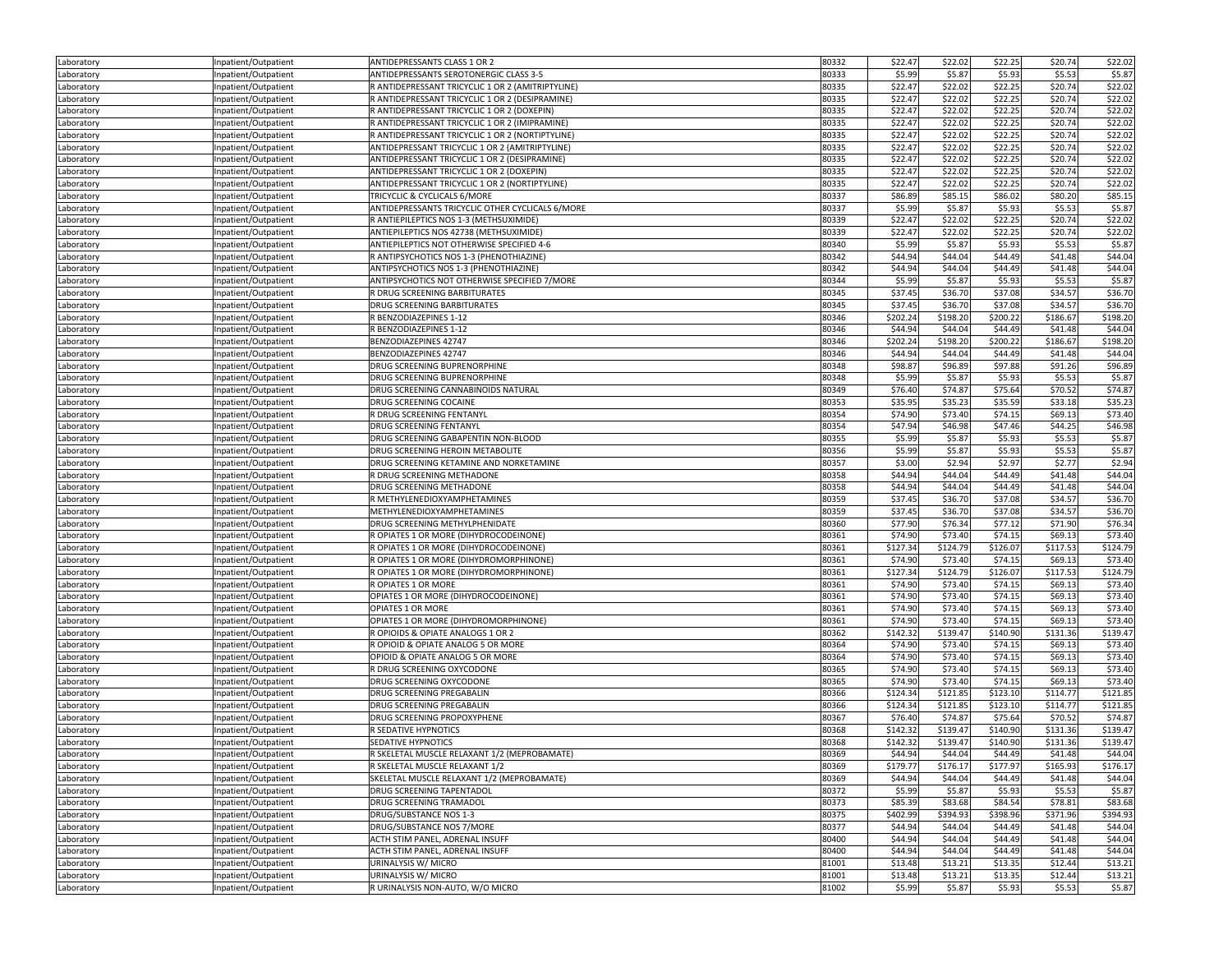| Laboratory | Inpatient/Outpatient | ANTIDEPRESSANTS CLASS 1 OR 2                      | 80332 | \$22.47  | \$22.02  | \$22.25  | \$20.74  | \$22.02  |
|------------|----------------------|---------------------------------------------------|-------|----------|----------|----------|----------|----------|
| Laboratory | Inpatient/Outpatient | ANTIDEPRESSANTS SEROTONERGIC CLASS 3-5            | 80333 | \$5.99   | \$5.87   | \$5.93   | \$5.53   | \$5.87   |
| Laboratory | Inpatient/Outpatient | R ANTIDEPRESSANT TRICYCLIC 1 OR 2 (AMITRIPTYLINE) | 80335 | \$22.47  | \$22.02  | \$22.25  | \$20.74  | \$22.02  |
| Laboratory | Inpatient/Outpatient | R ANTIDEPRESSANT TRICYCLIC 1 OR 2 (DESIPRAMINE)   | 80335 | \$22.47  | \$22.02  | \$22.25  | \$20.74  | \$22.02  |
| Laboratory | Inpatient/Outpatient | R ANTIDEPRESSANT TRICYCLIC 1 OR 2 (DOXEPIN)       | 80335 | \$22.47  | \$22.02  | \$22.25  | \$20.74  | \$22.02  |
| Laboratory | Inpatient/Outpatient | R ANTIDEPRESSANT TRICYCLIC 1 OR 2 (IMIPRAMINE)    | 80335 | \$22.47  | \$22.02  | \$22.25  | \$20.74  | \$22.02  |
| Laboratory | Inpatient/Outpatient | R ANTIDEPRESSANT TRICYCLIC 1 OR 2 (NORTIPTYLINE)  | 80335 | \$22.47  | \$22.02  | \$22.25  | \$20.74  | \$22.02  |
| Laboratory | Inpatient/Outpatient | ANTIDEPRESSANT TRICYCLIC 1 OR 2 (AMITRIPTYLINE)   | 80335 | \$22.47  | \$22.02  | \$22.25  | \$20.74  | \$22.02  |
| Laboratory | Inpatient/Outpatient | ANTIDEPRESSANT TRICYCLIC 1 OR 2 (DESIPRAMINE)     | 80335 | \$22.47  | \$22.02  | \$22.25  | \$20.74  | \$22.02  |
| Laboratory | Inpatient/Outpatient | ANTIDEPRESSANT TRICYCLIC 1 OR 2 (DOXEPIN)         | 80335 | \$22.47  | \$22.02  | \$22.25  | \$20.74  | \$22.02  |
| Laboratory | Inpatient/Outpatient | ANTIDEPRESSANT TRICYCLIC 1 OR 2 (NORTIPTYLINE)    | 80335 | \$22.47  | \$22.02  | \$22.25  | \$20.74  | \$22.02  |
| Laboratory | Inpatient/Outpatient | TRICYCLIC & CYCLICALS 6/MORE                      | 80337 | \$86.89  | \$85.15  | \$86.02  | \$80.20  | \$85.15  |
| Laboratory | Inpatient/Outpatient | ANTIDEPRESSANTS TRICYCLIC OTHER CYCLICALS 6/MORE  | 80337 | \$5.99   | \$5.87   | \$5.93   | \$5.53   | \$5.87   |
| Laboratory | Inpatient/Outpatient | R ANTIEPILEPTICS NOS 1-3 (METHSUXIMIDE)           | 80339 | \$22.47  | \$22.02  | \$22.25  | \$20.74  | \$22.02  |
| Laboratory | Inpatient/Outpatient | ANTIEPILEPTICS NOS 42738 (METHSUXIMIDE)           | 80339 | \$22.47  | \$22.02  | \$22.25  | \$20.74  | \$22.02  |
| Laboratory | Inpatient/Outpatient | ANTIEPILEPTICS NOT OTHERWISE SPECIFIED 4-6        | 80340 | \$5.99   | \$5.87   | \$5.93   | \$5.53   | \$5.87   |
| Laboratory | Inpatient/Outpatient | R ANTIPSYCHOTICS NOS 1-3 (PHENOTHIAZINE)          | 80342 | \$44.94  | \$44.04  | \$44.49  | \$41.48  | \$44.04  |
| Laboratory | Inpatient/Outpatient | ANTIPSYCHOTICS NOS 1-3 (PHENOTHIAZINE)            | 80342 | \$44.94  | \$44.04  | \$44.49  | \$41.48  | \$44.04  |
|            |                      | ANTIPSYCHOTICS NOT OTHERWISE SPECIFIED 7/MORE     | 80344 | \$5.99   | \$5.87   | \$5.93   | \$5.53   | \$5.87   |
| Laboratory | Inpatient/Outpatient | R DRUG SCREENING BARBITURATES                     | 80345 | \$37.45  | \$36.70  | \$37.08  | \$34.57  | \$36.70  |
| Laboratory | Inpatient/Outpatient | DRUG SCREENING BARBITURATES                       | 80345 | \$37.45  | \$36.70  | \$37.08  | \$34.57  | \$36.70  |
| Laboratory | Inpatient/Outpatient | R BENZODIAZEPINES 1-12                            | 80346 | \$202.24 | \$198.20 | \$200.22 | \$186.67 | \$198.20 |
| Laboratory | Inpatient/Outpatient |                                                   | 80346 | \$44.94  | \$44.04  | \$44.49  | \$41.48  |          |
| Laboratory | Inpatient/Outpatient | R BENZODIAZEPINES 1-12                            |       |          |          |          |          | \$44.04  |
| Laboratory | Inpatient/Outpatient | BENZODIAZEPINES 42747                             | 80346 | \$202.24 | \$198.20 | \$200.22 | \$186.67 | \$198.20 |
| Laboratory | Inpatient/Outpatient | BENZODIAZEPINES 42747                             | 80346 | \$44.94  | \$44.04  | \$44.49  | \$41.48  | \$44.04  |
| Laboratory | Inpatient/Outpatient | DRUG SCREENING BUPRENORPHINE                      | 80348 | \$98.87  | \$96.89  | \$97.88  | \$91.26  | \$96.89  |
| Laboratory | Inpatient/Outpatient | DRUG SCREENING BUPRENORPHINE                      | 80348 | \$5.99   | \$5.87   | \$5.93   | \$5.53   | \$5.87   |
| Laboratory | Inpatient/Outpatient | DRUG SCREENING CANNABINOIDS NATURAL               | 80349 | \$76.40  | \$74.87  | \$75.64  | \$70.52  | \$74.87  |
| Laboratory | Inpatient/Outpatient | DRUG SCREENING COCAINE                            | 80353 | \$35.95  | \$35.23  | \$35.59  | \$33.18  | \$35.23  |
| Laboratory | Inpatient/Outpatient | R DRUG SCREENING FENTANYL                         | 80354 | \$74.90  | \$73.40  | \$74.15  | \$69.13  | \$73.40  |
| Laboratory | Inpatient/Outpatient | <b>DRUG SCREENING FENTANYL</b>                    | 80354 | \$47.94  | \$46.98  | \$47.46  | \$44.25  | \$46.98  |
| Laboratory | Inpatient/Outpatient | DRUG SCREENING GABAPENTIN NON-BLOOD               | 80355 | \$5.99   | \$5.87   | \$5.93   | \$5.53   | \$5.87   |
| Laboratory | Inpatient/Outpatient | DRUG SCREENING HEROIN METABOLITE                  | 80356 | \$5.99   | \$5.87   | \$5.93   | \$5.53   | \$5.87   |
| Laboratory | Inpatient/Outpatient | DRUG SCREENING KETAMINE AND NORKETAMINE           | 80357 | \$3.00   | \$2.94   | \$2.97   | \$2.77   | \$2.94   |
| Laboratory | Inpatient/Outpatient | R DRUG SCREENING METHADONE                        | 80358 | \$44.94  | \$44.04  | \$44.49  | \$41.48  | \$44.04  |
| Laboratory | Inpatient/Outpatient | DRUG SCREENING METHADONE                          | 80358 | \$44.94  | \$44.04  | \$44.49  | \$41.48  | \$44.04  |
| Laboratory | Inpatient/Outpatient | R METHYLENEDIOXYAMPHETAMINES                      | 80359 | \$37.45  | \$36.70  | \$37.08  | \$34.57  | \$36.70  |
| Laboratory | Inpatient/Outpatient | METHYLENEDIOXYAMPHETAMINES                        | 80359 | \$37.45  | \$36.70  | \$37.08  | \$34.57  | \$36.70  |
| Laboratory | Inpatient/Outpatient | DRUG SCREENING METHYLPHENIDATE                    | 80360 | \$77.90  | \$76.34  | \$77.12  | \$71.90  | \$76.34  |
| Laboratory | Inpatient/Outpatient | R OPIATES 1 OR MORE (DIHYDROCODEINONE)            | 80361 | \$74.90  | \$73.40  | \$74.15  | \$69.13  | \$73.40  |
| Laboratory | Inpatient/Outpatient | R OPIATES 1 OR MORE (DIHYDROCODEINONE)            | 80361 | \$127.34 | \$124.79 | \$126.07 | \$117.53 | \$124.79 |
| Laboratory | Inpatient/Outpatient | R OPIATES 1 OR MORE (DIHYDROMORPHINONE)           | 80361 | \$74.90  | \$73.40  | \$74.15  | \$69.13  | \$73.40  |
| Laboratory | Inpatient/Outpatient | R OPIATES 1 OR MORE (DIHYDROMORPHINONE)           | 80361 | \$127.34 | \$124.79 | \$126.07 | \$117.53 | \$124.79 |
| Laboratory | Inpatient/Outpatient | R OPIATES 1 OR MORE                               | 80361 | \$74.90  | \$73.40  | \$74.15  | \$69.13  | \$73.40  |
| Laboratory | Inpatient/Outpatient | OPIATES 1 OR MORE (DIHYDROCODEINONE)              | 80361 | \$74.90  | \$73.40  | \$74.15  | \$69.13  | \$73.40  |
| Laboratory | Inpatient/Outpatient | OPIATES 1 OR MORE                                 | 80361 | \$74.90  | \$73.40  | \$74.15  | \$69.13  | \$73.40  |
| Laboratory | Inpatient/Outpatient | OPIATES 1 OR MORE (DIHYDROMORPHINONE)             | 80361 | \$74.90  | \$73.40  | \$74.15  | \$69.13  | \$73.40  |
| Laboratory | Inpatient/Outpatient | R OPIOIDS & OPIATE ANALOGS 1 OR 2                 | 80362 | \$142.32 | \$139.47 | \$140.90 | \$131.36 | \$139.47 |
| Laboratory | Inpatient/Outpatient | R OPIOID & OPIATE ANALOG 5 OR MORE                | 80364 | \$74.90  | \$73.40  | \$74.15  | \$69.13  | \$73.40  |
| Laboratory | Inpatient/Outpatient | OPIOID & OPIATE ANALOG 5 OR MORE                  | 80364 | \$74.90  | \$73.40  | \$74.15  | \$69.13  | \$73.40  |
| Laboratory | Inpatient/Outpatient | R DRUG SCREENING OXYCODONE                        | 80365 | \$74.90  | \$73.40  | \$74.15  | \$69.13  | \$73.40  |
| Laboratory | Inpatient/Outpatient | DRUG SCREENING OXYCODONE                          | 80365 | \$74.90  | \$73.40  | \$74.15  | \$69.13  | \$73.40  |
| Laboratory | Inpatient/Outpatient | <b>DRUG SCREENING PREGABALIN</b>                  | 80366 | \$124.34 | \$121.85 | \$123.10 | \$114.77 | \$121.85 |
| Laboratory | Inpatient/Outpatient | DRUG SCREENING PREGABALIN                         | 80366 | \$124.34 | \$121.85 | \$123.10 | \$114.77 | \$121.85 |
| Laboratory | Inpatient/Outpatient | DRUG SCREENING PROPOXYPHENE                       | 80367 | \$76.40  | \$74.87  | \$75.64  | \$70.52  | \$74.87  |
| Laboratory | Inpatient/Outpatient | R SEDATIVE HYPNOTICS                              | 80368 | \$142.32 | \$139.47 | \$140.90 | \$131.36 | \$139.47 |
| Laboratory | Inpatient/Outpatient | SEDATIVE HYPNOTICS                                | 80368 | \$142.32 | \$139.47 | \$140.90 | \$131.36 | \$139.47 |
| Laboratory | Inpatient/Outpatient | R SKELETAL MUSCLE RELAXANT 1/2 (MEPROBAMATE)      | 80369 | \$44.94  | \$44.04  | \$44.49  | \$41.48  | \$44.04  |
| Laboratory | Inpatient/Outpatient | R SKELETAL MUSCLE RELAXANT 1/2                    | 80369 | \$179.77 | \$176.17 | \$177.97 | \$165.93 | \$176.17 |
| Laboratory | Inpatient/Outpatient | SKELETAL MUSCLE RELAXANT 1/2 (MEPROBAMATE)        | 80369 | \$44.94  | \$44.04  | \$44.49  | \$41.48  | \$44.04  |
| Laboratory | Inpatient/Outpatient | DRUG SCREENING TAPENTADOL                         | 80372 | \$5.99   | \$5.87   | \$5.93   | \$5.53   | \$5.87   |
| Laboratory | Inpatient/Outpatient | DRUG SCREENING TRAMADOL                           | 80373 | \$85.39  | \$83.68  | \$84.54  | \$78.81  | \$83.68  |
| Laboratory | Inpatient/Outpatient | DRUG/SUBSTANCE NOS 1-3                            | 80375 | \$402.99 | \$394.93 | \$398.96 | \$371.96 | \$394.93 |
| Laboratory | Inpatient/Outpatient | DRUG/SUBSTANCE NOS 7/MORE                         | 80377 | \$44.94  | \$44.04  | \$44.49  | \$41.48  | \$44.04  |
| Laboratory | Inpatient/Outpatient | ACTH STIM PANEL, ADRENAL INSUFF                   | 80400 | \$44.94  | \$44.04  | \$44.49  | \$41.48  | \$44.04  |
| Laboratory | Inpatient/Outpatient | ACTH STIM PANEL, ADRENAL INSUFF                   | 80400 | \$44.94  | \$44.04  | \$44.49  | \$41.48  | \$44.04  |
| Laboratory | Inpatient/Outpatient | URINALYSIS W/ MICRO                               | 81001 | \$13.48  | \$13.21  | \$13.35  | \$12.44  | \$13.21  |
| Laboratory | Inpatient/Outpatient | URINALYSIS W/ MICRO                               | 81001 | \$13.48  | \$13.21  | \$13.35  | \$12.44  | \$13.21  |
|            | Inpatient/Outpatient | R URINALYSIS NON-AUTO, W/O MICRO                  | 81002 | \$5.99   | \$5.87   | \$5.93   | \$5.53   | \$5.87   |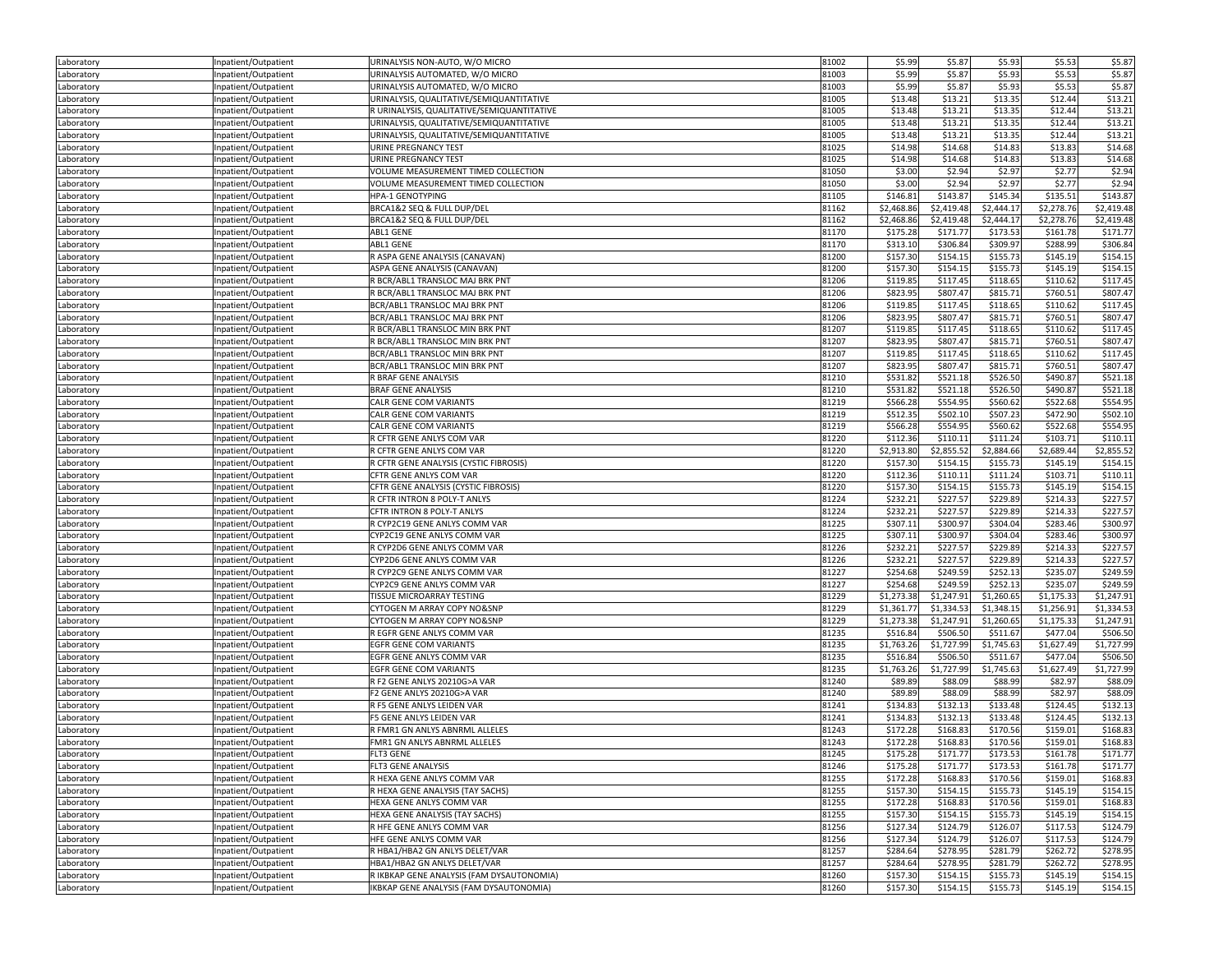| Laboratory               | Inpatient/Outpatient                         | URINALYSIS NON-AUTO, W/O MICRO                              | 81002          | \$5.99     | \$5.87     | \$5.93     | \$5.53     | \$5.87     |
|--------------------------|----------------------------------------------|-------------------------------------------------------------|----------------|------------|------------|------------|------------|------------|
| Laboratory               | Inpatient/Outpatient                         | URINALYSIS AUTOMATED, W/O MICRO                             | 81003          | \$5.99     | \$5.87     | \$5.93     | \$5.53     | \$5.87     |
| Laboratory               | Inpatient/Outpatient                         | URINALYSIS AUTOMATED, W/O MICRO                             | 81003          | \$5.99     | \$5.87     | \$5.93     | \$5.53     | \$5.87     |
| Laboratory               | Inpatient/Outpatient                         | URINALYSIS, QUALITATIVE/SEMIQUANTITATIVE                    | 81005          | \$13.48    | \$13.21    | \$13.35    | \$12.44    | \$13.21    |
| Laboratory               | Inpatient/Outpatient                         | R URINALYSIS, QUALITATIVE/SEMIQUANTITATIVE                  | 81005          | \$13.48    | \$13.21    | \$13.35    | \$12.44    | \$13.21    |
| Laboratory               | Inpatient/Outpatient                         | URINALYSIS, QUALITATIVE/SEMIQUANTITATIVE                    | 81005          | \$13.48    | \$13.21    | \$13.35    | \$12.44    | \$13.21    |
| Laboratory               | Inpatient/Outpatient                         | URINALYSIS, QUALITATIVE/SEMIQUANTITATIVE                    | 81005          | \$13.48    | \$13.21    | \$13.35    | \$12.44    | \$13.21    |
| Laboratory               | Inpatient/Outpatient                         | URINE PREGNANCY TEST                                        | 81025          | \$14.98    | \$14.68    | \$14.83    | \$13.83    | \$14.68    |
| Laboratory               | Inpatient/Outpatient                         | <b>URINE PREGNANCY TEST</b>                                 | 81025          | \$14.98    | \$14.68    | \$14.83    | \$13.83    | \$14.68    |
| Laboratory               | Inpatient/Outpatient                         | VOLUME MEASUREMENT TIMED COLLECTION                         | 81050          | \$3.00     | \$2.94     | \$2.97     | \$2.77     | \$2.94     |
| Laboratory               | Inpatient/Outpatient                         | VOLUME MEASUREMENT TIMED COLLECTION                         | 81050          | \$3.00     | \$2.94     | \$2.97     | \$2.77     | \$2.94     |
| Laboratory               | Inpatient/Outpatient                         | <b>HPA-1 GENOTYPING</b>                                     | 81105          | \$146.81   | \$143.87   | \$145.34   | \$135.51   | \$143.87   |
| Laboratory               | Inpatient/Outpatient                         | BRCA1&2 SEQ & FULL DUP/DEL                                  | 81162          | \$2,468.86 | \$2,419.48 | \$2,444.17 | \$2,278.76 | \$2,419.48 |
|                          |                                              | BRCA1&2 SEQ & FULL DUP/DEL                                  | 81162          | \$2,468.86 | \$2,419.48 | \$2,444.17 | \$2,278.76 | \$2,419.48 |
| Laboratory               | Inpatient/Outpatient                         | <b>ABL1 GENE</b>                                            | 81170          | \$175.28   | \$171.77   | \$173.53   | \$161.78   | \$171.7    |
| Laboratory               | Inpatient/Outpatient<br>Inpatient/Outpatient | ABL1 GENE                                                   | 81170          | \$313.10   | \$306.84   | \$309.97   | \$288.99   | \$306.84   |
| Laboratory               |                                              | R ASPA GENE ANALYSIS (CANAVAN)                              |                | \$157.30   |            |            | \$145.19   | \$154.1    |
| Laboratory               | Inpatient/Outpatient                         |                                                             | 81200          |            | \$154.15   | \$155.73   |            |            |
| Laboratory               | Inpatient/Outpatient                         | ASPA GENE ANALYSIS (CANAVAN)                                | 81200          | \$157.30   | \$154.15   | \$155.73   | \$145.19   | \$154.1    |
| Laboratory               | Inpatient/Outpatient                         | R BCR/ABL1 TRANSLOC MAJ BRK PNT                             | 81206          | \$119.85   | \$117.45   | \$118.65   | \$110.62   | \$117.45   |
| Laboratory               | Inpatient/Outpatient                         | R BCR/ABL1 TRANSLOC MAJ BRK PNT                             | 81206          | \$823.95   | \$807.47   | \$815.71   | \$760.51   | \$807.4    |
| Laboratory               | Inpatient/Outpatient                         | BCR/ABL1 TRANSLOC MAJ BRK PNT                               | 81206          | \$119.85   | \$117.45   | \$118.65   | \$110.62   | \$117.4    |
| Laboratory               | Inpatient/Outpatient                         | BCR/ABL1 TRANSLOC MAJ BRK PNT                               | 81206          | \$823.95   | \$807.47   | \$815.71   | \$760.51   | \$807.4    |
| Laboratory               | Inpatient/Outpatient                         | R BCR/ABL1 TRANSLOC MIN BRK PNT                             | 81207          | \$119.85   | \$117.45   | \$118.65   | \$110.62   | \$117.45   |
| Laboratory               | Inpatient/Outpatient                         | R BCR/ABL1 TRANSLOC MIN BRK PNT                             | 81207          | \$823.95   | \$807.47   | \$815.71   | \$760.51   | \$807.4    |
| Laboratory               | Inpatient/Outpatient                         | BCR/ABL1 TRANSLOC MIN BRK PNT                               | 81207          | \$119.85   | \$117.45   | \$118.65   | \$110.62   | \$117.45   |
| Laboratory               | Inpatient/Outpatient                         | BCR/ABL1 TRANSLOC MIN BRK PNT                               | 81207          | \$823.95   | \$807.47   | \$815.71   | \$760.51   | \$807.47   |
| Laboratory               | Inpatient/Outpatient                         | R BRAF GENE ANALYSIS                                        | 81210          | \$531.82   | \$521.18   | \$526.50   | \$490.87   | \$521.18   |
| Laboratory               | Inpatient/Outpatient                         | <b>BRAF GENE ANALYSIS</b>                                   | 81210          | \$531.82   | \$521.18   | \$526.50   | \$490.87   | \$521.18   |
| Laboratory               | Inpatient/Outpatient                         | CALR GENE COM VARIANTS                                      | 81219          | \$566.28   | \$554.95   | \$560.62   | \$522.68   | \$554.95   |
| Laboratory               | Inpatient/Outpatient                         | CALR GENE COM VARIANTS                                      | 81219          | \$512.35   | \$502.10   | \$507.23   | \$472.90   | \$502.10   |
| Laboratory               | Inpatient/Outpatient                         | CALR GENE COM VARIANTS                                      | 81219          | \$566.28   | \$554.95   | \$560.62   | \$522.68   | \$554.95   |
| Laboratory               | Inpatient/Outpatient                         | R CFTR GENE ANLYS COM VAR                                   | 81220          | \$112.36   | \$110.11   | \$111.24   | \$103.71   | \$110.1    |
| Laboratory               | Inpatient/Outpatient                         | R CFTR GENE ANLYS COM VAR                                   | 81220          | \$2,913.80 | \$2,855.52 | \$2,884.66 | \$2,689.44 | \$2,855.52 |
| Laboratory               | Inpatient/Outpatient                         | R CFTR GENE ANALYSIS (CYSTIC FIBROSIS)                      | 81220          | \$157.30   | \$154.15   | \$155.73   | \$145.19   | \$154.1    |
| Laboratory               | Inpatient/Outpatient                         | CFTR GENE ANLYS COM VAR                                     | 81220          | \$112.36   | \$110.11   | \$111.24   | \$103.71   | \$110.1    |
| Laboratory               | Inpatient/Outpatient                         | CFTR GENE ANALYSIS (CYSTIC FIBROSIS)                        | 81220          | \$157.30   | \$154.15   | \$155.73   | \$145.19   | \$154.1    |
| Laboratory               | Inpatient/Outpatient                         | R CFTR INTRON 8 POLY-T ANLYS                                | 81224          | \$232.21   | \$227.57   | \$229.89   | \$214.33   | \$227.57   |
| Laboratory               | Inpatient/Outpatient                         | CFTR INTRON 8 POLY-T ANLYS                                  | 81224          | \$232.21   | \$227.57   | \$229.89   | \$214.33   | \$227.57   |
| Laboratory               | Inpatient/Outpatient                         | R CYP2C19 GENE ANLYS COMM VAR                               | 81225          | \$307.11   | \$300.97   | \$304.04   | \$283.46   | \$300.97   |
| Laboratory               | Inpatient/Outpatient                         | CYP2C19 GENE ANLYS COMM VAR                                 | 81225          | \$307.11   | \$300.97   | \$304.04   | \$283.46   | \$300.9    |
| Laboratory               | Inpatient/Outpatient                         | R CYP2D6 GENE ANLYS COMM VAR                                | 81226          | \$232.21   | \$227.57   | \$229.89   | \$214.33   | \$227.5    |
| Laboratory               | Inpatient/Outpatient                         | CYP2D6 GENE ANLYS COMM VAR                                  | 81226          | \$232.21   | \$227.57   | \$229.89   | \$214.33   | \$227.57   |
| Laboratory               | Inpatient/Outpatient                         | R CYP2C9 GENE ANLYS COMM VAR                                | 81227          | \$254.68   | \$249.59   | \$252.13   | \$235.07   | \$249.59   |
| Laboratory               | Inpatient/Outpatient                         | CYP2C9 GENE ANLYS COMM VAR                                  | 81227          | \$254.68   | \$249.59   | \$252.13   | \$235.07   | \$249.59   |
| Laboratory               | Inpatient/Outpatient                         | TISSUE MICROARRAY TESTING                                   | 81229          | \$1,273.38 | \$1,247.91 | \$1,260.65 | \$1,175.33 | \$1,247.91 |
| Laboratory               | Inpatient/Outpatient                         | CYTOGEN M ARRAY COPY NO&SNP                                 | 81229          | \$1,361.77 | \$1,334.53 | \$1,348.15 | \$1,256.91 | \$1,334.53 |
| Laboratory               | Inpatient/Outpatient                         | CYTOGEN M ARRAY COPY NO&SNP                                 | 81229          | \$1,273.38 | \$1,247.91 | \$1,260.65 | \$1,175.33 | \$1,247.9  |
| Laboratory               | Inpatient/Outpatient                         | R EGFR GENE ANLYS COMM VAR                                  | 81235          | \$516.84   | \$506.50   | \$511.67   | \$477.04   | \$506.50   |
| Laboratory               | Inpatient/Outpatient                         | <b>EGFR GENE COM VARIANTS</b>                               | 81235          | \$1,763.26 | \$1,727.99 | \$1,745.63 | \$1,627.49 | \$1,727.99 |
| Laboratory               | Inpatient/Outpatient                         | EGFR GENE ANLYS COMM VAR                                    | 81235          | \$516.84   | \$506.50   | \$511.67   | \$477.04   | \$506.50   |
| Laboratory               | Inpatient/Outpatient                         | <b>EGFR GENE COM VARIANTS</b>                               | 81235          | \$1,763.26 | \$1,727.99 | \$1,745.63 | \$1,627.49 | \$1,727.99 |
| Laboratory               | Inpatient/Outpatient                         | R F2 GENE ANLYS 20210G>A VAR                                | 81240          | \$89.89    | \$88.09    | \$88.99    | \$82.97    | \$88.09    |
| Laboratory               | Inpatient/Outpatient                         | F2 GENE ANLYS 20210G>A VAR                                  | 81240          | \$89.89    | \$88.09    | \$88.99    | \$82.97    | \$88.09    |
| Laboratory               | Inpatient/Outpatient                         | R F5 GENE ANLYS LEIDEN VAR                                  | 81241          | \$134.83   | \$132.13   | \$133.48   | \$124.45   | \$132.13   |
| Laboratory               | Inpatient/Outpatient                         | F5 GENE ANLYS LEIDEN VAR                                    | 81241          | \$134.83   | \$132.13   | \$133.48   | \$124.45   | \$132.13   |
| Laboratory               | Inpatient/Outpatient                         | R FMR1 GN ANLYS ABNRML ALLELES                              | 81243          | \$172.28   | \$168.83   | \$170.56   | \$159.01   | \$168.83   |
| Laboratory               | Inpatient/Outpatient                         | FMR1 GN ANLYS ABNRML ALLELES                                | 81243          | \$172.28   | \$168.83   | \$170.56   | \$159.01   | \$168.83   |
|                          |                                              |                                                             |                | \$175.28   | \$171.77   | \$173.53   | \$161.78   | \$171.77   |
| Laboratory               | Inpatient/Outpatient                         | FLI3 GENE<br>FLT3 GENE ANALYSIS                             | 81245<br>81246 | \$175.28   | \$171.77   | \$173.53   | \$161.78   | \$171.77   |
| Laboratory               | Inpatient/Outpatient<br>Inpatient/Outpatient | R HEXA GENE ANLYS COMM VAR                                  | 81255          | \$172.28   | \$168.83   | \$170.56   | \$159.01   | \$168.83   |
| Laboratory<br>Laboratory | Inpatient/Outpatient                         | R HEXA GENE ANALYSIS (TAY SACHS)                            | 81255          | \$157.30   | \$154.15   | \$155.73   | \$145.19   | \$154.15   |
|                          | Inpatient/Outpatient                         | HEXA GENE ANLYS COMM VAR                                    | 81255          | \$172.28   | \$168.83   | \$170.56   | \$159.01   | \$168.83   |
| Laboratory               |                                              |                                                             |                |            |            |            |            |            |
| Laboratory               | Inpatient/Outpatient                         | HEXA GENE ANALYSIS (TAY SACHS)<br>R HFE GENE ANLYS COMM VAR | 81255          | \$157.30   | \$154.15   | \$155.73   | \$145.19   | \$154.15   |
| Laboratory               | Inpatient/Outpatient                         |                                                             | 81256          | \$127.34   | \$124.79   | \$126.07   | \$117.53   | \$124.79   |
| Laboratory               | Inpatient/Outpatient                         | HFE GENE ANLYS COMM VAR                                     | 81256          | \$127.34   | \$124.79   | \$126.07   | \$117.53   | \$124.79   |
| Laboratory               | Inpatient/Outpatient                         | R HBA1/HBA2 GN ANLYS DELET/VAR                              | 81257          | \$284.64   | \$278.95   | \$281.79   | \$262.72   | \$278.95   |
| Laboratory               | Inpatient/Outpatient                         | HBA1/HBA2 GN ANLYS DELET/VAR                                | 81257          | \$284.64   | \$278.95   | \$281.79   | \$262.72   | \$278.95   |
| Laboratory               | Inpatient/Outpatient                         | R IKBKAP GENE ANALYSIS (FAM DYSAUTONOMIA)                   | 81260          | \$157.30   | \$154.15   | \$155.73   | \$145.19   | \$154.15   |
| Laboratory               | Inpatient/Outpatient                         | IKBKAP GENE ANALYSIS (FAM DYSAUTONOMIA)                     | 81260          | \$157.30   | \$154.15   | \$155.73   | \$145.19   | \$154.15   |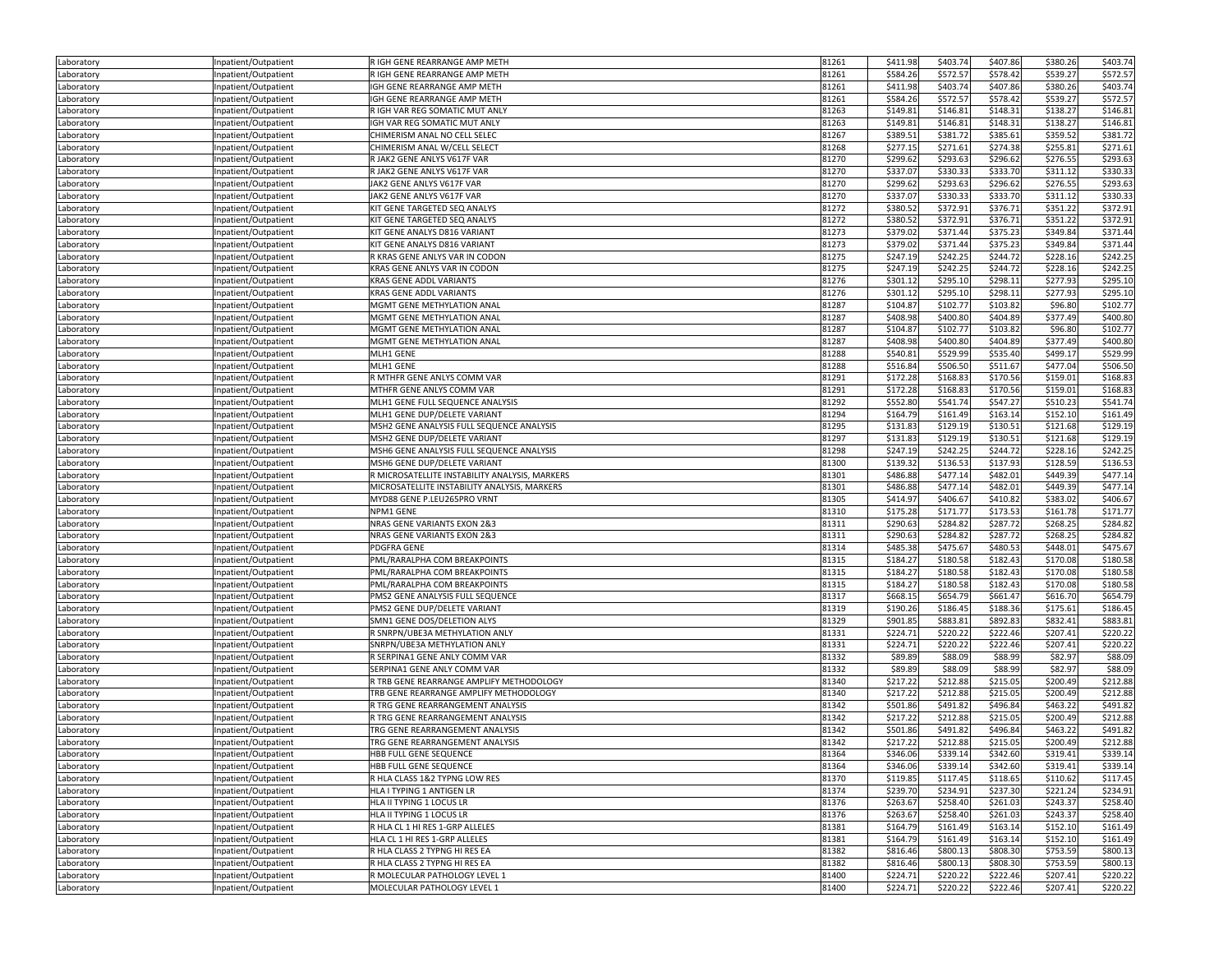| Laboratory | Inpatient/Outpatient | R IGH GENE REARRANGE AMP METH                  | 81261 | \$411.98 | \$403.74 | \$407.86 | \$380.26 | \$403.74 |
|------------|----------------------|------------------------------------------------|-------|----------|----------|----------|----------|----------|
| Laboratory | Inpatient/Outpatient | R IGH GENE REARRANGE AMP METH                  | 81261 | \$584.26 | \$572.57 | \$578.42 | \$539.27 | \$572.57 |
| Laboratory | Inpatient/Outpatient | IGH GENE REARRANGE AMP METH                    | 81261 | \$411.98 | \$403.74 | \$407.86 | \$380.26 | \$403.74 |
|            | Inpatient/Outpatient | IGH GENE REARRANGE AMP METH                    | 81261 | \$584.26 | \$572.57 | \$578.42 | \$539.27 | \$572.57 |
| Laboratory |                      |                                                |       |          |          |          |          |          |
| Laboratory | Inpatient/Outpatient | R IGH VAR REG SOMATIC MUT ANLY                 | 81263 | \$149.81 | \$146.81 | \$148.31 | \$138.27 | \$146.81 |
| Laboratory | Inpatient/Outpatient | IGH VAR REG SOMATIC MUT ANLY                   | 81263 | \$149.81 | \$146.81 | \$148.31 | \$138.27 | \$146.81 |
| Laboratory | Inpatient/Outpatient | CHIMERISM ANAL NO CELL SELEC                   | 81267 | \$389.51 | \$381.72 | \$385.61 | \$359.52 | \$381.72 |
| Laboratory | npatient/Outpatient  | CHIMERISM ANAL W/CELL SELECT                   | 81268 | \$277.15 | \$271.61 | \$274.38 | \$255.81 | \$271.61 |
| Laboratory | Inpatient/Outpatient | R JAK2 GENE ANLYS V617F VAR                    | 81270 | \$299.62 | \$293.63 | \$296.62 | \$276.55 | \$293.63 |
| Laboratory | Inpatient/Outpatient | R JAK2 GENE ANLYS V617F VAR                    | 81270 | \$337.07 | \$330.33 | \$333.70 | \$311.12 | \$330.33 |
| Laboratory | Inpatient/Outpatient | JAK2 GENE ANLYS V617F VAR                      | 81270 | \$299.62 | \$293.63 | \$296.62 | \$276.55 | \$293.63 |
| Laboratory | Inpatient/Outpatient | JAK2 GENE ANLYS V617F VAR                      | 81270 | \$337.07 | \$330.33 | \$333.70 | \$311.12 | \$330.33 |
| Laboratory | Inpatient/Outpatient | KIT GENE TARGETED SEQ ANALYS                   | 81272 | \$380.52 | \$372.91 | \$376.71 | \$351.22 | \$372.91 |
| Laboratory | Inpatient/Outpatient | KIT GENE TARGETED SEQ ANALYS                   | 81272 | \$380.52 | \$372.91 | \$376.71 | \$351.22 | \$372.91 |
|            |                      |                                                | 81273 |          |          |          | \$349.84 | \$371.44 |
| Laboratory | Inpatient/Outpatient | KIT GENE ANALYS D816 VARIANT                   |       | \$379.02 | \$371.44 | \$375.23 |          |          |
| Laboratory | Inpatient/Outpatient | KIT GENE ANALYS D816 VARIANT                   | 81273 | \$379.02 | \$371.44 | \$375.23 | \$349.84 | \$371.44 |
| Laboratory | Inpatient/Outpatient | R KRAS GENE ANLYS VAR IN CODON                 | 81275 | \$247.19 | \$242.25 | \$244.72 | \$228.16 | \$242.25 |
| Laboratory | Inpatient/Outpatient | KRAS GENE ANLYS VAR IN CODON                   | 81275 | \$247.19 | \$242.25 | \$244.72 | \$228.16 | \$242.25 |
| Laboratory | Inpatient/Outpatient | KRAS GENE ADDL VARIANTS                        | 81276 | \$301.12 | \$295.10 | \$298.11 | \$277.93 | \$295.10 |
| Laboratory | Inpatient/Outpatient | KRAS GENE ADDL VARIANTS                        | 81276 | \$301.12 | \$295.10 | \$298.11 | \$277.93 | \$295.10 |
| Laboratory | Inpatient/Outpatient | MGMT GENE METHYLATION ANAL                     | 81287 | \$104.87 | \$102.77 | \$103.82 | \$96.80  | \$102.77 |
| Laboratory | Inpatient/Outpatient | MGMT GENE METHYLATION ANAL                     | 81287 | \$408.98 | \$400.80 | \$404.89 | \$377.49 | \$400.80 |
| Laboratory | Inpatient/Outpatient | MGMT GENE METHYLATION ANAL                     | 81287 | \$104.87 | \$102.77 | \$103.82 | \$96.80  | \$102.77 |
| Laboratory | Inpatient/Outpatient | MGMT GENE METHYLATION ANAL                     | 81287 | \$408.98 | \$400.80 | \$404.89 | \$377.49 | \$400.80 |
|            |                      | MLH1 GENE                                      | 81288 | \$540.81 | \$529.99 | \$535.40 | \$499.17 | \$529.99 |
| Laboratory | Inpatient/Outpatient |                                                |       |          |          |          |          |          |
| Laboratory | Inpatient/Outpatient | MLH1 GENE                                      | 81288 | \$516.84 | \$506.50 | \$511.67 | \$477.04 | \$506.50 |
| Laboratory | Inpatient/Outpatient | R MTHFR GENE ANLYS COMM VAR                    | 81291 | \$172.28 | \$168.83 | \$170.56 | \$159.01 | \$168.83 |
| Laboratory | Inpatient/Outpatient | MTHFR GENE ANLYS COMM VAR                      | 81291 | \$172.28 | \$168.83 | \$170.56 | \$159.01 | \$168.83 |
| Laboratory | Inpatient/Outpatient | MLH1 GENE FULL SEQUENCE ANALYSIS               | 81292 | \$552.80 | \$541.74 | \$547.27 | \$510.23 | \$541.74 |
| Laboratory | Inpatient/Outpatient | MLH1 GENE DUP/DELETE VARIANT                   | 81294 | \$164.79 | \$161.49 | \$163.14 | \$152.10 | \$161.49 |
| Laboratory | Inpatient/Outpatient | MSH2 GENE ANALYSIS FULL SEQUENCE ANALYSIS      | 81295 | \$131.83 | \$129.19 | \$130.51 | \$121.68 | \$129.19 |
| Laboratory | Inpatient/Outpatient | MSH2 GENE DUP/DELETE VARIANT                   | 81297 | \$131.83 | \$129.19 | \$130.51 | \$121.68 | \$129.19 |
| Laboratory | Inpatient/Outpatient | MSH6 GENE ANALYSIS FULL SEQUENCE ANALYSIS      | 81298 | \$247.19 | \$242.25 | \$244.72 | \$228.16 | \$242.25 |
| Laboratory | Inpatient/Outpatient | MSH6 GENE DUP/DELETE VARIANT                   | 81300 | \$139.32 | \$136.53 | \$137.93 | \$128.59 | \$136.53 |
| Laboratory | Inpatient/Outpatient | R MICROSATELLITE INSTABILITY ANALYSIS, MARKERS | 81301 | \$486.88 | \$477.14 | \$482.01 | \$449.39 | \$477.14 |
| Laboratory | Inpatient/Outpatient | MICROSATELLITE INSTABILITY ANALYSIS, MARKERS   | 81301 | \$486.88 | \$477.14 | \$482.01 | \$449.39 | \$477.14 |
|            |                      | MYD88 GENE P.LEU265PRO VRNT                    |       |          |          |          |          |          |
| Laboratory | Inpatient/Outpatient |                                                | 81305 | \$414.97 | \$406.67 | \$410.82 | \$383.02 | \$406.67 |
| Laboratory | Inpatient/Outpatient | NPM1 GENE                                      | 81310 | \$175.28 | \$171.77 | \$173.53 | \$161.78 | \$171.77 |
| Laboratory | Inpatient/Outpatient | NRAS GENE VARIANTS EXON 2&3                    | 81311 | \$290.63 | \$284.82 | \$287.72 | \$268.25 | \$284.82 |
| Laboratory | Inpatient/Outpatient | NRAS GENE VARIANTS EXON 2&3                    | 81311 | \$290.63 | \$284.82 | \$287.72 | \$268.25 | \$284.82 |
| Laboratory | Inpatient/Outpatient | PDGFRA GENE                                    | 81314 | \$485.38 | \$475.67 | \$480.53 | \$448.01 | \$475.67 |
| Laboratory | Inpatient/Outpatient | PML/RARALPHA COM BREAKPOINTS                   | 81315 | \$184.27 | \$180.58 | \$182.43 | \$170.08 | \$180.58 |
| Laboratory | Inpatient/Outpatient | PML/RARALPHA COM BREAKPOINTS                   | 81315 | \$184.27 | \$180.58 | \$182.43 | \$170.08 | \$180.58 |
| Laboratory | Inpatient/Outpatient | PML/RARALPHA COM BREAKPOINTS                   | 81315 | \$184.27 | \$180.58 | \$182.43 | \$170.08 | \$180.58 |
| Laboratory | Inpatient/Outpatient | PMS2 GENE ANALYSIS FULL SEQUENCE               | 81317 | \$668.15 | \$654.79 | \$661.47 | \$616.70 | \$654.79 |
| Laboratory | Inpatient/Outpatient | PMS2 GENE DUP/DELETE VARIANT                   | 81319 | \$190.26 | \$186.45 | \$188.36 | \$175.61 | \$186.45 |
| Laboratory | Inpatient/Outpatient | SMN1 GENE DOS/DELETION ALYS                    | 81329 | \$901.85 | \$883.81 | \$892.83 | \$832.41 | \$883.81 |
|            |                      |                                                | 81331 | \$224.71 |          | \$222.46 | \$207.41 | \$220.22 |
| Laboratory | Inpatient/Outpatient | R SNRPN/UBE3A METHYLATION ANLY                 |       |          | \$220.22 |          |          |          |
| Laboratory | Inpatient/Outpatient | SNRPN/UBE3A METHYLATION ANLY                   | 81331 | \$224.71 | \$220.22 | \$222.46 | \$207.41 | \$220.22 |
| Laboratory | Inpatient/Outpatient | R SERPINA1 GENE ANLY COMM VAR                  | 81332 | \$89.89  | \$88.09  | \$88.99  | \$82.97  | \$88.09  |
| Laboratory | Inpatient/Outpatient | SERPINA1 GENE ANLY COMM VAR                    | 81332 | \$89.89  | \$88.09  | \$88.99  | \$82.97  | \$88.09  |
| Laboratory | Inpatient/Outpatient | R TRB GENE REARRANGE AMPLIFY METHODOLOGY       | 81340 | \$217.22 | \$212.88 | \$215.05 | \$200.49 | \$212.88 |
| Laboratory | Inpatient/Outpatient | TRB GENE REARRANGE AMPLIFY METHODOLOGY         | 81340 | \$217.22 | \$212.88 | \$215.05 | \$200.49 | \$212.88 |
| Laboratory | Inpatient/Outpatient | R TRG GENE REARRANGEMENT ANALYSIS              | 81342 | \$501.86 | \$491.82 | \$496.84 | \$463.22 | \$491.82 |
| Laboratory | Inpatient/Outpatient | R TRG GENE REARRANGEMENT ANALYSIS              | 81342 | \$217.22 | \$212.88 | \$215.05 | \$200.49 | \$212.88 |
| Laboratory | Inpatient/Outpatient | TRG GENE REARRANGEMENT ANALYSIS                | 81342 | \$501.86 | \$491.82 | \$496.84 | \$463.22 | \$491.82 |
| Laboratory | Inpatient/Outpatient | TRG GENE REARRANGEMENT ANALYSIS                | 81342 | \$217.22 | \$212.88 | \$215.05 | \$200.49 | \$212.88 |
| Laboratory | Inpatient/Outpatient | HBB FULL GENE SEQUENCE                         | 81364 | \$346.06 | \$339.14 | \$342.60 | \$319.41 | \$339.14 |
| Laboratory | Inpatient/Outpatient | HBB FULL GENE SEQUENCE                         | 81364 | \$346.06 | \$339.14 | \$342.60 | \$319.41 | \$339.14 |
|            |                      |                                                |       |          |          |          |          |          |
| Laboratory | Inpatient/Outpatient | R HLA CLASS 1&2 TYPNG LOW RES                  | 81370 | \$119.85 | \$117.45 | \$118.65 | \$110.62 | \$117.45 |
| Laboratory | Inpatient/Outpatient | HLA I TYPING 1 ANTIGEN LR                      | 81374 | \$239.70 | \$234.91 | \$237.30 | \$221.24 | \$234.91 |
| Laboratory | Inpatient/Outpatient | HLA II TYPING 1 LOCUS LR                       | 81376 | \$263.67 | \$258.40 | \$261.03 | \$243.37 | \$258.40 |
| Laboratory | Inpatient/Outpatient | HLA II TYPING 1 LOCUS LR                       | 81376 | \$263.67 | \$258.40 | \$261.03 | \$243.37 | \$258.40 |
| Laboratory | Inpatient/Outpatient | R HLA CL 1 HI RES 1-GRP ALLELES                | 81381 | \$164.79 | \$161.49 | \$163.14 | \$152.10 | \$161.49 |
| Laboratory | Inpatient/Outpatient | HLA CL 1 HI RES 1-GRP ALLELES                  | 81381 | \$164.79 | \$161.49 | \$163.14 | \$152.10 | \$161.49 |
| Laboratory | Inpatient/Outpatient | R HLA CLASS 2 TYPNG HI RES EA                  | 81382 | \$816.46 | \$800.13 | \$808.30 | \$753.59 | \$800.13 |
| Laboratory | Inpatient/Outpatient | R HLA CLASS 2 TYPNG HI RES EA                  | 81382 | \$816.46 | \$800.13 | \$808.30 | \$753.59 | \$800.13 |
| Laboratory | Inpatient/Outpatient | R MOLECULAR PATHOLOGY LEVEL 1                  | 81400 | \$224.71 | \$220.22 | \$222.46 | \$207.41 | \$220.22 |
| Laboratory | Inpatient/Outpatient | MOLECULAR PATHOLOGY LEVEL 1                    | 81400 | \$224.71 | \$220.22 | \$222.46 | \$207.41 | \$220.22 |
|            |                      |                                                |       |          |          |          |          |          |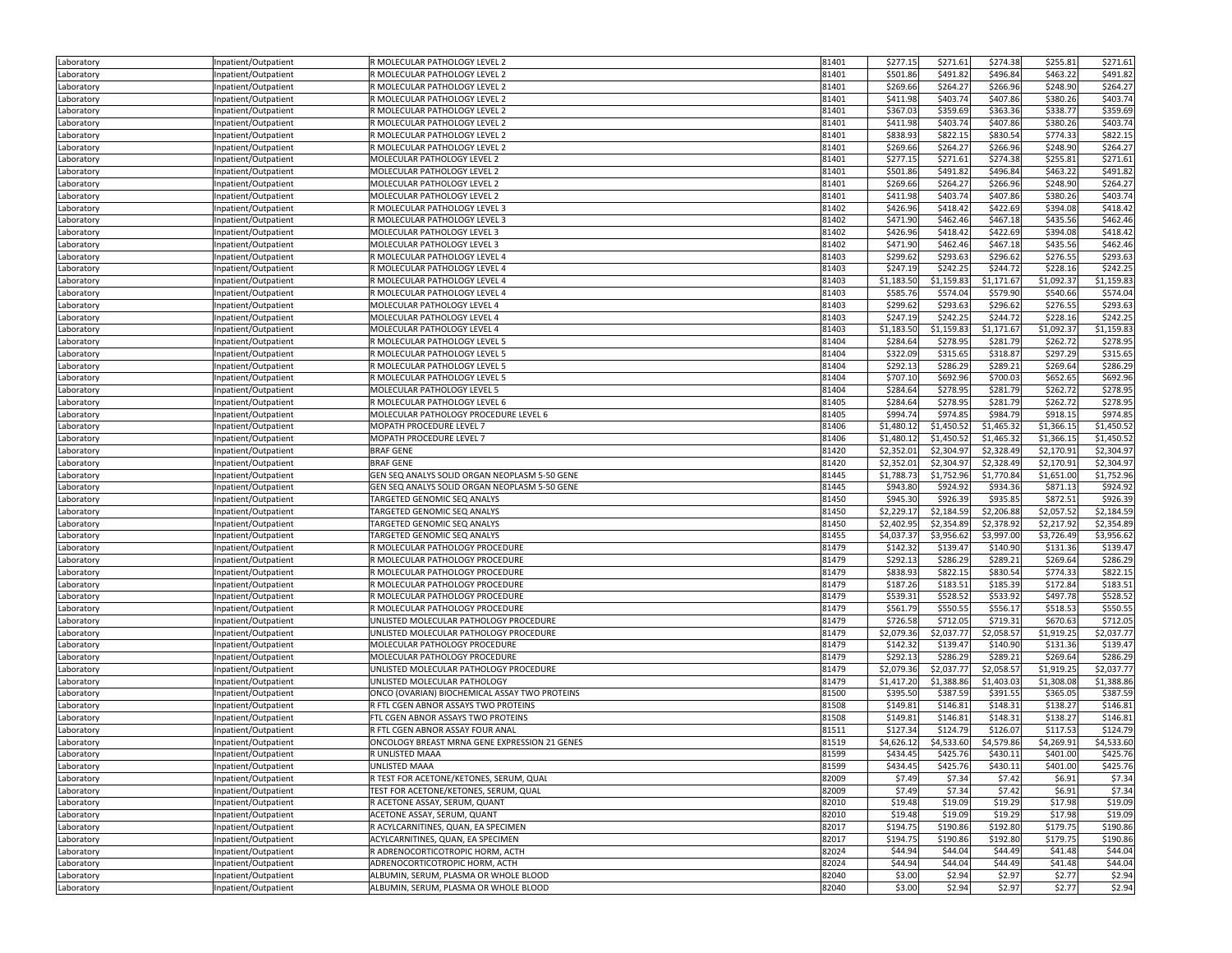| Laboratory               | Inpatient/Outpatient                         | R MOLECULAR PATHOLOGY LEVEL 2                                         | 81401          | \$277.15            | \$271.61          | \$274.38   | \$255.81          | \$271.61   |
|--------------------------|----------------------------------------------|-----------------------------------------------------------------------|----------------|---------------------|-------------------|------------|-------------------|------------|
| Laboratory               | Inpatient/Outpatient                         | R MOLECULAR PATHOLOGY LEVEL 2                                         | 81401          | \$501.86            | \$491.82          | \$496.84   | \$463.22          | \$491.82   |
| Laboratory               | Inpatient/Outpatient                         | R MOLECULAR PATHOLOGY LEVEL 2                                         | 81401          | \$269.66            | \$264.27          | \$266.96   | \$248.90          | \$264.27   |
| Laboratory               | Inpatient/Outpatient                         | R MOLECULAR PATHOLOGY LEVEL 2                                         | 81401          | \$411.98            | \$403.74          | \$407.86   | \$380.26          | \$403.74   |
| Laboratory               | Inpatient/Outpatient                         | R MOLECULAR PATHOLOGY LEVEL 2                                         | 81401          | \$367.03            | \$359.69          | \$363.36   | \$338.77          | \$359.69   |
| Laboratory               | Inpatient/Outpatient                         | R MOLECULAR PATHOLOGY LEVEL 2                                         | 81401          | \$411.98            | \$403.74          | \$407.86   | \$380.26          | \$403.74   |
| Laboratory               | Inpatient/Outpatient                         | R MOLECULAR PATHOLOGY LEVEL 2                                         | 81401          | \$838.93            | \$822.15          | \$830.54   | \$774.33          | \$822.15   |
| Laboratory               | Inpatient/Outpatient                         | R MOLECULAR PATHOLOGY LEVEL 2                                         | 81401          | \$269.66            | \$264.27          | \$266.96   | \$248.90          | \$264.27   |
| Laboratory               | Inpatient/Outpatient                         | MOLECULAR PATHOLOGY LEVEL 2                                           | 81401          | \$277.15            | \$271.61          | \$274.38   | \$255.81          | \$271.61   |
| Laboratory               | Inpatient/Outpatient                         | MOLECULAR PATHOLOGY LEVEL 2                                           | 81401          | \$501.86            | \$491.82          | \$496.84   | \$463.22          | \$491.82   |
| Laboratory               | Inpatient/Outpatient                         | MOLECULAR PATHOLOGY LEVEL 2                                           | 81401          | \$269.66            | \$264.27          | \$266.96   | \$248.90          | \$264.27   |
| Laboratory               | Inpatient/Outpatient                         | MOLECULAR PATHOLOGY LEVEL 2                                           | 81401          | \$411.98            | \$403.74          | \$407.86   | \$380.26          | \$403.74   |
| Laboratory               | Inpatient/Outpatient                         | R MOLECULAR PATHOLOGY LEVEL 3                                         | 81402          | \$426.96            | \$418.42          | \$422.69   | \$394.08          | \$418.42   |
| Laboratory               | Inpatient/Outpatient                         | R MOLECULAR PATHOLOGY LEVEL 3                                         | 81402          | \$471.90            | \$462.46          | \$467.18   | \$435.56          | \$462.46   |
|                          |                                              | MOLECULAR PATHOLOGY LEVEL 3                                           | 81402          | \$426.96            | \$418.42          | \$422.69   | \$394.08          | \$418.42   |
| Laboratory<br>Laboratory | Inpatient/Outpatient<br>Inpatient/Outpatient | MOLECULAR PATHOLOGY LEVEL 3                                           | 81402          | \$471.90            | \$462.46          | \$467.18   | \$435.56          | \$462.46   |
|                          |                                              | R MOLECULAR PATHOLOGY LEVEL 4                                         | 81403          | \$299.62            | \$293.63          | \$296.62   | \$276.55          | \$293.63   |
| Laboratory               | Inpatient/Outpatient                         |                                                                       | 81403          | \$247.19            | \$242.25          | \$244.72   | \$228.16          | \$242.25   |
| Laboratory               | Inpatient/Outpatient                         | R MOLECULAR PATHOLOGY LEVEL 4<br>R MOLECULAR PATHOLOGY LEVEL 4        |                |                     |                   |            |                   |            |
| Laboratory               | Inpatient/Outpatient                         |                                                                       | 81403          | \$1,183.50          | \$1,159.83        | \$1,171.67 | \$1,092.37        | \$1,159.83 |
| Laboratory               | Inpatient/Outpatient                         | R MOLECULAR PATHOLOGY LEVEL 4                                         | 81403          | \$585.76            | \$574.04          | \$579.90   | \$540.66          | \$574.04   |
| Laboratory               | Inpatient/Outpatient                         | MOLECULAR PATHOLOGY LEVEL 4                                           | 81403          | \$299.62            | \$293.63          | \$296.62   | \$276.55          | \$293.63   |
| Laboratory               | Inpatient/Outpatient                         | MOLECULAR PATHOLOGY LEVEL 4                                           | 81403          | \$247.19            | \$242.25          | \$244.72   | \$228.16          | \$242.25   |
| Laboratory               | Inpatient/Outpatient                         | MOLECULAR PATHOLOGY LEVEL 4                                           | 81403          | \$1,183.50          | \$1,159.83        | \$1,171.67 | \$1,092.37        | \$1,159.83 |
| Laboratory               | Inpatient/Outpatient                         | R MOLECULAR PATHOLOGY LEVEL 5                                         | 81404          | \$284.64            | \$278.95          | \$281.79   | \$262.72          | \$278.95   |
| Laboratory               | Inpatient/Outpatient                         | R MOLECULAR PATHOLOGY LEVEL 5                                         | 81404          | \$322.09            | \$315.65          | \$318.87   | \$297.29          | \$315.65   |
| Laboratory               | Inpatient/Outpatient                         | R MOLECULAR PATHOLOGY LEVEL 5                                         | 81404          | \$292.13            | \$286.29          | \$289.21   | \$269.64          | \$286.29   |
| Laboratory               | Inpatient/Outpatient                         | R MOLECULAR PATHOLOGY LEVEL 5                                         | 81404          | \$707.10            | \$692.96          | \$700.03   | \$652.65          | \$692.96   |
| Laboratory               | Inpatient/Outpatient                         | MOLECULAR PATHOLOGY LEVEL 5                                           | 81404          | \$284.64            | \$278.95          | \$281.79   | \$262.72          | \$278.95   |
| Laboratory               | Inpatient/Outpatient                         | R MOLECULAR PATHOLOGY LEVEL 6                                         | 81405          | \$284.64            | \$278.95          | \$281.79   | \$262.72          | \$278.95   |
| Laboratory               | Inpatient/Outpatient                         | MOLECULAR PATHOLOGY PROCEDURE LEVEL 6                                 | 81405          | \$994.74            | \$974.85          | \$984.79   | \$918.15          | \$974.85   |
| Laboratory               | Inpatient/Outpatient                         | MOPATH PROCEDURE LEVEL 7                                              | 81406          | \$1,480.12          | \$1,450.52        | \$1,465.32 | \$1,366.15        | \$1,450.52 |
| Laboratory               | Inpatient/Outpatient                         | MOPATH PROCEDURE LEVEL 7                                              | 81406          | \$1,480.12          | \$1,450.52        | \$1,465.32 | \$1,366.15        | \$1,450.52 |
| Laboratory               | Inpatient/Outpatient                         | <b>BRAF GENE</b>                                                      | 81420          | \$2,352.01          | \$2,304.97        | \$2,328.49 | \$2,170.91        | \$2,304.97 |
| Laboratory               | Inpatient/Outpatient                         | <b>BRAF GENE</b>                                                      | 81420          | \$2,352.01          | \$2,304.97        | \$2,328.49 | \$2,170.91        | \$2,304.97 |
| Laboratory               | Inpatient/Outpatient                         | GEN SEQ ANALYS SOLID ORGAN NEOPLASM 5-50 GENE                         | 81445          | \$1,788.73          | \$1,752.96        | \$1,770.84 | \$1,651.00        | \$1,752.96 |
| Laboratory               | Inpatient/Outpatient                         | GEN SEQ ANALYS SOLID ORGAN NEOPLASM 5-50 GENE                         | 81445          | \$943.80            | \$924.92          | \$934.36   | \$871.13          | \$924.92   |
| Laboratory               | Inpatient/Outpatient                         | TARGETED GENOMIC SEQ ANALYS                                           | 81450          | \$945.30            | \$926.39          | \$935.85   | \$872.51          | \$926.39   |
| Laboratory               | Inpatient/Outpatient                         | TARGETED GENOMIC SEQ ANALYS                                           | 81450          | \$2,229.17          | \$2,184.59        | \$2,206.88 | \$2,057.52        | \$2,184.5  |
| Laboratory               | Inpatient/Outpatient                         | TARGETED GENOMIC SEQ ANALYS                                           | 81450          | \$2,402.95          | \$2,354.89        | \$2,378.92 | \$2,217.92        | \$2,354.89 |
| Laboratory               | Inpatient/Outpatient                         | TARGETED GENOMIC SEQ ANALYS                                           | 81455          | \$4,037.37          | \$3,956.62        | \$3,997.00 | \$3,726.49        | \$3,956.62 |
| Laboratory               | Inpatient/Outpatient                         | R MOLECULAR PATHOLOGY PROCEDURE                                       | 81479          | \$142.32            | \$139.47          | \$140.90   | \$131.36          | \$139.4    |
| Laboratory               | Inpatient/Outpatient                         | R MOLECULAR PATHOLOGY PROCEDURE                                       | 81479          | \$292.13            | \$286.29          | \$289.21   | \$269.64          | \$286.29   |
| Laboratory               | Inpatient/Outpatient                         | R MOLECULAR PATHOLOGY PROCEDURE                                       | 81479          | \$838.93            | \$822.15          | \$830.54   | \$774.33          | \$822.15   |
| Laboratory               | Inpatient/Outpatient                         | R MOLECULAR PATHOLOGY PROCEDURE                                       | 81479          | \$187.26            | \$183.51          | \$185.39   | \$172.84          | \$183.51   |
| Laboratory               | Inpatient/Outpatient                         | R MOLECULAR PATHOLOGY PROCEDURE                                       | 81479          | \$539.31            | \$528.52          | \$533.92   | \$497.78          | \$528.52   |
| Laboratory               | Inpatient/Outpatient                         | R MOLECULAR PATHOLOGY PROCEDURE                                       | 81479          | \$561.79            | \$550.55          | \$556.17   | \$518.53          | \$550.55   |
| Laboratory               | Inpatient/Outpatient                         | UNLISTED MOLECULAR PATHOLOGY PROCEDURE                                | 81479          | \$726.58            | \$712.05          | \$719.31   | \$670.63          | \$712.05   |
| Laboratory               | Inpatient/Outpatient                         | UNLISTED MOLECULAR PATHOLOGY PROCEDURE                                | 81479          | \$2,079.36          | \$2,037.77        | \$2,058.57 | \$1,919.25        | \$2,037.7  |
| Laboratory               | Inpatient/Outpatient                         | MOLECULAR PATHOLOGY PROCEDURE                                         | 81479          | \$142.32            | \$139.47          | \$140.90   | \$131.36          | \$139.47   |
| Laboratory               | Inpatient/Outpatient                         | MOLECULAR PATHOLOGY PROCEDURE                                         | 81479          | \$292.13            | \$286.29          | \$289.21   | \$269.64          | \$286.29   |
| Laboratory               | Inpatient/Outpatient                         | UNLISTED MOLECULAR PATHOLOGY PROCEDURE                                | 81479          | \$2,079.36          | \$2,037.77        | \$2,058.57 | \$1,919.25        | \$2,037.7  |
| Laboratory               | Inpatient/Outpatient                         | UNLISTED MOLECULAR PATHOLOGY                                          | 81479          | \$1,417.20          | \$1,388.86        | \$1,403.03 | \$1,308.08        | \$1,388.86 |
| Laboratory               | Inpatient/Outpatient                         | ONCO (OVARIAN) BIOCHEMICAL ASSAY TWO PROTEINS                         | 81500          | \$395.50            | \$387.59          | \$391.55   | \$365.05          | \$387.59   |
| Laboratory               | Inpatient/Outpatient                         | R FTL CGEN ABNOR ASSAYS TWO PROTEINS                                  | 81508          | \$149.81            | \$146.81          | \$148.31   | \$138.27          | \$146.81   |
| Laboratory               | Inpatient/Outpatient                         | FTL CGEN ABNOR ASSAYS TWO PROTEINS                                    | 81508          | \$149.81            | \$146.81          | \$148.31   | \$138.27          | \$146.81   |
| Laboratory               | Inpatient/Outpatient                         | R FTL CGEN ABNOR ASSAY FOUR ANAL                                      | 81511          | \$127.34            | \$124.79          | \$126.07   | \$117.53          | \$124.79   |
| Laboratory               | Inpatient/Outpatient                         | ONCOLOGY BREAST MRNA GENE EXPRESSION 21 GENES                         | 81519          | \$4,626.12          | \$4,533.60        | \$4,579.86 | \$4,269.91        | \$4,533.60 |
| Laboratory               | Inpatient/Outpatient                         | R UNLISTED MAAA                                                       | 81599          | \$434.45            | \$425.76          | \$430.11   | \$401.00          | \$425.76   |
| Laboratory               | Inpatient/Outpatient                         | <b>UNLISTED MAAA</b>                                                  | 81599          | \$434.45            | \$425.76          | \$430.11   | \$401.00          | \$425.76   |
| Laboratory               | Inpatient/Outpatient                         | R TEST FOR ACETONE/KETONES, SERUM, QUAL                               | 82009          | \$7.49              | \$7.34            | \$7.42     | \$6.91            | \$7.34     |
| Laboratory               | Inpatient/Outpatient                         | TEST FOR ACETONE/KETONES, SERUM, QUAL                                 | 82009          | \$7.49              | \$7.34            | \$7.42     | \$6.91            | \$7.34     |
| Laboratory               | Inpatient/Outpatient                         | R ACETONE ASSAY, SERUM, QUANT                                         | 82010          | \$19.48             | \$19.09           | \$19.29    | \$17.98           | \$19.09    |
|                          | Inpatient/Outpatient                         | ACETONE ASSAY, SERUM, QUANT                                           | 82010          | \$19.48             | \$19.09           | \$19.29    | \$17.98           | \$19.09    |
| Laboratory               |                                              |                                                                       | 82017          | \$194.75            | \$190.86          |            |                   |            |
| Laboratory               | Inpatient/Outpatient                         | R ACYLCARNITINES, QUAN, EA SPECIMEN                                   |                |                     |                   | \$192.80   | \$179.75          | \$190.86   |
| Laboratory               | Inpatient/Outpatient                         | ACYLCARNITINES, QUAN, EA SPECIMEN<br>R ADRENOCORTICOTROPIC HORM, ACTH | 82017<br>82024 | \$194.75<br>\$44.94 | \$190.86          | \$192.80   | \$179.75          | \$190.86   |
| Laboratory               | Inpatient/Outpatient<br>Inpatient/Outpatient |                                                                       |                |                     | \$44.04           | \$44.49    | \$41.48           | \$44.04    |
| Laboratory               | Inpatient/Outpatient                         | ADRENOCORTICOTROPIC HORM, ACTH                                        | 82024          | \$44.94             | \$44.04<br>\$2.94 | \$44.49    | \$41.48<br>\$2.77 | \$44.04    |
| Laboratory               |                                              | ALBUMIN, SERUM, PLASMA OR WHOLE BLOOD                                 | 82040          | \$3.00              |                   | \$2.97     |                   | \$2.94     |
| Laboratory               | Inpatient/Outpatient                         | ALBUMIN, SERUM, PLASMA OR WHOLE BLOOD                                 | 82040          | \$3.00              | \$2.94            | \$2.97     | \$2.77            | \$2.94     |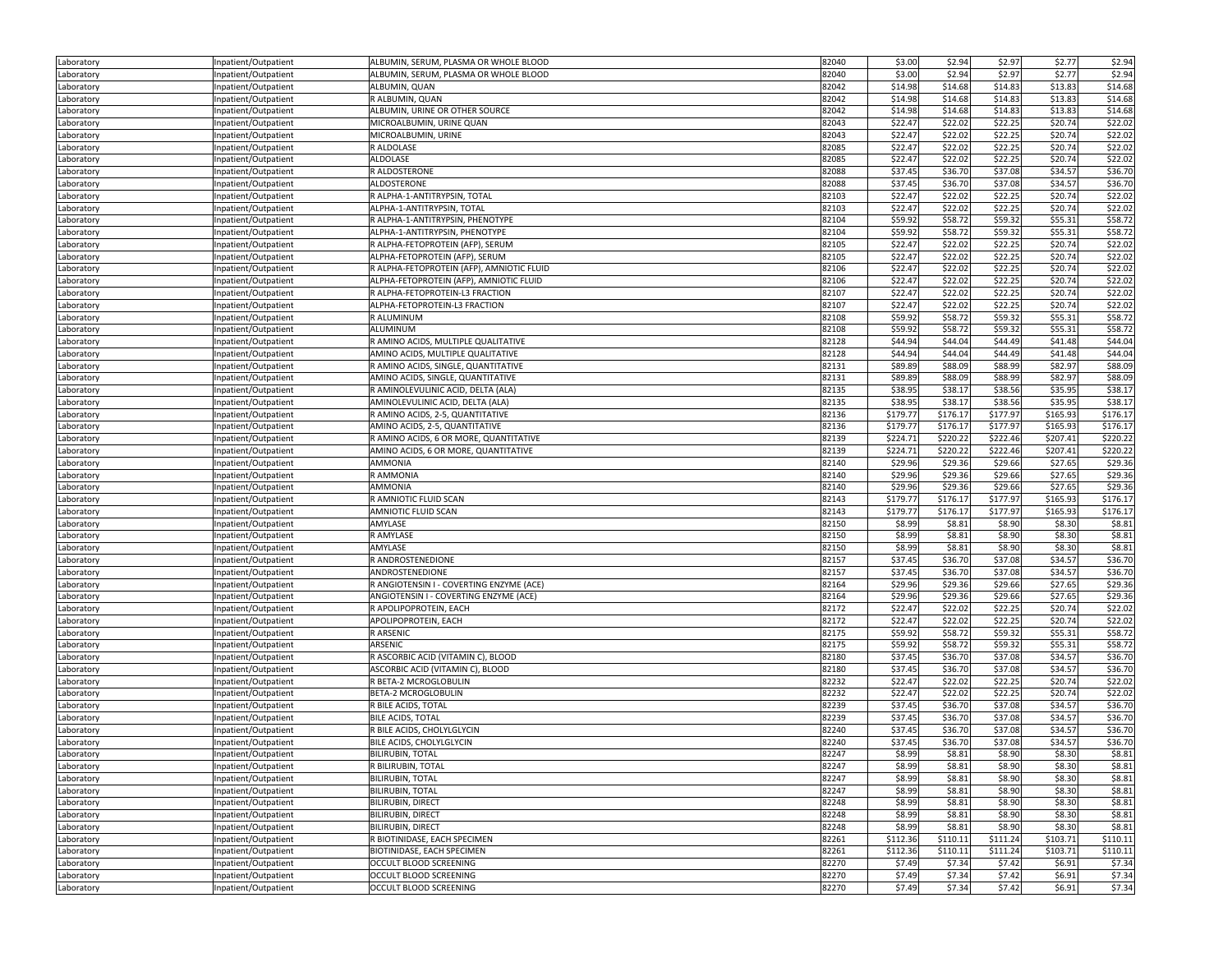| Laboratory | Inpatient/Outpatient | ALBUMIN, SERUM, PLASMA OR WHOLE BLOOD     | 82040 | \$3.00   | \$2.94   | \$2.97   | \$2.77   | \$2.94   |
|------------|----------------------|-------------------------------------------|-------|----------|----------|----------|----------|----------|
| Laboratory | Inpatient/Outpatient | ALBUMIN, SERUM, PLASMA OR WHOLE BLOOD     | 82040 | \$3.00   | \$2.94   | \$2.97   | \$2.77   | \$2.94   |
| Laboratory | Inpatient/Outpatient | ALBUMIN, QUAN                             | 82042 | \$14.98  | \$14.68  | \$14.83  | \$13.83  | \$14.68  |
| Laboratory | Inpatient/Outpatient | R ALBUMIN, QUAN                           | 82042 | \$14.98  | \$14.68  | \$14.83  | \$13.83  | \$14.68  |
| Laboratory | Inpatient/Outpatient | ALBUMIN, URINE OR OTHER SOURCE            | 82042 | \$14.98  | \$14.68  | \$14.83  | \$13.83  | \$14.68  |
| Laboratory | Inpatient/Outpatient | MICROALBUMIN, URINE QUAN                  | 82043 | \$22.47  | \$22.02  | \$22.25  | \$20.74  | \$22.02  |
| Laboratory | Inpatient/Outpatient | MICROALBUMIN, URINE                       | 82043 | \$22.47  | \$22.02  | \$22.25  | \$20.74  | \$22.02  |
| Laboratory | Inpatient/Outpatient | R ALDOLASE                                | 82085 | \$22.47  | \$22.02  | \$22.25  | \$20.74  | \$22.02  |
| Laboratory | Inpatient/Outpatient | ALDOLASE                                  | 82085 | \$22.47  | \$22.02  | \$22.25  | \$20.74  | \$22.02  |
| Laboratory | Inpatient/Outpatient | R ALDOSTERONE                             | 82088 | \$37.45  | \$36.70  | \$37.08  | \$34.57  | \$36.70  |
| Laboratory | Inpatient/Outpatient | ALDOSTERONE                               | 82088 | \$37.45  | \$36.70  | \$37.08  | \$34.57  | \$36.70  |
| Laboratory | Inpatient/Outpatient | R ALPHA-1-ANTITRYPSIN, TOTAL              | 82103 | \$22.47  | \$22.02  | \$22.25  | \$20.74  | \$22.02  |
| Laboratory | Inpatient/Outpatient | ALPHA-1-ANTITRYPSIN, TOTAL                | 82103 | \$22.47  | \$22.02  | \$22.25  | \$20.74  | \$22.02  |
| Laboratory | Inpatient/Outpatient | R ALPHA-1-ANTITRYPSIN, PHENOTYPE          | 82104 | \$59.92  | \$58.72  | \$59.32  | \$55.31  | \$58.72  |
| Laboratory | Inpatient/Outpatient | ALPHA-1-ANTITRYPSIN, PHENOTYPE            | 82104 | \$59.92  | \$58.72  | \$59.32  | \$55.31  | \$58.72  |
| Laboratory | Inpatient/Outpatient | R ALPHA-FETOPROTEIN (AFP), SERUM          | 82105 | \$22.47  | \$22.02  | \$22.25  | \$20.74  | \$22.02  |
| Laboratory | Inpatient/Outpatient | ALPHA-FETOPROTEIN (AFP), SERUM            | 82105 | \$22.47  | \$22.02  | \$22.25  | \$20.74  | \$22.02  |
| Laboratory | Inpatient/Outpatient | R ALPHA-FETOPROTEIN (AFP), AMNIOTIC FLUID | 82106 | \$22.47  | \$22.02  | \$22.25  | \$20.74  | \$22.02  |
| Laboratory | Inpatient/Outpatient | ALPHA-FETOPROTEIN (AFP), AMNIOTIC FLUID   | 82106 | \$22.47  | \$22.02  | \$22.25  | \$20.74  | \$22.02  |
| Laboratory | Inpatient/Outpatient | R ALPHA-FETOPROTEIN-L3 FRACTION           | 82107 | \$22.47  | \$22.02  | \$22.25  | \$20.74  | \$22.02  |
| Laboratory | Inpatient/Outpatient | ALPHA-FETOPROTEIN-L3 FRACTION             | 82107 | \$22.47  | \$22.02  | \$22.25  | \$20.74  | \$22.02  |
| Laboratory | Inpatient/Outpatient | R ALUMINUM                                | 82108 | \$59.92  | \$58.72  | \$59.32  | \$55.31  | \$58.72  |
| Laboratory | Inpatient/Outpatient | ALUMINUM                                  | 82108 | \$59.92  | \$58.72  | \$59.32  | \$55.31  | \$58.72  |
| Laboratory | Inpatient/Outpatient | R AMINO ACIDS, MULTIPLE QUALITATIVE       | 82128 | \$44.94  | \$44.04  | \$44.49  | \$41.48  | \$44.04  |
| Laboratory | Inpatient/Outpatient | AMINO ACIDS, MULTIPLE QUALITATIVE         | 82128 | \$44.94  | \$44.04  | \$44.49  | \$41.48  | \$44.04  |
| Laboratory | Inpatient/Outpatient | R AMINO ACIDS, SINGLE, QUANTITATIVE       | 82131 | \$89.89  | \$88.09  | \$88.99  | \$82.97  | \$88.09  |
| Laboratory | Inpatient/Outpatient | AMINO ACIDS, SINGLE, QUANTITATIVE         | 82131 | \$89.89  | \$88.09  | \$88.99  | \$82.97  | \$88.09  |
| Laboratory | Inpatient/Outpatient | R AMINOLEVULINIC ACID, DELTA (ALA)        | 82135 | \$38.95  | \$38.17  | \$38.56  | \$35.95  | \$38.17  |
| Laboratory | Inpatient/Outpatient | AMINOLEVULINIC ACID, DELTA (ALA)          | 82135 | \$38.95  | \$38.17  | \$38.56  | \$35.95  | \$38.17  |
| Laboratory | Inpatient/Outpatient | R AMINO ACIDS, 2-5, QUANTITATIVE          | 82136 | \$179.77 | \$176.17 | \$177.97 | \$165.93 | \$176.17 |
| Laboratory | Inpatient/Outpatient | AMINO ACIDS, 2-5, QUANTITATIVE            | 82136 | \$179.77 | \$176.17 | \$177.97 | \$165.93 | \$176.17 |
| Laboratory | Inpatient/Outpatient | R AMINO ACIDS, 6 OR MORE, QUANTITATIVE    | 82139 | \$224.71 | \$220.22 | \$222.46 | \$207.41 | \$220.22 |
| Laboratory | Inpatient/Outpatient | AMINO ACIDS, 6 OR MORE, QUANTITATIVE      | 82139 | \$224.71 | \$220.22 | \$222.46 | \$207.41 | \$220.22 |
| Laboratory | Inpatient/Outpatient | <b>AMMONIA</b>                            | 82140 | \$29.96  | \$29.36  | \$29.66  | \$27.65  | \$29.36  |
| Laboratory | Inpatient/Outpatient | R AMMONIA                                 | 82140 | \$29.96  | \$29.36  | \$29.66  | \$27.65  | \$29.36  |
| Laboratory | Inpatient/Outpatient | <b>AMMONIA</b>                            | 82140 | \$29.96  | \$29.36  | \$29.66  | \$27.65  | \$29.36  |
| Laboratory | Inpatient/Outpatient | R AMNIOTIC FLUID SCAN                     | 82143 | \$179.77 | \$176.17 | \$177.97 | \$165.93 | \$176.17 |
| Laboratory | Inpatient/Outpatient | AMNIOTIC FLUID SCAN                       | 82143 | \$179.77 | \$176.17 | \$177.97 | \$165.93 | \$176.17 |
| Laboratory | Inpatient/Outpatient | AMYLASE                                   | 82150 | \$8.99   | \$8.81   | \$8.90   | \$8.30   | \$8.81   |
| Laboratory | Inpatient/Outpatient | R AMYLASE                                 | 82150 | \$8.99   | \$8.81   | \$8.90   | \$8.30   | \$8.81   |
| Laboratory | Inpatient/Outpatient | AMYLASE                                   | 82150 | \$8.99   | \$8.81   | \$8.90   | \$8.30   | \$8.81   |
| Laboratory | Inpatient/Outpatient | R ANDROSTENEDIONE                         | 82157 | \$37.45  | \$36.70  | \$37.08  | \$34.57  | \$36.70  |
| Laboratory | Inpatient/Outpatient | ANDROSTENEDIONE                           | 82157 | \$37.45  | \$36.70  | \$37.08  | \$34.57  | \$36.70  |
| Laboratory | Inpatient/Outpatient | R ANGIOTENSIN I - COVERTING ENZYME (ACE)  | 82164 | \$29.96  | \$29.36  | \$29.66  | \$27.65  | \$29.36  |
| Laboratory | Inpatient/Outpatient | ANGIOTENSIN I - COVERTING ENZYME (ACE)    | 82164 | \$29.96  | \$29.36  | \$29.66  | \$27.65  | \$29.36  |
| Laboratory | Inpatient/Outpatient | R APOLIPOPROTEIN, EACH                    | 82172 | \$22.47  | \$22.02  | \$22.25  | \$20.74  | \$22.02  |
| Laboratory | Inpatient/Outpatient | APOLIPOPROTEIN, EACH                      | 82172 | \$22.47  | \$22.02  | \$22.25  | \$20.74  | \$22.02  |
| Laboratory | Inpatient/Outpatient | R ARSENIC                                 | 82175 | \$59.92  | \$58.72  | \$59.32  | \$55.31  | \$58.72  |
| Laboratory | Inpatient/Outpatient | ARSENIC                                   | 82175 | \$59.92  | \$58.72  | \$59.32  | \$55.31  | \$58.72  |
| Laboratory | Inpatient/Outpatient | R ASCORBIC ACID (VITAMIN C), BLOOD        | 82180 | \$37.45  | \$36.70  | \$37.08  | \$34.57  | \$36.70  |
| Laboratory | Inpatient/Outpatient | ASCORBIC ACID (VITAMIN C), BLOOD          | 82180 | \$37.45  | \$36.70  | \$37.08  | \$34.57  | \$36.70  |
| Laboratory | Inpatient/Outpatient | R BETA-2 MCROGLOBULIN                     | 82232 | \$22.47  | \$22.02  | \$22.25  | \$20.74  | \$22.02  |
| Laboratory | Inpatient/Outpatient | <b>BETA-2 MCROGLOBULIN</b>                | 82232 | \$22.47  | \$22.02  | \$22.25  | \$20.74  | \$22.02  |
| Laboratory | Inpatient/Outpatient | R BILE ACIDS, TOTAL                       | 82239 | \$37.45  | \$36.70  | \$37.08  | \$34.57  | \$36.70  |
| Laboratory | Inpatient/Outpatient | <b>BILE ACIDS, TOTAL</b>                  | 82239 | \$37.45  | \$36.70  | \$37.08  | \$34.57  | \$36.70  |
| Laboratory | Inpatient/Outpatient | R BILE ACIDS, CHOLYLGLYCIN                | 82240 | \$37.45  | \$36.70  | \$37.08  | \$34.57  | \$36.70  |
| Laboratory | Inpatient/Outpatient | BILE ACIDS, CHOLYLGLYCIN                  | 82240 | \$37.45  | \$36.70  | \$37.08  | \$34.57  | \$36.70  |
| Laboratory | npatient/Outpatient  | <b>BILIRUBIN, TOTAL</b>                   | 82247 | \$8.99   | \$8.81   | \$8.90   | \$8.30   | \$8.81   |
| Laboratory | Inpatient/Outpatient | R BILIRUBIN, TOTAL                        | 82247 | \$8.99   | \$8.81   | \$8.90   | \$8.30   | \$8.81   |
| Laboratory | Inpatient/Outpatient | <b>BILIRUBIN, TOTAL</b>                   | 82247 | \$8.99   | \$8.81   | \$8.90   | \$8.30   | \$8.81   |
| Laboratory | Inpatient/Outpatient | <b>BILIRUBIN, TOTAL</b>                   | 82247 | \$8.99   | \$8.81   | \$8.90   | \$8.30   | \$8.81   |
| Laboratory | Inpatient/Outpatient | BILIRUBIN, DIRECT                         | 82248 | \$8.99   | \$8.81   | \$8.90   | \$8.30   | \$8.81   |
| Laboratory | Inpatient/Outpatient | BILIRUBIN, DIRECT                         | 82248 | \$8.99   | \$8.81   | \$8.90   | \$8.30   | \$8.81   |
| Laboratory | Inpatient/Outpatient | BILIRUBIN, DIRECT                         | 82248 | \$8.99   | \$8.81   | \$8.90   | \$8.30   | \$8.81   |
| Laboratory | Inpatient/Outpatient | R BIOTINIDASE, EACH SPECIMEN              | 82261 | \$112.36 | \$110.11 | \$111.24 | \$103.71 | \$110.11 |
| Laboratory | Inpatient/Outpatient | BIOTINIDASE, EACH SPECIMEN                | 82261 | \$112.36 | \$110.11 | \$111.24 | \$103.71 | \$110.11 |
| Laboratory | Inpatient/Outpatient | OCCULT BLOOD SCREENING                    | 82270 | \$7.49   | \$7.34   | \$7.42   | \$6.91   | \$7.34   |
| Laboratory | Inpatient/Outpatient | OCCULT BLOOD SCREENING                    | 82270 | \$7.49   | \$7.34   | \$7.42   | \$6.91   | \$7.34   |
| Laboratory | Inpatient/Outpatient | OCCULT BLOOD SCREENING                    | 82270 | \$7.49   | \$7.34   | \$7.42   | \$6.91   | \$7.34   |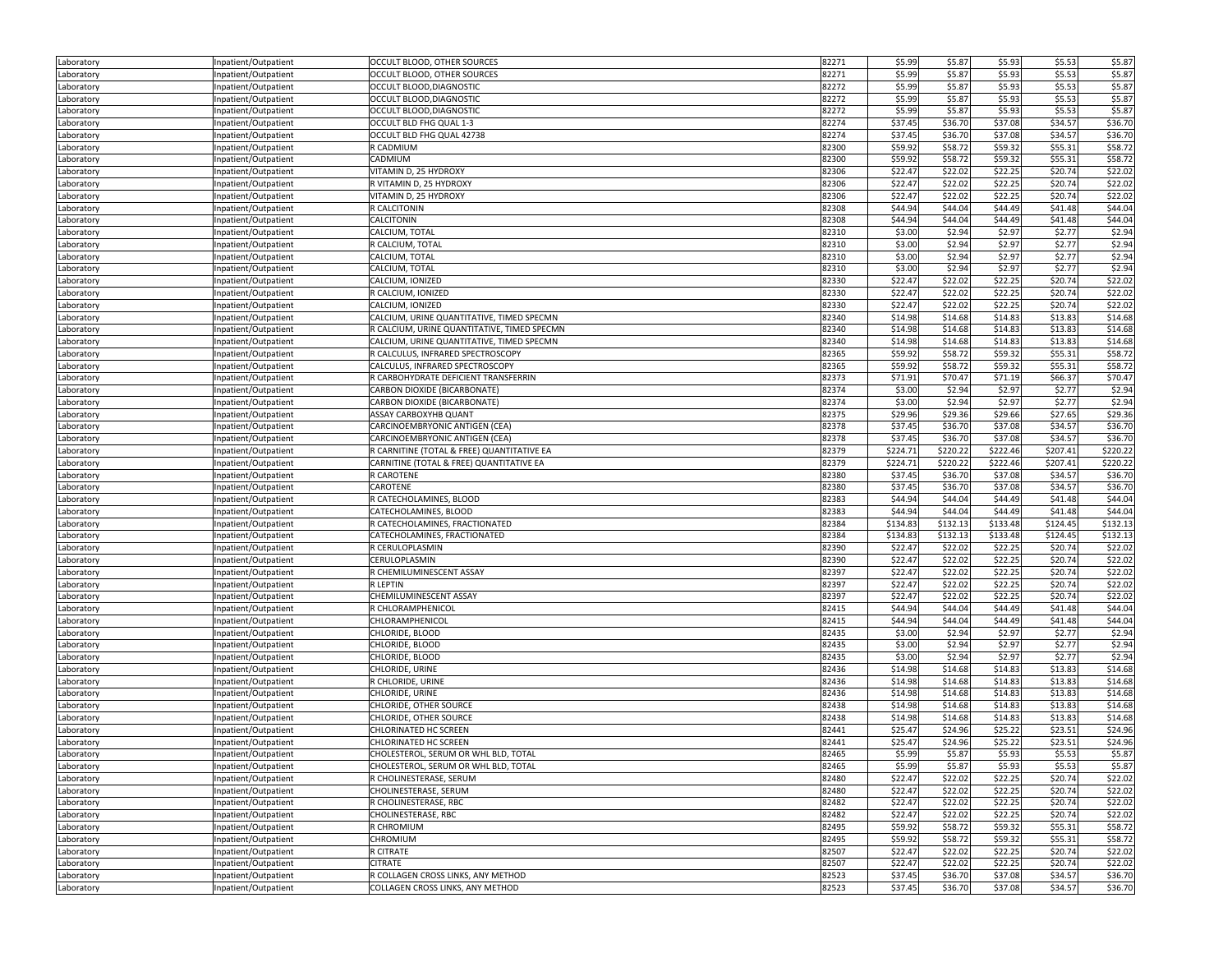| Laboratory               | Inpatient/Outpatient | OCCULT BLOOD, OTHER SOURCES                 | 82271          | \$5.99             | \$5.87             | \$5.93   | \$5.53   | \$5.87           |
|--------------------------|----------------------|---------------------------------------------|----------------|--------------------|--------------------|----------|----------|------------------|
| Laboratory               | Inpatient/Outpatient | OCCULT BLOOD, OTHER SOURCES                 | 82271          | \$5.99             | \$5.87             | \$5.93   | \$5.53   | \$5.87           |
| Laboratory               | Inpatient/Outpatient | OCCULT BLOOD, DIAGNOSTIC                    | 82272          | \$5.99             | \$5.87             | \$5.93   | \$5.53   | \$5.87           |
| Laboratory               | Inpatient/Outpatient | OCCULT BLOOD, DIAGNOSTIC                    | 82272          | \$5.99             | \$5.87             | \$5.93   | \$5.53   | \$5.87           |
| Laboratory               | Inpatient/Outpatient | OCCULT BLOOD, DIAGNOSTIC                    | 82272          | \$5.99             | \$5.87             | \$5.93   | \$5.53   | \$5.87           |
| Laboratory               | Inpatient/Outpatient | OCCULT BLD FHG QUAL 1-3                     | 82274          | \$37.45            | \$36.70            | \$37.08  | \$34.57  | \$36.70          |
| Laboratory               | Inpatient/Outpatient | OCCULT BLD FHG QUAL 42738                   | 82274          | \$37.45            | \$36.70            | \$37.08  | \$34.57  | \$36.70          |
| Laboratory               | Inpatient/Outpatient | R CADMIUM                                   | 82300          | \$59.92            | \$58.72            | \$59.32  | \$55.31  | \$58.72          |
| Laboratory               | Inpatient/Outpatient | CADMIUM                                     | 82300          | \$59.92            | \$58.72            | \$59.32  | \$55.31  | \$58.72          |
| Laboratory               | Inpatient/Outpatient | VITAMIN D, 25 HYDROXY                       | 82306          | \$22.47            | \$22.02            | \$22.25  | \$20.74  | \$22.02          |
| Laboratory               | Inpatient/Outpatient | R VITAMIN D, 25 HYDROXY                     | 82306          | \$22.47            | \$22.02            | \$22.25  | \$20.74  | \$22.02          |
|                          | Inpatient/Outpatient | VITAMIN D, 25 HYDROXY                       | 82306          | \$22.47            | \$22.02            | \$22.25  | \$20.74  | \$22.02          |
| Laboratory               |                      | R CALCITONIN                                | 82308          | \$44.94            | \$44.04            | \$44.49  | \$41.48  | \$44.04          |
| Laboratory               | Inpatient/Outpatient |                                             |                |                    |                    |          |          |                  |
| Laboratory               | Inpatient/Outpatient | CALCITONIN                                  | 82308          | \$44.94            | \$44.04            | \$44.49  | \$41.48  | \$44.04          |
| Laboratory               | Inpatient/Outpatient | CALCIUM, TOTAL                              | 82310          | \$3.00             | \$2.94             | \$2.97   | \$2.77   | \$2.94           |
| Laboratory               | Inpatient/Outpatient | R CALCIUM, TOTAL                            | 82310          | \$3.00             | \$2.94             | \$2.97   | \$2.77   | \$2.94           |
| Laboratory               | Inpatient/Outpatient | CALCIUM, TOTAL                              | 82310          | \$3.00             | \$2.94             | \$2.97   | \$2.77   | \$2.94           |
| Laboratory               | Inpatient/Outpatient | CALCIUM, TOTAL                              | 82310          | \$3.00             | \$2.94             | \$2.97   | \$2.77   | \$2.94           |
| Laboratory               | Inpatient/Outpatient | CALCIUM, IONIZED                            | 82330          | \$22.47            | \$22.02            | \$22.25  | \$20.74  | \$22.02          |
| Laboratory               | Inpatient/Outpatient | R CALCIUM, IONIZED                          | 82330          | \$22.47            | \$22.02            | \$22.25  | \$20.74  | \$22.02          |
| Laboratory               | Inpatient/Outpatient | CALCIUM, IONIZED                            | 82330          | \$22.47            | \$22.02            | \$22.25  | \$20.74  | \$22.02          |
| Laboratory               | Inpatient/Outpatient | CALCIUM, URINE QUANTITATIVE, TIMED SPECMN   | 82340          | \$14.98            | \$14.68            | \$14.83  | \$13.83  | \$14.68          |
| Laboratory               | Inpatient/Outpatient | R CALCIUM, URINE QUANTITATIVE, TIMED SPECMN | 82340          | \$14.98            | \$14.68            | \$14.83  | \$13.83  | \$14.68          |
| Laboratory               | Inpatient/Outpatient | CALCIUM, URINE QUANTITATIVE, TIMED SPECMN   | 82340          | \$14.98            | \$14.68            | \$14.83  | \$13.83  | \$14.68          |
| Laboratory               | Inpatient/Outpatient | R CALCULUS, INFRARED SPECTROSCOPY           | 82365          | \$59.92            | \$58.72            | \$59.32  | \$55.31  | \$58.72          |
| Laboratory               | Inpatient/Outpatient | CALCULUS, INFRARED SPECTROSCOPY             | 82365          | \$59.92            | \$58.72            | \$59.32  | \$55.31  | \$58.72          |
| Laboratory               | Inpatient/Outpatient | R CARBOHYDRATE DEFICIENT TRANSFERRIN        | 82373          | \$71.91            | \$70.47            | \$71.19  | \$66.37  | \$70.47          |
| Laboratory               | Inpatient/Outpatient | CARBON DIOXIDE (BICARBONATE)                | 82374          | \$3.00             | \$2.94             | \$2.97   | \$2.77   | \$2.94           |
| Laboratory               | Inpatient/Outpatient | CARBON DIOXIDE (BICARBONATE)                | 82374          | \$3.00             | \$2.94             | \$2.97   | \$2.77   | \$2.94           |
| Laboratory               | Inpatient/Outpatient | ASSAY CARBOXYHB QUANT                       | 82375          | \$29.96            | \$29.36            | \$29.66  | \$27.65  | \$29.36          |
| Laboratory               | Inpatient/Outpatient | CARCINOEMBRYONIC ANTIGEN (CEA)              | 82378          | \$37.45            | \$36.70            | \$37.08  | \$34.57  | \$36.70          |
| Laboratory               | Inpatient/Outpatient | CARCINOEMBRYONIC ANTIGEN (CEA)              | 82378          | \$37.45            | \$36.70            | \$37.08  | \$34.57  | \$36.70          |
| Laboratory               | Inpatient/Outpatient | R CARNITINE (TOTAL & FREE) QUANTITATIVE EA  | 82379          | \$224.71           | \$220.22           | \$222.46 | \$207.41 | \$220.22         |
| Laboratory               | Inpatient/Outpatient | CARNITINE (TOTAL & FREE) QUANTITATIVE EA    | 82379          | \$224.71           | \$220.22           | \$222.46 | \$207.41 | \$220.22         |
| Laboratory               | Inpatient/Outpatient | R CAROTENE                                  | 82380          | \$37.45            | \$36.70            | \$37.08  | \$34.57  | \$36.70          |
| Laboratory               | Inpatient/Outpatient | CAROTENE                                    | 82380          | \$37.45            | \$36.70            | \$37.08  | \$34.57  | \$36.70          |
| Laboratory               | Inpatient/Outpatient | R CATECHOLAMINES, BLOOD                     | 82383          | \$44.94            | \$44.04            | \$44.49  | \$41.48  | \$44.04          |
| Laboratory               | Inpatient/Outpatient | CATECHOLAMINES, BLOOD                       | 82383          | \$44.94            | \$44.04            | \$44.49  | \$41.48  | \$44.04          |
| Laboratory               | Inpatient/Outpatient | R CATECHOLAMINES, FRACTIONATED              | 82384          | \$134.83           | \$132.13           | \$133.48 | \$124.45 | \$132.13         |
| Laboratory               | Inpatient/Outpatient | CATECHOLAMINES, FRACTIONATED                | 82384          | \$134.83           | \$132.13           | \$133.48 | \$124.45 | \$132.13         |
| Laboratory               | Inpatient/Outpatient | R CERULOPLASMIN                             | 82390          | \$22.47            | \$22.02            | \$22.25  | \$20.74  | \$22.02          |
| Laboratory               | Inpatient/Outpatient | CERULOPLASMIN                               | 82390          | \$22.47            | \$22.02            | \$22.25  | \$20.74  | \$22.02          |
| Laboratory               | Inpatient/Outpatient | R CHEMILUMINESCENT ASSAY                    | 82397          | \$22.47            | \$22.02            | \$22.25  | \$20.74  | \$22.02          |
| Laboratory               | Inpatient/Outpatient | <b>R LEPTIN</b>                             | 82397          | \$22.47            | \$22.02            | \$22.25  | \$20.74  | \$22.02          |
| Laboratory               | Inpatient/Outpatient | CHEMILUMINESCENT ASSAY                      | 82397          | \$22.47            | \$22.02            | \$22.25  | \$20.74  | \$22.02          |
| Laboratory               | Inpatient/Outpatient | R CHLORAMPHENICOL                           | 82415          | \$44.94            | \$44.04            | \$44.49  | \$41.48  | \$44.04          |
|                          | Inpatient/Outpatient | CHLORAMPHENICOL                             | 82415          | \$44.94            | \$44.04            | \$44.49  | \$41.48  | \$44.04          |
| Laboratory<br>Laboratory | Inpatient/Outpatient | CHLORIDE, BLOOD                             | 82435          | \$3.00             | \$2.94             | \$2.97   | \$2.77   | \$2.94           |
|                          |                      | CHLORIDE, BLOOD                             | 82435          | \$3.00             | \$2.94             | \$2.97   | \$2.77   |                  |
| Laboratory               | Inpatient/Outpatient |                                             | 82435          | \$3.00             |                    | \$2.97   | \$2.77   | \$2.94<br>\$2.94 |
| Laboratory               | Inpatient/Outpatient | CHLORIDE, BLOOD<br>CHLORIDE, URINE          | 82436          | \$14.98            | \$2.94<br>\$14.68  | \$14.83  | \$13.83  | \$14.68          |
| Laboratory               | Inpatient/Outpatient |                                             |                |                    |                    |          |          | \$14.68          |
| Laboratory               | Inpatient/Outpatient | R CHLORIDE, URINE                           | 82436<br>82436 | \$14.98<br>\$14.98 | \$14.68<br>\$14.68 | \$14.83  | \$13.83  |                  |
| Laboratory               |                      |                                             |                |                    |                    | \$14.83  | \$13.83  | \$14.68          |
| Laboratory               | Inpatient/Outpatient | CHLORIDE, URINE                             |                |                    |                    |          |          | \$14.68          |
|                          | Inpatient/Outpatient | CHLORIDE, OTHER SOURCE                      | 82438          | \$14.98            | \$14.68            | \$14.83  | \$13.83  |                  |
| Laboratory               | Inpatient/Outpatient | CHLORIDE, OTHER SOURCE                      | 82438          | \$14.98            | \$14.68            | \$14.83  | \$13.83  | \$14.68          |
| Laboratory               | Inpatient/Outpatient | CHLORINATED HC SCREEN                       | 82441          | \$25.47            | \$24.96            | \$25.22  | \$23.51  | \$24.96          |
| Laboratory               | Inpatient/Outpatient | CHLORINATED HC SCREEN                       | 82441          | \$25.47            | \$24.96            | \$25.22  | \$23.51  | \$24.96          |
| Laboratory               | Inpatient/Outpatient | CHOLESTEROL, SERUM OR WHL BLD, TOTAL        | 82465          | \$5.99             | \$5.87             | \$5.93   | \$5.53   | \$5.87           |
| Laboratory               | Inpatient/Outpatient | CHOLESTEROL, SERUM OR WHL BLD, TOTAL        | 82465          | \$5.99             | \$5.87             | \$5.93   | \$5.53   | \$5.87           |
| Laboratory               | Inpatient/Outpatient | R CHOLINESTERASE, SERUM                     | 82480          | \$22.47            | \$22.02            | \$22.25  | \$20.74  | \$22.02          |
| Laboratory               | Inpatient/Outpatient | CHOLINESTERASE, SERUM                       | 82480          | \$22.47            | \$22.02            | \$22.25  | \$20.74  | \$22.02          |
| Laboratory               | Inpatient/Outpatient | R CHOLINESTERASE, RBC                       | 82482          | \$22.47            | \$22.02            | \$22.25  | \$20.74  | \$22.02          |
| Laboratory               | Inpatient/Outpatient | CHOLINESTERASE, RBC                         | 82482          | \$22.47            | \$22.02            | \$22.25  | \$20.74  | \$22.02          |
| Laboratory               | Inpatient/Outpatient | R CHROMIUM                                  | 82495          | \$59.92            | \$58.72            | \$59.32  | \$55.31  | \$58.72          |
| Laboratory               | Inpatient/Outpatient | CHROMIUM                                    | 82495          | \$59.92            | \$58.72            | \$59.32  | \$55.31  | \$58.72          |
| Laboratory               | Inpatient/Outpatient | R CITRATE                                   | 82507          | \$22.47            | \$22.02            | \$22.25  | \$20.74  | \$22.02          |
| Laboratory               | Inpatient/Outpatient | <b>CITRATE</b>                              | 82507          | \$22.47            | \$22.02            | \$22.25  | \$20.74  | \$22.02          |
| Laboratory               | Inpatient/Outpatient | R COLLAGEN CROSS LINKS. ANY METHOD          | 82523          | \$37.45            | \$36.70            | \$37.08  | \$34.57  | \$36.70          |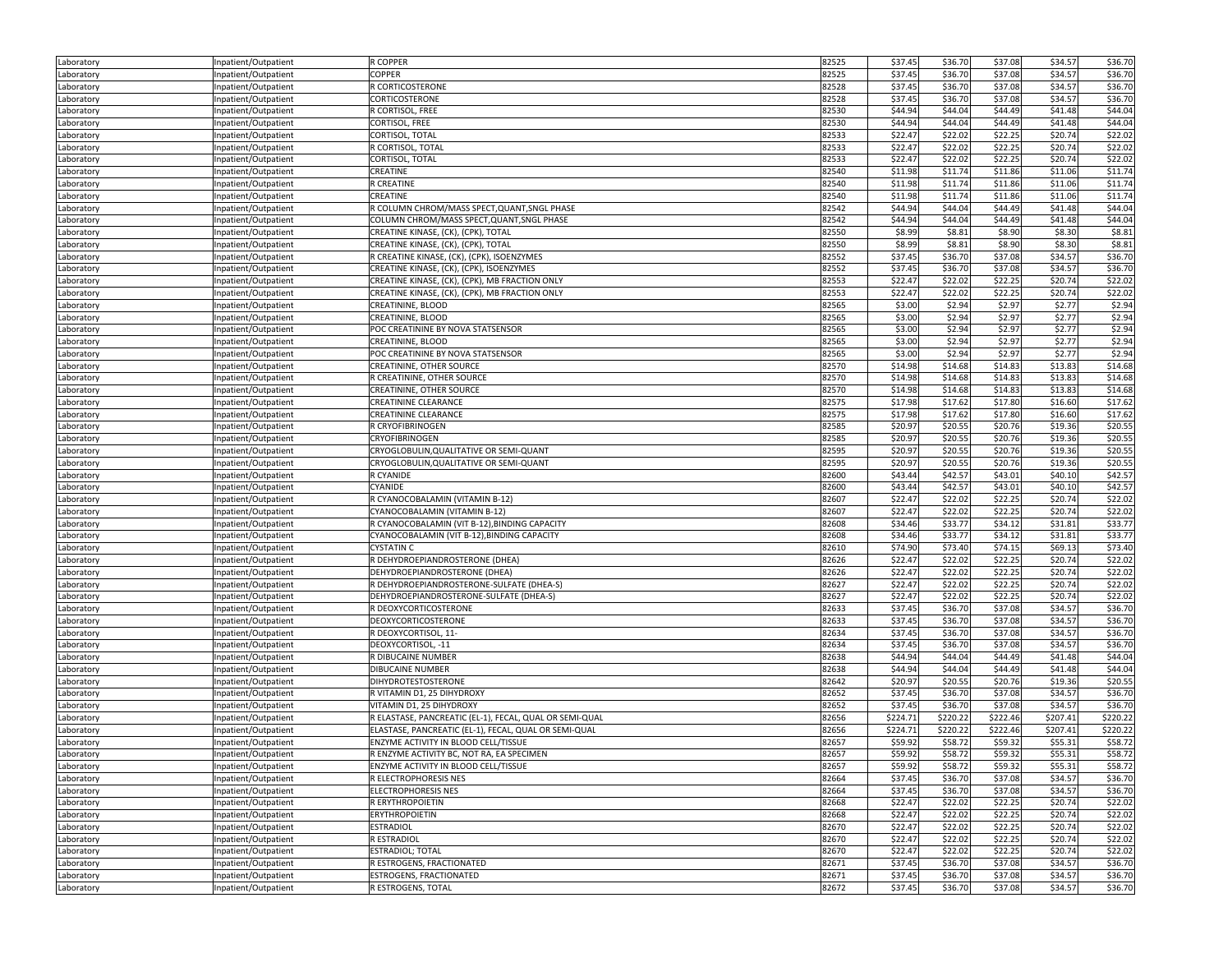| Laboratory               | Inpatient/Outpatient                         | R COPPER                                                      | 82525          | \$37.45            | \$36.70            | \$37.08            | \$34.57            | \$36.70            |
|--------------------------|----------------------------------------------|---------------------------------------------------------------|----------------|--------------------|--------------------|--------------------|--------------------|--------------------|
| Laboratory               | Inpatient/Outpatient                         | COPPER                                                        | 82525          | \$37.45            | \$36.70            | \$37.08            | \$34.57            | \$36.70            |
| Laboratory               | Inpatient/Outpatient                         | R CORTICOSTERONE                                              | 82528          | \$37.45            | \$36.70            | \$37.08            | \$34.57            | \$36.70            |
| Laboratory               | Inpatient/Outpatient                         | CORTICOSTERONE                                                | 82528          | \$37.45            | \$36.70            | \$37.08            | \$34.57            | \$36.70            |
| Laboratory               | Inpatient/Outpatient                         | R CORTISOL, FREE                                              | 82530          | \$44.94            | \$44.04            | \$44.49            | \$41.48            | \$44.04            |
| Laboratory               | Inpatient/Outpatient                         | CORTISOL, FREE                                                | 82530          | \$44.94            | \$44.04            | \$44.49            | \$41.48            | \$44.04            |
| Laboratory               | Inpatient/Outpatient                         | CORTISOL, TOTAL                                               | 82533          | \$22.47            | \$22.02            | \$22.25            | \$20.74            | \$22.02            |
| Laboratory               | Inpatient/Outpatient                         | R CORTISOL, TOTAL                                             | 82533          | \$22.47            | \$22.02            | \$22.25            | \$20.74            | \$22.02            |
| Laboratory               | Inpatient/Outpatient                         | CORTISOL, TOTAL                                               | 82533          | \$22.47            | \$22.02            | \$22.25            | \$20.74            | \$22.02            |
| Laboratory               | Inpatient/Outpatient                         | CREATINE                                                      | 82540          | \$11.98            | \$11.74            | \$11.86            | \$11.06            | \$11.74            |
| Laboratory               | Inpatient/Outpatient                         | R CREATINE                                                    | 82540          | \$11.98            | \$11.74            | \$11.86            | \$11.06            | \$11.74            |
| Laboratory               | Inpatient/Outpatient                         | CREATINE                                                      | 82540          | \$11.98            | \$11.74            | \$11.86            | \$11.06            | \$11.74            |
|                          | Inpatient/Outpatient                         | R COLUMN CHROM/MASS SPECT, QUANT, SNGL PHASE                  | 82542          | \$44.94            | \$44.04            | \$44.49            | \$41.48            | \$44.04            |
| Laboratory               |                                              | COLUMN CHROM/MASS SPECT, QUANT, SNGL PHASE                    | 82542          | \$44.94            | \$44.04            | \$44.49            | \$41.48            | \$44.04            |
| Laboratory               | Inpatient/Outpatient                         | CREATINE KINASE, (CK), (CPK), TOTAL                           | 82550          | \$8.99             | \$8.81             | \$8.90             | \$8.30             | \$8.81             |
| Laboratory<br>Laboratory | Inpatient/Outpatient                         | CREATINE KINASE, (CK), (CPK), TOTAL                           | 82550          | \$8.99             | \$8.81             | \$8.90             | \$8.30             | \$8.81             |
|                          | Inpatient/Outpatient                         | R CREATINE KINASE, (CK), (CPK), ISOENZYMES                    | 82552          | \$37.45            | \$36.70            | \$37.08            | \$34.57            | \$36.70            |
| Laboratory               | Inpatient/Outpatient                         |                                                               |                |                    |                    |                    |                    |                    |
| Laboratory               | Inpatient/Outpatient                         | CREATINE KINASE, (CK), (CPK), ISOENZYMES                      | 82552          | \$37.45            | \$36.70            | \$37.08            | \$34.57            | \$36.70            |
| Laboratory               | Inpatient/Outpatient                         | CREATINE KINASE, (CK), (CPK), MB FRACTION ONLY                | 82553          | \$22.47            | \$22.02            | \$22.25            | \$20.74            | \$22.02            |
| Laboratory               | Inpatient/Outpatient                         | CREATINE KINASE, (CK), (CPK), MB FRACTION ONLY                | 82553          | \$22.47            | \$22.02            | \$22.25            | \$20.74            | \$22.02            |
| Laboratory               | Inpatient/Outpatient                         | CREATININE, BLOOD                                             | 82565          | \$3.00             | \$2.94             | \$2.97             | \$2.77             | \$2.94             |
| Laboratory               | Inpatient/Outpatient                         | CREATININE, BLOOD                                             | 82565          | \$3.00             | \$2.94             | \$2.97             | \$2.77             | \$2.94             |
| Laboratory               | Inpatient/Outpatient                         | POC CREATININE BY NOVA STATSENSOR                             | 82565          | \$3.00             | \$2.94             | \$2.97             | \$2.77             | \$2.94             |
| Laboratory               | Inpatient/Outpatient                         | CREATININE, BLOOD                                             | 82565          | \$3.00             | \$2.94             | \$2.97             | \$2.77             | \$2.94             |
| Laboratory               | Inpatient/Outpatient                         | POC CREATININE BY NOVA STATSENSOR                             | 82565          | \$3.00             | \$2.94             | \$2.97             | \$2.77             | \$2.94             |
| Laboratory               | Inpatient/Outpatient                         | CREATININE, OTHER SOURCE                                      | 82570          | \$14.98            | \$14.68            | \$14.83            | \$13.83            | \$14.68            |
| Laboratory               | Inpatient/Outpatient                         | R CREATININE, OTHER SOURCE                                    | 82570          | \$14.98            | \$14.68            | \$14.83            | \$13.83            | \$14.68            |
| Laboratory               | Inpatient/Outpatient                         | CREATININE, OTHER SOURCE                                      | 82570          | \$14.98            | \$14.68            | \$14.83            | \$13.83            | \$14.68            |
| Laboratory               | Inpatient/Outpatient                         | <b>CREATININE CLEARANCE</b>                                   | 82575          | \$17.98            | \$17.62            | \$17.80            | \$16.60            | \$17.62            |
| Laboratory               | Inpatient/Outpatient                         | <b>CREATININE CLEARANCE</b>                                   | 82575          | \$17.98            | \$17.62            | \$17.80            | \$16.60            | \$17.62            |
| Laboratory               | Inpatient/Outpatient                         | R CRYOFIBRINOGEN                                              | 82585          | \$20.97            | \$20.55            | \$20.76            | \$19.36            | \$20.55            |
| Laboratory               | Inpatient/Outpatient                         | <b>CRYOFIBRINOGEN</b>                                         | 82585          | \$20.97            | \$20.55            | \$20.76            | \$19.36            | \$20.55            |
| Laboratory               | Inpatient/Outpatient                         | CRYOGLOBULIN, QUALITATIVE OR SEMI-QUANT                       | 82595          | \$20.97            | \$20.55            | \$20.76            | \$19.36            | \$20.55            |
| Laboratory               | Inpatient/Outpatient                         | CRYOGLOBULIN, QUALITATIVE OR SEMI-QUANT                       | 82595          | \$20.97            | \$20.55            | \$20.76            | \$19.36            | \$20.55            |
| Laboratory               | Inpatient/Outpatient                         | R CYANIDE                                                     | 82600          | \$43.44            | \$42.57            | \$43.01            | \$40.10            | \$42.57            |
| Laboratory               | Inpatient/Outpatient                         | CYANIDE                                                       | 82600          | \$43.44            | \$42.57            | \$43.01            | \$40.10            | \$42.57            |
| Laboratory               | Inpatient/Outpatient                         | R CYANOCOBALAMIN (VITAMIN B-12)                               | 82607          | \$22.47            | \$22.02            | \$22.25            | \$20.74            | \$22.02            |
| Laboratory               | Inpatient/Outpatient                         | CYANOCOBALAMIN (VITAMIN B-12)                                 | 82607          | \$22.47            | \$22.02            | \$22.25            | \$20.74            | \$22.02            |
| Laboratory               | Inpatient/Outpatient                         | R CYANOCOBALAMIN (VIT B-12), BINDING CAPACITY                 | 82608          | \$34.46            | \$33.77            | \$34.12            | \$31.81            | \$33.77            |
| Laboratory               | Inpatient/Outpatient                         | CYANOCOBALAMIN (VIT B-12), BINDING CAPACITY                   | 82608          | \$34.46            | \$33.77            | \$34.12            | \$31.81            | \$33.77            |
| Laboratory               | Inpatient/Outpatient                         | <b>CYSTATIN C</b>                                             | 82610          | \$74.90            | \$73.40            | \$74.15            | \$69.13            | \$73.40            |
| Laboratory               | Inpatient/Outpatient                         | R DEHYDROEPIANDROSTERONE (DHEA)                               | 82626          | \$22.47            | \$22.02            | \$22.25            | \$20.74            | \$22.02            |
| Laboratory               | Inpatient/Outpatient                         | DEHYDROEPIANDROSTERONE (DHEA)                                 | 82626          | \$22.47            | \$22.02            | \$22.25            | \$20.74            | \$22.02            |
| Laboratory               | Inpatient/Outpatient                         | R DEHYDROEPIANDROSTERONE-SULFATE (DHEA-S)                     | 82627          | \$22.47            | \$22.02            | \$22.25            | \$20.74            | \$22.02            |
| Laboratory               | Inpatient/Outpatient                         | DEHYDROEPIANDROSTERONE-SULFATE (DHEA-S)                       | 82627          | \$22.47            | \$22.02            | \$22.25            | \$20.74            | \$22.02            |
| Laboratory               | Inpatient/Outpatient                         | R DEOXYCORTICOSTERONE                                         | 82633          | \$37.45            | \$36.70            | \$37.08            | \$34.57            | \$36.70            |
| Laboratory               | Inpatient/Outpatient                         | DEOXYCORTICOSTERONE                                           | 82633          | \$37.45            | \$36.70            | \$37.08            | \$34.57            | \$36.70            |
| Laboratory               | Inpatient/Outpatient                         | R DEOXYCORTISOL, 11-                                          | 82634          | \$37.45            | \$36.70            | \$37.08            | \$34.57            | \$36.70            |
| Laboratory               | Inpatient/Outpatient                         | DEOXYCORTISOL, -11                                            | 82634          | \$37.45            | \$36.70            | \$37.08            | \$34.57            | \$36.70            |
| Laboratory               | Inpatient/Outpatient                         | R DIBUCAINE NUMBER                                            | 82638          | \$44.94            | \$44.04            | \$44.49            | \$41.48            | \$44.04            |
| Laboratory               | Inpatient/Outpatient                         | <b>DIBUCAINE NUMBER</b>                                       | 82638          | \$44.94            | \$44.04            | \$44.49            | \$41.48            | \$44.04            |
| Laboratory               | Inpatient/Outpatient                         | DIHYDROTESTOSTERONE                                           | 82642          | \$20.97            | \$20.55            | \$20.76            | \$19.36            | \$20.55            |
| Laboratory               | Inpatient/Outpatient                         | R VITAMIN D1, 25 DIHYDROXY                                    | 82652          | \$37.45            | \$36.70            | \$37.08            | \$34.57            | \$36.70            |
| Laboratory               | Inpatient/Outpatient                         | VITAMIN D1, 25 DIHYDROXY                                      | 82652          | \$37.45            | \$36.70            | \$37.08            | \$34.57            | \$36.70            |
| Laboratory               | Inpatient/Outpatient                         | R ELASTASE, PANCREATIC (EL-1), FECAL, QUAL OR SEMI-QUAL       | 82656          | \$224.71           | \$220.22           | \$222.46           | \$207.41           | \$220.22           |
| Laboratory               | Inpatient/Outpatient                         | ELASTASE, PANCREATIC (EL-1), FECAL, QUAL OR SEMI-QUAL         | 82656          | \$224.71           | \$220.22           | \$222.46           | \$207.41           | \$220.22           |
| Laboratory               | Inpatient/Outpatient                         | ENZYME ACTIVITY IN BLOOD CELL/TISSUE                          | 82657          | \$59.92            | \$58.72            | \$59.32            | \$55.31            | \$58.72            |
|                          |                                              | R ENZYME ACTIVITY BC, NOT RA, EA SPECIMEN                     |                | \$59.92            | \$58.72            | \$59.32            | \$55.31            | \$58.72            |
| Laboratory               | Inpatient/Outpatient                         |                                                               | 82657          |                    |                    | \$59.32            | \$55.31            |                    |
| Laboratory               | Inpatient/Outpatient                         | ENZYME ACTIVITY IN BLOOD CELL/TISSUE<br>R ELECTROPHORESIS NES | 82657          | \$59.92            | \$58.72            |                    |                    | \$58.72            |
| Laboratory               | Inpatient/Outpatient<br>Inpatient/Outpatient | <b>ELECTROPHORESIS NES</b>                                    | 82664<br>82664 | \$37.45<br>\$37.45 | \$36.70<br>\$36.70 | \$37.08<br>\$37.08 | \$34.57<br>\$34.57 | \$36.70<br>\$36.70 |
| Laboratory               |                                              |                                                               |                |                    |                    |                    |                    |                    |
| Laboratory               | Inpatient/Outpatient                         | R ERYTHROPOIETIN                                              | 82668          | \$22.47            | \$22.02            | \$22.25            | \$20.74            | \$22.02            |
| Laboratory               | Inpatient/Outpatient                         | <b>ERYTHROPOIETIN</b>                                         | 82668          | \$22.47            | \$22.02            | \$22.25            | \$20.74            | \$22.02            |
| Laboratory               | Inpatient/Outpatient                         | <b>ESTRADIOL</b>                                              | 82670          | \$22.47            | \$22.02            | \$22.25            | \$20.74            | \$22.02            |
| Laboratory               | Inpatient/Outpatient                         | R ESTRADIOL                                                   | 82670          | \$22.47            | \$22.02            | \$22.25            | \$20.74            | \$22.02            |
| Laboratory               | Inpatient/Outpatient                         | <b>ESTRADIOL; TOTAL</b>                                       | 82670          | \$22.47            | \$22.02            | \$22.25            | \$20.74            | \$22.02            |
| Laboratory               | Inpatient/Outpatient                         | R ESTROGENS, FRACTIONATED                                     | 82671          | \$37.45            | \$36.70            | \$37.08            | \$34.57            | \$36.70            |
| Laboratory               | Inpatient/Outpatient                         | ESTROGENS, FRACTIONATED                                       | 82671          | \$37.45            | \$36.70            | \$37.08            | \$34.57            | \$36.70            |
| Laboratory               | Inpatient/Outpatient                         | R ESTROGENS, TOTAL                                            | 82672          | \$37.45            | \$36.70            | \$37.08            | \$34.57            | \$36.70            |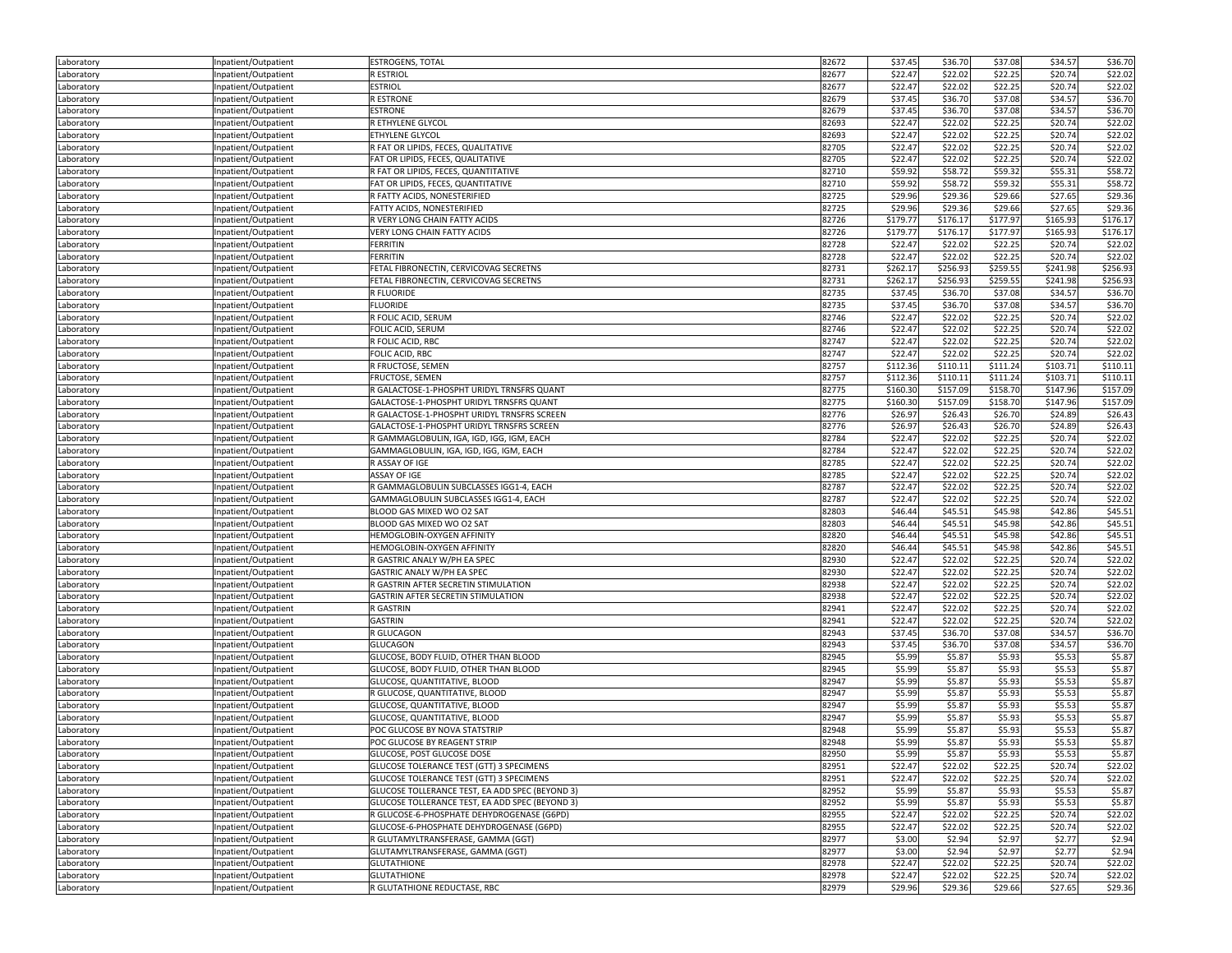| Laboratory               | Inpatient/Outpatient | ESTROGENS, TOTAL                                | 82672 | \$37.45  | \$36.70  | \$37.08  | \$34.57  | \$36.70  |
|--------------------------|----------------------|-------------------------------------------------|-------|----------|----------|----------|----------|----------|
| Laboratory               | Inpatient/Outpatient | R ESTRIOL                                       | 82677 | \$22.47  | \$22.02  | \$22.25  | \$20.74  | \$22.02  |
| Laboratory               | Inpatient/Outpatient | <b>ESTRIOL</b>                                  | 82677 | \$22.47  | \$22.02  | \$22.25  | \$20.74  | \$22.02  |
| Laboratory               | Inpatient/Outpatient | <b>RESTRONE</b>                                 | 82679 | \$37.45  | \$36.70  | \$37.08  | \$34.57  | \$36.70  |
| Laboratory               | Inpatient/Outpatient | <b>ESTRONE</b>                                  | 82679 | \$37.45  | \$36.70  | \$37.08  | \$34.57  | \$36.70  |
| Laboratory               | Inpatient/Outpatient | R ETHYLENE GLYCOL                               | 82693 | \$22.47  | \$22.02  | \$22.25  | \$20.74  | \$22.02  |
| Laboratory               | Inpatient/Outpatient | ETHYLENE GLYCOL                                 | 82693 | \$22.47  | \$22.02  | \$22.25  | \$20.74  | \$22.02  |
| Laboratory               | Inpatient/Outpatient | R FAT OR LIPIDS, FECES, QUALITATIVE             | 82705 | \$22.47  | \$22.02  | \$22.25  | \$20.74  | \$22.02  |
| Laboratory               | Inpatient/Outpatient | FAT OR LIPIDS, FECES, QUALITATIVE               | 82705 | \$22.47  | \$22.02  | \$22.25  | \$20.74  | \$22.02  |
| Laboratory               | Inpatient/Outpatient | R FAT OR LIPIDS, FECES, QUANTITATIVE            | 82710 | \$59.92  | \$58.72  | \$59.32  | \$55.31  | \$58.72  |
| Laboratory               | Inpatient/Outpatient | FAT OR LIPIDS, FECES, QUANTITATIVE              | 82710 | \$59.92  | \$58.72  | \$59.32  | \$55.31  | \$58.72  |
|                          |                      | R FATTY ACIDS, NONESTERIFIED                    | 82725 | \$29.96  | \$29.36  | \$29.66  | \$27.65  | \$29.36  |
| Laboratory<br>Laboratory | Inpatient/Outpatient | FATTY ACIDS, NONESTERIFIED                      | 82725 | \$29.96  | \$29.36  | \$29.66  | \$27.65  | \$29.36  |
|                          | Inpatient/Outpatient | R VERY LONG CHAIN FATTY ACIDS                   |       |          |          |          |          |          |
| Laboratory               | Inpatient/Outpatient |                                                 | 82726 | \$179.77 | \$176.17 | \$177.97 | \$165.93 | \$176.17 |
| Laboratory               | Inpatient/Outpatient | VERY LONG CHAIN FATTY ACIDS                     | 82726 | \$179.77 | \$176.17 | \$177.97 | \$165.93 | \$176.17 |
| Laboratory               | Inpatient/Outpatient | <b>FERRITIN</b>                                 | 82728 | \$22.47  | \$22.02  | \$22.25  | \$20.74  | \$22.02  |
| Laboratory               | Inpatient/Outpatient | <b>FERRITIN</b>                                 | 82728 | \$22.47  | \$22.02  | \$22.25  | \$20.74  | \$22.02  |
| Laboratory               | Inpatient/Outpatient | FETAL FIBRONECTIN, CERVICOVAG SECRETNS          | 82731 | \$262.17 | \$256.93 | \$259.55 | \$241.98 | \$256.93 |
| Laboratory               | Inpatient/Outpatient | FETAL FIBRONECTIN, CERVICOVAG SECRETNS          | 82731 | \$262.17 | \$256.93 | \$259.55 | \$241.98 | \$256.93 |
| Laboratory               | Inpatient/Outpatient | <b>R FLUORIDE</b>                               | 82735 | \$37.45  | \$36.70  | \$37.08  | \$34.57  | \$36.70  |
| Laboratory               | Inpatient/Outpatient | <b>FLUORIDE</b>                                 | 82735 | \$37.45  | \$36.70  | \$37.08  | \$34.57  | \$36.70  |
| Laboratory               | Inpatient/Outpatient | R FOLIC ACID, SERUM                             | 82746 | \$22.47  | \$22.02  | \$22.25  | \$20.74  | \$22.02  |
| Laboratory               | Inpatient/Outpatient | FOLIC ACID, SERUM                               | 82746 | \$22.47  | \$22.02  | \$22.25  | \$20.74  | \$22.02  |
| Laboratory               | Inpatient/Outpatient | R FOLIC ACID, RBC                               | 82747 | \$22.47  | \$22.02  | \$22.25  | \$20.74  | \$22.02  |
| Laboratory               | Inpatient/Outpatient | FOLIC ACID, RBC                                 | 82747 | \$22.47  | \$22.02  | \$22.25  | \$20.74  | \$22.02  |
| Laboratory               | Inpatient/Outpatient | R FRUCTOSE, SEMEN                               | 82757 | \$112.36 | \$110.11 | \$111.24 | \$103.71 | \$110.11 |
| Laboratory               | Inpatient/Outpatient | <b>FRUCTOSE, SEMEN</b>                          | 82757 | \$112.36 | \$110.11 | \$111.24 | \$103.71 | \$110.11 |
| Laboratory               | Inpatient/Outpatient | R GALACTOSE-1-PHOSPHT URIDYL TRNSFRS QUANT      | 82775 | \$160.30 | \$157.09 | \$158.70 | \$147.96 | \$157.09 |
| Laboratory               | Inpatient/Outpatient | GALACTOSE-1-PHOSPHT URIDYL TRNSFRS QUANT        | 82775 | \$160.30 | \$157.09 | \$158.70 | \$147.96 | \$157.09 |
| Laboratory               | Inpatient/Outpatient | R GALACTOSE-1-PHOSPHT URIDYL TRNSFRS SCREEN     | 82776 | \$26.97  | \$26.43  | \$26.70  | \$24.89  | \$26.43  |
| Laboratory               | Inpatient/Outpatient | GALACTOSE-1-PHOSPHT URIDYL TRNSFRS SCREEN       | 82776 | \$26.97  | \$26.43  | \$26.70  | \$24.89  | \$26.43  |
| Laboratory               | Inpatient/Outpatient | R GAMMAGLOBULIN, IGA, IGD, IGG, IGM, EACH       | 82784 | \$22.47  | \$22.02  | \$22.25  | \$20.74  | \$22.02  |
| Laboratory               | Inpatient/Outpatient | GAMMAGLOBULIN, IGA, IGD, IGG, IGM, EACH         | 82784 | \$22.47  | \$22.02  | \$22.25  | \$20.74  | \$22.02  |
| Laboratory               | Inpatient/Outpatient | R ASSAY OF IGE                                  | 82785 | \$22.47  | \$22.02  | \$22.25  | \$20.74  | \$22.02  |
| Laboratory               | Inpatient/Outpatient | ASSAY OF IGE                                    | 82785 | \$22.47  | \$22.02  | \$22.25  | \$20.74  | \$22.02  |
| Laboratory               | Inpatient/Outpatient | R GAMMAGLOBULIN SUBCLASSES IGG1-4, EACH         | 82787 | \$22.47  | \$22.02  | \$22.25  | \$20.74  | \$22.02  |
| Laboratory               | Inpatient/Outpatient | GAMMAGLOBULIN SUBCLASSES IGG1-4, EACH           | 82787 | \$22.47  | \$22.02  | \$22.25  | \$20.74  | \$22.02  |
| Laboratory               | Inpatient/Outpatient | BLOOD GAS MIXED WO O2 SAT                       | 82803 | \$46.44  | \$45.51  | \$45.98  | \$42.86  | \$45.51  |
| Laboratory               | Inpatient/Outpatient | BLOOD GAS MIXED WO O2 SAT                       | 82803 | \$46.44  | \$45.51  | \$45.98  | \$42.86  | \$45.51  |
|                          | Inpatient/Outpatient | HEMOGLOBIN-OXYGEN AFFINITY                      | 82820 | \$46.44  | \$45.51  | \$45.98  | \$42.86  | \$45.51  |
| Laboratory               | Inpatient/Outpatient | HEMOGLOBIN-OXYGEN AFFINITY                      | 82820 | \$46.44  | \$45.51  | \$45.98  | \$42.86  | \$45.51  |
| Laboratory               |                      |                                                 | 82930 | \$22.47  | \$22.02  | \$22.25  | \$20.74  | \$22.02  |
| Laboratory               | Inpatient/Outpatient | R GASTRIC ANALY W/PH EA SPEC                    | 82930 |          |          | \$22.25  |          |          |
| Laboratory               | Inpatient/Outpatient | GASTRIC ANALY W/PH EA SPEC                      |       | \$22.47  | \$22.02  |          | \$20.74  | \$22.02  |
| Laboratory               | Inpatient/Outpatient | R GASTRIN AFTER SECRETIN STIMULATION            | 82938 | \$22.47  | \$22.02  | \$22.25  | \$20.74  | \$22.02  |
| Laboratory               | Inpatient/Outpatient | GASTRIN AFTER SECRETIN STIMULATION              | 82938 | \$22.47  | \$22.02  | \$22.25  | \$20.74  | \$22.02  |
| Laboratory               | Inpatient/Outpatient | R GASTRIN                                       | 82941 | \$22.47  | \$22.02  | \$22.25  | \$20.74  | \$22.02  |
| Laboratory               | Inpatient/Outpatient | <b>GASTRIN</b>                                  | 82941 | \$22.47  | \$22.02  | \$22.25  | \$20.74  | \$22.02  |
| Laboratory               | Inpatient/Outpatient | R GLUCAGON                                      | 82943 | \$37.45  | \$36.70  | \$37.08  | \$34.57  | \$36.70  |
| Laboratory               | Inpatient/Outpatient | <b>GLUCAGON</b>                                 | 82943 | \$37.45  | \$36.70  | \$37.08  | \$34.57  | \$36.70  |
| Laboratory               | Inpatient/Outpatient | GLUCOSE, BODY FLUID, OTHER THAN BLOOD           | 82945 | \$5.99   | \$5.87   | \$5.93   | \$5.53   | \$5.87   |
| Laboratory               | Inpatient/Outpatient | GLUCOSE, BODY FLUID, OTHER THAN BLOOD           | 82945 | \$5.99   | \$5.87   | \$5.93   | \$5.53   | \$5.87   |
| Laboratory               | Inpatient/Outpatient | GLUCOSE, QUANTITATIVE, BLOOD                    | 82947 | \$5.99   | \$5.87   | \$5.93   | \$5.53   | \$5.87   |
| Laboratory               | Inpatient/Outpatient | R GLUCOSE, QUANTITATIVE, BLOOD                  | 82947 | \$5.99   | \$5.87   | \$5.93   | \$5.53   | \$5.87   |
| Laboratory               | Inpatient/Outpatient | GLUCOSE, QUANTITATIVE, BLOOD                    | 82947 | \$5.99   | \$5.87   | \$5.93   | \$5.53   | \$5.87   |
| Laboratory               | Inpatient/Outpatient | GLUCOSE, QUANTITATIVE, BLOOD                    | 82947 | \$5.99   | \$5.87   | \$5.93   | \$5.53   | \$5.87   |
| Laboratory               | Inpatient/Outpatient | POC GLUCOSE BY NOVA STATSTRIP                   | 82948 | \$5.99   | \$5.87   | \$5.93   | \$5.53   | \$5.87   |
| Laboratory               | Inpatient/Outpatient | POC GLUCOSE BY REAGENT STRIP                    | 82948 | \$5.99   | \$5.87   | \$5.93   | \$5.53   | \$5.87   |
| Laboratory               | Inpatient/Outpatient | GLUCOSE, POST GLUCOSE DOSE                      | 82950 | \$5.99   | \$5.87   | \$5.93   | \$5.53   | \$5.87   |
| Laboratory               | Inpatient/Outpatient | GLUCOSE TOLERANCE TEST (GTT) 3 SPECIMENS        | 82951 | \$22.47  | \$22.02  | \$22.25  | \$20.74  | \$22.02  |
| Laboratory               | Inpatient/Outpatient | GLUCOSE TOLERANCE TEST (GTT) 3 SPECIMENS        | 82951 | \$22.47  | \$22.02  | \$22.25  | \$20.74  | \$22.02  |
| Laboratory               | Inpatient/Outpatient | GLUCOSE TOLLERANCE TEST, EA ADD SPEC (BEYOND 3) | 82952 | \$5.99   | \$5.87   | \$5.93   | \$5.53   | \$5.87   |
| Laboratory               | Inpatient/Outpatient | GLUCOSE TOLLERANCE TEST, EA ADD SPEC (BEYOND 3) | 82952 | \$5.99   | \$5.87   | \$5.93   | \$5.53   | \$5.87   |
| Laboratory               | Inpatient/Outpatient | R GLUCOSE-6-PHOSPHATE DEHYDROGENASE (G6PD)      | 82955 | \$22.47  | \$22.02  | \$22.25  | \$20.74  | \$22.02  |
| Laboratory               | Inpatient/Outpatient | GLUCOSE-6-PHOSPHATE DEHYDROGENASE (G6PD)        | 82955 | \$22.47  | \$22.02  | \$22.25  | \$20.74  | \$22.02  |
| Laboratory               | Inpatient/Outpatient | R GLUTAMYLTRANSFERASE, GAMMA (GGT)              | 82977 | \$3.00   | \$2.94   | \$2.97   | \$2.77   | \$2.94   |
| Laboratory               | Inpatient/Outpatient | GLUTAMYLTRANSFERASE, GAMMA (GGT)                | 82977 | \$3.00   | \$2.94   | \$2.97   | \$2.77   | \$2.94   |
| Laboratory               | Inpatient/Outpatient | <b>GLUTATHIONE</b>                              | 82978 | \$22.47  | \$22.02  | \$22.25  | \$20.74  | \$22.02  |
| Laboratory               | Inpatient/Outpatient | <b>GLUTATHIONE</b>                              | 82978 | \$22.47  | \$22.02  | \$22.25  | \$20.74  | \$22.02  |
| Laboratory               | Inpatient/Outpatient | R GLUTATHIONE REDUCTASE, RBC                    | 82979 | \$29.96  | \$29.36  | \$29.66  | \$27.65  | \$29.36  |
|                          |                      |                                                 |       |          |          |          |          |          |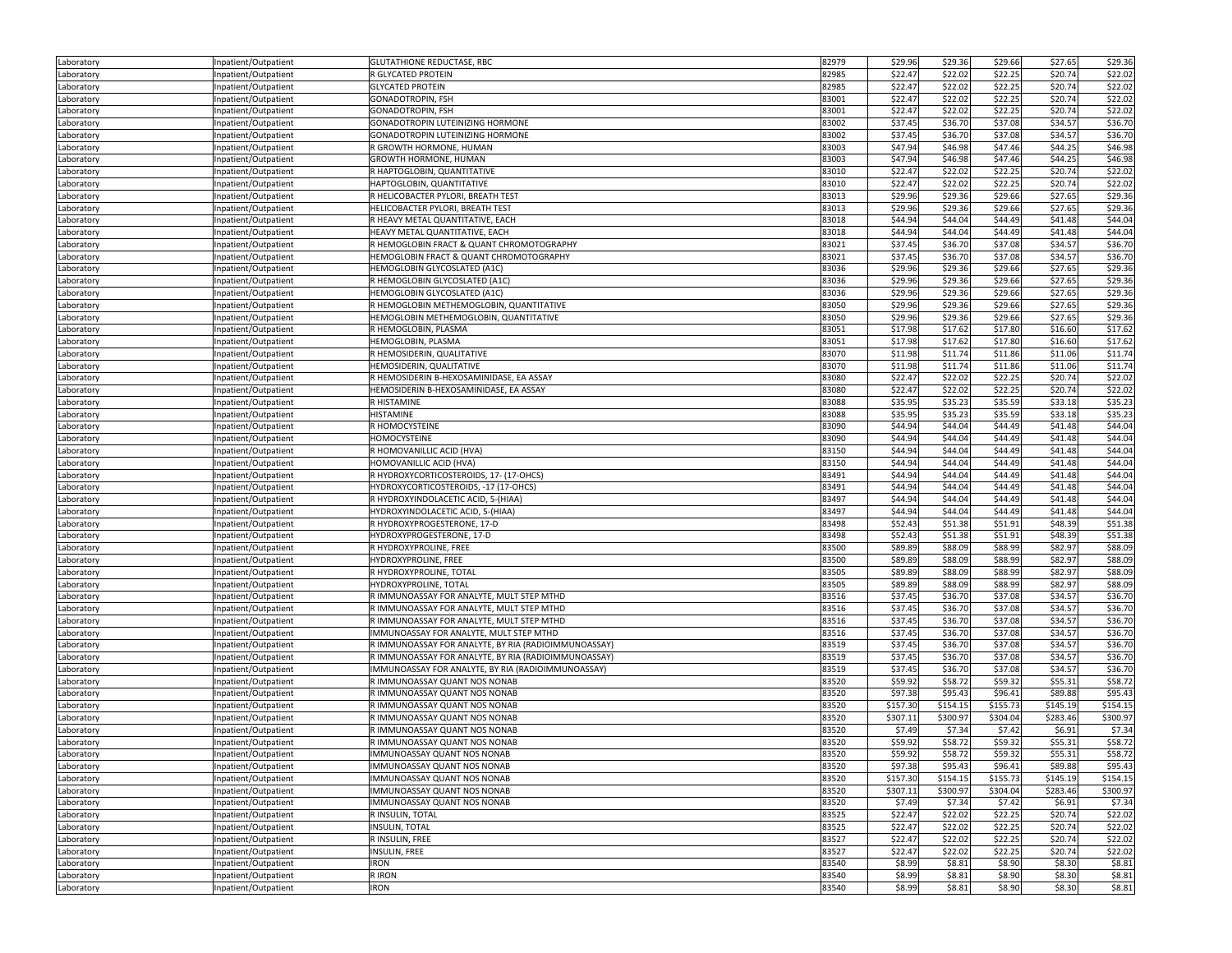| Laboratory               | Inpatient/Outpatient | <b>GLUTATHIONE REDUCTASE, RBC</b>                    | 82979 | \$29.96             | \$29.36  | \$29.66  | \$27.65  | \$29.36  |
|--------------------------|----------------------|------------------------------------------------------|-------|---------------------|----------|----------|----------|----------|
| Laboratory               | Inpatient/Outpatient | R GLYCATED PROTEIN                                   | 82985 | \$22.47             | \$22.02  | \$22.25  | \$20.74  | \$22.02  |
| Laboratory               | Inpatient/Outpatient | <b>GLYCATED PROTEIN</b>                              | 82985 | \$22.47             | \$22.02  | \$22.25  | \$20.74  | \$22.02  |
| Laboratory               | Inpatient/Outpatient | GONADOTROPIN, FSH                                    | 83001 | \$22.47             | \$22.02  | \$22.25  | \$20.74  | \$22.02  |
| Laboratory               | Inpatient/Outpatient | <b>GONADOTROPIN, FSH</b>                             | 83001 | \$22.47             | \$22.02  | \$22.25  | \$20.74  | \$22.02  |
| Laboratory               | Inpatient/Outpatient | GONADOTROPIN LUTEINIZING HORMONE                     | 83002 | \$37.45             | \$36.70  | \$37.08  | \$34.57  | \$36.70  |
| Laboratory               | Inpatient/Outpatient | GONADOTROPIN LUTEINIZING HORMONE                     | 83002 | \$37.45             | \$36.70  | \$37.08  | \$34.57  | \$36.70  |
| Laboratory               | Inpatient/Outpatient | R GROWTH HORMONE, HUMAN                              | 83003 | \$47.94             | \$46.98  | \$47.46  | \$44.25  | \$46.98  |
| Laboratory               | Inpatient/Outpatient | GROWTH HORMONE, HUMAN                                | 83003 | \$47.94             | \$46.98  | \$47.46  | \$44.25  | \$46.98  |
| Laboratory               | Inpatient/Outpatient | R HAPTOGLOBIN, QUANTITATIVE                          | 83010 | \$22.47             | \$22.02  | \$22.25  | \$20.74  | \$22.02  |
| Laboratory               | Inpatient/Outpatient | HAPTOGLOBIN, QUANTITATIVE                            | 83010 | \$22.47             | \$22.02  | \$22.25  | \$20.74  | \$22.02  |
| Laboratory               | Inpatient/Outpatient | R HELICOBACTER PYLORI, BREATH TEST                   | 83013 | \$29.96             | \$29.36  | \$29.66  | \$27.65  | \$29.36  |
| Laboratory               | Inpatient/Outpatient | HELICOBACTER PYLORI, BREATH TEST                     | 83013 | \$29.96             | \$29.36  | \$29.66  | \$27.65  | \$29.36  |
| Laboratory               | Inpatient/Outpatient | R HEAVY METAL QUANTITATIVE, EACH                     | 83018 | \$44.94             | \$44.04  | \$44.49  | \$41.48  | \$44.04  |
|                          | Inpatient/Outpatient | HEAVY METAL QUANTITATIVE, EACH                       | 83018 | \$44.94             | \$44.04  | \$44.49  | \$41.48  | \$44.04  |
| Laboratory<br>Laboratory | Inpatient/Outpatient | R HEMOGLOBIN FRACT & QUANT CHROMOTOGRAPHY            | 83021 | \$37.45             | \$36.70  | \$37.08  | \$34.57  | \$36.70  |
|                          |                      | HEMOGLOBIN FRACT & QUANT CHROMOTOGRAPHY              | 83021 | \$37.45             | \$36.70  | \$37.08  | \$34.57  | \$36.70  |
| Laboratory               | Inpatient/Outpatient | HEMOGLOBIN GLYCOSLATED (A1C)                         | 83036 | \$29.96             | \$29.36  | \$29.66  | \$27.65  | \$29.36  |
| Laboratory               | Inpatient/Outpatient | R HEMOGLOBIN GLYCOSLATED (A1C)                       |       |                     |          |          |          |          |
| Laboratory               | Inpatient/Outpatient |                                                      | 83036 | \$29.96             | \$29.36  | \$29.66  | \$27.65  | \$29.36  |
| Laboratory               | Inpatient/Outpatient | HEMOGLOBIN GLYCOSLATED (A1C)                         | 83036 | \$29.96             | \$29.36  | \$29.66  | \$27.65  | \$29.36  |
| Laboratory               | Inpatient/Outpatient | R HEMOGLOBIN METHEMOGLOBIN, QUANTITATIVE             | 83050 | \$29.96             | \$29.36  | \$29.66  | \$27.65  | \$29.36  |
| Laboratory               | Inpatient/Outpatient | HEMOGLOBIN METHEMOGLOBIN, QUANTITATIVE               | 83050 | \$29.96             | \$29.36  | \$29.66  | \$27.65  | \$29.36  |
| Laboratory               | Inpatient/Outpatient | R HEMOGLOBIN, PLASMA                                 | 83051 | \$17.98             | \$17.62  | \$17.80  | \$16.60  | \$17.62  |
| Laboratory               | Inpatient/Outpatient | HEMOGLOBIN, PLASMA                                   | 83051 | \$17.98             | \$17.62  | \$17.80  | \$16.60  | \$17.62  |
| Laboratory               | Inpatient/Outpatient | R HEMOSIDERIN, QUALITATIVE                           | 83070 | \$11.98             | \$11.74  | \$11.86  | \$11.06  | \$11.74  |
| Laboratory               | Inpatient/Outpatient | HEMOSIDERIN, QUALITATIVE                             | 83070 | \$11.98             | \$11.74  | \$11.86  | \$11.06  | \$11.74  |
| Laboratory               | Inpatient/Outpatient | R HEMOSIDERIN B-HEXOSAMINIDASE, EA ASSAY             | 83080 | \$22.47             | \$22.02  | \$22.25  | \$20.74  | \$22.02  |
| Laboratory               | Inpatient/Outpatient | HEMOSIDERIN B-HEXOSAMINIDASE, EA ASSAY               | 83080 | \$22.47             | \$22.02  | \$22.25  | \$20.74  | \$22.02  |
| Laboratory               | Inpatient/Outpatient | R HISTAMINE                                          | 83088 | \$35.95             | \$35.23  | \$35.59  | \$33.18  | \$35.23  |
| Laboratory               | Inpatient/Outpatient | <b>HISTAMINE</b>                                     | 83088 | \$35.95             | \$35.23  | \$35.59  | \$33.18  | \$35.23  |
| Laboratory               | Inpatient/Outpatient | R HOMOCYSTEINE                                       | 83090 | \$44.94             | \$44.04  | \$44.49  | \$41.48  | \$44.04  |
| Laboratory               | Inpatient/Outpatient | <b>HOMOCYSTEINE</b>                                  | 83090 | \$44.94             | \$44.04  | \$44.49  | \$41.48  | \$44.04  |
| Laboratory               | Inpatient/Outpatient | R HOMOVANILLIC ACID (HVA)                            | 83150 | \$44.94             | \$44.04  | \$44.49  | \$41.48  | \$44.04  |
| Laboratory               | Inpatient/Outpatient | HOMOVANILLIC ACID (HVA)                              | 83150 | \$44.94             | \$44.04  | \$44.49  | \$41.48  | \$44.04  |
| Laboratory               | Inpatient/Outpatient | R HYDROXYCORTICOSTEROIDS, 17- (17-OHCS)              | 83491 | \$44.94             | \$44.04  | \$44.49  | \$41.48  | \$44.04  |
| Laboratory               | Inpatient/Outpatient | HYDROXYCORTICOSTEROIDS, -17 (17-OHCS)                | 83491 | \$44.94             | \$44.04  | \$44.49  | \$41.48  | \$44.04  |
| Laboratory               | Inpatient/Outpatient | R HYDROXYINDOLACETIC ACID, 5-(HIAA)                  | 83497 | \$44.94             | \$44.04  | \$44.49  | \$41.48  | \$44.04  |
| Laboratory               | Inpatient/Outpatient | HYDROXYINDOLACETIC ACID, 5-(HIAA)                    | 83497 | \$44.94             | \$44.04  | \$44.49  | \$41.48  | \$44.04  |
| Laboratory               | Inpatient/Outpatient | R HYDROXYPROGESTERONE, 17-D                          | 83498 | \$52.43             | \$51.38  | \$51.91  | \$48.39  | \$51.38  |
| Laboratory               | Inpatient/Outpatient | HYDROXYPROGESTERONE, 17-D                            | 83498 | \$52.43             | \$51.38  | \$51.91  | \$48.39  | \$51.38  |
| Laboratory               | Inpatient/Outpatient | R HYDROXYPROLINE, FREE                               | 83500 | \$89.89             | \$88.09  | \$88.99  | \$82.97  | \$88.09  |
| Laboratory               | Inpatient/Outpatient | HYDROXYPROLINE, FREE                                 | 83500 | \$89.89             | \$88.09  | \$88.99  | \$82.97  | \$88.09  |
| Laboratory               | Inpatient/Outpatient | R HYDROXYPROLINE, TOTAL                              | 83505 | \$89.89             | \$88.09  | \$88.99  | \$82.97  | \$88.09  |
| Laboratory               | Inpatient/Outpatient | HYDROXYPROLINE, TOTAL                                | 83505 | \$89.89             | \$88.09  | \$88.99  | \$82.97  | \$88.09  |
| Laboratory               | Inpatient/Outpatient | R IMMUNOASSAY FOR ANALYTE, MULT STEP MTHD            | 83516 | \$37.45             | \$36.70  | \$37.08  | \$34.57  | \$36.70  |
| Laboratory               | Inpatient/Outpatient | R IMMUNOASSAY FOR ANALYTE, MULT STEP MTHD            | 83516 | \$37.45             | \$36.70  | \$37.08  | \$34.57  | \$36.70  |
| Laboratory               | Inpatient/Outpatient | R IMMUNOASSAY FOR ANALYTE, MULT STEP MTHD            | 83516 | \$37.45             | \$36.70  | \$37.08  | \$34.57  | \$36.70  |
| Laboratory               | Inpatient/Outpatient | IMMUNOASSAY FOR ANALYTE, MULT STEP MTHD              | 83516 | \$37.45             | \$36.70  | \$37.08  | \$34.57  | \$36.70  |
| Laboratory               | Inpatient/Outpatient | R IMMUNOASSAY FOR ANALYTE, BY RIA (RADIOIMMUNOASSAY) | 83519 | \$37.45             | \$36.70  | \$37.08  | \$34.57  | \$36.70  |
| Laboratory               | Inpatient/Outpatient | R IMMUNOASSAY FOR ANALYTE, BY RIA (RADIOIMMUNOASSAY) | 83519 | \$37.45             | \$36.70  | \$37.08  | \$34.57  | \$36.70  |
| Laboratory               | Inpatient/Outpatient | IMMUNOASSAY FOR ANALYTE, BY RIA (RADIOIMMUNOASSAY)   | 83519 | \$37.45             | \$36.70  | \$37.08  | \$34.57  | \$36.70  |
| Laboratory               | Inpatient/Outpatient | R IMMUNOASSAY QUANT NOS NONAB                        | 83520 | \$59.92             | \$58.72  | \$59.32  | \$55.31  | \$58.72  |
| Laboratory               | Inpatient/Outpatient | R IMMUNOASSAY QUANT NOS NONAB                        | 83520 | \$97.38             | \$95.43  | \$96.41  | \$89.88  | \$95.43  |
| Laboratory               | Inpatient/Outpatient | R IMMUNOASSAY QUANT NOS NONAB                        | 83520 | \$157.30            | \$154.15 | \$155.73 | \$145.19 | \$154.15 |
| Laboratory               | Inpatient/Outpatient | R IMMUNOASSAY QUANT NOS NONAB                        | 83520 | \$307.11            | \$300.97 | \$304.04 | \$283.46 | \$300.97 |
| Laboratory               | Inpatient/Outpatient | R IMMUNOASSAY QUANT NOS NONAB                        | 83520 | \$7.49              | \$7.34   | \$7.42   | \$6.91   | \$7.34   |
| Laboratory               | Inpatient/Outpatient | R IMMUNOASSAY QUANT NOS NONAB                        | 83520 | \$59.92             | \$58.72  | \$59.32  | \$55.31  | \$58.72  |
|                          |                      | IMMUNOASSAY QUANT NOS NONAB                          | 83520 | \$59.92             | \$58.72  | \$59.32  | \$55.31  | \$58.72  |
| Laboratory               | Inpatient/Outpatient | <b>IMMUNOASSAY QUANT NOS NONAB</b>                   | 83520 |                     | \$95.43  | \$96.41  | \$89.88  | \$95.43  |
| Laboratory               | Inpatient/Outpatient | IMMUNOASSAY QUANT NOS NONAB                          | 83520 | \$97.38<br>\$157.30 | \$154.15 | \$155.73 | \$145.19 | \$154.15 |
| Laboratory               | Inpatient/Outpatient | IMMUNOASSAY QUANT NOS NONAB                          | 83520 | \$307.11            | \$300.97 | \$304.04 | \$283.46 | \$300.97 |
| Laboratory               | Inpatient/Outpatient |                                                      |       |                     |          |          |          |          |
| Laboratory               | Inpatient/Outpatient | IMMUNOASSAY QUANT NOS NONAB                          | 83520 | \$7.49              | \$7.34   | \$7.42   | \$6.91   | \$7.34   |
| Laboratory               | Inpatient/Outpatient | R INSULIN, TOTAL                                     | 83525 | \$22.47             | \$22.02  | \$22.25  | \$20.74  | \$22.02  |
| Laboratory               | Inpatient/Outpatient | <b>INSULIN, TOTAL</b>                                | 83525 | \$22.47             | \$22.02  | \$22.25  | \$20.74  | \$22.02  |
| Laboratory               | Inpatient/Outpatient | R INSULIN, FREE                                      | 83527 | \$22.47             | \$22.02  | \$22.25  | \$20.74  | \$22.02  |
| Laboratory               | Inpatient/Outpatient | INSULIN, FREE                                        | 83527 | \$22.47             | \$22.02  | \$22.25  | \$20.74  | \$22.02  |
| Laboratory               | Inpatient/Outpatient | <b>IRON</b>                                          | 83540 | \$8.99              | \$8.81   | \$8.90   | \$8.30   | \$8.81   |
| Laboratory               | Inpatient/Outpatient | R IRON                                               | 83540 | \$8.99              | \$8.81   | \$8.90   | \$8.30   | \$8.81   |
| Laboratory               | Inpatient/Outpatient | <b>IRON</b>                                          | 83540 | \$8.99              | \$8.81   | \$8.90   | \$8.30   | \$8.81   |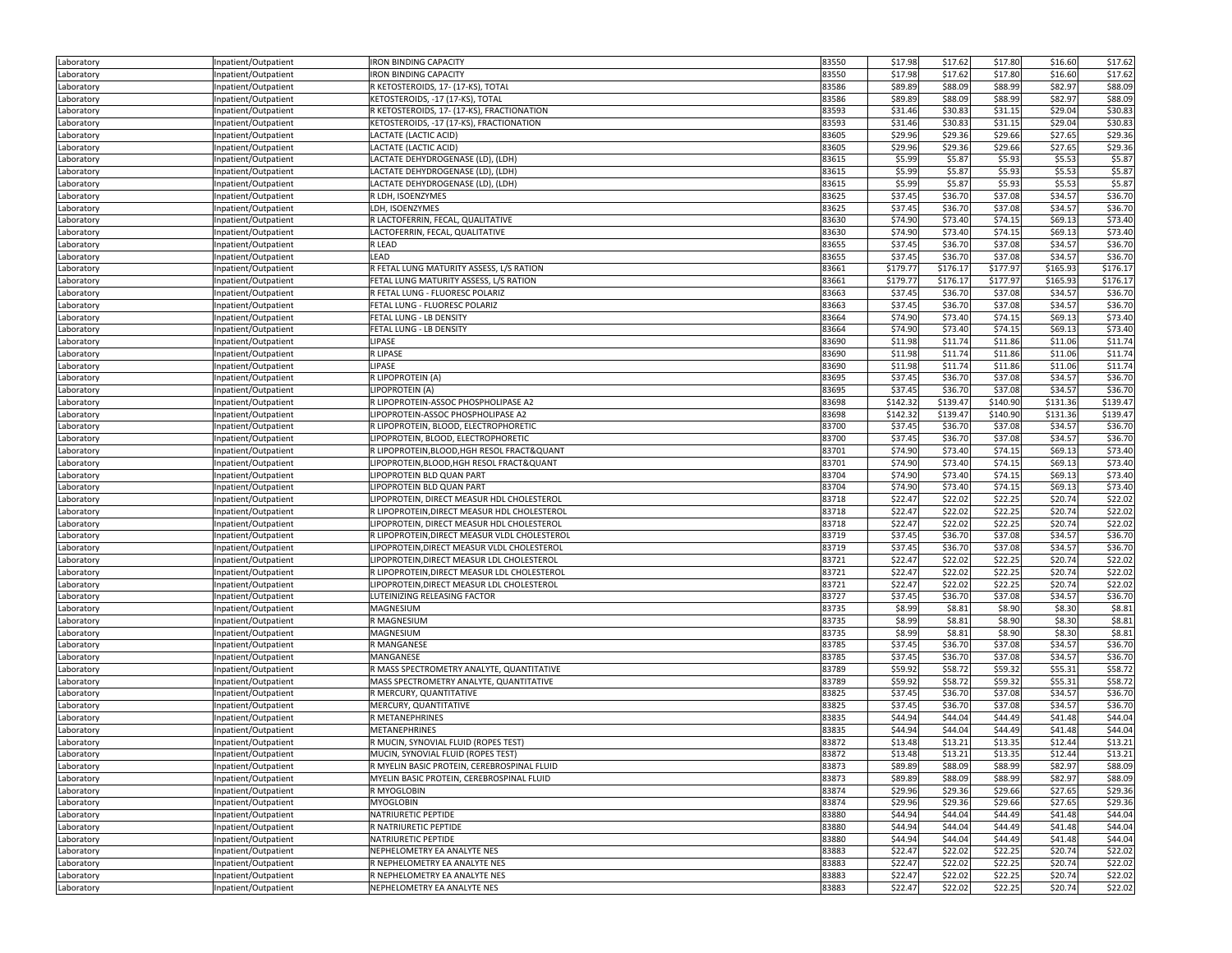| Laboratory | Inpatient/Outpatient | <b>IRON BINDING CAPACITY</b>                  | 83550 | \$17.98  | \$17.62  | \$17.80  | \$16.60  | \$17.62  |
|------------|----------------------|-----------------------------------------------|-------|----------|----------|----------|----------|----------|
| Laboratory | Inpatient/Outpatient | <b>IRON BINDING CAPACITY</b>                  | 83550 | \$17.98  | \$17.62  | \$17.80  | \$16.60  | \$17.62  |
| Laboratory | Inpatient/Outpatient | R KETOSTEROIDS, 17- (17-KS), TOTAL            | 83586 | \$89.89  | \$88.09  | \$88.99  | \$82.97  | \$88.09  |
|            |                      | KETOSTEROIDS, -17 (17-KS), TOTAL              | 83586 | \$89.89  | \$88.09  | \$88.99  | \$82.97  | \$88.09  |
| Laboratory | Inpatient/Outpatient |                                               |       |          |          |          |          |          |
| Laboratory | Inpatient/Outpatient | R KETOSTEROIDS, 17- (17-KS), FRACTIONATION    | 83593 | \$31.46  | \$30.83  | \$31.15  | \$29.04  | \$30.83  |
| Laboratory | Inpatient/Outpatient | KETOSTEROIDS, -17 (17-KS), FRACTIONATION      | 83593 | \$31.46  | \$30.83  | \$31.15  | \$29.04  | \$30.83  |
| Laboratory | Inpatient/Outpatient | LACTATE (LACTIC ACID)                         | 83605 | \$29.96  | \$29.36  | \$29.66  | \$27.65  | \$29.36  |
| Laboratory | Inpatient/Outpatient | LACTATE (LACTIC ACID)                         | 83605 | \$29.96  | \$29.36  | \$29.66  | \$27.65  | \$29.36  |
| Laboratory | Inpatient/Outpatient | LACTATE DEHYDROGENASE (LD), (LDH)             | 83615 | \$5.99   | \$5.87   | \$5.93   | \$5.53   | \$5.87   |
| Laboratory | Inpatient/Outpatient | LACTATE DEHYDROGENASE (LD), (LDH)             | 83615 | \$5.99   | \$5.87   | \$5.93   | \$5.53   | \$5.87   |
| Laboratory | Inpatient/Outpatient | LACTATE DEHYDROGENASE (LD), (LDH)             | 83615 | \$5.99   | \$5.87   | \$5.93   | \$5.53   | \$5.87   |
| Laboratory | Inpatient/Outpatient | R LDH, ISOENZYMES                             | 83625 | \$37.45  | \$36.70  | \$37.08  | \$34.57  | \$36.70  |
| Laboratory | Inpatient/Outpatient | LDH, ISOENZYMES                               | 83625 | \$37.45  | \$36.70  | \$37.08  | \$34.57  | \$36.70  |
|            | Inpatient/Outpatient | R LACTOFERRIN, FECAL, QUALITATIVE             | 83630 | \$74.90  | \$73.40  | \$74.15  | \$69.13  | \$73.40  |
| Laboratory |                      |                                               |       |          |          |          |          |          |
| Laboratory | Inpatient/Outpatient | LACTOFERRIN, FECAL, QUALITATIVE               | 83630 | \$74.90  | \$73.40  | \$74.15  | \$69.13  | \$73.40  |
| Laboratory | Inpatient/Outpatient | R LEAD                                        | 83655 | \$37.45  | \$36.70  | \$37.08  | \$34.57  | \$36.70  |
| Laboratory | Inpatient/Outpatient | LEAD                                          | 83655 | \$37.45  | \$36.70  | \$37.08  | \$34.57  | \$36.70  |
| Laboratory | Inpatient/Outpatient | R FETAL LUNG MATURITY ASSESS, L/S RATION      | 83661 | \$179.77 | \$176.17 | \$177.97 | \$165.93 | \$176.17 |
| Laboratory | Inpatient/Outpatient | FETAL LUNG MATURITY ASSESS, L/S RATION        | 83661 | \$179.77 | \$176.17 | \$177.97 | \$165.93 | \$176.17 |
| Laboratory | Inpatient/Outpatient | R FETAL LUNG - FLUORESC POLARIZ               | 83663 | \$37.45  | \$36.70  | \$37.08  | \$34.57  | \$36.70  |
| Laboratory | Inpatient/Outpatient | FETAL LUNG - FLUORESC POLARIZ                 | 83663 | \$37.45  | \$36.70  | \$37.08  | \$34.57  | \$36.70  |
| Laboratory | Inpatient/Outpatient | FETAL LUNG - LB DENSITY                       | 83664 | \$74.90  | \$73.40  | \$74.15  | \$69.13  | \$73.40  |
| Laboratory | Inpatient/Outpatient | FETAL LUNG - LB DENSITY                       | 83664 | \$74.90  | \$73.40  | \$74.15  | \$69.13  | \$73.40  |
| Laboratory | Inpatient/Outpatient | LIPASE                                        | 83690 | \$11.98  | \$11.74  | \$11.86  | \$11.06  | \$11.74  |
|            |                      |                                               |       |          |          |          |          |          |
| Laboratory | Inpatient/Outpatient | R LIPASE                                      | 83690 | \$11.98  | \$11.74  | \$11.86  | \$11.06  | \$11.74  |
| Laboratory | Inpatient/Outpatient | LIPASE                                        | 83690 | \$11.98  | \$11.74  | \$11.86  | \$11.06  | \$11.74  |
| Laboratory | Inpatient/Outpatient | R LIPOPROTEIN (A)                             | 83695 | \$37.45  | \$36.70  | \$37.08  | \$34.57  | \$36.70  |
| Laboratory | Inpatient/Outpatient | LIPOPROTEIN (A)                               | 83695 | \$37.45  | \$36.70  | \$37.08  | \$34.57  | \$36.70  |
| Laboratory | Inpatient/Outpatient | R LIPOPROTEIN-ASSOC PHOSPHOLIPASE A2          | 83698 | \$142.32 | \$139.47 | \$140.90 | \$131.36 | \$139.47 |
| Laboratory | Inpatient/Outpatient | LIPOPROTEIN-ASSOC PHOSPHOLIPASE A2            | 83698 | \$142.32 | \$139.47 | \$140.90 | \$131.36 | \$139.47 |
| Laboratory | Inpatient/Outpatient | R LIPOPROTEIN, BLOOD, ELECTROPHORETIC         | 83700 | \$37.45  | \$36.70  | \$37.08  | \$34.57  | \$36.70  |
| Laboratory | Inpatient/Outpatient | LIPOPROTEIN, BLOOD, ELECTROPHORETIC           | 83700 | \$37.45  | \$36.70  | \$37.08  | \$34.57  | \$36.70  |
| Laboratory | Inpatient/Outpatient | R LIPOPROTEIN, BLOOD, HGH RESOL FRACT& QUANT  | 83701 | \$74.90  | \$73.40  | \$74.15  | \$69.13  | \$73.40  |
| Laboratory | Inpatient/Outpatient | LIPOPROTEIN, BLOOD, HGH RESOL FRACT& QUANT    | 83701 | \$74.90  | \$73.40  | \$74.15  | \$69.13  | \$73.40  |
|            |                      | LIPOPROTEIN BLD QUAN PART                     | 83704 | \$74.90  | \$73.40  | \$74.15  | \$69.13  | \$73.40  |
| Laboratory | Inpatient/Outpatient | LIPOPROTEIN BLD QUAN PART                     | 83704 | \$74.90  | \$73.40  | \$74.15  | \$69.13  | \$73.40  |
| Laboratory | Inpatient/Outpatient |                                               |       |          |          |          |          |          |
| Laboratory | Inpatient/Outpatient | LIPOPROTEIN, DIRECT MEASUR HDL CHOLESTEROL    | 83718 | \$22.47  | \$22.02  | \$22.25  | \$20.74  | \$22.02  |
| Laboratory | Inpatient/Outpatient | R LIPOPROTEIN, DIRECT MEASUR HDL CHOLESTEROL  | 83718 | \$22.47  | \$22.02  | \$22.25  | \$20.74  | \$22.02  |
| Laboratory | Inpatient/Outpatient | LIPOPROTEIN, DIRECT MEASUR HDL CHOLESTEROL    | 83718 | \$22.47  | \$22.02  | \$22.25  | \$20.74  | \$22.02  |
| Laboratory | Inpatient/Outpatient | R LIPOPROTEIN, DIRECT MEASUR VLDL CHOLESTEROL | 83719 | \$37.45  | \$36.70  | \$37.08  | \$34.57  | \$36.70  |
| Laboratory | Inpatient/Outpatient | LIPOPROTEIN, DIRECT MEASUR VLDL CHOLESTEROL   | 83719 | \$37.45  | \$36.70  | \$37.08  | \$34.57  | \$36.70  |
| Laboratory | Inpatient/Outpatient | LIPOPROTEIN, DIRECT MEASUR LDL CHOLESTEROL    | 83721 | \$22.47  | \$22.02  | \$22.25  | \$20.74  | \$22.02  |
| Laboratory | Inpatient/Outpatient | R LIPOPROTEIN, DIRECT MEASUR LDL CHOLESTEROL  | 83721 | \$22.47  | \$22.02  | \$22.25  | \$20.74  | \$22.02  |
| Laboratory | Inpatient/Outpatient | LIPOPROTEIN, DIRECT MEASUR LDL CHOLESTEROL    | 83721 | \$22.47  | \$22.02  | \$22.25  | \$20.74  | \$22.02  |
| Laboratory | Inpatient/Outpatient | LUTEINIZING RELEASING FACTOR                  | 83727 | \$37.45  | \$36.70  | \$37.08  | \$34.57  | \$36.70  |
| Laboratory | Inpatient/Outpatient | MAGNESIUM                                     | 83735 | \$8.99   | \$8.81   | \$8.90   | \$8.30   | \$8.81   |
|            |                      | <b>R MAGNESIUM</b>                            | 83735 | \$8.99   | \$8.81   | \$8.90   | \$8.30   | \$8.81   |
| Laboratory | Inpatient/Outpatient |                                               |       |          |          |          |          |          |
| Laboratory | Inpatient/Outpatient | MAGNESIUM                                     | 83735 | \$8.99   | \$8.81   | \$8.90   | \$8.30   | \$8.81   |
| Laboratory | Inpatient/Outpatient | R MANGANESE                                   | 83785 | \$37.45  | \$36.70  | \$37.08  | \$34.57  | \$36.70  |
| Laboratory | Inpatient/Outpatient | MANGANESE                                     | 83785 | \$37.45  | \$36.70  | \$37.08  | \$34.57  | \$36.70  |
| Laboratory | Inpatient/Outpatient | R MASS SPECTROMETRY ANALYTE, QUANTITATIVE     | 83789 | \$59.92  | \$58.72  | \$59.32  | \$55.31  | \$58.72  |
| Laboratory | Inpatient/Outpatient | MASS SPECTROMETRY ANALYTE, QUANTITATIVE       | 83789 | \$59.92  | \$58.72  | \$59.32  | \$55.31  | \$58.72  |
| Laboratory | Inpatient/Outpatient | R MERCURY, QUANTITATIVE                       | 83825 | \$37.45  | \$36.70  | \$37.08  | \$34.57  | \$36.70  |
| Laboratory | Inpatient/Outpatient | MERCURY, QUANTITATIVE                         | 83825 | \$37.45  | \$36.70  | \$37.08  | \$34.57  | \$36.70  |
| Laboratory | Inpatient/Outpatient | R METANEPHRINES                               | 83835 | \$44.94  | \$44.04  | \$44.49  | \$41.48  | \$44.04  |
| Laboratory | Inpatient/Outpatient | <b>METANEPHRINES</b>                          | 83835 | \$44.94  | \$44.04  | \$44.49  | \$41.48  | \$44.04  |
| Laboratory | Inpatient/Outpatient | R MUCIN, SYNOVIAL FLUID (ROPES TEST)          | 83872 | \$13.48  | \$13.21  | \$13.35  | \$12.44  | \$13.21  |
| Laboratory | Inpatient/Outpatient | MUCIN, SYNOVIAL FLUID (ROPES TEST)            | 83872 | \$13.48  | \$13.21  | \$13.35  | \$12.44  | \$13.21  |
| Laboratory | Inpatient/Outpatient | R MYELIN BASIC PROTEIN, CEREBROSPINAL FLUID   | 83873 | \$89.89  | \$88.09  | \$88.99  | \$82.97  | \$88.09  |
|            |                      |                                               |       |          |          |          |          |          |
| Laboratory | Inpatient/Outpatient | MYELIN BASIC PROTEIN, CEREBROSPINAL FLUID     | 83873 | \$89.89  | \$88.09  | \$88.99  | \$82.97  | \$88.09  |
| Laboratory | Inpatient/Outpatient | R MYOGLOBIN                                   | 83874 | \$29.96  | \$29.36  | \$29.66  | \$27.65  | \$29.36  |
| Laboratory | Inpatient/Outpatient | <b>MYOGLOBIN</b>                              | 83874 | \$29.96  | \$29.36  | \$29.66  | \$27.65  | \$29.36  |
| Laboratory | Inpatient/Outpatient | NATRIURETIC PEPTIDE                           | 83880 | \$44.94  | \$44.04  | \$44.49  | \$41.48  | \$44.04  |
| Laboratory | Inpatient/Outpatient | R NATRIURETIC PEPTIDE                         | 83880 | \$44.94  | \$44.04  | \$44.49  | \$41.48  | \$44.04  |
| Laboratory | Inpatient/Outpatient | NATRIURETIC PEPTIDE                           | 83880 | \$44.94  | \$44.04  | \$44.49  | \$41.48  | \$44.04  |
| Laboratory | Inpatient/Outpatient | NEPHELOMETRY EA ANALYTE NES                   | 83883 | \$22.47  | \$22.02  | \$22.25  | \$20.74  | \$22.02  |
| Laboratory | Inpatient/Outpatient | R NEPHELOMETRY EA ANALYTE NES                 | 83883 | \$22.47  | \$22.02  | \$22.25  | \$20.74  | \$22.02  |
| Laboratory | Inpatient/Outpatient | R NEPHELOMETRY EA ANALYTE NES                 | 83883 | \$22.47  | \$22.02  | \$22.25  | \$20.74  | \$22.02  |
| Laboratory | Inpatient/Outpatient | NEPHELOMETRY EA ANALYTE NES                   | 83883 | \$22.47  | \$22.02  | \$22.25  | \$20.74  | \$22.02  |
|            |                      |                                               |       |          |          |          |          |          |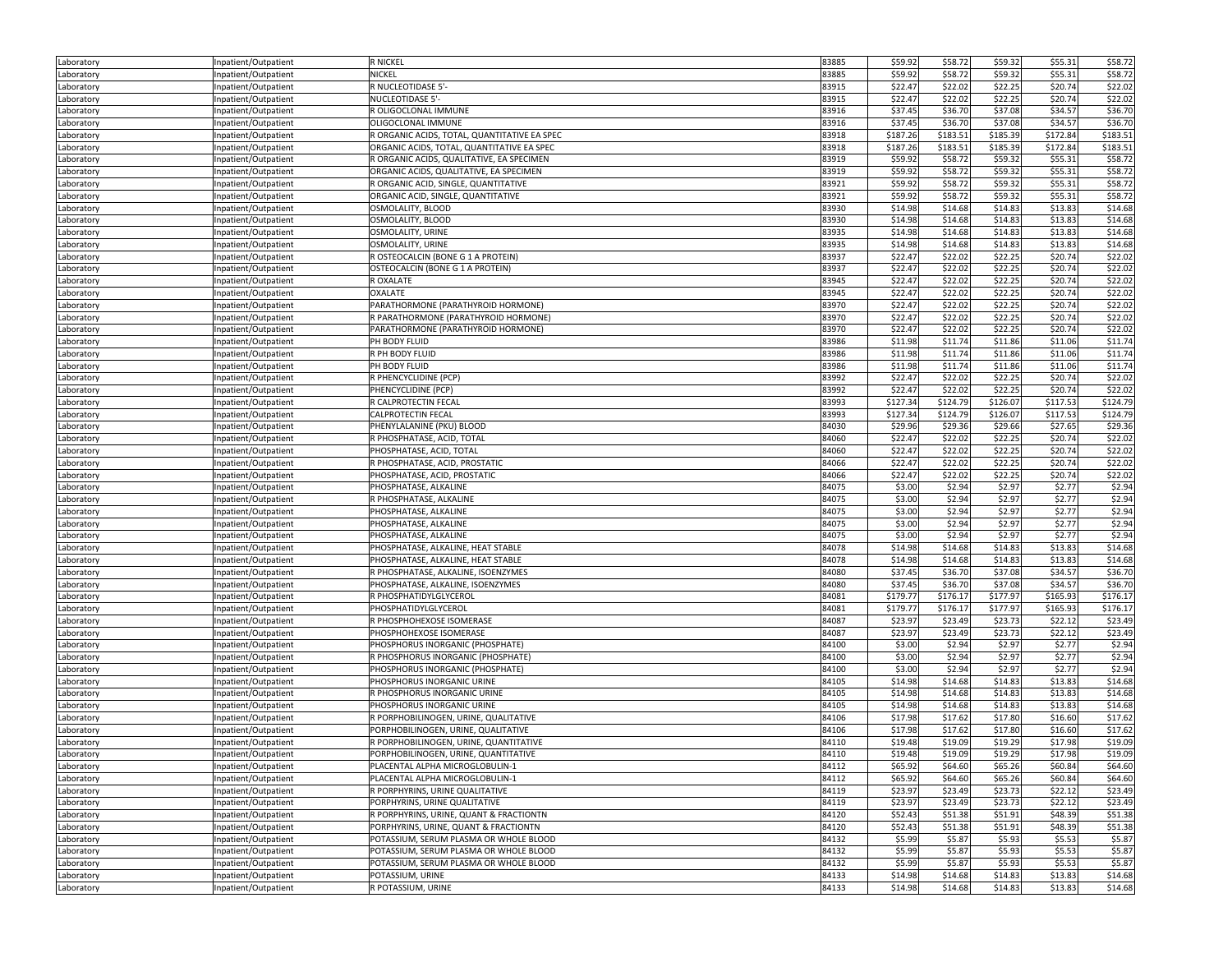| Laboratory | Inpatient/Outpatient | <b>R NICKEL</b>                              | 83885 | \$59.92  | \$58.72  | \$59.32  | \$55.31  | \$58.72  |
|------------|----------------------|----------------------------------------------|-------|----------|----------|----------|----------|----------|
| Laboratory | Inpatient/Outpatient | NICKEL                                       | 83885 | \$59.92  | \$58.72  | \$59.32  | \$55.31  | \$58.72  |
| Laboratory | Inpatient/Outpatient | R NUCLEOTIDASE 5'-                           | 83915 | \$22.47  | \$22.02  | \$22.25  | \$20.74  | \$22.02  |
| Laboratory | Inpatient/Outpatient | NUCLEOTIDASE 5'-                             | 83915 | \$22.47  | \$22.02  | \$22.25  | \$20.74  | \$22.02  |
| Laboratory | Inpatient/Outpatient | R OLIGOCLONAL IMMUNE                         | 83916 | \$37.45  | \$36.70  | \$37.08  | \$34.57  | \$36.70  |
| Laboratory | Inpatient/Outpatient | OLIGOCLONAL IMMUNE                           | 83916 | \$37.45  | \$36.70  | \$37.08  | \$34.57  | \$36.70  |
| Laboratory | Inpatient/Outpatient | R ORGANIC ACIDS, TOTAL, QUANTITATIVE EA SPEC | 83918 | \$187.26 | \$183.51 | \$185.39 | \$172.84 | \$183.51 |
| Laboratory | Inpatient/Outpatient | ORGANIC ACIDS, TOTAL, QUANTITATIVE EA SPEC   | 83918 | \$187.26 | \$183.51 | \$185.39 | \$172.84 | \$183.51 |
| Laboratory | Inpatient/Outpatient | R ORGANIC ACIDS, QUALITATIVE, EA SPECIMEN    | 83919 | \$59.92  | \$58.72  | \$59.32  | \$55.31  | \$58.72  |
| Laboratory |                      | ORGANIC ACIDS, QUALITATIVE, EA SPECIMEN      | 83919 | \$59.92  | \$58.72  | \$59.32  | \$55.31  | \$58.72  |
|            | Inpatient/Outpatient | R ORGANIC ACID, SINGLE, QUANTITATIVE         | 83921 | \$59.92  | \$58.7   | \$59.32  | \$55.31  | \$58.72  |
| .aboratory | Inpatient/Outpatient | ORGANIC ACID, SINGLE, QUANTITATIVE           | 83921 | \$59.92  | \$58.72  | \$59.32  | \$55.31  | \$58.72  |
| Laboratory | Inpatient/Outpatient |                                              | 83930 |          |          |          |          |          |
| Laboratory | Inpatient/Outpatient | OSMOLALITY, BLOOD                            |       | \$14.98  | \$14.68  | \$14.83  | \$13.83  | \$14.68  |
| Laboratory | Inpatient/Outpatient | OSMOLALITY, BLOOD                            | 83930 | \$14.98  | \$14.68  | \$14.83  | \$13.83  | \$14.68  |
| Laboratory | Inpatient/Outpatient | OSMOLALITY, URINE                            | 83935 | \$14.98  | \$14.68  | \$14.83  | \$13.83  | \$14.68  |
| Laboratory | Inpatient/Outpatient | OSMOLALITY, URINE                            | 83935 | \$14.98  | \$14.68  | \$14.83  | \$13.83  | \$14.68  |
| Laboratory | Inpatient/Outpatient | R OSTEOCALCIN (BONE G 1 A PROTEIN)           | 83937 | \$22.47  | \$22.02  | \$22.25  | \$20.74  | \$22.02  |
| Laboratory | Inpatient/Outpatient | OSTEOCALCIN (BONE G 1 A PROTEIN)             | 83937 | \$22.47  | \$22.02  | \$22.25  | \$20.74  | \$22.02  |
| Laboratory | Inpatient/Outpatient | R OXALATE                                    | 83945 | \$22.47  | \$22.02  | \$22.25  | \$20.74  | \$22.02  |
| Laboratory | Inpatient/Outpatient | <b>OXALATE</b>                               | 83945 | \$22.47  | \$22.02  | \$22.25  | \$20.74  | \$22.02  |
| Laboratory | Inpatient/Outpatient | PARATHORMONE (PARATHYROID HORMONE)           | 83970 | \$22.47  | \$22.02  | \$22.25  | \$20.74  | \$22.02  |
| Laboratory | Inpatient/Outpatient | R PARATHORMONE (PARATHYROID HORMONE)         | 83970 | \$22.47  | \$22.02  | \$22.25  | \$20.74  | \$22.02  |
| Laboratory | Inpatient/Outpatient | PARATHORMONE (PARATHYROID HORMONE)           | 83970 | \$22.47  | \$22.02  | \$22.25  | \$20.74  | \$22.02  |
| Laboratory | Inpatient/Outpatient | PH BODY FLUID                                | 83986 | \$11.98  | \$11.74  | \$11.86  | \$11.06  | \$11.74  |
| Laboratory | Inpatient/Outpatient | R PH BODY FLUID                              | 83986 | \$11.98  | \$11.74  | \$11.86  | \$11.06  | \$11.74  |
| Laboratory | Inpatient/Outpatient | PH BODY FLUID                                | 83986 | \$11.98  | \$11.74  | \$11.86  | \$11.06  | \$11.74  |
| Laboratory | Inpatient/Outpatient | R PHENCYCLIDINE (PCP)                        | 83992 | \$22.47  | \$22.02  | \$22.25  | \$20.74  | \$22.02  |
| Laboratory | Inpatient/Outpatient | PHENCYCLIDINE (PCP)                          | 83992 | \$22.47  | \$22.02  | \$22.25  | \$20.74  | \$22.02  |
| Laboratory | Inpatient/Outpatient | R CALPROTECTIN FECAL                         | 83993 | \$127.34 | \$124.79 | \$126.07 | \$117.53 | \$124.79 |
| Laboratory | Inpatient/Outpatient | CALPROTECTIN FECAL                           | 83993 | \$127.34 | \$124.79 | \$126.07 | \$117.53 | \$124.79 |
| Laboratory | npatient/Outpatient  | PHENYLALANINE (PKU) BLOOD                    | 84030 | \$29.96  | \$29.36  | \$29.66  | \$27.65  | \$29.36  |
| Laboratory | Inpatient/Outpatient | R PHOSPHATASE, ACID, TOTAL                   | 84060 | \$22.47  | \$22.02  | \$22.25  | \$20.74  | \$22.02  |
| Laboratory | Inpatient/Outpatient | PHOSPHATASE, ACID, TOTAL                     | 84060 | \$22.47  | \$22.02  | \$22.25  | \$20.74  | \$22.02  |
| Laboratory | Inpatient/Outpatient | R PHOSPHATASE, ACID, PROSTATIC               | 84066 | \$22.47  | \$22.02  | \$22.25  | \$20.74  | \$22.02  |
| Laboratory | Inpatient/Outpatient | PHOSPHATASE, ACID, PROSTATIC                 | 84066 | \$22.47  | \$22.02  | \$22.25  | \$20.74  | \$22.02  |
| Laboratory | Inpatient/Outpatient | PHOSPHATASE, ALKALINE                        | 84075 | \$3.00   | \$2.94   | \$2.97   | \$2.77   | \$2.94   |
| Laboratory | Inpatient/Outpatient | R PHOSPHATASE, ALKALINE                      | 84075 | \$3.00   | \$2.94   | \$2.97   | \$2.77   | \$2.94   |
| Laboratory | Inpatient/Outpatient | PHOSPHATASE, ALKALINE                        | 84075 | \$3.00   | \$2.94   | \$2.97   | \$2.77   | \$2.94   |
| Laboratory | Inpatient/Outpatient | PHOSPHATASE, ALKALINE                        | 84075 | \$3.00   | \$2.94   | \$2.97   | \$2.77   | \$2.94   |
| Laboratory | Inpatient/Outpatient | PHOSPHATASE, ALKALINE                        | 84075 | \$3.00   | \$2.94   | \$2.97   | \$2.77   | \$2.94   |
| Laboratory | Inpatient/Outpatient | PHOSPHATASE, ALKALINE, HEAT STABLE           | 84078 | \$14.98  | \$14.68  | \$14.83  | \$13.83  | \$14.68  |
| Laboratory | Inpatient/Outpatient | PHOSPHATASE, ALKALINE, HEAT STABLE           | 84078 | \$14.98  | \$14.68  | \$14.83  | \$13.83  | \$14.68  |
| Laboratory | Inpatient/Outpatient | R PHOSPHATASE, ALKALINE, ISOENZYMES          | 84080 | \$37.45  | \$36.70  | \$37.08  | \$34.57  | \$36.70  |
| Laboratory | Inpatient/Outpatient | PHOSPHATASE, ALKALINE, ISOENZYMES            | 84080 | \$37.45  | \$36.70  | \$37.08  | \$34.57  | \$36.70  |
| Laboratory | Inpatient/Outpatient | R PHOSPHATIDYLGLYCEROL                       | 84081 | \$179.77 | \$176.17 | \$177.97 | \$165.93 | \$176.17 |
| Laboratory | Inpatient/Outpatient | PHOSPHATIDYLGLYCEROL                         | 84081 | \$179.77 | \$176.17 | \$177.97 | \$165.93 | \$176.17 |
| Laboratory | Inpatient/Outpatient | R PHOSPHOHEXOSE ISOMERASE                    | 84087 | \$23.97  | \$23.49  | \$23.73  | \$22.12  | \$23.49  |
| Laboratory | Inpatient/Outpatient | PHOSPHOHEXOSE ISOMERASE                      | 84087 | \$23.97  | \$23.49  | \$23.73  | \$22.12  | \$23.49  |
| Laboratory | Inpatient/Outpatient | PHOSPHORUS INORGANIC (PHOSPHATE)             | 84100 | \$3.00   | \$2.94   | \$2.97   | \$2.77   | \$2.94   |
| Laboratory | Inpatient/Outpatient | R PHOSPHORUS INORGANIC (PHOSPHATE)           | 84100 | \$3.00   | \$2.94   | \$2.97   | \$2.77   | \$2.94   |
| Laboratory | npatient/Outpatient  | PHOSPHORUS INORGANIC (PHOSPHATE)             | 84100 | \$3.00   | \$2.94   | \$2.97   | \$2.77   | \$2.94   |
| Laboratory | Inpatient/Outpatient | PHOSPHORUS INORGANIC URINE                   | 84105 | \$14.98  | \$14.68  | \$14.83  | \$13.83  | 514.68   |
| Laboratory | Inpatient/Outpatient | R PHOSPHORUS INORGANIC URINE                 | 84105 | \$14.98  | \$14.68  | \$14.83  | \$13.83  | \$14.68  |
|            | Inpatient/Outpatient | PHOSPHORUS INORGANIC URINE                   | 84105 | \$14.98  | \$14.68  | \$14.83  | \$13.83  | \$14.68  |
| Laboratory |                      | R PORPHOBILINOGEN, URINE, QUALITATIVE        | 84106 | \$17.98  | \$17.62  | \$17.80  | \$16.60  | \$17.62  |
| Laboratory | Inpatient/Outpatient | PORPHOBILINOGEN, URINE, QUALITATIVE          | 84106 | \$17.98  | \$17.62  | \$17.80  | \$16.60  | \$17.62  |
| Laboratory | Inpatient/Outpatient | R PORPHOBILINOGEN, URINE, QUANTITATIVE       | 84110 | \$19.48  | \$19.09  |          |          |          |
| Laboratory | Inpatient/Outpatient |                                              |       |          |          | \$19.29  | \$17.98  | \$19.09  |
| Laboratory | Inpatient/Outpatient | PORPHOBILINOGEN, URINE, QUANTITATIVE         | 84110 | \$19.48  | \$19.09  | \$19.29  | \$17.98  | \$19.09  |
| Laboratory | Inpatient/Outpatient | PLACENTAL ALPHA MICROGLOBULIN-1              | 84112 | \$65.92  | \$64.60  | \$65.26  | \$60.84  | \$64.60  |
| Laboratory | Inpatient/Outpatient | PLACENTAL ALPHA MICROGLOBULIN-1              | 84112 | \$65.92  | \$64.60  | \$65.26  | \$60.84  | \$64.60  |
| Laboratory | Inpatient/Outpatient | R PORPHYRINS, URINE QUALITATIVE              | 84119 | \$23.97  | \$23.49  | \$23.73  | \$22.12  | \$23.49  |
| Laboratory | Inpatient/Outpatient | PORPHYRINS, URINE QUALITATIVE                | 84119 | \$23.97  | \$23.49  | \$23.73  | \$22.12  | \$23.49  |
| Laboratory | Inpatient/Outpatient | R PORPHYRINS, URINE, QUANT & FRACTIONTN      | 84120 | \$52.43  | \$51.38  | \$51.91  | \$48.39  | \$51.38  |
| Laboratory | Inpatient/Outpatient | PORPHYRINS, URINE, QUANT & FRACTIONTN        | 84120 | \$52.43  | \$51.38  | \$51.91  | \$48.39  | \$51.38  |
| Laboratory | Inpatient/Outpatient | POTASSIUM, SERUM PLASMA OR WHOLE BLOOD       | 84132 | \$5.99   | \$5.87   | \$5.93   | \$5.53   | \$5.87   |
| Laboratory | Inpatient/Outpatient | POTASSIUM, SERUM PLASMA OR WHOLE BLOOD       | 84132 | \$5.99   | \$5.87   | \$5.93   | \$5.53   | \$5.87   |
| Laboratory | Inpatient/Outpatient | POTASSIUM, SERUM PLASMA OR WHOLE BLOOD       | 84132 | \$5.99   | \$5.87   | \$5.93   | \$5.53   | \$5.87   |
| Laboratory | Inpatient/Outpatient | POTASSIUM, URINE                             | 84133 | \$14.98  | \$14.68  | \$14.83  | \$13.83  | \$14.68  |
| Laboratory | Inpatient/Outpatient | R POTASSIUM, URINE                           | 84133 | \$14.98  | \$14.68  | \$14.83  | \$13.83  | \$14.68  |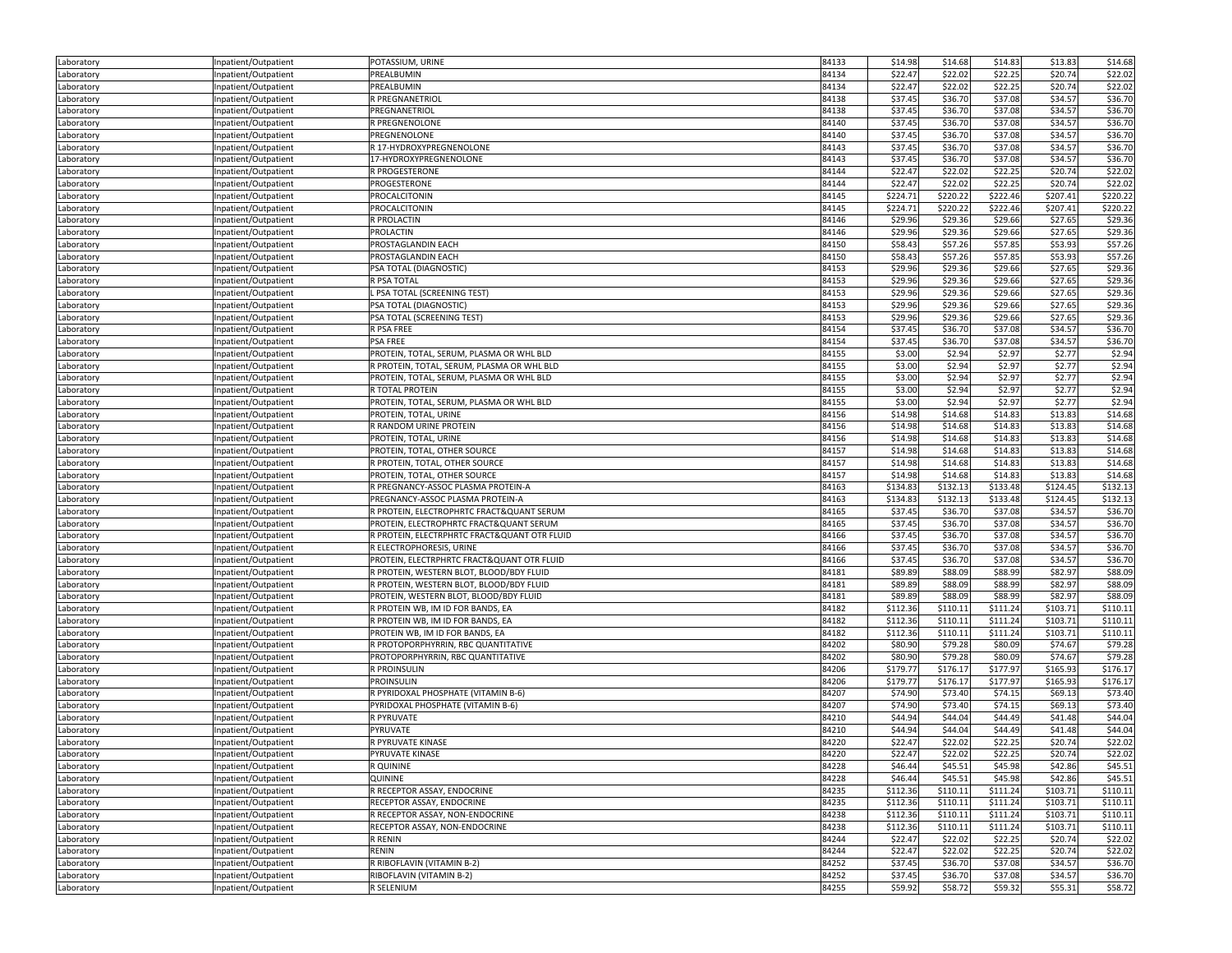| Laboratory               | Inpatient/Outpatient                         | POTASSIUM, URINE                                                     | 84133          | \$14.98            | \$14.68             | \$14.83            | \$13.83            | \$14.68             |
|--------------------------|----------------------------------------------|----------------------------------------------------------------------|----------------|--------------------|---------------------|--------------------|--------------------|---------------------|
| Laboratory               | Inpatient/Outpatient                         | PREALBUMIN                                                           | 84134          | \$22.47            | \$22.02             | \$22.25            | \$20.74            | \$22.02             |
| Laboratory               | Inpatient/Outpatient                         | PREALBUMIN                                                           | 84134          | \$22.47            | \$22.02             | \$22.25            | \$20.74            | \$22.02             |
| Laboratory               | Inpatient/Outpatient                         | R PREGNANETRIOL                                                      | 84138          | \$37.45            | \$36.70             | \$37.08            | \$34.57            | \$36.70             |
| Laboratory               | Inpatient/Outpatient                         | PREGNANETRIOL                                                        | 84138          | \$37.45            | \$36.70             | \$37.08            | \$34.57            | \$36.70             |
| Laboratory               | Inpatient/Outpatient                         | R PREGNENOLONE                                                       | 84140          | \$37.45            | \$36.70             | \$37.08            | \$34.57            | \$36.70             |
| Laboratory               | Inpatient/Outpatient                         | PREGNENOLONE                                                         | 84140          | \$37.45            | \$36.70             | \$37.08            | \$34.57            | \$36.70             |
| Laboratory               | Inpatient/Outpatient                         | R 17-HYDROXYPREGNENOLONE                                             | 84143          | \$37.45            | \$36.70             | \$37.08            | \$34.57            | \$36.70             |
| Laboratory               | Inpatient/Outpatient                         | 17-HYDROXYPREGNENOLONE                                               | 84143          | \$37.45            | \$36.70             | \$37.08            | \$34.57            | \$36.70             |
| Laboratory               | Inpatient/Outpatient                         | R PROGESTERONE                                                       | 84144          | \$22.47            | \$22.02             | \$22.25            | \$20.74            | \$22.02             |
| Laboratory               | Inpatient/Outpatient                         | PROGESTERONE                                                         | 84144          | \$22.47            | \$22.02             | \$22.25            | \$20.74            | \$22.02             |
| Laboratory               | Inpatient/Outpatient                         | PROCALCITONIN                                                        | 84145          | \$224.71           | \$220.22            | \$222.46           | \$207.41           | \$220.22            |
| Laboratory               | Inpatient/Outpatient                         | PROCALCITONIN                                                        | 84145          | \$224.71           | \$220.22            | \$222.46           | \$207.41           | \$220.22            |
| Laboratory               | Inpatient/Outpatient                         | R PROLACTIN                                                          | 84146          | \$29.96            | \$29.36             | \$29.66            | \$27.65            | \$29.36             |
| Laboratory               | Inpatient/Outpatient                         | PROLACTIN                                                            | 84146          | \$29.96            | \$29.36             | \$29.66            | \$27.65            | \$29.36             |
| Laboratory               | Inpatient/Outpatient                         | PROSTAGLANDIN EACH                                                   | 84150          | \$58.43            | \$57.26             | \$57.85            | \$53.93            | \$57.26             |
| Laboratory               | Inpatient/Outpatient                         | PROSTAGLANDIN EACH                                                   | 84150          | \$58.43            | \$57.26             | \$57.85            | \$53.93            | \$57.26             |
| Laboratory               | Inpatient/Outpatient                         | PSA TOTAL (DIAGNOSTIC)                                               | 84153          | \$29.96            | \$29.36             | \$29.66            | \$27.65            | \$29.36             |
| Laboratory               | Inpatient/Outpatient                         | R PSA TOTAL                                                          | 84153          | \$29.96            | \$29.36             | \$29.66            | \$27.65            | \$29.36             |
| Laboratory               | Inpatient/Outpatient                         | . PSA TOTAL (SCREENING TEST)                                         | 84153          | \$29.96            | \$29.36             | \$29.66            | \$27.65            | \$29.36             |
| Laboratory               | Inpatient/Outpatient                         | PSA TOTAL (DIAGNOSTIC)                                               | 84153          | \$29.96            | \$29.36             | \$29.66            | \$27.65            | \$29.36             |
| Laboratory               | Inpatient/Outpatient                         | PSA TOTAL (SCREENING TEST)                                           | 84153          | \$29.96            | \$29.36             | \$29.66            | \$27.65            | \$29.36             |
| Laboratory               | Inpatient/Outpatient                         | R PSA FREE                                                           | 84154          | \$37.45            | \$36.70             | \$37.08            | \$34.57            | \$36.70             |
| Laboratory               | Inpatient/Outpatient                         | <b>PSA FREE</b>                                                      | 84154          | \$37.45            | \$36.70             | \$37.08            | \$34.57            | \$36.70             |
| Laboratory               | Inpatient/Outpatient                         | PROTEIN, TOTAL, SERUM, PLASMA OR WHL BLD                             | 84155          | \$3.00             | \$2.94              | \$2.97             | \$2.77             | \$2.94              |
| Laboratory               | Inpatient/Outpatient                         | R PROTEIN, TOTAL, SERUM, PLASMA OR WHL BLD                           | 84155          | \$3.00             | \$2.94              | \$2.97             | \$2.77             | \$2.94              |
| Laboratory               | Inpatient/Outpatient                         | PROTEIN, TOTAL, SERUM, PLASMA OR WHL BLD                             | 84155          | \$3.00             | \$2.94              | \$2.97             | \$2.77             | \$2.94              |
| Laboratory               | Inpatient/Outpatient                         | R TOTAL PROTEIN                                                      | 84155          | \$3.00             | \$2.94              | \$2.97             | \$2.77             | \$2.94              |
| Laboratory               | Inpatient/Outpatient                         | PROTEIN, TOTAL, SERUM, PLASMA OR WHL BLD                             | 84155          | \$3.00             | \$2.94              | \$2.97             | \$2.77             | \$2.94              |
| Laboratory               | Inpatient/Outpatient                         | PROTEIN, TOTAL, URINE                                                | 84156          | \$14.98            | \$14.68             | \$14.83            | \$13.83            | \$14.68             |
| Laboratory               | Inpatient/Outpatient                         | R RANDOM URINE PROTEIN                                               | 84156          | \$14.98            | \$14.68             | \$14.83            | \$13.83            | \$14.68             |
| Laboratory               | Inpatient/Outpatient                         | PROTEIN, TOTAL, URINE                                                | 84156          | \$14.98            | \$14.68             | \$14.83            | \$13.83            | \$14.68             |
| Laboratory               | Inpatient/Outpatient                         | PROTEIN, TOTAL, OTHER SOURCE                                         | 84157          | \$14.98            | \$14.68             | \$14.83            | \$13.83            | \$14.68             |
| Laboratory               | Inpatient/Outpatient                         | R PROTEIN, TOTAL, OTHER SOURCE                                       | 84157          | \$14.98            | \$14.68             | \$14.83            | \$13.83            | \$14.68             |
| Laboratory               |                                              | PROTEIN, TOTAL, OTHER SOURCE                                         | 84157          | \$14.98            | \$14.68             | \$14.83            | \$13.83            | \$14.68             |
| Laboratory               | Inpatient/Outpatient<br>Inpatient/Outpatient | R PREGNANCY-ASSOC PLASMA PROTEIN-A                                   | 84163          | \$134.83           | \$132.13            | \$133.48           | \$124.45           | \$132.13            |
| Laboratory               | Inpatient/Outpatient                         | PREGNANCY-ASSOC PLASMA PROTEIN-A                                     | 84163          | \$134.83           | \$132.13            | \$133.48           | \$124.45           | \$132.13            |
|                          | Inpatient/Outpatient                         | R PROTEIN, ELECTROPHRTC FRACT&QUANT SERUM                            | 84165          | \$37.45            | \$36.70             | \$37.08            | \$34.57            | \$36.70             |
| Laboratory               |                                              | PROTEIN, ELECTROPHRTC FRACT&QUANT SERUM                              | 84165          | \$37.45            | \$36.70             | \$37.08            | \$34.57            | \$36.70             |
| Laboratory               | Inpatient/Outpatient                         | R PROTEIN, ELECTRPHRTC FRACT&QUANT OTR FLUID                         | 84166          | \$37.45            | \$36.70             | \$37.08            | \$34.57            | \$36.70             |
| Laboratory<br>Laboratory | Inpatient/Outpatient                         | R ELECTROPHORESIS, URINE                                             | 84166          | \$37.45            | \$36.70             | \$37.08            | \$34.57            | \$36.70             |
|                          | Inpatient/Outpatient<br>Inpatient/Outpatient | PROTEIN, ELECTRPHRTC FRACT&QUANT OTR FLUID                           | 84166          | \$37.45            | \$36.70             | \$37.08            | \$34.57            | \$36.70             |
| Laboratory               | Inpatient/Outpatient                         | R PROTEIN, WESTERN BLOT, BLOOD/BDY FLUID                             | 84181          | \$89.89            | \$88.09             | \$88.99            | \$82.97            | \$88.09             |
| Laboratory               |                                              | R PROTEIN, WESTERN BLOT, BLOOD/BDY FLUID                             | 84181          | \$89.89            | \$88.09             | \$88.99            | \$82.97            | \$88.09             |
| Laboratory               | Inpatient/Outpatient                         | PROTEIN, WESTERN BLOT, BLOOD/BDY FLUID                               | 84181          | \$89.89            | \$88.09             | \$88.99            | \$82.97            | \$88.09             |
| Laboratory<br>Laboratory | Inpatient/Outpatient                         | R PROTEIN WB, IM ID FOR BANDS, EA                                    | 84182          | \$112.36           | \$110.11            | \$111.24           | \$103.71           | \$110.11            |
|                          | Inpatient/Outpatient                         |                                                                      | 84182          | \$112.36           | \$110.11            | \$111.24           | \$103.71           | \$110.11            |
| Laboratory               | Inpatient/Outpatient                         | R PROTEIN WB, IM ID FOR BANDS, EA<br>PROTEIN WB, IM ID FOR BANDS, EA | 84182          | \$112.36           | \$110.11            | \$111.24           | \$103.71           | \$110.11            |
| Laboratory               | Inpatient/Outpatient                         | R PROTOPORPHYRRIN, RBC QUANTITATIVE                                  | 84202          | \$80.90            | \$79.28             | \$80.09            | \$74.67            | \$79.28             |
| Laboratory               | Inpatient/Outpatient                         | PROTOPORPHYRRIN, RBC QUANTITATIVE                                    | 84202          | \$80.90            | \$79.28             | \$80.09            | \$74.67            | \$79.28             |
| Laboratory<br>Laboratory | Inpatient/Outpatient<br>Inpatient/Outpatient | <b>R PROINSULIN</b>                                                  | 84206          | \$179.77           | \$176.17            | \$177.97           | \$165.93           | \$176.17            |
|                          | Inpatient/Outpatient                         | <b>PROINSULIN</b>                                                    | 84206          | \$179.77           | \$176.17            | \$177.97           | \$165.93           | \$176.17            |
| Laboratory               |                                              | R PYRIDOXAL PHOSPHATE (VITAMIN B-6)                                  | 84207          | \$74.90            | \$73.40             | \$74.15            | \$69.13            | \$73.40             |
| Laboratory               | Inpatient/Outpatient                         | PYRIDOXAL PHOSPHATE (VITAMIN B-6)                                    | 84207          | \$74.90            | \$73.40             | \$74.15            | \$69.13            | \$73.40             |
| Laboratory               | Inpatient/Outpatient                         | R PYRUVATE                                                           | 84210          | \$44.94            | \$44.04             | \$44.49            | \$41.48            | \$44.04             |
| Laboratory<br>Laboratory | Inpatient/Outpatient<br>Inpatient/Outpatient | PYRUVATE                                                             | 84210          | \$44.94            | \$44.04             | \$44.49            | \$41.48            | \$44.04             |
| Laboratory               | Inpatient/Outpatient                         | R PYRUVATE KINASE                                                    | 84220          | \$22.47            | \$22.02             | \$22.25            | \$20.74            | \$22.02             |
|                          |                                              |                                                                      |                |                    |                     |                    |                    | \$22.02             |
| Laboratory<br>Laboratory | Inpatient/Outpatient<br>Inpatient/Outpatient | PYRUVATE KINASE<br>R QUININE                                         | 84220<br>84228 | \$22.47<br>\$46.44 | \$22.02<br>\$45.51  | \$22.25<br>\$45.98 | \$20.74<br>\$42.86 | \$45.51             |
| Laboratory               | Inpatient/Outpatient                         | QUININE                                                              | 84228          | \$46.44            | \$45.51             | \$45.98            | \$42.86            | \$45.51             |
| Laboratory               | Inpatient/Outpatient                         | R RECEPTOR ASSAY, ENDOCRINE                                          | 84235          | \$112.36           | \$110.11            | \$111.24           | \$103.71           | \$110.11            |
|                          | Inpatient/Outpatient                         | RECEPTOR ASSAY, ENDOCRINE                                            | 84235          | \$112.36           | \$110.11            | \$111.24           | \$103.71           | \$110.11            |
| Laboratory               |                                              | R RECEPTOR ASSAY, NON-ENDOCRINE                                      | 84238          | \$112.36           | \$110.11            | \$111.24           | \$103.71           | \$110.11            |
| Laboratory               | Inpatient/Outpatient                         |                                                                      | 84238          | \$112.36           |                     |                    |                    |                     |
| Laboratory               | Inpatient/Outpatient                         | RECEPTOR ASSAY, NON-ENDOCRINE<br>R RENIN                             | 84244          | \$22.47            | \$110.11<br>\$22.02 | \$111.24           | \$103.71           | \$110.11<br>\$22.02 |
| Laboratory<br>Laboratory | Inpatient/Outpatient<br>Inpatient/Outpatient | RENIN                                                                | 84244          | \$22.47            | \$22.02             | \$22.25<br>\$22.25 | \$20.74<br>\$20.74 | \$22.02             |
|                          | Inpatient/Outpatient                         | R RIBOFLAVIN (VITAMIN B-2)                                           | 84252          | \$37.45            | \$36.70             | \$37.08            | \$34.57            | \$36.70             |
| Laboratory               |                                              | RIBOFLAVIN (VITAMIN B-2)                                             | 84252          | \$37.45            | \$36.70             | \$37.08            | \$34.57            | \$36.70             |
| Laboratory               | Inpatient/Outpatient                         |                                                                      |                |                    |                     |                    |                    |                     |
| Laboratory               | Inpatient/Outpatient                         | R SELENIUM                                                           | 84255          | \$59.92            | \$58.72             | \$59.32            | \$55.31            | \$58.72             |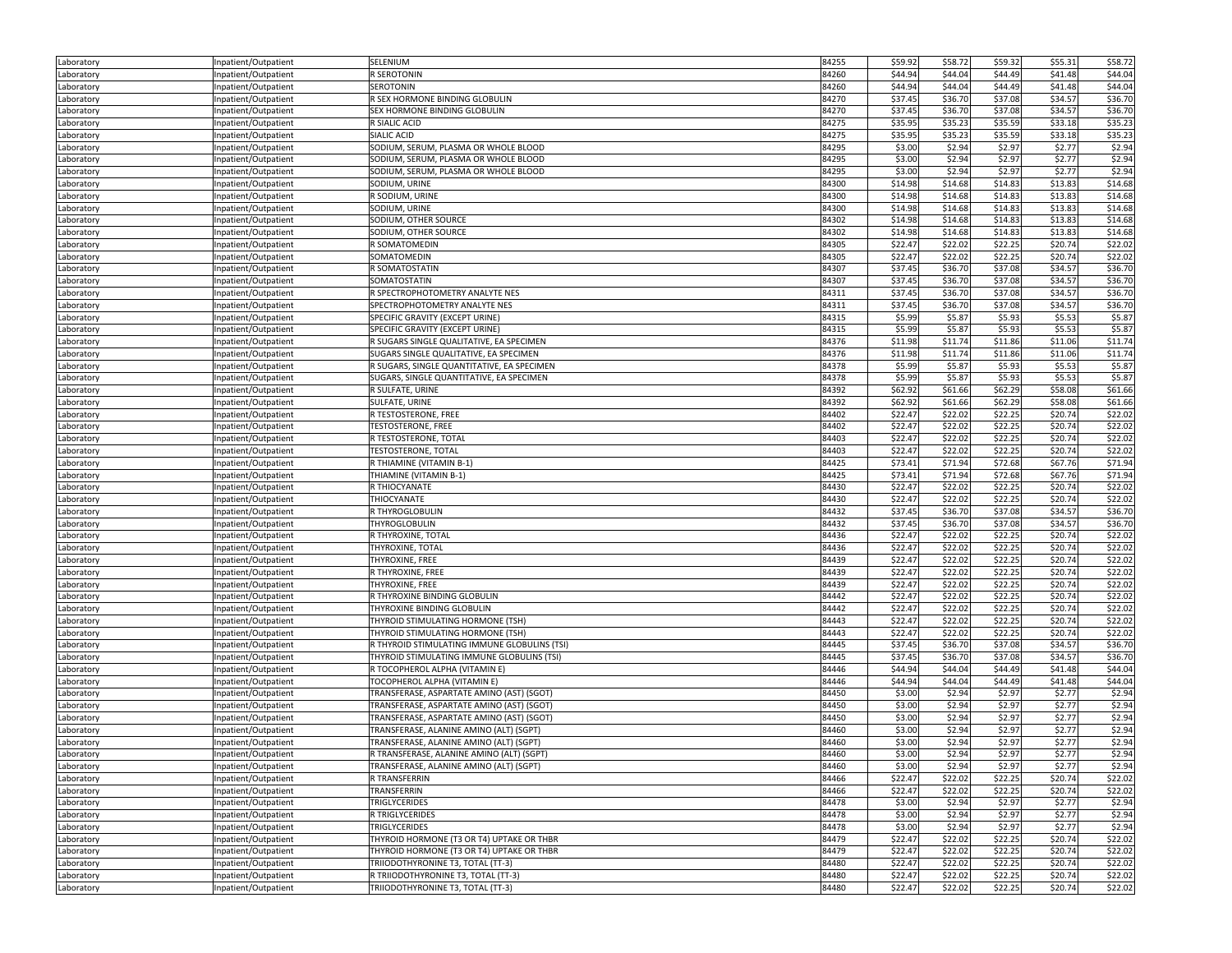| Laboratory               | Inpatient/Outpatient                         | SELENIUM                                     | 84255          | \$59.92            | \$58.72 | \$59.32 | \$55.31            | \$58.72            |
|--------------------------|----------------------------------------------|----------------------------------------------|----------------|--------------------|---------|---------|--------------------|--------------------|
| Laboratory               | Inpatient/Outpatient                         | R SEROTONIN                                  | 84260          | \$44.94            | \$44.04 | \$44.49 | \$41.48            | \$44.04            |
| Laboratory               | Inpatient/Outpatient                         | SEROTONIN                                    | 84260          | \$44.94            | \$44.04 | \$44.49 | \$41.48            | \$44.04            |
| Laboratory               | Inpatient/Outpatient                         | R SEX HORMONE BINDING GLOBULIN               | 84270          | \$37.45            | \$36.70 | \$37.08 | \$34.57            | \$36.70            |
| Laboratory               | Inpatient/Outpatient                         | SEX HORMONE BINDING GLOBULIN                 | 84270          | \$37.45            | \$36.70 | \$37.08 | \$34.57            | \$36.70            |
| Laboratory               | Inpatient/Outpatient                         | R SIALIC ACID                                | 84275          | \$35.95            | \$35.23 | \$35.59 | \$33.18            | \$35.23            |
| Laboratory               | Inpatient/Outpatient                         | SIALIC ACID                                  | 84275          | \$35.95            | \$35.23 | \$35.59 | \$33.18            | \$35.23            |
| Laboratory               | Inpatient/Outpatient                         | SODIUM, SERUM, PLASMA OR WHOLE BLOOD         | 84295          | \$3.00             | \$2.94  | \$2.97  | \$2.77             | \$2.94             |
| Laboratory               | Inpatient/Outpatient                         | SODIUM, SERUM, PLASMA OR WHOLE BLOOD         | 84295          | \$3.00             | \$2.94  | \$2.97  | \$2.77             | \$2.94             |
| Laboratory               | Inpatient/Outpatient                         | SODIUM, SERUM, PLASMA OR WHOLE BLOOD         | 84295          | \$3.00             | \$2.94  | \$2.97  | \$2.77             | \$2.94             |
| Laboratory               | Inpatient/Outpatient                         | SODIUM, URINE                                | 84300          | \$14.98            | \$14.68 | \$14.83 | \$13.83            | \$14.68            |
|                          | Inpatient/Outpatient                         | R SODIUM, URINE                              | 84300          | \$14.98            | \$14.68 | \$14.83 | \$13.83            | \$14.68            |
| Laboratory               | Inpatient/Outpatient                         | SODIUM, URINE                                | 84300          | \$14.98            | \$14.68 | \$14.83 | \$13.83            | \$14.68            |
| Laboratory               |                                              |                                              |                |                    |         |         |                    |                    |
| Laboratory               | Inpatient/Outpatient                         | SODIUM, OTHER SOURCE                         | 84302          | \$14.98            | \$14.68 | \$14.83 | \$13.83            | \$14.68            |
| Laboratory               | Inpatient/Outpatient                         | SODIUM, OTHER SOURCE                         | 84302<br>84305 | \$14.98            | \$14.68 | \$14.83 | \$13.83<br>\$20.74 | \$14.68<br>\$22.02 |
| Laboratory               | Inpatient/Outpatient                         | R SOMATOMEDIN                                |                | \$22.47<br>\$22.47 | \$22.02 | \$22.25 |                    |                    |
| Laboratory               | Inpatient/Outpatient                         | SOMATOMEDIN                                  | 84305          |                    | \$22.02 | \$22.25 | \$20.74            | \$22.02            |
| Laboratory               | Inpatient/Outpatient                         | R SOMATOSTATIN                               | 84307          | \$37.45            | \$36.70 | \$37.08 | \$34.57            | \$36.70            |
| Laboratory               | Inpatient/Outpatient                         | SOMATOSTATIN                                 | 84307          | \$37.45            | \$36.70 | \$37.08 | \$34.57            | \$36.70            |
| Laboratory               | Inpatient/Outpatient                         | R SPECTROPHOTOMETRY ANALYTE NES              | 84311          | \$37.45            | \$36.70 | \$37.08 | \$34.57            | \$36.70            |
| Laboratory               | Inpatient/Outpatient                         | SPECTROPHOTOMETRY ANALYTE NES                | 84311          | \$37.45            | \$36.70 | \$37.08 | \$34.57            | \$36.70            |
| Laboratory               | Inpatient/Outpatient                         | SPECIFIC GRAVITY (EXCEPT URINE)              | 84315          | \$5.99             | \$5.87  | \$5.93  | \$5.53             | \$5.87             |
| Laboratory               | Inpatient/Outpatient                         | SPECIFIC GRAVITY (EXCEPT URINE)              | 84315          | \$5.99             | \$5.87  | \$5.93  | \$5.53             | \$5.87             |
| Laboratory               | Inpatient/Outpatient                         | R SUGARS SINGLE QUALITATIVE, EA SPECIMEN     | 84376          | \$11.98            | \$11.74 | \$11.86 | \$11.06            | \$11.74            |
| Laboratory               | Inpatient/Outpatient                         | SUGARS SINGLE QUALITATIVE, EA SPECIMEN       | 84376          | \$11.98            | \$11.74 | \$11.86 | \$11.06            | \$11.74            |
| Laboratory               | Inpatient/Outpatient                         | R SUGARS, SINGLE QUANTITATIVE, EA SPECIMEN   | 84378          | \$5.99             | \$5.87  | \$5.93  | \$5.53             | \$5.87             |
| Laboratory               | Inpatient/Outpatient                         | SUGARS, SINGLE QUANTITATIVE, EA SPECIMEN     | 84378          | \$5.99             | \$5.87  | \$5.93  | \$5.53             | \$5.87             |
| Laboratory               | Inpatient/Outpatient                         | R SULFATE, URINE                             | 84392          | \$62.92            | \$61.66 | \$62.29 | \$58.08            | \$61.66            |
| Laboratory               | Inpatient/Outpatient                         | SULFATE, URINE                               | 84392          | \$62.92            | \$61.66 | \$62.29 | \$58.08            | \$61.66            |
| Laboratory               | Inpatient/Outpatient                         | R TESTOSTERONE, FREE                         | 84402          | \$22.47            | \$22.02 | \$22.25 | \$20.74            | \$22.02            |
| Laboratory               | Inpatient/Outpatient                         | <b>TESTOSTERONE, FREE</b>                    | 84402          | \$22.47            | \$22.02 | \$22.25 | \$20.74            | \$22.02            |
| Laboratory               | Inpatient/Outpatient                         | R TESTOSTERONE, TOTAL                        | 84403          | \$22.47            | \$22.02 | \$22.25 | \$20.74            | \$22.02            |
| Laboratory               | Inpatient/Outpatient                         | <b>TESTOSTERONE, TOTAL</b>                   | 84403          | \$22.47            | \$22.02 | \$22.25 | \$20.74            | \$22.02            |
| Laboratory               | Inpatient/Outpatient                         | R THIAMINE (VITAMIN B-1)                     | 84425          | \$73.41            | \$71.94 | \$72.68 | \$67.76            | \$71.94            |
| Laboratory               | Inpatient/Outpatient                         | THIAMINE (VITAMIN B-1)                       | 84425          | \$73.41            | \$71.94 | \$72.68 | \$67.76            | \$71.94            |
| Laboratory               | Inpatient/Outpatient                         | R THIOCYANATE                                | 84430          | \$22.47            | \$22.02 | \$22.25 | \$20.74            | \$22.02            |
| Laboratory               | Inpatient/Outpatient                         | THIOCYANATE                                  | 84430          | \$22.47            | \$22.02 | \$22.25 | \$20.74            | \$22.02            |
| Laboratory               | Inpatient/Outpatient                         | R THYROGLOBULIN                              | 84432          | \$37.45            | \$36.70 | \$37.08 | \$34.57            | \$36.70            |
| Laboratory               | Inpatient/Outpatient                         | THYROGLOBULIN                                | 84432          | \$37.45            | \$36.70 | \$37.08 | \$34.57            | \$36.70            |
| Laboratory               | Inpatient/Outpatient                         | R THYROXINE, TOTAL                           | 84436          | \$22.47            | \$22.02 | \$22.25 | \$20.74            | \$22.02            |
| Laboratory               | Inpatient/Outpatient                         | THYROXINE, TOTAL                             | 84436          | \$22.47            | \$22.02 | \$22.25 | \$20.74            | \$22.02            |
| Laboratory               | Inpatient/Outpatient                         | THYROXINE, FREE                              | 84439          | \$22.47            | \$22.02 | \$22.25 | \$20.74            | \$22.02            |
| Laboratory               | Inpatient/Outpatient                         | R THYROXINE, FREE                            | 84439          | \$22.47            | \$22.02 | \$22.25 | \$20.74            | \$22.02            |
| Laboratory               | Inpatient/Outpatient                         | THYROXINE, FREE                              | 84439          | \$22.47            | \$22.02 | \$22.25 | \$20.74            | \$22.02            |
| Laboratory               | Inpatient/Outpatient                         | R THYROXINE BINDING GLOBULIN                 | 84442          | \$22.47            | \$22.02 | \$22.25 | \$20.74            | \$22.02            |
| Laboratory               | Inpatient/Outpatient                         | THYROXINE BINDING GLOBULIN                   | 84442          | \$22.47            | \$22.02 | \$22.25 | \$20.74            | \$22.02            |
| Laboratory               | Inpatient/Outpatient                         | THYROID STIMULATING HORMONE (TSH)            | 84443          | \$22.47            | \$22.02 | \$22.25 | \$20.74            | \$22.02            |
| Laboratory               | Inpatient/Outpatient                         | THYROID STIMULATING HORMONE (TSH)            | 84443          | \$22.47            | \$22.02 | \$22.25 | \$20.74            | \$22.02            |
| Laboratory               | Inpatient/Outpatient                         | R THYROID STIMULATING IMMUNE GLOBULINS (TSI) | 84445          | \$37.45            | \$36.70 | \$37.08 | \$34.57            | \$36.70            |
| Laboratory               | Inpatient/Outpatient                         | THYROID STIMULATING IMMUNE GLOBULINS (TSI)   | 84445          | \$37.45            | \$36.70 | \$37.08 | \$34.57            | \$36.70            |
| Laboratory               | Inpatient/Outpatient                         | R TOCOPHEROL ALPHA (VITAMIN E)               | 84446          | \$44.94            | \$44.04 | \$44.49 | \$41.48            | \$44.04            |
| Laboratory               | Inpatient/Outpatient                         | TOCOPHEROL ALPHA (VITAMIN E)                 | 84446          | \$44.94            | \$44.04 | \$44.49 | \$41.48            | \$44.04            |
| Laboratory               | Inpatient/Outpatient                         | TRANSFERASE, ASPARTATE AMINO (AST) (SGOT)    | 84450          | \$3.00             | \$2.94  | \$2.97  | \$2.77             | \$2.94             |
| Laboratory               | Inpatient/Outpatient                         | TRANSFERASE, ASPARTATE AMINO (AST) (SGOT)    | 84450          | \$3.00             | \$2.94  | \$2.97  | \$2.77             | \$2.94             |
| Laboratory               | Inpatient/Outpatient                         | TRANSFERASE, ASPARTATE AMINO (AST) (SGOT)    | 84450          | \$3.00             | \$2.94  | \$2.97  | \$2.77             | \$2.94             |
| Laboratory               | Inpatient/Outpatient                         | TRANSFERASE, ALANINE AMINO (ALT) (SGPT)      | 84460          | \$3.00             | \$2.94  | \$2.97  | \$2.77             | \$2.94             |
| Laboratory               | Inpatient/Outpatient                         | TRANSFERASE, ALANINE AMINO (ALT) (SGPT)      | 84460          | \$3.00             | \$2.94  | \$2.97  | \$2.77             | \$2.94             |
|                          |                                              | R TRANSFERASE, ALANINE AMINO (ALT) (SGPT)    |                |                    | \$2.94  | \$2.97  | \$2.77             | \$2.94             |
| Laboratory<br>Laboratory | Inpatient/Outpatient<br>Inpatient/Outpatient | TRANSFERASE, ALANINE AMINO (ALT) (SGPT)      | 84460<br>84460 | \$3.00<br>\$3.00   | \$2.94  | \$2.97  | \$2.77             | \$2.94             |
|                          |                                              | R TRANSFERRIN                                | 84466          | \$22.47            | \$22.02 | \$22.25 | \$20.74            | \$22.02            |
| Laboratory<br>Laboratory | Inpatient/Outpatient<br>Inpatient/Outpatient | TRANSFERRIN                                  | 84466          | \$22.47            | \$22.02 | \$22.25 | \$20.74            | \$22.02            |
|                          |                                              | TRIGLYCERIDES                                | 84478          | \$3.00             | \$2.94  | \$2.97  | \$2.77             |                    |
| Laboratory               | Inpatient/Outpatient                         |                                              | 84478          |                    |         |         |                    | \$2.94             |
| Laboratory               | Inpatient/Outpatient                         | R TRIGLYCERIDES                              |                | \$3.00             | \$2.94  | \$2.97  | \$2.77             | \$2.94             |
| Laboratory               | Inpatient/Outpatient                         | TRIGLYCERIDES                                | 84478          | \$3.00             | \$2.94  | \$2.97  | \$2.77             | \$2.94             |
| Laboratory               | Inpatient/Outpatient                         | THYROID HORMONE (T3 OR T4) UPTAKE OR THBR    | 84479          | \$22.47            | \$22.02 | \$22.25 | \$20.74            | \$22.02            |
| Laboratory               | Inpatient/Outpatient                         | THYROID HORMONE (T3 OR T4) UPTAKE OR THBR    | 84479          | \$22.47            | \$22.02 | \$22.25 | \$20.74            | \$22.02            |
| Laboratory               | Inpatient/Outpatient                         | TRIIODOTHYRONINE T3, TOTAL (TT-3)            | 84480          | \$22.47            | \$22.02 | \$22.25 | \$20.74            | \$22.02            |
| Laboratory               | Inpatient/Outpatient                         | R TRIIODOTHYRONINE T3, TOTAL (TT-3)          | 84480          | \$22.47            | \$22.02 | \$22.25 | \$20.74            | \$22.02            |
| Laboratory               | Inpatient/Outpatient                         | TRIIODOTHYRONINE T3, TOTAL (TT-3)            | 84480          | \$22.47            | \$22.02 | \$22.25 | \$20.74            | \$22.02            |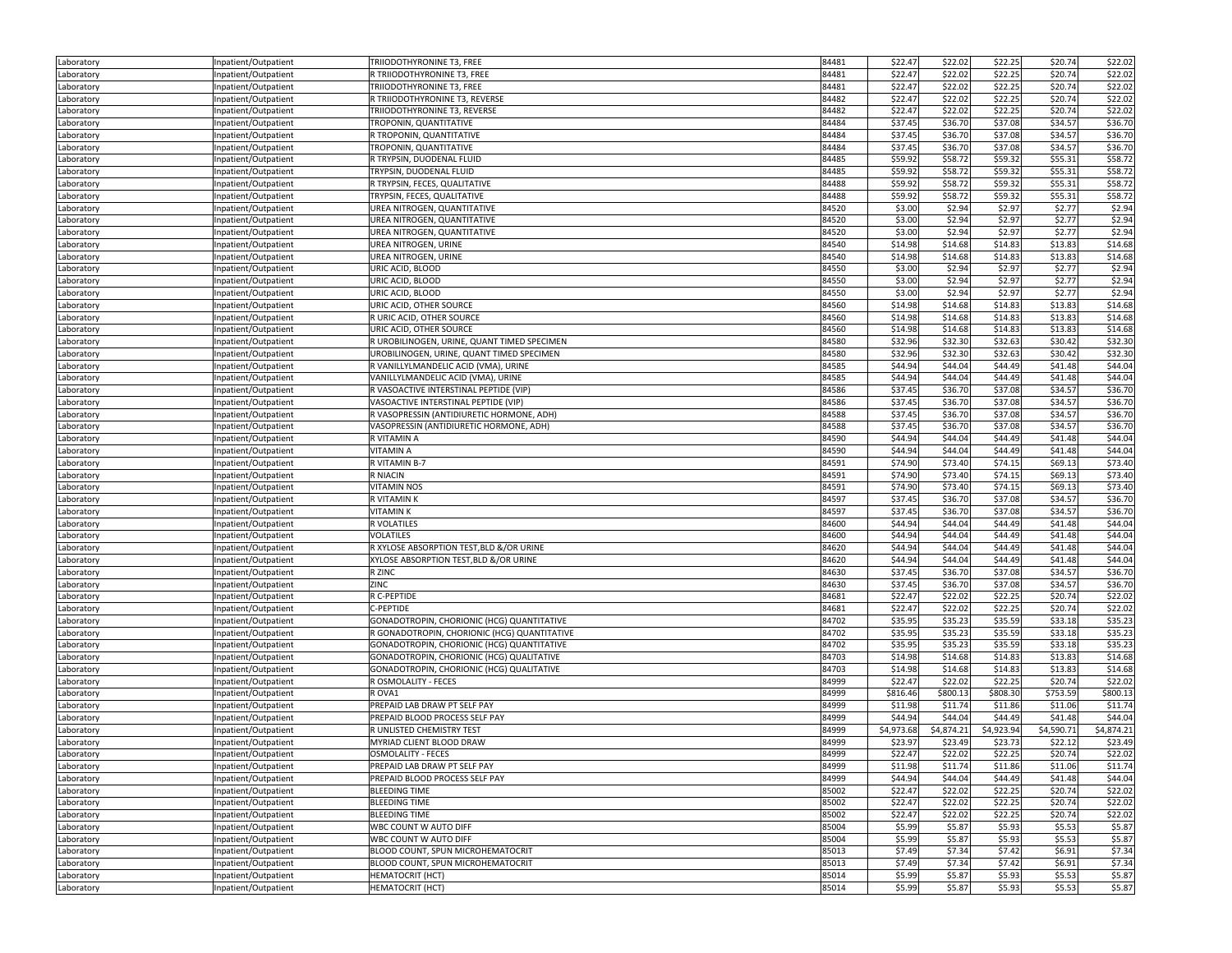| Laboratory               | Inpatient/Outpatient                         | TRIIODOTHYRONINE T3, FREE                    | 84481 | \$22.47    | \$22.02    | \$22.25    | \$20.74    | \$22.02    |
|--------------------------|----------------------------------------------|----------------------------------------------|-------|------------|------------|------------|------------|------------|
| Laboratory               | Inpatient/Outpatient                         | R TRIIODOTHYRONINE T3, FREE                  | 84481 | \$22.47    | \$22.02    | \$22.25    | \$20.74    | \$22.02    |
| Laboratory               | Inpatient/Outpatient                         | TRIIODOTHYRONINE T3, FREE                    | 84481 | \$22.47    | \$22.02    | \$22.25    | \$20.74    | \$22.02    |
| Laboratory               | Inpatient/Outpatient                         | R TRIIODOTHYRONINE T3, REVERSE               | 84482 | \$22.47    | \$22.02    | \$22.25    | \$20.74    | \$22.02    |
| Laboratory               | Inpatient/Outpatient                         | TRIIODOTHYRONINE T3, REVERSE                 | 84482 | \$22.47    | \$22.02    | \$22.25    | \$20.74    | \$22.02    |
| Laboratory               | Inpatient/Outpatient                         | TROPONIN, QUANTITATIVE                       | 84484 | \$37.45    | \$36.70    | \$37.08    | \$34.57    | \$36.70    |
| Laboratory               | Inpatient/Outpatient                         | R TROPONIN, QUANTITATIVE                     | 84484 | \$37.45    | \$36.70    | \$37.08    | \$34.57    | \$36.70    |
| Laboratory               | npatient/Outpatient                          | TROPONIN, QUANTITATIVE                       | 84484 | \$37.45    | \$36.70    | \$37.08    | \$34.57    | \$36.70    |
| Laboratory               | Inpatient/Outpatient                         | R TRYPSIN, DUODENAL FLUID                    | 84485 | \$59.92    | \$58.72    | \$59.32    | \$55.31    | \$58.72    |
| Laboratory               | Inpatient/Outpatient                         | TRYPSIN, DUODENAL FLUID                      | 84485 | \$59.92    | \$58.72    | \$59.32    | \$55.31    | \$58.72    |
| Laboratory               | Inpatient/Outpatient                         | R TRYPSIN, FECES, QUALITATIVE                | 84488 | \$59.92    | \$58.72    | \$59.32    | \$55.31    | \$58.72    |
| Laboratory               | Inpatient/Outpatient                         | TRYPSIN, FECES, QUALITATIVE                  | 84488 | \$59.92    | \$58.72    | \$59.32    | \$55.31    | \$58.72    |
| Laboratory               | Inpatient/Outpatient                         | UREA NITROGEN, QUANTITATIVE                  | 84520 | \$3.00     | \$2.94     | \$2.97     | \$2.77     | \$2.94     |
| Laboratory               |                                              | UREA NITROGEN, QUANTITATIVE                  | 84520 | \$3.00     | \$2.94     | \$2.97     | \$2.77     | \$2.94     |
|                          | Inpatient/Outpatient<br>Inpatient/Outpatient | UREA NITROGEN, QUANTITATIVE                  | 84520 | \$3.00     | \$2.94     | \$2.97     | \$2.77     | \$2.94     |
| Laboratory<br>Laboratory | Inpatient/Outpatient                         | UREA NITROGEN, URINE                         | 84540 | \$14.98    | \$14.68    | \$14.83    | \$13.83    | \$14.68    |
|                          |                                              | UREA NITROGEN, URINE                         | 84540 | \$14.98    | \$14.68    | \$14.83    | \$13.83    | \$14.68    |
| Laboratory               | Inpatient/Outpatient                         |                                              | 84550 | \$3.00     | \$2.94     | \$2.97     | \$2.77     |            |
| Laboratory               | Inpatient/Outpatient                         | URIC ACID, BLOOD                             |       |            |            |            |            | \$2.94     |
| Laboratory               | Inpatient/Outpatient                         | URIC ACID, BLOOD                             | 84550 | \$3.00     | \$2.94     | \$2.97     | \$2.77     | \$2.94     |
| Laboratory               | Inpatient/Outpatient                         | URIC ACID, BLOOD                             | 84550 | \$3.00     | \$2.94     | \$2.97     | \$2.77     | \$2.94     |
| Laboratory               | Inpatient/Outpatient                         | URIC ACID, OTHER SOURCE                      | 84560 | \$14.98    | \$14.68    | \$14.83    | \$13.83    | \$14.68    |
| Laboratory               | Inpatient/Outpatient                         | R URIC ACID, OTHER SOURCE                    | 84560 | \$14.98    | \$14.68    | \$14.83    | \$13.83    | \$14.68    |
| Laboratory               | Inpatient/Outpatient                         | URIC ACID, OTHER SOURCE                      | 84560 | \$14.98    | \$14.68    | \$14.83    | \$13.83    | \$14.68    |
| Laboratory               | Inpatient/Outpatient                         | R UROBILINOGEN, URINE, QUANT TIMED SPECIMEN  | 84580 | \$32.96    | \$32.30    | \$32.63    | \$30.42    | \$32.30    |
| Laboratory               | Inpatient/Outpatient                         | UROBILINOGEN, URINE, QUANT TIMED SPECIMEN    | 84580 | \$32.96    | \$32.30    | \$32.63    | \$30.42    | \$32.30    |
| Laboratory               | Inpatient/Outpatient                         | R VANILLYLMANDELIC ACID (VMA), URINE         | 84585 | \$44.94    | \$44.04    | \$44.49    | \$41.48    | \$44.04    |
| Laboratory               | Inpatient/Outpatient                         | VANILLYLMANDELIC ACID (VMA), URINE           | 84585 | \$44.94    | \$44.04    | \$44.49    | \$41.48    | \$44.04    |
| Laboratory               | Inpatient/Outpatient                         | R VASOACTIVE INTERSTINAL PEPTIDE (VIP)       | 84586 | \$37.45    | \$36.70    | \$37.08    | \$34.57    | \$36.70    |
| Laboratory               | Inpatient/Outpatient                         | VASOACTIVE INTERSTINAL PEPTIDE (VIP)         | 84586 | \$37.45    | \$36.70    | \$37.08    | \$34.57    | \$36.70    |
| Laboratory               | Inpatient/Outpatient                         | R VASOPRESSIN (ANTIDIURETIC HORMONE, ADH)    | 84588 | \$37.45    | \$36.70    | \$37.08    | \$34.57    | \$36.70    |
| Laboratory               | Inpatient/Outpatient                         | VASOPRESSIN (ANTIDIURETIC HORMONE, ADH)      | 84588 | \$37.45    | \$36.70    | \$37.08    | \$34.57    | \$36.70    |
| Laboratory               | Inpatient/Outpatient                         | R VITAMIN A                                  | 84590 | \$44.94    | \$44.04    | \$44.49    | \$41.48    | \$44.04    |
| Laboratory               | Inpatient/Outpatient                         | VITAMIN A                                    | 84590 | \$44.94    | \$44.04    | \$44.49    | \$41.48    | \$44.04    |
| Laboratory               | Inpatient/Outpatient                         | R VITAMIN B-7                                | 84591 | \$74.90    | \$73.40    | \$74.15    | \$69.13    | \$73.40    |
| Laboratory               | Inpatient/Outpatient                         | R NIACIN                                     | 84591 | \$74.90    | \$73.40    | \$74.15    | \$69.13    | \$73.40    |
| Laboratory               | Inpatient/Outpatient                         | <b>VITAMIN NOS</b>                           | 84591 | \$74.90    | \$73.40    | \$74.15    | \$69.13    | \$73.40    |
| Laboratory               | Inpatient/Outpatient                         | R VITAMIN K                                  | 84597 | \$37.45    | \$36.70    | \$37.08    | \$34.57    | \$36.70    |
| Laboratory               | npatient/Outpatient                          | <b>VITAMINK</b>                              | 84597 | \$37.45    | \$36.70    | \$37.08    | \$34.57    | \$36.70    |
| Laboratory               | Inpatient/Outpatient                         | R VOLATILES                                  | 84600 | \$44.94    | \$44.04    | \$44.49    | \$41.48    | \$44.04    |
| Laboratory               | Inpatient/Outpatient                         | <b>VOLATILES</b>                             | 84600 | \$44.94    | \$44.04    | \$44.49    | \$41.48    | \$44.04    |
| Laboratory               | Inpatient/Outpatient                         | R XYLOSE ABSORPTION TEST, BLD &/OR URINE     | 84620 | \$44.94    | \$44.04    | \$44.49    | \$41.48    | \$44.04    |
| Laboratory               | Inpatient/Outpatient                         | XYLOSE ABSORPTION TEST, BLD &/OR URINE       | 84620 | \$44.94    | \$44.04    | \$44.49    | \$41.48    | \$44.04    |
| Laboratory               | Inpatient/Outpatient                         | R ZINC                                       | 84630 | \$37.45    | \$36.70    | \$37.08    | \$34.57    | \$36.70    |
| Laboratory               | Inpatient/Outpatient                         | ZINC                                         | 84630 | \$37.45    | \$36.70    | \$37.08    | \$34.57    | \$36.70    |
| Laboratory               | Inpatient/Outpatient                         | R C-PEPTIDE                                  | 84681 | \$22.47    | \$22.02    | \$22.25    | \$20.74    | \$22.02    |
| Laboratory               | Inpatient/Outpatient                         | C-PEPTIDE                                    | 84681 | \$22.47    | \$22.02    | \$22.25    | \$20.74    | \$22.02    |
| Laboratory               | Inpatient/Outpatient                         | GONADOTROPIN, CHORIONIC (HCG) QUANTITATIVE   | 84702 | \$35.95    | \$35.23    | \$35.59    | \$33.18    | \$35.23    |
| Laboratory               | Inpatient/Outpatient                         | R GONADOTROPIN, CHORIONIC (HCG) QUANTITATIVE | 84702 | \$35.95    | \$35.23    | \$35.59    | \$33.18    | \$35.23    |
| Laboratory               | Inpatient/Outpatient                         | GONADOTROPIN, CHORIONIC (HCG) QUANTITATIVE   | 84702 | \$35.95    | \$35.23    | \$35.59    | \$33.18    | \$35.23    |
| Laboratory               | Inpatient/Outpatient                         | GONADOTROPIN, CHORIONIC (HCG) QUALITATIVE    | 84703 | \$14.98    | \$14.68    | \$14.83    | \$13.83    | \$14.68    |
| Laboratory               | Inpatient/Outpatient                         | GONADOTROPIN, CHORIONIC (HCG) QUALITATIVE    | 84703 | \$14.98    | \$14.68    | \$14.83    | \$13.83    | \$14.68    |
| Laboratory               | Inpatient/Outpatient                         | R OSMOLALITY - FECES                         | 84999 | \$22.47    | \$22.02    | \$22.25    | \$20.74    | \$22.02    |
| Laboratory               | Inpatient/Outpatient                         | R OVA1                                       | 84999 | \$816.46   | \$800.13   | \$808.30   | \$753.59   | \$800.13   |
| Laboratory               | Inpatient/Outpatient                         | PREPAID LAB DRAW PT SELF PAY                 | 84999 | \$11.98    | \$11.74    | \$11.86    | \$11.06    | \$11.74    |
|                          | Inpatient/Outpatient                         | PREPAID BLOOD PROCESS SELF PAY               | 84999 | \$44.94    | \$44.04    | \$44.49    | \$41.48    | \$44.04    |
| Laboratory<br>Laboratory | Inpatient/Outpatient                         | R UNLISTED CHEMISTRY TEST                    | 84999 | \$4,973.68 | \$4,874.21 | \$4,923.94 | \$4,590.71 | \$4,874.21 |
|                          |                                              | MYRIAD CLIENT BLOOD DRAW                     | 84999 | \$23.97    | \$23.49    | \$23.73    | \$22.12    | \$23.49    |
| Laboratory               | Inpatient/Outpatient                         |                                              |       | \$22.47    | \$22.02    | \$22.25    | \$20.74    | \$22.02    |
| Laboratory               | Inpatient/Outpatient                         | OSMOLALITY - FECES                           | 84999 |            |            |            |            |            |
| Laboratory               | Inpatient/Outpatient                         | PREPAID LAB DRAW PT SELF PAY                 | 84999 | \$11.98    | \$11.74    | \$11.86    | \$11.06    | \$11.74    |
| Laboratory               | Inpatient/Outpatient                         | PREPAID BLOOD PROCESS SELF PAY               | 84999 | \$44.94    | \$44.04    | \$44.49    | \$41.48    | \$44.04    |
| Laboratory               | Inpatient/Outpatient                         | <b>BLEEDING TIME</b>                         | 85002 | \$22.47    | \$22.02    | \$22.25    | \$20.74    | \$22.02    |
| Laboratory               | Inpatient/Outpatient                         | <b>BLEEDING TIME</b>                         | 85002 | \$22.47    | \$22.02    | \$22.25    | \$20.74    | \$22.02    |
| Laboratory               | Inpatient/Outpatient                         | <b>BLEEDING TIME</b>                         | 85002 | \$22.47    | \$22.02    | \$22.25    | \$20.74    | \$22.02    |
| Laboratory               | Inpatient/Outpatient                         | WBC COUNT W AUTO DIFF                        | 85004 | \$5.99     | \$5.87     | \$5.93     | \$5.53     | \$5.87     |
| Laboratory               | Inpatient/Outpatient                         | WBC COUNT W AUTO DIFF                        | 85004 | \$5.99     | \$5.87     | \$5.93     | \$5.53     | \$5.87     |
| Laboratory               | Inpatient/Outpatient                         | BLOOD COUNT, SPUN MICROHEMATOCRIT            | 85013 | \$7.49     | \$7.34     | \$7.42     | \$6.91     | \$7.34     |
| Laboratory               | Inpatient/Outpatient                         | BLOOD COUNT, SPUN MICROHEMATOCRIT            | 85013 | \$7.49     | \$7.34     | \$7.42     | \$6.91     | \$7.34     |
| Laboratory               | Inpatient/Outpatient                         | <b>HEMATOCRIT (HCT)</b>                      | 85014 | \$5.99     | \$5.87     | \$5.93     | \$5.53     | \$5.87     |
| Laboratory               | Inpatient/Outpatient                         | <b>HEMATOCRIT (HCT)</b>                      | 85014 | \$5.99     | \$5.87     | \$5.93     | \$5.53     | \$5.87     |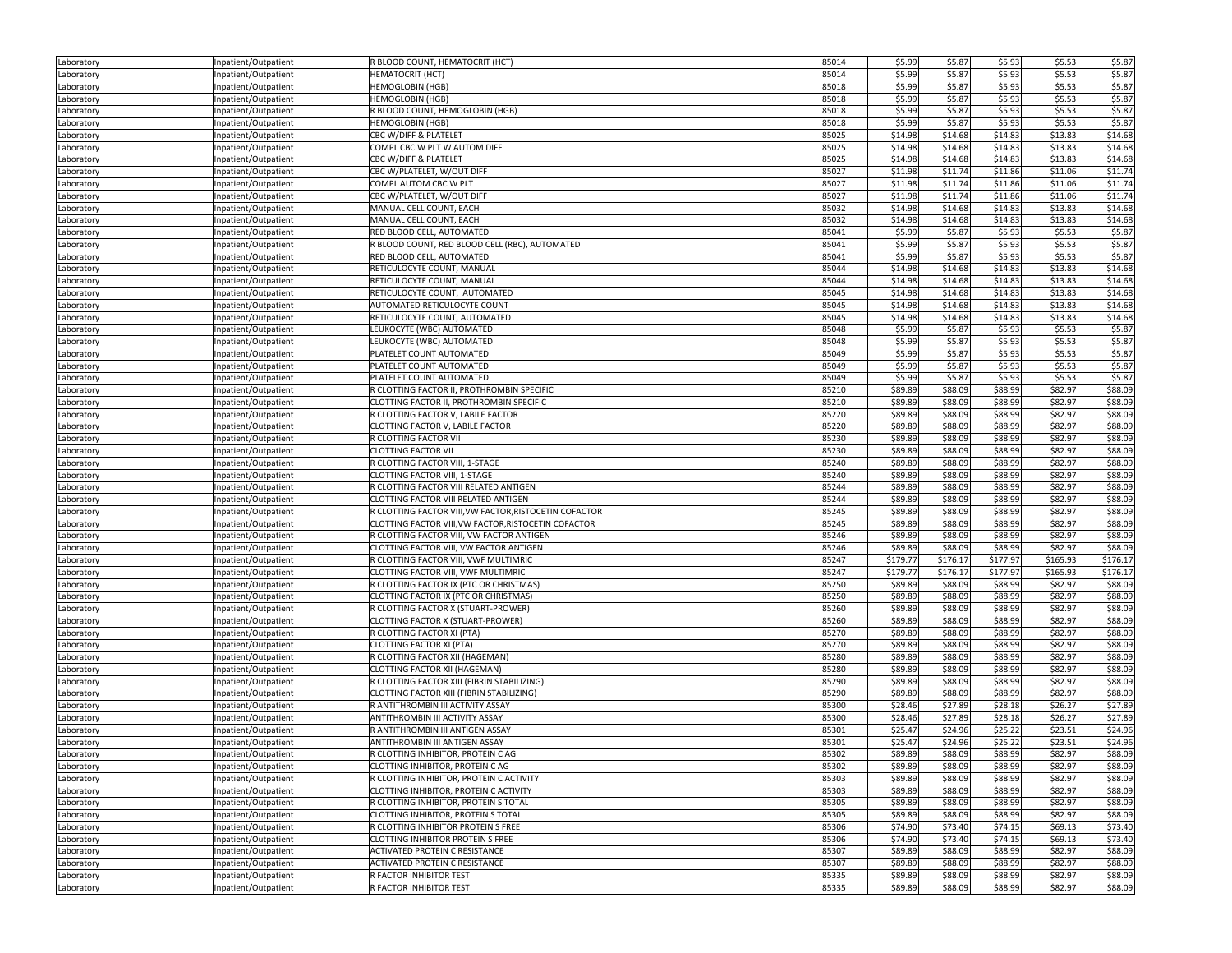| Laboratory | Inpatient/Outpatient | R BLOOD COUNT, HEMATOCRIT (HCT)                        | 85014 | \$5.99             | \$5.87             | \$5.93             | \$5.53             | \$5.87             |
|------------|----------------------|--------------------------------------------------------|-------|--------------------|--------------------|--------------------|--------------------|--------------------|
| Laboratory | Inpatient/Outpatient | <b>HEMATOCRIT (HCT)</b>                                | 85014 | \$5.99             | \$5.87             | \$5.93             | \$5.53             | \$5.87             |
| Laboratory | Inpatient/Outpatient | <b>HEMOGLOBIN (HGB)</b>                                | 85018 | \$5.99             | \$5.87             | \$5.93             | \$5.53             | \$5.87             |
| Laboratory | Inpatient/Outpatient | <b>HEMOGLOBIN (HGB)</b>                                | 85018 | \$5.99             | \$5.87             | \$5.93             | \$5.53             | \$5.87             |
| Laboratory | Inpatient/Outpatient | R BLOOD COUNT, HEMOGLOBIN (HGB)                        | 85018 | \$5.99             | \$5.87             | \$5.93             | \$5.53             | \$5.87             |
| Laboratory | Inpatient/Outpatient | <b>HEMOGLOBIN (HGB)</b>                                | 85018 | \$5.99             | \$5.87             | \$5.93             | \$5.53             | \$5.87             |
| Laboratory | Inpatient/Outpatient | CBC W/DIFF & PLATELET                                  | 85025 | \$14.98            | \$14.68            | \$14.83            | \$13.83            | \$14.68            |
|            |                      | COMPL CBC W PLT W AUTOM DIFF                           | 85025 | \$14.98            | \$14.68            | \$14.83            | \$13.83            | \$14.68            |
| Laboratory | Inpatient/Outpatient |                                                        |       |                    |                    | \$14.83            |                    |                    |
| Laboratory | Inpatient/Outpatient | CBC W/DIFF & PLATELET                                  | 85025 | \$14.98            | \$14.68            |                    | \$13.83            | \$14.68            |
| Laboratory | Inpatient/Outpatient | CBC W/PLATELET, W/OUT DIFF                             | 85027 | \$11.98            | \$11.74            | \$11.86            | \$11.06            | \$11.74            |
| Laboratory | Inpatient/Outpatient | COMPL AUTOM CBC W PLT                                  | 85027 | \$11.98            | \$11.74            | \$11.86            | \$11.06            | \$11.74            |
| Laboratory | Inpatient/Outpatient | CBC W/PLATELET, W/OUT DIFF                             | 85027 | \$11.98            | \$11.74            | \$11.86            | \$11.06            | \$11.74            |
| Laboratory | Inpatient/Outpatient | MANUAL CELL COUNT, EACH                                | 85032 | \$14.98            | \$14.68            | \$14.83            | \$13.83            | \$14.68            |
| Laboratory | Inpatient/Outpatient | MANUAL CELL COUNT, EACH                                | 85032 | \$14.98            | \$14.68            | \$14.83            | \$13.83            | \$14.68            |
| Laboratory | Inpatient/Outpatient | RED BLOOD CELL, AUTOMATED                              | 85041 | \$5.99             | \$5.87             | \$5.93             | \$5.53             | \$5.87             |
| Laboratory | Inpatient/Outpatient | R BLOOD COUNT, RED BLOOD CELL (RBC), AUTOMATED         | 85041 | \$5.99             | \$5.87             | \$5.93             | \$5.53             | \$5.87             |
| Laboratory | Inpatient/Outpatient | RED BLOOD CELL, AUTOMATED                              | 85041 | \$5.99             | \$5.87             | \$5.93             | \$5.53             | \$5.87             |
| Laboratory | Inpatient/Outpatient | RETICULOCYTE COUNT, MANUAL                             | 85044 | \$14.98            | \$14.68            | \$14.83            | \$13.83            | \$14.68            |
| Laboratory | Inpatient/Outpatient | RETICULOCYTE COUNT, MANUAL                             | 85044 | \$14.98            | \$14.68            | \$14.83            | \$13.83            | \$14.68            |
| Laboratory | Inpatient/Outpatient | RETICULOCYTE COUNT, AUTOMATED                          | 85045 | \$14.98            | \$14.68            | \$14.83            | \$13.83            | \$14.68            |
| Laboratory | Inpatient/Outpatient | AUTOMATED RETICULOCYTE COUNT                           | 85045 | \$14.98            | \$14.68            | \$14.83            | \$13.83            | \$14.68            |
| Laboratory | Inpatient/Outpatient | RETICULOCYTE COUNT, AUTOMATED                          | 85045 | \$14.98            | \$14.68            | \$14.83            | \$13.83            | \$14.68            |
| Laboratory | Inpatient/Outpatient | LEUKOCYTE (WBC) AUTOMATED                              | 85048 | \$5.99             | \$5.87             | \$5.93             | \$5.53             | \$5.87             |
| Laboratory | Inpatient/Outpatient | LEUKOCYTE (WBC) AUTOMATED                              | 85048 | \$5.99             | \$5.87             | \$5.93             | \$5.53             | \$5.87             |
| Laboratory | Inpatient/Outpatient | PLATELET COUNT AUTOMATED                               | 85049 | \$5.99             | \$5.87             | \$5.93             | \$5.53             | \$5.87             |
| Laboratory | Inpatient/Outpatient | PLATELET COUNT AUTOMATED                               | 85049 | \$5.99             | \$5.87             | \$5.93             | \$5.53             | \$5.87             |
|            |                      | PLATELET COUNT AUTOMATED                               | 85049 | \$5.99             | \$5.87             | \$5.93             | \$5.53             | \$5.87             |
| Laboratory | Inpatient/Outpatient | R CLOTTING FACTOR II. PROTHROMBIN SPECIFIC             | 85210 | \$89.89            | \$88.09            | \$88.99            | \$82.97            |                    |
| Laboratory | Inpatient/Outpatient |                                                        |       |                    |                    |                    |                    | \$88.09            |
| Laboratory | Inpatient/Outpatient | CLOTTING FACTOR II, PROTHROMBIN SPECIFIC               | 85210 | \$89.89            | \$88.09            | \$88.99            | \$82.97            | \$88.09            |
| Laboratory | Inpatient/Outpatient | R CLOTTING FACTOR V, LABILE FACTOR                     | 85220 | \$89.89            | \$88.09            | \$88.99            | \$82.97            | \$88.09            |
| Laboratory | Inpatient/Outpatient | CLOTTING FACTOR V, LABILE FACTOR                       | 85220 | \$89.89            | \$88.09            | \$88.99            | \$82.97            | \$88.09            |
| Laboratory | Inpatient/Outpatient | R CLOTTING FACTOR VII                                  | 85230 | \$89.89            | \$88.09            | \$88.99            | \$82.97            | \$88.09            |
| Laboratory | Inpatient/Outpatient | <b>CLOTTING FACTOR VII</b>                             | 85230 | \$89.89            | \$88.09            | \$88.99            | \$82.97            | \$88.09            |
| Laboratory | Inpatient/Outpatient | R CLOTTING FACTOR VIII, 1-STAGE                        | 85240 | \$89.89            | \$88.09            | \$88.99            | \$82.97            | \$88.09            |
| Laboratory | Inpatient/Outpatient | CLOTTING FACTOR VIII, 1-STAGE                          | 85240 | \$89.89            | \$88.09            | \$88.99            | \$82.97            | \$88.09            |
| Laboratory | Inpatient/Outpatient | R CLOTTING FACTOR VIII RELATED ANTIGEN                 | 85244 | \$89.89            | \$88.09            | \$88.99            | \$82.97            | \$88.09            |
| Laboratory | Inpatient/Outpatient | CLOTTING FACTOR VIII RELATED ANTIGEN                   | 85244 | \$89.89            | \$88.09            | \$88.99            | \$82.97            | \$88.09            |
| Laboratory | Inpatient/Outpatient | R CLOTTING FACTOR VIII, VW FACTOR, RISTOCETIN COFACTOR | 85245 | \$89.89            | \$88.09            | \$88.99            | \$82.97            | \$88.09            |
| Laboratory | Inpatient/Outpatient | CLOTTING FACTOR VIII, VW FACTOR, RISTOCETIN COFACTOR   | 85245 | \$89.89            | \$88.09            | \$88.99            | \$82.97            | \$88.09            |
| Laboratory | Inpatient/Outpatient | R CLOTTING FACTOR VIII, VW FACTOR ANTIGEN              | 85246 | \$89.89            | \$88.09            | \$88.99            | \$82.97            | \$88.09            |
| Laboratory | Inpatient/Outpatient | CLOTTING FACTOR VIII, VW FACTOR ANTIGEN                | 85246 | \$89.89            | \$88.09            | \$88.99            | \$82.97            | \$88.09            |
| Laboratory | Inpatient/Outpatient | R CLOTTING FACTOR VIII, VWF MULTIMRIC                  | 85247 | \$179.77           | \$176.17           | \$177.97           | \$165.93           | \$176.17           |
| Laboratory | Inpatient/Outpatient | CLOTTING FACTOR VIII, VWF MULTIMRIC                    | 85247 | \$179.77           | \$176.17           | \$177.97           | \$165.93           | \$176.17           |
| Laboratory | Inpatient/Outpatient | R CLOTTING FACTOR IX (PTC OR CHRISTMAS)                | 85250 | \$89.89            | \$88.09            | \$88.99            | \$82.97            | \$88.09            |
| Laboratory | Inpatient/Outpatient | CLOTTING FACTOR IX (PTC OR CHRISTMAS)                  | 85250 | \$89.89            | \$88.09            | \$88.99            | \$82.97            | \$88.09            |
| Laboratory | Inpatient/Outpatient | R CLOTTING FACTOR X (STUART-PROWER)                    | 85260 | \$89.89            | \$88.09            | \$88.99            | \$82.97            | \$88.09            |
|            |                      | CLOTTING FACTOR X (STUART-PROWER)                      | 85260 | \$89.89            | \$88.09            | \$88.99            | \$82.97            | \$88.09            |
| Laboratory | Inpatient/Outpatient |                                                        |       |                    |                    |                    |                    |                    |
| Laboratory | Inpatient/Outpatient | R CLOTTING FACTOR XI (PTA)                             | 85270 | \$89.89<br>\$89.89 | \$88.09<br>\$88.09 | \$88.99<br>\$88.99 | \$82.97<br>\$82.97 | \$88.09<br>\$88.09 |
| Laboratory | Inpatient/Outpatient | <b>CLOTTING FACTOR XI (PTA)</b>                        | 85270 |                    |                    |                    |                    |                    |
| Laboratory | Inpatient/Outpatient | R CLOTTING FACTOR XII (HAGEMAN)                        | 85280 | \$89.89            | \$88.09            | \$88.99            | \$82.97            | \$88.09            |
| Laboratory | Inpatient/Outpatient | CLOTTING FACTOR XII (HAGEMAN)                          | 85280 | \$89.89            | \$88.09            | \$88.99            | \$82.97            | \$88.09            |
| Laboratory | Inpatient/Outpatient | R CLOTTING FACTOR XIII (FIBRIN STABILIZING)            | 85290 | \$89.89            | \$88.09            | \$88.99            | \$82.97            | \$88.09            |
| Laboratory | Inpatient/Outpatient | CLOTTING FACTOR XIII (FIBRIN STABILIZING)              | 85290 | \$89.89            | \$88.09            | \$88.99            | \$82.97            | \$88.09            |
| Laboratory | Inpatient/Outpatient | R ANTITHROMBIN III ACTIVITY ASSAY                      | 85300 | \$28.46            | \$27.89            | \$28.18            | \$26.27            | \$27.89            |
| Laboratory | Inpatient/Outpatient | ANTITHROMBIN III ACTIVITY ASSAY                        | 85300 | \$28.46            | \$27.89            | \$28.18            | \$26.27            | \$27.89            |
| Laboratory | Inpatient/Outpatient | R ANTITHROMBIN III ANTIGEN ASSAY                       | 85301 | \$25.47            | \$24.96            | \$25.22            | \$23.51            | \$24.96            |
| Laboratory | Inpatient/Outpatient | ANTITHROMBIN III ANTIGEN ASSAY                         | 85301 | \$25.47            | \$24.96            | \$25.22            | \$23.51            | \$24.96            |
| Laboratory | Inpatient/Outpatient | R CLOTTING INHIBITOR, PROTEIN C AG                     | 85302 | \$89.89            | \$88.09            | \$88.99            | \$82.97            | \$88.09            |
| Laboratory | Inpatient/Outpatient | CLOTTING INHIBITOR, PROTEIN C AG                       | 85302 | \$89.89            | \$88.09            | \$88.99            | \$82.97            | \$88.09            |
| Laboratory | Inpatient/Outpatient | R CLOTTING INHIBITOR, PROTEIN C ACTIVITY               | 85303 | \$89.89            | \$88.09            | \$88.99            | \$82.97            | \$88.09            |
| Laboratory | Inpatient/Outpatient | CLOTTING INHIBITOR, PROTEIN C ACTIVITY                 | 85303 | \$89.89            | \$88.09            | \$88.99            | \$82.97            | \$88.09            |
| Laboratory | Inpatient/Outpatient | R CLOTTING INHIBITOR, PROTEIN S TOTAL                  | 85305 | \$89.89            | \$88.09            | \$88.99            | \$82.97            | \$88.09            |
| Laboratory | Inpatient/Outpatient | CLOTTING INHIBITOR, PROTEIN S TOTAL                    | 85305 | \$89.89            | \$88.09            | \$88.99            | \$82.97            | \$88.09            |
| Laboratory | Inpatient/Outpatient | R CLOTTING INHIBITOR PROTEIN S FREE                    | 85306 | \$74.90            | \$73.40            | \$74.15            | \$69.13            | \$73.40            |
| Laboratory | Inpatient/Outpatient | CLOTTING INHIBITOR PROTEIN S FREE                      | 85306 | \$74.90            | \$73.40            | \$74.15            | \$69.13            | \$73.40            |
| Laboratory | Inpatient/Outpatient | ACTIVATED PROTEIN C RESISTANCE                         | 85307 | \$89.89            | \$88.09            | \$88.99            | \$82.97            | \$88.09            |
|            | Inpatient/Outpatient | ACTIVATED PROTEIN C RESISTANCE                         | 85307 | \$89.89            | \$88.09            | \$88.99            | \$82.97            | \$88.09            |
| Laboratory | Inpatient/Outpatient | R FACTOR INHIBITOR TEST                                | 85335 | \$89.89            | \$88.09            | \$88.99            | \$82.97            | \$88.09            |
| Laboratory |                      |                                                        |       |                    |                    |                    |                    |                    |
| Laboratory | Inpatient/Outpatient | R FACTOR INHIBITOR TEST                                | 85335 | \$89.89            | \$88.09            | \$88.99            | \$82.97            | \$88.09            |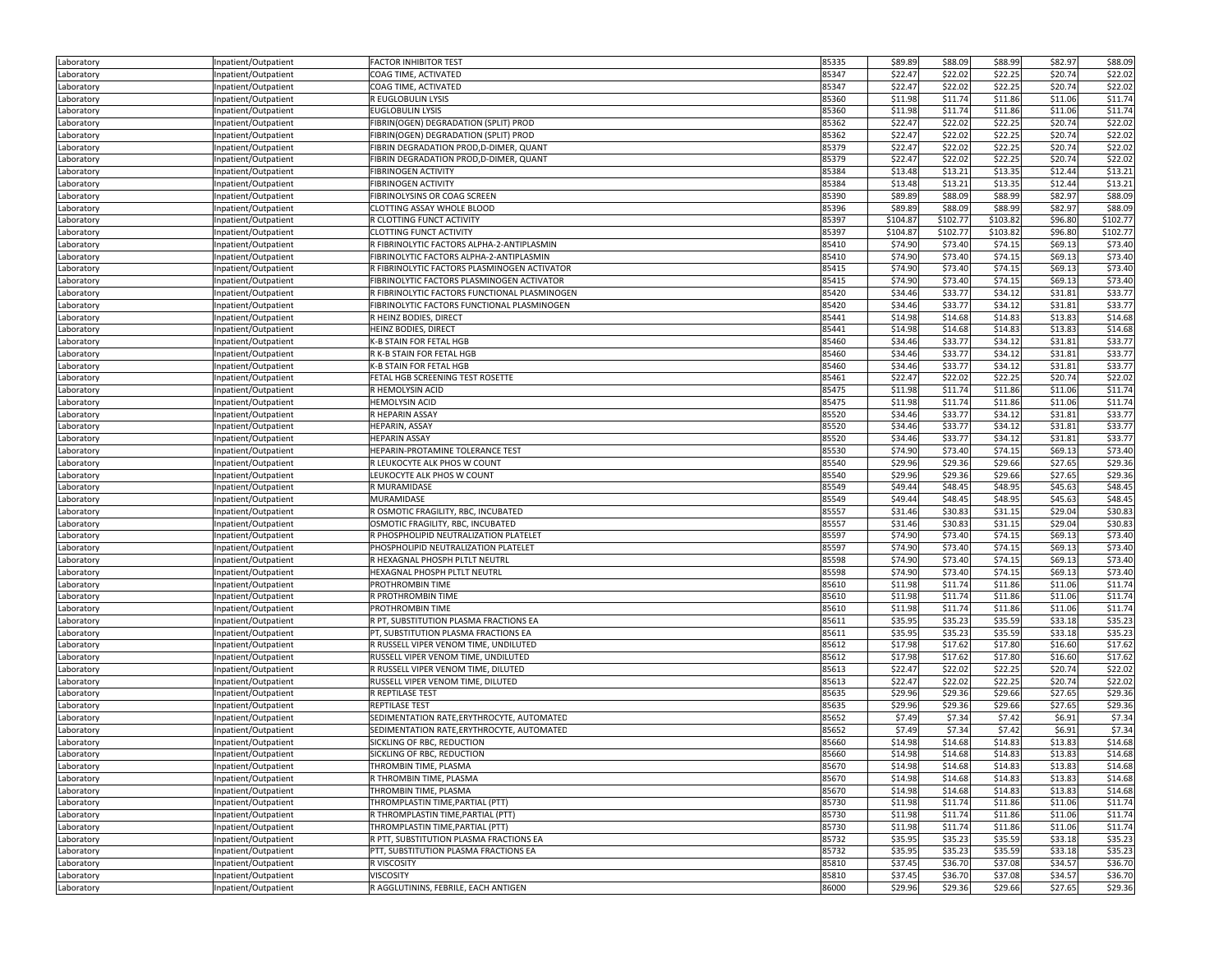| Laboratory | Inpatient/Outpatient | <b>FACTOR INHIBITOR TEST</b>                  | 85335          | \$89.89  | \$88.09  | \$88.99  | \$82.97 | \$88.09  |
|------------|----------------------|-----------------------------------------------|----------------|----------|----------|----------|---------|----------|
| Laboratory | Inpatient/Outpatient | COAG TIME, ACTIVATED                          | 85347          | \$22.47  | \$22.02  | \$22.25  | \$20.74 | \$22.02  |
| Laboratory | Inpatient/Outpatient | COAG TIME, ACTIVATED                          | 85347          | \$22.47  | \$22.02  | \$22.25  | \$20.74 | \$22.02  |
| Laboratory | Inpatient/Outpatient | R EUGLOBULIN LYSIS                            | 85360          | \$11.98  | \$11.74  | \$11.86  | \$11.06 | \$11.74  |
| Laboratory | Inpatient/Outpatient | <b>EUGLOBULIN LYSIS</b>                       | 85360          | \$11.98  | \$11.74  | \$11.86  | \$11.06 | \$11.74  |
| Laboratory | Inpatient/Outpatient | FIBRIN(OGEN) DEGRADATION (SPLIT) PROD         | 85362          | \$22.47  | \$22.02  | \$22.25  | \$20.74 | \$22.02  |
| Laboratory | Inpatient/Outpatient | FIBRIN(OGEN) DEGRADATION (SPLIT) PROD         | 85362          | \$22.47  | \$22.02  | \$22.25  | \$20.74 | \$22.02  |
| Laboratory | Inpatient/Outpatient | FIBRIN DEGRADATION PROD, D-DIMER, QUANT       | 85379          | \$22.47  | \$22.02  | \$22.25  | \$20.74 | \$22.02  |
| Laboratory | Inpatient/Outpatient | FIBRIN DEGRADATION PROD, D-DIMER, QUANT       | 85379          | \$22.47  | \$22.02  | \$22.25  | \$20.74 | \$22.02  |
| Laboratory | Inpatient/Outpatient | <b>FIBRINOGEN ACTIVITY</b>                    | 85384          | \$13.48  | \$13.21  | \$13.35  | \$12.44 | \$13.21  |
| Laboratory | Inpatient/Outpatient | <b>FIBRINOGEN ACTIVITY</b>                    | 85384          | \$13.48  | \$13.21  | \$13.35  | \$12.44 | \$13.21  |
| Laboratory | Inpatient/Outpatient | FIBRINOLYSINS OR COAG SCREEN                  | 85390          | \$89.89  | \$88.09  | \$88.99  | \$82.97 | \$88.09  |
| Laboratory | Inpatient/Outpatient | CLOTTING ASSAY WHOLE BLOOD                    | 85396          | \$89.89  | \$88.09  | \$88.99  | \$82.97 | \$88.09  |
| Laboratory | Inpatient/Outpatient | R CLOTTING FUNCT ACTIVITY                     | 85397          | \$104.87 | \$102.77 | \$103.82 | \$96.80 | \$102.77 |
| Laboratory | Inpatient/Outpatient | <b>CLOTTING FUNCT ACTIVITY</b>                | 85397          | \$104.87 | \$102.77 | \$103.82 | \$96.80 | \$102.77 |
| Laboratory | Inpatient/Outpatient | R FIBRINOLYTIC FACTORS ALPHA-2-ANTIPLASMIN    | 85410          | \$74.90  | \$73.40  | \$74.15  | \$69.13 | \$73.40  |
|            | Inpatient/Outpatient | FIBRINOLYTIC FACTORS ALPHA-2-ANTIPLASMIN      | 85410          | \$74.90  | \$73.40  | \$74.15  | \$69.13 | \$73.40  |
| Laboratory |                      | R FIBRINOLYTIC FACTORS PLASMINOGEN ACTIVATOR  | 85415          | \$74.90  | \$73.40  | \$74.15  | \$69.13 | \$73.40  |
| Laboratory | Inpatient/Outpatient |                                               | 85415          | \$74.90  | \$73.40  | \$74.15  |         | \$73.40  |
| Laboratory | Inpatient/Outpatient | FIBRINOLYTIC FACTORS PLASMINOGEN ACTIVATOR    |                |          |          |          | \$69.13 |          |
| Laboratory | Inpatient/Outpatient | R FIBRINOLYTIC FACTORS FUNCTIONAL PLASMINOGEN | 85420          | \$34.46  | \$33.77  | \$34.12  | \$31.81 | \$33.77  |
| Laboratory | Inpatient/Outpatient | FIBRINOLYTIC FACTORS FUNCTIONAL PLASMINOGEN   | 85420<br>85441 | \$34.46  | \$33.77  | \$34.12  | \$31.81 | \$33.77  |
| Laboratory | Inpatient/Outpatient | R HEINZ BODIES, DIRECT                        |                | \$14.98  | \$14.68  | \$14.83  | \$13.83 | \$14.68  |
| Laboratory | Inpatient/Outpatient | HEINZ BODIES, DIRECT                          | 85441          | \$14.98  | \$14.68  | \$14.83  | \$13.83 | \$14.68  |
| Laboratory | Inpatient/Outpatient | K-B STAIN FOR FETAL HGB                       | 85460          | \$34.46  | \$33.77  | \$34.12  | \$31.81 | \$33.77  |
| Laboratory | Inpatient/Outpatient | R K-B STAIN FOR FETAL HGB                     | 85460          | \$34.46  | \$33.77  | \$34.12  | \$31.81 | \$33.77  |
| Laboratory | Inpatient/Outpatient | K-B STAIN FOR FETAL HGB                       | 85460          | \$34.46  | \$33.77  | \$34.12  | \$31.81 | \$33.77  |
| Laboratory | Inpatient/Outpatient | FETAL HGB SCREENING TEST ROSETTE              | 85461          | \$22.47  | \$22.02  | \$22.25  | \$20.74 | \$22.02  |
| Laboratory | Inpatient/Outpatient | R HEMOLYSIN ACID                              | 85475          | \$11.98  | \$11.74  | \$11.86  | \$11.06 | \$11.74  |
| Laboratory | Inpatient/Outpatient | <b>HEMOLYSIN ACID</b>                         | 85475          | \$11.98  | \$11.74  | \$11.86  | \$11.06 | \$11.74  |
| Laboratory | Inpatient/Outpatient | R HEPARIN ASSAY                               | 85520          | \$34.46  | \$33.77  | \$34.12  | \$31.81 | \$33.77  |
| Laboratory | Inpatient/Outpatient | <b>HEPARIN, ASSAY</b>                         | 85520          | \$34.46  | \$33.77  | \$34.12  | \$31.81 | \$33.77  |
| Laboratory | Inpatient/Outpatient | <b>HEPARIN ASSAY</b>                          | 85520          | \$34.46  | \$33.77  | \$34.12  | \$31.81 | \$33.77  |
| Laboratory | Inpatient/Outpatient | HEPARIN-PROTAMINE TOLERANCE TEST              | 85530          | \$74.90  | \$73.40  | \$74.15  | \$69.13 | \$73.40  |
| Laboratory | Inpatient/Outpatient | R LEUKOCYTE ALK PHOS W COUNT                  | 85540          | \$29.96  | \$29.36  | \$29.66  | \$27.65 | \$29.36  |
| Laboratory | Inpatient/Outpatient | LEUKOCYTE ALK PHOS W COUNT                    | 85540          | \$29.96  | \$29.36  | \$29.66  | \$27.65 | \$29.36  |
| Laboratory | Inpatient/Outpatient | R MURAMIDASE                                  | 85549          | \$49.44  | \$48.45  | \$48.95  | \$45.63 | \$48.45  |
| Laboratory | Inpatient/Outpatient | MURAMIDASE                                    | 85549          | \$49.44  | \$48.45  | \$48.95  | \$45.63 | \$48.45  |
| Laboratory | Inpatient/Outpatient | R OSMOTIC FRAGILITY, RBC, INCUBATED           | 85557          | \$31.46  | \$30.83  | \$31.15  | \$29.04 | \$30.83  |
| Laboratory | Inpatient/Outpatient | OSMOTIC FRAGILITY, RBC, INCUBATED             | 85557          | \$31.46  | \$30.83  | \$31.15  | \$29.04 | \$30.83  |
| Laboratory | Inpatient/Outpatient | R PHOSPHOLIPID NEUTRALIZATION PLATELET        | 85597          | \$74.90  | \$73.40  | \$74.15  | \$69.13 | \$73.40  |
| Laboratory | Inpatient/Outpatient | PHOSPHOLIPID NEUTRALIZATION PLATELET          | 85597          | \$74.90  | \$73.40  | \$74.15  | \$69.13 | \$73.40  |
| Laboratory | Inpatient/Outpatient | R HEXAGNAL PHOSPH PLTLT NEUTRL                | 85598          | \$74.90  | \$73.40  | \$74.15  | \$69.13 | \$73.40  |
| Laboratory | Inpatient/Outpatient | HEXAGNAL PHOSPH PLTLT NEUTRL                  | 85598          | \$74.90  | \$73.40  | \$74.15  | \$69.13 | \$73.40  |
| Laboratory | Inpatient/Outpatient | PROTHROMBIN TIME                              | 85610          | \$11.98  | \$11.74  | \$11.86  | \$11.06 | \$11.74  |
| Laboratory | Inpatient/Outpatient | R PROTHROMBIN TIME                            | 85610          | \$11.98  | \$11.74  | \$11.86  | \$11.06 | \$11.74  |
| Laboratory | Inpatient/Outpatient | PROTHROMBIN TIME                              | 85610          | \$11.98  | \$11.74  | \$11.86  | \$11.06 | \$11.74  |
| Laboratory | Inpatient/Outpatient | R PT, SUBSTITUTION PLASMA FRACTIONS EA        | 85611          | \$35.95  | \$35.23  | \$35.59  | \$33.18 | \$35.23  |
| Laboratory | Inpatient/Outpatient | PT, SUBSTITUTION PLASMA FRACTIONS EA          | 85611          | \$35.95  | \$35.23  | \$35.59  | \$33.18 | \$35.23  |
| Laboratory | Inpatient/Outpatient | R RUSSELL VIPER VENOM TIME, UNDILUTED         | 85612          | \$17.98  | \$17.62  | \$17.80  | \$16.60 | \$17.62  |
| Laboratory | Inpatient/Outpatient | RUSSELL VIPER VENOM TIME, UNDILUTED           | 85612          | \$17.98  | \$17.62  | \$17.80  | \$16.60 | \$17.62  |
| Laboratory | Inpatient/Outpatient | R RUSSELL VIPER VENOM TIME, DILUTED           | 85613          | \$22.47  | \$22.02  | \$22.25  | \$20.74 | \$22.02  |
| Laboratory | Inpatient/Outpatient | RUSSELL VIPER VENOM TIME, DILUTED             | 85613          | \$22.47  | \$22.02  | \$22.25  | \$20.74 | \$22.02  |
| Laboratory | Inpatient/Outpatient | R REPTILASE TEST                              | 85635          | \$29.96  | \$29.36  | \$29.66  | \$27.65 | \$29.36  |
| Laboratory | Inpatient/Outpatient | REPTILASE TEST                                | 85635          | \$29.96  | \$29.36  | \$29.66  | \$27.65 | \$29.36  |
| Laboratory | Inpatient/Outpatient | SEDIMENTATION RATE, ERYTHROCYTE, AUTOMATED    | 85652          | \$7.49   | \$7.34   | \$7.42   | \$6.91  | \$7.34   |
| Laboratory | Inpatient/Outpatient | SEDIMENTATION RATE, ERYTHROCYTE, AUTOMATED    | 85652          | \$7.49   | \$7.34   | \$7.42   | \$6.91  | \$7.34   |
| Laboratory | Inpatient/Outpatient | SICKLING OF RBC, REDUCTION                    | 85660          | \$14.98  | \$14.68  | \$14.83  | \$13.83 | \$14.68  |
| Laboratory | Inpatient/Outpatient | SICKLING OF RBC, REDUCTION                    | 85660          | \$14.98  | \$14.68  | \$14.83  | \$13.83 | \$14.68  |
| Laboratory | Inpatient/Outpatient | THROMBIN TIME, PLASMA                         | 85670          | \$14.98  | \$14.68  | \$14.83  | \$13.83 | \$14.68  |
| Laboratory | Inpatient/Outpatient | R THROMBIN TIME, PLASMA                       | 85670          | \$14.98  | \$14.68  | \$14.83  | \$13.83 | \$14.68  |
| Laboratory | Inpatient/Outpatient | THROMBIN TIME, PLASMA                         | 85670          | \$14.98  | \$14.68  | \$14.83  | \$13.83 | \$14.68  |
| Laboratory | Inpatient/Outpatient | THROMPLASTIN TIME, PARTIAL (PTT)              | 85730          | \$11.98  | \$11.74  | \$11.86  | \$11.06 | \$11.74  |
| Laboratory | Inpatient/Outpatient | R THROMPLASTIN TIME.PARTIAL (PTT)             | 85730          | \$11.98  | \$11.74  | \$11.86  | \$11.06 | \$11.74  |
| Laboratory | Inpatient/Outpatient | THROMPLASTIN TIME, PARTIAL (PTT)              | 85730          | \$11.98  | \$11.74  | \$11.86  | \$11.06 | \$11.74  |
| Laboratory | Inpatient/Outpatient | R PTT, SUBSTITUTION PLASMA FRACTIONS EA       | 85732          | \$35.95  | \$35.23  | \$35.59  | \$33.18 | \$35.23  |
| Laboratory | Inpatient/Outpatient | PTT, SUBSTITUTION PLASMA FRACTIONS EA         | 85732          | \$35.95  | \$35.23  | \$35.59  | \$33.18 | \$35.23  |
| Laboratory | Inpatient/Outpatient | R VISCOSITY                                   | 85810          | \$37.45  | \$36.70  | \$37.08  | \$34.57 | \$36.70  |
| Laboratory | Inpatient/Outpatient | <b>VISCOSITY</b>                              | 85810          | \$37.45  | \$36.70  | \$37.08  | \$34.57 | \$36.70  |
| Laboratory | Inpatient/Outpatient | R AGGLUTININS, FEBRILE, EACH ANTIGEN          | 86000          | \$29.96  | \$29.36  | \$29.66  | \$27.65 | \$29.36  |
|            |                      |                                               |                |          |          |          |         |          |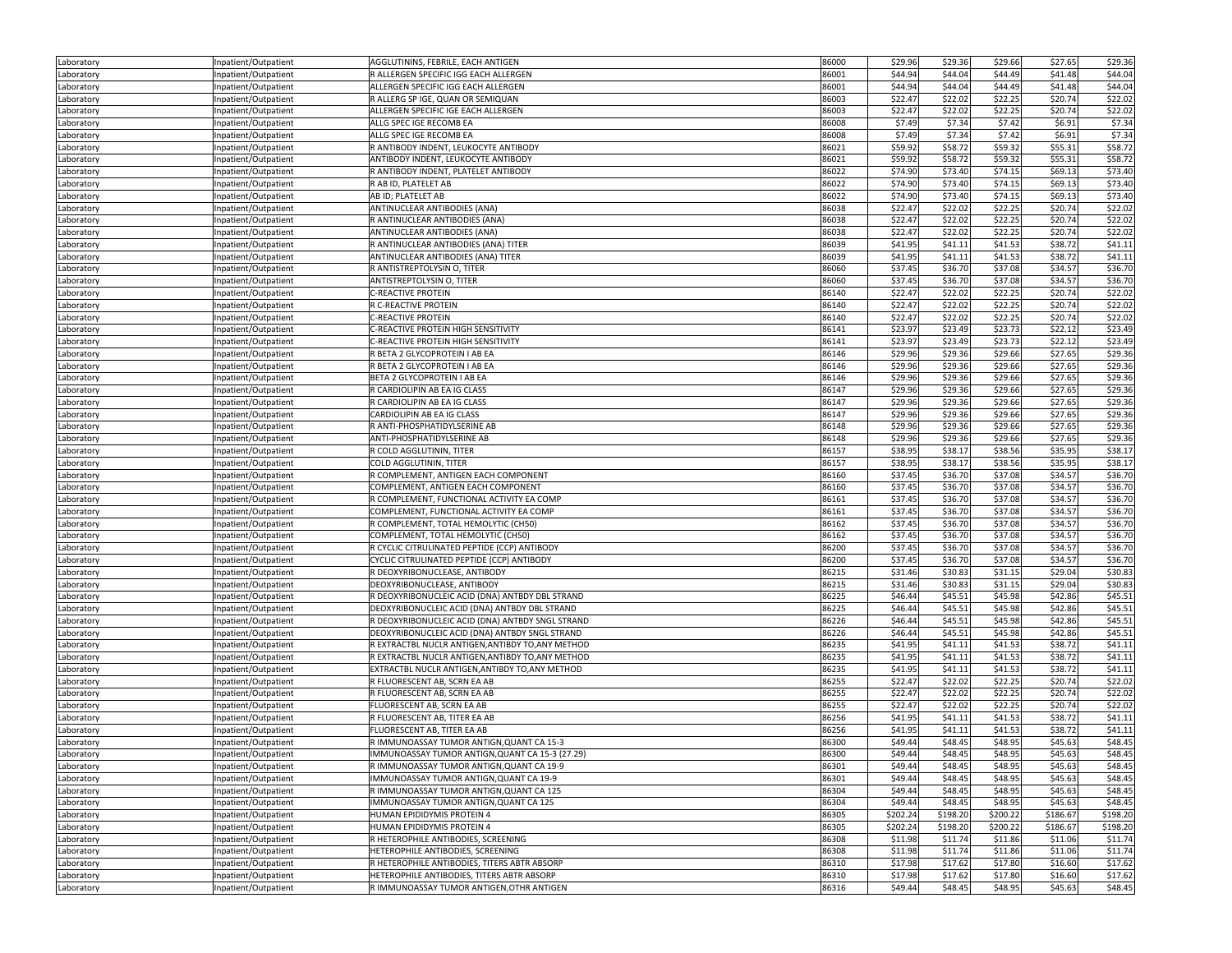| 86001<br>\$44.94<br>\$44.04<br>\$44.49<br>\$41.48<br>\$44.04<br>Inpatient/Outpatient<br>R ALLERGEN SPECIFIC IGG EACH ALLERGEN<br>ALLERGEN SPECIFIC IGG EACH ALLERGEN<br>86001<br>\$44.94<br>\$44.04<br>\$44.49<br>\$41.48<br>\$44.04<br>Inpatient/Outpatient<br>Laboratory<br>R ALLERG SP IGE, QUAN OR SEMIQUAN<br>86003<br>\$22.47<br>\$22.02<br>\$22.25<br>\$20.74<br>\$22.02<br>Inpatient/Outpatient<br>Laboratory<br>\$22.47<br>\$22.02<br>ALLERGEN SPECIFIC IGE EACH ALLERGEN<br>86003<br>\$22.02<br>\$22.25<br>\$20.74<br>Inpatient/Outpatient<br>Laboratory<br>86008<br>\$7.49<br>\$7.34<br>\$6.91<br>\$7.34<br>\$7.42<br>Inpatient/Outpatient<br>ALLG SPEC IGE RECOMB EA<br>86008<br>\$7.49<br>\$7.34<br>\$7.42<br>\$6.91<br>\$7.34<br>Laboratory<br>Inpatient/Outpatient<br>ALLG SPEC IGE RECOMB EA<br>R ANTIBODY INDENT, LEUKOCYTE ANTIBODY<br>86021<br>\$59.92<br>\$58.72<br>\$59.32<br>\$55.31<br>\$58.72<br>Inpatient/Outpatient<br>Laboratory<br>86021<br>\$59.92<br>\$55.31<br>\$58.72<br>ANTIBODY INDENT, LEUKOCYTE ANTIBODY<br>\$58.72<br>\$59.32<br>Laboratory<br>Inpatient/Outpatient<br>\$74.90<br>\$73.40<br>R ANTIBODY INDENT, PLATELET ANTIBODY<br>86022<br>\$74.15<br>\$69.13<br>\$73.40<br>Laboratory<br>Inpatient/Outpatient<br>\$74.90<br>\$73.40<br>R AB ID, PLATELET AB<br>86022<br>\$74.15<br>\$69.13<br>\$73.40<br>Laboratory<br>Inpatient/Outpatient<br>86022<br>\$74.90<br>\$73.40<br>\$74.15<br>\$69.13<br>\$73.40<br>AB ID; PLATELET AB<br>Inpatient/Outpatient<br>Laboratory<br>ANTINUCLEAR ANTIBODIES (ANA)<br>86038<br>\$22.47<br>\$22.02<br>\$22.25<br>\$20.74<br>\$22.02<br>Inpatient/Outpatient<br>Laboratory<br>\$22.47<br>\$22.02<br>R ANTINUCLEAR ANTIBODIES (ANA)<br>86038<br>\$22.02<br>\$22.25<br>\$20.74<br>Inpatient/Outpatient<br>Laboratory<br>\$22.47<br>\$22.02<br>\$22.25<br>\$20.74<br>\$22.02<br>ANTINUCLEAR ANTIBODIES (ANA)<br>86038<br>Laboratory<br>Inpatient/Outpatient<br>\$38.72<br>\$41.11<br>86039<br>\$41.95<br>\$41.11<br>\$41.53<br>R ANTINUCLEAR ANTIBODIES (ANA) TITER<br>Laboratory<br>Inpatient/Outpatient<br>\$41.95<br>86039<br>\$41.11<br>\$41.53<br>\$38.72<br>\$41.11<br>Inpatient/Outpatient<br>ANTINUCLEAR ANTIBODIES (ANA) TITER<br>Laboratory<br>R ANTISTREPTOLYSIN O, TITER<br>86060<br>\$37.45<br>\$36.70<br>\$37.08<br>\$34.57<br>\$36.70<br>Inpatient/Outpatient<br>Laboratory<br>\$37.45<br>\$37.08<br>\$34.57<br>\$36.70<br>ANTISTREPTOLYSIN O, TITER<br>86060<br>\$36.70<br>Laboratory<br>Inpatient/Outpatient<br>86140<br>\$22.47<br>\$22.02<br>\$22.25<br>\$20.74<br>\$22.02<br>C-REACTIVE PROTEIN<br>Laboratory<br>Inpatient/Outpatient<br>\$22.47<br>\$22.02<br>86140<br>\$22.02<br>\$22.25<br>\$20.74<br>R C-REACTIVE PROTEIN<br>Laboratory<br>Inpatient/Outpatient<br>\$22.47<br>\$22.02<br>\$22.25<br>\$20.74<br>\$22.02<br>86140<br>Inpatient/Outpatient<br>C-REACTIVE PROTEIN<br>Laboratory<br>C-REACTIVE PROTEIN HIGH SENSITIVITY<br>86141<br>\$23.97<br>\$23.49<br>\$23.73<br>\$22.12<br>\$23.49<br>Inpatient/Outpatient<br>Laboratory<br>\$23.97<br>C-REACTIVE PROTEIN HIGH SENSITIVITY<br>86141<br>\$23.49<br>\$23.73<br>\$22.12<br>\$23.49<br>Inpatient/Outpatient<br>Laboratory<br>\$29.96<br>\$29.36<br>\$27.65<br>\$29.36<br>R BETA 2 GLYCOPROTEIN I AB EA<br>86146<br>\$29.66<br>Laboratory<br>Inpatient/Outpatient<br>86146<br>\$29.96<br>\$27.65<br>\$29.36<br>R BETA 2 GLYCOPROTEIN I AB EA<br>\$29.36<br>\$29.66<br>Inpatient/Outpatient<br>Laboratory<br>\$29.36<br>86146<br>\$29.96<br>\$29.66<br>\$27.65<br>\$29.36<br>Laboratory<br>Inpatient/Outpatient<br>BETA 2 GLYCOPROTEIN I AB EA<br>\$27.65<br>R CARDIOLIPIN AB EA IG CLASS<br>86147<br>\$29.96<br>\$29.36<br>\$29.66<br>\$29.36<br>Inpatient/Outpatient<br>Laboratory<br>\$29.96<br>\$27.65<br>\$29.36<br>R CARDIOLIPIN AB EA IG CLASS<br>86147<br>\$29.36<br>\$29.66<br>Laboratory<br>Inpatient/Outpatient<br>\$29.96<br>CARDIOLIPIN AB EA IG CLASS<br>86147<br>\$29.36<br>\$29.66<br>\$27.65<br>\$29.36<br>Laboratory<br>Inpatient/Outpatient<br>\$29.96<br>R ANTI-PHOSPHATIDYLSERINE AB<br>86148<br>\$29.36<br>\$29.66<br>\$27.65<br>\$29.36<br>Inpatient/Outpatient<br>Laboratory<br>\$29.96<br>\$29.36<br>\$29.66<br>\$27.65<br>\$29.36<br>86148<br>Inpatient/Outpatient<br>ANTI-PHOSPHATIDYLSERINE AB<br>Laboratory<br>R COLD AGGLUTININ, TITER<br>86157<br>\$38.95<br>\$38.17<br>\$38.56<br>\$35.95<br>\$38.17<br>Inpatient/Outpatient<br>Laboratory<br>\$38.95<br>\$35.95<br>COLD AGGLUTININ, TITER<br>86157<br>\$38.17<br>\$38.56<br>\$38.17<br>Inpatient/Outpatient<br>Laboratory<br>\$37.45<br>\$36.70<br>\$36.70<br>R COMPLEMENT, ANTIGEN EACH COMPONENT<br>86160<br>\$37.08<br>\$34.57<br>Inpatient/Outpatient<br>Laboratory<br>\$37.45<br>\$34.57<br>\$36.70<br>COMPLEMENT, ANTIGEN EACH COMPONENT<br>86160<br>\$36.70<br>\$37.08<br>Laboratory<br>Inpatient/Outpatient<br>\$37.45<br>\$36.70<br>\$37.08<br>\$34.57<br>R COMPLEMENT, FUNCTIONAL ACTIVITY EA COMP<br>86161<br>\$36.70<br>Laboratory<br>Inpatient/Outpatient<br>COMPLEMENT, FUNCTIONAL ACTIVITY EA COMP<br>86161<br>\$37.45<br>\$36.70<br>\$37.08<br>\$34.57<br>\$36.70<br>Inpatient/Outpatient<br>Laboratory<br>\$37.45<br>\$34.57<br>R COMPLEMENT, TOTAL HEMOLYTIC (CH50)<br>86162<br>\$36.70<br>\$37.08<br>\$36.70<br>Laboratory<br>Inpatient/Outpatient<br>COMPLEMENT, TOTAL HEMOLYTIC (CH50)<br>86162<br>\$37.45<br>\$36.70<br>\$37.08<br>\$34.57<br>\$36.70<br>Laboratory<br>Inpatient/Outpatient<br>86200<br>R CYCLIC CITRULINATED PEPTIDE (CCP) ANTIBODY<br>\$37.45<br>\$36.70<br>\$37.08<br>\$34.57<br>\$36.70<br>Laboratory<br>Inpatient/Outpatient<br>\$37.45<br>\$36.70<br>\$37.08<br>\$34.57<br>\$36.70<br>86200<br>Inpatient/Outpatient<br>CYCLIC CITRULINATED PEPTIDE (CCP) ANTIBODY<br>Laboratory<br>R DEOXYRIBONUCLEASE, ANTIBODY<br>86215<br>\$31.46<br>\$30.83<br>\$31.15<br>\$29.04<br>\$30.83<br>Laboratory<br>Inpatient/Outpatient<br>\$29.04<br>DEOXYRIBONUCLEASE, ANTIBODY<br>86215<br>\$31.46<br>\$30.83<br>\$31.15<br>\$30.83<br>Inpatient/Outpatient<br>Laboratory<br>\$45.51<br>R DEOXYRIBONUCLEIC ACID (DNA) ANTBDY DBL STRAND<br>86225<br>\$46.44<br>\$45.51<br>\$45.98<br>\$42.86<br>Laboratory<br>Inpatient/Outpatient<br>86225<br>\$42.86<br>\$45.51<br>DEOXYRIBONUCLEIC ACID (DNA) ANTBDY DBL STRAND<br>\$46.44<br>\$45.51<br>\$45.98<br>Laboratory<br>Inpatient/Outpatient<br>86226<br>\$46.44<br>\$45.51<br>\$45.98<br>\$42.86<br>\$45.51<br>Inpatient/Outpatient<br>R DEOXYRIBONUCLEIC ACID (DNA) ANTBDY SNGL STRAND<br>Laboratory<br>DEOXYRIBONUCLEIC ACID (DNA) ANTBDY SNGL STRAND<br>86226<br>\$46.44<br>\$45.51<br>\$45.98<br>\$42.86<br>\$45.51<br>Inpatient/Outpatient<br>Laboratory<br>\$41.95<br>\$38.72<br>R EXTRACTBL NUCLR ANTIGEN, ANTIBDY TO, ANY METHOD<br>86235<br>\$41.11<br>\$41.53<br>\$41.11<br>Laboratory<br>Inpatient/Outpatient<br>R EXTRACTBL NUCLR ANTIGEN, ANTIBDY TO, ANY METHOD<br>86235<br>\$41.95<br>\$41.11<br>\$41.53<br>\$38.72<br>\$41.11<br>Laboratory<br>Inpatient/Outpatient<br>EXTRACTBL NUCLR ANTIGEN, ANTIBDY TO, ANY METHOD<br>86235<br>\$41.95<br>\$41.11<br>\$41.53<br>\$38.72<br>\$41.11<br>Inpatient/Outpatient<br>Laboratory<br>\$22.47<br>\$22.02<br>\$22.25<br>\$20.74<br>\$22.02<br>86255<br>Inpatient/Outpatient<br>R FLUORESCENT AB, SCRN EA AB<br>Laboratory<br>R FLUORESCENT AB, SCRN EA AB<br>86255<br>\$22.47<br>\$22.02<br>\$22.25<br>\$20.74<br>\$22.02<br>Inpatient/Outpatient<br>Laboratory<br>FLUORESCENT AB, SCRN EA AB<br>86255<br>\$22.47<br>\$22.02<br>\$22.25<br>\$20.74<br>\$22.02<br>Inpatient/Outpatient<br>Laboratory<br>R FLUORESCENT AB, TITER EA AB<br>86256<br>\$41.95<br>\$41.11<br>\$41.53<br>\$38.72<br>\$41.11<br>Laboratory<br>Inpatient/Outpatient<br>86256<br>\$41.95<br>\$41.11<br>\$41.53<br>\$38.72<br>\$41.11<br>FLUORESCENT AB, TITER EA AB<br>Laboratory<br>Inpatient/Outpatient<br>\$49.44<br>\$48.45<br>\$48.95<br>R IMMUNOASSAY TUMOR ANTIGN, QUANT CA 15-3<br>86300<br>\$45.63<br>\$48.45<br>Laboratory<br>Inpatient/Outpatient<br>\$48.45<br>\$49.44<br>\$48.45<br>IMMUNOASSAY TUMOR ANTIGN, QUANT CA 15-3 (27.29)<br>\$45.63<br>\$48.95<br>Laboratory<br>Inpatient/Outpatient<br>86300<br>Laboratory<br>Inpatient/Outpatient<br>R IMMUNOASSAY TUMOR ANTIGN, QUANT CA 19-9<br>86301<br>\$49.44<br>\$48.45<br>\$48.95<br>\$45.63<br>\$48.45<br>IMMUNOASSAY TUMOR ANTIGN, QUANT CA 19-9<br>86301<br>\$49.44<br>\$48.45<br>\$48.95<br>\$45.63<br>\$48.45<br>Laboratory<br>Inpatient/Outpatient<br>Inpatient/Outpatient<br>R IMMUNOASSAY TUMOR ANTIGN, QUANT CA 125<br>86304<br>\$49.44<br>\$48.45<br>\$48.95<br>\$45.63<br>\$48.45<br>Laboratory<br>86304<br>\$49.44<br>\$48.45<br>\$48.95<br>\$48.45<br>Inpatient/Outpatient<br>IMMUNOASSAY TUMOR ANTIGN, QUANT CA 125<br>\$45.63<br>Laboratory<br>Inpatient/Outpatient<br>HUMAN EPIDIDYMIS PROTEIN 4<br>86305<br>\$202.24<br>\$198.20<br>\$200.22<br>\$186.67<br>\$198.20<br>Laboratory<br>\$198.20<br>Laboratory<br>Inpatient/Outpatient<br>HUMAN EPIDIDYMIS PROTEIN 4<br>86305<br>\$202.24<br>\$200.22<br>\$186.67<br>\$198.20<br>Inpatient/Outpatient<br>R HETEROPHILE ANTIBODIES, SCREENING<br>86308<br>\$11.98<br>\$11.74<br>\$11.86<br>\$11.06<br>\$11.74<br>Laboratory<br>HETEROPHILE ANTIBODIES, SCREENING<br>86308<br>\$11.98<br>\$11.74<br>\$11.86<br>\$11.06<br>\$11.74<br>Laboratory<br>Inpatient/Outpatient<br>\$17.62<br>R HETEROPHILE ANTIBODIES, TITERS ABTR ABSORP<br>86310<br>\$17.98<br>\$17.80<br>\$16.60<br>\$17.62<br>Laboratory<br>Inpatient/Outpatient<br>Inpatient/Outpatient<br>HETEROPHILE ANTIBODIES, TITERS ABTR ABSORP<br>86310<br>\$17.98<br>\$17.62<br>\$17.80<br>\$16.60<br>\$17.62<br>Laboratory | Laboratory | Inpatient/Outpatient | AGGLUTININS, FEBRILE, EACH ANTIGEN | 86000 | \$29.96 | \$29.36 | \$29.66 | \$27.65 | \$29.36 |
|------------------------------------------------------------------------------------------------------------------------------------------------------------------------------------------------------------------------------------------------------------------------------------------------------------------------------------------------------------------------------------------------------------------------------------------------------------------------------------------------------------------------------------------------------------------------------------------------------------------------------------------------------------------------------------------------------------------------------------------------------------------------------------------------------------------------------------------------------------------------------------------------------------------------------------------------------------------------------------------------------------------------------------------------------------------------------------------------------------------------------------------------------------------------------------------------------------------------------------------------------------------------------------------------------------------------------------------------------------------------------------------------------------------------------------------------------------------------------------------------------------------------------------------------------------------------------------------------------------------------------------------------------------------------------------------------------------------------------------------------------------------------------------------------------------------------------------------------------------------------------------------------------------------------------------------------------------------------------------------------------------------------------------------------------------------------------------------------------------------------------------------------------------------------------------------------------------------------------------------------------------------------------------------------------------------------------------------------------------------------------------------------------------------------------------------------------------------------------------------------------------------------------------------------------------------------------------------------------------------------------------------------------------------------------------------------------------------------------------------------------------------------------------------------------------------------------------------------------------------------------------------------------------------------------------------------------------------------------------------------------------------------------------------------------------------------------------------------------------------------------------------------------------------------------------------------------------------------------------------------------------------------------------------------------------------------------------------------------------------------------------------------------------------------------------------------------------------------------------------------------------------------------------------------------------------------------------------------------------------------------------------------------------------------------------------------------------------------------------------------------------------------------------------------------------------------------------------------------------------------------------------------------------------------------------------------------------------------------------------------------------------------------------------------------------------------------------------------------------------------------------------------------------------------------------------------------------------------------------------------------------------------------------------------------------------------------------------------------------------------------------------------------------------------------------------------------------------------------------------------------------------------------------------------------------------------------------------------------------------------------------------------------------------------------------------------------------------------------------------------------------------------------------------------------------------------------------------------------------------------------------------------------------------------------------------------------------------------------------------------------------------------------------------------------------------------------------------------------------------------------------------------------------------------------------------------------------------------------------------------------------------------------------------------------------------------------------------------------------------------------------------------------------------------------------------------------------------------------------------------------------------------------------------------------------------------------------------------------------------------------------------------------------------------------------------------------------------------------------------------------------------------------------------------------------------------------------------------------------------------------------------------------------------------------------------------------------------------------------------------------------------------------------------------------------------------------------------------------------------------------------------------------------------------------------------------------------------------------------------------------------------------------------------------------------------------------------------------------------------------------------------------------------------------------------------------------------------------------------------------------------------------------------------------------------------------------------------------------------------------------------------------------------------------------------------------------------------------------------------------------------------------------------------------------------------------------------------------------------------------------------------------------------------------------------------------------------------------------------------------------------------------------------------------------------------------------------------------------------------------------------------------------------------------------------------------------------------------------------------------------------------------------------------------------------------------------------------------------------------------------------------------------------------------------------------------------------------------------------------------------------------------------------------------------------------------------------------------------------------------------------------------------------------------------------------------------------------------------------------------------------------------------------------------------------------------------------------------------------------------------------------------------------------------------------------------------------------------------------------------------------------------------------------------------------------------------------------------------------------------------------------------------------------------------------------------------------------------------------------------------------------------------------------------------------------------------------------------------------------------------------------------------------------------------------------------------------------------------------------------------------------------------------------------------------------------------------------------------------------------------------------------------------------------------------------------------------------------------------------------------------------------------------------------------------------------------------------------------------------------------------------------------------------------------------------------------------------------------------------------------------------------------------------------------------------------------------------------------------------------------------------------------------------------------------------------------------------------------------------------------------------------------------------------------------------------------------------------------------------------------------------------------------------------------------------------------------------------------------------------------------------------------------------------------------------------------------------------------------------------------------------------------------------------|------------|----------------------|------------------------------------|-------|---------|---------|---------|---------|---------|
|                                                                                                                                                                                                                                                                                                                                                                                                                                                                                                                                                                                                                                                                                                                                                                                                                                                                                                                                                                                                                                                                                                                                                                                                                                                                                                                                                                                                                                                                                                                                                                                                                                                                                                                                                                                                                                                                                                                                                                                                                                                                                                                                                                                                                                                                                                                                                                                                                                                                                                                                                                                                                                                                                                                                                                                                                                                                                                                                                                                                                                                                                                                                                                                                                                                                                                                                                                                                                                                                                                                                                                                                                                                                                                                                                                                                                                                                                                                                                                                                                                                                                                                                                                                                                                                                                                                                                                                                                                                                                                                                                                                                                                                                                                                                                                                                                                                                                                                                                                                                                                                                                                                                                                                                                                                                                                                                                                                                                                                                                                                                                                                                                                                                                                                                                                                                                                                                                                                                                                                                                                                                                                                                                                                                                                                                                                                                                                                                                                                                                                                                                                                                                                                                                                                                                                                                                                                                                                                                                                                                                                                                                                                                                                                                                                                                                                                                                                                                                                                                                                                                                                                                                                                                                                                                                                                                                                                                                                                                                                                                                                                                                                                                                                                                                                                                                                                                                                                                                                                                                                                                                                                                                                                                                                                                                                                                                                                                                                                                                                                                                                                                                                                                                                                                                                                                                                                                                                                                                                                                                                                                                                                                                                                                        | Laboratory |                      |                                    |       |         |         |         |         |         |
|                                                                                                                                                                                                                                                                                                                                                                                                                                                                                                                                                                                                                                                                                                                                                                                                                                                                                                                                                                                                                                                                                                                                                                                                                                                                                                                                                                                                                                                                                                                                                                                                                                                                                                                                                                                                                                                                                                                                                                                                                                                                                                                                                                                                                                                                                                                                                                                                                                                                                                                                                                                                                                                                                                                                                                                                                                                                                                                                                                                                                                                                                                                                                                                                                                                                                                                                                                                                                                                                                                                                                                                                                                                                                                                                                                                                                                                                                                                                                                                                                                                                                                                                                                                                                                                                                                                                                                                                                                                                                                                                                                                                                                                                                                                                                                                                                                                                                                                                                                                                                                                                                                                                                                                                                                                                                                                                                                                                                                                                                                                                                                                                                                                                                                                                                                                                                                                                                                                                                                                                                                                                                                                                                                                                                                                                                                                                                                                                                                                                                                                                                                                                                                                                                                                                                                                                                                                                                                                                                                                                                                                                                                                                                                                                                                                                                                                                                                                                                                                                                                                                                                                                                                                                                                                                                                                                                                                                                                                                                                                                                                                                                                                                                                                                                                                                                                                                                                                                                                                                                                                                                                                                                                                                                                                                                                                                                                                                                                                                                                                                                                                                                                                                                                                                                                                                                                                                                                                                                                                                                                                                                                                                                                                                        |            |                      |                                    |       |         |         |         |         |         |
|                                                                                                                                                                                                                                                                                                                                                                                                                                                                                                                                                                                                                                                                                                                                                                                                                                                                                                                                                                                                                                                                                                                                                                                                                                                                                                                                                                                                                                                                                                                                                                                                                                                                                                                                                                                                                                                                                                                                                                                                                                                                                                                                                                                                                                                                                                                                                                                                                                                                                                                                                                                                                                                                                                                                                                                                                                                                                                                                                                                                                                                                                                                                                                                                                                                                                                                                                                                                                                                                                                                                                                                                                                                                                                                                                                                                                                                                                                                                                                                                                                                                                                                                                                                                                                                                                                                                                                                                                                                                                                                                                                                                                                                                                                                                                                                                                                                                                                                                                                                                                                                                                                                                                                                                                                                                                                                                                                                                                                                                                                                                                                                                                                                                                                                                                                                                                                                                                                                                                                                                                                                                                                                                                                                                                                                                                                                                                                                                                                                                                                                                                                                                                                                                                                                                                                                                                                                                                                                                                                                                                                                                                                                                                                                                                                                                                                                                                                                                                                                                                                                                                                                                                                                                                                                                                                                                                                                                                                                                                                                                                                                                                                                                                                                                                                                                                                                                                                                                                                                                                                                                                                                                                                                                                                                                                                                                                                                                                                                                                                                                                                                                                                                                                                                                                                                                                                                                                                                                                                                                                                                                                                                                                                                                        |            |                      |                                    |       |         |         |         |         |         |
|                                                                                                                                                                                                                                                                                                                                                                                                                                                                                                                                                                                                                                                                                                                                                                                                                                                                                                                                                                                                                                                                                                                                                                                                                                                                                                                                                                                                                                                                                                                                                                                                                                                                                                                                                                                                                                                                                                                                                                                                                                                                                                                                                                                                                                                                                                                                                                                                                                                                                                                                                                                                                                                                                                                                                                                                                                                                                                                                                                                                                                                                                                                                                                                                                                                                                                                                                                                                                                                                                                                                                                                                                                                                                                                                                                                                                                                                                                                                                                                                                                                                                                                                                                                                                                                                                                                                                                                                                                                                                                                                                                                                                                                                                                                                                                                                                                                                                                                                                                                                                                                                                                                                                                                                                                                                                                                                                                                                                                                                                                                                                                                                                                                                                                                                                                                                                                                                                                                                                                                                                                                                                                                                                                                                                                                                                                                                                                                                                                                                                                                                                                                                                                                                                                                                                                                                                                                                                                                                                                                                                                                                                                                                                                                                                                                                                                                                                                                                                                                                                                                                                                                                                                                                                                                                                                                                                                                                                                                                                                                                                                                                                                                                                                                                                                                                                                                                                                                                                                                                                                                                                                                                                                                                                                                                                                                                                                                                                                                                                                                                                                                                                                                                                                                                                                                                                                                                                                                                                                                                                                                                                                                                                                                                        |            |                      |                                    |       |         |         |         |         |         |
|                                                                                                                                                                                                                                                                                                                                                                                                                                                                                                                                                                                                                                                                                                                                                                                                                                                                                                                                                                                                                                                                                                                                                                                                                                                                                                                                                                                                                                                                                                                                                                                                                                                                                                                                                                                                                                                                                                                                                                                                                                                                                                                                                                                                                                                                                                                                                                                                                                                                                                                                                                                                                                                                                                                                                                                                                                                                                                                                                                                                                                                                                                                                                                                                                                                                                                                                                                                                                                                                                                                                                                                                                                                                                                                                                                                                                                                                                                                                                                                                                                                                                                                                                                                                                                                                                                                                                                                                                                                                                                                                                                                                                                                                                                                                                                                                                                                                                                                                                                                                                                                                                                                                                                                                                                                                                                                                                                                                                                                                                                                                                                                                                                                                                                                                                                                                                                                                                                                                                                                                                                                                                                                                                                                                                                                                                                                                                                                                                                                                                                                                                                                                                                                                                                                                                                                                                                                                                                                                                                                                                                                                                                                                                                                                                                                                                                                                                                                                                                                                                                                                                                                                                                                                                                                                                                                                                                                                                                                                                                                                                                                                                                                                                                                                                                                                                                                                                                                                                                                                                                                                                                                                                                                                                                                                                                                                                                                                                                                                                                                                                                                                                                                                                                                                                                                                                                                                                                                                                                                                                                                                                                                                                                                                        | Laboratory |                      |                                    |       |         |         |         |         |         |
|                                                                                                                                                                                                                                                                                                                                                                                                                                                                                                                                                                                                                                                                                                                                                                                                                                                                                                                                                                                                                                                                                                                                                                                                                                                                                                                                                                                                                                                                                                                                                                                                                                                                                                                                                                                                                                                                                                                                                                                                                                                                                                                                                                                                                                                                                                                                                                                                                                                                                                                                                                                                                                                                                                                                                                                                                                                                                                                                                                                                                                                                                                                                                                                                                                                                                                                                                                                                                                                                                                                                                                                                                                                                                                                                                                                                                                                                                                                                                                                                                                                                                                                                                                                                                                                                                                                                                                                                                                                                                                                                                                                                                                                                                                                                                                                                                                                                                                                                                                                                                                                                                                                                                                                                                                                                                                                                                                                                                                                                                                                                                                                                                                                                                                                                                                                                                                                                                                                                                                                                                                                                                                                                                                                                                                                                                                                                                                                                                                                                                                                                                                                                                                                                                                                                                                                                                                                                                                                                                                                                                                                                                                                                                                                                                                                                                                                                                                                                                                                                                                                                                                                                                                                                                                                                                                                                                                                                                                                                                                                                                                                                                                                                                                                                                                                                                                                                                                                                                                                                                                                                                                                                                                                                                                                                                                                                                                                                                                                                                                                                                                                                                                                                                                                                                                                                                                                                                                                                                                                                                                                                                                                                                                                                        |            |                      |                                    |       |         |         |         |         |         |
|                                                                                                                                                                                                                                                                                                                                                                                                                                                                                                                                                                                                                                                                                                                                                                                                                                                                                                                                                                                                                                                                                                                                                                                                                                                                                                                                                                                                                                                                                                                                                                                                                                                                                                                                                                                                                                                                                                                                                                                                                                                                                                                                                                                                                                                                                                                                                                                                                                                                                                                                                                                                                                                                                                                                                                                                                                                                                                                                                                                                                                                                                                                                                                                                                                                                                                                                                                                                                                                                                                                                                                                                                                                                                                                                                                                                                                                                                                                                                                                                                                                                                                                                                                                                                                                                                                                                                                                                                                                                                                                                                                                                                                                                                                                                                                                                                                                                                                                                                                                                                                                                                                                                                                                                                                                                                                                                                                                                                                                                                                                                                                                                                                                                                                                                                                                                                                                                                                                                                                                                                                                                                                                                                                                                                                                                                                                                                                                                                                                                                                                                                                                                                                                                                                                                                                                                                                                                                                                                                                                                                                                                                                                                                                                                                                                                                                                                                                                                                                                                                                                                                                                                                                                                                                                                                                                                                                                                                                                                                                                                                                                                                                                                                                                                                                                                                                                                                                                                                                                                                                                                                                                                                                                                                                                                                                                                                                                                                                                                                                                                                                                                                                                                                                                                                                                                                                                                                                                                                                                                                                                                                                                                                                                                        |            |                      |                                    |       |         |         |         |         |         |
|                                                                                                                                                                                                                                                                                                                                                                                                                                                                                                                                                                                                                                                                                                                                                                                                                                                                                                                                                                                                                                                                                                                                                                                                                                                                                                                                                                                                                                                                                                                                                                                                                                                                                                                                                                                                                                                                                                                                                                                                                                                                                                                                                                                                                                                                                                                                                                                                                                                                                                                                                                                                                                                                                                                                                                                                                                                                                                                                                                                                                                                                                                                                                                                                                                                                                                                                                                                                                                                                                                                                                                                                                                                                                                                                                                                                                                                                                                                                                                                                                                                                                                                                                                                                                                                                                                                                                                                                                                                                                                                                                                                                                                                                                                                                                                                                                                                                                                                                                                                                                                                                                                                                                                                                                                                                                                                                                                                                                                                                                                                                                                                                                                                                                                                                                                                                                                                                                                                                                                                                                                                                                                                                                                                                                                                                                                                                                                                                                                                                                                                                                                                                                                                                                                                                                                                                                                                                                                                                                                                                                                                                                                                                                                                                                                                                                                                                                                                                                                                                                                                                                                                                                                                                                                                                                                                                                                                                                                                                                                                                                                                                                                                                                                                                                                                                                                                                                                                                                                                                                                                                                                                                                                                                                                                                                                                                                                                                                                                                                                                                                                                                                                                                                                                                                                                                                                                                                                                                                                                                                                                                                                                                                                                                        |            |                      |                                    |       |         |         |         |         |         |
|                                                                                                                                                                                                                                                                                                                                                                                                                                                                                                                                                                                                                                                                                                                                                                                                                                                                                                                                                                                                                                                                                                                                                                                                                                                                                                                                                                                                                                                                                                                                                                                                                                                                                                                                                                                                                                                                                                                                                                                                                                                                                                                                                                                                                                                                                                                                                                                                                                                                                                                                                                                                                                                                                                                                                                                                                                                                                                                                                                                                                                                                                                                                                                                                                                                                                                                                                                                                                                                                                                                                                                                                                                                                                                                                                                                                                                                                                                                                                                                                                                                                                                                                                                                                                                                                                                                                                                                                                                                                                                                                                                                                                                                                                                                                                                                                                                                                                                                                                                                                                                                                                                                                                                                                                                                                                                                                                                                                                                                                                                                                                                                                                                                                                                                                                                                                                                                                                                                                                                                                                                                                                                                                                                                                                                                                                                                                                                                                                                                                                                                                                                                                                                                                                                                                                                                                                                                                                                                                                                                                                                                                                                                                                                                                                                                                                                                                                                                                                                                                                                                                                                                                                                                                                                                                                                                                                                                                                                                                                                                                                                                                                                                                                                                                                                                                                                                                                                                                                                                                                                                                                                                                                                                                                                                                                                                                                                                                                                                                                                                                                                                                                                                                                                                                                                                                                                                                                                                                                                                                                                                                                                                                                                                                        |            |                      |                                    |       |         |         |         |         |         |
|                                                                                                                                                                                                                                                                                                                                                                                                                                                                                                                                                                                                                                                                                                                                                                                                                                                                                                                                                                                                                                                                                                                                                                                                                                                                                                                                                                                                                                                                                                                                                                                                                                                                                                                                                                                                                                                                                                                                                                                                                                                                                                                                                                                                                                                                                                                                                                                                                                                                                                                                                                                                                                                                                                                                                                                                                                                                                                                                                                                                                                                                                                                                                                                                                                                                                                                                                                                                                                                                                                                                                                                                                                                                                                                                                                                                                                                                                                                                                                                                                                                                                                                                                                                                                                                                                                                                                                                                                                                                                                                                                                                                                                                                                                                                                                                                                                                                                                                                                                                                                                                                                                                                                                                                                                                                                                                                                                                                                                                                                                                                                                                                                                                                                                                                                                                                                                                                                                                                                                                                                                                                                                                                                                                                                                                                                                                                                                                                                                                                                                                                                                                                                                                                                                                                                                                                                                                                                                                                                                                                                                                                                                                                                                                                                                                                                                                                                                                                                                                                                                                                                                                                                                                                                                                                                                                                                                                                                                                                                                                                                                                                                                                                                                                                                                                                                                                                                                                                                                                                                                                                                                                                                                                                                                                                                                                                                                                                                                                                                                                                                                                                                                                                                                                                                                                                                                                                                                                                                                                                                                                                                                                                                                                                        |            |                      |                                    |       |         |         |         |         |         |
|                                                                                                                                                                                                                                                                                                                                                                                                                                                                                                                                                                                                                                                                                                                                                                                                                                                                                                                                                                                                                                                                                                                                                                                                                                                                                                                                                                                                                                                                                                                                                                                                                                                                                                                                                                                                                                                                                                                                                                                                                                                                                                                                                                                                                                                                                                                                                                                                                                                                                                                                                                                                                                                                                                                                                                                                                                                                                                                                                                                                                                                                                                                                                                                                                                                                                                                                                                                                                                                                                                                                                                                                                                                                                                                                                                                                                                                                                                                                                                                                                                                                                                                                                                                                                                                                                                                                                                                                                                                                                                                                                                                                                                                                                                                                                                                                                                                                                                                                                                                                                                                                                                                                                                                                                                                                                                                                                                                                                                                                                                                                                                                                                                                                                                                                                                                                                                                                                                                                                                                                                                                                                                                                                                                                                                                                                                                                                                                                                                                                                                                                                                                                                                                                                                                                                                                                                                                                                                                                                                                                                                                                                                                                                                                                                                                                                                                                                                                                                                                                                                                                                                                                                                                                                                                                                                                                                                                                                                                                                                                                                                                                                                                                                                                                                                                                                                                                                                                                                                                                                                                                                                                                                                                                                                                                                                                                                                                                                                                                                                                                                                                                                                                                                                                                                                                                                                                                                                                                                                                                                                                                                                                                                                                                        |            |                      |                                    |       |         |         |         |         |         |
|                                                                                                                                                                                                                                                                                                                                                                                                                                                                                                                                                                                                                                                                                                                                                                                                                                                                                                                                                                                                                                                                                                                                                                                                                                                                                                                                                                                                                                                                                                                                                                                                                                                                                                                                                                                                                                                                                                                                                                                                                                                                                                                                                                                                                                                                                                                                                                                                                                                                                                                                                                                                                                                                                                                                                                                                                                                                                                                                                                                                                                                                                                                                                                                                                                                                                                                                                                                                                                                                                                                                                                                                                                                                                                                                                                                                                                                                                                                                                                                                                                                                                                                                                                                                                                                                                                                                                                                                                                                                                                                                                                                                                                                                                                                                                                                                                                                                                                                                                                                                                                                                                                                                                                                                                                                                                                                                                                                                                                                                                                                                                                                                                                                                                                                                                                                                                                                                                                                                                                                                                                                                                                                                                                                                                                                                                                                                                                                                                                                                                                                                                                                                                                                                                                                                                                                                                                                                                                                                                                                                                                                                                                                                                                                                                                                                                                                                                                                                                                                                                                                                                                                                                                                                                                                                                                                                                                                                                                                                                                                                                                                                                                                                                                                                                                                                                                                                                                                                                                                                                                                                                                                                                                                                                                                                                                                                                                                                                                                                                                                                                                                                                                                                                                                                                                                                                                                                                                                                                                                                                                                                                                                                                                                                        |            |                      |                                    |       |         |         |         |         |         |
|                                                                                                                                                                                                                                                                                                                                                                                                                                                                                                                                                                                                                                                                                                                                                                                                                                                                                                                                                                                                                                                                                                                                                                                                                                                                                                                                                                                                                                                                                                                                                                                                                                                                                                                                                                                                                                                                                                                                                                                                                                                                                                                                                                                                                                                                                                                                                                                                                                                                                                                                                                                                                                                                                                                                                                                                                                                                                                                                                                                                                                                                                                                                                                                                                                                                                                                                                                                                                                                                                                                                                                                                                                                                                                                                                                                                                                                                                                                                                                                                                                                                                                                                                                                                                                                                                                                                                                                                                                                                                                                                                                                                                                                                                                                                                                                                                                                                                                                                                                                                                                                                                                                                                                                                                                                                                                                                                                                                                                                                                                                                                                                                                                                                                                                                                                                                                                                                                                                                                                                                                                                                                                                                                                                                                                                                                                                                                                                                                                                                                                                                                                                                                                                                                                                                                                                                                                                                                                                                                                                                                                                                                                                                                                                                                                                                                                                                                                                                                                                                                                                                                                                                                                                                                                                                                                                                                                                                                                                                                                                                                                                                                                                                                                                                                                                                                                                                                                                                                                                                                                                                                                                                                                                                                                                                                                                                                                                                                                                                                                                                                                                                                                                                                                                                                                                                                                                                                                                                                                                                                                                                                                                                                                                                        |            |                      |                                    |       |         |         |         |         |         |
|                                                                                                                                                                                                                                                                                                                                                                                                                                                                                                                                                                                                                                                                                                                                                                                                                                                                                                                                                                                                                                                                                                                                                                                                                                                                                                                                                                                                                                                                                                                                                                                                                                                                                                                                                                                                                                                                                                                                                                                                                                                                                                                                                                                                                                                                                                                                                                                                                                                                                                                                                                                                                                                                                                                                                                                                                                                                                                                                                                                                                                                                                                                                                                                                                                                                                                                                                                                                                                                                                                                                                                                                                                                                                                                                                                                                                                                                                                                                                                                                                                                                                                                                                                                                                                                                                                                                                                                                                                                                                                                                                                                                                                                                                                                                                                                                                                                                                                                                                                                                                                                                                                                                                                                                                                                                                                                                                                                                                                                                                                                                                                                                                                                                                                                                                                                                                                                                                                                                                                                                                                                                                                                                                                                                                                                                                                                                                                                                                                                                                                                                                                                                                                                                                                                                                                                                                                                                                                                                                                                                                                                                                                                                                                                                                                                                                                                                                                                                                                                                                                                                                                                                                                                                                                                                                                                                                                                                                                                                                                                                                                                                                                                                                                                                                                                                                                                                                                                                                                                                                                                                                                                                                                                                                                                                                                                                                                                                                                                                                                                                                                                                                                                                                                                                                                                                                                                                                                                                                                                                                                                                                                                                                                                                        |            |                      |                                    |       |         |         |         |         |         |
|                                                                                                                                                                                                                                                                                                                                                                                                                                                                                                                                                                                                                                                                                                                                                                                                                                                                                                                                                                                                                                                                                                                                                                                                                                                                                                                                                                                                                                                                                                                                                                                                                                                                                                                                                                                                                                                                                                                                                                                                                                                                                                                                                                                                                                                                                                                                                                                                                                                                                                                                                                                                                                                                                                                                                                                                                                                                                                                                                                                                                                                                                                                                                                                                                                                                                                                                                                                                                                                                                                                                                                                                                                                                                                                                                                                                                                                                                                                                                                                                                                                                                                                                                                                                                                                                                                                                                                                                                                                                                                                                                                                                                                                                                                                                                                                                                                                                                                                                                                                                                                                                                                                                                                                                                                                                                                                                                                                                                                                                                                                                                                                                                                                                                                                                                                                                                                                                                                                                                                                                                                                                                                                                                                                                                                                                                                                                                                                                                                                                                                                                                                                                                                                                                                                                                                                                                                                                                                                                                                                                                                                                                                                                                                                                                                                                                                                                                                                                                                                                                                                                                                                                                                                                                                                                                                                                                                                                                                                                                                                                                                                                                                                                                                                                                                                                                                                                                                                                                                                                                                                                                                                                                                                                                                                                                                                                                                                                                                                                                                                                                                                                                                                                                                                                                                                                                                                                                                                                                                                                                                                                                                                                                                                                        |            |                      |                                    |       |         |         |         |         |         |
|                                                                                                                                                                                                                                                                                                                                                                                                                                                                                                                                                                                                                                                                                                                                                                                                                                                                                                                                                                                                                                                                                                                                                                                                                                                                                                                                                                                                                                                                                                                                                                                                                                                                                                                                                                                                                                                                                                                                                                                                                                                                                                                                                                                                                                                                                                                                                                                                                                                                                                                                                                                                                                                                                                                                                                                                                                                                                                                                                                                                                                                                                                                                                                                                                                                                                                                                                                                                                                                                                                                                                                                                                                                                                                                                                                                                                                                                                                                                                                                                                                                                                                                                                                                                                                                                                                                                                                                                                                                                                                                                                                                                                                                                                                                                                                                                                                                                                                                                                                                                                                                                                                                                                                                                                                                                                                                                                                                                                                                                                                                                                                                                                                                                                                                                                                                                                                                                                                                                                                                                                                                                                                                                                                                                                                                                                                                                                                                                                                                                                                                                                                                                                                                                                                                                                                                                                                                                                                                                                                                                                                                                                                                                                                                                                                                                                                                                                                                                                                                                                                                                                                                                                                                                                                                                                                                                                                                                                                                                                                                                                                                                                                                                                                                                                                                                                                                                                                                                                                                                                                                                                                                                                                                                                                                                                                                                                                                                                                                                                                                                                                                                                                                                                                                                                                                                                                                                                                                                                                                                                                                                                                                                                                                                        |            |                      |                                    |       |         |         |         |         |         |
|                                                                                                                                                                                                                                                                                                                                                                                                                                                                                                                                                                                                                                                                                                                                                                                                                                                                                                                                                                                                                                                                                                                                                                                                                                                                                                                                                                                                                                                                                                                                                                                                                                                                                                                                                                                                                                                                                                                                                                                                                                                                                                                                                                                                                                                                                                                                                                                                                                                                                                                                                                                                                                                                                                                                                                                                                                                                                                                                                                                                                                                                                                                                                                                                                                                                                                                                                                                                                                                                                                                                                                                                                                                                                                                                                                                                                                                                                                                                                                                                                                                                                                                                                                                                                                                                                                                                                                                                                                                                                                                                                                                                                                                                                                                                                                                                                                                                                                                                                                                                                                                                                                                                                                                                                                                                                                                                                                                                                                                                                                                                                                                                                                                                                                                                                                                                                                                                                                                                                                                                                                                                                                                                                                                                                                                                                                                                                                                                                                                                                                                                                                                                                                                                                                                                                                                                                                                                                                                                                                                                                                                                                                                                                                                                                                                                                                                                                                                                                                                                                                                                                                                                                                                                                                                                                                                                                                                                                                                                                                                                                                                                                                                                                                                                                                                                                                                                                                                                                                                                                                                                                                                                                                                                                                                                                                                                                                                                                                                                                                                                                                                                                                                                                                                                                                                                                                                                                                                                                                                                                                                                                                                                                                                                        |            |                      |                                    |       |         |         |         |         |         |
|                                                                                                                                                                                                                                                                                                                                                                                                                                                                                                                                                                                                                                                                                                                                                                                                                                                                                                                                                                                                                                                                                                                                                                                                                                                                                                                                                                                                                                                                                                                                                                                                                                                                                                                                                                                                                                                                                                                                                                                                                                                                                                                                                                                                                                                                                                                                                                                                                                                                                                                                                                                                                                                                                                                                                                                                                                                                                                                                                                                                                                                                                                                                                                                                                                                                                                                                                                                                                                                                                                                                                                                                                                                                                                                                                                                                                                                                                                                                                                                                                                                                                                                                                                                                                                                                                                                                                                                                                                                                                                                                                                                                                                                                                                                                                                                                                                                                                                                                                                                                                                                                                                                                                                                                                                                                                                                                                                                                                                                                                                                                                                                                                                                                                                                                                                                                                                                                                                                                                                                                                                                                                                                                                                                                                                                                                                                                                                                                                                                                                                                                                                                                                                                                                                                                                                                                                                                                                                                                                                                                                                                                                                                                                                                                                                                                                                                                                                                                                                                                                                                                                                                                                                                                                                                                                                                                                                                                                                                                                                                                                                                                                                                                                                                                                                                                                                                                                                                                                                                                                                                                                                                                                                                                                                                                                                                                                                                                                                                                                                                                                                                                                                                                                                                                                                                                                                                                                                                                                                                                                                                                                                                                                                                                        |            |                      |                                    |       |         |         |         |         |         |
|                                                                                                                                                                                                                                                                                                                                                                                                                                                                                                                                                                                                                                                                                                                                                                                                                                                                                                                                                                                                                                                                                                                                                                                                                                                                                                                                                                                                                                                                                                                                                                                                                                                                                                                                                                                                                                                                                                                                                                                                                                                                                                                                                                                                                                                                                                                                                                                                                                                                                                                                                                                                                                                                                                                                                                                                                                                                                                                                                                                                                                                                                                                                                                                                                                                                                                                                                                                                                                                                                                                                                                                                                                                                                                                                                                                                                                                                                                                                                                                                                                                                                                                                                                                                                                                                                                                                                                                                                                                                                                                                                                                                                                                                                                                                                                                                                                                                                                                                                                                                                                                                                                                                                                                                                                                                                                                                                                                                                                                                                                                                                                                                                                                                                                                                                                                                                                                                                                                                                                                                                                                                                                                                                                                                                                                                                                                                                                                                                                                                                                                                                                                                                                                                                                                                                                                                                                                                                                                                                                                                                                                                                                                                                                                                                                                                                                                                                                                                                                                                                                                                                                                                                                                                                                                                                                                                                                                                                                                                                                                                                                                                                                                                                                                                                                                                                                                                                                                                                                                                                                                                                                                                                                                                                                                                                                                                                                                                                                                                                                                                                                                                                                                                                                                                                                                                                                                                                                                                                                                                                                                                                                                                                                                                        |            |                      |                                    |       |         |         |         |         |         |
|                                                                                                                                                                                                                                                                                                                                                                                                                                                                                                                                                                                                                                                                                                                                                                                                                                                                                                                                                                                                                                                                                                                                                                                                                                                                                                                                                                                                                                                                                                                                                                                                                                                                                                                                                                                                                                                                                                                                                                                                                                                                                                                                                                                                                                                                                                                                                                                                                                                                                                                                                                                                                                                                                                                                                                                                                                                                                                                                                                                                                                                                                                                                                                                                                                                                                                                                                                                                                                                                                                                                                                                                                                                                                                                                                                                                                                                                                                                                                                                                                                                                                                                                                                                                                                                                                                                                                                                                                                                                                                                                                                                                                                                                                                                                                                                                                                                                                                                                                                                                                                                                                                                                                                                                                                                                                                                                                                                                                                                                                                                                                                                                                                                                                                                                                                                                                                                                                                                                                                                                                                                                                                                                                                                                                                                                                                                                                                                                                                                                                                                                                                                                                                                                                                                                                                                                                                                                                                                                                                                                                                                                                                                                                                                                                                                                                                                                                                                                                                                                                                                                                                                                                                                                                                                                                                                                                                                                                                                                                                                                                                                                                                                                                                                                                                                                                                                                                                                                                                                                                                                                                                                                                                                                                                                                                                                                                                                                                                                                                                                                                                                                                                                                                                                                                                                                                                                                                                                                                                                                                                                                                                                                                                                                        |            |                      |                                    |       |         |         |         |         |         |
|                                                                                                                                                                                                                                                                                                                                                                                                                                                                                                                                                                                                                                                                                                                                                                                                                                                                                                                                                                                                                                                                                                                                                                                                                                                                                                                                                                                                                                                                                                                                                                                                                                                                                                                                                                                                                                                                                                                                                                                                                                                                                                                                                                                                                                                                                                                                                                                                                                                                                                                                                                                                                                                                                                                                                                                                                                                                                                                                                                                                                                                                                                                                                                                                                                                                                                                                                                                                                                                                                                                                                                                                                                                                                                                                                                                                                                                                                                                                                                                                                                                                                                                                                                                                                                                                                                                                                                                                                                                                                                                                                                                                                                                                                                                                                                                                                                                                                                                                                                                                                                                                                                                                                                                                                                                                                                                                                                                                                                                                                                                                                                                                                                                                                                                                                                                                                                                                                                                                                                                                                                                                                                                                                                                                                                                                                                                                                                                                                                                                                                                                                                                                                                                                                                                                                                                                                                                                                                                                                                                                                                                                                                                                                                                                                                                                                                                                                                                                                                                                                                                                                                                                                                                                                                                                                                                                                                                                                                                                                                                                                                                                                                                                                                                                                                                                                                                                                                                                                                                                                                                                                                                                                                                                                                                                                                                                                                                                                                                                                                                                                                                                                                                                                                                                                                                                                                                                                                                                                                                                                                                                                                                                                                                                        |            |                      |                                    |       |         |         |         |         |         |
|                                                                                                                                                                                                                                                                                                                                                                                                                                                                                                                                                                                                                                                                                                                                                                                                                                                                                                                                                                                                                                                                                                                                                                                                                                                                                                                                                                                                                                                                                                                                                                                                                                                                                                                                                                                                                                                                                                                                                                                                                                                                                                                                                                                                                                                                                                                                                                                                                                                                                                                                                                                                                                                                                                                                                                                                                                                                                                                                                                                                                                                                                                                                                                                                                                                                                                                                                                                                                                                                                                                                                                                                                                                                                                                                                                                                                                                                                                                                                                                                                                                                                                                                                                                                                                                                                                                                                                                                                                                                                                                                                                                                                                                                                                                                                                                                                                                                                                                                                                                                                                                                                                                                                                                                                                                                                                                                                                                                                                                                                                                                                                                                                                                                                                                                                                                                                                                                                                                                                                                                                                                                                                                                                                                                                                                                                                                                                                                                                                                                                                                                                                                                                                                                                                                                                                                                                                                                                                                                                                                                                                                                                                                                                                                                                                                                                                                                                                                                                                                                                                                                                                                                                                                                                                                                                                                                                                                                                                                                                                                                                                                                                                                                                                                                                                                                                                                                                                                                                                                                                                                                                                                                                                                                                                                                                                                                                                                                                                                                                                                                                                                                                                                                                                                                                                                                                                                                                                                                                                                                                                                                                                                                                                                                        |            |                      |                                    |       |         |         |         |         |         |
|                                                                                                                                                                                                                                                                                                                                                                                                                                                                                                                                                                                                                                                                                                                                                                                                                                                                                                                                                                                                                                                                                                                                                                                                                                                                                                                                                                                                                                                                                                                                                                                                                                                                                                                                                                                                                                                                                                                                                                                                                                                                                                                                                                                                                                                                                                                                                                                                                                                                                                                                                                                                                                                                                                                                                                                                                                                                                                                                                                                                                                                                                                                                                                                                                                                                                                                                                                                                                                                                                                                                                                                                                                                                                                                                                                                                                                                                                                                                                                                                                                                                                                                                                                                                                                                                                                                                                                                                                                                                                                                                                                                                                                                                                                                                                                                                                                                                                                                                                                                                                                                                                                                                                                                                                                                                                                                                                                                                                                                                                                                                                                                                                                                                                                                                                                                                                                                                                                                                                                                                                                                                                                                                                                                                                                                                                                                                                                                                                                                                                                                                                                                                                                                                                                                                                                                                                                                                                                                                                                                                                                                                                                                                                                                                                                                                                                                                                                                                                                                                                                                                                                                                                                                                                                                                                                                                                                                                                                                                                                                                                                                                                                                                                                                                                                                                                                                                                                                                                                                                                                                                                                                                                                                                                                                                                                                                                                                                                                                                                                                                                                                                                                                                                                                                                                                                                                                                                                                                                                                                                                                                                                                                                                                                        |            |                      |                                    |       |         |         |         |         |         |
|                                                                                                                                                                                                                                                                                                                                                                                                                                                                                                                                                                                                                                                                                                                                                                                                                                                                                                                                                                                                                                                                                                                                                                                                                                                                                                                                                                                                                                                                                                                                                                                                                                                                                                                                                                                                                                                                                                                                                                                                                                                                                                                                                                                                                                                                                                                                                                                                                                                                                                                                                                                                                                                                                                                                                                                                                                                                                                                                                                                                                                                                                                                                                                                                                                                                                                                                                                                                                                                                                                                                                                                                                                                                                                                                                                                                                                                                                                                                                                                                                                                                                                                                                                                                                                                                                                                                                                                                                                                                                                                                                                                                                                                                                                                                                                                                                                                                                                                                                                                                                                                                                                                                                                                                                                                                                                                                                                                                                                                                                                                                                                                                                                                                                                                                                                                                                                                                                                                                                                                                                                                                                                                                                                                                                                                                                                                                                                                                                                                                                                                                                                                                                                                                                                                                                                                                                                                                                                                                                                                                                                                                                                                                                                                                                                                                                                                                                                                                                                                                                                                                                                                                                                                                                                                                                                                                                                                                                                                                                                                                                                                                                                                                                                                                                                                                                                                                                                                                                                                                                                                                                                                                                                                                                                                                                                                                                                                                                                                                                                                                                                                                                                                                                                                                                                                                                                                                                                                                                                                                                                                                                                                                                                                                        |            |                      |                                    |       |         |         |         |         |         |
|                                                                                                                                                                                                                                                                                                                                                                                                                                                                                                                                                                                                                                                                                                                                                                                                                                                                                                                                                                                                                                                                                                                                                                                                                                                                                                                                                                                                                                                                                                                                                                                                                                                                                                                                                                                                                                                                                                                                                                                                                                                                                                                                                                                                                                                                                                                                                                                                                                                                                                                                                                                                                                                                                                                                                                                                                                                                                                                                                                                                                                                                                                                                                                                                                                                                                                                                                                                                                                                                                                                                                                                                                                                                                                                                                                                                                                                                                                                                                                                                                                                                                                                                                                                                                                                                                                                                                                                                                                                                                                                                                                                                                                                                                                                                                                                                                                                                                                                                                                                                                                                                                                                                                                                                                                                                                                                                                                                                                                                                                                                                                                                                                                                                                                                                                                                                                                                                                                                                                                                                                                                                                                                                                                                                                                                                                                                                                                                                                                                                                                                                                                                                                                                                                                                                                                                                                                                                                                                                                                                                                                                                                                                                                                                                                                                                                                                                                                                                                                                                                                                                                                                                                                                                                                                                                                                                                                                                                                                                                                                                                                                                                                                                                                                                                                                                                                                                                                                                                                                                                                                                                                                                                                                                                                                                                                                                                                                                                                                                                                                                                                                                                                                                                                                                                                                                                                                                                                                                                                                                                                                                                                                                                                                                        |            |                      |                                    |       |         |         |         |         |         |
|                                                                                                                                                                                                                                                                                                                                                                                                                                                                                                                                                                                                                                                                                                                                                                                                                                                                                                                                                                                                                                                                                                                                                                                                                                                                                                                                                                                                                                                                                                                                                                                                                                                                                                                                                                                                                                                                                                                                                                                                                                                                                                                                                                                                                                                                                                                                                                                                                                                                                                                                                                                                                                                                                                                                                                                                                                                                                                                                                                                                                                                                                                                                                                                                                                                                                                                                                                                                                                                                                                                                                                                                                                                                                                                                                                                                                                                                                                                                                                                                                                                                                                                                                                                                                                                                                                                                                                                                                                                                                                                                                                                                                                                                                                                                                                                                                                                                                                                                                                                                                                                                                                                                                                                                                                                                                                                                                                                                                                                                                                                                                                                                                                                                                                                                                                                                                                                                                                                                                                                                                                                                                                                                                                                                                                                                                                                                                                                                                                                                                                                                                                                                                                                                                                                                                                                                                                                                                                                                                                                                                                                                                                                                                                                                                                                                                                                                                                                                                                                                                                                                                                                                                                                                                                                                                                                                                                                                                                                                                                                                                                                                                                                                                                                                                                                                                                                                                                                                                                                                                                                                                                                                                                                                                                                                                                                                                                                                                                                                                                                                                                                                                                                                                                                                                                                                                                                                                                                                                                                                                                                                                                                                                                                                        |            |                      |                                    |       |         |         |         |         |         |
|                                                                                                                                                                                                                                                                                                                                                                                                                                                                                                                                                                                                                                                                                                                                                                                                                                                                                                                                                                                                                                                                                                                                                                                                                                                                                                                                                                                                                                                                                                                                                                                                                                                                                                                                                                                                                                                                                                                                                                                                                                                                                                                                                                                                                                                                                                                                                                                                                                                                                                                                                                                                                                                                                                                                                                                                                                                                                                                                                                                                                                                                                                                                                                                                                                                                                                                                                                                                                                                                                                                                                                                                                                                                                                                                                                                                                                                                                                                                                                                                                                                                                                                                                                                                                                                                                                                                                                                                                                                                                                                                                                                                                                                                                                                                                                                                                                                                                                                                                                                                                                                                                                                                                                                                                                                                                                                                                                                                                                                                                                                                                                                                                                                                                                                                                                                                                                                                                                                                                                                                                                                                                                                                                                                                                                                                                                                                                                                                                                                                                                                                                                                                                                                                                                                                                                                                                                                                                                                                                                                                                                                                                                                                                                                                                                                                                                                                                                                                                                                                                                                                                                                                                                                                                                                                                                                                                                                                                                                                                                                                                                                                                                                                                                                                                                                                                                                                                                                                                                                                                                                                                                                                                                                                                                                                                                                                                                                                                                                                                                                                                                                                                                                                                                                                                                                                                                                                                                                                                                                                                                                                                                                                                                                                        |            |                      |                                    |       |         |         |         |         |         |
|                                                                                                                                                                                                                                                                                                                                                                                                                                                                                                                                                                                                                                                                                                                                                                                                                                                                                                                                                                                                                                                                                                                                                                                                                                                                                                                                                                                                                                                                                                                                                                                                                                                                                                                                                                                                                                                                                                                                                                                                                                                                                                                                                                                                                                                                                                                                                                                                                                                                                                                                                                                                                                                                                                                                                                                                                                                                                                                                                                                                                                                                                                                                                                                                                                                                                                                                                                                                                                                                                                                                                                                                                                                                                                                                                                                                                                                                                                                                                                                                                                                                                                                                                                                                                                                                                                                                                                                                                                                                                                                                                                                                                                                                                                                                                                                                                                                                                                                                                                                                                                                                                                                                                                                                                                                                                                                                                                                                                                                                                                                                                                                                                                                                                                                                                                                                                                                                                                                                                                                                                                                                                                                                                                                                                                                                                                                                                                                                                                                                                                                                                                                                                                                                                                                                                                                                                                                                                                                                                                                                                                                                                                                                                                                                                                                                                                                                                                                                                                                                                                                                                                                                                                                                                                                                                                                                                                                                                                                                                                                                                                                                                                                                                                                                                                                                                                                                                                                                                                                                                                                                                                                                                                                                                                                                                                                                                                                                                                                                                                                                                                                                                                                                                                                                                                                                                                                                                                                                                                                                                                                                                                                                                                                                        |            |                      |                                    |       |         |         |         |         |         |
|                                                                                                                                                                                                                                                                                                                                                                                                                                                                                                                                                                                                                                                                                                                                                                                                                                                                                                                                                                                                                                                                                                                                                                                                                                                                                                                                                                                                                                                                                                                                                                                                                                                                                                                                                                                                                                                                                                                                                                                                                                                                                                                                                                                                                                                                                                                                                                                                                                                                                                                                                                                                                                                                                                                                                                                                                                                                                                                                                                                                                                                                                                                                                                                                                                                                                                                                                                                                                                                                                                                                                                                                                                                                                                                                                                                                                                                                                                                                                                                                                                                                                                                                                                                                                                                                                                                                                                                                                                                                                                                                                                                                                                                                                                                                                                                                                                                                                                                                                                                                                                                                                                                                                                                                                                                                                                                                                                                                                                                                                                                                                                                                                                                                                                                                                                                                                                                                                                                                                                                                                                                                                                                                                                                                                                                                                                                                                                                                                                                                                                                                                                                                                                                                                                                                                                                                                                                                                                                                                                                                                                                                                                                                                                                                                                                                                                                                                                                                                                                                                                                                                                                                                                                                                                                                                                                                                                                                                                                                                                                                                                                                                                                                                                                                                                                                                                                                                                                                                                                                                                                                                                                                                                                                                                                                                                                                                                                                                                                                                                                                                                                                                                                                                                                                                                                                                                                                                                                                                                                                                                                                                                                                                                                                        |            |                      |                                    |       |         |         |         |         |         |
|                                                                                                                                                                                                                                                                                                                                                                                                                                                                                                                                                                                                                                                                                                                                                                                                                                                                                                                                                                                                                                                                                                                                                                                                                                                                                                                                                                                                                                                                                                                                                                                                                                                                                                                                                                                                                                                                                                                                                                                                                                                                                                                                                                                                                                                                                                                                                                                                                                                                                                                                                                                                                                                                                                                                                                                                                                                                                                                                                                                                                                                                                                                                                                                                                                                                                                                                                                                                                                                                                                                                                                                                                                                                                                                                                                                                                                                                                                                                                                                                                                                                                                                                                                                                                                                                                                                                                                                                                                                                                                                                                                                                                                                                                                                                                                                                                                                                                                                                                                                                                                                                                                                                                                                                                                                                                                                                                                                                                                                                                                                                                                                                                                                                                                                                                                                                                                                                                                                                                                                                                                                                                                                                                                                                                                                                                                                                                                                                                                                                                                                                                                                                                                                                                                                                                                                                                                                                                                                                                                                                                                                                                                                                                                                                                                                                                                                                                                                                                                                                                                                                                                                                                                                                                                                                                                                                                                                                                                                                                                                                                                                                                                                                                                                                                                                                                                                                                                                                                                                                                                                                                                                                                                                                                                                                                                                                                                                                                                                                                                                                                                                                                                                                                                                                                                                                                                                                                                                                                                                                                                                                                                                                                                                                        |            |                      |                                    |       |         |         |         |         |         |
|                                                                                                                                                                                                                                                                                                                                                                                                                                                                                                                                                                                                                                                                                                                                                                                                                                                                                                                                                                                                                                                                                                                                                                                                                                                                                                                                                                                                                                                                                                                                                                                                                                                                                                                                                                                                                                                                                                                                                                                                                                                                                                                                                                                                                                                                                                                                                                                                                                                                                                                                                                                                                                                                                                                                                                                                                                                                                                                                                                                                                                                                                                                                                                                                                                                                                                                                                                                                                                                                                                                                                                                                                                                                                                                                                                                                                                                                                                                                                                                                                                                                                                                                                                                                                                                                                                                                                                                                                                                                                                                                                                                                                                                                                                                                                                                                                                                                                                                                                                                                                                                                                                                                                                                                                                                                                                                                                                                                                                                                                                                                                                                                                                                                                                                                                                                                                                                                                                                                                                                                                                                                                                                                                                                                                                                                                                                                                                                                                                                                                                                                                                                                                                                                                                                                                                                                                                                                                                                                                                                                                                                                                                                                                                                                                                                                                                                                                                                                                                                                                                                                                                                                                                                                                                                                                                                                                                                                                                                                                                                                                                                                                                                                                                                                                                                                                                                                                                                                                                                                                                                                                                                                                                                                                                                                                                                                                                                                                                                                                                                                                                                                                                                                                                                                                                                                                                                                                                                                                                                                                                                                                                                                                                                                        |            |                      |                                    |       |         |         |         |         |         |
|                                                                                                                                                                                                                                                                                                                                                                                                                                                                                                                                                                                                                                                                                                                                                                                                                                                                                                                                                                                                                                                                                                                                                                                                                                                                                                                                                                                                                                                                                                                                                                                                                                                                                                                                                                                                                                                                                                                                                                                                                                                                                                                                                                                                                                                                                                                                                                                                                                                                                                                                                                                                                                                                                                                                                                                                                                                                                                                                                                                                                                                                                                                                                                                                                                                                                                                                                                                                                                                                                                                                                                                                                                                                                                                                                                                                                                                                                                                                                                                                                                                                                                                                                                                                                                                                                                                                                                                                                                                                                                                                                                                                                                                                                                                                                                                                                                                                                                                                                                                                                                                                                                                                                                                                                                                                                                                                                                                                                                                                                                                                                                                                                                                                                                                                                                                                                                                                                                                                                                                                                                                                                                                                                                                                                                                                                                                                                                                                                                                                                                                                                                                                                                                                                                                                                                                                                                                                                                                                                                                                                                                                                                                                                                                                                                                                                                                                                                                                                                                                                                                                                                                                                                                                                                                                                                                                                                                                                                                                                                                                                                                                                                                                                                                                                                                                                                                                                                                                                                                                                                                                                                                                                                                                                                                                                                                                                                                                                                                                                                                                                                                                                                                                                                                                                                                                                                                                                                                                                                                                                                                                                                                                                                                                        |            |                      |                                    |       |         |         |         |         |         |
|                                                                                                                                                                                                                                                                                                                                                                                                                                                                                                                                                                                                                                                                                                                                                                                                                                                                                                                                                                                                                                                                                                                                                                                                                                                                                                                                                                                                                                                                                                                                                                                                                                                                                                                                                                                                                                                                                                                                                                                                                                                                                                                                                                                                                                                                                                                                                                                                                                                                                                                                                                                                                                                                                                                                                                                                                                                                                                                                                                                                                                                                                                                                                                                                                                                                                                                                                                                                                                                                                                                                                                                                                                                                                                                                                                                                                                                                                                                                                                                                                                                                                                                                                                                                                                                                                                                                                                                                                                                                                                                                                                                                                                                                                                                                                                                                                                                                                                                                                                                                                                                                                                                                                                                                                                                                                                                                                                                                                                                                                                                                                                                                                                                                                                                                                                                                                                                                                                                                                                                                                                                                                                                                                                                                                                                                                                                                                                                                                                                                                                                                                                                                                                                                                                                                                                                                                                                                                                                                                                                                                                                                                                                                                                                                                                                                                                                                                                                                                                                                                                                                                                                                                                                                                                                                                                                                                                                                                                                                                                                                                                                                                                                                                                                                                                                                                                                                                                                                                                                                                                                                                                                                                                                                                                                                                                                                                                                                                                                                                                                                                                                                                                                                                                                                                                                                                                                                                                                                                                                                                                                                                                                                                                                                        |            |                      |                                    |       |         |         |         |         |         |
|                                                                                                                                                                                                                                                                                                                                                                                                                                                                                                                                                                                                                                                                                                                                                                                                                                                                                                                                                                                                                                                                                                                                                                                                                                                                                                                                                                                                                                                                                                                                                                                                                                                                                                                                                                                                                                                                                                                                                                                                                                                                                                                                                                                                                                                                                                                                                                                                                                                                                                                                                                                                                                                                                                                                                                                                                                                                                                                                                                                                                                                                                                                                                                                                                                                                                                                                                                                                                                                                                                                                                                                                                                                                                                                                                                                                                                                                                                                                                                                                                                                                                                                                                                                                                                                                                                                                                                                                                                                                                                                                                                                                                                                                                                                                                                                                                                                                                                                                                                                                                                                                                                                                                                                                                                                                                                                                                                                                                                                                                                                                                                                                                                                                                                                                                                                                                                                                                                                                                                                                                                                                                                                                                                                                                                                                                                                                                                                                                                                                                                                                                                                                                                                                                                                                                                                                                                                                                                                                                                                                                                                                                                                                                                                                                                                                                                                                                                                                                                                                                                                                                                                                                                                                                                                                                                                                                                                                                                                                                                                                                                                                                                                                                                                                                                                                                                                                                                                                                                                                                                                                                                                                                                                                                                                                                                                                                                                                                                                                                                                                                                                                                                                                                                                                                                                                                                                                                                                                                                                                                                                                                                                                                                                                        |            |                      |                                    |       |         |         |         |         |         |
|                                                                                                                                                                                                                                                                                                                                                                                                                                                                                                                                                                                                                                                                                                                                                                                                                                                                                                                                                                                                                                                                                                                                                                                                                                                                                                                                                                                                                                                                                                                                                                                                                                                                                                                                                                                                                                                                                                                                                                                                                                                                                                                                                                                                                                                                                                                                                                                                                                                                                                                                                                                                                                                                                                                                                                                                                                                                                                                                                                                                                                                                                                                                                                                                                                                                                                                                                                                                                                                                                                                                                                                                                                                                                                                                                                                                                                                                                                                                                                                                                                                                                                                                                                                                                                                                                                                                                                                                                                                                                                                                                                                                                                                                                                                                                                                                                                                                                                                                                                                                                                                                                                                                                                                                                                                                                                                                                                                                                                                                                                                                                                                                                                                                                                                                                                                                                                                                                                                                                                                                                                                                                                                                                                                                                                                                                                                                                                                                                                                                                                                                                                                                                                                                                                                                                                                                                                                                                                                                                                                                                                                                                                                                                                                                                                                                                                                                                                                                                                                                                                                                                                                                                                                                                                                                                                                                                                                                                                                                                                                                                                                                                                                                                                                                                                                                                                                                                                                                                                                                                                                                                                                                                                                                                                                                                                                                                                                                                                                                                                                                                                                                                                                                                                                                                                                                                                                                                                                                                                                                                                                                                                                                                                                                        |            |                      |                                    |       |         |         |         |         |         |
|                                                                                                                                                                                                                                                                                                                                                                                                                                                                                                                                                                                                                                                                                                                                                                                                                                                                                                                                                                                                                                                                                                                                                                                                                                                                                                                                                                                                                                                                                                                                                                                                                                                                                                                                                                                                                                                                                                                                                                                                                                                                                                                                                                                                                                                                                                                                                                                                                                                                                                                                                                                                                                                                                                                                                                                                                                                                                                                                                                                                                                                                                                                                                                                                                                                                                                                                                                                                                                                                                                                                                                                                                                                                                                                                                                                                                                                                                                                                                                                                                                                                                                                                                                                                                                                                                                                                                                                                                                                                                                                                                                                                                                                                                                                                                                                                                                                                                                                                                                                                                                                                                                                                                                                                                                                                                                                                                                                                                                                                                                                                                                                                                                                                                                                                                                                                                                                                                                                                                                                                                                                                                                                                                                                                                                                                                                                                                                                                                                                                                                                                                                                                                                                                                                                                                                                                                                                                                                                                                                                                                                                                                                                                                                                                                                                                                                                                                                                                                                                                                                                                                                                                                                                                                                                                                                                                                                                                                                                                                                                                                                                                                                                                                                                                                                                                                                                                                                                                                                                                                                                                                                                                                                                                                                                                                                                                                                                                                                                                                                                                                                                                                                                                                                                                                                                                                                                                                                                                                                                                                                                                                                                                                                                                        |            |                      |                                    |       |         |         |         |         |         |
|                                                                                                                                                                                                                                                                                                                                                                                                                                                                                                                                                                                                                                                                                                                                                                                                                                                                                                                                                                                                                                                                                                                                                                                                                                                                                                                                                                                                                                                                                                                                                                                                                                                                                                                                                                                                                                                                                                                                                                                                                                                                                                                                                                                                                                                                                                                                                                                                                                                                                                                                                                                                                                                                                                                                                                                                                                                                                                                                                                                                                                                                                                                                                                                                                                                                                                                                                                                                                                                                                                                                                                                                                                                                                                                                                                                                                                                                                                                                                                                                                                                                                                                                                                                                                                                                                                                                                                                                                                                                                                                                                                                                                                                                                                                                                                                                                                                                                                                                                                                                                                                                                                                                                                                                                                                                                                                                                                                                                                                                                                                                                                                                                                                                                                                                                                                                                                                                                                                                                                                                                                                                                                                                                                                                                                                                                                                                                                                                                                                                                                                                                                                                                                                                                                                                                                                                                                                                                                                                                                                                                                                                                                                                                                                                                                                                                                                                                                                                                                                                                                                                                                                                                                                                                                                                                                                                                                                                                                                                                                                                                                                                                                                                                                                                                                                                                                                                                                                                                                                                                                                                                                                                                                                                                                                                                                                                                                                                                                                                                                                                                                                                                                                                                                                                                                                                                                                                                                                                                                                                                                                                                                                                                                                                        |            |                      |                                    |       |         |         |         |         |         |
|                                                                                                                                                                                                                                                                                                                                                                                                                                                                                                                                                                                                                                                                                                                                                                                                                                                                                                                                                                                                                                                                                                                                                                                                                                                                                                                                                                                                                                                                                                                                                                                                                                                                                                                                                                                                                                                                                                                                                                                                                                                                                                                                                                                                                                                                                                                                                                                                                                                                                                                                                                                                                                                                                                                                                                                                                                                                                                                                                                                                                                                                                                                                                                                                                                                                                                                                                                                                                                                                                                                                                                                                                                                                                                                                                                                                                                                                                                                                                                                                                                                                                                                                                                                                                                                                                                                                                                                                                                                                                                                                                                                                                                                                                                                                                                                                                                                                                                                                                                                                                                                                                                                                                                                                                                                                                                                                                                                                                                                                                                                                                                                                                                                                                                                                                                                                                                                                                                                                                                                                                                                                                                                                                                                                                                                                                                                                                                                                                                                                                                                                                                                                                                                                                                                                                                                                                                                                                                                                                                                                                                                                                                                                                                                                                                                                                                                                                                                                                                                                                                                                                                                                                                                                                                                                                                                                                                                                                                                                                                                                                                                                                                                                                                                                                                                                                                                                                                                                                                                                                                                                                                                                                                                                                                                                                                                                                                                                                                                                                                                                                                                                                                                                                                                                                                                                                                                                                                                                                                                                                                                                                                                                                                                                        |            |                      |                                    |       |         |         |         |         |         |
|                                                                                                                                                                                                                                                                                                                                                                                                                                                                                                                                                                                                                                                                                                                                                                                                                                                                                                                                                                                                                                                                                                                                                                                                                                                                                                                                                                                                                                                                                                                                                                                                                                                                                                                                                                                                                                                                                                                                                                                                                                                                                                                                                                                                                                                                                                                                                                                                                                                                                                                                                                                                                                                                                                                                                                                                                                                                                                                                                                                                                                                                                                                                                                                                                                                                                                                                                                                                                                                                                                                                                                                                                                                                                                                                                                                                                                                                                                                                                                                                                                                                                                                                                                                                                                                                                                                                                                                                                                                                                                                                                                                                                                                                                                                                                                                                                                                                                                                                                                                                                                                                                                                                                                                                                                                                                                                                                                                                                                                                                                                                                                                                                                                                                                                                                                                                                                                                                                                                                                                                                                                                                                                                                                                                                                                                                                                                                                                                                                                                                                                                                                                                                                                                                                                                                                                                                                                                                                                                                                                                                                                                                                                                                                                                                                                                                                                                                                                                                                                                                                                                                                                                                                                                                                                                                                                                                                                                                                                                                                                                                                                                                                                                                                                                                                                                                                                                                                                                                                                                                                                                                                                                                                                                                                                                                                                                                                                                                                                                                                                                                                                                                                                                                                                                                                                                                                                                                                                                                                                                                                                                                                                                                                                                        |            |                      |                                    |       |         |         |         |         |         |
|                                                                                                                                                                                                                                                                                                                                                                                                                                                                                                                                                                                                                                                                                                                                                                                                                                                                                                                                                                                                                                                                                                                                                                                                                                                                                                                                                                                                                                                                                                                                                                                                                                                                                                                                                                                                                                                                                                                                                                                                                                                                                                                                                                                                                                                                                                                                                                                                                                                                                                                                                                                                                                                                                                                                                                                                                                                                                                                                                                                                                                                                                                                                                                                                                                                                                                                                                                                                                                                                                                                                                                                                                                                                                                                                                                                                                                                                                                                                                                                                                                                                                                                                                                                                                                                                                                                                                                                                                                                                                                                                                                                                                                                                                                                                                                                                                                                                                                                                                                                                                                                                                                                                                                                                                                                                                                                                                                                                                                                                                                                                                                                                                                                                                                                                                                                                                                                                                                                                                                                                                                                                                                                                                                                                                                                                                                                                                                                                                                                                                                                                                                                                                                                                                                                                                                                                                                                                                                                                                                                                                                                                                                                                                                                                                                                                                                                                                                                                                                                                                                                                                                                                                                                                                                                                                                                                                                                                                                                                                                                                                                                                                                                                                                                                                                                                                                                                                                                                                                                                                                                                                                                                                                                                                                                                                                                                                                                                                                                                                                                                                                                                                                                                                                                                                                                                                                                                                                                                                                                                                                                                                                                                                                                                        |            |                      |                                    |       |         |         |         |         |         |
|                                                                                                                                                                                                                                                                                                                                                                                                                                                                                                                                                                                                                                                                                                                                                                                                                                                                                                                                                                                                                                                                                                                                                                                                                                                                                                                                                                                                                                                                                                                                                                                                                                                                                                                                                                                                                                                                                                                                                                                                                                                                                                                                                                                                                                                                                                                                                                                                                                                                                                                                                                                                                                                                                                                                                                                                                                                                                                                                                                                                                                                                                                                                                                                                                                                                                                                                                                                                                                                                                                                                                                                                                                                                                                                                                                                                                                                                                                                                                                                                                                                                                                                                                                                                                                                                                                                                                                                                                                                                                                                                                                                                                                                                                                                                                                                                                                                                                                                                                                                                                                                                                                                                                                                                                                                                                                                                                                                                                                                                                                                                                                                                                                                                                                                                                                                                                                                                                                                                                                                                                                                                                                                                                                                                                                                                                                                                                                                                                                                                                                                                                                                                                                                                                                                                                                                                                                                                                                                                                                                                                                                                                                                                                                                                                                                                                                                                                                                                                                                                                                                                                                                                                                                                                                                                                                                                                                                                                                                                                                                                                                                                                                                                                                                                                                                                                                                                                                                                                                                                                                                                                                                                                                                                                                                                                                                                                                                                                                                                                                                                                                                                                                                                                                                                                                                                                                                                                                                                                                                                                                                                                                                                                                                                        |            |                      |                                    |       |         |         |         |         |         |
|                                                                                                                                                                                                                                                                                                                                                                                                                                                                                                                                                                                                                                                                                                                                                                                                                                                                                                                                                                                                                                                                                                                                                                                                                                                                                                                                                                                                                                                                                                                                                                                                                                                                                                                                                                                                                                                                                                                                                                                                                                                                                                                                                                                                                                                                                                                                                                                                                                                                                                                                                                                                                                                                                                                                                                                                                                                                                                                                                                                                                                                                                                                                                                                                                                                                                                                                                                                                                                                                                                                                                                                                                                                                                                                                                                                                                                                                                                                                                                                                                                                                                                                                                                                                                                                                                                                                                                                                                                                                                                                                                                                                                                                                                                                                                                                                                                                                                                                                                                                                                                                                                                                                                                                                                                                                                                                                                                                                                                                                                                                                                                                                                                                                                                                                                                                                                                                                                                                                                                                                                                                                                                                                                                                                                                                                                                                                                                                                                                                                                                                                                                                                                                                                                                                                                                                                                                                                                                                                                                                                                                                                                                                                                                                                                                                                                                                                                                                                                                                                                                                                                                                                                                                                                                                                                                                                                                                                                                                                                                                                                                                                                                                                                                                                                                                                                                                                                                                                                                                                                                                                                                                                                                                                                                                                                                                                                                                                                                                                                                                                                                                                                                                                                                                                                                                                                                                                                                                                                                                                                                                                                                                                                                                                        |            |                      |                                    |       |         |         |         |         |         |
|                                                                                                                                                                                                                                                                                                                                                                                                                                                                                                                                                                                                                                                                                                                                                                                                                                                                                                                                                                                                                                                                                                                                                                                                                                                                                                                                                                                                                                                                                                                                                                                                                                                                                                                                                                                                                                                                                                                                                                                                                                                                                                                                                                                                                                                                                                                                                                                                                                                                                                                                                                                                                                                                                                                                                                                                                                                                                                                                                                                                                                                                                                                                                                                                                                                                                                                                                                                                                                                                                                                                                                                                                                                                                                                                                                                                                                                                                                                                                                                                                                                                                                                                                                                                                                                                                                                                                                                                                                                                                                                                                                                                                                                                                                                                                                                                                                                                                                                                                                                                                                                                                                                                                                                                                                                                                                                                                                                                                                                                                                                                                                                                                                                                                                                                                                                                                                                                                                                                                                                                                                                                                                                                                                                                                                                                                                                                                                                                                                                                                                                                                                                                                                                                                                                                                                                                                                                                                                                                                                                                                                                                                                                                                                                                                                                                                                                                                                                                                                                                                                                                                                                                                                                                                                                                                                                                                                                                                                                                                                                                                                                                                                                                                                                                                                                                                                                                                                                                                                                                                                                                                                                                                                                                                                                                                                                                                                                                                                                                                                                                                                                                                                                                                                                                                                                                                                                                                                                                                                                                                                                                                                                                                                                                        |            |                      |                                    |       |         |         |         |         |         |
|                                                                                                                                                                                                                                                                                                                                                                                                                                                                                                                                                                                                                                                                                                                                                                                                                                                                                                                                                                                                                                                                                                                                                                                                                                                                                                                                                                                                                                                                                                                                                                                                                                                                                                                                                                                                                                                                                                                                                                                                                                                                                                                                                                                                                                                                                                                                                                                                                                                                                                                                                                                                                                                                                                                                                                                                                                                                                                                                                                                                                                                                                                                                                                                                                                                                                                                                                                                                                                                                                                                                                                                                                                                                                                                                                                                                                                                                                                                                                                                                                                                                                                                                                                                                                                                                                                                                                                                                                                                                                                                                                                                                                                                                                                                                                                                                                                                                                                                                                                                                                                                                                                                                                                                                                                                                                                                                                                                                                                                                                                                                                                                                                                                                                                                                                                                                                                                                                                                                                                                                                                                                                                                                                                                                                                                                                                                                                                                                                                                                                                                                                                                                                                                                                                                                                                                                                                                                                                                                                                                                                                                                                                                                                                                                                                                                                                                                                                                                                                                                                                                                                                                                                                                                                                                                                                                                                                                                                                                                                                                                                                                                                                                                                                                                                                                                                                                                                                                                                                                                                                                                                                                                                                                                                                                                                                                                                                                                                                                                                                                                                                                                                                                                                                                                                                                                                                                                                                                                                                                                                                                                                                                                                                                                        |            |                      |                                    |       |         |         |         |         |         |
|                                                                                                                                                                                                                                                                                                                                                                                                                                                                                                                                                                                                                                                                                                                                                                                                                                                                                                                                                                                                                                                                                                                                                                                                                                                                                                                                                                                                                                                                                                                                                                                                                                                                                                                                                                                                                                                                                                                                                                                                                                                                                                                                                                                                                                                                                                                                                                                                                                                                                                                                                                                                                                                                                                                                                                                                                                                                                                                                                                                                                                                                                                                                                                                                                                                                                                                                                                                                                                                                                                                                                                                                                                                                                                                                                                                                                                                                                                                                                                                                                                                                                                                                                                                                                                                                                                                                                                                                                                                                                                                                                                                                                                                                                                                                                                                                                                                                                                                                                                                                                                                                                                                                                                                                                                                                                                                                                                                                                                                                                                                                                                                                                                                                                                                                                                                                                                                                                                                                                                                                                                                                                                                                                                                                                                                                                                                                                                                                                                                                                                                                                                                                                                                                                                                                                                                                                                                                                                                                                                                                                                                                                                                                                                                                                                                                                                                                                                                                                                                                                                                                                                                                                                                                                                                                                                                                                                                                                                                                                                                                                                                                                                                                                                                                                                                                                                                                                                                                                                                                                                                                                                                                                                                                                                                                                                                                                                                                                                                                                                                                                                                                                                                                                                                                                                                                                                                                                                                                                                                                                                                                                                                                                                                                        |            |                      |                                    |       |         |         |         |         |         |
|                                                                                                                                                                                                                                                                                                                                                                                                                                                                                                                                                                                                                                                                                                                                                                                                                                                                                                                                                                                                                                                                                                                                                                                                                                                                                                                                                                                                                                                                                                                                                                                                                                                                                                                                                                                                                                                                                                                                                                                                                                                                                                                                                                                                                                                                                                                                                                                                                                                                                                                                                                                                                                                                                                                                                                                                                                                                                                                                                                                                                                                                                                                                                                                                                                                                                                                                                                                                                                                                                                                                                                                                                                                                                                                                                                                                                                                                                                                                                                                                                                                                                                                                                                                                                                                                                                                                                                                                                                                                                                                                                                                                                                                                                                                                                                                                                                                                                                                                                                                                                                                                                                                                                                                                                                                                                                                                                                                                                                                                                                                                                                                                                                                                                                                                                                                                                                                                                                                                                                                                                                                                                                                                                                                                                                                                                                                                                                                                                                                                                                                                                                                                                                                                                                                                                                                                                                                                                                                                                                                                                                                                                                                                                                                                                                                                                                                                                                                                                                                                                                                                                                                                                                                                                                                                                                                                                                                                                                                                                                                                                                                                                                                                                                                                                                                                                                                                                                                                                                                                                                                                                                                                                                                                                                                                                                                                                                                                                                                                                                                                                                                                                                                                                                                                                                                                                                                                                                                                                                                                                                                                                                                                                                                                        |            |                      |                                    |       |         |         |         |         |         |
|                                                                                                                                                                                                                                                                                                                                                                                                                                                                                                                                                                                                                                                                                                                                                                                                                                                                                                                                                                                                                                                                                                                                                                                                                                                                                                                                                                                                                                                                                                                                                                                                                                                                                                                                                                                                                                                                                                                                                                                                                                                                                                                                                                                                                                                                                                                                                                                                                                                                                                                                                                                                                                                                                                                                                                                                                                                                                                                                                                                                                                                                                                                                                                                                                                                                                                                                                                                                                                                                                                                                                                                                                                                                                                                                                                                                                                                                                                                                                                                                                                                                                                                                                                                                                                                                                                                                                                                                                                                                                                                                                                                                                                                                                                                                                                                                                                                                                                                                                                                                                                                                                                                                                                                                                                                                                                                                                                                                                                                                                                                                                                                                                                                                                                                                                                                                                                                                                                                                                                                                                                                                                                                                                                                                                                                                                                                                                                                                                                                                                                                                                                                                                                                                                                                                                                                                                                                                                                                                                                                                                                                                                                                                                                                                                                                                                                                                                                                                                                                                                                                                                                                                                                                                                                                                                                                                                                                                                                                                                                                                                                                                                                                                                                                                                                                                                                                                                                                                                                                                                                                                                                                                                                                                                                                                                                                                                                                                                                                                                                                                                                                                                                                                                                                                                                                                                                                                                                                                                                                                                                                                                                                                                                                                        |            |                      |                                    |       |         |         |         |         |         |
|                                                                                                                                                                                                                                                                                                                                                                                                                                                                                                                                                                                                                                                                                                                                                                                                                                                                                                                                                                                                                                                                                                                                                                                                                                                                                                                                                                                                                                                                                                                                                                                                                                                                                                                                                                                                                                                                                                                                                                                                                                                                                                                                                                                                                                                                                                                                                                                                                                                                                                                                                                                                                                                                                                                                                                                                                                                                                                                                                                                                                                                                                                                                                                                                                                                                                                                                                                                                                                                                                                                                                                                                                                                                                                                                                                                                                                                                                                                                                                                                                                                                                                                                                                                                                                                                                                                                                                                                                                                                                                                                                                                                                                                                                                                                                                                                                                                                                                                                                                                                                                                                                                                                                                                                                                                                                                                                                                                                                                                                                                                                                                                                                                                                                                                                                                                                                                                                                                                                                                                                                                                                                                                                                                                                                                                                                                                                                                                                                                                                                                                                                                                                                                                                                                                                                                                                                                                                                                                                                                                                                                                                                                                                                                                                                                                                                                                                                                                                                                                                                                                                                                                                                                                                                                                                                                                                                                                                                                                                                                                                                                                                                                                                                                                                                                                                                                                                                                                                                                                                                                                                                                                                                                                                                                                                                                                                                                                                                                                                                                                                                                                                                                                                                                                                                                                                                                                                                                                                                                                                                                                                                                                                                                                                        |            |                      |                                    |       |         |         |         |         |         |
|                                                                                                                                                                                                                                                                                                                                                                                                                                                                                                                                                                                                                                                                                                                                                                                                                                                                                                                                                                                                                                                                                                                                                                                                                                                                                                                                                                                                                                                                                                                                                                                                                                                                                                                                                                                                                                                                                                                                                                                                                                                                                                                                                                                                                                                                                                                                                                                                                                                                                                                                                                                                                                                                                                                                                                                                                                                                                                                                                                                                                                                                                                                                                                                                                                                                                                                                                                                                                                                                                                                                                                                                                                                                                                                                                                                                                                                                                                                                                                                                                                                                                                                                                                                                                                                                                                                                                                                                                                                                                                                                                                                                                                                                                                                                                                                                                                                                                                                                                                                                                                                                                                                                                                                                                                                                                                                                                                                                                                                                                                                                                                                                                                                                                                                                                                                                                                                                                                                                                                                                                                                                                                                                                                                                                                                                                                                                                                                                                                                                                                                                                                                                                                                                                                                                                                                                                                                                                                                                                                                                                                                                                                                                                                                                                                                                                                                                                                                                                                                                                                                                                                                                                                                                                                                                                                                                                                                                                                                                                                                                                                                                                                                                                                                                                                                                                                                                                                                                                                                                                                                                                                                                                                                                                                                                                                                                                                                                                                                                                                                                                                                                                                                                                                                                                                                                                                                                                                                                                                                                                                                                                                                                                                                                        |            |                      |                                    |       |         |         |         |         |         |
|                                                                                                                                                                                                                                                                                                                                                                                                                                                                                                                                                                                                                                                                                                                                                                                                                                                                                                                                                                                                                                                                                                                                                                                                                                                                                                                                                                                                                                                                                                                                                                                                                                                                                                                                                                                                                                                                                                                                                                                                                                                                                                                                                                                                                                                                                                                                                                                                                                                                                                                                                                                                                                                                                                                                                                                                                                                                                                                                                                                                                                                                                                                                                                                                                                                                                                                                                                                                                                                                                                                                                                                                                                                                                                                                                                                                                                                                                                                                                                                                                                                                                                                                                                                                                                                                                                                                                                                                                                                                                                                                                                                                                                                                                                                                                                                                                                                                                                                                                                                                                                                                                                                                                                                                                                                                                                                                                                                                                                                                                                                                                                                                                                                                                                                                                                                                                                                                                                                                                                                                                                                                                                                                                                                                                                                                                                                                                                                                                                                                                                                                                                                                                                                                                                                                                                                                                                                                                                                                                                                                                                                                                                                                                                                                                                                                                                                                                                                                                                                                                                                                                                                                                                                                                                                                                                                                                                                                                                                                                                                                                                                                                                                                                                                                                                                                                                                                                                                                                                                                                                                                                                                                                                                                                                                                                                                                                                                                                                                                                                                                                                                                                                                                                                                                                                                                                                                                                                                                                                                                                                                                                                                                                                                                        |            |                      |                                    |       |         |         |         |         |         |
|                                                                                                                                                                                                                                                                                                                                                                                                                                                                                                                                                                                                                                                                                                                                                                                                                                                                                                                                                                                                                                                                                                                                                                                                                                                                                                                                                                                                                                                                                                                                                                                                                                                                                                                                                                                                                                                                                                                                                                                                                                                                                                                                                                                                                                                                                                                                                                                                                                                                                                                                                                                                                                                                                                                                                                                                                                                                                                                                                                                                                                                                                                                                                                                                                                                                                                                                                                                                                                                                                                                                                                                                                                                                                                                                                                                                                                                                                                                                                                                                                                                                                                                                                                                                                                                                                                                                                                                                                                                                                                                                                                                                                                                                                                                                                                                                                                                                                                                                                                                                                                                                                                                                                                                                                                                                                                                                                                                                                                                                                                                                                                                                                                                                                                                                                                                                                                                                                                                                                                                                                                                                                                                                                                                                                                                                                                                                                                                                                                                                                                                                                                                                                                                                                                                                                                                                                                                                                                                                                                                                                                                                                                                                                                                                                                                                                                                                                                                                                                                                                                                                                                                                                                                                                                                                                                                                                                                                                                                                                                                                                                                                                                                                                                                                                                                                                                                                                                                                                                                                                                                                                                                                                                                                                                                                                                                                                                                                                                                                                                                                                                                                                                                                                                                                                                                                                                                                                                                                                                                                                                                                                                                                                                                                        |            |                      |                                    |       |         |         |         |         |         |
|                                                                                                                                                                                                                                                                                                                                                                                                                                                                                                                                                                                                                                                                                                                                                                                                                                                                                                                                                                                                                                                                                                                                                                                                                                                                                                                                                                                                                                                                                                                                                                                                                                                                                                                                                                                                                                                                                                                                                                                                                                                                                                                                                                                                                                                                                                                                                                                                                                                                                                                                                                                                                                                                                                                                                                                                                                                                                                                                                                                                                                                                                                                                                                                                                                                                                                                                                                                                                                                                                                                                                                                                                                                                                                                                                                                                                                                                                                                                                                                                                                                                                                                                                                                                                                                                                                                                                                                                                                                                                                                                                                                                                                                                                                                                                                                                                                                                                                                                                                                                                                                                                                                                                                                                                                                                                                                                                                                                                                                                                                                                                                                                                                                                                                                                                                                                                                                                                                                                                                                                                                                                                                                                                                                                                                                                                                                                                                                                                                                                                                                                                                                                                                                                                                                                                                                                                                                                                                                                                                                                                                                                                                                                                                                                                                                                                                                                                                                                                                                                                                                                                                                                                                                                                                                                                                                                                                                                                                                                                                                                                                                                                                                                                                                                                                                                                                                                                                                                                                                                                                                                                                                                                                                                                                                                                                                                                                                                                                                                                                                                                                                                                                                                                                                                                                                                                                                                                                                                                                                                                                                                                                                                                                                                        |            |                      |                                    |       |         |         |         |         |         |
|                                                                                                                                                                                                                                                                                                                                                                                                                                                                                                                                                                                                                                                                                                                                                                                                                                                                                                                                                                                                                                                                                                                                                                                                                                                                                                                                                                                                                                                                                                                                                                                                                                                                                                                                                                                                                                                                                                                                                                                                                                                                                                                                                                                                                                                                                                                                                                                                                                                                                                                                                                                                                                                                                                                                                                                                                                                                                                                                                                                                                                                                                                                                                                                                                                                                                                                                                                                                                                                                                                                                                                                                                                                                                                                                                                                                                                                                                                                                                                                                                                                                                                                                                                                                                                                                                                                                                                                                                                                                                                                                                                                                                                                                                                                                                                                                                                                                                                                                                                                                                                                                                                                                                                                                                                                                                                                                                                                                                                                                                                                                                                                                                                                                                                                                                                                                                                                                                                                                                                                                                                                                                                                                                                                                                                                                                                                                                                                                                                                                                                                                                                                                                                                                                                                                                                                                                                                                                                                                                                                                                                                                                                                                                                                                                                                                                                                                                                                                                                                                                                                                                                                                                                                                                                                                                                                                                                                                                                                                                                                                                                                                                                                                                                                                                                                                                                                                                                                                                                                                                                                                                                                                                                                                                                                                                                                                                                                                                                                                                                                                                                                                                                                                                                                                                                                                                                                                                                                                                                                                                                                                                                                                                                                                        |            |                      |                                    |       |         |         |         |         |         |
|                                                                                                                                                                                                                                                                                                                                                                                                                                                                                                                                                                                                                                                                                                                                                                                                                                                                                                                                                                                                                                                                                                                                                                                                                                                                                                                                                                                                                                                                                                                                                                                                                                                                                                                                                                                                                                                                                                                                                                                                                                                                                                                                                                                                                                                                                                                                                                                                                                                                                                                                                                                                                                                                                                                                                                                                                                                                                                                                                                                                                                                                                                                                                                                                                                                                                                                                                                                                                                                                                                                                                                                                                                                                                                                                                                                                                                                                                                                                                                                                                                                                                                                                                                                                                                                                                                                                                                                                                                                                                                                                                                                                                                                                                                                                                                                                                                                                                                                                                                                                                                                                                                                                                                                                                                                                                                                                                                                                                                                                                                                                                                                                                                                                                                                                                                                                                                                                                                                                                                                                                                                                                                                                                                                                                                                                                                                                                                                                                                                                                                                                                                                                                                                                                                                                                                                                                                                                                                                                                                                                                                                                                                                                                                                                                                                                                                                                                                                                                                                                                                                                                                                                                                                                                                                                                                                                                                                                                                                                                                                                                                                                                                                                                                                                                                                                                                                                                                                                                                                                                                                                                                                                                                                                                                                                                                                                                                                                                                                                                                                                                                                                                                                                                                                                                                                                                                                                                                                                                                                                                                                                                                                                                                                                        |            |                      |                                    |       |         |         |         |         |         |
|                                                                                                                                                                                                                                                                                                                                                                                                                                                                                                                                                                                                                                                                                                                                                                                                                                                                                                                                                                                                                                                                                                                                                                                                                                                                                                                                                                                                                                                                                                                                                                                                                                                                                                                                                                                                                                                                                                                                                                                                                                                                                                                                                                                                                                                                                                                                                                                                                                                                                                                                                                                                                                                                                                                                                                                                                                                                                                                                                                                                                                                                                                                                                                                                                                                                                                                                                                                                                                                                                                                                                                                                                                                                                                                                                                                                                                                                                                                                                                                                                                                                                                                                                                                                                                                                                                                                                                                                                                                                                                                                                                                                                                                                                                                                                                                                                                                                                                                                                                                                                                                                                                                                                                                                                                                                                                                                                                                                                                                                                                                                                                                                                                                                                                                                                                                                                                                                                                                                                                                                                                                                                                                                                                                                                                                                                                                                                                                                                                                                                                                                                                                                                                                                                                                                                                                                                                                                                                                                                                                                                                                                                                                                                                                                                                                                                                                                                                                                                                                                                                                                                                                                                                                                                                                                                                                                                                                                                                                                                                                                                                                                                                                                                                                                                                                                                                                                                                                                                                                                                                                                                                                                                                                                                                                                                                                                                                                                                                                                                                                                                                                                                                                                                                                                                                                                                                                                                                                                                                                                                                                                                                                                                                                                        |            |                      |                                    |       |         |         |         |         |         |
|                                                                                                                                                                                                                                                                                                                                                                                                                                                                                                                                                                                                                                                                                                                                                                                                                                                                                                                                                                                                                                                                                                                                                                                                                                                                                                                                                                                                                                                                                                                                                                                                                                                                                                                                                                                                                                                                                                                                                                                                                                                                                                                                                                                                                                                                                                                                                                                                                                                                                                                                                                                                                                                                                                                                                                                                                                                                                                                                                                                                                                                                                                                                                                                                                                                                                                                                                                                                                                                                                                                                                                                                                                                                                                                                                                                                                                                                                                                                                                                                                                                                                                                                                                                                                                                                                                                                                                                                                                                                                                                                                                                                                                                                                                                                                                                                                                                                                                                                                                                                                                                                                                                                                                                                                                                                                                                                                                                                                                                                                                                                                                                                                                                                                                                                                                                                                                                                                                                                                                                                                                                                                                                                                                                                                                                                                                                                                                                                                                                                                                                                                                                                                                                                                                                                                                                                                                                                                                                                                                                                                                                                                                                                                                                                                                                                                                                                                                                                                                                                                                                                                                                                                                                                                                                                                                                                                                                                                                                                                                                                                                                                                                                                                                                                                                                                                                                                                                                                                                                                                                                                                                                                                                                                                                                                                                                                                                                                                                                                                                                                                                                                                                                                                                                                                                                                                                                                                                                                                                                                                                                                                                                                                                                                        |            |                      |                                    |       |         |         |         |         |         |
|                                                                                                                                                                                                                                                                                                                                                                                                                                                                                                                                                                                                                                                                                                                                                                                                                                                                                                                                                                                                                                                                                                                                                                                                                                                                                                                                                                                                                                                                                                                                                                                                                                                                                                                                                                                                                                                                                                                                                                                                                                                                                                                                                                                                                                                                                                                                                                                                                                                                                                                                                                                                                                                                                                                                                                                                                                                                                                                                                                                                                                                                                                                                                                                                                                                                                                                                                                                                                                                                                                                                                                                                                                                                                                                                                                                                                                                                                                                                                                                                                                                                                                                                                                                                                                                                                                                                                                                                                                                                                                                                                                                                                                                                                                                                                                                                                                                                                                                                                                                                                                                                                                                                                                                                                                                                                                                                                                                                                                                                                                                                                                                                                                                                                                                                                                                                                                                                                                                                                                                                                                                                                                                                                                                                                                                                                                                                                                                                                                                                                                                                                                                                                                                                                                                                                                                                                                                                                                                                                                                                                                                                                                                                                                                                                                                                                                                                                                                                                                                                                                                                                                                                                                                                                                                                                                                                                                                                                                                                                                                                                                                                                                                                                                                                                                                                                                                                                                                                                                                                                                                                                                                                                                                                                                                                                                                                                                                                                                                                                                                                                                                                                                                                                                                                                                                                                                                                                                                                                                                                                                                                                                                                                                                                        |            |                      |                                    |       |         |         |         |         |         |
|                                                                                                                                                                                                                                                                                                                                                                                                                                                                                                                                                                                                                                                                                                                                                                                                                                                                                                                                                                                                                                                                                                                                                                                                                                                                                                                                                                                                                                                                                                                                                                                                                                                                                                                                                                                                                                                                                                                                                                                                                                                                                                                                                                                                                                                                                                                                                                                                                                                                                                                                                                                                                                                                                                                                                                                                                                                                                                                                                                                                                                                                                                                                                                                                                                                                                                                                                                                                                                                                                                                                                                                                                                                                                                                                                                                                                                                                                                                                                                                                                                                                                                                                                                                                                                                                                                                                                                                                                                                                                                                                                                                                                                                                                                                                                                                                                                                                                                                                                                                                                                                                                                                                                                                                                                                                                                                                                                                                                                                                                                                                                                                                                                                                                                                                                                                                                                                                                                                                                                                                                                                                                                                                                                                                                                                                                                                                                                                                                                                                                                                                                                                                                                                                                                                                                                                                                                                                                                                                                                                                                                                                                                                                                                                                                                                                                                                                                                                                                                                                                                                                                                                                                                                                                                                                                                                                                                                                                                                                                                                                                                                                                                                                                                                                                                                                                                                                                                                                                                                                                                                                                                                                                                                                                                                                                                                                                                                                                                                                                                                                                                                                                                                                                                                                                                                                                                                                                                                                                                                                                                                                                                                                                                                                        |            |                      |                                    |       |         |         |         |         |         |
|                                                                                                                                                                                                                                                                                                                                                                                                                                                                                                                                                                                                                                                                                                                                                                                                                                                                                                                                                                                                                                                                                                                                                                                                                                                                                                                                                                                                                                                                                                                                                                                                                                                                                                                                                                                                                                                                                                                                                                                                                                                                                                                                                                                                                                                                                                                                                                                                                                                                                                                                                                                                                                                                                                                                                                                                                                                                                                                                                                                                                                                                                                                                                                                                                                                                                                                                                                                                                                                                                                                                                                                                                                                                                                                                                                                                                                                                                                                                                                                                                                                                                                                                                                                                                                                                                                                                                                                                                                                                                                                                                                                                                                                                                                                                                                                                                                                                                                                                                                                                                                                                                                                                                                                                                                                                                                                                                                                                                                                                                                                                                                                                                                                                                                                                                                                                                                                                                                                                                                                                                                                                                                                                                                                                                                                                                                                                                                                                                                                                                                                                                                                                                                                                                                                                                                                                                                                                                                                                                                                                                                                                                                                                                                                                                                                                                                                                                                                                                                                                                                                                                                                                                                                                                                                                                                                                                                                                                                                                                                                                                                                                                                                                                                                                                                                                                                                                                                                                                                                                                                                                                                                                                                                                                                                                                                                                                                                                                                                                                                                                                                                                                                                                                                                                                                                                                                                                                                                                                                                                                                                                                                                                                                                                        |            |                      |                                    |       |         |         |         |         |         |
|                                                                                                                                                                                                                                                                                                                                                                                                                                                                                                                                                                                                                                                                                                                                                                                                                                                                                                                                                                                                                                                                                                                                                                                                                                                                                                                                                                                                                                                                                                                                                                                                                                                                                                                                                                                                                                                                                                                                                                                                                                                                                                                                                                                                                                                                                                                                                                                                                                                                                                                                                                                                                                                                                                                                                                                                                                                                                                                                                                                                                                                                                                                                                                                                                                                                                                                                                                                                                                                                                                                                                                                                                                                                                                                                                                                                                                                                                                                                                                                                                                                                                                                                                                                                                                                                                                                                                                                                                                                                                                                                                                                                                                                                                                                                                                                                                                                                                                                                                                                                                                                                                                                                                                                                                                                                                                                                                                                                                                                                                                                                                                                                                                                                                                                                                                                                                                                                                                                                                                                                                                                                                                                                                                                                                                                                                                                                                                                                                                                                                                                                                                                                                                                                                                                                                                                                                                                                                                                                                                                                                                                                                                                                                                                                                                                                                                                                                                                                                                                                                                                                                                                                                                                                                                                                                                                                                                                                                                                                                                                                                                                                                                                                                                                                                                                                                                                                                                                                                                                                                                                                                                                                                                                                                                                                                                                                                                                                                                                                                                                                                                                                                                                                                                                                                                                                                                                                                                                                                                                                                                                                                                                                                                                                        |            |                      |                                    |       |         |         |         |         |         |
|                                                                                                                                                                                                                                                                                                                                                                                                                                                                                                                                                                                                                                                                                                                                                                                                                                                                                                                                                                                                                                                                                                                                                                                                                                                                                                                                                                                                                                                                                                                                                                                                                                                                                                                                                                                                                                                                                                                                                                                                                                                                                                                                                                                                                                                                                                                                                                                                                                                                                                                                                                                                                                                                                                                                                                                                                                                                                                                                                                                                                                                                                                                                                                                                                                                                                                                                                                                                                                                                                                                                                                                                                                                                                                                                                                                                                                                                                                                                                                                                                                                                                                                                                                                                                                                                                                                                                                                                                                                                                                                                                                                                                                                                                                                                                                                                                                                                                                                                                                                                                                                                                                                                                                                                                                                                                                                                                                                                                                                                                                                                                                                                                                                                                                                                                                                                                                                                                                                                                                                                                                                                                                                                                                                                                                                                                                                                                                                                                                                                                                                                                                                                                                                                                                                                                                                                                                                                                                                                                                                                                                                                                                                                                                                                                                                                                                                                                                                                                                                                                                                                                                                                                                                                                                                                                                                                                                                                                                                                                                                                                                                                                                                                                                                                                                                                                                                                                                                                                                                                                                                                                                                                                                                                                                                                                                                                                                                                                                                                                                                                                                                                                                                                                                                                                                                                                                                                                                                                                                                                                                                                                                                                                                                                        |            |                      |                                    |       |         |         |         |         |         |
|                                                                                                                                                                                                                                                                                                                                                                                                                                                                                                                                                                                                                                                                                                                                                                                                                                                                                                                                                                                                                                                                                                                                                                                                                                                                                                                                                                                                                                                                                                                                                                                                                                                                                                                                                                                                                                                                                                                                                                                                                                                                                                                                                                                                                                                                                                                                                                                                                                                                                                                                                                                                                                                                                                                                                                                                                                                                                                                                                                                                                                                                                                                                                                                                                                                                                                                                                                                                                                                                                                                                                                                                                                                                                                                                                                                                                                                                                                                                                                                                                                                                                                                                                                                                                                                                                                                                                                                                                                                                                                                                                                                                                                                                                                                                                                                                                                                                                                                                                                                                                                                                                                                                                                                                                                                                                                                                                                                                                                                                                                                                                                                                                                                                                                                                                                                                                                                                                                                                                                                                                                                                                                                                                                                                                                                                                                                                                                                                                                                                                                                                                                                                                                                                                                                                                                                                                                                                                                                                                                                                                                                                                                                                                                                                                                                                                                                                                                                                                                                                                                                                                                                                                                                                                                                                                                                                                                                                                                                                                                                                                                                                                                                                                                                                                                                                                                                                                                                                                                                                                                                                                                                                                                                                                                                                                                                                                                                                                                                                                                                                                                                                                                                                                                                                                                                                                                                                                                                                                                                                                                                                                                                                                                                                        |            |                      |                                    |       |         |         |         |         |         |
|                                                                                                                                                                                                                                                                                                                                                                                                                                                                                                                                                                                                                                                                                                                                                                                                                                                                                                                                                                                                                                                                                                                                                                                                                                                                                                                                                                                                                                                                                                                                                                                                                                                                                                                                                                                                                                                                                                                                                                                                                                                                                                                                                                                                                                                                                                                                                                                                                                                                                                                                                                                                                                                                                                                                                                                                                                                                                                                                                                                                                                                                                                                                                                                                                                                                                                                                                                                                                                                                                                                                                                                                                                                                                                                                                                                                                                                                                                                                                                                                                                                                                                                                                                                                                                                                                                                                                                                                                                                                                                                                                                                                                                                                                                                                                                                                                                                                                                                                                                                                                                                                                                                                                                                                                                                                                                                                                                                                                                                                                                                                                                                                                                                                                                                                                                                                                                                                                                                                                                                                                                                                                                                                                                                                                                                                                                                                                                                                                                                                                                                                                                                                                                                                                                                                                                                                                                                                                                                                                                                                                                                                                                                                                                                                                                                                                                                                                                                                                                                                                                                                                                                                                                                                                                                                                                                                                                                                                                                                                                                                                                                                                                                                                                                                                                                                                                                                                                                                                                                                                                                                                                                                                                                                                                                                                                                                                                                                                                                                                                                                                                                                                                                                                                                                                                                                                                                                                                                                                                                                                                                                                                                                                                                                        |            |                      |                                    |       |         |         |         |         |         |
|                                                                                                                                                                                                                                                                                                                                                                                                                                                                                                                                                                                                                                                                                                                                                                                                                                                                                                                                                                                                                                                                                                                                                                                                                                                                                                                                                                                                                                                                                                                                                                                                                                                                                                                                                                                                                                                                                                                                                                                                                                                                                                                                                                                                                                                                                                                                                                                                                                                                                                                                                                                                                                                                                                                                                                                                                                                                                                                                                                                                                                                                                                                                                                                                                                                                                                                                                                                                                                                                                                                                                                                                                                                                                                                                                                                                                                                                                                                                                                                                                                                                                                                                                                                                                                                                                                                                                                                                                                                                                                                                                                                                                                                                                                                                                                                                                                                                                                                                                                                                                                                                                                                                                                                                                                                                                                                                                                                                                                                                                                                                                                                                                                                                                                                                                                                                                                                                                                                                                                                                                                                                                                                                                                                                                                                                                                                                                                                                                                                                                                                                                                                                                                                                                                                                                                                                                                                                                                                                                                                                                                                                                                                                                                                                                                                                                                                                                                                                                                                                                                                                                                                                                                                                                                                                                                                                                                                                                                                                                                                                                                                                                                                                                                                                                                                                                                                                                                                                                                                                                                                                                                                                                                                                                                                                                                                                                                                                                                                                                                                                                                                                                                                                                                                                                                                                                                                                                                                                                                                                                                                                                                                                                                                                        |            |                      |                                    |       |         |         |         |         |         |
|                                                                                                                                                                                                                                                                                                                                                                                                                                                                                                                                                                                                                                                                                                                                                                                                                                                                                                                                                                                                                                                                                                                                                                                                                                                                                                                                                                                                                                                                                                                                                                                                                                                                                                                                                                                                                                                                                                                                                                                                                                                                                                                                                                                                                                                                                                                                                                                                                                                                                                                                                                                                                                                                                                                                                                                                                                                                                                                                                                                                                                                                                                                                                                                                                                                                                                                                                                                                                                                                                                                                                                                                                                                                                                                                                                                                                                                                                                                                                                                                                                                                                                                                                                                                                                                                                                                                                                                                                                                                                                                                                                                                                                                                                                                                                                                                                                                                                                                                                                                                                                                                                                                                                                                                                                                                                                                                                                                                                                                                                                                                                                                                                                                                                                                                                                                                                                                                                                                                                                                                                                                                                                                                                                                                                                                                                                                                                                                                                                                                                                                                                                                                                                                                                                                                                                                                                                                                                                                                                                                                                                                                                                                                                                                                                                                                                                                                                                                                                                                                                                                                                                                                                                                                                                                                                                                                                                                                                                                                                                                                                                                                                                                                                                                                                                                                                                                                                                                                                                                                                                                                                                                                                                                                                                                                                                                                                                                                                                                                                                                                                                                                                                                                                                                                                                                                                                                                                                                                                                                                                                                                                                                                                                                                        |            |                      |                                    |       |         |         |         |         |         |
|                                                                                                                                                                                                                                                                                                                                                                                                                                                                                                                                                                                                                                                                                                                                                                                                                                                                                                                                                                                                                                                                                                                                                                                                                                                                                                                                                                                                                                                                                                                                                                                                                                                                                                                                                                                                                                                                                                                                                                                                                                                                                                                                                                                                                                                                                                                                                                                                                                                                                                                                                                                                                                                                                                                                                                                                                                                                                                                                                                                                                                                                                                                                                                                                                                                                                                                                                                                                                                                                                                                                                                                                                                                                                                                                                                                                                                                                                                                                                                                                                                                                                                                                                                                                                                                                                                                                                                                                                                                                                                                                                                                                                                                                                                                                                                                                                                                                                                                                                                                                                                                                                                                                                                                                                                                                                                                                                                                                                                                                                                                                                                                                                                                                                                                                                                                                                                                                                                                                                                                                                                                                                                                                                                                                                                                                                                                                                                                                                                                                                                                                                                                                                                                                                                                                                                                                                                                                                                                                                                                                                                                                                                                                                                                                                                                                                                                                                                                                                                                                                                                                                                                                                                                                                                                                                                                                                                                                                                                                                                                                                                                                                                                                                                                                                                                                                                                                                                                                                                                                                                                                                                                                                                                                                                                                                                                                                                                                                                                                                                                                                                                                                                                                                                                                                                                                                                                                                                                                                                                                                                                                                                                                                                                                        |            |                      |                                    |       |         |         |         |         |         |
|                                                                                                                                                                                                                                                                                                                                                                                                                                                                                                                                                                                                                                                                                                                                                                                                                                                                                                                                                                                                                                                                                                                                                                                                                                                                                                                                                                                                                                                                                                                                                                                                                                                                                                                                                                                                                                                                                                                                                                                                                                                                                                                                                                                                                                                                                                                                                                                                                                                                                                                                                                                                                                                                                                                                                                                                                                                                                                                                                                                                                                                                                                                                                                                                                                                                                                                                                                                                                                                                                                                                                                                                                                                                                                                                                                                                                                                                                                                                                                                                                                                                                                                                                                                                                                                                                                                                                                                                                                                                                                                                                                                                                                                                                                                                                                                                                                                                                                                                                                                                                                                                                                                                                                                                                                                                                                                                                                                                                                                                                                                                                                                                                                                                                                                                                                                                                                                                                                                                                                                                                                                                                                                                                                                                                                                                                                                                                                                                                                                                                                                                                                                                                                                                                                                                                                                                                                                                                                                                                                                                                                                                                                                                                                                                                                                                                                                                                                                                                                                                                                                                                                                                                                                                                                                                                                                                                                                                                                                                                                                                                                                                                                                                                                                                                                                                                                                                                                                                                                                                                                                                                                                                                                                                                                                                                                                                                                                                                                                                                                                                                                                                                                                                                                                                                                                                                                                                                                                                                                                                                                                                                                                                                                                                        |            |                      |                                    |       |         |         |         |         |         |
| R IMMUNOASSAY TUMOR ANTIGEN, OTHR ANTIGEN<br>\$49.44<br>\$48.45<br>\$48.95<br>\$45.63<br>\$48.45<br>Inpatient/Outpatient<br>86316                                                                                                                                                                                                                                                                                                                                                                                                                                                                                                                                                                                                                                                                                                                                                                                                                                                                                                                                                                                                                                                                                                                                                                                                                                                                                                                                                                                                                                                                                                                                                                                                                                                                                                                                                                                                                                                                                                                                                                                                                                                                                                                                                                                                                                                                                                                                                                                                                                                                                                                                                                                                                                                                                                                                                                                                                                                                                                                                                                                                                                                                                                                                                                                                                                                                                                                                                                                                                                                                                                                                                                                                                                                                                                                                                                                                                                                                                                                                                                                                                                                                                                                                                                                                                                                                                                                                                                                                                                                                                                                                                                                                                                                                                                                                                                                                                                                                                                                                                                                                                                                                                                                                                                                                                                                                                                                                                                                                                                                                                                                                                                                                                                                                                                                                                                                                                                                                                                                                                                                                                                                                                                                                                                                                                                                                                                                                                                                                                                                                                                                                                                                                                                                                                                                                                                                                                                                                                                                                                                                                                                                                                                                                                                                                                                                                                                                                                                                                                                                                                                                                                                                                                                                                                                                                                                                                                                                                                                                                                                                                                                                                                                                                                                                                                                                                                                                                                                                                                                                                                                                                                                                                                                                                                                                                                                                                                                                                                                                                                                                                                                                                                                                                                                                                                                                                                                                                                                                                                                                                                                                                      | Laboratory |                      |                                    |       |         |         |         |         |         |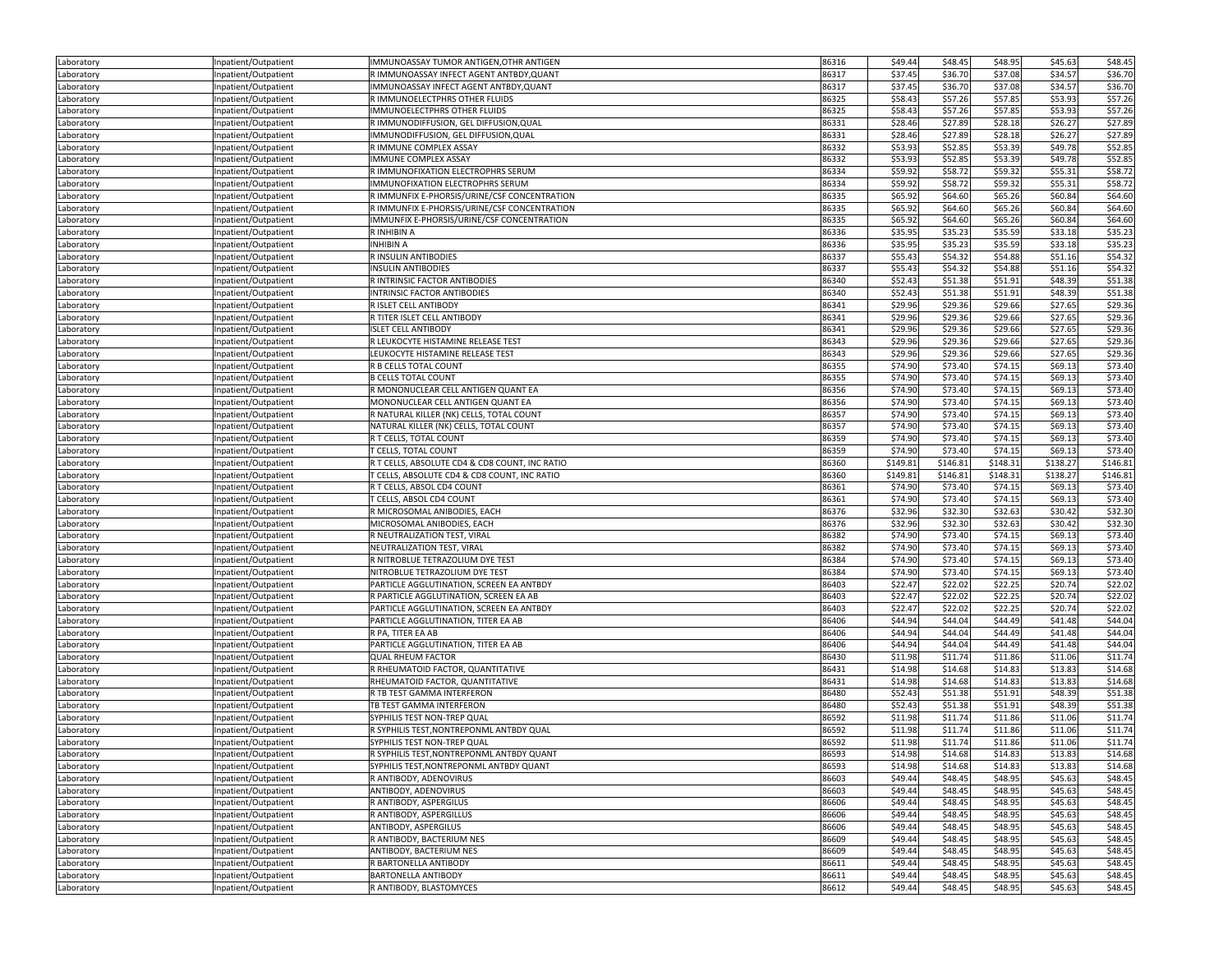| Laboratory | Inpatient/Outpatient | IMMUNOASSAY TUMOR ANTIGEN, OTHR ANTIGEN        | 86316 | \$49.44  | \$48.45  | \$48.95  | \$45.63  | \$48.45  |
|------------|----------------------|------------------------------------------------|-------|----------|----------|----------|----------|----------|
| Laboratory | Inpatient/Outpatient | R IMMUNOASSAY INFECT AGENT ANTBDY, QUANT       | 86317 | \$37.45  | \$36.70  | \$37.08  | \$34.57  | \$36.70  |
| Laboratory | Inpatient/Outpatient | IMMUNOASSAY INFECT AGENT ANTBDY, QUANT         | 86317 | \$37.45  | \$36.70  | \$37.08  | \$34.57  | \$36.70  |
|            | Inpatient/Outpatient | R IMMUNOELECTPHRS OTHER FLUIDS                 | 86325 | \$58.43  | \$57.26  | \$57.85  | \$53.93  | \$57.26  |
| Laboratory |                      |                                                |       |          |          |          |          |          |
| Laboratory | Inpatient/Outpatient | IMMUNOELECTPHRS OTHER FLUIDS                   | 86325 | \$58.43  | \$57.26  | \$57.85  | \$53.93  | \$57.26  |
| Laboratory | Inpatient/Outpatient | R IMMUNODIFFUSION, GEL DIFFUSION, QUAL         | 86331 | \$28.46  | \$27.89  | \$28.18  | \$26.27  | \$27.89  |
| Laboratory | Inpatient/Outpatient | IMMUNODIFFUSION, GEL DIFFUSION, QUAL           | 86331 | \$28.46  | \$27.89  | \$28.18  | \$26.27  | \$27.89  |
| Laboratory | Inpatient/Outpatient | R IMMUNE COMPLEX ASSAY                         | 86332 | \$53.93  | \$52.85  | \$53.39  | \$49.78  | \$52.85  |
| Laboratory | Inpatient/Outpatient | IMMUNE COMPLEX ASSAY                           | 86332 | \$53.93  | \$52.85  | \$53.39  | \$49.78  | \$52.85  |
| Laboratory | Inpatient/Outpatient | R IMMUNOFIXATION ELECTROPHRS SERUM             | 86334 | \$59.92  | \$58.72  | \$59.32  | \$55.31  | \$58.72  |
| Laboratory | Inpatient/Outpatient | IMMUNOFIXATION ELECTROPHRS SERUM               | 86334 | \$59.92  | \$58.72  | \$59.32  | \$55.31  | \$58.72  |
| Laboratory | Inpatient/Outpatient | R IMMUNFIX E-PHORSIS/URINE/CSF CONCENTRATION   | 86335 | \$65.92  | \$64.60  | \$65.26  | \$60.84  | \$64.60  |
| Laboratory | Inpatient/Outpatient | R IMMUNFIX E-PHORSIS/URINE/CSF CONCENTRATION   | 86335 | \$65.92  | \$64.60  | \$65.26  | \$60.84  | \$64.60  |
| Laboratory | Inpatient/Outpatient | IMMUNFIX E-PHORSIS/URINE/CSF CONCENTRATION     | 86335 | \$65.92  | \$64.60  | \$65.26  | \$60.84  | \$64.60  |
|            |                      |                                                |       | \$35.95  |          |          |          | \$35.23  |
| Laboratory | Inpatient/Outpatient | R INHIBIN A                                    | 86336 |          | \$35.23  | \$35.59  | \$33.18  |          |
| Laboratory | Inpatient/Outpatient | INHIBIN A                                      | 86336 | \$35.95  | \$35.23  | \$35.59  | \$33.18  | \$35.23  |
| Laboratory | Inpatient/Outpatient | R INSULIN ANTIBODIES                           | 86337 | \$55.43  | \$54.32  | \$54.88  | \$51.16  | \$54.32  |
| Laboratory | Inpatient/Outpatient | <b>INSULIN ANTIBODIES</b>                      | 86337 | \$55.43  | \$54.32  | \$54.88  | \$51.16  | \$54.32  |
| Laboratory | Inpatient/Outpatient | R INTRINSIC FACTOR ANTIBODIES                  | 86340 | \$52.43  | \$51.38  | \$51.91  | \$48.39  | \$51.38  |
| Laboratory | Inpatient/Outpatient | INTRINSIC FACTOR ANTIBODIES                    | 86340 | \$52.43  | \$51.38  | \$51.91  | \$48.39  | \$51.38  |
| Laboratory | Inpatient/Outpatient | R ISLET CELL ANTIBODY                          | 86341 | \$29.96  | \$29.36  | \$29.66  | \$27.65  | \$29.36  |
| Laboratory | Inpatient/Outpatient | R TITER ISLET CELL ANTIBODY                    | 86341 | \$29.96  | \$29.36  | \$29.66  | \$27.65  | \$29.36  |
| Laboratory | Inpatient/Outpatient | <b>ISLET CELL ANTIBODY</b>                     | 86341 | \$29.96  | \$29.36  | \$29.66  | \$27.65  | \$29.36  |
| Laboratory | Inpatient/Outpatient | R LEUKOCYTE HISTAMINE RELEASE TEST             | 86343 | \$29.96  | \$29.36  | \$29.66  | \$27.65  | \$29.36  |
|            |                      | LEUKOCYTE HISTAMINE RELEASE TEST               | 86343 | \$29.96  | \$29.36  | \$29.66  | \$27.65  | \$29.36  |
| Laboratory | Inpatient/Outpatient |                                                |       |          |          |          |          |          |
| Laboratory | Inpatient/Outpatient | R B CELLS TOTAL COUNT                          | 86355 | \$74.90  | \$73.40  | \$74.15  | \$69.13  | \$73.40  |
| Laboratory | Inpatient/Outpatient | <b>B CELLS TOTAL COUNT</b>                     | 86355 | \$74.90  | \$73.40  | \$74.15  | \$69.13  | \$73.40  |
| Laboratory | Inpatient/Outpatient | R MONONUCLEAR CELL ANTIGEN QUANT EA            | 86356 | \$74.90  | \$73.40  | \$74.15  | \$69.13  | \$73.40  |
| Laboratory | Inpatient/Outpatient | MONONUCLEAR CELL ANTIGEN QUANT EA              | 86356 | \$74.90  | \$73.40  | \$74.15  | \$69.13  | \$73.40  |
| Laboratory | Inpatient/Outpatient | R NATURAL KILLER (NK) CELLS, TOTAL COUNT       | 86357 | \$74.90  | \$73.40  | \$74.15  | \$69.13  | \$73.40  |
| Laboratory | Inpatient/Outpatient | NATURAL KILLER (NK) CELLS, TOTAL COUNT         | 86357 | \$74.90  | \$73.40  | \$74.15  | \$69.13  | \$73.40  |
| Laboratory | Inpatient/Outpatient | R T CELLS, TOTAL COUNT                         | 86359 | \$74.90  | \$73.40  | \$74.15  | \$69.13  | \$73.40  |
| Laboratory | Inpatient/Outpatient | T CELLS, TOTAL COUNT                           | 86359 | \$74.90  | \$73.40  | \$74.15  | \$69.13  | \$73.40  |
| Laboratory | Inpatient/Outpatient | R T CELLS, ABSOLUTE CD4 & CD8 COUNT, INC RATIO | 86360 | \$149.81 | \$146.81 | \$148.31 | \$138.27 | \$146.81 |
| Laboratory | Inpatient/Outpatient | T CELLS, ABSOLUTE CD4 & CD8 COUNT, INC RATIO   | 86360 | \$149.81 | \$146.81 | \$148.31 | \$138.27 | \$146.81 |
| Laboratory | Inpatient/Outpatient | R T CELLS, ABSOL CD4 COUNT                     | 86361 | \$74.90  | \$73.40  | \$74.15  | \$69.13  | \$73.40  |
|            |                      |                                                |       |          |          |          |          |          |
| Laboratory | Inpatient/Outpatient | T CELLS, ABSOL CD4 COUNT                       | 86361 | \$74.90  | \$73.40  | \$74.15  | \$69.13  | \$73.40  |
| Laboratory | Inpatient/Outpatient | R MICROSOMAL ANIBODIES, EACH                   | 86376 | \$32.96  | \$32.30  | \$32.63  | \$30.42  | \$32.30  |
| Laboratory | Inpatient/Outpatient | MICROSOMAL ANIBODIES, EACH                     | 86376 | \$32.96  | \$32.30  | \$32.63  | \$30.42  | \$32.30  |
| Laboratory | Inpatient/Outpatient | R NEUTRALIZATION TEST, VIRAL                   | 86382 | \$74.90  | \$73.40  | \$74.15  | \$69.13  | \$73.40  |
| Laboratory | Inpatient/Outpatient | NEUTRALIZATION TEST, VIRAL                     | 86382 | \$74.90  | \$73.40  | \$74.15  | \$69.13  | \$73.40  |
| Laboratory | Inpatient/Outpatient | R NITROBLUE TETRAZOLIUM DYE TEST               | 86384 | \$74.90  | \$73.40  | \$74.15  | \$69.13  | \$73.40  |
| Laboratory | Inpatient/Outpatient | NITROBLUE TETRAZOLIUM DYE TEST                 | 86384 | \$74.90  | \$73.40  | \$74.15  | \$69.13  | \$73.40  |
| Laboratory | Inpatient/Outpatient | PARTICLE AGGLUTINATION, SCREEN EA ANTBDY       | 86403 | \$22.47  | \$22.02  | \$22.25  | \$20.74  | \$22.02  |
| Laboratory | Inpatient/Outpatient | R PARTICLE AGGLUTINATION, SCREEN EA AB         | 86403 | \$22.47  | \$22.02  | \$22.25  | \$20.74  | \$22.02  |
| Laboratory | Inpatient/Outpatient | PARTICLE AGGLUTINATION, SCREEN EA ANTBDY       | 86403 | \$22.47  | \$22.02  | \$22.25  | \$20.74  | \$22.02  |
| Laboratory | Inpatient/Outpatient | PARTICLE AGGLUTINATION, TITER EA AB            | 86406 | \$44.94  | \$44.04  |          |          | \$44.04  |
| Laboratory |                      |                                                |       |          |          |          |          |          |
|            |                      |                                                |       |          |          | \$44.49  | \$41.48  |          |
|            | Inpatient/Outpatient | R PA, TITER EA AB                              | 86406 | \$44.94  | \$44.04  | \$44.49  | \$41.48  | \$44.04  |
| Laboratory | Inpatient/Outpatient | PARTICLE AGGLUTINATION, TITER EA AB            | 86406 | \$44.94  | \$44.04  | \$44.49  | \$41.48  | \$44.04  |
| Laboratory | Inpatient/Outpatient | <b>QUAL RHEUM FACTOR</b>                       | 86430 | \$11.98  | \$11.74  | \$11.86  | \$11.06  | \$11.74  |
| Laboratory | Inpatient/Outpatient | R RHEUMATOID FACTOR, QUANTITATIVE              | 86431 | \$14.98  | \$14.68  | \$14.83  | \$13.83  | \$14.68  |
| Laboratory | Inpatient/Outpatient | RHEUMATOID FACTOR, QUANTITATIVE                | 86431 | \$14.98  | \$14.68  | \$14.83  | \$13.83  | \$14.68  |
| Laboratory | Inpatient/Outpatient | R TB TEST GAMMA INTERFERON                     | 86480 | \$52.43  | \$51.38  | \$51.91  | \$48.39  | \$51.38  |
| Laboratory | Inpatient/Outpatient | TB TEST GAMMA INTERFERON                       | 86480 | \$52.43  | \$51.38  | \$51.91  | \$48.39  | \$51.38  |
| Laboratory | Inpatient/Outpatient | SYPHILIS TEST NON-TREP QUAL                    | 86592 | \$11.98  | \$11.74  | \$11.86  | \$11.06  | \$11.74  |
| Laboratory | Inpatient/Outpatient | R SYPHILIS TEST, NONTREPONML ANTBDY QUAL       | 86592 | \$11.98  | \$11.74  | \$11.86  | \$11.06  | \$11.74  |
|            |                      |                                                | 86592 | \$11.98  |          |          |          |          |
| Laboratory | Inpatient/Outpatient | SYPHILIS TEST NON-TREP QUAL                    |       |          | \$11.74  | \$11.86  | \$11.06  | \$11.74  |
| Laboratory | Inpatient/Outpatient | R SYPHILIS TEST, NONTREPONML ANTBDY QUANT      | 86593 | \$14.98  | \$14.68  | \$14.83  | \$13.83  | \$14.68  |
| Laboratory | Inpatient/Outpatient | SYPHILIS TEST, NONTREPONML ANTBDY QUANT        | 86593 | \$14.98  | \$14.68  | \$14.83  | \$13.83  | \$14.68  |
| Laboratory | Inpatient/Outpatient | R ANTIBODY, ADENOVIRUS                         | 86603 | \$49.44  | \$48.45  | \$48.95  | \$45.63  | \$48.45  |
| Laboratory | Inpatient/Outpatient | ANTIBODY, ADENOVIRUS                           | 86603 | \$49.44  | \$48.45  | \$48.95  | \$45.63  | \$48.45  |
| Laboratory | Inpatient/Outpatient | R ANTIBODY, ASPERGILUS                         | 86606 | \$49.44  | \$48.45  | \$48.95  | \$45.63  | \$48.45  |
| Laboratory | Inpatient/Outpatient | R ANTIBODY, ASPERGILLUS                        | 86606 | \$49.44  | \$48.45  | \$48.95  | \$45.63  | \$48.45  |
| Laboratory | Inpatient/Outpatient | ANTIBODY, ASPERGILUS                           | 86606 | \$49.44  | \$48.45  | \$48.95  | \$45.63  | \$48.45  |
| Laboratory | Inpatient/Outpatient | R ANTIBODY, BACTERIUM NES                      | 86609 | \$49.44  | \$48.45  | \$48.95  | \$45.63  | \$48.45  |
| Laboratory | Inpatient/Outpatient | ANTIBODY, BACTERIUM NES                        | 86609 | \$49.44  | \$48.45  | \$48.95  | \$45.63  | \$48.45  |
| Laboratory | Inpatient/Outpatient | R BARTONELLA ANTIBODY                          | 86611 | \$49.44  | \$48.45  | \$48.95  | \$45.63  | \$48.45  |
| Laboratory | Inpatient/Outpatient | BARTONELLA ANTIBODY                            | 86611 | \$49.44  | \$48.45  | \$48.95  | \$45.63  | \$48.45  |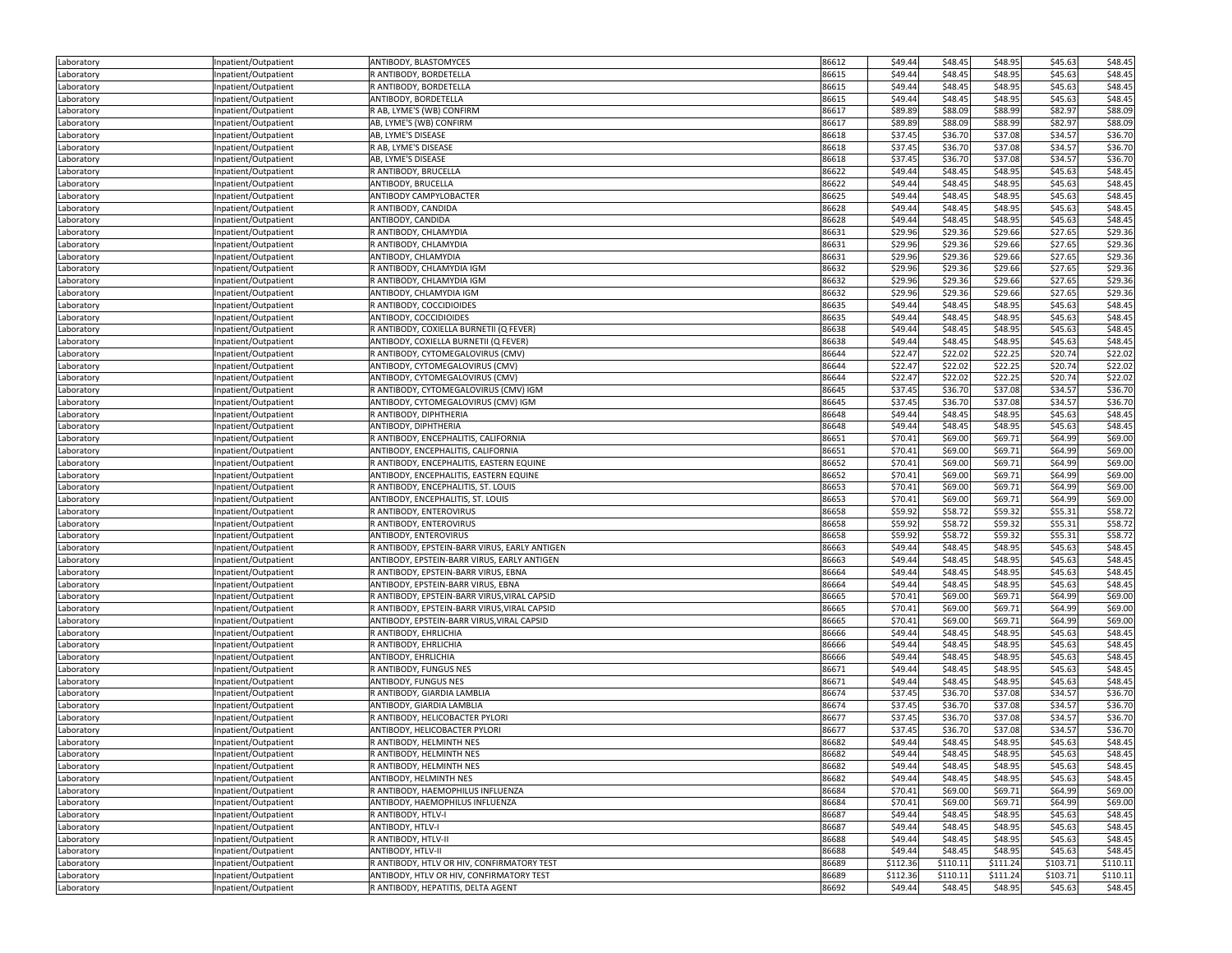| Laboratory               | Inpatient/Outpatient                         | ANTIBODY, BLASTOMYCES                         | 86612          | \$49.44  | \$48.45  | \$48.95  | \$45.63  | \$48.45  |
|--------------------------|----------------------------------------------|-----------------------------------------------|----------------|----------|----------|----------|----------|----------|
| Laboratory               | Inpatient/Outpatient                         | R ANTIBODY, BORDETELLA                        | 86615          | \$49.44  | \$48.45  | \$48.95  | \$45.63  | \$48.45  |
| Laboratory               | Inpatient/Outpatient                         | R ANTIBODY, BORDETELLA                        | 86615          | \$49.44  | \$48.45  | \$48.95  | \$45.63  | \$48.45  |
| Laboratory               | Inpatient/Outpatient                         | ANTIBODY, BORDETELLA                          | 86615          | \$49.44  | \$48.45  | \$48.95  | \$45.63  | \$48.45  |
| Laboratory               | Inpatient/Outpatient                         | R AB, LYME'S (WB) CONFIRM                     | 86617          | \$89.89  | \$88.09  | \$88.99  | \$82.97  | \$88.09  |
| Laboratory               | Inpatient/Outpatient                         | AB, LYME'S (WB) CONFIRM                       | 86617          | \$89.89  | \$88.09  | \$88.99  | \$82.97  | \$88.09  |
| Laboratory               | Inpatient/Outpatient                         | AB, LYME'S DISEASE                            | 86618          | \$37.45  | \$36.70  | \$37.08  | \$34.57  | \$36.70  |
| Laboratory               | Inpatient/Outpatient                         | R AB, LYME'S DISEASE                          | 86618          | \$37.45  | \$36.70  | \$37.08  | \$34.57  | \$36.70  |
| Laboratory               | Inpatient/Outpatient                         | AB, LYME'S DISEASE                            | 86618          | \$37.45  | \$36.70  | \$37.08  | \$34.57  | \$36.70  |
| Laboratory               | Inpatient/Outpatient                         | R ANTIBODY, BRUCELLA                          | 86622          | \$49.44  | \$48.45  | \$48.95  | \$45.63  | \$48.45  |
| Laboratory               | Inpatient/Outpatient                         | ANTIBODY, BRUCELLA                            | 86622          | \$49.44  | \$48.45  | \$48.95  | \$45.63  | \$48.45  |
| Laboratory               | Inpatient/Outpatient                         | ANTIBODY CAMPYLOBACTER                        | 86625          | \$49.44  | \$48.45  | \$48.95  | \$45.63  | \$48.45  |
| Laboratory               | Inpatient/Outpatient                         | R ANTIBODY, CANDIDA                           | 86628          | \$49.44  | \$48.45  | \$48.95  | \$45.63  | \$48.45  |
| Laboratory               | Inpatient/Outpatient                         | ANTIBODY, CANDIDA                             | 86628          | \$49.44  | \$48.45  | \$48.95  | \$45.63  | \$48.45  |
|                          | Inpatient/Outpatient                         | R ANTIBODY, CHLAMYDIA                         | 86631          | \$29.96  | \$29.36  | \$29.66  | \$27.65  | \$29.36  |
| Laboratory<br>Laboratory | Inpatient/Outpatient                         | R ANTIBODY, CHLAMYDIA                         | 86631          | \$29.96  | \$29.36  | \$29.66  | \$27.65  | \$29.36  |
| Laboratory               | Inpatient/Outpatient                         | ANTIBODY, CHLAMYDIA                           | 86631          | \$29.96  | \$29.36  | \$29.66  | \$27.65  | \$29.36  |
|                          |                                              | R ANTIBODY, CHLAMYDIA IGM                     | 86632          | \$29.96  | \$29.36  | \$29.66  | \$27.65  | \$29.36  |
| Laboratory               | Inpatient/Outpatient                         |                                               |                |          |          |          |          |          |
| Laboratory               | Inpatient/Outpatient                         | R ANTIBODY, CHLAMYDIA IGM                     | 86632          | \$29.96  | \$29.36  | \$29.66  | \$27.65  | \$29.36  |
| Laboratory               | Inpatient/Outpatient                         | ANTIBODY, CHLAMYDIA IGM                       | 86632          | \$29.96  | \$29.36  | \$29.66  | \$27.65  | \$29.36  |
| Laboratory               | Inpatient/Outpatient                         | R ANTIBODY, COCCIDIOIDES                      | 86635          | \$49.44  | \$48.45  | \$48.95  | \$45.63  | \$48.45  |
| Laboratory               | Inpatient/Outpatient                         | ANTIBODY, COCCIDIOIDES                        | 86635          | \$49.44  | \$48.45  | \$48.95  | \$45.63  | \$48.45  |
| Laboratory               | Inpatient/Outpatient                         | R ANTIBODY, COXIELLA BURNETII (Q FEVER)       | 86638          | \$49.44  | \$48.45  | \$48.95  | \$45.63  | \$48.45  |
| Laboratory               | Inpatient/Outpatient                         | ANTIBODY, COXIELLA BURNETII (Q FEVER)         | 86638          | \$49.44  | \$48.45  | \$48.95  | \$45.63  | \$48.45  |
| Laboratory               | Inpatient/Outpatient                         | R ANTIBODY, CYTOMEGALOVIRUS (CMV)             | 86644          | \$22.47  | \$22.02  | \$22.25  | \$20.74  | \$22.02  |
| Laboratory               | Inpatient/Outpatient                         | ANTIBODY, CYTOMEGALOVIRUS (CMV)               | 86644          | \$22.47  | \$22.02  | \$22.25  | \$20.74  | \$22.02  |
| Laboratory               | Inpatient/Outpatient                         | ANTIBODY, CYTOMEGALOVIRUS (CMV)               | 86644          | \$22.47  | \$22.02  | \$22.25  | \$20.74  | \$22.02  |
| Laboratory               | Inpatient/Outpatient                         | R ANTIBODY, CYTOMEGALOVIRUS (CMV) IGM         | 86645          | \$37.45  | \$36.70  | \$37.08  | \$34.57  | \$36.70  |
| Laboratory               | Inpatient/Outpatient                         | ANTIBODY, CYTOMEGALOVIRUS (CMV) IGM           | 86645          | \$37.45  | \$36.70  | \$37.08  | \$34.57  | \$36.70  |
| Laboratory               | Inpatient/Outpatient                         | R ANTIBODY, DIPHTHERIA                        | 86648          | \$49.44  | \$48.45  | \$48.95  | \$45.63  | \$48.45  |
| Laboratory               | Inpatient/Outpatient                         | ANTIBODY, DIPHTHERIA                          | 86648          | \$49.44  | \$48.45  | \$48.95  | \$45.63  | \$48.45  |
| Laboratory               | Inpatient/Outpatient                         | R ANTIBODY, ENCEPHALITIS, CALIFORNIA          | 86651          | \$70.41  | \$69.00  | \$69.71  | \$64.99  | \$69.00  |
| Laboratory               | Inpatient/Outpatient                         | ANTIBODY, ENCEPHALITIS, CALIFORNIA            | 86651          | \$70.41  | \$69.00  | \$69.71  | \$64.99  | \$69.00  |
| Laboratory               | Inpatient/Outpatient                         | R ANTIBODY, ENCEPHALITIS, EASTERN EQUINE      | 86652          | \$70.41  | \$69.00  | \$69.71  | \$64.99  | \$69.00  |
| Laboratory               | Inpatient/Outpatient                         | ANTIBODY, ENCEPHALITIS, EASTERN EQUINE        | 86652          | \$70.41  | \$69.00  | \$69.71  | \$64.99  | \$69.00  |
| Laboratory               | Inpatient/Outpatient                         | R ANTIBODY, ENCEPHALITIS, ST. LOUIS           | 86653          | \$70.41  | \$69.00  | \$69.71  | \$64.99  | \$69.00  |
| Laboratory               | Inpatient/Outpatient                         | ANTIBODY, ENCEPHALITIS, ST. LOUIS             | 86653          | \$70.41  | \$69.00  | \$69.71  | \$64.99  | \$69.00  |
| Laboratory               | Inpatient/Outpatient                         | R ANTIBODY, ENTEROVIRUS                       | 86658          | \$59.92  | \$58.72  | \$59.32  | \$55.31  | \$58.72  |
| Laboratory               | Inpatient/Outpatient                         | R ANTIBODY, ENTEROVIRUS                       | 86658          | \$59.92  | \$58.72  | \$59.32  | \$55.31  | \$58.72  |
| Laboratory               | Inpatient/Outpatient                         | ANTIBODY, ENTEROVIRUS                         | 86658          | \$59.92  | \$58.72  | \$59.32  | \$55.31  | \$58.72  |
| Laboratory               | Inpatient/Outpatient                         | R ANTIBODY, EPSTEIN-BARR VIRUS, EARLY ANTIGEN | 86663          | \$49.44  | \$48.45  | \$48.95  | \$45.63  | \$48.45  |
| Laboratory               | Inpatient/Outpatient                         | ANTIBODY, EPSTEIN-BARR VIRUS, EARLY ANTIGEN   | 86663          | \$49.44  | \$48.45  | \$48.95  | \$45.63  | \$48.45  |
| Laboratory               | Inpatient/Outpatient                         | R ANTIBODY, EPSTEIN-BARR VIRUS, EBNA          | 86664          | \$49.44  | \$48.45  | \$48.95  | \$45.63  | \$48.45  |
| Laboratory               | Inpatient/Outpatient                         | ANTIBODY, EPSTEIN-BARR VIRUS, EBNA            | 86664          | \$49.44  | \$48.45  | \$48.95  | \$45.63  | \$48.45  |
| Laboratory               | Inpatient/Outpatient                         | R ANTIBODY, EPSTEIN-BARR VIRUS, VIRAL CAPSID  | 86665          | \$70.41  | \$69.00  | \$69.71  | \$64.99  | \$69.00  |
| Laboratory               | Inpatient/Outpatient                         | R ANTIBODY, EPSTEIN-BARR VIRUS, VIRAL CAPSID  | 86665          | \$70.41  | \$69.00  | \$69.71  | \$64.99  | \$69.00  |
| Laboratory               | Inpatient/Outpatient                         | ANTIBODY, EPSTEIN-BARR VIRUS, VIRAL CAPSID    | 86665          | \$70.41  | \$69.00  | \$69.71  | \$64.99  | \$69.00  |
| Laboratory               | Inpatient/Outpatient                         | R ANTIBODY, EHRLICHIA                         | 86666          | \$49.44  | \$48.45  | \$48.95  | \$45.63  | \$48.45  |
| Laboratory               | Inpatient/Outpatient                         | R ANTIBODY, EHRLICHIA                         | 86666          | \$49.44  | \$48.45  | \$48.95  | \$45.63  | \$48.45  |
| Laboratory               | Inpatient/Outpatient                         | ANTIBODY, EHRLICHIA                           | 86666          | \$49.44  | \$48.45  | \$48.95  | \$45.63  | \$48.45  |
| Laboratory               | Inpatient/Outpatient                         | R ANTIBODY, FUNGUS NES                        | 86671          | \$49.44  | \$48.45  | \$48.95  | \$45.63  | \$48.45  |
| Laboratory               | Inpatient/Outpatient                         | <b>ANTIBODY, FUNGUS NES</b>                   | 86671          | \$49.44  | \$48.45  | \$48.95  | \$45.63  | \$48.45  |
| Laboratory               | Inpatient/Outpatient                         | R ANTIBODY, GIARDIA LAMBLIA                   | 86674          | \$37.45  | \$36.70  | \$37.08  | \$34.57  | \$36.70  |
| Laboratory               | Inpatient/Outpatient                         | ANTIBODY, GIARDIA LAMBLIA                     | 86674          | \$37.45  | \$36.70  | \$37.08  | \$34.57  | \$36.70  |
| Laboratory               | Inpatient/Outpatient                         | R ANTIBODY, HELICOBACTER PYLORI               | 86677          | \$37.45  | \$36.70  | \$37.08  | \$34.57  | \$36.70  |
| Laboratory               | Inpatient/Outpatient                         | ANTIBODY, HELICOBACTER PYLORI                 | 86677          | \$37.45  | \$36.70  | \$37.08  | \$34.57  | \$36.70  |
| Laboratory               | Inpatient/Outpatient                         | R ANTIBODY, HELMINTH NES                      | 86682          | \$49.44  | \$48.45  | \$48.95  | \$45.63  | \$48.45  |
|                          |                                              | R ANTIBODY, HELMINTH NES                      |                | \$49.44  | \$48.45  | \$48.95  | \$45.63  | \$48.45  |
| Laboratory<br>Laboratory | Inpatient/Outpatient<br>Inpatient/Outpatient | R ANTIBODY, HELMINTH NES                      | 86682<br>86682 | \$49.44  | \$48.45  | \$48.95  | \$45.63  | \$48.45  |
| Laboratory               | Inpatient/Outpatient                         | ANTIBODY, HELMINTH NES                        | 86682          | \$49.44  | \$48.45  | \$48.95  | \$45.63  | \$48.45  |
| Laboratory               | Inpatient/Outpatient                         | R ANTIBODY, HAEMOPHILUS INFLUENZA             | 86684          | \$70.41  | \$69.00  | \$69.71  | \$64.99  | \$69.00  |
|                          |                                              | ANTIBODY, HAEMOPHILUS INFLUENZA               | 86684          | \$70.41  | \$69.00  | \$69.71  | \$64.99  | \$69.00  |
| Laboratory               | Inpatient/Outpatient                         | R ANTIBODY, HTLV-I                            | 86687          | \$49.44  | \$48.45  |          |          |          |
| Laboratory               | Inpatient/Outpatient                         |                                               |                |          | \$48.45  | \$48.95  | \$45.63  | \$48.45  |
| Laboratory               | Inpatient/Outpatient                         | ANTIBODY, HTLV-I                              | 86687          | \$49.44  |          | \$48.95  | \$45.63  | \$48.45  |
| Laboratory               | Inpatient/Outpatient                         | R ANTIBODY, HTLV-II                           | 86688          | \$49.44  | \$48.45  | \$48.95  | \$45.63  | \$48.45  |
| Laboratory               | Inpatient/Outpatient                         | ANTIBODY, HTLV-II                             | 86688          | \$49.44  | \$48.45  | \$48.95  | \$45.63  | \$48.45  |
| Laboratory               | Inpatient/Outpatient                         | R ANTIBODY, HTLV OR HIV, CONFIRMATORY TEST    | 86689          | \$112.36 | \$110.11 | \$111.24 | \$103.71 | \$110.11 |
| Laboratory               | Inpatient/Outpatient                         | ANTIBODY, HTLV OR HIV, CONFIRMATORY TEST      | 86689          | \$112.36 | \$110.11 | \$111.24 | \$103.71 | \$110.11 |
| Laboratory               | Inpatient/Outpatient                         | R ANTIBODY, HEPATITIS, DELTA AGENT            | 86692          | \$49.44  | \$48.45  | \$48.95  | \$45.63  | \$48.45  |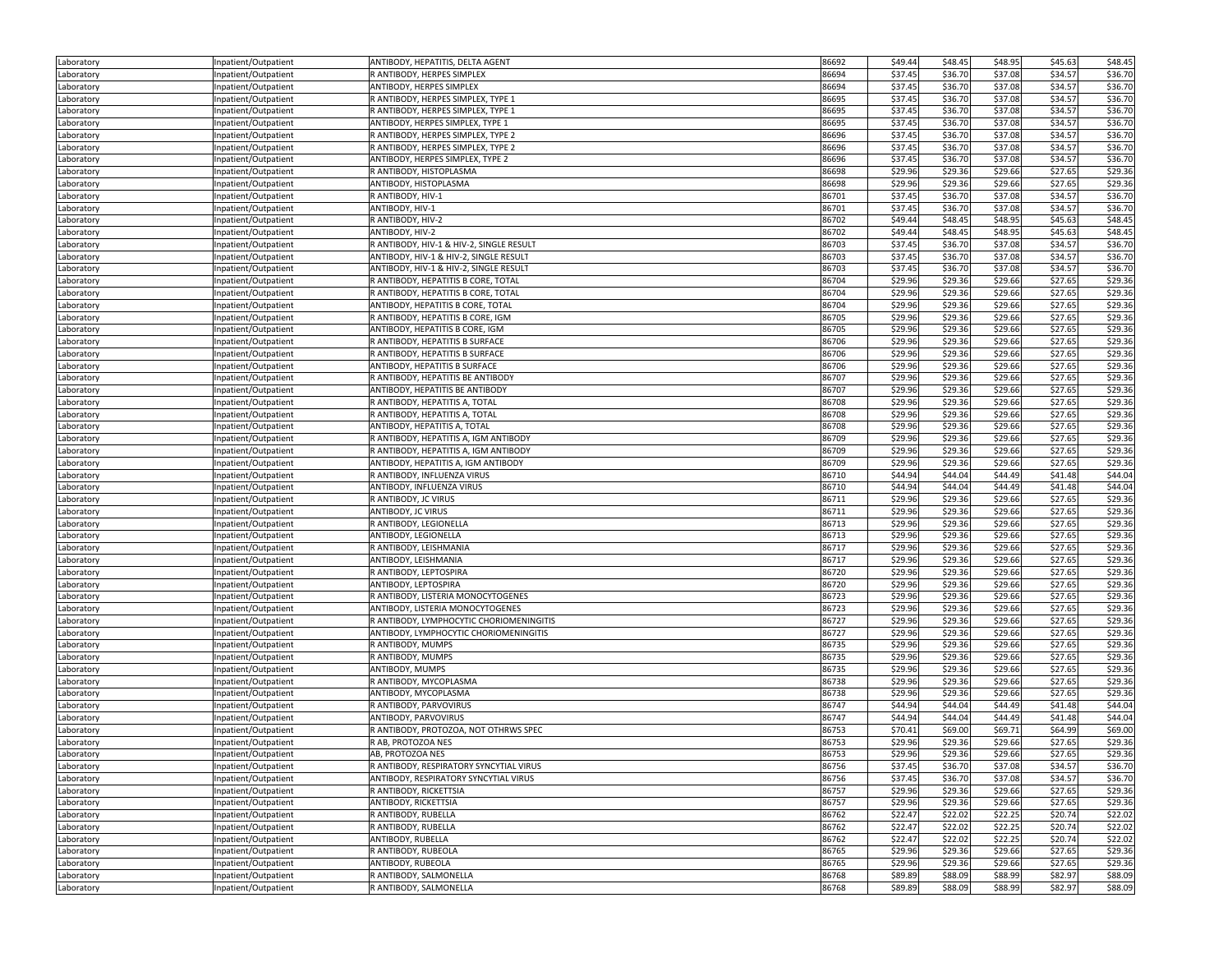| Laboratory               | Inpatient/Outpatient | ANTIBODY, HEPATITIS, DELTA AGENT         | 86692          | \$49.44            | \$48.45            | \$48.95            | \$45.63            | \$48.45            |
|--------------------------|----------------------|------------------------------------------|----------------|--------------------|--------------------|--------------------|--------------------|--------------------|
| Laboratory               | Inpatient/Outpatient | R ANTIBODY, HERPES SIMPLEX               | 86694          | \$37.45            | \$36.70            | \$37.08            | \$34.57            | \$36.70            |
| Laboratory               | Inpatient/Outpatient | ANTIBODY, HERPES SIMPLEX                 | 86694          | \$37.45            | \$36.70            | \$37.08            | \$34.57            | \$36.70            |
| Laboratory               | Inpatient/Outpatient | R ANTIBODY, HERPES SIMPLEX, TYPE 1       | 86695          | \$37.45            | \$36.70            | \$37.08            | \$34.57            | \$36.70            |
| Laboratory               | Inpatient/Outpatient | R ANTIBODY, HERPES SIMPLEX, TYPE 1       | 86695          | \$37.45            | \$36.70            | \$37.08            | \$34.57            | \$36.70            |
| Laboratory               | Inpatient/Outpatient | ANTIBODY, HERPES SIMPLEX, TYPE 1         | 86695          | \$37.45            | \$36.70            | \$37.08            | \$34.57            | \$36.70            |
| Laboratory               | Inpatient/Outpatient | R ANTIBODY, HERPES SIMPLEX, TYPE 2       | 86696          | \$37.45            | \$36.70            | \$37.08            | \$34.57            | \$36.70            |
| Laboratory               | Inpatient/Outpatient | R ANTIBODY, HERPES SIMPLEX, TYPE 2       | 86696          | \$37.45            | \$36.70            | \$37.08            | \$34.57            | \$36.70            |
| Laboratory               | Inpatient/Outpatient | ANTIBODY, HERPES SIMPLEX, TYPE 2         | 86696          | \$37.45            | \$36.70            | \$37.08            | \$34.57            | \$36.70            |
| Laboratory               | Inpatient/Outpatient | R ANTIBODY, HISTOPLASMA                  | 86698          | \$29.96            | \$29.36            | \$29.66            | \$27.65            | \$29.36            |
| Laboratory               | Inpatient/Outpatient | ANTIBODY, HISTOPLASMA                    | 86698          | \$29.96            | \$29.36            | \$29.66            | \$27.65            | \$29.36            |
|                          |                      | R ANTIBODY, HIV-1                        | 86701          | \$37.45            | \$36.70            | \$37.08            | \$34.57            | \$36.70            |
| Laboratory<br>Laboratory | Inpatient/Outpatient | ANTIBODY, HIV-1                          | 86701          | \$37.45            | \$36.70            | \$37.08            | \$34.57            | \$36.70            |
|                          | Inpatient/Outpatient | R ANTIBODY, HIV-2                        |                |                    |                    |                    |                    |                    |
| Laboratory               | Inpatient/Outpatient |                                          | 86702          | \$49.44            | \$48.45            | \$48.95            | \$45.63            | \$48.45            |
| Laboratory               | Inpatient/Outpatient | ANTIBODY, HIV-2                          | 86702          | \$49.44            | \$48.45            | \$48.95            | \$45.63            | \$48.45            |
| Laboratory               | Inpatient/Outpatient | R ANTIBODY, HIV-1 & HIV-2, SINGLE RESULT | 86703          | \$37.45            | \$36.70            | \$37.08            | \$34.57            | \$36.70            |
| Laboratory               | Inpatient/Outpatient | ANTIBODY, HIV-1 & HIV-2, SINGLE RESULT   | 86703          | \$37.45            | \$36.70            | \$37.08            | \$34.57            | \$36.70            |
| Laboratory               | Inpatient/Outpatient | ANTIBODY, HIV-1 & HIV-2, SINGLE RESULT   | 86703          | \$37.45            | \$36.70            | \$37.08            | \$34.57            | \$36.70            |
| Laboratory               | Inpatient/Outpatient | R ANTIBODY, HEPATITIS B CORE, TOTAL      | 86704          | \$29.96            | \$29.36            | \$29.66            | \$27.65            | \$29.36            |
| Laboratory               | Inpatient/Outpatient | R ANTIBODY, HEPATITIS B CORE, TOTAL      | 86704          | \$29.96            | \$29.36            | \$29.66            | \$27.65            | \$29.36            |
| Laboratory               | Inpatient/Outpatient | ANTIBODY, HEPATITIS B CORE, TOTAL        | 86704          | \$29.96            | \$29.36            | \$29.66            | \$27.65            | \$29.36            |
| Laboratory               | Inpatient/Outpatient | R ANTIBODY, HEPATITIS B CORE, IGM        | 86705          | \$29.96            | \$29.36            | \$29.66            | \$27.65            | \$29.36            |
| Laboratory               | Inpatient/Outpatient | ANTIBODY, HEPATITIS B CORE, IGM          | 86705          | \$29.96            | \$29.36            | \$29.66            | \$27.65            | \$29.36            |
| Laboratory               | Inpatient/Outpatient | R ANTIBODY, HEPATITIS B SURFACE          | 86706          | \$29.96            | \$29.36            | \$29.66            | \$27.65            | \$29.36            |
| Laboratory               | Inpatient/Outpatient | R ANTIBODY, HEPATITIS B SURFACE          | 86706          | \$29.96            | \$29.36            | \$29.66            | \$27.65            | \$29.36            |
| Laboratory               | Inpatient/Outpatient | ANTIBODY, HEPATITIS B SURFACE            | 86706          | \$29.96            | \$29.36            | \$29.66            | \$27.65            | \$29.36            |
| Laboratory               | Inpatient/Outpatient | R ANTIBODY, HEPATITIS BE ANTIBODY        | 86707          | \$29.96            | \$29.36            | \$29.66            | \$27.65            | \$29.36            |
| Laboratory               | Inpatient/Outpatient | ANTIBODY, HEPATITIS BE ANTIBODY          | 86707          | \$29.96            | \$29.36            | \$29.66            | \$27.65            | \$29.36            |
| Laboratory               | Inpatient/Outpatient | R ANTIBODY, HEPATITIS A, TOTAL           | 86708          | \$29.96            | \$29.36            | \$29.66            | \$27.65            | \$29.36            |
| Laboratory               | Inpatient/Outpatient | R ANTIBODY, HEPATITIS A, TOTAL           | 86708          | \$29.96            | \$29.36            | \$29.66            | \$27.65            | \$29.36            |
| Laboratory               | Inpatient/Outpatient | ANTIBODY, HEPATITIS A, TOTAL             | 86708          | \$29.96            | \$29.36            | \$29.66            | \$27.65            | \$29.36            |
| Laboratory               | Inpatient/Outpatient | R ANTIBODY, HEPATITIS A, IGM ANTIBODY    | 86709          | \$29.96            | \$29.36            | \$29.66            | \$27.65            | \$29.36            |
| Laboratory               | Inpatient/Outpatient | R ANTIBODY, HEPATITIS A, IGM ANTIBODY    | 86709          | \$29.96            | \$29.36            | \$29.66            | \$27.65            | \$29.36            |
| Laboratory               | Inpatient/Outpatient | ANTIBODY, HEPATITIS A, IGM ANTIBODY      | 86709          | \$29.96            | \$29.36            | \$29.66            | \$27.65            | \$29.36            |
| Laboratory               | Inpatient/Outpatient | R ANTIBODY, INFLUENZA VIRUS              | 86710          | \$44.94            | \$44.04            | \$44.49            | \$41.48            | \$44.04            |
| Laboratory               | Inpatient/Outpatient | ANTIBODY, INFLUENZA VIRUS                | 86710          | \$44.94            | \$44.04            | \$44.49            | \$41.48            | \$44.04            |
| Laboratory               | Inpatient/Outpatient | R ANTIBODY, JC VIRUS                     | 86711          | \$29.96            | \$29.36            | \$29.66            | \$27.65            | \$29.36            |
| Laboratory               | Inpatient/Outpatient | ANTIBODY, JC VIRUS                       | 86711          | \$29.96            | \$29.36            | \$29.66            | \$27.65            | \$29.36            |
| Laboratory               | Inpatient/Outpatient | R ANTIBODY, LEGIONELLA                   | 86713          | \$29.96            | \$29.36            | \$29.66            | \$27.65            | \$29.36            |
| Laboratory               | Inpatient/Outpatient | ANTIBODY, LEGIONELLA                     | 86713          | \$29.96            | \$29.36            | \$29.66            | \$27.65            | \$29.36            |
| Laboratory               | Inpatient/Outpatient | R ANTIBODY, LEISHMANIA                   | 86717          | \$29.96            | \$29.36            | \$29.66            | \$27.65            | \$29.36            |
| Laboratory               | Inpatient/Outpatient | ANTIBODY, LEISHMANIA                     | 86717          | \$29.96            | \$29.36            | \$29.66            | \$27.65            | \$29.36            |
| Laboratory               | Inpatient/Outpatient | R ANTIBODY, LEPTOSPIRA                   | 86720          | \$29.96            | \$29.36            | \$29.66            | \$27.65            | \$29.36            |
| Laboratory               | Inpatient/Outpatient | ANTIBODY, LEPTOSPIRA                     | 86720          | \$29.96            | \$29.36            | \$29.66            | \$27.65            | \$29.36            |
|                          | Inpatient/Outpatient | R ANTIBODY, LISTERIA MONOCYTOGENES       | 86723          | \$29.96            | \$29.36            | \$29.66            | \$27.65            | \$29.36            |
| Laboratory<br>Laboratory | Inpatient/Outpatient | ANTIBODY, LISTERIA MONOCYTOGENES         | 86723          | \$29.96            | \$29.36            | \$29.66            | \$27.65            | \$29.36            |
|                          |                      | R ANTIBODY, LYMPHOCYTIC CHORIOMENINGITIS | 86727          | \$29.96            | \$29.36            | \$29.66            | \$27.65            | \$29.36            |
| Laboratory               | Inpatient/Outpatient | ANTIBODY, LYMPHOCYTIC CHORIOMENINGITIS   | 86727          | \$29.96            | \$29.36            | \$29.66            | \$27.65            | \$29.36            |
| Laboratory               | Inpatient/Outpatient |                                          |                |                    |                    |                    |                    |                    |
| Laboratory               | Inpatient/Outpatient | R ANTIBODY, MUMPS                        | 86735          | \$29.96            | \$29.36            | \$29.66            | \$27.65            | \$29.36            |
| Laboratory               | Inpatient/Outpatient | R ANTIBODY, MUMPS<br>ANTIBODY, MUMPS     | 86735<br>86735 | \$29.96<br>\$29.96 | \$29.36<br>\$29.36 | \$29.66<br>\$29.66 | \$27.65<br>\$27.65 | \$29.36<br>\$29.36 |
| Laboratory               | Inpatient/Outpatient |                                          |                |                    |                    |                    |                    |                    |
| Laboratory               | Inpatient/Outpatient | R ANTIBODY, MYCOPLASMA                   | 86738          | \$29.96            | \$29.36            | \$29.66            | \$27.65            | \$29.36            |
| Laboratory               | Inpatient/Outpatient | ANTIBODY, MYCOPLASMA                     | 86738          | \$29.96            | \$29.36            | \$29.66            | \$27.65            | \$29.36            |
| Laboratory               | Inpatient/Outpatient | R ANTIBODY, PARVOVIRUS                   | 86747          | \$44.94            | \$44.04            | \$44.49            | \$41.48            | \$44.04            |
| Laboratory               | Inpatient/Outpatient | ANTIBODY, PARVOVIRUS                     | 86747          | \$44.94            | \$44.04            | \$44.49            | \$41.48            | \$44.04            |
| Laboratory               | Inpatient/Outpatient | R ANTIBODY, PROTOZOA, NOT OTHRWS SPEC    | 86753          | \$70.41            | \$69.00            | \$69.71            | \$64.99            | \$69.00            |
| Laboratory               | Inpatient/Outpatient | R AB, PROTOZOA NES                       | 86753          | \$29.96            | \$29.36            | \$29.66            | \$27.65            | \$29.36            |
| Laboratory               | Inpatient/Outpatient | AB, PROTOZOA NES                         | 86753          | \$29.96            | \$29.36            | \$29.66            | \$27.65            | \$29.36            |
| Laboratory               | Inpatient/Outpatient | R ANTIBODY, RESPIRATORY SYNCYTIAL VIRUS  | 86756          | \$37.45            | \$36.70            | \$37.08            | \$34.57            | \$36.70            |
| Laboratory               | Inpatient/Outpatient | ANTIBODY, RESPIRATORY SYNCYTIAL VIRUS    | 86756          | \$37.45            | \$36.70            | \$37.08            | \$34.57            | \$36.70            |
| Laboratory               | Inpatient/Outpatient | R ANTIBODY, RICKETTSIA                   | 86757          | \$29.96            | \$29.36            | \$29.66            | \$27.65            | \$29.36            |
| Laboratory               | Inpatient/Outpatient | ANTIBODY, RICKETTSIA                     | 86757          | \$29.96            | \$29.36            | \$29.66            | \$27.65            | \$29.36            |
| Laboratory               | Inpatient/Outpatient | R ANTIBODY, RUBELLA                      | 86762          | \$22.47            | \$22.02            | \$22.25            | \$20.74            | \$22.02            |
| Laboratory               | Inpatient/Outpatient | R ANTIBODY, RUBELLA                      | 86762          | \$22.47            | \$22.02            | \$22.25            | \$20.74            | \$22.02            |
| Laboratory               | Inpatient/Outpatient | ANTIBODY, RUBELLA                        | 86762          | \$22.47            | \$22.02            | \$22.25            | \$20.74            | \$22.02            |
| Laboratory               | Inpatient/Outpatient | R ANTIBODY, RUBEOLA                      | 86765          | \$29.96            | \$29.36            | \$29.66            | \$27.65            | \$29.36            |
| Laboratory               | Inpatient/Outpatient | ANTIBODY, RUBEOLA                        | 86765          | \$29.96            | \$29.36            | \$29.66            | \$27.65            | \$29.36            |
| Laboratory               | Inpatient/Outpatient | R ANTIBODY, SALMONELLA                   | 86768          | \$89.89            | \$88.09            | \$88.99            | \$82.97            | \$88.09            |
| Laboratory               | Inpatient/Outpatient | R ANTIBODY, SALMONELLA                   | 86768          | \$89.89            | \$88.09            | \$88.99            | \$82.97            | \$88.09            |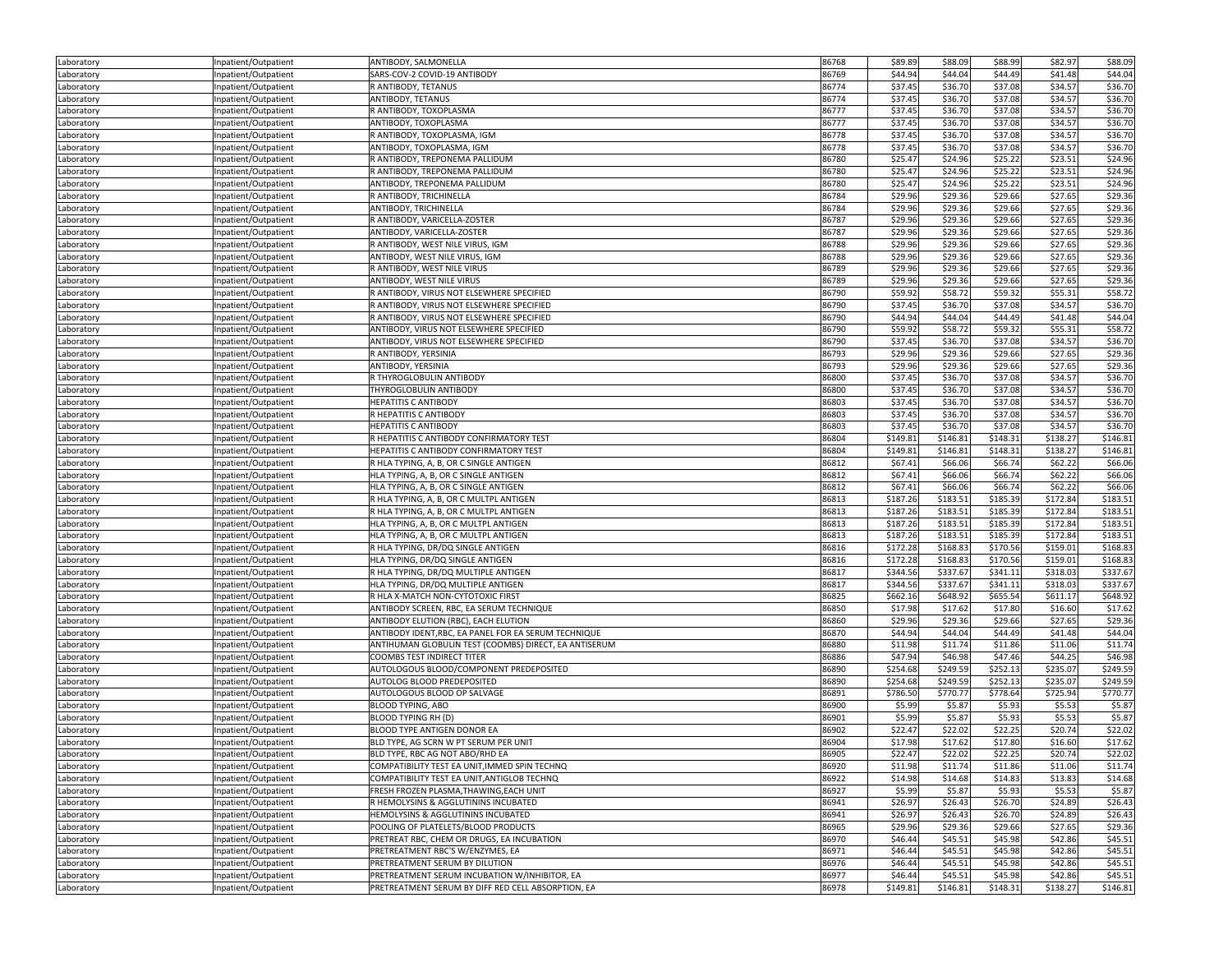| Laboratory               | Inpatient/Outpatient                         | ANTIBODY, SALMONELLA                                                                                | 86768          | \$89.89             | \$88.09             | \$88.99             | \$82.97             | \$88.09             |
|--------------------------|----------------------------------------------|-----------------------------------------------------------------------------------------------------|----------------|---------------------|---------------------|---------------------|---------------------|---------------------|
| Laboratory               | Inpatient/Outpatient                         | SARS-COV-2 COVID-19 ANTIBODY                                                                        | 86769          | \$44.94             | \$44.04             | \$44.49             | \$41.48             | \$44.04             |
| Laboratory               | Inpatient/Outpatient                         | R ANTIBODY, TETANUS                                                                                 | 86774          | \$37.45             | \$36.70             | \$37.08             | \$34.57             | \$36.70             |
| Laboratory               | Inpatient/Outpatient                         | ANTIBODY, TETANUS                                                                                   | 86774          | \$37.45             | \$36.70             | \$37.08             | \$34.57             | \$36.70             |
| Laboratory               | Inpatient/Outpatient                         | R ANTIBODY, TOXOPLASMA                                                                              | 86777          | \$37.45             | \$36.70             | \$37.08             | \$34.57             | \$36.70             |
| Laboratory               | Inpatient/Outpatient                         | ANTIBODY, TOXOPLASMA                                                                                | 86777          | \$37.45             | \$36.70             | \$37.08             | \$34.57             | \$36.70             |
| Laboratory               | Inpatient/Outpatient                         | R ANTIBODY, TOXOPLASMA, IGM                                                                         | 86778          | \$37.45             | \$36.70             | \$37.08             | \$34.57             | \$36.70             |
| Laboratory               | Inpatient/Outpatient                         | ANTIBODY, TOXOPLASMA, IGM                                                                           | 86778          | \$37.45             | \$36.70             | \$37.08             | \$34.57             | \$36.70             |
| Laboratory               | Inpatient/Outpatient                         | R ANTIBODY, TREPONEMA PALLIDUM                                                                      | 86780          | \$25.47             | \$24.96             | \$25.22             | \$23.51             | \$24.96             |
| Laboratory               | Inpatient/Outpatient                         | R ANTIBODY, TREPONEMA PALLIDUM                                                                      | 86780          | \$25.47             | \$24.96             | \$25.22             | \$23.51             | \$24.96             |
| Laboratory               | Inpatient/Outpatient                         | ANTIBODY, TREPONEMA PALLIDUM                                                                        | 86780          | \$25.47             | \$24.96             | \$25.22             | \$23.51             | \$24.96             |
| Laboratory               | Inpatient/Outpatient                         | R ANTIBODY, TRICHINELLA                                                                             | 86784          | \$29.96             | \$29.36             | \$29.66             | \$27.65             | \$29.36             |
| Laboratory               | Inpatient/Outpatient                         | ANTIBODY, TRICHINELLA                                                                               | 86784          | \$29.96             | \$29.36             | \$29.66             | \$27.65             | \$29.36             |
| Laboratory               | Inpatient/Outpatient                         | R ANTIBODY, VARICELLA-ZOSTER                                                                        | 86787          | \$29.96             | \$29.36             | \$29.66             | \$27.65             | \$29.36             |
|                          |                                              | ANTIBODY, VARICELLA-ZOSTER                                                                          | 86787          | \$29.96             | \$29.36             | \$29.66             | \$27.65             | \$29.36             |
| Laboratory<br>Laboratory | Inpatient/Outpatient<br>Inpatient/Outpatient | R ANTIBODY, WEST NILE VIRUS, IGM                                                                    | 86788          | \$29.96             | \$29.36             | \$29.66             | \$27.65             | \$29.36             |
| Laboratory               |                                              | ANTIBODY, WEST NILE VIRUS, IGM                                                                      | 86788          | \$29.96             | \$29.36             | \$29.66             | \$27.65             | \$29.36             |
|                          | Inpatient/Outpatient                         | R ANTIBODY, WEST NILE VIRUS                                                                         | 86789          | \$29.96             | \$29.36             | \$29.66             | \$27.65             | \$29.36             |
| Laboratory               | Inpatient/Outpatient                         |                                                                                                     |                |                     |                     |                     |                     |                     |
| Laboratory               | Inpatient/Outpatient                         | ANTIBODY, WEST NILE VIRUS                                                                           | 86789          | \$29.96             | \$29.36             | \$29.66             | \$27.65             | \$29.36             |
| Laboratory               | Inpatient/Outpatient                         | R ANTIBODY, VIRUS NOT ELSEWHERE SPECIFIED                                                           | 86790          | \$59.92             | \$58.72             | \$59.32             | \$55.31             | \$58.72             |
| Laboratory               | Inpatient/Outpatient                         | R ANTIBODY, VIRUS NOT ELSEWHERE SPECIFIED                                                           | 86790          | \$37.45             | \$36.70             | \$37.08             | \$34.57             | \$36.70             |
| Laboratory               | Inpatient/Outpatient                         | R ANTIBODY, VIRUS NOT ELSEWHERE SPECIFIED                                                           | 86790          | \$44.94             | \$44.04             | \$44.49             | \$41.48             | \$44.04             |
| Laboratory               | Inpatient/Outpatient                         | ANTIBODY, VIRUS NOT ELSEWHERE SPECIFIED                                                             | 86790          | \$59.92             | \$58.72             | \$59.32             | \$55.31             | \$58.72             |
| Laboratory               | Inpatient/Outpatient                         | ANTIBODY, VIRUS NOT ELSEWHERE SPECIFIED                                                             | 86790          | \$37.45             | \$36.70             | \$37.08             | \$34.57             | \$36.70             |
| Laboratory               | Inpatient/Outpatient                         | R ANTIBODY, YERSINIA                                                                                | 86793          | \$29.96             | \$29.36             | \$29.66             | \$27.65             | \$29.36             |
| Laboratory               | Inpatient/Outpatient                         | ANTIBODY, YERSINIA                                                                                  | 86793          | \$29.96             | \$29.36             | \$29.66             | \$27.65             | \$29.36             |
| Laboratory               | Inpatient/Outpatient                         | R THYROGLOBULIN ANTIBODY                                                                            | 86800          | \$37.45             | \$36.70             | \$37.08             | \$34.57             | \$36.70             |
| Laboratory               | Inpatient/Outpatient                         | THYROGLOBULIN ANTIBODY                                                                              | 86800          | \$37.45             | \$36.70             | \$37.08             | \$34.57             | \$36.70             |
| Laboratory               | Inpatient/Outpatient                         | <b>HEPATITIS C ANTIBODY</b>                                                                         | 86803          | \$37.45             | \$36.70             | \$37.08             | \$34.57             | \$36.70             |
| Laboratory               | Inpatient/Outpatient                         | R HEPATITIS C ANTIBODY                                                                              | 86803          | \$37.45             | \$36.70             | \$37.08             | \$34.57             | \$36.70             |
| Laboratory               | Inpatient/Outpatient                         | HEPATITIS C ANTIBODY                                                                                | 86803          | \$37.45             | \$36.70             | \$37.08             | \$34.57             | \$36.70             |
| Laboratory               | Inpatient/Outpatient                         | R HEPATITIS C ANTIBODY CONFIRMATORY TEST                                                            | 86804          | \$149.81            | \$146.81            | \$148.31            | \$138.27            | \$146.81            |
| Laboratory               | Inpatient/Outpatient                         | HEPATITIS C ANTIBODY CONFIRMATORY TEST                                                              | 86804          | \$149.81            | \$146.8             | \$148.31            | \$138.27            | \$146.81            |
| Laboratory               | Inpatient/Outpatient                         | R HLA TYPING, A, B, OR C SINGLE ANTIGEN                                                             | 86812          | \$67.41             | \$66.06             | \$66.74             | \$62.22             | \$66.06             |
| Laboratory               | Inpatient/Outpatient                         | HLA TYPING, A, B, OR C SINGLE ANTIGEN                                                               | 86812          | \$67.41             | \$66.06             | \$66.74             | \$62.22             | \$66.06             |
| Laboratory               | Inpatient/Outpatient                         | HLA TYPING, A, B, OR C SINGLE ANTIGEN                                                               | 86812          | \$67.41             | \$66.06             | \$66.74             | \$62.22             | \$66.06             |
| Laboratory               | Inpatient/Outpatient                         | R HLA TYPING, A, B, OR C MULTPL ANTIGEN                                                             | 86813          | \$187.26            | \$183.51            | \$185.39            | \$172.84            | \$183.51            |
| Laboratory               | Inpatient/Outpatient                         | R HLA TYPING, A, B, OR C MULTPL ANTIGEN                                                             | 86813          | \$187.26            | \$183.51            | \$185.39            | \$172.84            | \$183.5             |
| Laboratory               | Inpatient/Outpatient                         | HLA TYPING, A, B, OR C MULTPL ANTIGEN                                                               | 86813          | \$187.26            | \$183.51            | \$185.39            | \$172.84            | \$183.51            |
| Laboratory               | Inpatient/Outpatient                         | HLA TYPING, A, B, OR C MULTPL ANTIGEN                                                               | 86813          | \$187.26            | \$183.51            | \$185.39            | \$172.84            | \$183.51            |
| Laboratory               | Inpatient/Outpatient                         | R HLA TYPING, DR/DQ SINGLE ANTIGEN                                                                  | 86816          | \$172.28            | \$168.83            | \$170.56            | \$159.01            | \$168.83            |
| Laboratory               | Inpatient/Outpatient                         | HLA TYPING, DR/DQ SINGLE ANTIGEN                                                                    | 86816          | \$172.28            | \$168.83            | \$170.56            | \$159.01            | \$168.83            |
| Laboratory               | Inpatient/Outpatient                         | R HLA TYPING, DR/DQ MULTIPLE ANTIGEN                                                                | 86817          | \$344.56            | \$337.67            | \$341.11            | \$318.03            | \$337.67            |
| Laboratory               | Inpatient/Outpatient                         | HLA TYPING, DR/DQ MULTIPLE ANTIGEN                                                                  | 86817          | \$344.56            | \$337.67            | \$341.11            | \$318.03            | \$337.67            |
| Laboratory               | Inpatient/Outpatient                         | R HLA X-MATCH NON-CYTOTOXIC FIRST                                                                   | 86825          | \$662.16            | \$648.92            | \$655.54            | \$611.17            | \$648.92            |
| Laboratory               | Inpatient/Outpatient                         | ANTIBODY SCREEN, RBC, EA SERUM TECHNIQUE                                                            | 86850          | \$17.98             | \$17.62             | \$17.80             | \$16.60             | \$17.62             |
| Laboratory               | Inpatient/Outpatient                         | ANTIBODY ELUTION (RBC), EACH ELUTION                                                                | 86860          | \$29.96             | \$29.36             | \$29.66             | \$27.65             | \$29.36             |
| Laboratory               | Inpatient/Outpatient                         | ANTIBODY IDENT, RBC, EA PANEL FOR EA SERUM TECHNIQUE                                                | 86870          | \$44.94             | \$44.04             | \$44.49             | \$41.48             | \$44.04             |
| Laboratory               | Inpatient/Outpatient                         | ANTIHUMAN GLOBULIN TEST (COOMBS) DIRECT, EA ANTISERUM                                               | 86880          | \$11.98             | \$11.74             | \$11.86             | \$11.06             | \$11.74             |
| Laboratory               | Inpatient/Outpatient                         | COOMBS TEST INDIRECT TITER                                                                          | 86886          | \$47.94             | \$46.98             | \$47.46             | \$44.25             | \$46.98             |
| Laboratory               | Inpatient/Outpatient                         | AUTOLOGOUS BLOOD/COMPONENT PREDEPOSITED                                                             | 86890          | \$254.68            | \$249.59            | \$252.13            | \$235.07            | \$249.59            |
| Laboratory               | Inpatient/Outpatient                         | AUTOLOG BLOOD PREDEPOSITED                                                                          | 86890          | \$254.68            | \$249.59            | \$252.13            | \$235.07            | \$249.59            |
| Laboratory               | Inpatient/Outpatient                         | AUTOLOGOUS BLOOD OP SALVAGE                                                                         | 86891          | \$786.50            | \$770.77            | \$778.64            | \$725.94            | \$770.77            |
| Laboratory               | Inpatient/Outpatient                         | <b>BLOOD TYPING, ABO</b>                                                                            | 86900          | \$5.99              | \$5.87              | \$5.93              | \$5.53              | \$5.87              |
| Laboratory               | Inpatient/Outpatient                         | <b>BLOOD TYPING RH (D)</b>                                                                          | 86901          | \$5.99              | \$5.87              | \$5.93              | \$5.53              | \$5.87              |
| Laboratory               | Inpatient/Outpatient                         | BLOOD TYPE ANTIGEN DONOR EA                                                                         | 86902          | \$22.47             | \$22.02             | \$22.25             | \$20.74             | \$22.02             |
| Laboratory               | Inpatient/Outpatient                         | BLD TYPE, AG SCRN W PT SERUM PER UNIT                                                               | 86904          | \$17.98             | \$17.62             | \$17.80             | \$16.60             | \$17.62             |
| Laboratory               | Inpatient/Outpatient                         | BLD TYPE, RBC AG NOT ABO/RHD EA                                                                     | 86905          | \$22.47             | \$22.02             | \$22.25             | \$20.74             | \$22.02             |
| Laboratory               | Inpatient/Outpatient                         | COMPATIBILITY TEST EA UNIT, IMMED SPIN TECHNQ                                                       | 86920          | \$11.98             | \$11.74             | \$11.86             | \$11.06             | \$11.74             |
| Laboratory               | Inpatient/Outpatient                         | COMPATIBILITY TEST EA UNIT, ANTIGLOB TECHNQ                                                         | 86922          | \$14.98             | \$14.68             | \$14.83             | \$13.83             | \$14.68             |
| Laboratory               | Inpatient/Outpatient                         | FRESH FROZEN PLASMA, THAWING, EACH UNIT                                                             | 86927          | \$5.99              | \$5.87              | \$5.93              | \$5.53              | \$5.87              |
| Laboratory               | Inpatient/Outpatient                         | R HEMOLYSINS & AGGLUTININS INCUBATED                                                                | 86941          | \$26.97             | \$26.43             | \$26.70             | \$24.89             | \$26.43             |
| Laboratory               | Inpatient/Outpatient                         | HEMOLYSINS & AGGLUTININS INCUBATED                                                                  | 86941          | \$26.97             | \$26.43             | \$26.70             | \$24.89             | \$26.43             |
| Laboratory               |                                              |                                                                                                     |                | \$29.96             | \$29.36             | \$29.66             | \$27.65             |                     |
|                          |                                              |                                                                                                     |                |                     |                     |                     |                     | \$29.36             |
|                          | Inpatient/Outpatient                         | POOLING OF PLATELETS/BLOOD PRODUCTS                                                                 | 86965          |                     |                     |                     |                     |                     |
| Laboratory               | Inpatient/Outpatient                         | PRETREAT RBC, CHEM OR DRUGS, EA INCUBATION                                                          | 86970          | \$46.44             | \$45.51             | \$45.98             | \$42.86             | \$45.51             |
| Laboratory               | Inpatient/Outpatient                         | PRETREATMENT RBC'S W/ENZYMES, EA                                                                    | 86971          | \$46.44             | \$45.51             | \$45.98             | \$42.86             | \$45.51             |
| Laboratory               | Inpatient/Outpatient                         | PRETREATMENT SERUM BY DILUTION                                                                      | 86976          | \$46.44             | \$45.51             | \$45.98             | \$42.86             | \$45.51             |
| Laboratory<br>Laboratory | Inpatient/Outpatient<br>Inpatient/Outpatient | PRETREATMENT SERUM INCUBATION W/INHIBITOR, EA<br>PRETREATMENT SERUM BY DIFF RED CELL ABSORPTION, EA | 86977<br>86978 | \$46.44<br>\$149.81 | \$45.51<br>\$146.81 | \$45.98<br>\$148.31 | \$42.86<br>\$138.27 | \$45.51<br>\$146.81 |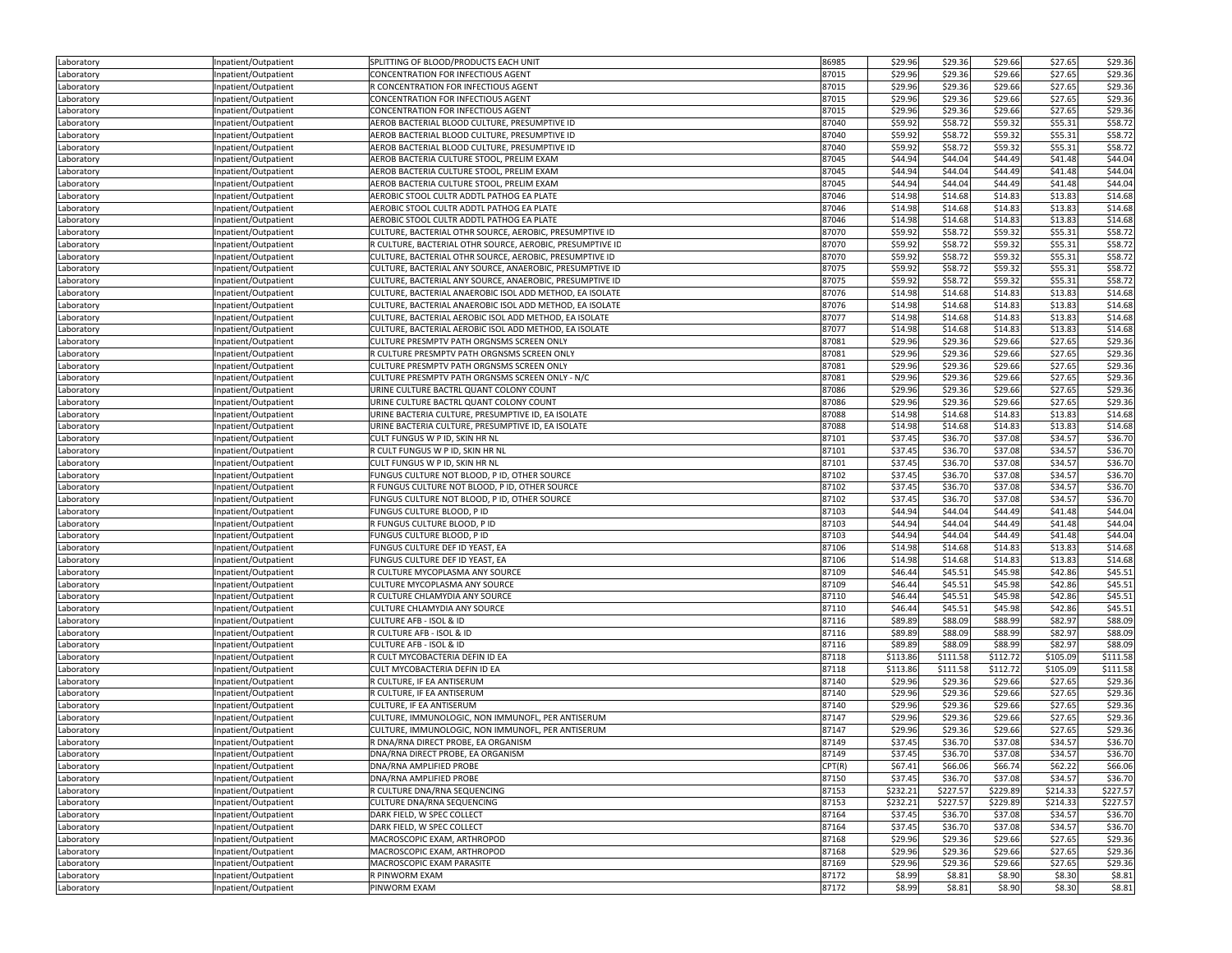| Laboratory               | Inpatient/Outpatient                         | SPLITTING OF BLOOD/PRODUCTS EACH UNIT                     | 86985  | \$29.96  | \$29.36  | \$29.66  | \$27.65  | \$29.36  |
|--------------------------|----------------------------------------------|-----------------------------------------------------------|--------|----------|----------|----------|----------|----------|
| Laboratory               | Inpatient/Outpatient                         | CONCENTRATION FOR INFECTIOUS AGENT                        | 87015  | \$29.96  | \$29.36  | \$29.66  | \$27.65  | \$29.36  |
| Laboratory               | Inpatient/Outpatient                         | R CONCENTRATION FOR INFECTIOUS AGENT                      | 87015  | \$29.96  | \$29.36  | \$29.66  | \$27.65  | \$29.36  |
| Laboratory               | Inpatient/Outpatient                         | CONCENTRATION FOR INFECTIOUS AGENT                        | 87015  | \$29.96  | \$29.36  | \$29.66  | \$27.65  | \$29.36  |
| Laboratory               | Inpatient/Outpatient                         | CONCENTRATION FOR INFECTIOUS AGENT                        | 87015  | \$29.96  | \$29.36  | \$29.66  | \$27.65  | \$29.36  |
| Laboratory               | Inpatient/Outpatient                         | AEROB BACTERIAL BLOOD CULTURE, PRESUMPTIVE ID             | 87040  | \$59.92  | \$58.72  | \$59.32  | \$55.31  | \$58.72  |
| Laboratory               | Inpatient/Outpatient                         | AEROB BACTERIAL BLOOD CULTURE, PRESUMPTIVE ID             | 87040  | \$59.92  | \$58.72  | \$59.32  | \$55.31  | \$58.72  |
| Laboratory               | Inpatient/Outpatient                         | AEROB BACTERIAL BLOOD CULTURE, PRESUMPTIVE ID             | 87040  | \$59.92  | \$58.72  | \$59.32  | \$55.31  | \$58.72  |
| Laboratory               | Inpatient/Outpatient                         | AEROB BACTERIA CULTURE STOOL, PRELIM EXAM                 | 87045  | \$44.94  | \$44.04  | \$44.49  | \$41.48  | \$44.04  |
| Laboratory               | Inpatient/Outpatient                         | AEROB BACTERIA CULTURE STOOL, PRELIM EXAM                 | 87045  | \$44.94  | \$44.04  | \$44.49  | \$41.48  | \$44.04  |
| Laboratory               | Inpatient/Outpatient                         | AEROB BACTERIA CULTURE STOOL, PRELIM EXAM                 | 87045  | \$44.94  | \$44.04  | \$44.49  | \$41.48  | \$44.04  |
| Laboratory               | Inpatient/Outpatient                         | AEROBIC STOOL CULTR ADDTL PATHOG EA PLATE                 | 87046  | \$14.98  | \$14.68  | \$14.83  | \$13.83  | \$14.68  |
| Laboratory               | Inpatient/Outpatient                         | AEROBIC STOOL CULTR ADDTL PATHOG EA PLATE                 | 87046  | \$14.98  | \$14.68  | \$14.83  | \$13.83  | \$14.68  |
| Laboratory               | Inpatient/Outpatient                         | AEROBIC STOOL CULTR ADDTL PATHOG EA PLATE                 | 87046  | \$14.98  | \$14.68  | \$14.83  | \$13.83  | \$14.68  |
|                          |                                              | CULTURE, BACTERIAL OTHR SOURCE, AEROBIC, PRESUMPTIVE ID   | 87070  | \$59.92  | \$58.72  | \$59.32  | \$55.31  | \$58.72  |
| Laboratory<br>Laboratory | Inpatient/Outpatient<br>Inpatient/Outpatient | R CULTURE, BACTERIAL OTHR SOURCE, AEROBIC, PRESUMPTIVE ID | 87070  | \$59.92  | \$58.72  | \$59.32  | \$55.31  | \$58.72  |
|                          |                                              | CULTURE, BACTERIAL OTHR SOURCE, AEROBIC, PRESUMPTIVE ID   | 87070  | \$59.92  | \$58.72  | \$59.32  | \$55.31  | \$58.72  |
| Laboratory               | Inpatient/Outpatient                         | CULTURE, BACTERIAL ANY SOURCE, ANAEROBIC, PRESUMPTIVE ID  | 87075  | \$59.92  | \$58.72  | \$59.32  | \$55.31  | \$58.72  |
| Laboratory               | Inpatient/Outpatient                         |                                                           | 87075  | \$59.92  | \$58.72  | \$59.32  |          | \$58.72  |
| Laboratory               | Inpatient/Outpatient                         | CULTURE, BACTERIAL ANY SOURCE, ANAEROBIC, PRESUMPTIVE ID  |        |          |          |          | \$55.31  |          |
| Laboratory               | Inpatient/Outpatient                         | CULTURE, BACTERIAL ANAEROBIC ISOL ADD METHOD, EA ISOLATE  | 87076  | \$14.98  | \$14.68  | \$14.83  | \$13.83  | \$14.68  |
| Laboratory               | Inpatient/Outpatient                         | CULTURE, BACTERIAL ANAEROBIC ISOL ADD METHOD, EA ISOLATE  | 87076  | \$14.98  | \$14.68  | \$14.83  | \$13.83  | \$14.68  |
| Laboratory               | Inpatient/Outpatient                         | CULTURE, BACTERIAL AEROBIC ISOL ADD METHOD, EA ISOLATE    | 87077  | \$14.98  | \$14.68  | \$14.83  | \$13.83  | \$14.68  |
| Laboratory               | Inpatient/Outpatient                         | CULTURE, BACTERIAL AEROBIC ISOL ADD METHOD, EA ISOLATE    | 87077  | \$14.98  | \$14.68  | \$14.83  | \$13.83  | \$14.68  |
| Laboratory               | Inpatient/Outpatient                         | CULTURE PRESMPTV PATH ORGNSMS SCREEN ONLY                 | 87081  | \$29.96  | \$29.36  | \$29.66  | \$27.65  | \$29.36  |
| Laboratory               | Inpatient/Outpatient                         | R CULTURE PRESMPTV PATH ORGNSMS SCREEN ONLY               | 87081  | \$29.96  | \$29.36  | \$29.66  | \$27.65  | \$29.36  |
| Laboratory               | Inpatient/Outpatient                         | CULTURE PRESMPTV PATH ORGNSMS SCREEN ONLY                 | 87081  | \$29.96  | \$29.36  | \$29.66  | \$27.65  | \$29.36  |
| Laboratory               | Inpatient/Outpatient                         | CULTURE PRESMPTV PATH ORGNSMS SCREEN ONLY - N/C           | 87081  | \$29.96  | \$29.36  | \$29.66  | \$27.65  | \$29.36  |
| Laboratory               | Inpatient/Outpatient                         | URINE CULTURE BACTRL QUANT COLONY COUNT                   | 87086  | \$29.96  | \$29.36  | \$29.66  | \$27.65  | \$29.36  |
| Laboratory               | Inpatient/Outpatient                         | URINE CULTURE BACTRL QUANT COLONY COUNT                   | 87086  | \$29.96  | \$29.36  | \$29.66  | \$27.65  | \$29.36  |
| Laboratory               | Inpatient/Outpatient                         | URINE BACTERIA CULTURE, PRESUMPTIVE ID, EA ISOLATE        | 87088  | \$14.98  | \$14.68  | \$14.83  | \$13.83  | \$14.68  |
| Laboratory               | Inpatient/Outpatient                         | URINE BACTERIA CULTURE, PRESUMPTIVE ID, EA ISOLATE        | 87088  | \$14.98  | \$14.68  | \$14.83  | \$13.83  | \$14.68  |
| Laboratory               | Inpatient/Outpatient                         | CULT FUNGUS W P ID, SKIN HR NL                            | 87101  | \$37.45  | \$36.70  | \$37.08  | \$34.57  | \$36.70  |
| Laboratory               | Inpatient/Outpatient                         | R CULT FUNGUS W P ID, SKIN HR NL                          | 87101  | \$37.45  | \$36.70  | \$37.08  | \$34.57  | \$36.70  |
| Laboratory               | Inpatient/Outpatient                         | CULT FUNGUS W P ID, SKIN HR NL                            | 87101  | \$37.45  | \$36.70  | \$37.08  | \$34.57  | \$36.70  |
| Laboratory               | Inpatient/Outpatient                         | FUNGUS CULTURE NOT BLOOD, P ID, OTHER SOURCE              | 87102  | \$37.45  | \$36.70  | \$37.08  | \$34.57  | \$36.70  |
| Laboratory               | Inpatient/Outpatient                         | R FUNGUS CULTURE NOT BLOOD, P ID, OTHER SOURCE            | 87102  | \$37.45  | \$36.70  | \$37.08  | \$34.57  | \$36.70  |
| Laboratory               | Inpatient/Outpatient                         | FUNGUS CULTURE NOT BLOOD, P ID, OTHER SOURCE              | 87102  | \$37.45  | \$36.70  | \$37.08  | \$34.57  | \$36.70  |
| Laboratory               | Inpatient/Outpatient                         | FUNGUS CULTURE BLOOD, P ID                                | 87103  | \$44.94  | \$44.04  | \$44.49  | \$41.48  | \$44.04  |
| Laboratory               | Inpatient/Outpatient                         | R FUNGUS CULTURE BLOOD, P ID                              | 87103  | \$44.94  | \$44.04  | \$44.49  | \$41.48  | \$44.04  |
| Laboratory               | Inpatient/Outpatient                         | FUNGUS CULTURE BLOOD, P ID                                | 87103  | \$44.94  | \$44.04  | \$44.49  | \$41.48  | \$44.04  |
| Laboratory               | Inpatient/Outpatient                         | FUNGUS CULTURE DEF ID YEAST, EA                           | 87106  | \$14.98  | \$14.68  | \$14.83  | \$13.83  | \$14.68  |
| Laboratory               | Inpatient/Outpatient                         | FUNGUS CULTURE DEF ID YEAST, EA                           | 87106  | \$14.98  | \$14.68  | \$14.83  | \$13.83  | \$14.68  |
| Laboratory               | Inpatient/Outpatient                         | R CULTURE MYCOPLASMA ANY SOURCE                           | 87109  | \$46.44  | \$45.51  | \$45.98  | \$42.86  | \$45.51  |
| Laboratory               | Inpatient/Outpatient                         | CULTURE MYCOPLASMA ANY SOURCE                             | 87109  | \$46.44  | \$45.51  | \$45.98  | \$42.86  | \$45.51  |
| Laboratory               | Inpatient/Outpatient                         | R CULTURE CHLAMYDIA ANY SOURCE                            | 87110  | \$46.44  | \$45.51  | \$45.98  | \$42.86  | \$45.51  |
| Laboratory               | Inpatient/Outpatient                         | CULTURE CHLAMYDIA ANY SOURCE                              | 87110  | \$46.44  | \$45.51  | \$45.98  | \$42.86  | \$45.51  |
| Laboratory               | Inpatient/Outpatient                         | CULTURE AFB - ISOL & ID                                   | 87116  | \$89.89  | \$88.09  | \$88.99  | \$82.97  | \$88.09  |
| Laboratory               | Inpatient/Outpatient                         | R CULTURE AFB - ISOL & ID                                 | 87116  | \$89.89  | \$88.09  | \$88.99  | \$82.97  | \$88.09  |
| Laboratory               | Inpatient/Outpatient                         | CULTURE AFB - ISOL & ID                                   | 87116  | \$89.89  | \$88.09  | \$88.99  | \$82.97  | \$88.09  |
| Laboratory               | Inpatient/Outpatient                         | R CULT MYCOBACTERIA DEFIN ID EA                           | 87118  | \$113.86 | \$111.58 | \$112.72 | \$105.09 | \$111.58 |
| Laboratory               | Inpatient/Outpatient                         | CULT MYCOBACTERIA DEFIN ID EA                             | 87118  | \$113.86 | \$111.58 | \$112.72 | \$105.09 | \$111.58 |
| Laboratory               | Inpatient/Outpatient                         | R CULTURE, IF EA ANTISERUM                                | 87140  | \$29.96  | \$29.36  | \$29.66  | \$27.65  | \$29.36  |
| Laboratory               | Inpatient/Outpatient                         | R CULTURE, IF EA ANTISERUM                                | 87140  | \$29.96  | \$29.36  | \$29.66  | \$27.65  | \$29.36  |
| Laboratory               | Inpatient/Outpatient                         | CULTURE, IF EA ANTISERUM                                  | 87140  | \$29.96  | \$29.36  | \$29.66  | \$27.65  | \$29.36  |
| Laboratory               | Inpatient/Outpatient                         | CULTURE, IMMUNOLOGIC, NON IMMUNOFL, PER ANTISERUM         | 87147  | \$29.96  | \$29.36  | \$29.66  | \$27.65  | \$29.36  |
| Laboratory               | Inpatient/Outpatient                         | CULTURE, IMMUNOLOGIC, NON IMMUNOFL, PER ANTISERUM         | 87147  | \$29.96  | \$29.36  | \$29.66  | \$27.65  | \$29.36  |
| Laboratory               | Inpatient/Outpatient                         | R DNA/RNA DIRECT PROBE, EA ORGANISM                       | 87149  | \$37.45  | \$36.70  | \$37.08  | \$34.57  | \$36.70  |
| Laboratory               | Inpatient/Outpatient                         | DNA/RNA DIRECT PROBE, EA ORGANISM                         | 87149  | \$37.45  | \$36.70  | \$37.08  | \$34.57  | \$36.70  |
| Laboratory               | Inpatient/Outpatient                         | DNA/RNA AMPLIFIED PROBE                                   | CPT(R) | \$67.41  | \$66.06  | \$66.74  | \$62.22  | \$66.06  |
| Laboratory               | Inpatient/Outpatient                         | DNA/RNA AMPLIFIED PROBE                                   | 87150  | \$37.45  | \$36.70  | \$37.08  | \$34.57  | \$36.70  |
| Laboratory               | Inpatient/Outpatient                         | R CULTURE DNA/RNA SEQUENCING                              | 87153  | \$232.21 | \$227.57 | \$229.89 | \$214.33 | \$227.57 |
| Laboratory               | Inpatient/Outpatient                         | CULTURE DNA/RNA SEQUENCING                                | 87153  | \$232.21 | \$227.57 | \$229.89 | \$214.33 | \$227.57 |
|                          | Inpatient/Outpatient                         | DARK FIELD, W SPEC COLLECT                                | 87164  | \$37.45  | \$36.70  | \$37.08  | \$34.57  | \$36.70  |
| Laboratory               |                                              |                                                           | 87164  | \$37.45  |          |          |          |          |
| Laboratory               | Inpatient/Outpatient                         | DARK FIELD, W SPEC COLLECT                                |        |          | \$36.70  | \$37.08  | \$34.57  | \$36.70  |
| Laboratory               | Inpatient/Outpatient                         | MACROSCOPIC EXAM, ARTHROPOD                               | 87168  | \$29.96  | \$29.36  | \$29.66  | \$27.65  | \$29.36  |
| Laboratory               | Inpatient/Outpatient                         | MACROSCOPIC EXAM, ARTHROPOD                               | 87168  | \$29.96  | \$29.36  | \$29.66  | \$27.65  | \$29.36  |
| Laboratory               | Inpatient/Outpatient                         | MACROSCOPIC EXAM PARASITE                                 | 87169  | \$29.96  | \$29.36  | \$29.66  | \$27.65  | \$29.36  |
| Laboratory               | Inpatient/Outpatient                         | R PINWORM EXAM                                            | 87172  | \$8.99   | \$8.81   | \$8.90   | \$8.30   | \$8.81   |
| Laboratory               | Inpatient/Outpatient                         | PINWORM EXAM                                              | 87172  | \$8.99   | \$8.81   | \$8.90   | \$8.30   | \$8.81   |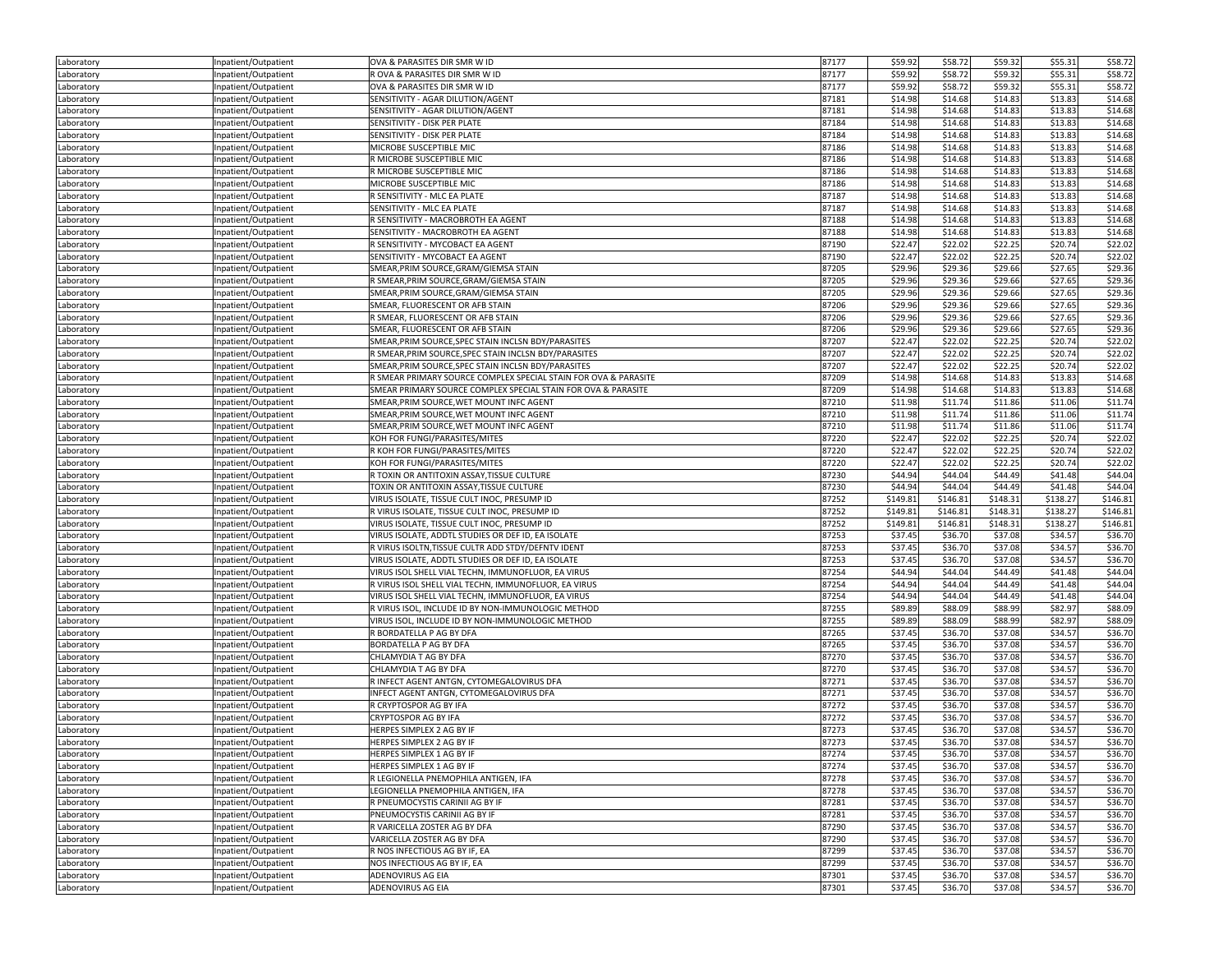| Laboratory | Inpatient/Outpatient | OVA & PARASITES DIR SMR W ID                                                 | 87177 | \$59.92  | \$58.72  | \$59.32  | \$55.31  | \$58.72  |
|------------|----------------------|------------------------------------------------------------------------------|-------|----------|----------|----------|----------|----------|
| Laboratory | Inpatient/Outpatient | R OVA & PARASITES DIR SMR W ID                                               | 87177 | \$59.92  | \$58.72  | \$59.32  | \$55.31  | \$58.72  |
| Laboratory | Inpatient/Outpatient | OVA & PARASITES DIR SMR W ID                                                 | 87177 | \$59.92  | \$58.72  | \$59.32  | \$55.31  | \$58.72  |
| Laboratory | Inpatient/Outpatient | SENSITIVITY - AGAR DILUTION/AGENT                                            | 87181 | \$14.98  | \$14.68  | \$14.83  | \$13.83  | \$14.68  |
| Laboratory | Inpatient/Outpatient | SENSITIVITY - AGAR DILUTION/AGENT                                            | 87181 | \$14.98  | \$14.68  | \$14.83  | \$13.83  | \$14.68  |
| Laboratory | Inpatient/Outpatient | SENSITIVITY - DISK PER PLATE                                                 | 87184 | \$14.98  | \$14.68  | \$14.83  | \$13.83  | \$14.68  |
| Laboratory | Inpatient/Outpatient | SENSITIVITY - DISK PER PLATE                                                 | 87184 | \$14.98  | \$14.68  | \$14.83  | \$13.83  | \$14.68  |
| Laboratory | Inpatient/Outpatient | MICROBE SUSCEPTIBLE MIC                                                      | 87186 | \$14.98  | \$14.68  | \$14.83  | \$13.83  | \$14.68  |
| Laboratory | Inpatient/Outpatient | R MICROBE SUSCEPTIBLE MIC                                                    | 87186 | \$14.98  | \$14.68  | \$14.83  | \$13.83  | \$14.68  |
| Laboratory | Inpatient/Outpatient | R MICROBE SUSCEPTIBLE MIC                                                    | 87186 | \$14.98  | \$14.68  | \$14.83  | \$13.83  | \$14.68  |
| Laboratory | Inpatient/Outpatient | MICROBE SUSCEPTIBLE MIC                                                      | 87186 | \$14.98  | \$14.68  | \$14.83  | \$13.83  | \$14.68  |
| Laboratory | Inpatient/Outpatient | R SENSITIVITY - MLC EA PLATE                                                 | 87187 | \$14.98  | \$14.68  | \$14.83  | \$13.83  | \$14.68  |
|            | Inpatient/Outpatient | SENSITIVITY - MLC EA PLATE                                                   | 87187 | \$14.98  | \$14.68  | \$14.83  | \$13.83  | \$14.68  |
| Laboratory |                      |                                                                              |       |          |          |          |          |          |
| Laboratory | Inpatient/Outpatient | R SENSITIVITY - MACROBROTH EA AGENT                                          | 87188 | \$14.98  | \$14.68  | \$14.83  | \$13.83  | \$14.68  |
| Laboratory | Inpatient/Outpatient | SENSITIVITY - MACROBROTH EA AGENT                                            | 87188 | \$14.98  | \$14.68  | \$14.83  | \$13.83  | \$14.68  |
| Laboratory | Inpatient/Outpatient | R SENSITIVITY - MYCOBACT EA AGENT                                            | 87190 | \$22.47  | \$22.02  | \$22.25  | \$20.74  | \$22.02  |
| Laboratory | Inpatient/Outpatient | SENSITIVITY - MYCOBACT EA AGENT                                              | 87190 | \$22.47  | \$22.02  | \$22.25  | \$20.74  | \$22.02  |
| Laboratory | Inpatient/Outpatient | SMEAR, PRIM SOURCE, GRAM/GIEMSA STAIN                                        | 87205 | \$29.96  | \$29.36  | \$29.66  | \$27.65  | \$29.36  |
| Laboratory | Inpatient/Outpatient | R SMEAR, PRIM SOURCE, GRAM/GIEMSA STAIN                                      | 87205 | \$29.96  | \$29.36  | \$29.66  | \$27.65  | \$29.36  |
| Laboratory | Inpatient/Outpatient | SMEAR, PRIM SOURCE, GRAM/GIEMSA STAIN                                        | 87205 | \$29.96  | \$29.36  | \$29.66  | \$27.65  | \$29.36  |
| Laboratory | Inpatient/Outpatient | SMEAR, FLUORESCENT OR AFB STAIN                                              | 87206 | \$29.96  | \$29.36  | \$29.66  | \$27.65  | \$29.36  |
| Laboratory | Inpatient/Outpatient | R SMEAR, FLUORESCENT OR AFB STAIN                                            | 87206 | \$29.96  | \$29.36  | \$29.66  | \$27.65  | \$29.36  |
| Laboratory | Inpatient/Outpatient | SMEAR, FLUORESCENT OR AFB STAIN                                              | 87206 | \$29.96  | \$29.36  | \$29.66  | \$27.65  | \$29.36  |
| Laboratory | Inpatient/Outpatient | SMEAR, PRIM SOURCE, SPEC STAIN INCLSN BDY/PARASITES                          | 87207 | \$22.47  | \$22.02  | \$22.25  | \$20.74  | \$22.02  |
| Laboratory | Inpatient/Outpatient | R SMEAR, PRIM SOURCE, SPEC STAIN INCLSN BDY/PARASITES                        | 87207 | \$22.47  | \$22.02  | \$22.25  | \$20.74  | \$22.02  |
| Laboratory | Inpatient/Outpatient | SMEAR, PRIM SOURCE, SPEC STAIN INCLSN BDY/PARASITES                          | 87207 | \$22.47  | \$22.02  | \$22.25  | \$20.74  | \$22.02  |
| Laboratory | Inpatient/Outpatient | R SMEAR PRIMARY SOURCE COMPLEX SPECIAL STAIN FOR OVA & PARASITE              | 87209 | \$14.98  | \$14.68  | \$14.83  | \$13.83  | \$14.68  |
| Laboratory | Inpatient/Outpatient | SMEAR PRIMARY SOURCE COMPLEX SPECIAL STAIN FOR OVA & PARASITE                | 87209 | \$14.98  | \$14.68  | \$14.83  | \$13.83  | \$14.68  |
| Laboratory | Inpatient/Outpatient | SMEAR, PRIM SOURCE, WET MOUNT INFC AGENT                                     | 87210 | \$11.98  | \$11.74  | \$11.86  | \$11.06  | \$11.74  |
| Laboratory | Inpatient/Outpatient | SMEAR, PRIM SOURCE, WET MOUNT INFC AGENT                                     | 87210 | \$11.98  | \$11.74  | \$11.86  | \$11.06  | \$11.74  |
| Laboratory | Inpatient/Outpatient | SMEAR, PRIM SOURCE, WET MOUNT INFC AGENT                                     | 87210 | \$11.98  | \$11.74  | \$11.86  | \$11.06  | \$11.74  |
| Laboratory | Inpatient/Outpatient | KOH FOR FUNGI/PARASITES/MITES                                                | 87220 | \$22.47  | \$22.02  | \$22.25  | \$20.74  | \$22.02  |
| Laboratory | Inpatient/Outpatient | R KOH FOR FUNGI/PARASITES/MITES                                              | 87220 | \$22.47  | \$22.02  | \$22.25  | \$20.74  | \$22.02  |
| Laboratory | Inpatient/Outpatient | KOH FOR FUNGI/PARASITES/MITES                                                | 87220 | \$22.47  | \$22.02  | \$22.25  | \$20.74  | \$22.02  |
| Laboratory | Inpatient/Outpatient | R TOXIN OR ANTITOXIN ASSAY, TISSUE CULTURE                                   | 87230 | \$44.94  | \$44.04  | \$44.49  | \$41.48  | \$44.04  |
| Laboratory | Inpatient/Outpatient | TOXIN OR ANTITOXIN ASSAY, TISSUE CULTURE                                     | 87230 | \$44.94  | \$44.04  | \$44.49  | \$41.48  | \$44.04  |
| Laboratory | Inpatient/Outpatient | VIRUS ISOLATE, TISSUE CULT INOC, PRESUMP ID                                  | 87252 | \$149.81 | \$146.81 | \$148.31 | \$138.27 | \$146.81 |
| Laboratory | Inpatient/Outpatient | R VIRUS ISOLATE, TISSUE CULT INOC, PRESUMP ID                                | 87252 | \$149.81 | \$146.81 | \$148.31 | \$138.27 | \$146.81 |
| Laboratory | Inpatient/Outpatient | VIRUS ISOLATE, TISSUE CULT INOC, PRESUMP ID                                  | 87252 | \$149.81 | \$146.81 | \$148.31 | \$138.27 | \$146.81 |
| Laboratory | Inpatient/Outpatient | VIRUS ISOLATE, ADDTL STUDIES OR DEF ID, EA ISOLATE                           | 87253 | \$37.45  | \$36.70  | \$37.08  | \$34.57  | \$36.70  |
| Laboratory | Inpatient/Outpatient | R VIRUS ISOLTN, TISSUE CULTR ADD STDY/DEFNTV IDENT                           | 87253 | \$37.45  | \$36.70  | \$37.08  | \$34.57  | \$36.70  |
| Laboratory | Inpatient/Outpatient | VIRUS ISOLATE, ADDTL STUDIES OR DEF ID, EA ISOLATE                           | 87253 | \$37.45  | \$36.70  | \$37.08  | \$34.57  | \$36.70  |
| Laboratory | Inpatient/Outpatient | VIRUS ISOL SHELL VIAL TECHN, IMMUNOFLUOR, EA VIRUS                           | 87254 | \$44.94  | \$44.04  | \$44.49  | \$41.48  | \$44.04  |
| Laboratory | Inpatient/Outpatient | R VIRUS ISOL SHELL VIAL TECHN, IMMUNOFLUOR, EA VIRUS                         | 87254 | \$44.94  | \$44.04  | \$44.49  | \$41.48  | \$44.04  |
|            | Inpatient/Outpatient | VIRUS ISOL SHELL VIAL TECHN, IMMUNOFLUOR, EA VIRUS                           | 87254 | \$44.94  | \$44.04  | \$44.49  | \$41.48  | \$44.04  |
| Laboratory |                      | R VIRUS ISOL, INCLUDE ID BY NON-IMMUNOLOGIC METHOD                           | 87255 | \$89.89  | \$88.09  | \$88.99  | \$82.97  | \$88.09  |
| Laboratory | Inpatient/Outpatient |                                                                              | 87255 | \$89.89  | \$88.09  | \$88.99  | \$82.97  | \$88.09  |
| Laboratory | Inpatient/Outpatient | VIRUS ISOL, INCLUDE ID BY NON-IMMUNOLOGIC METHOD<br>R BORDATELLA P AG BY DFA |       |          |          |          |          |          |
| Laboratory | Inpatient/Outpatient |                                                                              | 87265 | \$37.45  | \$36.70  | \$37.08  | \$34.57  | \$36.70  |
| Laboratory | Inpatient/Outpatient | BORDATELLA P AG BY DFA                                                       | 87265 | \$37.45  | \$36.70  | \$37.08  | \$34.57  | \$36.70  |
| Laboratory | Inpatient/Outpatient | CHLAMYDIA T AG BY DFA                                                        | 87270 | \$37.45  | \$36.70  | \$37.08  | \$34.57  | \$36.70  |
| Laboratory | Inpatient/Outpatient | CHLAMYDIA T AG BY DFA                                                        | 87270 | \$37.45  | \$36.70  | \$37.08  | \$34.57  | \$36.70  |
| Laboratory | Inpatient/Outpatient | R INFECT AGENT ANTGN, CYTOMEGALOVIRUS DFA                                    | 87271 | \$37.45  | \$36.70  | \$37.08  | \$34.57  | \$36.70  |
| Laboratory | Inpatient/Outpatient | INFECT AGENT ANTGN, CYTOMEGALOVIRUS DFA                                      | 87271 | \$37.45  | \$36.70  | \$37.08  | \$34.57  | \$36.70  |
| Laboratory | Inpatient/Outpatient | R CRYPTOSPOR AG BY IFA                                                       | 87272 | \$37.45  | \$36.70  | \$37.08  | \$34.57  | \$36.70  |
| Laboratory | Inpatient/Outpatient | CRYPTOSPOR AG BY IFA                                                         | 87272 | \$37.45  | \$36.70  | \$37.08  | \$34.57  | \$36.70  |
| Laboratory | Inpatient/Outpatient | HERPES SIMPLEX 2 AG BY IF                                                    | 87273 | \$37.45  | \$36.70  | \$37.08  | \$34.57  | \$36.70  |
| Laboratory | Inpatient/Outpatient | HERPES SIMPLEX 2 AG BY IF                                                    | 87273 | \$37.45  | \$36.70  | \$37.08  | \$34.57  | \$36.70  |
| Laboratory | Inpatient/Outpatient | HERPES SIMPLEX 1 AG BY IF                                                    | 8/2/4 | \$37.45  | \$36.70  | \$37.08  | \$34.57  | \$36.70  |
| Laboratory | Inpatient/Outpatient | HERPES SIMPLEX 1 AG BY IF                                                    | 87274 | \$37.45  | \$36.70  | \$37.08  | \$34.57  | \$36.70  |
| Laboratory | Inpatient/Outpatient | R LEGIONELLA PNEMOPHILA ANTIGEN, IFA                                         | 87278 | \$37.45  | \$36.70  | \$37.08  | \$34.57  | \$36.70  |
| Laboratory | Inpatient/Outpatient | LEGIONELLA PNEMOPHILA ANTIGEN, IFA                                           | 87278 | \$37.45  | \$36.70  | \$37.08  | \$34.57  | \$36.70  |
| Laboratory | Inpatient/Outpatient | R PNEUMOCYSTIS CARINII AG BY IF                                              | 87281 | \$37.45  | \$36.70  | \$37.08  | \$34.57  | \$36.70  |
| Laboratory | Inpatient/Outpatient | PNEUMOCYSTIS CARINII AG BY IF                                                | 87281 | \$37.45  | \$36.70  | \$37.08  | \$34.57  | \$36.70  |
| Laboratory | Inpatient/Outpatient | R VARICELLA ZOSTER AG BY DFA                                                 | 87290 | \$37.45  | \$36.70  | \$37.08  | \$34.57  | \$36.70  |
| Laboratory | Inpatient/Outpatient | VARICELLA ZOSTER AG BY DFA                                                   | 87290 | \$37.45  | \$36.70  | \$37.08  | \$34.57  | \$36.70  |
| Laboratory | Inpatient/Outpatient | R NOS INFECTIOUS AG BY IF, EA                                                | 87299 | \$37.45  | \$36.70  | \$37.08  | \$34.57  | \$36.70  |
| Laboratory | Inpatient/Outpatient | NOS INFECTIOUS AG BY IF, EA                                                  | 87299 | \$37.45  | \$36.70  | \$37.08  | \$34.57  | \$36.70  |
| Laboratory | Inpatient/Outpatient | ADENOVIRUS AG EIA                                                            | 87301 | \$37.45  | \$36.70  | \$37.08  | \$34.57  | \$36.70  |
|            |                      |                                                                              |       |          |          |          |          |          |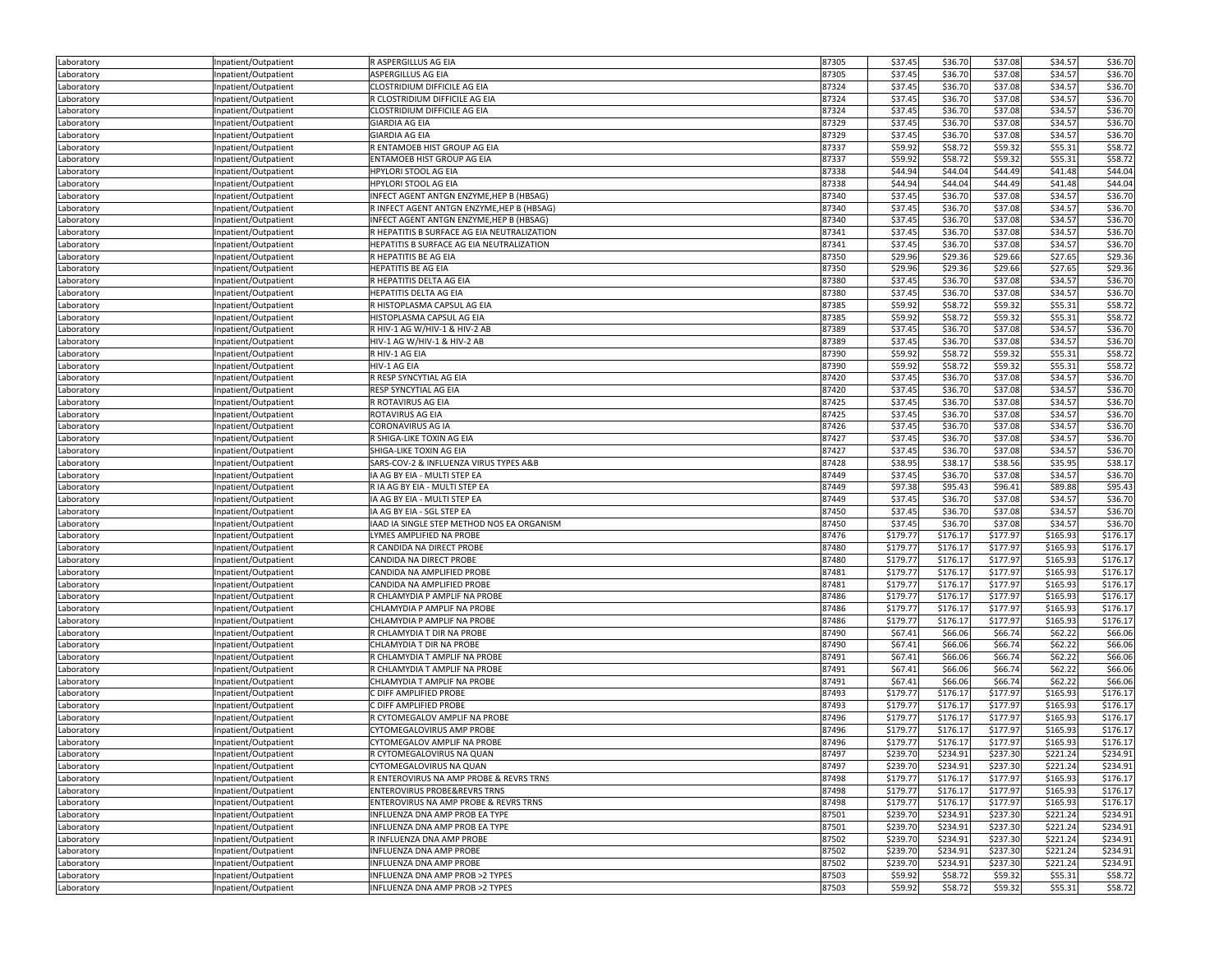| Laboratory | Inpatient/Outpatient | R ASPERGILLUS AG EIA                        | 87305 | \$37.45  | \$36.70  | \$37.08  | \$34.57  | \$36.70  |
|------------|----------------------|---------------------------------------------|-------|----------|----------|----------|----------|----------|
| Laboratory | Inpatient/Outpatient | ASPERGILLUS AG EIA                          | 87305 | \$37.45  | \$36.70  | \$37.08  | \$34.57  | \$36.70  |
| Laboratory | Inpatient/Outpatient | CLOSTRIDIUM DIFFICILE AG EIA                | 87324 | \$37.45  | \$36.70  | \$37.08  | \$34.57  | \$36.70  |
| Laboratory | Inpatient/Outpatient | R CLOSTRIDIUM DIFFICILE AG EIA              | 87324 | \$37.45  | \$36.70  | \$37.08  | \$34.57  | \$36.70  |
| Laboratory | Inpatient/Outpatient | CLOSTRIDIUM DIFFICILE AG EIA                | 87324 | \$37.45  | \$36.70  | \$37.08  | \$34.57  | \$36.70  |
| Laboratory | Inpatient/Outpatient | <b>GIARDIA AG EIA</b>                       | 87329 | \$37.45  | \$36.70  | \$37.08  | \$34.57  | \$36.70  |
| Laboratory | Inpatient/Outpatient | <b>GIARDIA AG EIA</b>                       | 87329 | \$37.45  | \$36.70  | \$37.08  | \$34.57  | \$36.70  |
| Laboratory | Inpatient/Outpatient | R ENTAMOEB HIST GROUP AG EIA                | 87337 | \$59.92  | \$58.72  | \$59.32  | \$55.31  | \$58.72  |
| Laboratory | Inpatient/Outpatient | ENTAMOEB HIST GROUP AG EIA                  | 87337 | \$59.92  | \$58.72  | \$59.32  | \$55.31  | \$58.72  |
| Laboratory | Inpatient/Outpatient | HPYLORI STOOL AG EIA                        | 87338 | \$44.94  | \$44.04  | \$44.49  | \$41.48  | \$44.04  |
| Laboratory | Inpatient/Outpatient | HPYLORI STOOL AG EIA                        | 87338 | \$44.94  | \$44.04  | \$44.49  | \$41.48  | \$44.04  |
| Laboratory | Inpatient/Outpatient | INFECT AGENT ANTGN ENZYME, HEP B (HBSAG)    | 87340 | \$37.45  | \$36.70  | \$37.08  | \$34.57  | \$36.70  |
| Laboratory | Inpatient/Outpatient | R INFECT AGENT ANTGN ENZYME, HEP B (HBSAG)  | 87340 | \$37.45  | \$36.70  | \$37.08  | \$34.57  | \$36.70  |
| Laboratory | Inpatient/Outpatient | INFECT AGENT ANTGN ENZYME, HEP B (HBSAG)    | 87340 | \$37.45  | \$36.70  | \$37.08  | \$34.57  | \$36.70  |
| Laboratory | Inpatient/Outpatient | R HEPATITIS B SURFACE AG EIA NEUTRALIZATION | 87341 | \$37.45  | \$36.70  | \$37.08  | \$34.57  | \$36.70  |
| Laboratory | Inpatient/Outpatient | HEPATITIS B SURFACE AG EIA NEUTRALIZATION   | 87341 | \$37.45  | \$36.70  | \$37.08  | \$34.57  | \$36.70  |
| Laboratory | Inpatient/Outpatient | R HEPATITIS BE AG EIA                       | 87350 | \$29.96  | \$29.36  | \$29.66  | \$27.65  | \$29.36  |
| Laboratory | Inpatient/Outpatient | HEPATITIS BE AG EIA                         | 87350 | \$29.96  | \$29.36  | \$29.66  | \$27.65  | \$29.36  |
| Laboratory | Inpatient/Outpatient | R HEPATITIS DELTA AG EIA                    | 87380 | \$37.45  | \$36.70  | \$37.08  | \$34.57  | \$36.70  |
| Laboratory | Inpatient/Outpatient | HEPATITIS DELTA AG EIA                      | 87380 | \$37.45  | \$36.70  | \$37.08  | \$34.57  | \$36.70  |
| Laboratory | Inpatient/Outpatient | R HISTOPLASMA CAPSUL AG EIA                 | 87385 | \$59.92  | \$58.72  | \$59.32  | \$55.31  | \$58.72  |
| Laboratory | Inpatient/Outpatient | HISTOPLASMA CAPSUL AG EIA                   | 87385 | \$59.92  | \$58.72  | \$59.32  | \$55.31  | \$58.72  |
| Laboratory | Inpatient/Outpatient | R HIV-1 AG W/HIV-1 & HIV-2 AB               | 87389 | \$37.45  | \$36.70  | \$37.08  | \$34.57  | \$36.70  |
| Laboratory | Inpatient/Outpatient | HIV-1 AG W/HIV-1 & HIV-2 AB                 | 87389 | \$37.45  | \$36.70  | \$37.08  | \$34.57  | \$36.70  |
| Laboratory | Inpatient/Outpatient | R HIV-1 AG EIA                              | 87390 | \$59.92  | \$58.72  | \$59.32  | \$55.31  | \$58.72  |
| Laboratory | Inpatient/Outpatient | HIV-1 AG EIA                                | 87390 | \$59.92  | \$58.72  | \$59.32  | \$55.31  | \$58.72  |
| Laboratory | Inpatient/Outpatient | R RESP SYNCYTIAL AG EIA                     | 87420 | \$37.45  | \$36.70  | \$37.08  | \$34.57  | \$36.70  |
| Laboratory | Inpatient/Outpatient | RESP SYNCYTIAL AG EIA                       | 87420 | \$37.45  | \$36.70  | \$37.08  | \$34.57  | \$36.70  |
| Laboratory | Inpatient/Outpatient | R ROTAVIRUS AG EIA                          | 87425 | \$37.45  | \$36.70  | \$37.08  | \$34.57  | \$36.70  |
| Laboratory | Inpatient/Outpatient | ROTAVIRUS AG EIA                            | 87425 | \$37.45  | \$36.70  | \$37.08  | \$34.57  | \$36.70  |
| Laboratory | Inpatient/Outpatient | CORONAVIRUS AG IA                           | 87426 | \$37.45  | \$36.70  | \$37.08  | \$34.57  | \$36.70  |
| Laboratory | Inpatient/Outpatient | R SHIGA-LIKE TOXIN AG EIA                   | 87427 | \$37.45  | \$36.70  | \$37.08  | \$34.57  | \$36.70  |
| Laboratory | Inpatient/Outpatient | SHIGA-LIKE TOXIN AG EIA                     | 87427 | \$37.45  | \$36.70  | \$37.08  | \$34.57  | \$36.70  |
| Laboratory | Inpatient/Outpatient | SARS-COV-2 & INFLUENZA VIRUS TYPES A&B      | 87428 | \$38.95  | \$38.17  | \$38.56  | \$35.95  | \$38.17  |
| Laboratory | Inpatient/Outpatient | IA AG BY EIA - MULTI STEP EA                | 87449 | \$37.45  | \$36.70  | \$37.08  | \$34.57  | \$36.70  |
| Laboratory | Inpatient/Outpatient | R IA AG BY EIA - MULTI STEP EA              | 87449 | \$97.38  | \$95.43  | \$96.41  | \$89.88  | \$95.43  |
| Laboratory | Inpatient/Outpatient | IA AG BY EIA - MULTI STEP EA                | 87449 | \$37.45  | \$36.70  | \$37.08  | \$34.57  | \$36.70  |
| Laboratory | Inpatient/Outpatient | IA AG BY EIA - SGL STEP EA                  | 87450 | \$37.45  | \$36.70  | \$37.08  | \$34.57  | \$36.70  |
| Laboratory | Inpatient/Outpatient | IAAD IA SINGLE STEP METHOD NOS EA ORGANISM  | 87450 | \$37.45  | \$36.70  | \$37.08  | \$34.57  | \$36.70  |
| Laboratory | Inpatient/Outpatient | LYMES AMPLIFIED NA PROBE                    | 87476 | \$179.77 | \$176.17 | \$177.97 | \$165.93 | \$176.1  |
| Laboratory | Inpatient/Outpatient | R CANDIDA NA DIRECT PROBE                   | 87480 | \$179.77 | \$176.17 | \$177.97 | \$165.93 | \$176.17 |
| Laboratory | Inpatient/Outpatient | CANDIDA NA DIRECT PROBE                     | 87480 | \$179.77 | \$176.17 | \$177.97 | \$165.93 | \$176.17 |
| Laboratory | Inpatient/Outpatient | CANDIDA NA AMPLIFIED PROBE                  | 87481 | \$179.77 | \$176.17 | \$177.97 | \$165.93 | \$176.17 |
| Laboratory | Inpatient/Outpatient | CANDIDA NA AMPLIFIED PROBE                  | 87481 | \$179.7  | \$176.17 | \$177.97 | \$165.93 | \$176.17 |
| Laboratory | Inpatient/Outpatient | R CHLAMYDIA P AMPLIF NA PROBE               | 87486 | \$179.77 | \$176.17 | \$177.97 | \$165.93 | \$176.17 |
| Laboratory | Inpatient/Outpatient | CHLAMYDIA P AMPLIF NA PROBE                 | 87486 | \$179.77 | \$176.17 | \$177.97 | \$165.93 | \$176.17 |
| Laboratory | Inpatient/Outpatient | CHLAMYDIA P AMPLIF NA PROBE                 | 87486 | \$179.77 | \$176.17 | \$177.97 | \$165.93 | \$176.17 |
| Laboratory | Inpatient/Outpatient | R CHLAMYDIA T DIR NA PROBE                  | 87490 | \$67.41  | \$66.06  | \$66.74  | \$62.22  | \$66.06  |
| Laboratory | Inpatient/Outpatient | CHLAMYDIA T DIR NA PROBE                    | 87490 | \$67.41  | \$66.06  | \$66.74  | \$62.22  | \$66.06  |
| Laboratory | Inpatient/Outpatient | R CHLAMYDIA T AMPLIF NA PROBE               | 87491 | \$67.41  | \$66.06  | \$66.74  | \$62.22  | \$66.06  |
| Laboratory | Inpatient/Outpatient | R CHLAMYDIA T AMPLIF NA PROBE               | 87491 | \$67.41  | \$66.06  | \$66.74  | \$62.22  | \$66.06  |
| Laboratory | Inpatient/Outpatient | CHLAMYDIA T AMPLIF NA PROBE                 | 87491 | \$67.41  | \$66.06  | \$66.74  | \$62.22  | \$66.06  |
| Laboratory | Inpatient/Outpatient | C DIFF AMPLIFIED PROBE                      | 87493 | \$179.77 | \$176.17 | \$177.97 | \$165.93 | \$176.17 |
| Laboratory | Inpatient/Outpatient | C DIFF AMPLIFIED PROBE                      | 87493 | \$179.77 | \$176.17 | \$177.97 | \$165.93 | \$176.17 |
| Laboratory | Inpatient/Outpatient | R CYTOMEGALOV AMPLIF NA PROBE               | 87496 | \$179.77 | \$176.17 | \$177.97 | \$165.93 | \$176.17 |
| Laboratory | Inpatient/Outpatient | CYTOMEGALOVIRUS AMP PROBE                   | 87496 | \$179.7  | \$176.17 | \$177.97 | \$165.93 | \$176.17 |
| Laboratory | Inpatient/Outpatient | CYTOMEGALOV AMPLIF NA PROBE                 | 87496 | \$179.77 | \$176.17 | \$177.97 | \$165.93 | \$176.17 |
| Laboratory | Inpatient/Outpatient | R CYTOMEGALOVIRUS NA QUAN                   | 8/49/ | \$239.70 | \$234.91 | \$237.30 | \$221.24 | \$234.91 |
| Laboratory | Inpatient/Outpatient | CYTOMEGALOVIRUS NA QUAN                     | 87497 | \$239.70 | \$234.91 | \$237.30 | \$221.24 | \$234.91 |
| Laboratory | Inpatient/Outpatient | R ENTEROVIRUS NA AMP PROBE & REVRS TRNS     | 87498 | \$179.77 | \$176.17 | \$177.97 | \$165.93 | \$176.17 |
| Laboratory | Inpatient/Outpatient | ENTEROVIRUS PROBE&REVRS TRNS                | 87498 | \$179.77 | \$176.17 | \$177.97 | \$165.93 | \$176.17 |
| Laboratory | Inpatient/Outpatient | ENTEROVIRUS NA AMP PROBE & REVRS TRNS       | 87498 | \$179.77 | \$176.17 | \$177.97 | \$165.93 | \$176.17 |
| Laboratory | Inpatient/Outpatient | INFLUENZA DNA AMP PROB EA TYPE              | 87501 | \$239.70 | \$234.91 | \$237.30 | \$221.24 | \$234.91 |
| Laboratory | Inpatient/Outpatient | INFLUENZA DNA AMP PROB EA TYPE              | 87501 | \$239.70 | \$234.91 | \$237.30 | \$221.24 | \$234.91 |
| Laboratory | Inpatient/Outpatient | R INFLUENZA DNA AMP PROBE                   | 87502 | \$239.70 | \$234.91 | \$237.30 | \$221.24 | \$234.91 |
| Laboratory | Inpatient/Outpatient | INFLUENZA DNA AMP PROBE                     | 87502 | \$239.70 | \$234.91 | \$237.30 | \$221.24 | \$234.91 |
| Laboratory | Inpatient/Outpatient | INFLUENZA DNA AMP PROBE                     | 87502 | \$239.70 | \$234.91 | \$237.30 | \$221.24 | \$234.91 |
| Laboratory | Inpatient/Outpatient | INFLUENZA DNA AMP PROB >2 TYPES             | 87503 | \$59.92  | \$58.72  | \$59.32  | \$55.31  | \$58.72  |
| Laboratory | Inpatient/Outpatient | INFLUENZA DNA AMP PROB >2 TYPES             | 87503 | \$59.92  | \$58.72  | \$59.32  | \$55.31  | \$58.72  |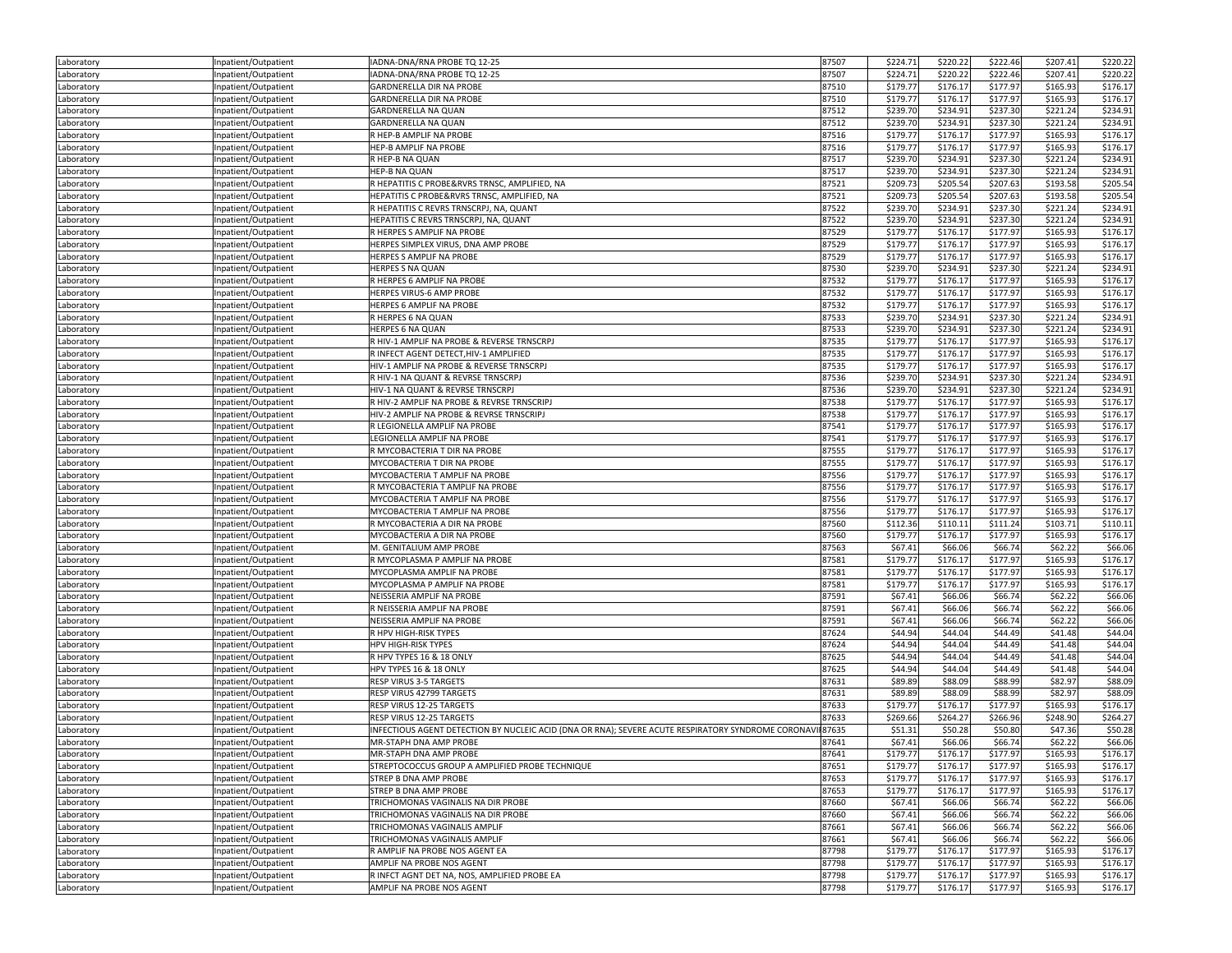| Laboratory | Inpatient/Outpatient | IADNA-DNA/RNA PROBE TQ 12-25                                                                         | 87507 | \$224.71 | \$220.22 | \$222.46 | \$207.41 | \$220.22 |
|------------|----------------------|------------------------------------------------------------------------------------------------------|-------|----------|----------|----------|----------|----------|
| Laboratory | Inpatient/Outpatient | IADNA-DNA/RNA PROBE TQ 12-25                                                                         | 87507 | \$224.71 | \$220.22 | \$222.46 | \$207.41 | \$220.22 |
| Laboratory | Inpatient/Outpatient | <b>GARDNERELLA DIR NA PROBE</b>                                                                      | 87510 | \$179.77 | \$176.17 | \$177.97 | \$165.93 | \$176.17 |
|            |                      | GARDNERELLA DIR NA PROBE                                                                             | 87510 | \$179.77 | \$176.17 | \$177.97 | \$165.93 | \$176.17 |
| Laboratory | Inpatient/Outpatient |                                                                                                      |       |          |          |          |          |          |
| Laboratory | Inpatient/Outpatient | GARDNERELLA NA QUAN                                                                                  | 87512 | \$239.70 | \$234.91 | \$237.30 | \$221.24 | \$234.91 |
| Laboratory | Inpatient/Outpatient | <b>GARDNERELLA NA QUAN</b>                                                                           | 87512 | \$239.70 | \$234.91 | \$237.30 | \$221.24 | \$234.91 |
| Laboratory | Inpatient/Outpatient | R HEP-B AMPLIF NA PROBE                                                                              | 87516 | \$179.77 | \$176.17 | \$177.97 | \$165.93 | \$176.17 |
| Laboratory | npatient/Outpatient  | HEP-B AMPLIF NA PROBE                                                                                | 87516 | \$179.77 | \$176.17 | \$177.97 | \$165.93 | \$176.17 |
| Laboratory | Inpatient/Outpatient | R HEP-B NA QUAN                                                                                      | 87517 | \$239.70 | \$234.91 | \$237.30 | \$221.24 | \$234.91 |
| Laboratory | Inpatient/Outpatient | HEP-B NA QUAN                                                                                        | 87517 | \$239.70 | \$234.91 | \$237.30 | \$221.24 | \$234.91 |
| Laboratory | Inpatient/Outpatient | R HEPATITIS C PROBE&RVRS TRNSC, AMPLIFIED, NA                                                        | 87521 | \$209.73 | \$205.54 | \$207.63 | \$193.58 | \$205.54 |
| Laboratory | Inpatient/Outpatient | HEPATITIS C PROBE&RVRS TRNSC, AMPLIFIED, NA                                                          | 87521 | \$209.73 | \$205.54 | \$207.63 | \$193.58 | \$205.54 |
| Laboratory | Inpatient/Outpatient | R HEPATITIS C REVRS TRNSCRPJ, NA, QUANT                                                              | 87522 | \$239.70 | \$234.91 | \$237.30 | \$221.24 | \$234.91 |
| Laboratory | Inpatient/Outpatient | HEPATITIS C REVRS TRNSCRPJ, NA, QUANT                                                                | 87522 | \$239.70 | \$234.91 | \$237.30 | \$221.24 | \$234.91 |
|            |                      |                                                                                                      |       |          |          |          |          |          |
| Laboratory | Inpatient/Outpatient | R HERPES S AMPLIF NA PROBE                                                                           | 87529 | \$179.77 | \$176.17 | \$177.97 | \$165.93 | \$176.1  |
| Laboratory | Inpatient/Outpatient | HERPES SIMPLEX VIRUS, DNA AMP PROBE                                                                  | 87529 | \$179.77 | \$176.17 | \$177.97 | \$165.93 | \$176.17 |
| Laboratory | Inpatient/Outpatient | HERPES S AMPLIF NA PROBE                                                                             | 87529 | \$179.77 | \$176.17 | \$177.97 | \$165.93 | \$176.17 |
| Laboratory | Inpatient/Outpatient | HERPES S NA QUAN                                                                                     | 87530 | \$239.70 | \$234.91 | \$237.30 | \$221.24 | \$234.91 |
| Laboratory | Inpatient/Outpatient | R HERPES 6 AMPLIF NA PROBE                                                                           | 87532 | \$179.77 | \$176.17 | \$177.97 | \$165.93 | \$176.17 |
| Laboratory | Inpatient/Outpatient | HERPES VIRUS-6 AMP PROBE                                                                             | 87532 | \$179.77 | \$176.17 | \$177.97 | \$165.93 | \$176.17 |
| Laboratory | Inpatient/Outpatient | HERPES 6 AMPLIF NA PROBE                                                                             | 87532 | \$179.7  | \$176.17 | \$177.97 | \$165.93 | \$176.17 |
| Laboratory | Inpatient/Outpatient | R HERPES 6 NA QUAN                                                                                   | 87533 | \$239.70 | \$234.91 | \$237.30 | \$221.24 | \$234.91 |
| Laboratory | Inpatient/Outpatient | <b>HERPES 6 NA QUAN</b>                                                                              | 87533 | \$239.70 | \$234.91 | \$237.30 | \$221.24 | \$234.91 |
|            |                      | R HIV-1 AMPLIF NA PROBE & REVERSE TRNSCRPJ                                                           | 87535 | \$179.77 | \$176.17 | \$177.97 | \$165.93 | \$176.17 |
| Laboratory | Inpatient/Outpatient |                                                                                                      |       |          |          |          |          |          |
| Laboratory | Inpatient/Outpatient | R INFECT AGENT DETECT, HIV-1 AMPLIFIED                                                               | 87535 | \$179.77 | \$176.17 | \$177.97 | \$165.93 | \$176.17 |
| Laboratory | Inpatient/Outpatient | HIV-1 AMPLIF NA PROBE & REVERSE TRNSCRPJ                                                             | 87535 | \$179.77 | \$176.17 | \$177.97 | \$165.93 | \$176.17 |
| Laboratory | Inpatient/Outpatient | R HIV-1 NA QUANT & REVRSE TRNSCRPJ                                                                   | 87536 | \$239.70 | \$234.91 | \$237.30 | \$221.24 | \$234.91 |
| Laboratory | Inpatient/Outpatient | HIV-1 NA QUANT & REVRSE TRNSCRPJ                                                                     | 87536 | \$239.70 | \$234.91 | \$237.30 | \$221.24 | \$234.91 |
| Laboratory | Inpatient/Outpatient | R HIV-2 AMPLIF NA PROBE & REVRSE TRNSCRIPJ                                                           | 87538 | \$179.77 | \$176.17 | \$177.97 | \$165.93 | \$176.17 |
| Laboratory | Inpatient/Outpatient | HIV-2 AMPLIF NA PROBE & REVRSE TRNSCRIPJ                                                             | 87538 | \$179.77 | \$176.17 | \$177.97 | \$165.93 | \$176.17 |
| Laboratory | Inpatient/Outpatient | R LEGIONELLA AMPLIF NA PROBE                                                                         | 87541 | \$179.77 | \$176.17 | \$177.97 | \$165.93 | \$176.17 |
| Laboratory | Inpatient/Outpatient | LEGIONELLA AMPLIF NA PROBE                                                                           | 87541 | \$179.77 | \$176.17 | \$177.97 | \$165.93 | \$176.17 |
| Laboratory | Inpatient/Outpatient | R MYCOBACTERIA T DIR NA PROBE                                                                        | 87555 | \$179.77 | \$176.17 | \$177.97 | \$165.93 | \$176.17 |
| Laboratory | Inpatient/Outpatient | MYCOBACTERIA T DIR NA PROBE                                                                          | 87555 | \$179.77 | \$176.17 | \$177.97 | \$165.93 | \$176.17 |
|            |                      |                                                                                                      |       |          |          |          |          |          |
| Laboratory | Inpatient/Outpatient | MYCOBACTERIA T AMPLIF NA PROBE                                                                       | 87556 | \$179.77 | \$176.17 | \$177.97 | \$165.93 | \$176.1  |
| Laboratory | Inpatient/Outpatient | R MYCOBACTERIA T AMPLIF NA PROBE                                                                     | 87556 | \$179.77 | \$176.17 | \$177.97 | \$165.93 | \$176.17 |
| Laboratory | Inpatient/Outpatient | MYCOBACTERIA T AMPLIF NA PROBE                                                                       | 87556 | \$179.77 | \$176.17 | \$177.97 | \$165.93 | \$176.17 |
| Laboratory | Inpatient/Outpatient | MYCOBACTERIA T AMPLIF NA PROBE                                                                       | 87556 | \$179.77 | \$176.17 | \$177.97 | \$165.93 | \$176.17 |
| Laboratory | Inpatient/Outpatient | R MYCOBACTERIA A DIR NA PROBE                                                                        | 87560 | \$112.36 | \$110.11 | \$111.24 | \$103.71 | \$110.11 |
| Laboratory | Inpatient/Outpatient | MYCOBACTERIA A DIR NA PROBE                                                                          | 87560 | \$179.77 | \$176.17 | \$177.97 | \$165.93 | \$176.17 |
| Laboratory | Inpatient/Outpatient | M. GENITALIUM AMP PROBE                                                                              | 87563 | \$67.41  | \$66.06  | \$66.74  | \$62.22  | \$66.06  |
| Laboratory | Inpatient/Outpatient | R MYCOPLASMA P AMPLIF NA PROBE                                                                       | 87581 | \$179.77 | \$176.17 | \$177.97 | \$165.93 | \$176.17 |
| Laboratory | Inpatient/Outpatient | MYCOPLASMA AMPLIF NA PROBE                                                                           | 87581 | \$179.77 | \$176.17 | \$177.97 | \$165.93 | \$176.17 |
| Laboratory | Inpatient/Outpatient | MYCOPLASMA P AMPLIF NA PROBE                                                                         | 87581 | \$179.77 | \$176.17 | \$177.97 | \$165.93 | \$176.17 |
|            |                      |                                                                                                      |       |          |          |          |          |          |
| Laboratory | Inpatient/Outpatient | NEISSERIA AMPLIF NA PROBE                                                                            | 87591 | \$67.41  | \$66.06  | \$66.74  | \$62.22  | \$66.06  |
| Laboratory | Inpatient/Outpatient | R NEISSERIA AMPLIF NA PROBE                                                                          | 87591 | \$67.41  | \$66.06  | \$66.74  | \$62.22  | \$66.06  |
| Laboratory | Inpatient/Outpatient | NEISSERIA AMPLIF NA PROBE                                                                            | 87591 | \$67.41  | \$66.06  | \$66.74  | \$62.22  | \$66.06  |
| Laboratory | Inpatient/Outpatient | R HPV HIGH-RISK TYPES                                                                                | 87624 | \$44.94  | \$44.04  | \$44.49  | \$41.48  | \$44.04  |
| Laboratory | Inpatient/Outpatient | HPV HIGH-RISK TYPES                                                                                  | 87624 | \$44.94  | \$44.04  | \$44.49  | \$41.48  | \$44.04  |
| Laboratory | Inpatient/Outpatient | R HPV TYPES 16 & 18 ONLY                                                                             | 87625 | \$44.94  | \$44.04  | \$44.49  | \$41.48  | \$44.04  |
| Laboratory | Inpatient/Outpatient | HPV TYPES 16 & 18 ONLY                                                                               | 87625 | \$44.94  | \$44.04  | \$44.49  | \$41.48  | \$44.04  |
| Laboratory | Inpatient/Outpatient | RESP VIRUS 3-5 TARGETS                                                                               | 87631 | \$89.89  | \$88.09  | \$88.99  | \$82.97  | \$88.09  |
| Laboratory | Inpatient/Outpatient | RESP VIRUS 42799 TARGETS                                                                             | 87631 | \$89.89  | \$88.09  | \$88.99  | \$82.97  | \$88.09  |
| Laboratory | Inpatient/Outpatient | RESP VIRUS 12-25 TARGETS                                                                             | 87633 | \$179.77 | \$176.17 | \$177.97 | \$165.93 | \$176.17 |
|            |                      | RESP VIRUS 12-25 TARGETS                                                                             | 87633 | \$269.66 | \$264.27 | \$266.96 | \$248.90 | \$264.27 |
| Laboratory | Inpatient/Outpatient | INFECTIOUS AGENT DETECTION BY NUCLEIC ACID (DNA OR RNA); SEVERE ACUTE RESPIRATORY SYNDROME CORONAVII | 87635 | \$51.31  | \$50.28  | \$50.80  | \$47.36  | \$50.28  |
| Laboratory | Inpatient/Outpatient |                                                                                                      |       |          |          |          |          |          |
| Laboratory | Inpatient/Outpatient | MR-STAPH DNA AMP PROBE                                                                               | 87641 | \$67.41  | \$66.06  | \$66.74  | \$62.22  | \$66.06  |
| Laboratory | Inpatient/Outpatient | MR-STAPH DNA AMP PROBE                                                                               | 87641 | \$179.77 | \$176.17 | \$177.97 | \$165.93 | \$176.17 |
| Laboratory | Inpatient/Outpatient | STREPTOCOCCUS GROUP A AMPLIFIED PROBE TECHNIQUE                                                      | 87651 | \$179.77 | \$176.17 | \$177.97 | \$165.93 | \$176.17 |
| Laboratory | Inpatient/Outpatient | STREP B DNA AMP PROBE                                                                                | 87653 | \$179.77 | \$176.17 | \$177.97 | \$165.93 | \$176.17 |
| Laboratory | Inpatient/Outpatient | STREP B DNA AMP PROBE                                                                                | 87653 | \$179.77 | \$176.17 | \$177.97 | \$165.93 | \$176.17 |
| Laboratory | Inpatient/Outpatient | TRICHOMONAS VAGINALIS NA DIR PROBE                                                                   | 87660 | \$67.41  | \$66.06  | \$66.74  | \$62.22  | \$66.06  |
| Laboratory | Inpatient/Outpatient | TRICHOMONAS VAGINALIS NA DIR PROBE                                                                   | 87660 | \$67.41  | \$66.06  | \$66.74  | \$62.22  | \$66.06  |
| Laboratory | Inpatient/Outpatient | TRICHOMONAS VAGINALIS AMPLIF                                                                         | 87661 | \$67.41  | \$66.06  | \$66.74  | \$62.22  | \$66.06  |
| Laboratory | Inpatient/Outpatient | TRICHOMONAS VAGINALIS AMPLIF                                                                         | 87661 | \$67.41  | \$66.06  | \$66.74  | \$62.22  | \$66.06  |
| Laboratory | Inpatient/Outpatient | R AMPLIF NA PROBE NOS AGENT EA                                                                       | 87798 | \$179.77 | \$176.17 | \$177.97 | \$165.93 | \$176.17 |
|            |                      | AMPLIF NA PROBE NOS AGENT                                                                            |       |          |          |          |          |          |
| Laboratory | Inpatient/Outpatient |                                                                                                      | 87798 | \$179.77 | \$176.17 | \$177.97 | \$165.93 | \$176.17 |
| Laboratory | Inpatient/Outpatient | R INFCT AGNT DET NA, NOS, AMPLIFIED PROBE EA                                                         | 87798 | \$179.77 | \$176.17 | \$177.97 | \$165.93 | \$176.17 |
| Laboratory | Inpatient/Outpatient | AMPLIF NA PROBE NOS AGENT                                                                            | 87798 | \$179.77 | \$176.17 | \$177.97 | \$165.93 | \$176.17 |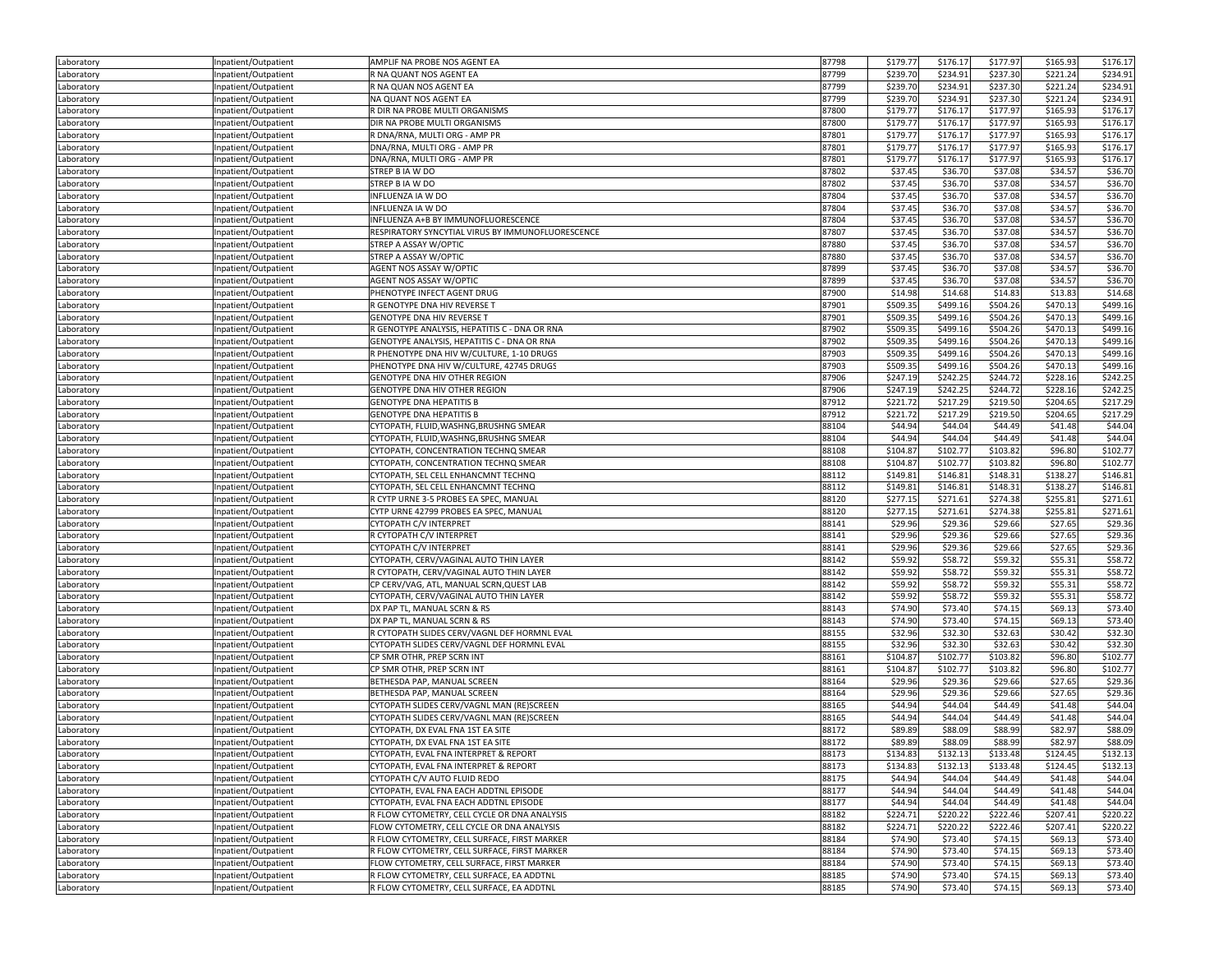| \$221.24<br>\$234.91<br>87799<br>\$239.70<br>\$234.91<br>\$237.30<br>Inpatient/Outpatient<br>R NA QUANT NOS AGENT EA<br>Laboratory<br>87799<br>\$234.91<br>\$237.30<br>\$221.24<br>\$234.91<br>R NA QUAN NOS AGENT EA<br>\$239.70<br>Laboratory<br>Inpatient/Outpatient<br>NA QUANT NOS AGENT EA<br>87799<br>\$239.70<br>\$234.91<br>\$237.30<br>\$221.24<br>\$234.91<br>Laboratory<br>Inpatient/Outpatient<br>\$179.77<br>\$177.97<br>\$165.93<br>\$176.1<br>R DIR NA PROBE MULTI ORGANISMS<br>87800<br>\$176.17<br>Laboratory<br>Inpatient/Outpatient<br>\$176.17<br>DIR NA PROBE MULTI ORGANISMS<br>87800<br>\$179.77<br>\$176.17<br>\$177.97<br>\$165.93<br>Laboratory<br>Inpatient/Outpatient<br>87801<br>\$177.97<br>\$176.17<br>R DNA/RNA, MULTI ORG - AMP PR<br>\$179.77<br>\$176.17<br>\$165.93<br>Inpatient/Outpatient<br>Laboratory<br>87801<br>\$179.77<br>\$176.17<br>\$177.97<br>\$165.93<br>\$176.1<br>DNA/RNA, MULTI ORG - AMP PR<br>Laboratory<br>Inpatient/Outpatient<br>\$179.77<br>\$176.17<br>\$177.97<br>\$165.93<br>\$176.17<br>DNA/RNA, MULTI ORG - AMP PR<br>87801<br>Laboratory<br>Inpatient/Outpatient<br>\$37.08<br>STREP B IA W DO<br>87802<br>\$37.45<br>\$36.70<br>\$34.57<br>\$36.70<br>Inpatient/Outpatient<br>Laboratory<br>STREP B IA W DO<br>87802<br>\$37.45<br>\$36.70<br>\$37.08<br>\$34.57<br>\$36.70<br>Inpatient/Outpatient<br>Laboratory<br>\$37.45<br>\$36.70<br>\$37.08<br>\$34.57<br>\$36.70<br>87804<br>Inpatient/Outpatient<br>INFLUENZA IA W DO<br>Laboratory<br>87804<br>\$37.45<br>\$37.08<br>\$34.57<br>\$36.70<br>INFLUENZA IA W DO<br>\$36.70<br>Laboratory<br>Inpatient/Outpatient<br>INFLUENZA A+B BY IMMUNOFLUORESCENCE<br>87804<br>\$37.45<br>\$36.70<br>\$37.08<br>\$34.57<br>\$36.70<br>Laboratory<br>Inpatient/Outpatient<br>\$37.45<br>\$37.08<br>\$34.57<br>\$36.70<br>RESPIRATORY SYNCYTIAL VIRUS BY IMMUNOFLUORESCENCE<br>87807<br>\$36.70<br>Inpatient/Outpatient<br>Laboratory<br>\$37.45<br>STREP A ASSAY W/OPTIC<br>87880<br>\$36.70<br>\$37.08<br>\$34.57<br>\$36.70<br>Laboratory<br>Inpatient/Outpatient<br>\$37.45<br>87880<br>\$36.70<br>\$37.08<br>\$34.57<br>\$36.70<br>Inpatient/Outpatient<br>STREP A ASSAY W/OPTIC<br>Laboratory<br>87899<br>\$37.45<br>\$36.70<br>\$37.08<br>\$34.57<br>\$36.70<br>AGENT NOS ASSAY W/OPTIC<br>Laboratory<br>Inpatient/Outpatient<br>\$37.45<br>\$37.08<br>\$34.57<br>\$36.70<br>AGENT NOS ASSAY W/OPTIC<br>87899<br>\$36.70<br>Laboratory<br>Inpatient/Outpatient<br>PHENOTYPE INFECT AGENT DRUG<br>87900<br>\$14.98<br>\$14.68<br>\$14.83<br>\$13.83<br>\$14.68<br>Inpatient/Outpatient<br>Laboratory<br>R GENOTYPE DNA HIV REVERSE T<br>87901<br>\$509.35<br>\$499.16<br>\$504.26<br>\$470.13<br>\$499.16<br>Laboratory<br>Inpatient/Outpatient<br>\$509.35<br>\$504.26<br>\$470.13<br>\$499.16<br><b>GENOTYPE DNA HIV REVERSE T</b><br>87901<br>\$499.16<br>Inpatient/Outpatient<br>Laboratory<br>87902<br>\$509.35<br>\$499.16<br>\$504.26<br>\$470.13<br>\$499.16<br>R GENOTYPE ANALYSIS, HEPATITIS C - DNA OR RNA<br>Laboratory<br>Inpatient/Outpatient<br>GENOTYPE ANALYSIS, HEPATITIS C - DNA OR RNA<br>87902<br>\$509.35<br>\$499.16<br>\$504.26<br>\$470.13<br>\$499.16<br>Laboratory<br>Inpatient/Outpatient<br>\$509.35<br>\$470.13<br>\$499.16<br>R PHENOTYPE DNA HIV W/CULTURE, 1-10 DRUGS<br>87903<br>\$499.16<br>\$504.26<br>Inpatient/Outpatient<br>Laboratory<br>\$470.13<br>\$499.16<br>PHENOTYPE DNA HIV W/CULTURE, 42745 DRUGS<br>87903<br>\$509.35<br>\$499.16<br>\$504.26<br>Laboratory<br>Inpatient/Outpatient<br>87906<br>\$228.16<br>\$247.19<br>\$242.25<br>\$244.72<br>\$242.25<br>Inpatient/Outpatient<br>GENOTYPE DNA HIV OTHER REGION<br>Laboratory<br>87906<br>\$247.19<br>\$242.25<br>\$244.72<br>\$228.16<br>\$242.25<br>GENOTYPE DNA HIV OTHER REGION<br>Laboratory<br>Inpatient/Outpatient<br>\$217.29<br>\$219.50<br>\$217.29<br><b>GENOTYPE DNA HEPATITIS B</b><br>87912<br>\$221.72<br>\$204.65<br>Laboratory<br>Inpatient/Outpatient<br>87912<br>\$217.29<br><b>GENOTYPE DNA HEPATITIS B</b><br>\$221.72<br>\$219.50<br>\$204.65<br>\$217.29<br>Inpatient/Outpatient<br>Laboratory<br>\$44.94<br>CYTOPATH, FLUID, WASHNG, BRUSHNG SMEAR<br>88104<br>\$44.04<br>\$44.49<br>\$41.48<br>\$44.04<br>Inpatient/Outpatient<br>Laboratory<br>88104<br>\$44.94<br>\$44.49<br>\$44.04<br>CYTOPATH, FLUID, WASHNG, BRUSHNG SMEAR<br>\$44.04<br>\$41.48<br>Inpatient/Outpatient<br>Laboratory<br>88108<br>\$104.87<br>\$102.77<br>\$103.82<br>\$96.80<br>\$102.77<br>CYTOPATH, CONCENTRATION TECHNQ SMEAR<br>Laboratory<br>Inpatient/Outpatient<br>CYTOPATH, CONCENTRATION TECHNQ SMEAR<br>88108<br>\$104.87<br>\$102.77<br>\$103.82<br>\$96.80<br>\$102.77<br>Laboratory<br>Inpatient/Outpatient<br>\$138.27<br>\$146.81<br>CYTOPATH, SEL CELL ENHANCMNT TECHNQ<br>88112<br>\$149.81<br>\$146.81<br>\$148.31<br>Laboratory<br>Inpatient/Outpatient<br>\$138.27<br>CYTOPATH, SEL CELL ENHANCMNT TECHNQ<br>88112<br>\$149.81<br>\$146.81<br>\$148.31<br>\$146.81<br>Laboratory<br>Inpatient/Outpatient<br>88120<br>\$255.81<br>\$271.61<br>R CYTP URNE 3-5 PROBES EA SPEC, MANUAL<br>\$277.15<br>\$271.61<br>\$274.38<br>Inpatient/Outpatient<br>88120<br>\$277.15<br>\$271.61<br>\$274.38<br>\$255.81<br>\$271.61<br>CYTP URNE 42799 PROBES EA SPEC, MANUAL<br>Laboratory<br>Inpatient/Outpatient<br>\$29.96<br>\$29.66<br>\$29.36<br>CYTOPATH C/V INTERPRET<br>88141<br>\$29.36<br>\$27.65<br>Inpatient/Outpatient<br>\$29.96<br>\$29.36<br>R CYTOPATH C/V INTERPRET<br>88141<br>\$29.36<br>\$29.66<br>\$27.65<br>Laboratory<br>Inpatient/Outpatient<br>CYTOPATH C/V INTERPRET<br>88141<br>\$29.96<br>\$29.36<br>\$29.66<br>\$27.65<br>\$29.36<br>Inpatient/Outpatient<br>Laboratory<br>\$59.92<br>\$59.32<br>\$58.72<br>CYTOPATH, CERV/VAGINAL AUTO THIN LAYER<br>88142<br>\$58.72<br>\$55.31<br>Inpatient/Outpatient<br>Laboratory<br>88142<br>\$59.92<br>\$58.72<br>\$59.32<br>\$55.31<br>\$58.72<br>R CYTOPATH, CERV/VAGINAL AUTO THIN LAYER<br>Laboratory<br>Inpatient/Outpatient<br>88142<br>CP CERV/VAG, ATL, MANUAL SCRN, QUEST LAB<br>\$59.92<br>\$58.72<br>\$59.32<br>\$55.31<br>\$58.72<br>Inpatient/Outpatient<br>\$59.92<br>\$59.32<br>\$58.72<br>CYTOPATH, CERV/VAGINAL AUTO THIN LAYER<br>88142<br>\$58.72<br>\$55.31<br>Inpatient/Outpatient<br>Laboratory<br>\$73.40<br>DX PAP TL, MANUAL SCRN & RS<br>88143<br>\$74.90<br>\$73.40<br>\$74.15<br>\$69.13<br>Laboratory<br>Inpatient/Outpatient<br>\$74.90<br>\$73.40<br>\$73.40<br>88143<br>\$74.15<br>\$69.13<br>Inpatient/Outpatient<br>DX PAP TL, MANUAL SCRN & RS<br>Laboratory<br>88155<br>\$32.96<br>\$32.30<br>\$32.63<br>\$30.42<br>\$32.30<br>R CYTOPATH SLIDES CERV/VAGNL DEF HORMNL EVAL<br>Laboratory<br>Inpatient/Outpatient<br>\$32.96<br>\$32.30<br>\$32.63<br>\$32.30<br>CYTOPATH SLIDES CERV/VAGNL DEF HORMNL EVAL<br>88155<br>\$30.42<br>Inpatient/Outpatient<br>88161<br>\$104.87<br>\$102.77<br>\$96.80<br>\$102.77<br>CP SMR OTHR, PREP SCRN INT<br>\$103.82<br>Inpatient/Outpatient<br>Laboratory<br>\$104.87<br>CP SMR OTHR, PREP SCRN INT<br>88161<br>\$102.77<br>\$103.82<br>\$96.80<br>\$102.77<br>Inpatient/Outpatient<br>Laboratory<br>\$29.96<br>\$29.36<br>88164<br>\$29.36<br>\$29.66<br>\$27.65<br>Inpatient/Outpatient<br>BETHESDA PAP, MANUAL SCREEN<br>Laboratory<br>88164<br>\$29.96<br>\$27.65<br>\$29.36<br>BETHESDA PAP, MANUAL SCREEN<br>\$29.36<br>\$29.66<br>Laboratory<br>Inpatient/Outpatient<br>CYTOPATH SLIDES CERV/VAGNL MAN (RE)SCREEN<br>88165<br>\$44.94<br>\$44.04<br>\$44.49<br>\$41.48<br>\$44.04<br>Inpatient/Outpatient<br>CYTOPATH SLIDES CERV/VAGNL MAN (RE)SCREEN<br>88165<br>\$44.94<br>\$44.04<br>\$44.49<br>\$41.48<br>\$44.04<br>Laboratory<br>Inpatient/Outpatient<br>CYTOPATH, DX EVAL FNA 1ST EA SITE<br>88172<br>\$89.89<br>\$88.09<br>\$88.99<br>\$82.97<br>\$88.09<br>Laboratory<br>Inpatient/Outpatient<br>88172<br>\$89.89<br>\$82.97<br>CYTOPATH, DX EVAL FNA 1ST EA SITE<br>\$88.09<br>\$88.99<br>\$88.09<br>Inpatient/Outpatient<br>\$132.13<br>\$132.13<br>\$134.83<br>\$133.48<br>\$124.45<br>CYTOPATH, EVAL FNA INTERPRET & REPORT<br>88173<br>Inpatient/Outpatient<br>Laboratory<br>\$132.13<br>Laboratory<br>Inpatient/Outpatient<br>CYTOPATH, EVAL FNA INTERPRET & REPORT<br>88173<br>\$134.83<br>\$132.13<br>\$133.48<br>\$124.45<br>\$44.94<br>Inpatient/Outpatient<br>CYTOPATH C/V AUTO FLUID REDO<br>88175<br>\$44.04<br>\$44.49<br>\$41.48<br>\$44.04<br>Laboratory<br>\$44.94<br>\$44.04<br>Inpatient/Outpatient<br>CYTOPATH, EVAL FNA EACH ADDTNL EPISODE<br>88177<br>\$44.49<br>\$41.48<br>\$44.04<br>Laboratory<br>88177<br>\$44.94<br>Inpatient/Outpatient<br>CYTOPATH, EVAL FNA EACH ADDTNL EPISODE<br>\$44.04<br>\$44.49<br>\$41.48<br>\$44.04<br>Laboratory<br>88182<br>\$224.71<br>\$220.22<br>\$222.46<br>\$220.22<br>Inpatient/Outpatient<br>R FLOW CYTOMETRY, CELL CYCLE OR DNA ANALYSIS<br>\$207.41<br>Laboratory<br>88182<br>\$220.22<br>Inpatient/Outpatient<br>FLOW CYTOMETRY, CELL CYCLE OR DNA ANALYSIS<br>\$224.71<br>\$222.46<br>\$207.41<br>\$220.22<br>Laboratory<br>R FLOW CYTOMETRY, CELL SURFACE, FIRST MARKER<br>88184<br>\$74.90<br>\$73.40<br>Inpatient/Outpatient<br>\$73.40<br>\$74.15<br>\$69.13<br>Laboratory<br>Inpatient/Outpatient<br>R FLOW CYTOMETRY, CELL SURFACE, FIRST MARKER<br>88184<br>\$74.90<br>\$73.40<br>\$74.15<br>\$69.13<br>\$73.40<br>Laboratory<br>88184<br>\$74.90<br>Inpatient/Outpatient<br>FLOW CYTOMETRY, CELL SURFACE, FIRST MARKER<br>\$73.40<br>\$74.15<br>\$69.13<br>\$73.40<br>Laboratory<br>R FLOW CYTOMETRY, CELL SURFACE, EA ADDTNL<br>88185<br>\$74.90<br>\$73.40<br>\$74.15<br>\$73.40<br>Inpatient/Outpatient<br>\$69.13<br>Laboratory<br>\$74.90<br>Laboratory<br>Inpatient/Outpatient<br>R FLOW CYTOMETRY, CELL SURFACE, EA ADDTNL<br>88185<br>\$73.40<br>\$74.15<br>\$69.13<br>\$73.40 | Laboratory | Inpatient/Outpatient | AMPLIF NA PROBE NOS AGENT EA | 87798 | \$179.77 | \$176.17 | \$177.97 | \$165.93 | \$176.17 |
|------------------------------------------------------------------------------------------------------------------------------------------------------------------------------------------------------------------------------------------------------------------------------------------------------------------------------------------------------------------------------------------------------------------------------------------------------------------------------------------------------------------------------------------------------------------------------------------------------------------------------------------------------------------------------------------------------------------------------------------------------------------------------------------------------------------------------------------------------------------------------------------------------------------------------------------------------------------------------------------------------------------------------------------------------------------------------------------------------------------------------------------------------------------------------------------------------------------------------------------------------------------------------------------------------------------------------------------------------------------------------------------------------------------------------------------------------------------------------------------------------------------------------------------------------------------------------------------------------------------------------------------------------------------------------------------------------------------------------------------------------------------------------------------------------------------------------------------------------------------------------------------------------------------------------------------------------------------------------------------------------------------------------------------------------------------------------------------------------------------------------------------------------------------------------------------------------------------------------------------------------------------------------------------------------------------------------------------------------------------------------------------------------------------------------------------------------------------------------------------------------------------------------------------------------------------------------------------------------------------------------------------------------------------------------------------------------------------------------------------------------------------------------------------------------------------------------------------------------------------------------------------------------------------------------------------------------------------------------------------------------------------------------------------------------------------------------------------------------------------------------------------------------------------------------------------------------------------------------------------------------------------------------------------------------------------------------------------------------------------------------------------------------------------------------------------------------------------------------------------------------------------------------------------------------------------------------------------------------------------------------------------------------------------------------------------------------------------------------------------------------------------------------------------------------------------------------------------------------------------------------------------------------------------------------------------------------------------------------------------------------------------------------------------------------------------------------------------------------------------------------------------------------------------------------------------------------------------------------------------------------------------------------------------------------------------------------------------------------------------------------------------------------------------------------------------------------------------------------------------------------------------------------------------------------------------------------------------------------------------------------------------------------------------------------------------------------------------------------------------------------------------------------------------------------------------------------------------------------------------------------------------------------------------------------------------------------------------------------------------------------------------------------------------------------------------------------------------------------------------------------------------------------------------------------------------------------------------------------------------------------------------------------------------------------------------------------------------------------------------------------------------------------------------------------------------------------------------------------------------------------------------------------------------------------------------------------------------------------------------------------------------------------------------------------------------------------------------------------------------------------------------------------------------------------------------------------------------------------------------------------------------------------------------------------------------------------------------------------------------------------------------------------------------------------------------------------------------------------------------------------------------------------------------------------------------------------------------------------------------------------------------------------------------------------------------------------------------------------------------------------------------------------------------------------------------------------------------------------------------------------------------------------------------------------------------------------------------------------------------------------------------------------------------------------------------------------------------------------------------------------------------------------------------------------------------------------------------------------------------------------------------------------------------------------------------------------------------------------------------------------------------------------------------------------------------------------------------------------------------------------------------------------------------------------------------------------------------------------------------------------------------------------------------------------------------------------------------------------------------------------------------------------------------------------------------------------------------------------------------------------------------------------------------------------------------------------------------------------------------------------------------------------------------------------------------------------------------------------------------------------------------------------------------------------------------------------------------------------------------------------------------------------------------------------------------------------------------------------------------------------------------------------------------------------------------------------------------------------------------------------------------------------------------------------------------------------------------------------------------------------------------------------------------------------------------------------------------------------------------------------------------------------------------------------------------------------------------------------------------------------------------------------------------------------------------------------------------------------------------------------------------------------------------------------------------------------------------------------------------------------------------------------------------------------------------------------------------------------------------------------------------------------------------------------------------------------------------------------------------------------------------------------------------------------------------------------------------------------------------------------------------------------------------------------------------------------------------------------------------------------------------------------------------------------------------------------------------------------------------------------------------------------------------------------------------------------------------------------------------------------------------------------------------------------------------------------------------------------------------------------------------------------------------------------------------------------------------------------------------------------------------------------------------------------------------------------------------------------------------|------------|----------------------|------------------------------|-------|----------|----------|----------|----------|----------|
|                                                                                                                                                                                                                                                                                                                                                                                                                                                                                                                                                                                                                                                                                                                                                                                                                                                                                                                                                                                                                                                                                                                                                                                                                                                                                                                                                                                                                                                                                                                                                                                                                                                                                                                                                                                                                                                                                                                                                                                                                                                                                                                                                                                                                                                                                                                                                                                                                                                                                                                                                                                                                                                                                                                                                                                                                                                                                                                                                                                                                                                                                                                                                                                                                                                                                                                                                                                                                                                                                                                                                                                                                                                                                                                                                                                                                                                                                                                                                                                                                                                                                                                                                                                                                                                                                                                                                                                                                                                                                                                                                                                                                                                                                                                                                                                                                                                                                                                                                                                                                                                                                                                                                                                                                                                                                                                                                                                                                                                                                                                                                                                                                                                                                                                                                                                                                                                                                                                                                                                                                                                                                                                                                                                                                                                                                                                                                                                                                                                                                                                                                                                                                                                                                                                                                                                                                                                                                                                                                                                                                                                                                                                                                                                                                                                                                                                                                                                                                                                                                                                                                                                                                                                                                                                                                                                                                                                                                                                                                                                                                                                                                                                                                                                                                                                                                                                                                                                                                                                                                                                                                                                                                                                                                                                                                                                                                                                                                                                                                                                                                                                                                                                                                                                                                                                                                                                                                                                                                                                                                                                                                                                                                                                                                                                                                                                                                                                                  |            |                      |                              |       |          |          |          |          |          |
|                                                                                                                                                                                                                                                                                                                                                                                                                                                                                                                                                                                                                                                                                                                                                                                                                                                                                                                                                                                                                                                                                                                                                                                                                                                                                                                                                                                                                                                                                                                                                                                                                                                                                                                                                                                                                                                                                                                                                                                                                                                                                                                                                                                                                                                                                                                                                                                                                                                                                                                                                                                                                                                                                                                                                                                                                                                                                                                                                                                                                                                                                                                                                                                                                                                                                                                                                                                                                                                                                                                                                                                                                                                                                                                                                                                                                                                                                                                                                                                                                                                                                                                                                                                                                                                                                                                                                                                                                                                                                                                                                                                                                                                                                                                                                                                                                                                                                                                                                                                                                                                                                                                                                                                                                                                                                                                                                                                                                                                                                                                                                                                                                                                                                                                                                                                                                                                                                                                                                                                                                                                                                                                                                                                                                                                                                                                                                                                                                                                                                                                                                                                                                                                                                                                                                                                                                                                                                                                                                                                                                                                                                                                                                                                                                                                                                                                                                                                                                                                                                                                                                                                                                                                                                                                                                                                                                                                                                                                                                                                                                                                                                                                                                                                                                                                                                                                                                                                                                                                                                                                                                                                                                                                                                                                                                                                                                                                                                                                                                                                                                                                                                                                                                                                                                                                                                                                                                                                                                                                                                                                                                                                                                                                                                                                                                                                                                                                                  |            |                      |                              |       |          |          |          |          |          |
|                                                                                                                                                                                                                                                                                                                                                                                                                                                                                                                                                                                                                                                                                                                                                                                                                                                                                                                                                                                                                                                                                                                                                                                                                                                                                                                                                                                                                                                                                                                                                                                                                                                                                                                                                                                                                                                                                                                                                                                                                                                                                                                                                                                                                                                                                                                                                                                                                                                                                                                                                                                                                                                                                                                                                                                                                                                                                                                                                                                                                                                                                                                                                                                                                                                                                                                                                                                                                                                                                                                                                                                                                                                                                                                                                                                                                                                                                                                                                                                                                                                                                                                                                                                                                                                                                                                                                                                                                                                                                                                                                                                                                                                                                                                                                                                                                                                                                                                                                                                                                                                                                                                                                                                                                                                                                                                                                                                                                                                                                                                                                                                                                                                                                                                                                                                                                                                                                                                                                                                                                                                                                                                                                                                                                                                                                                                                                                                                                                                                                                                                                                                                                                                                                                                                                                                                                                                                                                                                                                                                                                                                                                                                                                                                                                                                                                                                                                                                                                                                                                                                                                                                                                                                                                                                                                                                                                                                                                                                                                                                                                                                                                                                                                                                                                                                                                                                                                                                                                                                                                                                                                                                                                                                                                                                                                                                                                                                                                                                                                                                                                                                                                                                                                                                                                                                                                                                                                                                                                                                                                                                                                                                                                                                                                                                                                                                                                                                  |            |                      |                              |       |          |          |          |          |          |
|                                                                                                                                                                                                                                                                                                                                                                                                                                                                                                                                                                                                                                                                                                                                                                                                                                                                                                                                                                                                                                                                                                                                                                                                                                                                                                                                                                                                                                                                                                                                                                                                                                                                                                                                                                                                                                                                                                                                                                                                                                                                                                                                                                                                                                                                                                                                                                                                                                                                                                                                                                                                                                                                                                                                                                                                                                                                                                                                                                                                                                                                                                                                                                                                                                                                                                                                                                                                                                                                                                                                                                                                                                                                                                                                                                                                                                                                                                                                                                                                                                                                                                                                                                                                                                                                                                                                                                                                                                                                                                                                                                                                                                                                                                                                                                                                                                                                                                                                                                                                                                                                                                                                                                                                                                                                                                                                                                                                                                                                                                                                                                                                                                                                                                                                                                                                                                                                                                                                                                                                                                                                                                                                                                                                                                                                                                                                                                                                                                                                                                                                                                                                                                                                                                                                                                                                                                                                                                                                                                                                                                                                                                                                                                                                                                                                                                                                                                                                                                                                                                                                                                                                                                                                                                                                                                                                                                                                                                                                                                                                                                                                                                                                                                                                                                                                                                                                                                                                                                                                                                                                                                                                                                                                                                                                                                                                                                                                                                                                                                                                                                                                                                                                                                                                                                                                                                                                                                                                                                                                                                                                                                                                                                                                                                                                                                                                                                                                  |            |                      |                              |       |          |          |          |          |          |
|                                                                                                                                                                                                                                                                                                                                                                                                                                                                                                                                                                                                                                                                                                                                                                                                                                                                                                                                                                                                                                                                                                                                                                                                                                                                                                                                                                                                                                                                                                                                                                                                                                                                                                                                                                                                                                                                                                                                                                                                                                                                                                                                                                                                                                                                                                                                                                                                                                                                                                                                                                                                                                                                                                                                                                                                                                                                                                                                                                                                                                                                                                                                                                                                                                                                                                                                                                                                                                                                                                                                                                                                                                                                                                                                                                                                                                                                                                                                                                                                                                                                                                                                                                                                                                                                                                                                                                                                                                                                                                                                                                                                                                                                                                                                                                                                                                                                                                                                                                                                                                                                                                                                                                                                                                                                                                                                                                                                                                                                                                                                                                                                                                                                                                                                                                                                                                                                                                                                                                                                                                                                                                                                                                                                                                                                                                                                                                                                                                                                                                                                                                                                                                                                                                                                                                                                                                                                                                                                                                                                                                                                                                                                                                                                                                                                                                                                                                                                                                                                                                                                                                                                                                                                                                                                                                                                                                                                                                                                                                                                                                                                                                                                                                                                                                                                                                                                                                                                                                                                                                                                                                                                                                                                                                                                                                                                                                                                                                                                                                                                                                                                                                                                                                                                                                                                                                                                                                                                                                                                                                                                                                                                                                                                                                                                                                                                                                                                  |            |                      |                              |       |          |          |          |          |          |
|                                                                                                                                                                                                                                                                                                                                                                                                                                                                                                                                                                                                                                                                                                                                                                                                                                                                                                                                                                                                                                                                                                                                                                                                                                                                                                                                                                                                                                                                                                                                                                                                                                                                                                                                                                                                                                                                                                                                                                                                                                                                                                                                                                                                                                                                                                                                                                                                                                                                                                                                                                                                                                                                                                                                                                                                                                                                                                                                                                                                                                                                                                                                                                                                                                                                                                                                                                                                                                                                                                                                                                                                                                                                                                                                                                                                                                                                                                                                                                                                                                                                                                                                                                                                                                                                                                                                                                                                                                                                                                                                                                                                                                                                                                                                                                                                                                                                                                                                                                                                                                                                                                                                                                                                                                                                                                                                                                                                                                                                                                                                                                                                                                                                                                                                                                                                                                                                                                                                                                                                                                                                                                                                                                                                                                                                                                                                                                                                                                                                                                                                                                                                                                                                                                                                                                                                                                                                                                                                                                                                                                                                                                                                                                                                                                                                                                                                                                                                                                                                                                                                                                                                                                                                                                                                                                                                                                                                                                                                                                                                                                                                                                                                                                                                                                                                                                                                                                                                                                                                                                                                                                                                                                                                                                                                                                                                                                                                                                                                                                                                                                                                                                                                                                                                                                                                                                                                                                                                                                                                                                                                                                                                                                                                                                                                                                                                                                                                  |            |                      |                              |       |          |          |          |          |          |
|                                                                                                                                                                                                                                                                                                                                                                                                                                                                                                                                                                                                                                                                                                                                                                                                                                                                                                                                                                                                                                                                                                                                                                                                                                                                                                                                                                                                                                                                                                                                                                                                                                                                                                                                                                                                                                                                                                                                                                                                                                                                                                                                                                                                                                                                                                                                                                                                                                                                                                                                                                                                                                                                                                                                                                                                                                                                                                                                                                                                                                                                                                                                                                                                                                                                                                                                                                                                                                                                                                                                                                                                                                                                                                                                                                                                                                                                                                                                                                                                                                                                                                                                                                                                                                                                                                                                                                                                                                                                                                                                                                                                                                                                                                                                                                                                                                                                                                                                                                                                                                                                                                                                                                                                                                                                                                                                                                                                                                                                                                                                                                                                                                                                                                                                                                                                                                                                                                                                                                                                                                                                                                                                                                                                                                                                                                                                                                                                                                                                                                                                                                                                                                                                                                                                                                                                                                                                                                                                                                                                                                                                                                                                                                                                                                                                                                                                                                                                                                                                                                                                                                                                                                                                                                                                                                                                                                                                                                                                                                                                                                                                                                                                                                                                                                                                                                                                                                                                                                                                                                                                                                                                                                                                                                                                                                                                                                                                                                                                                                                                                                                                                                                                                                                                                                                                                                                                                                                                                                                                                                                                                                                                                                                                                                                                                                                                                                                                  |            |                      |                              |       |          |          |          |          |          |
|                                                                                                                                                                                                                                                                                                                                                                                                                                                                                                                                                                                                                                                                                                                                                                                                                                                                                                                                                                                                                                                                                                                                                                                                                                                                                                                                                                                                                                                                                                                                                                                                                                                                                                                                                                                                                                                                                                                                                                                                                                                                                                                                                                                                                                                                                                                                                                                                                                                                                                                                                                                                                                                                                                                                                                                                                                                                                                                                                                                                                                                                                                                                                                                                                                                                                                                                                                                                                                                                                                                                                                                                                                                                                                                                                                                                                                                                                                                                                                                                                                                                                                                                                                                                                                                                                                                                                                                                                                                                                                                                                                                                                                                                                                                                                                                                                                                                                                                                                                                                                                                                                                                                                                                                                                                                                                                                                                                                                                                                                                                                                                                                                                                                                                                                                                                                                                                                                                                                                                                                                                                                                                                                                                                                                                                                                                                                                                                                                                                                                                                                                                                                                                                                                                                                                                                                                                                                                                                                                                                                                                                                                                                                                                                                                                                                                                                                                                                                                                                                                                                                                                                                                                                                                                                                                                                                                                                                                                                                                                                                                                                                                                                                                                                                                                                                                                                                                                                                                                                                                                                                                                                                                                                                                                                                                                                                                                                                                                                                                                                                                                                                                                                                                                                                                                                                                                                                                                                                                                                                                                                                                                                                                                                                                                                                                                                                                                                                  |            |                      |                              |       |          |          |          |          |          |
|                                                                                                                                                                                                                                                                                                                                                                                                                                                                                                                                                                                                                                                                                                                                                                                                                                                                                                                                                                                                                                                                                                                                                                                                                                                                                                                                                                                                                                                                                                                                                                                                                                                                                                                                                                                                                                                                                                                                                                                                                                                                                                                                                                                                                                                                                                                                                                                                                                                                                                                                                                                                                                                                                                                                                                                                                                                                                                                                                                                                                                                                                                                                                                                                                                                                                                                                                                                                                                                                                                                                                                                                                                                                                                                                                                                                                                                                                                                                                                                                                                                                                                                                                                                                                                                                                                                                                                                                                                                                                                                                                                                                                                                                                                                                                                                                                                                                                                                                                                                                                                                                                                                                                                                                                                                                                                                                                                                                                                                                                                                                                                                                                                                                                                                                                                                                                                                                                                                                                                                                                                                                                                                                                                                                                                                                                                                                                                                                                                                                                                                                                                                                                                                                                                                                                                                                                                                                                                                                                                                                                                                                                                                                                                                                                                                                                                                                                                                                                                                                                                                                                                                                                                                                                                                                                                                                                                                                                                                                                                                                                                                                                                                                                                                                                                                                                                                                                                                                                                                                                                                                                                                                                                                                                                                                                                                                                                                                                                                                                                                                                                                                                                                                                                                                                                                                                                                                                                                                                                                                                                                                                                                                                                                                                                                                                                                                                                                                  |            |                      |                              |       |          |          |          |          |          |
|                                                                                                                                                                                                                                                                                                                                                                                                                                                                                                                                                                                                                                                                                                                                                                                                                                                                                                                                                                                                                                                                                                                                                                                                                                                                                                                                                                                                                                                                                                                                                                                                                                                                                                                                                                                                                                                                                                                                                                                                                                                                                                                                                                                                                                                                                                                                                                                                                                                                                                                                                                                                                                                                                                                                                                                                                                                                                                                                                                                                                                                                                                                                                                                                                                                                                                                                                                                                                                                                                                                                                                                                                                                                                                                                                                                                                                                                                                                                                                                                                                                                                                                                                                                                                                                                                                                                                                                                                                                                                                                                                                                                                                                                                                                                                                                                                                                                                                                                                                                                                                                                                                                                                                                                                                                                                                                                                                                                                                                                                                                                                                                                                                                                                                                                                                                                                                                                                                                                                                                                                                                                                                                                                                                                                                                                                                                                                                                                                                                                                                                                                                                                                                                                                                                                                                                                                                                                                                                                                                                                                                                                                                                                                                                                                                                                                                                                                                                                                                                                                                                                                                                                                                                                                                                                                                                                                                                                                                                                                                                                                                                                                                                                                                                                                                                                                                                                                                                                                                                                                                                                                                                                                                                                                                                                                                                                                                                                                                                                                                                                                                                                                                                                                                                                                                                                                                                                                                                                                                                                                                                                                                                                                                                                                                                                                                                                                                                                  |            |                      |                              |       |          |          |          |          |          |
|                                                                                                                                                                                                                                                                                                                                                                                                                                                                                                                                                                                                                                                                                                                                                                                                                                                                                                                                                                                                                                                                                                                                                                                                                                                                                                                                                                                                                                                                                                                                                                                                                                                                                                                                                                                                                                                                                                                                                                                                                                                                                                                                                                                                                                                                                                                                                                                                                                                                                                                                                                                                                                                                                                                                                                                                                                                                                                                                                                                                                                                                                                                                                                                                                                                                                                                                                                                                                                                                                                                                                                                                                                                                                                                                                                                                                                                                                                                                                                                                                                                                                                                                                                                                                                                                                                                                                                                                                                                                                                                                                                                                                                                                                                                                                                                                                                                                                                                                                                                                                                                                                                                                                                                                                                                                                                                                                                                                                                                                                                                                                                                                                                                                                                                                                                                                                                                                                                                                                                                                                                                                                                                                                                                                                                                                                                                                                                                                                                                                                                                                                                                                                                                                                                                                                                                                                                                                                                                                                                                                                                                                                                                                                                                                                                                                                                                                                                                                                                                                                                                                                                                                                                                                                                                                                                                                                                                                                                                                                                                                                                                                                                                                                                                                                                                                                                                                                                                                                                                                                                                                                                                                                                                                                                                                                                                                                                                                                                                                                                                                                                                                                                                                                                                                                                                                                                                                                                                                                                                                                                                                                                                                                                                                                                                                                                                                                                                                  |            |                      |                              |       |          |          |          |          |          |
|                                                                                                                                                                                                                                                                                                                                                                                                                                                                                                                                                                                                                                                                                                                                                                                                                                                                                                                                                                                                                                                                                                                                                                                                                                                                                                                                                                                                                                                                                                                                                                                                                                                                                                                                                                                                                                                                                                                                                                                                                                                                                                                                                                                                                                                                                                                                                                                                                                                                                                                                                                                                                                                                                                                                                                                                                                                                                                                                                                                                                                                                                                                                                                                                                                                                                                                                                                                                                                                                                                                                                                                                                                                                                                                                                                                                                                                                                                                                                                                                                                                                                                                                                                                                                                                                                                                                                                                                                                                                                                                                                                                                                                                                                                                                                                                                                                                                                                                                                                                                                                                                                                                                                                                                                                                                                                                                                                                                                                                                                                                                                                                                                                                                                                                                                                                                                                                                                                                                                                                                                                                                                                                                                                                                                                                                                                                                                                                                                                                                                                                                                                                                                                                                                                                                                                                                                                                                                                                                                                                                                                                                                                                                                                                                                                                                                                                                                                                                                                                                                                                                                                                                                                                                                                                                                                                                                                                                                                                                                                                                                                                                                                                                                                                                                                                                                                                                                                                                                                                                                                                                                                                                                                                                                                                                                                                                                                                                                                                                                                                                                                                                                                                                                                                                                                                                                                                                                                                                                                                                                                                                                                                                                                                                                                                                                                                                                                                                  |            |                      |                              |       |          |          |          |          |          |
|                                                                                                                                                                                                                                                                                                                                                                                                                                                                                                                                                                                                                                                                                                                                                                                                                                                                                                                                                                                                                                                                                                                                                                                                                                                                                                                                                                                                                                                                                                                                                                                                                                                                                                                                                                                                                                                                                                                                                                                                                                                                                                                                                                                                                                                                                                                                                                                                                                                                                                                                                                                                                                                                                                                                                                                                                                                                                                                                                                                                                                                                                                                                                                                                                                                                                                                                                                                                                                                                                                                                                                                                                                                                                                                                                                                                                                                                                                                                                                                                                                                                                                                                                                                                                                                                                                                                                                                                                                                                                                                                                                                                                                                                                                                                                                                                                                                                                                                                                                                                                                                                                                                                                                                                                                                                                                                                                                                                                                                                                                                                                                                                                                                                                                                                                                                                                                                                                                                                                                                                                                                                                                                                                                                                                                                                                                                                                                                                                                                                                                                                                                                                                                                                                                                                                                                                                                                                                                                                                                                                                                                                                                                                                                                                                                                                                                                                                                                                                                                                                                                                                                                                                                                                                                                                                                                                                                                                                                                                                                                                                                                                                                                                                                                                                                                                                                                                                                                                                                                                                                                                                                                                                                                                                                                                                                                                                                                                                                                                                                                                                                                                                                                                                                                                                                                                                                                                                                                                                                                                                                                                                                                                                                                                                                                                                                                                                                                                  |            |                      |                              |       |          |          |          |          |          |
|                                                                                                                                                                                                                                                                                                                                                                                                                                                                                                                                                                                                                                                                                                                                                                                                                                                                                                                                                                                                                                                                                                                                                                                                                                                                                                                                                                                                                                                                                                                                                                                                                                                                                                                                                                                                                                                                                                                                                                                                                                                                                                                                                                                                                                                                                                                                                                                                                                                                                                                                                                                                                                                                                                                                                                                                                                                                                                                                                                                                                                                                                                                                                                                                                                                                                                                                                                                                                                                                                                                                                                                                                                                                                                                                                                                                                                                                                                                                                                                                                                                                                                                                                                                                                                                                                                                                                                                                                                                                                                                                                                                                                                                                                                                                                                                                                                                                                                                                                                                                                                                                                                                                                                                                                                                                                                                                                                                                                                                                                                                                                                                                                                                                                                                                                                                                                                                                                                                                                                                                                                                                                                                                                                                                                                                                                                                                                                                                                                                                                                                                                                                                                                                                                                                                                                                                                                                                                                                                                                                                                                                                                                                                                                                                                                                                                                                                                                                                                                                                                                                                                                                                                                                                                                                                                                                                                                                                                                                                                                                                                                                                                                                                                                                                                                                                                                                                                                                                                                                                                                                                                                                                                                                                                                                                                                                                                                                                                                                                                                                                                                                                                                                                                                                                                                                                                                                                                                                                                                                                                                                                                                                                                                                                                                                                                                                                                                                                  |            |                      |                              |       |          |          |          |          |          |
|                                                                                                                                                                                                                                                                                                                                                                                                                                                                                                                                                                                                                                                                                                                                                                                                                                                                                                                                                                                                                                                                                                                                                                                                                                                                                                                                                                                                                                                                                                                                                                                                                                                                                                                                                                                                                                                                                                                                                                                                                                                                                                                                                                                                                                                                                                                                                                                                                                                                                                                                                                                                                                                                                                                                                                                                                                                                                                                                                                                                                                                                                                                                                                                                                                                                                                                                                                                                                                                                                                                                                                                                                                                                                                                                                                                                                                                                                                                                                                                                                                                                                                                                                                                                                                                                                                                                                                                                                                                                                                                                                                                                                                                                                                                                                                                                                                                                                                                                                                                                                                                                                                                                                                                                                                                                                                                                                                                                                                                                                                                                                                                                                                                                                                                                                                                                                                                                                                                                                                                                                                                                                                                                                                                                                                                                                                                                                                                                                                                                                                                                                                                                                                                                                                                                                                                                                                                                                                                                                                                                                                                                                                                                                                                                                                                                                                                                                                                                                                                                                                                                                                                                                                                                                                                                                                                                                                                                                                                                                                                                                                                                                                                                                                                                                                                                                                                                                                                                                                                                                                                                                                                                                                                                                                                                                                                                                                                                                                                                                                                                                                                                                                                                                                                                                                                                                                                                                                                                                                                                                                                                                                                                                                                                                                                                                                                                                                                                  |            |                      |                              |       |          |          |          |          |          |
|                                                                                                                                                                                                                                                                                                                                                                                                                                                                                                                                                                                                                                                                                                                                                                                                                                                                                                                                                                                                                                                                                                                                                                                                                                                                                                                                                                                                                                                                                                                                                                                                                                                                                                                                                                                                                                                                                                                                                                                                                                                                                                                                                                                                                                                                                                                                                                                                                                                                                                                                                                                                                                                                                                                                                                                                                                                                                                                                                                                                                                                                                                                                                                                                                                                                                                                                                                                                                                                                                                                                                                                                                                                                                                                                                                                                                                                                                                                                                                                                                                                                                                                                                                                                                                                                                                                                                                                                                                                                                                                                                                                                                                                                                                                                                                                                                                                                                                                                                                                                                                                                                                                                                                                                                                                                                                                                                                                                                                                                                                                                                                                                                                                                                                                                                                                                                                                                                                                                                                                                                                                                                                                                                                                                                                                                                                                                                                                                                                                                                                                                                                                                                                                                                                                                                                                                                                                                                                                                                                                                                                                                                                                                                                                                                                                                                                                                                                                                                                                                                                                                                                                                                                                                                                                                                                                                                                                                                                                                                                                                                                                                                                                                                                                                                                                                                                                                                                                                                                                                                                                                                                                                                                                                                                                                                                                                                                                                                                                                                                                                                                                                                                                                                                                                                                                                                                                                                                                                                                                                                                                                                                                                                                                                                                                                                                                                                                                                  |            |                      |                              |       |          |          |          |          |          |
|                                                                                                                                                                                                                                                                                                                                                                                                                                                                                                                                                                                                                                                                                                                                                                                                                                                                                                                                                                                                                                                                                                                                                                                                                                                                                                                                                                                                                                                                                                                                                                                                                                                                                                                                                                                                                                                                                                                                                                                                                                                                                                                                                                                                                                                                                                                                                                                                                                                                                                                                                                                                                                                                                                                                                                                                                                                                                                                                                                                                                                                                                                                                                                                                                                                                                                                                                                                                                                                                                                                                                                                                                                                                                                                                                                                                                                                                                                                                                                                                                                                                                                                                                                                                                                                                                                                                                                                                                                                                                                                                                                                                                                                                                                                                                                                                                                                                                                                                                                                                                                                                                                                                                                                                                                                                                                                                                                                                                                                                                                                                                                                                                                                                                                                                                                                                                                                                                                                                                                                                                                                                                                                                                                                                                                                                                                                                                                                                                                                                                                                                                                                                                                                                                                                                                                                                                                                                                                                                                                                                                                                                                                                                                                                                                                                                                                                                                                                                                                                                                                                                                                                                                                                                                                                                                                                                                                                                                                                                                                                                                                                                                                                                                                                                                                                                                                                                                                                                                                                                                                                                                                                                                                                                                                                                                                                                                                                                                                                                                                                                                                                                                                                                                                                                                                                                                                                                                                                                                                                                                                                                                                                                                                                                                                                                                                                                                                                                  |            |                      |                              |       |          |          |          |          |          |
|                                                                                                                                                                                                                                                                                                                                                                                                                                                                                                                                                                                                                                                                                                                                                                                                                                                                                                                                                                                                                                                                                                                                                                                                                                                                                                                                                                                                                                                                                                                                                                                                                                                                                                                                                                                                                                                                                                                                                                                                                                                                                                                                                                                                                                                                                                                                                                                                                                                                                                                                                                                                                                                                                                                                                                                                                                                                                                                                                                                                                                                                                                                                                                                                                                                                                                                                                                                                                                                                                                                                                                                                                                                                                                                                                                                                                                                                                                                                                                                                                                                                                                                                                                                                                                                                                                                                                                                                                                                                                                                                                                                                                                                                                                                                                                                                                                                                                                                                                                                                                                                                                                                                                                                                                                                                                                                                                                                                                                                                                                                                                                                                                                                                                                                                                                                                                                                                                                                                                                                                                                                                                                                                                                                                                                                                                                                                                                                                                                                                                                                                                                                                                                                                                                                                                                                                                                                                                                                                                                                                                                                                                                                                                                                                                                                                                                                                                                                                                                                                                                                                                                                                                                                                                                                                                                                                                                                                                                                                                                                                                                                                                                                                                                                                                                                                                                                                                                                                                                                                                                                                                                                                                                                                                                                                                                                                                                                                                                                                                                                                                                                                                                                                                                                                                                                                                                                                                                                                                                                                                                                                                                                                                                                                                                                                                                                                                                                                  |            |                      |                              |       |          |          |          |          |          |
|                                                                                                                                                                                                                                                                                                                                                                                                                                                                                                                                                                                                                                                                                                                                                                                                                                                                                                                                                                                                                                                                                                                                                                                                                                                                                                                                                                                                                                                                                                                                                                                                                                                                                                                                                                                                                                                                                                                                                                                                                                                                                                                                                                                                                                                                                                                                                                                                                                                                                                                                                                                                                                                                                                                                                                                                                                                                                                                                                                                                                                                                                                                                                                                                                                                                                                                                                                                                                                                                                                                                                                                                                                                                                                                                                                                                                                                                                                                                                                                                                                                                                                                                                                                                                                                                                                                                                                                                                                                                                                                                                                                                                                                                                                                                                                                                                                                                                                                                                                                                                                                                                                                                                                                                                                                                                                                                                                                                                                                                                                                                                                                                                                                                                                                                                                                                                                                                                                                                                                                                                                                                                                                                                                                                                                                                                                                                                                                                                                                                                                                                                                                                                                                                                                                                                                                                                                                                                                                                                                                                                                                                                                                                                                                                                                                                                                                                                                                                                                                                                                                                                                                                                                                                                                                                                                                                                                                                                                                                                                                                                                                                                                                                                                                                                                                                                                                                                                                                                                                                                                                                                                                                                                                                                                                                                                                                                                                                                                                                                                                                                                                                                                                                                                                                                                                                                                                                                                                                                                                                                                                                                                                                                                                                                                                                                                                                                                                                  |            |                      |                              |       |          |          |          |          |          |
|                                                                                                                                                                                                                                                                                                                                                                                                                                                                                                                                                                                                                                                                                                                                                                                                                                                                                                                                                                                                                                                                                                                                                                                                                                                                                                                                                                                                                                                                                                                                                                                                                                                                                                                                                                                                                                                                                                                                                                                                                                                                                                                                                                                                                                                                                                                                                                                                                                                                                                                                                                                                                                                                                                                                                                                                                                                                                                                                                                                                                                                                                                                                                                                                                                                                                                                                                                                                                                                                                                                                                                                                                                                                                                                                                                                                                                                                                                                                                                                                                                                                                                                                                                                                                                                                                                                                                                                                                                                                                                                                                                                                                                                                                                                                                                                                                                                                                                                                                                                                                                                                                                                                                                                                                                                                                                                                                                                                                                                                                                                                                                                                                                                                                                                                                                                                                                                                                                                                                                                                                                                                                                                                                                                                                                                                                                                                                                                                                                                                                                                                                                                                                                                                                                                                                                                                                                                                                                                                                                                                                                                                                                                                                                                                                                                                                                                                                                                                                                                                                                                                                                                                                                                                                                                                                                                                                                                                                                                                                                                                                                                                                                                                                                                                                                                                                                                                                                                                                                                                                                                                                                                                                                                                                                                                                                                                                                                                                                                                                                                                                                                                                                                                                                                                                                                                                                                                                                                                                                                                                                                                                                                                                                                                                                                                                                                                                                                                  |            |                      |                              |       |          |          |          |          |          |
|                                                                                                                                                                                                                                                                                                                                                                                                                                                                                                                                                                                                                                                                                                                                                                                                                                                                                                                                                                                                                                                                                                                                                                                                                                                                                                                                                                                                                                                                                                                                                                                                                                                                                                                                                                                                                                                                                                                                                                                                                                                                                                                                                                                                                                                                                                                                                                                                                                                                                                                                                                                                                                                                                                                                                                                                                                                                                                                                                                                                                                                                                                                                                                                                                                                                                                                                                                                                                                                                                                                                                                                                                                                                                                                                                                                                                                                                                                                                                                                                                                                                                                                                                                                                                                                                                                                                                                                                                                                                                                                                                                                                                                                                                                                                                                                                                                                                                                                                                                                                                                                                                                                                                                                                                                                                                                                                                                                                                                                                                                                                                                                                                                                                                                                                                                                                                                                                                                                                                                                                                                                                                                                                                                                                                                                                                                                                                                                                                                                                                                                                                                                                                                                                                                                                                                                                                                                                                                                                                                                                                                                                                                                                                                                                                                                                                                                                                                                                                                                                                                                                                                                                                                                                                                                                                                                                                                                                                                                                                                                                                                                                                                                                                                                                                                                                                                                                                                                                                                                                                                                                                                                                                                                                                                                                                                                                                                                                                                                                                                                                                                                                                                                                                                                                                                                                                                                                                                                                                                                                                                                                                                                                                                                                                                                                                                                                                                                                  |            |                      |                              |       |          |          |          |          |          |
|                                                                                                                                                                                                                                                                                                                                                                                                                                                                                                                                                                                                                                                                                                                                                                                                                                                                                                                                                                                                                                                                                                                                                                                                                                                                                                                                                                                                                                                                                                                                                                                                                                                                                                                                                                                                                                                                                                                                                                                                                                                                                                                                                                                                                                                                                                                                                                                                                                                                                                                                                                                                                                                                                                                                                                                                                                                                                                                                                                                                                                                                                                                                                                                                                                                                                                                                                                                                                                                                                                                                                                                                                                                                                                                                                                                                                                                                                                                                                                                                                                                                                                                                                                                                                                                                                                                                                                                                                                                                                                                                                                                                                                                                                                                                                                                                                                                                                                                                                                                                                                                                                                                                                                                                                                                                                                                                                                                                                                                                                                                                                                                                                                                                                                                                                                                                                                                                                                                                                                                                                                                                                                                                                                                                                                                                                                                                                                                                                                                                                                                                                                                                                                                                                                                                                                                                                                                                                                                                                                                                                                                                                                                                                                                                                                                                                                                                                                                                                                                                                                                                                                                                                                                                                                                                                                                                                                                                                                                                                                                                                                                                                                                                                                                                                                                                                                                                                                                                                                                                                                                                                                                                                                                                                                                                                                                                                                                                                                                                                                                                                                                                                                                                                                                                                                                                                                                                                                                                                                                                                                                                                                                                                                                                                                                                                                                                                                                                  |            |                      |                              |       |          |          |          |          |          |
|                                                                                                                                                                                                                                                                                                                                                                                                                                                                                                                                                                                                                                                                                                                                                                                                                                                                                                                                                                                                                                                                                                                                                                                                                                                                                                                                                                                                                                                                                                                                                                                                                                                                                                                                                                                                                                                                                                                                                                                                                                                                                                                                                                                                                                                                                                                                                                                                                                                                                                                                                                                                                                                                                                                                                                                                                                                                                                                                                                                                                                                                                                                                                                                                                                                                                                                                                                                                                                                                                                                                                                                                                                                                                                                                                                                                                                                                                                                                                                                                                                                                                                                                                                                                                                                                                                                                                                                                                                                                                                                                                                                                                                                                                                                                                                                                                                                                                                                                                                                                                                                                                                                                                                                                                                                                                                                                                                                                                                                                                                                                                                                                                                                                                                                                                                                                                                                                                                                                                                                                                                                                                                                                                                                                                                                                                                                                                                                                                                                                                                                                                                                                                                                                                                                                                                                                                                                                                                                                                                                                                                                                                                                                                                                                                                                                                                                                                                                                                                                                                                                                                                                                                                                                                                                                                                                                                                                                                                                                                                                                                                                                                                                                                                                                                                                                                                                                                                                                                                                                                                                                                                                                                                                                                                                                                                                                                                                                                                                                                                                                                                                                                                                                                                                                                                                                                                                                                                                                                                                                                                                                                                                                                                                                                                                                                                                                                                                                  |            |                      |                              |       |          |          |          |          |          |
|                                                                                                                                                                                                                                                                                                                                                                                                                                                                                                                                                                                                                                                                                                                                                                                                                                                                                                                                                                                                                                                                                                                                                                                                                                                                                                                                                                                                                                                                                                                                                                                                                                                                                                                                                                                                                                                                                                                                                                                                                                                                                                                                                                                                                                                                                                                                                                                                                                                                                                                                                                                                                                                                                                                                                                                                                                                                                                                                                                                                                                                                                                                                                                                                                                                                                                                                                                                                                                                                                                                                                                                                                                                                                                                                                                                                                                                                                                                                                                                                                                                                                                                                                                                                                                                                                                                                                                                                                                                                                                                                                                                                                                                                                                                                                                                                                                                                                                                                                                                                                                                                                                                                                                                                                                                                                                                                                                                                                                                                                                                                                                                                                                                                                                                                                                                                                                                                                                                                                                                                                                                                                                                                                                                                                                                                                                                                                                                                                                                                                                                                                                                                                                                                                                                                                                                                                                                                                                                                                                                                                                                                                                                                                                                                                                                                                                                                                                                                                                                                                                                                                                                                                                                                                                                                                                                                                                                                                                                                                                                                                                                                                                                                                                                                                                                                                                                                                                                                                                                                                                                                                                                                                                                                                                                                                                                                                                                                                                                                                                                                                                                                                                                                                                                                                                                                                                                                                                                                                                                                                                                                                                                                                                                                                                                                                                                                                                                                  |            |                      |                              |       |          |          |          |          |          |
|                                                                                                                                                                                                                                                                                                                                                                                                                                                                                                                                                                                                                                                                                                                                                                                                                                                                                                                                                                                                                                                                                                                                                                                                                                                                                                                                                                                                                                                                                                                                                                                                                                                                                                                                                                                                                                                                                                                                                                                                                                                                                                                                                                                                                                                                                                                                                                                                                                                                                                                                                                                                                                                                                                                                                                                                                                                                                                                                                                                                                                                                                                                                                                                                                                                                                                                                                                                                                                                                                                                                                                                                                                                                                                                                                                                                                                                                                                                                                                                                                                                                                                                                                                                                                                                                                                                                                                                                                                                                                                                                                                                                                                                                                                                                                                                                                                                                                                                                                                                                                                                                                                                                                                                                                                                                                                                                                                                                                                                                                                                                                                                                                                                                                                                                                                                                                                                                                                                                                                                                                                                                                                                                                                                                                                                                                                                                                                                                                                                                                                                                                                                                                                                                                                                                                                                                                                                                                                                                                                                                                                                                                                                                                                                                                                                                                                                                                                                                                                                                                                                                                                                                                                                                                                                                                                                                                                                                                                                                                                                                                                                                                                                                                                                                                                                                                                                                                                                                                                                                                                                                                                                                                                                                                                                                                                                                                                                                                                                                                                                                                                                                                                                                                                                                                                                                                                                                                                                                                                                                                                                                                                                                                                                                                                                                                                                                                                                                  |            |                      |                              |       |          |          |          |          |          |
|                                                                                                                                                                                                                                                                                                                                                                                                                                                                                                                                                                                                                                                                                                                                                                                                                                                                                                                                                                                                                                                                                                                                                                                                                                                                                                                                                                                                                                                                                                                                                                                                                                                                                                                                                                                                                                                                                                                                                                                                                                                                                                                                                                                                                                                                                                                                                                                                                                                                                                                                                                                                                                                                                                                                                                                                                                                                                                                                                                                                                                                                                                                                                                                                                                                                                                                                                                                                                                                                                                                                                                                                                                                                                                                                                                                                                                                                                                                                                                                                                                                                                                                                                                                                                                                                                                                                                                                                                                                                                                                                                                                                                                                                                                                                                                                                                                                                                                                                                                                                                                                                                                                                                                                                                                                                                                                                                                                                                                                                                                                                                                                                                                                                                                                                                                                                                                                                                                                                                                                                                                                                                                                                                                                                                                                                                                                                                                                                                                                                                                                                                                                                                                                                                                                                                                                                                                                                                                                                                                                                                                                                                                                                                                                                                                                                                                                                                                                                                                                                                                                                                                                                                                                                                                                                                                                                                                                                                                                                                                                                                                                                                                                                                                                                                                                                                                                                                                                                                                                                                                                                                                                                                                                                                                                                                                                                                                                                                                                                                                                                                                                                                                                                                                                                                                                                                                                                                                                                                                                                                                                                                                                                                                                                                                                                                                                                                                                                  |            |                      |                              |       |          |          |          |          |          |
|                                                                                                                                                                                                                                                                                                                                                                                                                                                                                                                                                                                                                                                                                                                                                                                                                                                                                                                                                                                                                                                                                                                                                                                                                                                                                                                                                                                                                                                                                                                                                                                                                                                                                                                                                                                                                                                                                                                                                                                                                                                                                                                                                                                                                                                                                                                                                                                                                                                                                                                                                                                                                                                                                                                                                                                                                                                                                                                                                                                                                                                                                                                                                                                                                                                                                                                                                                                                                                                                                                                                                                                                                                                                                                                                                                                                                                                                                                                                                                                                                                                                                                                                                                                                                                                                                                                                                                                                                                                                                                                                                                                                                                                                                                                                                                                                                                                                                                                                                                                                                                                                                                                                                                                                                                                                                                                                                                                                                                                                                                                                                                                                                                                                                                                                                                                                                                                                                                                                                                                                                                                                                                                                                                                                                                                                                                                                                                                                                                                                                                                                                                                                                                                                                                                                                                                                                                                                                                                                                                                                                                                                                                                                                                                                                                                                                                                                                                                                                                                                                                                                                                                                                                                                                                                                                                                                                                                                                                                                                                                                                                                                                                                                                                                                                                                                                                                                                                                                                                                                                                                                                                                                                                                                                                                                                                                                                                                                                                                                                                                                                                                                                                                                                                                                                                                                                                                                                                                                                                                                                                                                                                                                                                                                                                                                                                                                                                                                  |            |                      |                              |       |          |          |          |          |          |
|                                                                                                                                                                                                                                                                                                                                                                                                                                                                                                                                                                                                                                                                                                                                                                                                                                                                                                                                                                                                                                                                                                                                                                                                                                                                                                                                                                                                                                                                                                                                                                                                                                                                                                                                                                                                                                                                                                                                                                                                                                                                                                                                                                                                                                                                                                                                                                                                                                                                                                                                                                                                                                                                                                                                                                                                                                                                                                                                                                                                                                                                                                                                                                                                                                                                                                                                                                                                                                                                                                                                                                                                                                                                                                                                                                                                                                                                                                                                                                                                                                                                                                                                                                                                                                                                                                                                                                                                                                                                                                                                                                                                                                                                                                                                                                                                                                                                                                                                                                                                                                                                                                                                                                                                                                                                                                                                                                                                                                                                                                                                                                                                                                                                                                                                                                                                                                                                                                                                                                                                                                                                                                                                                                                                                                                                                                                                                                                                                                                                                                                                                                                                                                                                                                                                                                                                                                                                                                                                                                                                                                                                                                                                                                                                                                                                                                                                                                                                                                                                                                                                                                                                                                                                                                                                                                                                                                                                                                                                                                                                                                                                                                                                                                                                                                                                                                                                                                                                                                                                                                                                                                                                                                                                                                                                                                                                                                                                                                                                                                                                                                                                                                                                                                                                                                                                                                                                                                                                                                                                                                                                                                                                                                                                                                                                                                                                                                                                  |            |                      |                              |       |          |          |          |          |          |
|                                                                                                                                                                                                                                                                                                                                                                                                                                                                                                                                                                                                                                                                                                                                                                                                                                                                                                                                                                                                                                                                                                                                                                                                                                                                                                                                                                                                                                                                                                                                                                                                                                                                                                                                                                                                                                                                                                                                                                                                                                                                                                                                                                                                                                                                                                                                                                                                                                                                                                                                                                                                                                                                                                                                                                                                                                                                                                                                                                                                                                                                                                                                                                                                                                                                                                                                                                                                                                                                                                                                                                                                                                                                                                                                                                                                                                                                                                                                                                                                                                                                                                                                                                                                                                                                                                                                                                                                                                                                                                                                                                                                                                                                                                                                                                                                                                                                                                                                                                                                                                                                                                                                                                                                                                                                                                                                                                                                                                                                                                                                                                                                                                                                                                                                                                                                                                                                                                                                                                                                                                                                                                                                                                                                                                                                                                                                                                                                                                                                                                                                                                                                                                                                                                                                                                                                                                                                                                                                                                                                                                                                                                                                                                                                                                                                                                                                                                                                                                                                                                                                                                                                                                                                                                                                                                                                                                                                                                                                                                                                                                                                                                                                                                                                                                                                                                                                                                                                                                                                                                                                                                                                                                                                                                                                                                                                                                                                                                                                                                                                                                                                                                                                                                                                                                                                                                                                                                                                                                                                                                                                                                                                                                                                                                                                                                                                                                                                  |            |                      |                              |       |          |          |          |          |          |
|                                                                                                                                                                                                                                                                                                                                                                                                                                                                                                                                                                                                                                                                                                                                                                                                                                                                                                                                                                                                                                                                                                                                                                                                                                                                                                                                                                                                                                                                                                                                                                                                                                                                                                                                                                                                                                                                                                                                                                                                                                                                                                                                                                                                                                                                                                                                                                                                                                                                                                                                                                                                                                                                                                                                                                                                                                                                                                                                                                                                                                                                                                                                                                                                                                                                                                                                                                                                                                                                                                                                                                                                                                                                                                                                                                                                                                                                                                                                                                                                                                                                                                                                                                                                                                                                                                                                                                                                                                                                                                                                                                                                                                                                                                                                                                                                                                                                                                                                                                                                                                                                                                                                                                                                                                                                                                                                                                                                                                                                                                                                                                                                                                                                                                                                                                                                                                                                                                                                                                                                                                                                                                                                                                                                                                                                                                                                                                                                                                                                                                                                                                                                                                                                                                                                                                                                                                                                                                                                                                                                                                                                                                                                                                                                                                                                                                                                                                                                                                                                                                                                                                                                                                                                                                                                                                                                                                                                                                                                                                                                                                                                                                                                                                                                                                                                                                                                                                                                                                                                                                                                                                                                                                                                                                                                                                                                                                                                                                                                                                                                                                                                                                                                                                                                                                                                                                                                                                                                                                                                                                                                                                                                                                                                                                                                                                                                                                                                  |            |                      |                              |       |          |          |          |          |          |
|                                                                                                                                                                                                                                                                                                                                                                                                                                                                                                                                                                                                                                                                                                                                                                                                                                                                                                                                                                                                                                                                                                                                                                                                                                                                                                                                                                                                                                                                                                                                                                                                                                                                                                                                                                                                                                                                                                                                                                                                                                                                                                                                                                                                                                                                                                                                                                                                                                                                                                                                                                                                                                                                                                                                                                                                                                                                                                                                                                                                                                                                                                                                                                                                                                                                                                                                                                                                                                                                                                                                                                                                                                                                                                                                                                                                                                                                                                                                                                                                                                                                                                                                                                                                                                                                                                                                                                                                                                                                                                                                                                                                                                                                                                                                                                                                                                                                                                                                                                                                                                                                                                                                                                                                                                                                                                                                                                                                                                                                                                                                                                                                                                                                                                                                                                                                                                                                                                                                                                                                                                                                                                                                                                                                                                                                                                                                                                                                                                                                                                                                                                                                                                                                                                                                                                                                                                                                                                                                                                                                                                                                                                                                                                                                                                                                                                                                                                                                                                                                                                                                                                                                                                                                                                                                                                                                                                                                                                                                                                                                                                                                                                                                                                                                                                                                                                                                                                                                                                                                                                                                                                                                                                                                                                                                                                                                                                                                                                                                                                                                                                                                                                                                                                                                                                                                                                                                                                                                                                                                                                                                                                                                                                                                                                                                                                                                                                                                  |            |                      |                              |       |          |          |          |          |          |
|                                                                                                                                                                                                                                                                                                                                                                                                                                                                                                                                                                                                                                                                                                                                                                                                                                                                                                                                                                                                                                                                                                                                                                                                                                                                                                                                                                                                                                                                                                                                                                                                                                                                                                                                                                                                                                                                                                                                                                                                                                                                                                                                                                                                                                                                                                                                                                                                                                                                                                                                                                                                                                                                                                                                                                                                                                                                                                                                                                                                                                                                                                                                                                                                                                                                                                                                                                                                                                                                                                                                                                                                                                                                                                                                                                                                                                                                                                                                                                                                                                                                                                                                                                                                                                                                                                                                                                                                                                                                                                                                                                                                                                                                                                                                                                                                                                                                                                                                                                                                                                                                                                                                                                                                                                                                                                                                                                                                                                                                                                                                                                                                                                                                                                                                                                                                                                                                                                                                                                                                                                                                                                                                                                                                                                                                                                                                                                                                                                                                                                                                                                                                                                                                                                                                                                                                                                                                                                                                                                                                                                                                                                                                                                                                                                                                                                                                                                                                                                                                                                                                                                                                                                                                                                                                                                                                                                                                                                                                                                                                                                                                                                                                                                                                                                                                                                                                                                                                                                                                                                                                                                                                                                                                                                                                                                                                                                                                                                                                                                                                                                                                                                                                                                                                                                                                                                                                                                                                                                                                                                                                                                                                                                                                                                                                                                                                                                                                  |            |                      |                              |       |          |          |          |          |          |
|                                                                                                                                                                                                                                                                                                                                                                                                                                                                                                                                                                                                                                                                                                                                                                                                                                                                                                                                                                                                                                                                                                                                                                                                                                                                                                                                                                                                                                                                                                                                                                                                                                                                                                                                                                                                                                                                                                                                                                                                                                                                                                                                                                                                                                                                                                                                                                                                                                                                                                                                                                                                                                                                                                                                                                                                                                                                                                                                                                                                                                                                                                                                                                                                                                                                                                                                                                                                                                                                                                                                                                                                                                                                                                                                                                                                                                                                                                                                                                                                                                                                                                                                                                                                                                                                                                                                                                                                                                                                                                                                                                                                                                                                                                                                                                                                                                                                                                                                                                                                                                                                                                                                                                                                                                                                                                                                                                                                                                                                                                                                                                                                                                                                                                                                                                                                                                                                                                                                                                                                                                                                                                                                                                                                                                                                                                                                                                                                                                                                                                                                                                                                                                                                                                                                                                                                                                                                                                                                                                                                                                                                                                                                                                                                                                                                                                                                                                                                                                                                                                                                                                                                                                                                                                                                                                                                                                                                                                                                                                                                                                                                                                                                                                                                                                                                                                                                                                                                                                                                                                                                                                                                                                                                                                                                                                                                                                                                                                                                                                                                                                                                                                                                                                                                                                                                                                                                                                                                                                                                                                                                                                                                                                                                                                                                                                                                                                                                  |            |                      |                              |       |          |          |          |          |          |
|                                                                                                                                                                                                                                                                                                                                                                                                                                                                                                                                                                                                                                                                                                                                                                                                                                                                                                                                                                                                                                                                                                                                                                                                                                                                                                                                                                                                                                                                                                                                                                                                                                                                                                                                                                                                                                                                                                                                                                                                                                                                                                                                                                                                                                                                                                                                                                                                                                                                                                                                                                                                                                                                                                                                                                                                                                                                                                                                                                                                                                                                                                                                                                                                                                                                                                                                                                                                                                                                                                                                                                                                                                                                                                                                                                                                                                                                                                                                                                                                                                                                                                                                                                                                                                                                                                                                                                                                                                                                                                                                                                                                                                                                                                                                                                                                                                                                                                                                                                                                                                                                                                                                                                                                                                                                                                                                                                                                                                                                                                                                                                                                                                                                                                                                                                                                                                                                                                                                                                                                                                                                                                                                                                                                                                                                                                                                                                                                                                                                                                                                                                                                                                                                                                                                                                                                                                                                                                                                                                                                                                                                                                                                                                                                                                                                                                                                                                                                                                                                                                                                                                                                                                                                                                                                                                                                                                                                                                                                                                                                                                                                                                                                                                                                                                                                                                                                                                                                                                                                                                                                                                                                                                                                                                                                                                                                                                                                                                                                                                                                                                                                                                                                                                                                                                                                                                                                                                                                                                                                                                                                                                                                                                                                                                                                                                                                                                                                  |            |                      |                              |       |          |          |          |          |          |
|                                                                                                                                                                                                                                                                                                                                                                                                                                                                                                                                                                                                                                                                                                                                                                                                                                                                                                                                                                                                                                                                                                                                                                                                                                                                                                                                                                                                                                                                                                                                                                                                                                                                                                                                                                                                                                                                                                                                                                                                                                                                                                                                                                                                                                                                                                                                                                                                                                                                                                                                                                                                                                                                                                                                                                                                                                                                                                                                                                                                                                                                                                                                                                                                                                                                                                                                                                                                                                                                                                                                                                                                                                                                                                                                                                                                                                                                                                                                                                                                                                                                                                                                                                                                                                                                                                                                                                                                                                                                                                                                                                                                                                                                                                                                                                                                                                                                                                                                                                                                                                                                                                                                                                                                                                                                                                                                                                                                                                                                                                                                                                                                                                                                                                                                                                                                                                                                                                                                                                                                                                                                                                                                                                                                                                                                                                                                                                                                                                                                                                                                                                                                                                                                                                                                                                                                                                                                                                                                                                                                                                                                                                                                                                                                                                                                                                                                                                                                                                                                                                                                                                                                                                                                                                                                                                                                                                                                                                                                                                                                                                                                                                                                                                                                                                                                                                                                                                                                                                                                                                                                                                                                                                                                                                                                                                                                                                                                                                                                                                                                                                                                                                                                                                                                                                                                                                                                                                                                                                                                                                                                                                                                                                                                                                                                                                                                                                                                  |            |                      |                              |       |          |          |          |          |          |
|                                                                                                                                                                                                                                                                                                                                                                                                                                                                                                                                                                                                                                                                                                                                                                                                                                                                                                                                                                                                                                                                                                                                                                                                                                                                                                                                                                                                                                                                                                                                                                                                                                                                                                                                                                                                                                                                                                                                                                                                                                                                                                                                                                                                                                                                                                                                                                                                                                                                                                                                                                                                                                                                                                                                                                                                                                                                                                                                                                                                                                                                                                                                                                                                                                                                                                                                                                                                                                                                                                                                                                                                                                                                                                                                                                                                                                                                                                                                                                                                                                                                                                                                                                                                                                                                                                                                                                                                                                                                                                                                                                                                                                                                                                                                                                                                                                                                                                                                                                                                                                                                                                                                                                                                                                                                                                                                                                                                                                                                                                                                                                                                                                                                                                                                                                                                                                                                                                                                                                                                                                                                                                                                                                                                                                                                                                                                                                                                                                                                                                                                                                                                                                                                                                                                                                                                                                                                                                                                                                                                                                                                                                                                                                                                                                                                                                                                                                                                                                                                                                                                                                                                                                                                                                                                                                                                                                                                                                                                                                                                                                                                                                                                                                                                                                                                                                                                                                                                                                                                                                                                                                                                                                                                                                                                                                                                                                                                                                                                                                                                                                                                                                                                                                                                                                                                                                                                                                                                                                                                                                                                                                                                                                                                                                                                                                                                                                                                  |            |                      |                              |       |          |          |          |          |          |
|                                                                                                                                                                                                                                                                                                                                                                                                                                                                                                                                                                                                                                                                                                                                                                                                                                                                                                                                                                                                                                                                                                                                                                                                                                                                                                                                                                                                                                                                                                                                                                                                                                                                                                                                                                                                                                                                                                                                                                                                                                                                                                                                                                                                                                                                                                                                                                                                                                                                                                                                                                                                                                                                                                                                                                                                                                                                                                                                                                                                                                                                                                                                                                                                                                                                                                                                                                                                                                                                                                                                                                                                                                                                                                                                                                                                                                                                                                                                                                                                                                                                                                                                                                                                                                                                                                                                                                                                                                                                                                                                                                                                                                                                                                                                                                                                                                                                                                                                                                                                                                                                                                                                                                                                                                                                                                                                                                                                                                                                                                                                                                                                                                                                                                                                                                                                                                                                                                                                                                                                                                                                                                                                                                                                                                                                                                                                                                                                                                                                                                                                                                                                                                                                                                                                                                                                                                                                                                                                                                                                                                                                                                                                                                                                                                                                                                                                                                                                                                                                                                                                                                                                                                                                                                                                                                                                                                                                                                                                                                                                                                                                                                                                                                                                                                                                                                                                                                                                                                                                                                                                                                                                                                                                                                                                                                                                                                                                                                                                                                                                                                                                                                                                                                                                                                                                                                                                                                                                                                                                                                                                                                                                                                                                                                                                                                                                                                                                  | Laboratory |                      |                              |       |          |          |          |          |          |
|                                                                                                                                                                                                                                                                                                                                                                                                                                                                                                                                                                                                                                                                                                                                                                                                                                                                                                                                                                                                                                                                                                                                                                                                                                                                                                                                                                                                                                                                                                                                                                                                                                                                                                                                                                                                                                                                                                                                                                                                                                                                                                                                                                                                                                                                                                                                                                                                                                                                                                                                                                                                                                                                                                                                                                                                                                                                                                                                                                                                                                                                                                                                                                                                                                                                                                                                                                                                                                                                                                                                                                                                                                                                                                                                                                                                                                                                                                                                                                                                                                                                                                                                                                                                                                                                                                                                                                                                                                                                                                                                                                                                                                                                                                                                                                                                                                                                                                                                                                                                                                                                                                                                                                                                                                                                                                                                                                                                                                                                                                                                                                                                                                                                                                                                                                                                                                                                                                                                                                                                                                                                                                                                                                                                                                                                                                                                                                                                                                                                                                                                                                                                                                                                                                                                                                                                                                                                                                                                                                                                                                                                                                                                                                                                                                                                                                                                                                                                                                                                                                                                                                                                                                                                                                                                                                                                                                                                                                                                                                                                                                                                                                                                                                                                                                                                                                                                                                                                                                                                                                                                                                                                                                                                                                                                                                                                                                                                                                                                                                                                                                                                                                                                                                                                                                                                                                                                                                                                                                                                                                                                                                                                                                                                                                                                                                                                                                                                  |            |                      |                              |       |          |          |          |          |          |
|                                                                                                                                                                                                                                                                                                                                                                                                                                                                                                                                                                                                                                                                                                                                                                                                                                                                                                                                                                                                                                                                                                                                                                                                                                                                                                                                                                                                                                                                                                                                                                                                                                                                                                                                                                                                                                                                                                                                                                                                                                                                                                                                                                                                                                                                                                                                                                                                                                                                                                                                                                                                                                                                                                                                                                                                                                                                                                                                                                                                                                                                                                                                                                                                                                                                                                                                                                                                                                                                                                                                                                                                                                                                                                                                                                                                                                                                                                                                                                                                                                                                                                                                                                                                                                                                                                                                                                                                                                                                                                                                                                                                                                                                                                                                                                                                                                                                                                                                                                                                                                                                                                                                                                                                                                                                                                                                                                                                                                                                                                                                                                                                                                                                                                                                                                                                                                                                                                                                                                                                                                                                                                                                                                                                                                                                                                                                                                                                                                                                                                                                                                                                                                                                                                                                                                                                                                                                                                                                                                                                                                                                                                                                                                                                                                                                                                                                                                                                                                                                                                                                                                                                                                                                                                                                                                                                                                                                                                                                                                                                                                                                                                                                                                                                                                                                                                                                                                                                                                                                                                                                                                                                                                                                                                                                                                                                                                                                                                                                                                                                                                                                                                                                                                                                                                                                                                                                                                                                                                                                                                                                                                                                                                                                                                                                                                                                                                                                  | Laboratory |                      |                              |       |          |          |          |          |          |
|                                                                                                                                                                                                                                                                                                                                                                                                                                                                                                                                                                                                                                                                                                                                                                                                                                                                                                                                                                                                                                                                                                                                                                                                                                                                                                                                                                                                                                                                                                                                                                                                                                                                                                                                                                                                                                                                                                                                                                                                                                                                                                                                                                                                                                                                                                                                                                                                                                                                                                                                                                                                                                                                                                                                                                                                                                                                                                                                                                                                                                                                                                                                                                                                                                                                                                                                                                                                                                                                                                                                                                                                                                                                                                                                                                                                                                                                                                                                                                                                                                                                                                                                                                                                                                                                                                                                                                                                                                                                                                                                                                                                                                                                                                                                                                                                                                                                                                                                                                                                                                                                                                                                                                                                                                                                                                                                                                                                                                                                                                                                                                                                                                                                                                                                                                                                                                                                                                                                                                                                                                                                                                                                                                                                                                                                                                                                                                                                                                                                                                                                                                                                                                                                                                                                                                                                                                                                                                                                                                                                                                                                                                                                                                                                                                                                                                                                                                                                                                                                                                                                                                                                                                                                                                                                                                                                                                                                                                                                                                                                                                                                                                                                                                                                                                                                                                                                                                                                                                                                                                                                                                                                                                                                                                                                                                                                                                                                                                                                                                                                                                                                                                                                                                                                                                                                                                                                                                                                                                                                                                                                                                                                                                                                                                                                                                                                                                                                  |            |                      |                              |       |          |          |          |          |          |
|                                                                                                                                                                                                                                                                                                                                                                                                                                                                                                                                                                                                                                                                                                                                                                                                                                                                                                                                                                                                                                                                                                                                                                                                                                                                                                                                                                                                                                                                                                                                                                                                                                                                                                                                                                                                                                                                                                                                                                                                                                                                                                                                                                                                                                                                                                                                                                                                                                                                                                                                                                                                                                                                                                                                                                                                                                                                                                                                                                                                                                                                                                                                                                                                                                                                                                                                                                                                                                                                                                                                                                                                                                                                                                                                                                                                                                                                                                                                                                                                                                                                                                                                                                                                                                                                                                                                                                                                                                                                                                                                                                                                                                                                                                                                                                                                                                                                                                                                                                                                                                                                                                                                                                                                                                                                                                                                                                                                                                                                                                                                                                                                                                                                                                                                                                                                                                                                                                                                                                                                                                                                                                                                                                                                                                                                                                                                                                                                                                                                                                                                                                                                                                                                                                                                                                                                                                                                                                                                                                                                                                                                                                                                                                                                                                                                                                                                                                                                                                                                                                                                                                                                                                                                                                                                                                                                                                                                                                                                                                                                                                                                                                                                                                                                                                                                                                                                                                                                                                                                                                                                                                                                                                                                                                                                                                                                                                                                                                                                                                                                                                                                                                                                                                                                                                                                                                                                                                                                                                                                                                                                                                                                                                                                                                                                                                                                                                                                  |            |                      |                              |       |          |          |          |          |          |
|                                                                                                                                                                                                                                                                                                                                                                                                                                                                                                                                                                                                                                                                                                                                                                                                                                                                                                                                                                                                                                                                                                                                                                                                                                                                                                                                                                                                                                                                                                                                                                                                                                                                                                                                                                                                                                                                                                                                                                                                                                                                                                                                                                                                                                                                                                                                                                                                                                                                                                                                                                                                                                                                                                                                                                                                                                                                                                                                                                                                                                                                                                                                                                                                                                                                                                                                                                                                                                                                                                                                                                                                                                                                                                                                                                                                                                                                                                                                                                                                                                                                                                                                                                                                                                                                                                                                                                                                                                                                                                                                                                                                                                                                                                                                                                                                                                                                                                                                                                                                                                                                                                                                                                                                                                                                                                                                                                                                                                                                                                                                                                                                                                                                                                                                                                                                                                                                                                                                                                                                                                                                                                                                                                                                                                                                                                                                                                                                                                                                                                                                                                                                                                                                                                                                                                                                                                                                                                                                                                                                                                                                                                                                                                                                                                                                                                                                                                                                                                                                                                                                                                                                                                                                                                                                                                                                                                                                                                                                                                                                                                                                                                                                                                                                                                                                                                                                                                                                                                                                                                                                                                                                                                                                                                                                                                                                                                                                                                                                                                                                                                                                                                                                                                                                                                                                                                                                                                                                                                                                                                                                                                                                                                                                                                                                                                                                                                                                  |            |                      |                              |       |          |          |          |          |          |
|                                                                                                                                                                                                                                                                                                                                                                                                                                                                                                                                                                                                                                                                                                                                                                                                                                                                                                                                                                                                                                                                                                                                                                                                                                                                                                                                                                                                                                                                                                                                                                                                                                                                                                                                                                                                                                                                                                                                                                                                                                                                                                                                                                                                                                                                                                                                                                                                                                                                                                                                                                                                                                                                                                                                                                                                                                                                                                                                                                                                                                                                                                                                                                                                                                                                                                                                                                                                                                                                                                                                                                                                                                                                                                                                                                                                                                                                                                                                                                                                                                                                                                                                                                                                                                                                                                                                                                                                                                                                                                                                                                                                                                                                                                                                                                                                                                                                                                                                                                                                                                                                                                                                                                                                                                                                                                                                                                                                                                                                                                                                                                                                                                                                                                                                                                                                                                                                                                                                                                                                                                                                                                                                                                                                                                                                                                                                                                                                                                                                                                                                                                                                                                                                                                                                                                                                                                                                                                                                                                                                                                                                                                                                                                                                                                                                                                                                                                                                                                                                                                                                                                                                                                                                                                                                                                                                                                                                                                                                                                                                                                                                                                                                                                                                                                                                                                                                                                                                                                                                                                                                                                                                                                                                                                                                                                                                                                                                                                                                                                                                                                                                                                                                                                                                                                                                                                                                                                                                                                                                                                                                                                                                                                                                                                                                                                                                                                                                  |            |                      |                              |       |          |          |          |          |          |
|                                                                                                                                                                                                                                                                                                                                                                                                                                                                                                                                                                                                                                                                                                                                                                                                                                                                                                                                                                                                                                                                                                                                                                                                                                                                                                                                                                                                                                                                                                                                                                                                                                                                                                                                                                                                                                                                                                                                                                                                                                                                                                                                                                                                                                                                                                                                                                                                                                                                                                                                                                                                                                                                                                                                                                                                                                                                                                                                                                                                                                                                                                                                                                                                                                                                                                                                                                                                                                                                                                                                                                                                                                                                                                                                                                                                                                                                                                                                                                                                                                                                                                                                                                                                                                                                                                                                                                                                                                                                                                                                                                                                                                                                                                                                                                                                                                                                                                                                                                                                                                                                                                                                                                                                                                                                                                                                                                                                                                                                                                                                                                                                                                                                                                                                                                                                                                                                                                                                                                                                                                                                                                                                                                                                                                                                                                                                                                                                                                                                                                                                                                                                                                                                                                                                                                                                                                                                                                                                                                                                                                                                                                                                                                                                                                                                                                                                                                                                                                                                                                                                                                                                                                                                                                                                                                                                                                                                                                                                                                                                                                                                                                                                                                                                                                                                                                                                                                                                                                                                                                                                                                                                                                                                                                                                                                                                                                                                                                                                                                                                                                                                                                                                                                                                                                                                                                                                                                                                                                                                                                                                                                                                                                                                                                                                                                                                                                                                  | Laboratory |                      |                              |       |          |          |          |          |          |
|                                                                                                                                                                                                                                                                                                                                                                                                                                                                                                                                                                                                                                                                                                                                                                                                                                                                                                                                                                                                                                                                                                                                                                                                                                                                                                                                                                                                                                                                                                                                                                                                                                                                                                                                                                                                                                                                                                                                                                                                                                                                                                                                                                                                                                                                                                                                                                                                                                                                                                                                                                                                                                                                                                                                                                                                                                                                                                                                                                                                                                                                                                                                                                                                                                                                                                                                                                                                                                                                                                                                                                                                                                                                                                                                                                                                                                                                                                                                                                                                                                                                                                                                                                                                                                                                                                                                                                                                                                                                                                                                                                                                                                                                                                                                                                                                                                                                                                                                                                                                                                                                                                                                                                                                                                                                                                                                                                                                                                                                                                                                                                                                                                                                                                                                                                                                                                                                                                                                                                                                                                                                                                                                                                                                                                                                                                                                                                                                                                                                                                                                                                                                                                                                                                                                                                                                                                                                                                                                                                                                                                                                                                                                                                                                                                                                                                                                                                                                                                                                                                                                                                                                                                                                                                                                                                                                                                                                                                                                                                                                                                                                                                                                                                                                                                                                                                                                                                                                                                                                                                                                                                                                                                                                                                                                                                                                                                                                                                                                                                                                                                                                                                                                                                                                                                                                                                                                                                                                                                                                                                                                                                                                                                                                                                                                                                                                                                                                  |            |                      |                              |       |          |          |          |          |          |
|                                                                                                                                                                                                                                                                                                                                                                                                                                                                                                                                                                                                                                                                                                                                                                                                                                                                                                                                                                                                                                                                                                                                                                                                                                                                                                                                                                                                                                                                                                                                                                                                                                                                                                                                                                                                                                                                                                                                                                                                                                                                                                                                                                                                                                                                                                                                                                                                                                                                                                                                                                                                                                                                                                                                                                                                                                                                                                                                                                                                                                                                                                                                                                                                                                                                                                                                                                                                                                                                                                                                                                                                                                                                                                                                                                                                                                                                                                                                                                                                                                                                                                                                                                                                                                                                                                                                                                                                                                                                                                                                                                                                                                                                                                                                                                                                                                                                                                                                                                                                                                                                                                                                                                                                                                                                                                                                                                                                                                                                                                                                                                                                                                                                                                                                                                                                                                                                                                                                                                                                                                                                                                                                                                                                                                                                                                                                                                                                                                                                                                                                                                                                                                                                                                                                                                                                                                                                                                                                                                                                                                                                                                                                                                                                                                                                                                                                                                                                                                                                                                                                                                                                                                                                                                                                                                                                                                                                                                                                                                                                                                                                                                                                                                                                                                                                                                                                                                                                                                                                                                                                                                                                                                                                                                                                                                                                                                                                                                                                                                                                                                                                                                                                                                                                                                                                                                                                                                                                                                                                                                                                                                                                                                                                                                                                                                                                                                                                  |            |                      |                              |       |          |          |          |          |          |
|                                                                                                                                                                                                                                                                                                                                                                                                                                                                                                                                                                                                                                                                                                                                                                                                                                                                                                                                                                                                                                                                                                                                                                                                                                                                                                                                                                                                                                                                                                                                                                                                                                                                                                                                                                                                                                                                                                                                                                                                                                                                                                                                                                                                                                                                                                                                                                                                                                                                                                                                                                                                                                                                                                                                                                                                                                                                                                                                                                                                                                                                                                                                                                                                                                                                                                                                                                                                                                                                                                                                                                                                                                                                                                                                                                                                                                                                                                                                                                                                                                                                                                                                                                                                                                                                                                                                                                                                                                                                                                                                                                                                                                                                                                                                                                                                                                                                                                                                                                                                                                                                                                                                                                                                                                                                                                                                                                                                                                                                                                                                                                                                                                                                                                                                                                                                                                                                                                                                                                                                                                                                                                                                                                                                                                                                                                                                                                                                                                                                                                                                                                                                                                                                                                                                                                                                                                                                                                                                                                                                                                                                                                                                                                                                                                                                                                                                                                                                                                                                                                                                                                                                                                                                                                                                                                                                                                                                                                                                                                                                                                                                                                                                                                                                                                                                                                                                                                                                                                                                                                                                                                                                                                                                                                                                                                                                                                                                                                                                                                                                                                                                                                                                                                                                                                                                                                                                                                                                                                                                                                                                                                                                                                                                                                                                                                                                                                                                  |            |                      |                              |       |          |          |          |          |          |
|                                                                                                                                                                                                                                                                                                                                                                                                                                                                                                                                                                                                                                                                                                                                                                                                                                                                                                                                                                                                                                                                                                                                                                                                                                                                                                                                                                                                                                                                                                                                                                                                                                                                                                                                                                                                                                                                                                                                                                                                                                                                                                                                                                                                                                                                                                                                                                                                                                                                                                                                                                                                                                                                                                                                                                                                                                                                                                                                                                                                                                                                                                                                                                                                                                                                                                                                                                                                                                                                                                                                                                                                                                                                                                                                                                                                                                                                                                                                                                                                                                                                                                                                                                                                                                                                                                                                                                                                                                                                                                                                                                                                                                                                                                                                                                                                                                                                                                                                                                                                                                                                                                                                                                                                                                                                                                                                                                                                                                                                                                                                                                                                                                                                                                                                                                                                                                                                                                                                                                                                                                                                                                                                                                                                                                                                                                                                                                                                                                                                                                                                                                                                                                                                                                                                                                                                                                                                                                                                                                                                                                                                                                                                                                                                                                                                                                                                                                                                                                                                                                                                                                                                                                                                                                                                                                                                                                                                                                                                                                                                                                                                                                                                                                                                                                                                                                                                                                                                                                                                                                                                                                                                                                                                                                                                                                                                                                                                                                                                                                                                                                                                                                                                                                                                                                                                                                                                                                                                                                                                                                                                                                                                                                                                                                                                                                                                                                                                  |            |                      |                              |       |          |          |          |          |          |
|                                                                                                                                                                                                                                                                                                                                                                                                                                                                                                                                                                                                                                                                                                                                                                                                                                                                                                                                                                                                                                                                                                                                                                                                                                                                                                                                                                                                                                                                                                                                                                                                                                                                                                                                                                                                                                                                                                                                                                                                                                                                                                                                                                                                                                                                                                                                                                                                                                                                                                                                                                                                                                                                                                                                                                                                                                                                                                                                                                                                                                                                                                                                                                                                                                                                                                                                                                                                                                                                                                                                                                                                                                                                                                                                                                                                                                                                                                                                                                                                                                                                                                                                                                                                                                                                                                                                                                                                                                                                                                                                                                                                                                                                                                                                                                                                                                                                                                                                                                                                                                                                                                                                                                                                                                                                                                                                                                                                                                                                                                                                                                                                                                                                                                                                                                                                                                                                                                                                                                                                                                                                                                                                                                                                                                                                                                                                                                                                                                                                                                                                                                                                                                                                                                                                                                                                                                                                                                                                                                                                                                                                                                                                                                                                                                                                                                                                                                                                                                                                                                                                                                                                                                                                                                                                                                                                                                                                                                                                                                                                                                                                                                                                                                                                                                                                                                                                                                                                                                                                                                                                                                                                                                                                                                                                                                                                                                                                                                                                                                                                                                                                                                                                                                                                                                                                                                                                                                                                                                                                                                                                                                                                                                                                                                                                                                                                                                                                  | Laboratory |                      |                              |       |          |          |          |          |          |
|                                                                                                                                                                                                                                                                                                                                                                                                                                                                                                                                                                                                                                                                                                                                                                                                                                                                                                                                                                                                                                                                                                                                                                                                                                                                                                                                                                                                                                                                                                                                                                                                                                                                                                                                                                                                                                                                                                                                                                                                                                                                                                                                                                                                                                                                                                                                                                                                                                                                                                                                                                                                                                                                                                                                                                                                                                                                                                                                                                                                                                                                                                                                                                                                                                                                                                                                                                                                                                                                                                                                                                                                                                                                                                                                                                                                                                                                                                                                                                                                                                                                                                                                                                                                                                                                                                                                                                                                                                                                                                                                                                                                                                                                                                                                                                                                                                                                                                                                                                                                                                                                                                                                                                                                                                                                                                                                                                                                                                                                                                                                                                                                                                                                                                                                                                                                                                                                                                                                                                                                                                                                                                                                                                                                                                                                                                                                                                                                                                                                                                                                                                                                                                                                                                                                                                                                                                                                                                                                                                                                                                                                                                                                                                                                                                                                                                                                                                                                                                                                                                                                                                                                                                                                                                                                                                                                                                                                                                                                                                                                                                                                                                                                                                                                                                                                                                                                                                                                                                                                                                                                                                                                                                                                                                                                                                                                                                                                                                                                                                                                                                                                                                                                                                                                                                                                                                                                                                                                                                                                                                                                                                                                                                                                                                                                                                                                                                                                  |            |                      |                              |       |          |          |          |          |          |
|                                                                                                                                                                                                                                                                                                                                                                                                                                                                                                                                                                                                                                                                                                                                                                                                                                                                                                                                                                                                                                                                                                                                                                                                                                                                                                                                                                                                                                                                                                                                                                                                                                                                                                                                                                                                                                                                                                                                                                                                                                                                                                                                                                                                                                                                                                                                                                                                                                                                                                                                                                                                                                                                                                                                                                                                                                                                                                                                                                                                                                                                                                                                                                                                                                                                                                                                                                                                                                                                                                                                                                                                                                                                                                                                                                                                                                                                                                                                                                                                                                                                                                                                                                                                                                                                                                                                                                                                                                                                                                                                                                                                                                                                                                                                                                                                                                                                                                                                                                                                                                                                                                                                                                                                                                                                                                                                                                                                                                                                                                                                                                                                                                                                                                                                                                                                                                                                                                                                                                                                                                                                                                                                                                                                                                                                                                                                                                                                                                                                                                                                                                                                                                                                                                                                                                                                                                                                                                                                                                                                                                                                                                                                                                                                                                                                                                                                                                                                                                                                                                                                                                                                                                                                                                                                                                                                                                                                                                                                                                                                                                                                                                                                                                                                                                                                                                                                                                                                                                                                                                                                                                                                                                                                                                                                                                                                                                                                                                                                                                                                                                                                                                                                                                                                                                                                                                                                                                                                                                                                                                                                                                                                                                                                                                                                                                                                                                                                  |            |                      |                              |       |          |          |          |          |          |
|                                                                                                                                                                                                                                                                                                                                                                                                                                                                                                                                                                                                                                                                                                                                                                                                                                                                                                                                                                                                                                                                                                                                                                                                                                                                                                                                                                                                                                                                                                                                                                                                                                                                                                                                                                                                                                                                                                                                                                                                                                                                                                                                                                                                                                                                                                                                                                                                                                                                                                                                                                                                                                                                                                                                                                                                                                                                                                                                                                                                                                                                                                                                                                                                                                                                                                                                                                                                                                                                                                                                                                                                                                                                                                                                                                                                                                                                                                                                                                                                                                                                                                                                                                                                                                                                                                                                                                                                                                                                                                                                                                                                                                                                                                                                                                                                                                                                                                                                                                                                                                                                                                                                                                                                                                                                                                                                                                                                                                                                                                                                                                                                                                                                                                                                                                                                                                                                                                                                                                                                                                                                                                                                                                                                                                                                                                                                                                                                                                                                                                                                                                                                                                                                                                                                                                                                                                                                                                                                                                                                                                                                                                                                                                                                                                                                                                                                                                                                                                                                                                                                                                                                                                                                                                                                                                                                                                                                                                                                                                                                                                                                                                                                                                                                                                                                                                                                                                                                                                                                                                                                                                                                                                                                                                                                                                                                                                                                                                                                                                                                                                                                                                                                                                                                                                                                                                                                                                                                                                                                                                                                                                                                                                                                                                                                                                                                                                                                  |            |                      |                              |       |          |          |          |          |          |
|                                                                                                                                                                                                                                                                                                                                                                                                                                                                                                                                                                                                                                                                                                                                                                                                                                                                                                                                                                                                                                                                                                                                                                                                                                                                                                                                                                                                                                                                                                                                                                                                                                                                                                                                                                                                                                                                                                                                                                                                                                                                                                                                                                                                                                                                                                                                                                                                                                                                                                                                                                                                                                                                                                                                                                                                                                                                                                                                                                                                                                                                                                                                                                                                                                                                                                                                                                                                                                                                                                                                                                                                                                                                                                                                                                                                                                                                                                                                                                                                                                                                                                                                                                                                                                                                                                                                                                                                                                                                                                                                                                                                                                                                                                                                                                                                                                                                                                                                                                                                                                                                                                                                                                                                                                                                                                                                                                                                                                                                                                                                                                                                                                                                                                                                                                                                                                                                                                                                                                                                                                                                                                                                                                                                                                                                                                                                                                                                                                                                                                                                                                                                                                                                                                                                                                                                                                                                                                                                                                                                                                                                                                                                                                                                                                                                                                                                                                                                                                                                                                                                                                                                                                                                                                                                                                                                                                                                                                                                                                                                                                                                                                                                                                                                                                                                                                                                                                                                                                                                                                                                                                                                                                                                                                                                                                                                                                                                                                                                                                                                                                                                                                                                                                                                                                                                                                                                                                                                                                                                                                                                                                                                                                                                                                                                                                                                                                                                  |            |                      |                              |       |          |          |          |          |          |
|                                                                                                                                                                                                                                                                                                                                                                                                                                                                                                                                                                                                                                                                                                                                                                                                                                                                                                                                                                                                                                                                                                                                                                                                                                                                                                                                                                                                                                                                                                                                                                                                                                                                                                                                                                                                                                                                                                                                                                                                                                                                                                                                                                                                                                                                                                                                                                                                                                                                                                                                                                                                                                                                                                                                                                                                                                                                                                                                                                                                                                                                                                                                                                                                                                                                                                                                                                                                                                                                                                                                                                                                                                                                                                                                                                                                                                                                                                                                                                                                                                                                                                                                                                                                                                                                                                                                                                                                                                                                                                                                                                                                                                                                                                                                                                                                                                                                                                                                                                                                                                                                                                                                                                                                                                                                                                                                                                                                                                                                                                                                                                                                                                                                                                                                                                                                                                                                                                                                                                                                                                                                                                                                                                                                                                                                                                                                                                                                                                                                                                                                                                                                                                                                                                                                                                                                                                                                                                                                                                                                                                                                                                                                                                                                                                                                                                                                                                                                                                                                                                                                                                                                                                                                                                                                                                                                                                                                                                                                                                                                                                                                                                                                                                                                                                                                                                                                                                                                                                                                                                                                                                                                                                                                                                                                                                                                                                                                                                                                                                                                                                                                                                                                                                                                                                                                                                                                                                                                                                                                                                                                                                                                                                                                                                                                                                                                                                                                  | Laboratory |                      |                              |       |          |          |          |          |          |
|                                                                                                                                                                                                                                                                                                                                                                                                                                                                                                                                                                                                                                                                                                                                                                                                                                                                                                                                                                                                                                                                                                                                                                                                                                                                                                                                                                                                                                                                                                                                                                                                                                                                                                                                                                                                                                                                                                                                                                                                                                                                                                                                                                                                                                                                                                                                                                                                                                                                                                                                                                                                                                                                                                                                                                                                                                                                                                                                                                                                                                                                                                                                                                                                                                                                                                                                                                                                                                                                                                                                                                                                                                                                                                                                                                                                                                                                                                                                                                                                                                                                                                                                                                                                                                                                                                                                                                                                                                                                                                                                                                                                                                                                                                                                                                                                                                                                                                                                                                                                                                                                                                                                                                                                                                                                                                                                                                                                                                                                                                                                                                                                                                                                                                                                                                                                                                                                                                                                                                                                                                                                                                                                                                                                                                                                                                                                                                                                                                                                                                                                                                                                                                                                                                                                                                                                                                                                                                                                                                                                                                                                                                                                                                                                                                                                                                                                                                                                                                                                                                                                                                                                                                                                                                                                                                                                                                                                                                                                                                                                                                                                                                                                                                                                                                                                                                                                                                                                                                                                                                                                                                                                                                                                                                                                                                                                                                                                                                                                                                                                                                                                                                                                                                                                                                                                                                                                                                                                                                                                                                                                                                                                                                                                                                                                                                                                                                                                  |            |                      |                              |       |          |          |          |          |          |
|                                                                                                                                                                                                                                                                                                                                                                                                                                                                                                                                                                                                                                                                                                                                                                                                                                                                                                                                                                                                                                                                                                                                                                                                                                                                                                                                                                                                                                                                                                                                                                                                                                                                                                                                                                                                                                                                                                                                                                                                                                                                                                                                                                                                                                                                                                                                                                                                                                                                                                                                                                                                                                                                                                                                                                                                                                                                                                                                                                                                                                                                                                                                                                                                                                                                                                                                                                                                                                                                                                                                                                                                                                                                                                                                                                                                                                                                                                                                                                                                                                                                                                                                                                                                                                                                                                                                                                                                                                                                                                                                                                                                                                                                                                                                                                                                                                                                                                                                                                                                                                                                                                                                                                                                                                                                                                                                                                                                                                                                                                                                                                                                                                                                                                                                                                                                                                                                                                                                                                                                                                                                                                                                                                                                                                                                                                                                                                                                                                                                                                                                                                                                                                                                                                                                                                                                                                                                                                                                                                                                                                                                                                                                                                                                                                                                                                                                                                                                                                                                                                                                                                                                                                                                                                                                                                                                                                                                                                                                                                                                                                                                                                                                                                                                                                                                                                                                                                                                                                                                                                                                                                                                                                                                                                                                                                                                                                                                                                                                                                                                                                                                                                                                                                                                                                                                                                                                                                                                                                                                                                                                                                                                                                                                                                                                                                                                                                                                  |            |                      |                              |       |          |          |          |          |          |
|                                                                                                                                                                                                                                                                                                                                                                                                                                                                                                                                                                                                                                                                                                                                                                                                                                                                                                                                                                                                                                                                                                                                                                                                                                                                                                                                                                                                                                                                                                                                                                                                                                                                                                                                                                                                                                                                                                                                                                                                                                                                                                                                                                                                                                                                                                                                                                                                                                                                                                                                                                                                                                                                                                                                                                                                                                                                                                                                                                                                                                                                                                                                                                                                                                                                                                                                                                                                                                                                                                                                                                                                                                                                                                                                                                                                                                                                                                                                                                                                                                                                                                                                                                                                                                                                                                                                                                                                                                                                                                                                                                                                                                                                                                                                                                                                                                                                                                                                                                                                                                                                                                                                                                                                                                                                                                                                                                                                                                                                                                                                                                                                                                                                                                                                                                                                                                                                                                                                                                                                                                                                                                                                                                                                                                                                                                                                                                                                                                                                                                                                                                                                                                                                                                                                                                                                                                                                                                                                                                                                                                                                                                                                                                                                                                                                                                                                                                                                                                                                                                                                                                                                                                                                                                                                                                                                                                                                                                                                                                                                                                                                                                                                                                                                                                                                                                                                                                                                                                                                                                                                                                                                                                                                                                                                                                                                                                                                                                                                                                                                                                                                                                                                                                                                                                                                                                                                                                                                                                                                                                                                                                                                                                                                                                                                                                                                                                                                  | Laboratory |                      |                              |       |          |          |          |          |          |
|                                                                                                                                                                                                                                                                                                                                                                                                                                                                                                                                                                                                                                                                                                                                                                                                                                                                                                                                                                                                                                                                                                                                                                                                                                                                                                                                                                                                                                                                                                                                                                                                                                                                                                                                                                                                                                                                                                                                                                                                                                                                                                                                                                                                                                                                                                                                                                                                                                                                                                                                                                                                                                                                                                                                                                                                                                                                                                                                                                                                                                                                                                                                                                                                                                                                                                                                                                                                                                                                                                                                                                                                                                                                                                                                                                                                                                                                                                                                                                                                                                                                                                                                                                                                                                                                                                                                                                                                                                                                                                                                                                                                                                                                                                                                                                                                                                                                                                                                                                                                                                                                                                                                                                                                                                                                                                                                                                                                                                                                                                                                                                                                                                                                                                                                                                                                                                                                                                                                                                                                                                                                                                                                                                                                                                                                                                                                                                                                                                                                                                                                                                                                                                                                                                                                                                                                                                                                                                                                                                                                                                                                                                                                                                                                                                                                                                                                                                                                                                                                                                                                                                                                                                                                                                                                                                                                                                                                                                                                                                                                                                                                                                                                                                                                                                                                                                                                                                                                                                                                                                                                                                                                                                                                                                                                                                                                                                                                                                                                                                                                                                                                                                                                                                                                                                                                                                                                                                                                                                                                                                                                                                                                                                                                                                                                                                                                                                                                  |            |                      |                              |       |          |          |          |          |          |
|                                                                                                                                                                                                                                                                                                                                                                                                                                                                                                                                                                                                                                                                                                                                                                                                                                                                                                                                                                                                                                                                                                                                                                                                                                                                                                                                                                                                                                                                                                                                                                                                                                                                                                                                                                                                                                                                                                                                                                                                                                                                                                                                                                                                                                                                                                                                                                                                                                                                                                                                                                                                                                                                                                                                                                                                                                                                                                                                                                                                                                                                                                                                                                                                                                                                                                                                                                                                                                                                                                                                                                                                                                                                                                                                                                                                                                                                                                                                                                                                                                                                                                                                                                                                                                                                                                                                                                                                                                                                                                                                                                                                                                                                                                                                                                                                                                                                                                                                                                                                                                                                                                                                                                                                                                                                                                                                                                                                                                                                                                                                                                                                                                                                                                                                                                                                                                                                                                                                                                                                                                                                                                                                                                                                                                                                                                                                                                                                                                                                                                                                                                                                                                                                                                                                                                                                                                                                                                                                                                                                                                                                                                                                                                                                                                                                                                                                                                                                                                                                                                                                                                                                                                                                                                                                                                                                                                                                                                                                                                                                                                                                                                                                                                                                                                                                                                                                                                                                                                                                                                                                                                                                                                                                                                                                                                                                                                                                                                                                                                                                                                                                                                                                                                                                                                                                                                                                                                                                                                                                                                                                                                                                                                                                                                                                                                                                                                                                  |            |                      |                              |       |          |          |          |          |          |
|                                                                                                                                                                                                                                                                                                                                                                                                                                                                                                                                                                                                                                                                                                                                                                                                                                                                                                                                                                                                                                                                                                                                                                                                                                                                                                                                                                                                                                                                                                                                                                                                                                                                                                                                                                                                                                                                                                                                                                                                                                                                                                                                                                                                                                                                                                                                                                                                                                                                                                                                                                                                                                                                                                                                                                                                                                                                                                                                                                                                                                                                                                                                                                                                                                                                                                                                                                                                                                                                                                                                                                                                                                                                                                                                                                                                                                                                                                                                                                                                                                                                                                                                                                                                                                                                                                                                                                                                                                                                                                                                                                                                                                                                                                                                                                                                                                                                                                                                                                                                                                                                                                                                                                                                                                                                                                                                                                                                                                                                                                                                                                                                                                                                                                                                                                                                                                                                                                                                                                                                                                                                                                                                                                                                                                                                                                                                                                                                                                                                                                                                                                                                                                                                                                                                                                                                                                                                                                                                                                                                                                                                                                                                                                                                                                                                                                                                                                                                                                                                                                                                                                                                                                                                                                                                                                                                                                                                                                                                                                                                                                                                                                                                                                                                                                                                                                                                                                                                                                                                                                                                                                                                                                                                                                                                                                                                                                                                                                                                                                                                                                                                                                                                                                                                                                                                                                                                                                                                                                                                                                                                                                                                                                                                                                                                                                                                                                                                  |            |                      |                              |       |          |          |          |          |          |
|                                                                                                                                                                                                                                                                                                                                                                                                                                                                                                                                                                                                                                                                                                                                                                                                                                                                                                                                                                                                                                                                                                                                                                                                                                                                                                                                                                                                                                                                                                                                                                                                                                                                                                                                                                                                                                                                                                                                                                                                                                                                                                                                                                                                                                                                                                                                                                                                                                                                                                                                                                                                                                                                                                                                                                                                                                                                                                                                                                                                                                                                                                                                                                                                                                                                                                                                                                                                                                                                                                                                                                                                                                                                                                                                                                                                                                                                                                                                                                                                                                                                                                                                                                                                                                                                                                                                                                                                                                                                                                                                                                                                                                                                                                                                                                                                                                                                                                                                                                                                                                                                                                                                                                                                                                                                                                                                                                                                                                                                                                                                                                                                                                                                                                                                                                                                                                                                                                                                                                                                                                                                                                                                                                                                                                                                                                                                                                                                                                                                                                                                                                                                                                                                                                                                                                                                                                                                                                                                                                                                                                                                                                                                                                                                                                                                                                                                                                                                                                                                                                                                                                                                                                                                                                                                                                                                                                                                                                                                                                                                                                                                                                                                                                                                                                                                                                                                                                                                                                                                                                                                                                                                                                                                                                                                                                                                                                                                                                                                                                                                                                                                                                                                                                                                                                                                                                                                                                                                                                                                                                                                                                                                                                                                                                                                                                                                                                                                  |            |                      |                              |       |          |          |          |          |          |
|                                                                                                                                                                                                                                                                                                                                                                                                                                                                                                                                                                                                                                                                                                                                                                                                                                                                                                                                                                                                                                                                                                                                                                                                                                                                                                                                                                                                                                                                                                                                                                                                                                                                                                                                                                                                                                                                                                                                                                                                                                                                                                                                                                                                                                                                                                                                                                                                                                                                                                                                                                                                                                                                                                                                                                                                                                                                                                                                                                                                                                                                                                                                                                                                                                                                                                                                                                                                                                                                                                                                                                                                                                                                                                                                                                                                                                                                                                                                                                                                                                                                                                                                                                                                                                                                                                                                                                                                                                                                                                                                                                                                                                                                                                                                                                                                                                                                                                                                                                                                                                                                                                                                                                                                                                                                                                                                                                                                                                                                                                                                                                                                                                                                                                                                                                                                                                                                                                                                                                                                                                                                                                                                                                                                                                                                                                                                                                                                                                                                                                                                                                                                                                                                                                                                                                                                                                                                                                                                                                                                                                                                                                                                                                                                                                                                                                                                                                                                                                                                                                                                                                                                                                                                                                                                                                                                                                                                                                                                                                                                                                                                                                                                                                                                                                                                                                                                                                                                                                                                                                                                                                                                                                                                                                                                                                                                                                                                                                                                                                                                                                                                                                                                                                                                                                                                                                                                                                                                                                                                                                                                                                                                                                                                                                                                                                                                                                                                  |            |                      |                              |       |          |          |          |          |          |
|                                                                                                                                                                                                                                                                                                                                                                                                                                                                                                                                                                                                                                                                                                                                                                                                                                                                                                                                                                                                                                                                                                                                                                                                                                                                                                                                                                                                                                                                                                                                                                                                                                                                                                                                                                                                                                                                                                                                                                                                                                                                                                                                                                                                                                                                                                                                                                                                                                                                                                                                                                                                                                                                                                                                                                                                                                                                                                                                                                                                                                                                                                                                                                                                                                                                                                                                                                                                                                                                                                                                                                                                                                                                                                                                                                                                                                                                                                                                                                                                                                                                                                                                                                                                                                                                                                                                                                                                                                                                                                                                                                                                                                                                                                                                                                                                                                                                                                                                                                                                                                                                                                                                                                                                                                                                                                                                                                                                                                                                                                                                                                                                                                                                                                                                                                                                                                                                                                                                                                                                                                                                                                                                                                                                                                                                                                                                                                                                                                                                                                                                                                                                                                                                                                                                                                                                                                                                                                                                                                                                                                                                                                                                                                                                                                                                                                                                                                                                                                                                                                                                                                                                                                                                                                                                                                                                                                                                                                                                                                                                                                                                                                                                                                                                                                                                                                                                                                                                                                                                                                                                                                                                                                                                                                                                                                                                                                                                                                                                                                                                                                                                                                                                                                                                                                                                                                                                                                                                                                                                                                                                                                                                                                                                                                                                                                                                                                                                  |            |                      |                              |       |          |          |          |          |          |
|                                                                                                                                                                                                                                                                                                                                                                                                                                                                                                                                                                                                                                                                                                                                                                                                                                                                                                                                                                                                                                                                                                                                                                                                                                                                                                                                                                                                                                                                                                                                                                                                                                                                                                                                                                                                                                                                                                                                                                                                                                                                                                                                                                                                                                                                                                                                                                                                                                                                                                                                                                                                                                                                                                                                                                                                                                                                                                                                                                                                                                                                                                                                                                                                                                                                                                                                                                                                                                                                                                                                                                                                                                                                                                                                                                                                                                                                                                                                                                                                                                                                                                                                                                                                                                                                                                                                                                                                                                                                                                                                                                                                                                                                                                                                                                                                                                                                                                                                                                                                                                                                                                                                                                                                                                                                                                                                                                                                                                                                                                                                                                                                                                                                                                                                                                                                                                                                                                                                                                                                                                                                                                                                                                                                                                                                                                                                                                                                                                                                                                                                                                                                                                                                                                                                                                                                                                                                                                                                                                                                                                                                                                                                                                                                                                                                                                                                                                                                                                                                                                                                                                                                                                                                                                                                                                                                                                                                                                                                                                                                                                                                                                                                                                                                                                                                                                                                                                                                                                                                                                                                                                                                                                                                                                                                                                                                                                                                                                                                                                                                                                                                                                                                                                                                                                                                                                                                                                                                                                                                                                                                                                                                                                                                                                                                                                                                                                                                  |            |                      |                              |       |          |          |          |          |          |
|                                                                                                                                                                                                                                                                                                                                                                                                                                                                                                                                                                                                                                                                                                                                                                                                                                                                                                                                                                                                                                                                                                                                                                                                                                                                                                                                                                                                                                                                                                                                                                                                                                                                                                                                                                                                                                                                                                                                                                                                                                                                                                                                                                                                                                                                                                                                                                                                                                                                                                                                                                                                                                                                                                                                                                                                                                                                                                                                                                                                                                                                                                                                                                                                                                                                                                                                                                                                                                                                                                                                                                                                                                                                                                                                                                                                                                                                                                                                                                                                                                                                                                                                                                                                                                                                                                                                                                                                                                                                                                                                                                                                                                                                                                                                                                                                                                                                                                                                                                                                                                                                                                                                                                                                                                                                                                                                                                                                                                                                                                                                                                                                                                                                                                                                                                                                                                                                                                                                                                                                                                                                                                                                                                                                                                                                                                                                                                                                                                                                                                                                                                                                                                                                                                                                                                                                                                                                                                                                                                                                                                                                                                                                                                                                                                                                                                                                                                                                                                                                                                                                                                                                                                                                                                                                                                                                                                                                                                                                                                                                                                                                                                                                                                                                                                                                                                                                                                                                                                                                                                                                                                                                                                                                                                                                                                                                                                                                                                                                                                                                                                                                                                                                                                                                                                                                                                                                                                                                                                                                                                                                                                                                                                                                                                                                                                                                                                                                  |            |                      |                              |       |          |          |          |          |          |
|                                                                                                                                                                                                                                                                                                                                                                                                                                                                                                                                                                                                                                                                                                                                                                                                                                                                                                                                                                                                                                                                                                                                                                                                                                                                                                                                                                                                                                                                                                                                                                                                                                                                                                                                                                                                                                                                                                                                                                                                                                                                                                                                                                                                                                                                                                                                                                                                                                                                                                                                                                                                                                                                                                                                                                                                                                                                                                                                                                                                                                                                                                                                                                                                                                                                                                                                                                                                                                                                                                                                                                                                                                                                                                                                                                                                                                                                                                                                                                                                                                                                                                                                                                                                                                                                                                                                                                                                                                                                                                                                                                                                                                                                                                                                                                                                                                                                                                                                                                                                                                                                                                                                                                                                                                                                                                                                                                                                                                                                                                                                                                                                                                                                                                                                                                                                                                                                                                                                                                                                                                                                                                                                                                                                                                                                                                                                                                                                                                                                                                                                                                                                                                                                                                                                                                                                                                                                                                                                                                                                                                                                                                                                                                                                                                                                                                                                                                                                                                                                                                                                                                                                                                                                                                                                                                                                                                                                                                                                                                                                                                                                                                                                                                                                                                                                                                                                                                                                                                                                                                                                                                                                                                                                                                                                                                                                                                                                                                                                                                                                                                                                                                                                                                                                                                                                                                                                                                                                                                                                                                                                                                                                                                                                                                                                                                                                                                                                  |            |                      |                              |       |          |          |          |          |          |
|                                                                                                                                                                                                                                                                                                                                                                                                                                                                                                                                                                                                                                                                                                                                                                                                                                                                                                                                                                                                                                                                                                                                                                                                                                                                                                                                                                                                                                                                                                                                                                                                                                                                                                                                                                                                                                                                                                                                                                                                                                                                                                                                                                                                                                                                                                                                                                                                                                                                                                                                                                                                                                                                                                                                                                                                                                                                                                                                                                                                                                                                                                                                                                                                                                                                                                                                                                                                                                                                                                                                                                                                                                                                                                                                                                                                                                                                                                                                                                                                                                                                                                                                                                                                                                                                                                                                                                                                                                                                                                                                                                                                                                                                                                                                                                                                                                                                                                                                                                                                                                                                                                                                                                                                                                                                                                                                                                                                                                                                                                                                                                                                                                                                                                                                                                                                                                                                                                                                                                                                                                                                                                                                                                                                                                                                                                                                                                                                                                                                                                                                                                                                                                                                                                                                                                                                                                                                                                                                                                                                                                                                                                                                                                                                                                                                                                                                                                                                                                                                                                                                                                                                                                                                                                                                                                                                                                                                                                                                                                                                                                                                                                                                                                                                                                                                                                                                                                                                                                                                                                                                                                                                                                                                                                                                                                                                                                                                                                                                                                                                                                                                                                                                                                                                                                                                                                                                                                                                                                                                                                                                                                                                                                                                                                                                                                                                                                                                  |            |                      |                              |       |          |          |          |          |          |
|                                                                                                                                                                                                                                                                                                                                                                                                                                                                                                                                                                                                                                                                                                                                                                                                                                                                                                                                                                                                                                                                                                                                                                                                                                                                                                                                                                                                                                                                                                                                                                                                                                                                                                                                                                                                                                                                                                                                                                                                                                                                                                                                                                                                                                                                                                                                                                                                                                                                                                                                                                                                                                                                                                                                                                                                                                                                                                                                                                                                                                                                                                                                                                                                                                                                                                                                                                                                                                                                                                                                                                                                                                                                                                                                                                                                                                                                                                                                                                                                                                                                                                                                                                                                                                                                                                                                                                                                                                                                                                                                                                                                                                                                                                                                                                                                                                                                                                                                                                                                                                                                                                                                                                                                                                                                                                                                                                                                                                                                                                                                                                                                                                                                                                                                                                                                                                                                                                                                                                                                                                                                                                                                                                                                                                                                                                                                                                                                                                                                                                                                                                                                                                                                                                                                                                                                                                                                                                                                                                                                                                                                                                                                                                                                                                                                                                                                                                                                                                                                                                                                                                                                                                                                                                                                                                                                                                                                                                                                                                                                                                                                                                                                                                                                                                                                                                                                                                                                                                                                                                                                                                                                                                                                                                                                                                                                                                                                                                                                                                                                                                                                                                                                                                                                                                                                                                                                                                                                                                                                                                                                                                                                                                                                                                                                                                                                                                                                  |            |                      |                              |       |          |          |          |          |          |
|                                                                                                                                                                                                                                                                                                                                                                                                                                                                                                                                                                                                                                                                                                                                                                                                                                                                                                                                                                                                                                                                                                                                                                                                                                                                                                                                                                                                                                                                                                                                                                                                                                                                                                                                                                                                                                                                                                                                                                                                                                                                                                                                                                                                                                                                                                                                                                                                                                                                                                                                                                                                                                                                                                                                                                                                                                                                                                                                                                                                                                                                                                                                                                                                                                                                                                                                                                                                                                                                                                                                                                                                                                                                                                                                                                                                                                                                                                                                                                                                                                                                                                                                                                                                                                                                                                                                                                                                                                                                                                                                                                                                                                                                                                                                                                                                                                                                                                                                                                                                                                                                                                                                                                                                                                                                                                                                                                                                                                                                                                                                                                                                                                                                                                                                                                                                                                                                                                                                                                                                                                                                                                                                                                                                                                                                                                                                                                                                                                                                                                                                                                                                                                                                                                                                                                                                                                                                                                                                                                                                                                                                                                                                                                                                                                                                                                                                                                                                                                                                                                                                                                                                                                                                                                                                                                                                                                                                                                                                                                                                                                                                                                                                                                                                                                                                                                                                                                                                                                                                                                                                                                                                                                                                                                                                                                                                                                                                                                                                                                                                                                                                                                                                                                                                                                                                                                                                                                                                                                                                                                                                                                                                                                                                                                                                                                                                                                                                  |            |                      |                              |       |          |          |          |          |          |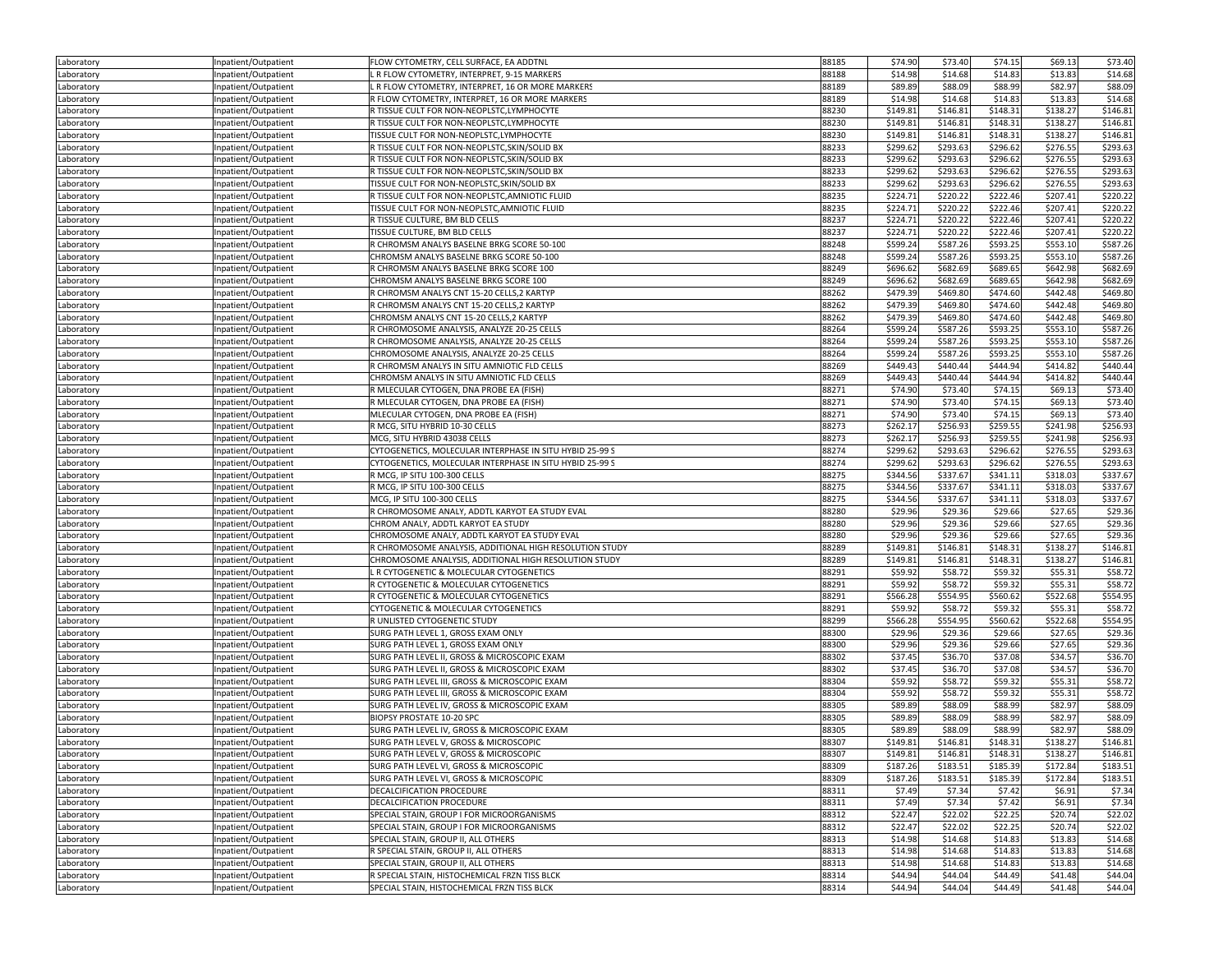| Laboratory               | Inpatient/Outpatient                         | FLOW CYTOMETRY, CELL SURFACE, EA ADDTNI                                              | 88185          | \$74.90            | \$73.40            | \$74.15            | \$69.13            | \$73.40              |
|--------------------------|----------------------------------------------|--------------------------------------------------------------------------------------|----------------|--------------------|--------------------|--------------------|--------------------|----------------------|
| Laboratory               | Inpatient/Outpatient                         | L R FLOW CYTOMETRY, INTERPRET, 9-15 MARKERS                                          | 88188          | \$14.98            | \$14.68            | \$14.83            | \$13.83            | \$14.68              |
| Laboratory               | Inpatient/Outpatient                         | R FLOW CYTOMETRY, INTERPRET, 16 OR MORE MARKERS                                      | 88189          | \$89.89            | \$88.09            | \$88.99            | \$82.97            | \$88.09              |
| Laboratory               | Inpatient/Outpatient                         | R FLOW CYTOMETRY, INTERPRET, 16 OR MORE MARKERS                                      | 88189          | \$14.98            | \$14.68            | \$14.83            | \$13.83            | \$14.68              |
| Laboratory               | Inpatient/Outpatient                         | R TISSUE CULT FOR NON-NEOPLSTC.LYMPHOCYTE                                            | 88230          | \$149.81           | \$146.81           | \$148.31           | \$138.27           | \$146.81             |
| Laboratory               | Inpatient/Outpatient                         | R TISSUE CULT FOR NON-NEOPLSTC, LYMPHOCYTE                                           | 88230          | \$149.81           | \$146.81           | \$148.31           | \$138.27           | \$146.81             |
| Laboratory               | Inpatient/Outpatient                         | TISSUE CULT FOR NON-NEOPLSTC, LYMPHOCYTE                                             | 88230          | \$149.81           | \$146.81           | \$148.31           | \$138.27           | \$146.81             |
| Laboratory               | Inpatient/Outpatient                         | R TISSUE CULT FOR NON-NEOPLSTC, SKIN/SOLID BX                                        | 88233          | \$299.62           | \$293.63           | \$296.62           | \$276.55           | \$293.63             |
| Laboratory               | Inpatient/Outpatient                         | R TISSUE CULT FOR NON-NEOPLSTC, SKIN/SOLID BX                                        | 88233          | \$299.62           | \$293.63           | \$296.62           | \$276.55           | \$293.63             |
| Laboratory               | Inpatient/Outpatient                         | R TISSUE CULT FOR NON-NEOPLSTC, SKIN/SOLID BX                                        | 88233          | \$299.62           | \$293.63           | \$296.62           | \$276.55           | \$293.63             |
| Laboratory               | Inpatient/Outpatient                         | TISSUE CULT FOR NON-NEOPLSTC, SKIN/SOLID BX                                          | 88233          | \$299.62           | \$293.63           | \$296.62           | \$276.55           | \$293.63             |
| Laboratory               | Inpatient/Outpatient                         | R TISSUE CULT FOR NON-NEOPLSTC, AMNIOTIC FLUID                                       | 88235          | \$224.71           | \$220.22           | \$222.46           | \$207.41           | \$220.22             |
| Laboratory               | Inpatient/Outpatient                         | TISSUE CULT FOR NON-NEOPLSTC, AMNIOTIC FLUID                                         | 88235          | \$224.71           | \$220.22           | \$222.46           | \$207.41           | \$220.22             |
| Laboratory               | Inpatient/Outpatient                         | R TISSUE CULTURE, BM BLD CELLS                                                       | 88237          | \$224.71           | \$220.22           | \$222.46           | \$207.41           | \$220.22             |
| Laboratory               | Inpatient/Outpatient                         | TISSUE CULTURE. BM BLD CELLS                                                         | 88237          | \$224.71           | \$220.22           | \$222.46           | \$207.41           | \$220.22             |
| Laboratory               | Inpatient/Outpatient                         | R CHROMSM ANALYS BASELNE BRKG SCORE 50-100                                           | 88248          | \$599.24           | \$587.26           | \$593.25           | \$553.10           | \$587.26             |
| Laboratory               | Inpatient/Outpatient                         | CHROMSM ANALYS BASELNE BRKG SCORE 50-100                                             | 88248          | \$599.24           | \$587.26           | \$593.25           | \$553.10           | \$587.26             |
| Laboratory               | Inpatient/Outpatient                         | R CHROMSM ANALYS BASELNE BRKG SCORE 100                                              | 88249          | \$696.62           | \$682.69           | \$689.65           | \$642.98           | \$682.69             |
| Laboratory               | Inpatient/Outpatient                         | CHROMSM ANALYS BASELNE BRKG SCORE 100                                                | 88249          | \$696.62           | \$682.69           | \$689.65           | \$642.98           | \$682.69             |
| Laboratory               | Inpatient/Outpatient                         | R CHROMSM ANALYS CNT 15-20 CELLS, 2 KARTYP                                           | 88262          | \$479.39           | \$469.80           | \$474.60           | \$442.48           | \$469.80             |
| Laboratory               | Inpatient/Outpatient                         | R CHROMSM ANALYS CNT 15-20 CELLS, 2 KARTYF                                           | 88262          | \$479.39           | \$469.80           | \$474.60           | \$442.48           | \$469.80             |
| Laboratory               | Inpatient/Outpatient                         | CHROMSM ANALYS CNT 15-20 CELLS,2 KARTYP                                              | 88262          | \$479.39           | \$469.80           | \$474.60           | \$442.48           | \$469.80             |
| Laboratory               | Inpatient/Outpatient                         | R CHROMOSOME ANALYSIS, ANALYZE 20-25 CELLS                                           | 88264          | \$599.24           | \$587.26           | \$593.25           | \$553.10           | \$587.26             |
| Laboratory               | Inpatient/Outpatient                         | R CHROMOSOME ANALYSIS, ANALYZE 20-25 CELLS                                           | 88264          | \$599.24           | \$587.26           | \$593.25           | \$553.10           | \$587.26             |
| Laboratory               | Inpatient/Outpatient                         | CHROMOSOME ANALYSIS, ANALYZE 20-25 CELLS                                             | 88264          | \$599.24           | \$587.26           | \$593.25           | \$553.10           | \$587.26             |
| Laboratory               | Inpatient/Outpatient                         | R CHROMSM ANALYS IN SITU AMNIOTIC FLD CELLS                                          | 88269          | \$449.43           | \$440.44           | \$444.94           | \$414.82           | \$440.44             |
| Laboratory               | Inpatient/Outpatient                         | CHROMSM ANALYS IN SITU AMNIOTIC FLD CELLS                                            | 88269          | \$449.43           | \$440.44           | \$444.94           | \$414.82           | \$440.44             |
| Laboratory               | Inpatient/Outpatient                         | R MLECULAR CYTOGEN, DNA PROBE EA (FISH)                                              | 88271          | \$74.90            | \$73.40            | \$74.15            | \$69.13            | \$73.40              |
| Laboratory               | Inpatient/Outpatient                         | R MLECULAR CYTOGEN, DNA PROBE EA (FISH)                                              | 88271          | \$74.90            | \$73.40            | \$74.15            | \$69.13            | \$73.40              |
| Laboratory               | Inpatient/Outpatient                         | MLECULAR CYTOGEN, DNA PROBE EA (FISH)                                                | 88271          | \$74.90            | \$73.40            | \$74.15            | \$69.13            | \$73.40              |
| Laboratory               | Inpatient/Outpatient                         | R MCG, SITU HYBRID 10-30 CELLS                                                       | 88273          | \$262.17           | \$256.93           | \$259.55           | \$241.98           | \$256.93             |
| Laboratory               | Inpatient/Outpatient                         | MCG, SITU HYBRID 43038 CELLS                                                         | 88273          | \$262.17           | \$256.93           | \$259.55           | \$241.98           | \$256.93             |
| Laboratory               | Inpatient/Outpatient                         | CYTOGENETICS, MOLECULAR INTERPHASE IN SITU HYBID 25-99 S                             | 88274          | \$299.62           | \$293.63           | \$296.62           | \$276.55           | \$293.63             |
| Laboratory               | Inpatient/Outpatient                         | CYTOGENETICS, MOLECULAR INTERPHASE IN SITU HYBID 25-99 S                             | 88274          | \$299.62           | \$293.63           | \$296.62           | \$276.55           | \$293.63             |
| Laboratory               | Inpatient/Outpatient                         | R MCG, IP SITU 100-300 CELLS                                                         | 88275          | \$344.56           | \$337.67           | \$341.11           | \$318.03           | \$337.67             |
| Laboratory               | Inpatient/Outpatient                         | R MCG, IP SITU 100-300 CELLS                                                         | 88275          | \$344.56           | \$337.67           | \$341.11           | \$318.03           | \$337.67<br>\$337.67 |
| Laboratory               | Inpatient/Outpatient                         | MCG, IP SITU 100-300 CELLS                                                           | 88275          | \$344.56           | \$337.67           | \$341.11           | \$318.03           |                      |
| Laboratory               | Inpatient/Outpatient                         | R CHROMOSOME ANALY, ADDTL KARYOT EA STUDY EVAL<br>CHROM ANALY, ADDTL KARYOT EA STUDY | 88280<br>88280 | \$29.96<br>\$29.96 | \$29.36<br>\$29.36 | \$29.66<br>\$29.66 | \$27.65<br>\$27.65 | \$29.36<br>\$29.36   |
| Laboratory               | Inpatient/Outpatient                         | CHROMOSOME ANALY, ADDTL KARYOT EA STUDY EVAL                                         | 88280          | \$29.96            | \$29.36            | \$29.66            | \$27.65            | \$29.36              |
| Laboratory<br>Laboratory | Inpatient/Outpatient<br>Inpatient/Outpatient | R CHROMOSOME ANALYSIS, ADDITIONAL HIGH RESOLUTION STUDY                              | 88289          | \$149.81           | \$146.81           | \$148.31           | \$138.27           | \$146.81             |
| Laboratory               | Inpatient/Outpatient                         | CHROMOSOME ANALYSIS, ADDITIONAL HIGH RESOLUTION STUDY                                | 88289          | \$149.81           | \$146.81           | \$148.31           | \$138.27           | \$146.81             |
| Laboratory               | Inpatient/Outpatient                         | L R CYTOGENETIC & MOLECULAR CYTOGENETICS                                             | 88291          | \$59.92            | \$58.72            | \$59.32            | \$55.31            | \$58.72              |
| Laboratory               | Inpatient/Outpatient                         | R CYTOGENETIC & MOLECULAR CYTOGENETICS                                               | 88291          | \$59.92            | \$58.72            | \$59.32            | \$55.31            | \$58.72              |
| Laboratory               | Inpatient/Outpatient                         | R CYTOGENETIC & MOLECULAR CYTOGENETICS                                               | 88291          | \$566.28           | \$554.95           | \$560.62           | \$522.68           | \$554.95             |
| Laboratory               | Inpatient/Outpatient                         | CYTOGENETIC & MOLECULAR CYTOGENETICS                                                 | 88291          | \$59.92            | \$58.72            | \$59.32            | \$55.31            | \$58.72              |
| Laboratory               | Inpatient/Outpatient                         | R UNLISTED CYTOGENETIC STUDY                                                         | 88299          | \$566.28           | \$554.95           | \$560.62           | \$522.68           | \$554.95             |
| Laboratory               | Inpatient/Outpatient                         | SURG PATH LEVEL 1, GROSS EXAM ONLY                                                   | 88300          | \$29.96            | \$29.36            | \$29.66            | \$27.65            | \$29.36              |
| Laboratory               | Inpatient/Outpatient                         | SURG PATH LEVEL 1, GROSS EXAM ONLY                                                   | 88300          | \$29.96            | \$29.36            | \$29.66            | \$27.65            | \$29.36              |
| Laboratory               | Inpatient/Outpatient                         | SURG PATH LEVEL II, GROSS & MICROSCOPIC EXAM                                         | 88302          | \$37.45            | \$36.70            | \$37.08            | \$34.57            | \$36.70              |
| Laboratory               | Inpatient/Outpatient                         | SURG PATH LEVEL II, GROSS & MICROSCOPIC EXAM                                         | 88302          | \$37.45            | \$36.70            | \$37.08            | \$34.57            | \$36.70              |
| Laboratory               | Inpatient/Outpatient                         | SURG PATH LEVEL III, GROSS & MICROSCOPIC EXAM                                        | 88304          | \$59.92            | \$58.72            | \$59.32            | \$55.31            | \$58.72              |
| Laboratory               | Inpatient/Outpatient                         | SURG PATH LEVEL III, GROSS & MICROSCOPIC EXAM                                        | 88304          | \$59.92            | \$58.72            | \$59.32            | \$55.31            | \$58.72              |
| Laboratory               | Inpatient/Outpatient                         | SURG PATH LEVEL IV, GROSS & MICROSCOPIC EXAM                                         | 88305          | \$89.89            | \$88.09            | \$88.99            | \$82.97            | \$88.09              |
| Laboratory               | Inpatient/Outpatient                         | BIOPSY PROSTATE 10-20 SPC                                                            | 88305          | \$89.89            | \$88.09            | \$88.99            | \$82.97            | \$88.09              |
| Laboratory               | Inpatient/Outpatient                         | SURG PATH LEVEL IV, GROSS & MICROSCOPIC EXAM                                         | 88305          | \$89.89            | \$88.09            | \$88.99            | \$82.97            | \$88.09              |
| Laboratory               | Inpatient/Outpatient                         | SURG PATH LEVEL V, GROSS & MICROSCOPIC                                               | 88307          | \$149.81           | \$146.81           | \$148.31           | \$138.27           | \$146.81             |
| Laboratory               | Inpatient/Outpatient                         | SURG PATH LEVEL V, GROSS & MICROSCOPIC                                               | 88307          | \$149.81           | \$146.81           | \$148.31           | \$138.27           | \$146.81             |
| Laboratory               | Inpatient/Outpatient                         | SURG PATH LEVEL VI, GROSS & MICROSCOPIC                                              | 88309          | \$187.26           | \$183.51           | \$185.39           | \$172.84           | \$183.51             |
| Laboratory               | Inpatient/Outpatient                         | SURG PATH LEVEL VI, GROSS & MICROSCOPIC                                              | 88309          | \$187.26           | \$183.51           | \$185.39           | \$172.84           | \$183.51             |
| Laboratory               | Inpatient/Outpatient                         | DECALCIFICATION PROCEDURE                                                            | 88311          | \$7.49             | \$7.34             | \$7.42             | \$6.91             | \$7.34               |
| Laboratory               | Inpatient/Outpatient                         | DECALCIFICATION PROCEDURE                                                            | 88311          | \$7.49             | \$7.34             | \$7.42             | \$6.91             | \$7.34               |
| Laboratory               | Inpatient/Outpatient<br>Inpatient/Outpatient | SPECIAL STAIN, GROUP I FOR MICROORGANISMS                                            | 88312<br>88312 | \$22.47<br>\$22.47 | \$22.02<br>\$22.02 | \$22.25            | \$20.74            | \$22.02              |
| Laboratory               | Inpatient/Outpatient                         | SPECIAL STAIN, GROUP I FOR MICROORGANISMS<br>SPECIAL STAIN, GROUP II, ALL OTHERS     | 88313          | \$14.98            | \$14.68            | \$22.25<br>\$14.83 | \$20.74<br>\$13.83 | \$22.02<br>\$14.68   |
| Laboratory<br>Laboratory | Inpatient/Outpatient                         | R SPECIAL STAIN, GROUP II, ALL OTHERS                                                | 88313          | \$14.98            | \$14.68            | \$14.83            | \$13.83            | \$14.68              |
| Laboratory               | Inpatient/Outpatient                         | SPECIAL STAIN, GROUP II, ALL OTHERS                                                  | 88313          | \$14.98            | \$14.68            | \$14.83            | \$13.83            | \$14.68              |
| Laboratory               | Inpatient/Outpatient                         | R SPECIAL STAIN, HISTOCHEMICAL FRZN TISS BLCK                                        | 88314          | \$44.94            | \$44.04            | \$44.49            | \$41.48            | \$44.04              |
| Laboratory               | Inpatient/Outpatient                         | SPECIAL STAIN, HISTOCHEMICAL FRZN TISS BLCK                                          | 88314          | \$44.94            | \$44.04            | \$44.49            | \$41.48            | \$44.04              |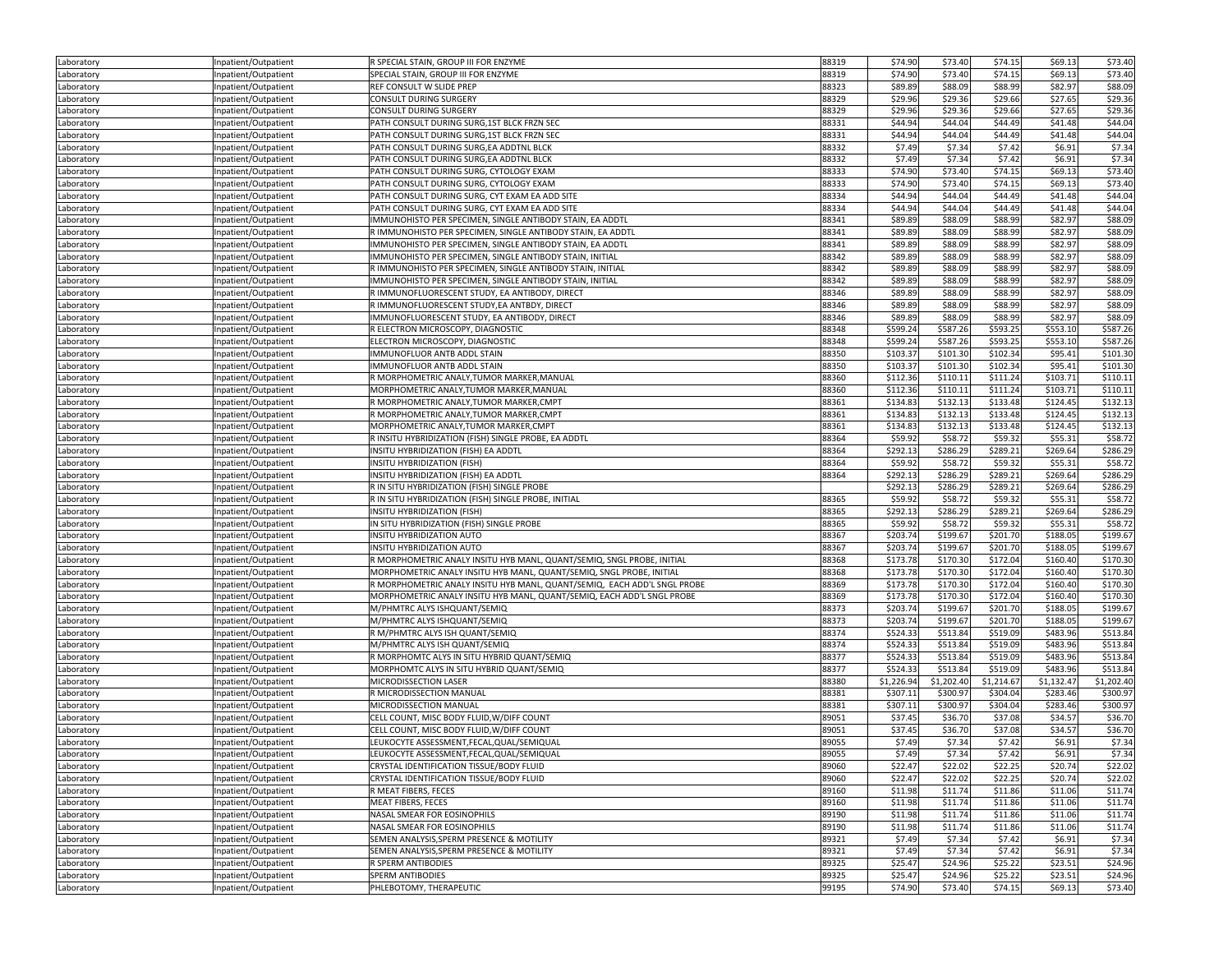| Laboratory | Inpatient/Outpatient | R SPECIAL STAIN, GROUP III FOR ENZYME                                    | 88319 | \$74.90    | \$73.40    | \$74.15    | \$69.13    | \$73.40              |
|------------|----------------------|--------------------------------------------------------------------------|-------|------------|------------|------------|------------|----------------------|
| Laboratory | Inpatient/Outpatient | SPECIAL STAIN, GROUP III FOR ENZYME                                      | 88319 | \$74.90    | \$73.40    | \$74.15    | \$69.13    | \$73.40              |
| Laboratory | Inpatient/Outpatient | REF CONSULT W SLIDE PREP                                                 | 88323 | \$89.89    | \$88.09    | \$88.99    | \$82.97    | \$88.09              |
| Laboratory | Inpatient/Outpatient | CONSULT DURING SURGERY                                                   | 88329 | \$29.96    | \$29.36    | \$29.66    | \$27.65    | \$29.36              |
| Laboratory | Inpatient/Outpatient | CONSULT DURING SURGERY                                                   | 88329 | \$29.96    | \$29.36    | \$29.66    | \$27.65    | \$29.36              |
| Laboratory | Inpatient/Outpatient | PATH CONSULT DURING SURG, 1ST BLCK FRZN SEC                              | 88331 | \$44.94    | \$44.04    | \$44.49    | \$41.48    | \$44.04              |
| Laboratory | Inpatient/Outpatient | PATH CONSULT DURING SURG, 1ST BLCK FRZN SEC                              | 88331 | \$44.94    | \$44.04    | \$44.49    | \$41.48    | \$44.04              |
| Laboratory | Inpatient/Outpatient | PATH CONSULT DURING SURG, EA ADDTNL BLCK                                 | 88332 | \$7.49     | \$7.34     | \$7.42     | \$6.91     | \$7.34               |
| Laboratory | Inpatient/Outpatient | PATH CONSULT DURING SURG, EA ADDTNL BLCK                                 | 88332 | \$7.49     | \$7.34     | \$7.42     | \$6.91     | \$7.34               |
| Laboratory | Inpatient/Outpatient | PATH CONSULT DURING SURG, CYTOLOGY EXAM                                  | 88333 | \$74.90    | \$73.40    | \$74.15    | \$69.13    | \$73.40              |
| Laboratory | Inpatient/Outpatient | PATH CONSULT DURING SURG, CYTOLOGY EXAM                                  | 88333 | \$74.90    | \$73.40    | \$74.15    | \$69.13    | \$73.40              |
| Laboratory | Inpatient/Outpatient | PATH CONSULT DURING SURG, CYT EXAM EA ADD SITE                           | 88334 | \$44.94    | \$44.04    | \$44.49    | \$41.48    | \$44.04              |
| Laboratory | Inpatient/Outpatient | PATH CONSULT DURING SURG, CYT EXAM EA ADD SITE                           | 88334 | \$44.94    | \$44.04    | \$44.49    | \$41.48    | \$44.04              |
| Laboratory | Inpatient/Outpatient | IMMUNOHISTO PER SPECIMEN, SINGLE ANTIBODY STAIN, EA ADDTL                | 88341 | \$89.89    | \$88.09    | \$88.99    | \$82.97    | \$88.09              |
| Laboratory | Inpatient/Outpatient | R IMMUNOHISTO PER SPECIMEN, SINGLE ANTIBODY STAIN, EA ADDTL              | 88341 | \$89.89    | \$88.09    | \$88.99    | \$82.97    | \$88.09              |
| Laboratory | Inpatient/Outpatient | IMMUNOHISTO PER SPECIMEN, SINGLE ANTIBODY STAIN, EA ADDTL                | 88341 | \$89.89    | \$88.09    | \$88.99    | \$82.97    | \$88.09              |
| Laboratory | Inpatient/Outpatient | IMMUNOHISTO PER SPECIMEN, SINGLE ANTIBODY STAIN, INITIAL                 | 88342 | \$89.89    | \$88.09    | \$88.99    | \$82.97    | \$88.09              |
| Laboratory | Inpatient/Outpatient | R IMMUNOHISTO PER SPECIMEN, SINGLE ANTIBODY STAIN, INITIAL               | 88342 | \$89.89    | \$88.09    | \$88.99    | \$82.97    | \$88.09              |
| Laboratory | Inpatient/Outpatient | IMMUNOHISTO PER SPECIMEN, SINGLE ANTIBODY STAIN, INITIAL                 | 88342 | \$89.89    | \$88.09    | \$88.99    | \$82.97    | \$88.09              |
| Laboratory | Inpatient/Outpatient | R IMMUNOFLUORESCENT STUDY, EA ANTIBODY, DIRECT                           | 88346 | \$89.89    | \$88.09    | \$88.99    | \$82.97    | \$88.09              |
| Laboratory | Inpatient/Outpatient | R IMMUNOFLUORESCENT STUDY, EA ANTBDY, DIRECT                             | 88346 | \$89.89    | \$88.09    | \$88.99    | \$82.97    | \$88.09              |
| Laboratory | Inpatient/Outpatient | IMMUNOFLUORESCENT STUDY, EA ANTIBODY, DIRECT                             | 88346 | \$89.89    | \$88.09    | \$88.99    | \$82.97    | \$88.09              |
| Laboratory | Inpatient/Outpatient | R ELECTRON MICROSCOPY, DIAGNOSTIC                                        | 88348 | \$599.24   | \$587.26   | \$593.25   | \$553.10   | \$587.26             |
| Laboratory | Inpatient/Outpatient | ELECTRON MICROSCOPY, DIAGNOSTIC                                          | 88348 | \$599.24   | \$587.26   | \$593.25   | \$553.10   | \$587.26             |
| Laboratory | Inpatient/Outpatient | IMMUNOFLUOR ANTB ADDL STAIN                                              | 88350 | \$103.37   | \$101.30   | \$102.34   | \$95.41    | \$101.30             |
| Laboratory | Inpatient/Outpatient | IMMUNOFLUOR ANTB ADDL STAIN                                              | 88350 | \$103.37   | \$101.30   | \$102.34   | \$95.41    | \$101.30             |
| Laboratory | Inpatient/Outpatient | R MORPHOMETRIC ANALY, TUMOR MARKER, MANUAL                               | 88360 | \$112.36   | \$110.11   | \$111.24   | \$103.71   | \$110.11             |
| Laboratory | Inpatient/Outpatient | MORPHOMETRIC ANALY, TUMOR MARKER, MANUAL                                 | 88360 | \$112.36   | \$110.11   | \$111.24   | \$103.71   | \$110.11             |
| Laboratory | Inpatient/Outpatient | R MORPHOMETRIC ANALY, TUMOR MARKER, CMPT                                 | 88361 | \$134.83   | \$132.13   | \$133.48   | \$124.45   | \$132.13             |
|            | Inpatient/Outpatient | R MORPHOMETRIC ANALY, TUMOR MARKER, CMPT                                 | 88361 | \$134.83   | \$132.13   | \$133.48   | \$124.45   |                      |
| Laboratory |                      | MORPHOMETRIC ANALY, TUMOR MARKER, CMPT                                   | 88361 | \$134.83   | \$132.13   | \$133.48   | \$124.45   | \$132.13<br>\$132.13 |
| Laboratory | Inpatient/Outpatient | R INSITU HYBRIDIZATION (FISH) SINGLE PROBE, EA ADDTL                     | 88364 | \$59.92    | \$58.72    | \$59.32    | \$55.31    | \$58.72              |
| Laboratory | Inpatient/Outpatient |                                                                          | 88364 | \$292.13   | \$286.29   | \$289.21   | \$269.64   | \$286.29             |
| Laboratory | Inpatient/Outpatient | INSITU HYBRIDIZATION (FISH) EA ADDTL                                     |       |            |            |            |            |                      |
| Laboratory | Inpatient/Outpatient | <b>INSITU HYBRIDIZATION (FISH)</b>                                       | 88364 | \$59.92    | \$58.72    | \$59.32    | \$55.31    | \$58.72              |
| Laboratory | Inpatient/Outpatient | INSITU HYBRIDIZATION (FISH) EA ADDTL                                     | 88364 | \$292.13   | \$286.29   | \$289.21   | \$269.64   | \$286.29             |
| Laboratory | Inpatient/Outpatient | R IN SITU HYBRIDIZATION (FISH) SINGLE PROBE                              |       | \$292.13   | \$286.29   | \$289.21   | \$269.64   | \$286.29             |
| Laboratory | Inpatient/Outpatient | R IN SITU HYBRIDIZATION (FISH) SINGLE PROBE, INITIAL                     | 88365 | \$59.92    | \$58.72    | \$59.32    | \$55.31    | \$58.72              |
| Laboratory | Inpatient/Outpatient | INSITU HYBRIDIZATION (FISH)                                              | 88365 | \$292.13   | \$286.29   | \$289.21   | \$269.64   | \$286.29             |
| Laboratory | Inpatient/Outpatient | IN SITU HYBRIDIZATION (FISH) SINGLE PROBE                                | 88365 | \$59.92    | \$58.72    | \$59.32    | \$55.31    | \$58.72              |
| Laboratory | Inpatient/Outpatient | INSITU HYBRIDIZATION AUTO                                                | 88367 | \$203.74   | \$199.67   | \$201.70   | \$188.05   | \$199.67             |
| Laboratory | Inpatient/Outpatient | INSITU HYBRIDIZATION AUTO                                                | 88367 | \$203.74   | \$199.67   | \$201.70   | \$188.05   | \$199.67             |
| Laboratory | Inpatient/Outpatient | R MORPHOMETRIC ANALY INSITU HYB MANL, QUANT/SEMIQ, SNGL PROBE, INITIAL   | 88368 | \$173.78   | \$170.30   | \$172.04   | \$160.40   | \$170.30             |
| Laboratory | Inpatient/Outpatient | MORPHOMETRIC ANALY INSITU HYB MANL, QUANT/SEMIQ, SNGL PROBE, INITIAL     | 88368 | \$173.78   | \$170.30   | \$172.04   | \$160.40   | \$170.30             |
| Laboratory | Inpatient/Outpatient | R MORPHOMETRIC ANALY INSITU HYB MANL, QUANT/SEMIQ, EACH ADD'L SNGL PROBE | 88369 | \$173.78   | \$170.30   | \$172.04   | \$160.40   | \$170.30             |
| Laboratory | Inpatient/Outpatient | MORPHOMETRIC ANALY INSITU HYB MANL, QUANT/SEMIQ, EACH ADD'L SNGL PROBE   | 88369 | \$173.78   | \$170.30   | \$172.04   | \$160.40   | \$170.30             |
| Laboratory | Inpatient/Outpatient | M/PHMTRC ALYS ISHQUANT/SEMIQ                                             | 88373 | \$203.74   | \$199.67   | \$201.70   | \$188.05   | \$199.67             |
| Laboratory | Inpatient/Outpatient | M/PHMTRC ALYS ISHQUANT/SEMIQ                                             | 88373 | \$203.74   | \$199.67   | \$201.70   | \$188.05   | \$199.67             |
| Laboratory | Inpatient/Outpatient | R M/PHMTRC ALYS ISH QUANT/SEMIQ                                          | 88374 | \$524.33   | \$513.84   | \$519.09   | \$483.96   | \$513.84             |
| Laboratory | Inpatient/Outpatient | M/PHMTRC ALYS ISH QUANT/SEMIQ                                            | 88374 | \$524.33   | \$513.84   | \$519.09   | \$483.96   | \$513.84             |
| Laboratory | Inpatient/Outpatient | R MORPHOMTC ALYS IN SITU HYBRID QUANT/SEMIQ                              | 88377 | \$524.33   | \$513.84   | \$519.09   | \$483.96   | \$513.84             |
| Laboratory | Inpatient/Outpatient | MORPHOMTC ALYS IN SITU HYBRID QUANT/SEMIQ                                | 88377 | \$524.33   | \$513.84   | \$519.09   | \$483.96   | \$513.84             |
| Laboratory | Inpatient/Outpatient | MICRODISSECTION LASER                                                    | 88380 | \$1,226.94 | \$1,202.40 | \$1,214.67 | \$1,132.47 | \$1,202.40           |
| Laboratory | Inpatient/Outpatient | R MICRODISSECTION MANUAL                                                 | 88381 | \$307.11   | \$300.97   | \$304.04   | \$283.46   | \$300.97             |
| Laboratory | Inpatient/Outpatient | MICRODISSECTION MANUAL                                                   | 88381 | \$307.11   | \$300.97   | \$304.04   | \$283.46   | \$300.97             |
| Laboratory | Inpatient/Outpatient | CELL COUNT, MISC BODY FLUID, W/DIFF COUNT                                | 89051 | \$37.45    | \$36.70    | \$37.08    | \$34.57    | \$36.70              |
| Laboratory | Inpatient/Outpatient | CELL COUNT, MISC BODY FLUID, W/DIFF COUNT                                | 89051 | \$37.45    | \$36.70    | \$37.08    | \$34.57    | \$36.70              |
| Laboratory | Inpatient/Outpatient | LEUKOCYTE ASSESSMENT, FECAL, QUAL/SEMIQUAL                               | 89055 | \$7.49     | \$7.34     | \$7.42     | \$6.91     | \$7.34               |
| Laboratory | npatient/Outpatient  | LEUKOCYTE ASSESSMENT, FECAL, QUAL/SEMIQUAL                               | 89055 | \$7.49     | \$7.34     | \$7.42     | \$6.91     | \$7.34               |
| Laboratory | Inpatient/Outpatient | CRYSTAL IDENTIFICATION TISSUE/BODY FLUID                                 | 89060 | \$22.47    | \$22.02    | \$22.25    | \$20.74    | \$22.02              |
| Laboratory | Inpatient/Outpatient | CRYSTAL IDENTIFICATION TISSUE/BODY FLUID                                 | 89060 | \$22.47    | \$22.02    | \$22.25    | \$20.74    | \$22.02              |
| Laboratory | Inpatient/Outpatient | R MEAT FIBERS, FECES                                                     | 89160 | \$11.98    | \$11.74    | \$11.86    | \$11.06    | \$11.74              |
| Laboratory | Inpatient/Outpatient | MEAT FIBERS, FECES                                                       | 89160 | \$11.98    | \$11.74    | \$11.86    | \$11.06    | \$11.74              |
| Laboratory | Inpatient/Outpatient | NASAL SMEAR FOR EOSINOPHILS                                              | 89190 | \$11.98    | \$11.74    | \$11.86    | \$11.06    | \$11.74              |
| Laboratory | Inpatient/Outpatient | NASAL SMEAR FOR EOSINOPHILS                                              | 89190 | \$11.98    | \$11.74    | \$11.86    | \$11.06    | \$11.74              |
| Laboratory | Inpatient/Outpatient | SEMEN ANALYSIS, SPERM PRESENCE & MOTILITY                                | 89321 | \$7.49     | \$7.34     | \$7.42     | \$6.91     | \$7.34               |
| Laboratory | Inpatient/Outpatient | SEMEN ANALYSIS, SPERM PRESENCE & MOTILITY                                | 89321 | \$7.49     | \$7.34     | \$7.42     | \$6.91     | \$7.34               |
| Laboratory | Inpatient/Outpatient | R SPERM ANTIBODIES                                                       | 89325 | \$25.47    | \$24.96    | \$25.22    | \$23.51    | \$24.96              |
| Laboratory | Inpatient/Outpatient | SPERM ANTIBODIES                                                         | 89325 | \$25.47    | \$24.96    | \$25.22    | \$23.51    | \$24.96              |
| Laboratory | Inpatient/Outpatient | PHLEBOTOMY, THERAPEUTIC                                                  | 99195 | \$74.90    | \$73.40    | \$74.15    | \$69.13    | \$73.40              |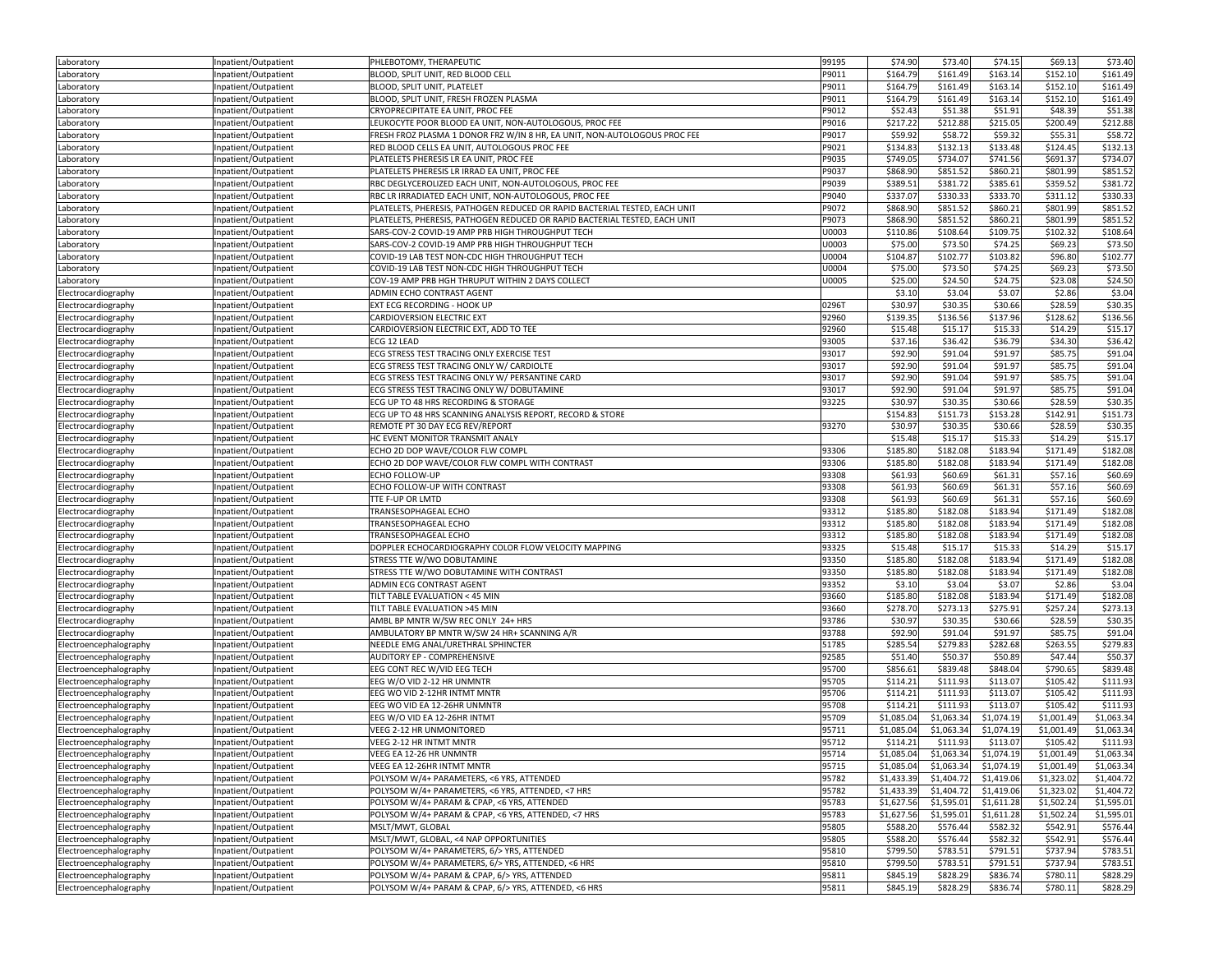| Laboratory                                 | Inpatient/Outpatient                         | PHLEBOTOMY, THERAPEUTIC                                                                              | 99195          | \$74.90              | \$73.40              | \$74.15              | \$69.13              | \$73.40              |
|--------------------------------------------|----------------------------------------------|------------------------------------------------------------------------------------------------------|----------------|----------------------|----------------------|----------------------|----------------------|----------------------|
| Laboratory                                 | Inpatient/Outpatient                         | BLOOD, SPLIT UNIT, RED BLOOD CELL                                                                    | P9011          | \$164.79             | \$161.49             | \$163.14             | \$152.10             | \$161.49             |
| Laboratory                                 | npatient/Outpatient                          | BLOOD, SPLIT UNIT, PLATELET                                                                          | P9011          | \$164.79             | \$161.49             | \$163.14             | \$152.10             | \$161.49             |
| Laboratory                                 | Inpatient/Outpatient                         | BLOOD, SPLIT UNIT, FRESH FROZEN PLASMA                                                               | P9011          | \$164.79             | \$161.49             | \$163.14             | \$152.10             | \$161.49             |
| Laboratory                                 | Inpatient/Outpatient                         | CRYOPRECIPITATE EA UNIT, PROC FEE                                                                    | P9012          | \$52.43              | \$51.38              | \$51.91              | \$48.39              | \$51.38              |
| Laboratory                                 | Inpatient/Outpatient                         | LEUKOCYTE POOR BLOOD EA UNIT, NON-AUTOLOGOUS, PROC FEE                                               | P9016          | \$217.22             | \$212.88             | \$215.05             | \$200.49             | \$212.88             |
| Laboratory                                 | Inpatient/Outpatient                         | FRESH FROZ PLASMA 1 DONOR FRZ W/IN 8 HR, EA UNIT, NON-AUTOLOGOUS PROC FEE                            | P9017          | \$59.92              | \$58.72              | \$59.32              | \$55.31              | \$58.72              |
| Laboratory                                 | npatient/Outpatient                          | RED BLOOD CELLS EA UNIT, AUTOLOGOUS PROC FEE                                                         | P9021          | \$134.83             | \$132.13             | \$133.48             | \$124.45             | \$132.13             |
| Laboratory                                 | Inpatient/Outpatient                         | PLATELETS PHERESIS LR EA UNIT, PROC FEE                                                              | P9035          | \$749.05             | \$734.07             | \$741.56             | \$691.37             | \$734.07             |
| Laboratory                                 | Inpatient/Outpatient                         | PLATELETS PHERESIS LR IRRAD EA UNIT, PROC FEE                                                        | P9037          | \$868.90             | \$851.52             | \$860.21             | \$801.99             | \$851.52             |
| Laboratory                                 | Inpatient/Outpatient                         | RBC DEGLYCEROLIZED EACH UNIT, NON-AUTOLOGOUS, PROC FEE                                               | P9039          | \$389.51             | \$381.72             | \$385.61             | \$359.52             | \$381.7              |
| Laboratory                                 | Inpatient/Outpatient                         | RBC LR IRRADIATED EACH UNIT, NON-AUTOLOGOUS, PROC FEE                                                | P9040          | \$337.07             | \$330.33             | \$333.70             | \$311.12             | \$330.33             |
| Laboratory                                 | Inpatient/Outpatient                         | PLATELETS, PHERESIS, PATHOGEN REDUCED OR RAPID BACTERIAL TESTED, EACH UNIT                           | P9072          | \$868.90             | \$851.52             | \$860.21             | \$801.99             | \$851.52             |
| Laboratory                                 | Inpatient/Outpatient                         | PLATELETS, PHERESIS, PATHOGEN REDUCED OR RAPID BACTERIAL TESTED, EACH UNIT                           | P9073          | \$868.90             | \$851.52             | \$860.21             | \$801.99             | \$851.52             |
| Laboratory                                 | Inpatient/Outpatient                         | SARS-COV-2 COVID-19 AMP PRB HIGH THROUGHPUT TECH                                                     | U0003          | \$110.86             | \$108.64             | \$109.75             | \$102.32             | \$108.64             |
| Laboratory                                 | Inpatient/Outpatient                         | SARS-COV-2 COVID-19 AMP PRB HIGH THROUGHPUT TECH                                                     | U0003          | \$75.00              | \$73.50              | \$74.25              | \$69.23              | \$73.50              |
| Laboratory                                 | Inpatient/Outpatient                         | COVID-19 LAB TEST NON-CDC HIGH THROUGHPUT TECH                                                       | U0004          | \$104.87             | \$102.77             | \$103.82             | \$96.80              | \$102.77             |
| aboratory.                                 | Inpatient/Outpatient                         | COVID-19 LAB TEST NON-CDC HIGH THROUGHPUT TECH                                                       | U0004          | \$75.00              | \$73.50              | \$74.25              | \$69.23              | \$73.50              |
| Laboratory                                 | Inpatient/Outpatient                         | COV-19 AMP PRB HGH THRUPUT WITHIN 2 DAYS COLLECT                                                     | U0005          | \$25.00              | \$24.50              | \$24.75              | \$23.08              | \$24.50              |
| Electrocardiography                        | Inpatient/Outpatient                         | ADMIN ECHO CONTRAST AGENT                                                                            |                | \$3.10               | \$3.04               | \$3.07               | \$2.86               | \$3.04               |
| Electrocardiography                        | Inpatient/Outpatient                         | <b>EXT ECG RECORDING - HOOK UP</b>                                                                   | 0296T          | \$30.97              | \$30.35              | \$30.66              | \$28.59              | \$30.35              |
| Electrocardiography                        | Inpatient/Outpatient                         | CARDIOVERSION ELECTRIC EXT                                                                           | 92960          | \$139.35             | \$136.56             | \$137.96             | \$128.62             | \$136.56             |
| Electrocardiography                        | Inpatient/Outpatient                         | CARDIOVERSION ELECTRIC EXT, ADD TO TEE                                                               | 92960          | \$15.48              | \$15.17              | \$15.33              | \$14.29              | \$15.17              |
| Electrocardiography                        | Inpatient/Outpatient                         | ECG 12 LEAD                                                                                          | 93005          | \$37.16              | \$36.42              | \$36.79              | \$34.30              | \$36.42              |
| Electrocardiography                        | npatient/Outpatient                          | ECG STRESS TEST TRACING ONLY EXERCISE TEST                                                           | 93017          | \$92.90              | \$91.04              | \$91.97              | \$85.75              | \$91.04              |
| Electrocardiography                        | Inpatient/Outpatient                         | ECG STRESS TEST TRACING ONLY W/ CARDIOLTE                                                            | 93017          | \$92.90              | \$91.04              | \$91.97              | \$85.75              | \$91.04              |
| Electrocardiography                        | Inpatient/Outpatient                         | ECG STRESS TEST TRACING ONLY W/ PERSANTINE CARD                                                      | 93017          | \$92.90              | \$91.04              | \$91.97              | \$85.75              | \$91.04              |
| Electrocardiography                        | npatient/Outpatient                          | ECG STRESS TEST TRACING ONLY W/ DOBUTAMINE                                                           | 93017          | \$92.90              | \$91.04              | \$91.97              | \$85.75              | \$91.04              |
| Electrocardiography                        | Inpatient/Outpatient                         | ECG UP TO 48 HRS RECORDING & STORAGE                                                                 | 93225          | \$30.97              | \$30.35              | \$30.66              | \$28.59              | \$30.35              |
| Electrocardiography                        | Inpatient/Outpatient                         | ECG UP TO 48 HRS SCANNING ANALYSIS REPORT, RECORD & STORE                                            |                | \$154.83             | \$151.73             | \$153.28             | \$142.91             | \$151.73             |
| Electrocardiography                        | Inpatient/Outpatient                         | REMOTE PT 30 DAY ECG REV/REPORT                                                                      | 93270          | \$30.97              | \$30.35              | \$30.66              | \$28.59              | \$30.35              |
| Electrocardiography                        | Inpatient/Outpatient                         | HC EVENT MONITOR TRANSMIT ANALY                                                                      |                | \$15.48              | \$15.17              | \$15.33              | \$14.29              | \$15.1               |
| Electrocardiography                        | Inpatient/Outpatient                         | ECHO 2D DOP WAVE/COLOR FLW COMPL                                                                     | 93306          | \$185.80             | \$182.08             | \$183.94             | \$171.49             | \$182.08             |
| Electrocardiography                        | Inpatient/Outpatient                         | ECHO 2D DOP WAVE/COLOR FLW COMPL WITH CONTRAST                                                       | 93306          | \$185.80             | \$182.08             | \$183.94             | \$171.49             | \$182.08             |
| Electrocardiography                        | Inpatient/Outpatient                         | <b>ECHO FOLLOW-UP</b>                                                                                | 93308          | \$61.93              | \$60.69              | \$61.31              | \$57.16              | \$60.69              |
| Electrocardiography                        | Inpatient/Outpatient                         | ECHO FOLLOW-UP WITH CONTRAST                                                                         | 93308          | \$61.93              | \$60.69              | \$61.31              | \$57.16              | \$60.69              |
| Electrocardiography                        | Inpatient/Outpatient                         | TTE F-UP OR LMTD                                                                                     | 93308          | \$61.93              | \$60.69              | \$61.31              | \$57.16              | \$60.69              |
| Electrocardiography                        | npatient/Outpatient                          | TRANSESOPHAGEAL ECHO                                                                                 | 93312          | \$185.80             | \$182.08             | \$183.94             | \$171.49             | \$182.08             |
|                                            |                                              |                                                                                                      |                |                      |                      |                      |                      |                      |
|                                            | Inpatient/Outpatient                         | TRANSESOPHAGEAL ECHO                                                                                 | 93312          | \$185.80             | \$182.08             | \$183.94             | \$171.49             | \$182.08             |
| Electrocardiography                        |                                              | TRANSESOPHAGEAL ECHO                                                                                 | 93312          | \$185.80             | \$182.08             | \$183.94             | \$171.49             | \$182.08             |
| Electrocardiography<br>Electrocardiography | Inpatient/Outpatient<br>Inpatient/Outpatient | DOPPLER ECHOCARDIOGRAPHY COLOR FLOW VELOCITY MAPPING                                                 | 93325          | \$15.48              | \$15.17              | \$15.33              | \$14.29              | \$15.17              |
| Electrocardiography                        | Inpatient/Outpatient                         | STRESS TTE W/WO DOBUTAMINE                                                                           | 93350          | \$185.80             | \$182.08             | \$183.94             | \$171.49             | \$182.08             |
| Electrocardiography                        | Inpatient/Outpatient                         | STRESS TTE W/WO DOBUTAMINE WITH CONTRAST                                                             | 93350          | \$185.80             | \$182.08             | \$183.94             | \$171.49             | \$182.08             |
|                                            | Inpatient/Outpatient                         | ADMIN ECG CONTRAST AGENT                                                                             | 93352          | \$3.10               | \$3.04               | \$3.07               | \$2.86               | \$3.04               |
| Electrocardiography<br>Electrocardiography | Inpatient/Outpatient                         | TILT TABLE EVALUATION < 45 MIN                                                                       | 93660          | \$185.80             | \$182.08             | \$183.94             | \$171.49             | \$182.08             |
| Electrocardiography                        | Inpatient/Outpatient                         | TILT TABLE EVALUATION >45 MIN                                                                        | 93660          | \$278.70             | \$273.13             | \$275.91             | \$257.24             | \$273.13             |
| Electrocardiography                        | Inpatient/Outpatient                         | AMBL BP MNTR W/SW REC ONLY 24+ HRS                                                                   | 93786          | \$30.97              | \$30.35              | \$30.66              | \$28.59              | \$30.35              |
| Electrocardiography                        | Inpatient/Outpatient                         | AMBULATORY BP MNTR W/SW 24 HR+ SCANNING A/R                                                          | 93788          | \$92.90              | \$91.04              | \$91.97              | \$85.75              | \$91.04              |
| Electroencephalography                     | Inpatient/Outpatient                         | NEEDLE EMG ANAL/URETHRAL SPHINCTER                                                                   | 51785          | \$285.54             | \$279.83             | \$282.68             | \$263.55             | \$279.83             |
| Electroencephalography                     | Inpatient/Outpatient                         | AUDITORY EP - COMPREHENSIVE                                                                          | 92585          | \$51.40              | \$50.37              | \$50.89              | \$47.44              | \$50.37              |
| Electroencephalography                     | Inpatient/Outpatient                         | EEG CONT REC W/VID EEG TECH                                                                          | 95700          | \$856.61             | \$839.48             | \$848.04             | \$790.65             | \$839.48             |
| Electroencephalography                     | Inpatient/Outpatient                         | EEG W/O VID 2-12 HR UNMNTR                                                                           | 95705          | \$114.21             | \$111.93             | \$113.07             | \$105.42             | \$111.93             |
| Electroencephalography                     | Inpatient/Outpatient                         | EEG WO VID 2-12HR INTMT MNTR                                                                         | 95706          | \$114.21             | \$111.93             | \$113.07             | \$105.42             | \$111.93             |
| Electroencephalography                     | Inpatient/Outpatient                         | EEG WO VID EA 12-26HR UNMNTR                                                                         | 95708          | \$114.21             | \$111.93             | \$113.07             | \$105.42             | \$111.93             |
| Electroencephalography                     | npatient/Outpatient                          | EEG W/O VID EA 12-26HR INTMT                                                                         | 95709          | \$1,085.04           | \$1,063.34           | \$1,074.19           | \$1,001.49           | \$1,063.3            |
| Electroencephalography                     | Inpatient/Outpatient                         | VEEG 2-12 HR UNMONITORED                                                                             | 95711          | \$1,085.04           | \$1,063.34           | \$1,074.19           | \$1,001.49           | \$1,063.34           |
| Electroencephalography                     | Inpatient/Outpatient                         | VEEG 2-12 HR INTMT MNTR                                                                              | 95712          | \$114.21             | \$111.93             | \$113.07             | \$105.42             | \$111.93             |
| Electroencephalography                     | npatient/Outpatient                          | VEEG EA 12-26 HR UNMNTR                                                                              | 95714          | \$1,085.04           | \$1,063.34           | \$1,074.19           | \$1,001.49           | \$1,063.34           |
| Electroencephalography                     | Inpatient/Outpatient                         | VEEG EA 12-26HR INTMT MNTR                                                                           | 95715          | \$1,085.04           | \$1,063.34           | \$1,074.19           | \$1,001.49           | \$1,063.34           |
| Electroencephalography                     | Inpatient/Outpatient                         | POLYSOM W/4+ PARAMETERS, <6 YRS, ATTENDED                                                            | 95782          | \$1,433.39           | \$1,404.72           | \$1,419.06           | \$1,323.02           | \$1,404.72           |
| Electroencephalography                     | Inpatient/Outpatient                         | POLYSOM W/4+ PARAMETERS, <6 YRS, ATTENDED, <7 HRS                                                    | 95782          | \$1,433.39           | \$1,404.72           | \$1,419.06           | \$1,323.02           | \$1,404.72           |
| Electroencephalography                     | Inpatient/Outpatient                         | POLYSOM W/4+ PARAM & CPAP, <6 YRS, ATTENDED                                                          | 95783          | \$1,627.56           | \$1,595.01           | \$1,611.28           | \$1,502.24           | \$1,595.01           |
| Electroencephalography                     | Inpatient/Outpatient                         | POLYSOM W/4+ PARAM & CPAP, <6 YRS, ATTENDED, <7 HRS                                                  | 95783          | \$1,627.56           | \$1,595.01           | \$1,611.28           | \$1,502.24           | \$1,595.01           |
| Electroencephalography                     | Inpatient/Outpatient                         | MSLT/MWT, GLOBAL                                                                                     | 95805          | \$588.20             | \$576.44             | \$582.32             | \$542.91             | \$576.44             |
| Electroencephalography                     | Inpatient/Outpatient                         | MSLT/MWT, GLOBAL, <4 NAP OPPORTUNITIES                                                               | 95805          | \$588.20             | \$576.44             | \$582.32             | \$542.91             | \$576.44             |
| Electroencephalography                     | Inpatient/Outpatient                         | POLYSOM W/4+ PARAMETERS, 6/> YRS, ATTENDED                                                           | 95810          | \$799.50             | \$783.51             | \$791.51             | \$737.94             | \$783.51             |
| Electroencephalography                     | Inpatient/Outpatient                         | POLYSOM W/4+ PARAMETERS, 6/> YRS, ATTENDED, <6 HRS                                                   | 95810          | \$799.50             | \$783.51             | \$791.51             | \$737.94             | \$783.51             |
| Electroencephalography                     | Inpatient/Outpatient<br>Inpatient/Outpatient | POLYSOM W/4+ PARAM & CPAP, 6/> YRS, ATTENDED<br>POLYSOM W/4+ PARAM & CPAP, 6/> YRS, ATTENDED, <6 HRS | 95811<br>95811 | \$845.19<br>\$845.19 | \$828.29<br>\$828.29 | \$836.74<br>\$836.74 | \$780.11<br>\$780.11 | \$828.29<br>\$828.29 |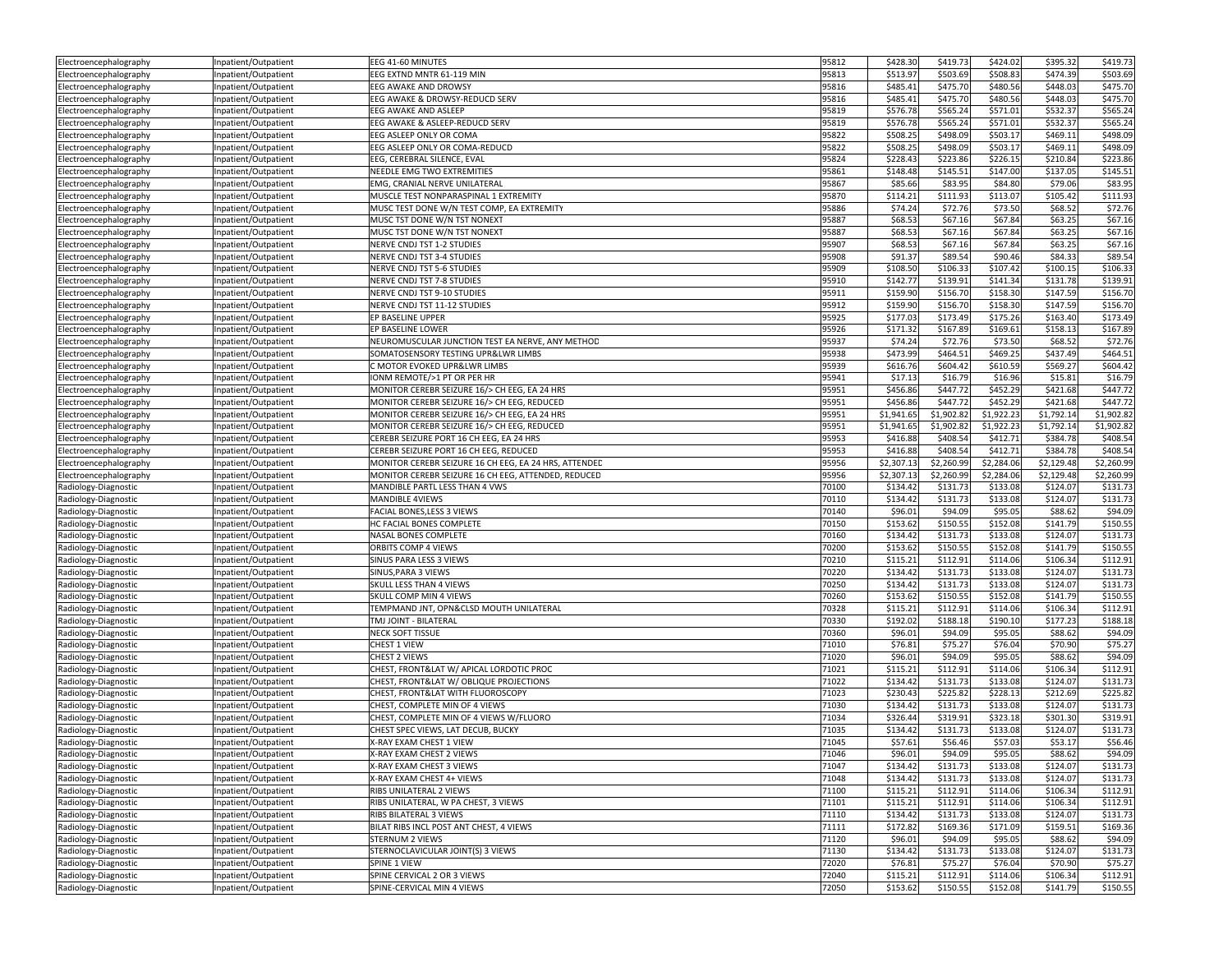| Electroencephalography                       | Inpatient/Outpatient                         | EEG 41-60 MINUTES                                          | 95812          | \$428.30             | \$419.73             | \$424.02             | \$395.32             | \$419.73             |
|----------------------------------------------|----------------------------------------------|------------------------------------------------------------|----------------|----------------------|----------------------|----------------------|----------------------|----------------------|
| Electroencephalography                       | Inpatient/Outpatient                         | EEG EXTND MNTR 61-119 MIN                                  | 95813          | \$513.97             | \$503.69             | \$508.83             | \$474.39             | \$503.69             |
| Electroencephalography                       | Inpatient/Outpatient                         | EEG AWAKE AND DROWSY                                       | 95816          | \$485.41             | \$475.70             | \$480.56             | \$448.03             | \$475.70             |
| Electroencephalography                       | Inpatient/Outpatient                         | EEG AWAKE & DROWSY-REDUCD SERV                             | 95816          | \$485.41             | \$475.70             | \$480.56             | \$448.03             | \$475.70             |
| Electroencephalography                       | Inpatient/Outpatient                         | EEG AWAKE AND ASLEEP                                       | 95819          | \$576.78             | \$565.24             | \$571.01             | \$532.37             | \$565.24             |
| Electroencephalography                       | Inpatient/Outpatient                         | EEG AWAKE & ASLEEP-REDUCD SERV                             | 95819          | \$576.78             | \$565.24             | \$571.01             | \$532.37             | \$565.24             |
| Electroencephalography                       | Inpatient/Outpatient                         | EEG ASLEEP ONLY OR COMA                                    | 95822          | \$508.25             | \$498.09             | \$503.17             | \$469.11             | \$498.09             |
| Electroencephalography                       | Inpatient/Outpatient                         | EEG ASLEEP ONLY OR COMA-REDUCD                             | 95822          | \$508.25             | \$498.09             | \$503.17             | \$469.11             | \$498.09             |
| Electroencephalography                       | Inpatient/Outpatient                         | EEG, CEREBRAL SILENCE, EVAL                                | 95824          | \$228.43             | \$223.86             | \$226.15             | \$210.84             | \$223.86             |
| Electroencephalography                       | Inpatient/Outpatient                         | NEEDLE EMG TWO EXTREMITIES                                 | 95861          | \$148.48             | \$145.51             | \$147.00             | \$137.05             | \$145.51             |
| Electroencephalography                       | Inpatient/Outpatient                         | EMG, CRANIAL NERVE UNILATERAL                              | 95867          | \$85.66              | \$83.95              | \$84.80              | \$79.06              | \$83.95              |
| Electroencephalography                       | Inpatient/Outpatient                         | MUSCLE TEST NONPARASPINAL 1 EXTREMITY                      | 95870          | \$114.21             | \$111.93             | \$113.07             | \$105.42             | \$111.93             |
| Electroencephalography                       | Inpatient/Outpatient                         | MUSC TEST DONE W/N TEST COMP, EA EXTREMITY                 | 95886          | \$74.24              | \$72.76              | \$73.50              | \$68.52              | \$72.76              |
|                                              | Inpatient/Outpatient                         | MUSC TST DONE W/N TST NONEXT                               | 95887          | \$68.53              | \$67.16              | \$67.84              | \$63.25              | \$67.16              |
| Electroencephalography                       |                                              |                                                            |                | \$68.53              | \$67.16              |                      |                      | \$67.1               |
| Electroencephalography                       | Inpatient/Outpatient                         | MUSC TST DONE W/N TST NONEXT<br>NERVE CNDJ TST 1-2 STUDIES | 95887<br>95907 | \$68.53              | \$67.16              | \$67.84<br>\$67.84   | \$63.25<br>\$63.25   | \$67.16              |
| Electroencephalography                       | Inpatient/Outpatient                         |                                                            |                |                      |                      |                      |                      |                      |
| Electroencephalography                       | Inpatient/Outpatient                         | NERVE CNDJ TST 3-4 STUDIES                                 | 95908          | \$91.37              | \$89.54              | \$90.46              | \$84.33              | \$89.54              |
| Electroencephalography                       | Inpatient/Outpatient                         | NERVE CNDJ TST 5-6 STUDIES                                 | 95909          | \$108.50             | \$106.33             | \$107.42             | \$100.15             | \$106.33             |
| Electroencephalography                       | Inpatient/Outpatient                         | NERVE CNDJ TST 7-8 STUDIES                                 | 95910          | \$142.77             | \$139.91             | \$141.34             | \$131.78             | \$139.91             |
| Electroencephalography                       | Inpatient/Outpatient                         | NERVE CNDJ TST 9-10 STUDIES                                | 95911          | \$159.90             | \$156.70             | \$158.30             | \$147.59             | \$156.70             |
| Electroencephalography                       | Inpatient/Outpatient                         | NERVE CNDJ TST 11-12 STUDIES                               | 95912          | \$159.90             | \$156.70             | \$158.30             | \$147.59             | \$156.70             |
| Electroencephalography                       | Inpatient/Outpatient                         | EP BASELINE UPPER                                          | 95925          | \$177.03             | \$173.49             | \$175.26             | \$163.40             | \$173.49             |
| Electroencephalography                       | Inpatient/Outpatient                         | EP BASELINE LOWER                                          | 95926          | \$171.32             | \$167.89             | \$169.61             | \$158.13             | \$167.89             |
| Electroencephalography                       | Inpatient/Outpatient                         | NEUROMUSCULAR JUNCTION TEST EA NERVE, ANY METHOD           | 95937          | \$74.24              | \$72.76              | \$73.50              | \$68.52              | \$72.76              |
| Electroencephalography                       | Inpatient/Outpatient                         | SOMATOSENSORY TESTING UPR&LWR LIMBS                        | 95938          | \$473.99             | \$464.51             | \$469.25             | \$437.49             | \$464.51             |
| Electroencephalography                       | Inpatient/Outpatient                         | C MOTOR EVOKED UPR&LWR LIMBS                               | 95939          | \$616.76             | \$604.42             | \$610.59             | \$569.27             | \$604.42             |
| Electroencephalography                       | Inpatient/Outpatient                         | IONM REMOTE/>1 PT OR PER HR                                | 95941          | \$17.13              | \$16.79              | \$16.96              | \$15.81              | \$16.79              |
| Electroencephalography                       | Inpatient/Outpatient                         | MONITOR CEREBR SEIZURE 16/> CH EEG, EA 24 HRS              | 95951          | \$456.86             | \$447.72             | \$452.29             | \$421.68             | \$447.72             |
| Electroencephalography                       | Inpatient/Outpatient                         | MONITOR CEREBR SEIZURE 16/> CH EEG, REDUCED                | 95951          | \$456.86             | \$447.72             | \$452.29             | \$421.68             | \$447.72             |
| Electroencephalography                       | Inpatient/Outpatient                         | MONITOR CEREBR SEIZURE 16/> CH EEG, EA 24 HRS              | 95951          | \$1,941.65           | \$1,902.82           | \$1,922.23           | \$1,792.14           | \$1,902.82           |
| Electroencephalography                       | Inpatient/Outpatient                         | MONITOR CEREBR SEIZURE 16/> CH EEG, REDUCED                | 95951          | \$1,941.65           | \$1,902.82           | \$1,922.23           | \$1,792.14           | \$1,902.8            |
| Electroencephalography                       | Inpatient/Outpatient                         | CEREBR SEIZURE PORT 16 CH EEG, EA 24 HRS                   | 95953          | \$416.88             | \$408.54             | \$412.71             | \$384.78             | \$408.5              |
| Electroencephalography                       | Inpatient/Outpatient                         | CEREBR SEIZURE PORT 16 CH EEG, REDUCED                     | 95953          | \$416.88             | \$408.54             | \$412.71             | \$384.78             | \$408.5              |
| Electroencephalography                       | Inpatient/Outpatient                         | MONITOR CEREBR SEIZURE 16 CH EEG, EA 24 HRS, ATTENDED      | 95956          | \$2,307.13           | \$2,260.99           | \$2,284.06           | \$2,129.48           | \$2,260.99           |
| Electroencephalography                       | Inpatient/Outpatient                         | MONITOR CEREBR SEIZURE 16 CH EEG, ATTENDED, REDUCED        | 95956          | \$2,307.13           | \$2,260.99           | \$2,284.06           | \$2,129.48           | \$2,260.99           |
|                                              |                                              |                                                            |                |                      |                      |                      |                      |                      |
| Radiology-Diagnostic                         | Inpatient/Outpatient                         | MANDIBLE PARTL LESS THAN 4 VWS                             | 70100          | \$134.42             | \$131.73             | \$133.08             | \$124.07             | \$131.73             |
|                                              |                                              | MANDIBLE 4VIEWS                                            | 70110          | \$134.42             | \$131.73             | \$133.08             | \$124.07             | \$131.73             |
| Radiology-Diagnostic                         | Inpatient/Outpatient                         | FACIAL BONES, LESS 3 VIEWS                                 | 70140          | \$96.01              | \$94.09              | \$95.05              | \$88.62              | \$94.09              |
| Radiology-Diagnostic                         | Inpatient/Outpatient                         | HC FACIAL BONES COMPLETE                                   | 70150          | \$153.62             |                      | \$152.08             | \$141.79             |                      |
| Radiology-Diagnostic                         | Inpatient/Outpatient                         |                                                            |                |                      | \$150.55             |                      |                      | \$150.55             |
| Radiology-Diagnostic                         | Inpatient/Outpatient                         | NASAL BONES COMPLETE<br>ORBITS COMP 4 VIEWS                | 70160<br>70200 | \$134.42<br>\$153.62 | \$131.73<br>\$150.55 | \$133.08<br>\$152.08 | \$124.07<br>\$141.79 | \$131.73<br>\$150.55 |
| Radiology-Diagnostic                         | Inpatient/Outpatient                         |                                                            | 70210          |                      |                      |                      |                      |                      |
| Radiology-Diagnostic                         | Inpatient/Outpatient                         | SINUS PARA LESS 3 VIEWS                                    | 70220          | \$115.21<br>\$134.42 | \$112.91<br>\$131.73 | \$114.06<br>\$133.08 | \$106.34<br>\$124.07 | \$112.91             |
| Radiology-Diagnostic                         | Inpatient/Outpatient                         | SINUS, PARA 3 VIEWS                                        |                |                      |                      |                      |                      | \$131.73             |
| Radiology-Diagnostic                         | Inpatient/Outpatient                         | SKULL LESS THAN 4 VIEWS                                    | 70250          | \$134.42             | \$131.73             | \$133.08             | \$124.07             | \$131.7              |
| Radiology-Diagnostic                         | Inpatient/Outpatient                         | SKULL COMP MIN 4 VIEWS                                     | 70260          | \$153.62             | \$150.55             | \$152.08             | \$141.79             | \$150.5              |
| Radiology-Diagnostic                         | Inpatient/Outpatient                         | TEMPMAND JNT, OPN&CLSD MOUTH UNILATERAL                    | 70328          | \$115.21             | \$112.91             | \$114.06             | \$106.34             | \$112.91             |
| Radiology-Diagnostic                         | Inpatient/Outpatient                         | TMJ JOINT - BILATERAL                                      | 70330          | \$192.02             | \$188.18             | \$190.10             | \$177.23             | \$188.18             |
| Radiology-Diagnostic                         | Inpatient/Outpatient                         | NECK SOFT TISSUE                                           | 70360          | \$96.01              | \$94.09              | \$95.05              | \$88.62              | \$94.09              |
| Radiology-Diagnostic                         | Inpatient/Outpatient                         | CHEST 1 VIEW                                               | 71010          | \$76.81              | \$75.27              | \$76.04              | \$70.90              | \$75.27              |
| Radiology-Diagnostic                         | Inpatient/Outpatient                         | CHEST 2 VIEWS                                              | 71020          | \$96.01              | \$94.09              | \$95.05              | \$88.62              | \$94.09              |
| Radiology-Diagnostic                         | Inpatient/Outpatient                         | CHEST, FRONT&LAT W/ APICAL LORDOTIC PROC                   | 71021          | \$115.21             | \$112.91             | \$114.06             | \$106.34             | \$112.91             |
| Radiology-Diagnostic                         | Inpatient/Outpatient                         | CHEST, FRONT&LAT W/ OBLIQUE PROJECTIONS                    | 71022          | \$134.42             | \$131.73             | \$133.08             | \$124.07             | \$131.73             |
| Radiology-Diagnostic                         | Inpatient/Outpatient                         | CHEST, FRONT&LAT WITH FLUOROSCOPY                          | 71023          | \$230.43             | \$225.82             | \$228.13             | \$212.69             | \$225.82             |
| Radiology-Diagnostic                         | Inpatient/Outpatient                         | CHEST, COMPLETE MIN OF 4 VIEWS                             | 71030          | \$134.42             | \$131.73             | \$133.08             | \$124.07             | \$131.73             |
| Radiology-Diagnostic                         | Inpatient/Outpatient                         | CHEST, COMPLETE MIN OF 4 VIEWS W/FLUORO                    | 71034          | \$326.44             | \$319.91             | \$323.18             | \$301.30             | \$319.91             |
| Radiology-Diagnostic                         | Inpatient/Outpatient                         | CHEST SPEC VIEWS, LAT DECUB, BUCKY                         | 71035          | \$134.42             | \$131.73             | \$133.08             | \$124.07             | \$131.73             |
| Radiology-Diagnostic                         | Inpatient/Outpatient                         | X-RAY EXAM CHEST 1 VIEW                                    | 71045          | \$57.61              | \$56.46              | \$57.03              | \$53.17              | \$56.46              |
| Radiology-Diagnostic                         | inpatient/Outpatient                         | X-RAY EXAM CHEST 2 VIEWS                                   | 71046          | \$96.01              | \$94.09              | \$95.05              | \$88.62              | \$94.09              |
| Radiology-Diagnostic                         | Inpatient/Outpatient                         | X-RAY EXAM CHEST 3 VIEWS                                   | 71047          | \$134.42             | \$131.73             | \$133.08             | \$124.07             | \$131.73             |
| Radiology-Diagnostic                         | Inpatient/Outpatient                         | X-RAY EXAM CHEST 4+ VIEWS                                  | 71048          | \$134.42             | \$131.73             | \$133.08             | \$124.07             | \$131.73             |
| Radiology-Diagnostic                         | Inpatient/Outpatient                         | RIBS UNILATERAL 2 VIEWS                                    | 71100          | \$115.21             | \$112.91             | \$114.06             | \$106.34             | \$112.91             |
| Radiology-Diagnostic                         | Inpatient/Outpatient                         | RIBS UNILATERAL, W PA CHEST, 3 VIEWS                       | 71101          | \$115.21             | \$112.91             | \$114.06             | \$106.34             | \$112.91             |
| Radiology-Diagnostic                         | Inpatient/Outpatient                         | RIBS BILATERAL 3 VIEWS                                     | 71110          | \$134.42             | \$131.73             | \$133.08             | \$124.07             | \$131.73             |
| Radiology-Diagnostic                         | Inpatient/Outpatient                         | BILAT RIBS INCL POST ANT CHEST, 4 VIEWS                    | 71111          | \$172.82             | \$169.36             | \$171.09             | \$159.51             | \$169.36             |
| Radiology-Diagnostic                         | Inpatient/Outpatient                         | STERNUM 2 VIEWS                                            | 71120          | \$96.01              | \$94.09              | \$95.05              | \$88.62              | \$94.09              |
| Radiology-Diagnostic                         | Inpatient/Outpatient                         | STERNOCLAVICULAR JOINT(S) 3 VIEWS                          | 71130          | \$134.42             | \$131.73             | \$133.08             | \$124.07             | \$131.73             |
| Radiology-Diagnostic                         | Inpatient/Outpatient                         | SPINE 1 VIEW                                               | 72020          | \$76.81              | \$75.27              | \$76.04              | \$70.90              | \$75.27              |
| Radiology-Diagnostic<br>Radiology-Diagnostic | Inpatient/Outpatient<br>Inpatient/Outpatient | SPINE CERVICAL 2 OR 3 VIEWS<br>SPINE-CERVICAL MIN 4 VIEWS  | 72040<br>72050 | \$115.21<br>\$153.62 | \$112.91<br>\$150.55 | \$114.06<br>\$152.08 | \$106.34<br>\$141.79 | \$112.91<br>\$150.55 |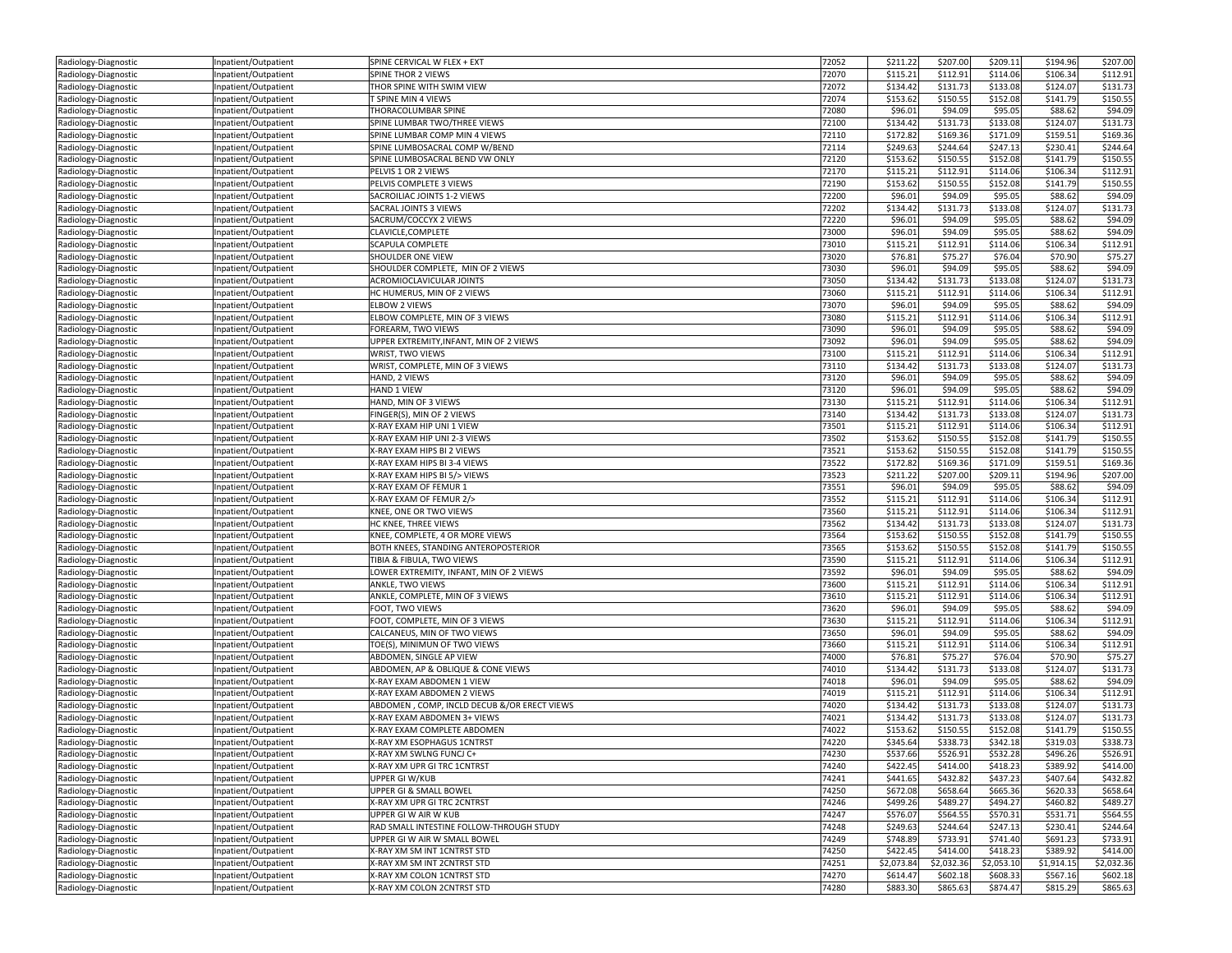| Radiology-Diagnostic | Inpatient/Outpatient | SPINE CERVICAL W FLEX + EXT                 | 72052 | \$211.22   | \$207.00   | \$209.11   | \$194.96   | \$207.00   |
|----------------------|----------------------|---------------------------------------------|-------|------------|------------|------------|------------|------------|
| Radiology-Diagnostic | Inpatient/Outpatient | SPINE THOR 2 VIEWS                          | 72070 | \$115.21   | \$112.91   | \$114.06   | \$106.34   | \$112.91   |
| Radiology-Diagnostic | Inpatient/Outpatient | THOR SPINE WITH SWIM VIEW                   | 72072 | \$134.42   | \$131.73   | \$133.08   | \$124.07   | \$131.73   |
| Radiology-Diagnostic | Inpatient/Outpatient | T SPINE MIN 4 VIEWS                         | 72074 | \$153.62   | \$150.55   | \$152.08   | \$141.79   | \$150.55   |
| Radiology-Diagnostic | Inpatient/Outpatient | THORACOLUMBAR SPINE                         | 72080 | \$96.01    | \$94.09    | \$95.05    | \$88.62    | \$94.09    |
| Radiology-Diagnostic | Inpatient/Outpatient | SPINE LUMBAR TWO/THREE VIEWS                | 72100 | \$134.42   | \$131.73   | \$133.08   | \$124.07   | \$131.73   |
| Radiology-Diagnostic | Inpatient/Outpatient | SPINE LUMBAR COMP MIN 4 VIEWS               | 72110 | \$172.82   | \$169.36   | \$171.09   | \$159.51   | \$169.36   |
| Radiology-Diagnostic | Inpatient/Outpatient | SPINE LUMBOSACRAL COMP W/BEND               | 72114 | \$249.63   | \$244.64   | \$247.13   | \$230.41   | \$244.64   |
| Radiology-Diagnostic | Inpatient/Outpatient | SPINE LUMBOSACRAL BEND VW ONLY              | 72120 | \$153.62   | \$150.55   | \$152.08   | \$141.79   | \$150.55   |
| Radiology-Diagnostic | Inpatient/Outpatient | PELVIS 1 OR 2 VIEWS                         | 72170 | \$115.21   | \$112.91   | \$114.06   | \$106.34   | \$112.91   |
| Radiology-Diagnostic | Inpatient/Outpatient | PELVIS COMPLETE 3 VIEWS                     | 72190 | \$153.62   | \$150.55   | \$152.08   | \$141.79   | \$150.55   |
| Radiology-Diagnostic | Inpatient/Outpatient | SACROILIAC JOINTS 1-2 VIEWS                 | 72200 | \$96.01    | \$94.09    | \$95.05    | \$88.62    | \$94.09    |
|                      |                      | SACRAL JOINTS 3 VIEWS                       | 72202 | \$134.42   | \$131.73   | \$133.08   | \$124.07   | \$131.73   |
| Radiology-Diagnostic | Inpatient/Outpatient | SACRUM/COCCYX 2 VIEWS                       |       |            |            |            |            |            |
| Radiology-Diagnostic | Inpatient/Outpatient |                                             | 72220 | \$96.01    | \$94.09    | \$95.05    | \$88.62    | \$94.09    |
| Radiology-Diagnostic | Inpatient/Outpatient | CLAVICLE, COMPLETE                          | 73000 | \$96.01    | \$94.09    | \$95.05    | \$88.62    | \$94.09    |
| Radiology-Diagnostic | Inpatient/Outpatient | <b>SCAPULA COMPLETE</b>                     | 73010 | \$115.21   | \$112.91   | \$114.06   | \$106.34   | \$112.91   |
| Radiology-Diagnostic | Inpatient/Outpatient | SHOULDER ONE VIEW                           | 73020 | \$76.81    | \$75.27    | \$76.04    | \$70.90    | \$75.27    |
| Radiology-Diagnostic | Inpatient/Outpatient | SHOULDER COMPLETE, MIN OF 2 VIEWS           | 73030 | \$96.01    | \$94.09    | \$95.05    | \$88.62    | \$94.09    |
| Radiology-Diagnostic | Inpatient/Outpatient | ACROMIOCLAVICULAR JOINTS                    | 73050 | \$134.42   | \$131.73   | \$133.08   | \$124.07   | \$131.73   |
| Radiology-Diagnostic | Inpatient/Outpatient | HC HUMERUS, MIN OF 2 VIEWS                  | 73060 | \$115.21   | \$112.91   | \$114.06   | \$106.34   | \$112.91   |
| Radiology-Diagnostic | Inpatient/Outpatient | <b>ELBOW 2 VIEWS</b>                        | 73070 | \$96.01    | \$94.09    | \$95.05    | \$88.62    | \$94.09    |
| Radiology-Diagnostic | Inpatient/Outpatient | ELBOW COMPLETE, MIN OF 3 VIEWS              | 73080 | \$115.21   | \$112.91   | \$114.06   | \$106.34   | \$112.91   |
| Radiology-Diagnostic | Inpatient/Outpatient | FOREARM, TWO VIEWS                          | 73090 | \$96.01    | \$94.09    | \$95.05    | \$88.62    | \$94.09    |
| Radiology-Diagnostic | Inpatient/Outpatient | UPPER EXTREMITY, INFANT, MIN OF 2 VIEWS     | 73092 | \$96.01    | \$94.09    | \$95.05    | \$88.62    | \$94.09    |
| Radiology-Diagnostic | Inpatient/Outpatient | WRIST, TWO VIEWS                            | 73100 | \$115.21   | \$112.91   | \$114.06   | \$106.34   | \$112.91   |
| Radiology-Diagnostic | Inpatient/Outpatient | WRIST, COMPLETE, MIN OF 3 VIEWS             | 73110 | \$134.42   | \$131.73   | \$133.08   | \$124.07   | \$131.73   |
| Radiology-Diagnostic | Inpatient/Outpatient | HAND, 2 VIEWS                               | 73120 | \$96.01    | \$94.09    | \$95.05    | \$88.62    | \$94.09    |
| Radiology-Diagnostic | Inpatient/Outpatient | HAND 1 VIEW                                 | 73120 | \$96.01    | \$94.09    | \$95.05    | \$88.62    | \$94.09    |
| Radiology-Diagnostic | Inpatient/Outpatient | HAND, MIN OF 3 VIEWS                        | 73130 | \$115.21   | \$112.91   | \$114.06   | \$106.34   | \$112.91   |
| Radiology-Diagnostic | Inpatient/Outpatient | FINGER(S), MIN OF 2 VIEWS                   | 73140 | \$134.42   | \$131.73   | \$133.08   | \$124.07   | \$131.73   |
| Radiology-Diagnostic | Inpatient/Outpatient | X-RAY EXAM HIP UNI 1 VIEW                   | 73501 | \$115.21   | \$112.91   | \$114.06   | \$106.34   | \$112.91   |
| Radiology-Diagnostic | Inpatient/Outpatient | X-RAY EXAM HIP UNI 2-3 VIEWS                | 73502 | \$153.62   | \$150.55   | \$152.08   | \$141.79   | \$150.55   |
| Radiology-Diagnostic | Inpatient/Outpatient | X-RAY EXAM HIPS BI 2 VIEWS                  | 73521 | \$153.62   | \$150.55   | \$152.08   | \$141.79   | \$150.55   |
| Radiology-Diagnostic | Inpatient/Outpatient | X-RAY EXAM HIPS BI 3-4 VIEWS                | 73522 | \$172.82   | \$169.36   | \$171.09   | \$159.51   | \$169.36   |
| Radiology-Diagnostic | Inpatient/Outpatient | X-RAY EXAM HIPS BI 5/> VIEWS                | 73523 | \$211.22   | \$207.00   | \$209.11   | \$194.96   | \$207.00   |
| Radiology-Diagnostic | Inpatient/Outpatient | X-RAY EXAM OF FEMUR 1                       | 73551 | \$96.01    | \$94.09    | \$95.05    | \$88.62    | \$94.09    |
| Radiology-Diagnostic | Inpatient/Outpatient | X-RAY EXAM OF FEMUR 2/>                     | 73552 | \$115.21   | \$112.91   | \$114.06   | \$106.34   | \$112.91   |
| Radiology-Diagnostic | Inpatient/Outpatient | KNEE, ONE OR TWO VIEWS                      | 73560 | \$115.21   | \$112.91   | \$114.06   | \$106.34   | \$112.91   |
| Radiology-Diagnostic | Inpatient/Outpatient | HC KNEE, THREE VIEWS                        | 73562 | \$134.42   | \$131.73   | \$133.08   | \$124.07   | \$131.73   |
| Radiology-Diagnostic | Inpatient/Outpatient | KNEE, COMPLETE, 4 OR MORE VIEWS             | 73564 | \$153.62   | \$150.55   | \$152.08   | \$141.79   | \$150.55   |
| Radiology-Diagnostic | Inpatient/Outpatient | BOTH KNEES, STANDING ANTEROPOSTERIOR        | 73565 | \$153.62   | \$150.55   | \$152.08   | \$141.79   | \$150.55   |
| Radiology-Diagnostic | Inpatient/Outpatient | TIBIA & FIBULA, TWO VIEWS                   | 73590 | \$115.21   | \$112.91   | \$114.06   | \$106.34   | \$112.91   |
|                      |                      | LOWER EXTREMITY, INFANT, MIN OF 2 VIEWS     | 73592 | \$96.01    | \$94.09    | \$95.05    | \$88.62    | \$94.09    |
| Radiology-Diagnostic | Inpatient/Outpatient | ANKLE, TWO VIEWS                            | 73600 | \$115.21   | \$112.91   | \$114.06   | \$106.34   | \$112.91   |
| Radiology-Diagnostic | Inpatient/Outpatient | ANKLE, COMPLETE, MIN OF 3 VIEWS             | 73610 | \$115.21   | \$112.91   | \$114.06   |            | \$112.91   |
| Radiology-Diagnostic | Inpatient/Outpatient |                                             | 73620 |            |            |            | \$106.34   | \$94.09    |
| Radiology-Diagnostic | Inpatient/Outpatient | FOOT, TWO VIEWS                             |       | \$96.01    | \$94.09    | \$95.05    | \$88.62    |            |
| Radiology-Diagnostic | Inpatient/Outpatient | FOOT, COMPLETE, MIN OF 3 VIEWS              | 73630 | \$115.21   | \$112.91   | \$114.06   | \$106.34   | \$112.91   |
| Radiology-Diagnostic | Inpatient/Outpatient | CALCANEUS, MIN OF TWO VIEWS                 | 73650 | \$96.01    | \$94.09    | \$95.05    | \$88.62    | \$94.09    |
| Radiology-Diagnostic | Inpatient/Outpatient | TOE(S), MINIMUN OF TWO VIEWS                | 73660 | \$115.21   | \$112.91   | \$114.06   | \$106.34   | 5112.91    |
| Radiology-Diagnostic | Inpatient/Outpatient | ABDOMEN, SINGLE AP VIEW                     | 74000 | \$76.81    | \$75.27    | \$76.04    | \$70.90    | \$75.27    |
| Radiology-Diagnostic | Inpatient/Outpatient | ABDOMEN, AP & OBLIQUE & CONE VIEWS          | 74010 | \$134.42   | \$131.73   | \$133.08   | \$124.07   | \$131.73   |
| Radiology-Diagnostic | Inpatient/Outpatient | X-RAY EXAM ABDOMEN 1 VIEW                   | 74018 | \$96.01    | \$94.09    | \$95.05    | \$88.62    | \$94.09    |
| Radiology-Diagnostic | Inpatient/Outpatient | X-RAY EXAM ABDOMEN 2 VIEWS                  | 74019 | \$115.21   | \$112.91   | \$114.06   | \$106.34   | \$112.91   |
| Radiology-Diagnostic | Inpatient/Outpatient | ABDOMEN, COMP, INCLD DECUB &/OR ERECT VIEWS | 74020 | \$134.42   | \$131.73   | \$133.08   | \$124.07   | \$131.73   |
| Radiology-Diagnostic | Inpatient/Outpatient | X-RAY EXAM ABDOMEN 3+ VIEWS                 | 74021 | \$134.42   | \$131.73   | \$133.08   | \$124.07   | \$131.7    |
| Radiology-Diagnostic | Inpatient/Outpatient | X-RAY EXAM COMPLETE ABDOMEN                 | 74022 | \$153.62   | \$150.55   | \$152.08   | \$141.79   | \$150.55   |
| Radiology-Diagnostic | Inpatient/Outpatient | X-RAY XM ESOPHAGUS 1CNTRST                  | 74220 | \$345.64   | \$338.73   | \$342.18   | \$319.03   | \$338.73   |
| Radiology-Diagnostic | inpatient/Outpatient | X-RAY XM SWLNG FUNCJ C+                     | 74230 | \$537.66   | \$526.91   | \$532.28   | \$496.26   | \$526.91   |
| Radiology-Diagnostic | Inpatient/Outpatient | X-RAY XM UPR GI TRC 1CNTRST                 | 74240 | \$422.45   | \$414.00   | \$418.23   | \$389.92   | \$414.00   |
| Radiology-Diagnostic | Inpatient/Outpatient | UPPER GI W/KUB                              | 74241 | \$441.65   | \$432.82   | \$437.23   | \$407.64   | \$432.82   |
| Radiology-Diagnostic | Inpatient/Outpatient | UPPER GI & SMALL BOWEL                      | 74250 | \$672.08   | \$658.64   | \$665.36   | \$620.33   | \$658.64   |
| Radiology-Diagnostic | Inpatient/Outpatient | X-RAY XM UPR GI TRC 2CNTRST                 | 74246 | \$499.26   | \$489.27   | \$494.27   | \$460.82   | \$489.27   |
| Radiology-Diagnostic | Inpatient/Outpatient | UPPER GI W AIR W KUB                        | 74247 | \$576.07   | \$564.55   | \$570.31   | \$531.71   | \$564.55   |
| Radiology-Diagnostic | Inpatient/Outpatient | RAD SMALL INTESTINE FOLLOW-THROUGH STUDY    | 74248 | \$249.63   | \$244.64   | \$247.13   | \$230.41   | \$244.64   |
| Radiology-Diagnostic | Inpatient/Outpatient | UPPER GI W AIR W SMALL BOWEL                | 74249 | \$748.89   | \$733.91   | \$741.40   | \$691.23   | \$733.91   |
| Radiology-Diagnostic | Inpatient/Outpatient | X-RAY XM SM INT 1CNTRST STD                 | 74250 | \$422.45   | \$414.00   | \$418.23   | \$389.92   | \$414.00   |
| Radiology-Diagnostic | Inpatient/Outpatient | X-RAY XM SM INT 2CNTRST STD                 | 74251 | \$2,073.84 | \$2,032.36 | \$2,053.10 | \$1,914.15 | \$2,032.36 |
| Radiology-Diagnostic | Inpatient/Outpatient | X-RAY XM COLON 1CNTRST STD                  | 74270 | \$614.47   | \$602.18   | \$608.33   | \$567.16   | \$602.18   |
| Radiology-Diagnostic | Inpatient/Outpatient | X-RAY XM COLON 2CNTRST STD                  | 74280 | \$883.30   | \$865.63   | \$874.47   | \$815.29   | \$865.63   |
|                      |                      |                                             |       |            |            |            |            |            |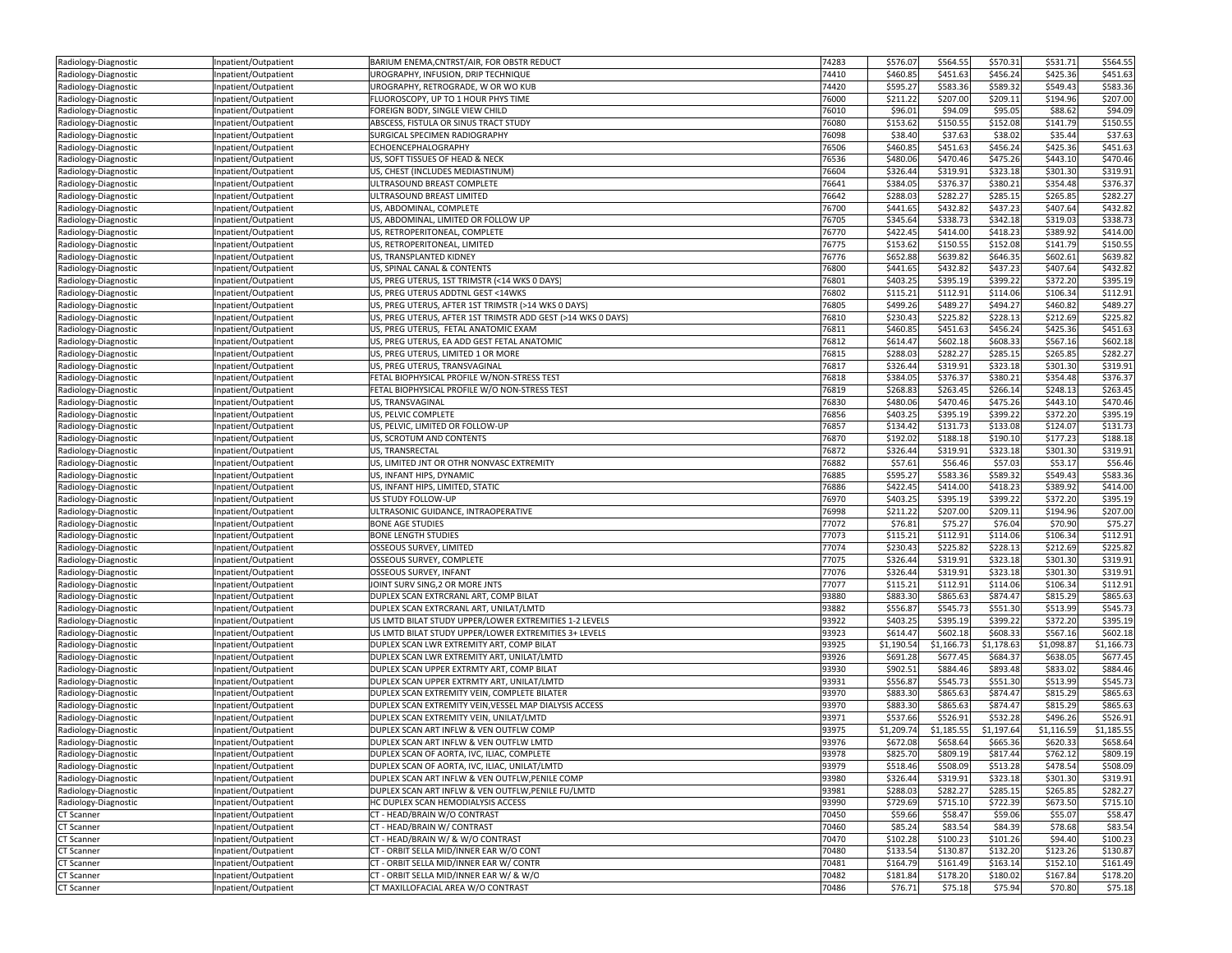| Radiology-Diagnostic                         | Inpatient/Outpatient                         | BARIUM ENEMA, CNTRST/AIR, FOR OBSTR REDUCT                                         | 74283          | \$576.07   | \$564.55             | \$570.31   | \$531.71   | \$564.55   |
|----------------------------------------------|----------------------------------------------|------------------------------------------------------------------------------------|----------------|------------|----------------------|------------|------------|------------|
| Radiology-Diagnostic                         | Inpatient/Outpatient                         | UROGRAPHY, INFUSION, DRIP TECHNIQUE                                                | 74410          | \$460.85   | \$451.63             | \$456.24   | \$425.36   | \$451.63   |
| Radiology-Diagnostic                         | Inpatient/Outpatient                         | UROGRAPHY, RETROGRADE, W OR WO KUB                                                 | 74420          | \$595.27   | \$583.36             | \$589.32   | \$549.43   | \$583.36   |
| Radiology-Diagnostic                         | Inpatient/Outpatient                         | FLUOROSCOPY, UP TO 1 HOUR PHYS TIME                                                | 76000          | \$211.22   | \$207.00             | \$209.11   | \$194.96   | \$207.00   |
| Radiology-Diagnostic                         | Inpatient/Outpatient                         | FOREIGN BODY, SINGLE VIEW CHILD                                                    | 76010          | \$96.01    | \$94.09              | \$95.05    | \$88.62    | \$94.09    |
| Radiology-Diagnostic                         | Inpatient/Outpatient                         | ABSCESS, FISTULA OR SINUS TRACT STUDY                                              | 76080          | \$153.62   | \$150.55             | \$152.08   | \$141.79   | \$150.55   |
| Radiology-Diagnostic                         | Inpatient/Outpatient                         | SURGICAL SPECIMEN RADIOGRAPHY                                                      | 76098          | \$38.40    | \$37.63              | \$38.02    | \$35.44    | \$37.63    |
| Radiology-Diagnostic                         | Inpatient/Outpatient                         | ECHOENCEPHALOGRAPHY                                                                | 76506          | \$460.85   | \$451.63             | \$456.24   | \$425.36   | \$451.6    |
| Radiology-Diagnostic                         | Inpatient/Outpatient                         | US, SOFT TISSUES OF HEAD & NECK                                                    | 76536          | \$480.06   | \$470.46             | \$475.26   | \$443.10   | \$470.46   |
| Radiology-Diagnostic                         | Inpatient/Outpatient                         | US, CHEST (INCLUDES MEDIASTINUM)                                                   | 76604          | \$326.44   | \$319.91             | \$323.18   | \$301.30   | \$319.91   |
| Radiology-Diagnostic                         | Inpatient/Outpatient                         | ULTRASOUND BREAST COMPLETE                                                         | 76641          | \$384.05   | \$376.37             | \$380.21   | \$354.48   | \$376.37   |
| Radiology-Diagnostic                         | Inpatient/Outpatient                         | ULTRASOUND BREAST LIMITED                                                          | 76642          | \$288.03   | \$282.27             | \$285.15   | \$265.85   | \$282.27   |
| Radiology-Diagnostic                         | Inpatient/Outpatient                         | US, ABDOMINAL, COMPLETE                                                            | 76700          | \$441.65   | \$432.82             | \$437.23   | \$407.64   | \$432.82   |
|                                              |                                              | US, ABDOMINAL, LIMITED OR FOLLOW UP                                                | 76705          | \$345.64   | \$338.73             | \$342.18   | \$319.03   | \$338.7    |
| Radiology-Diagnostic                         | Inpatient/Outpatient                         |                                                                                    |                | \$422.45   |                      | \$418.23   | \$389.92   | \$414.00   |
| Radiology-Diagnostic                         | Inpatient/Outpatient                         | US, RETROPERITONEAL, COMPLETE                                                      | 76770          |            | \$414.00<br>\$150.55 | \$152.08   |            | \$150.55   |
| Radiology-Diagnostic                         | Inpatient/Outpatient                         | US, RETROPERITONEAL, LIMITED                                                       | 76775          | \$153.62   |                      |            | \$141.79   |            |
| Radiology-Diagnostic                         | Inpatient/Outpatient                         | US, TRANSPLANTED KIDNEY                                                            | 76776          | \$652.88   | \$639.82             | \$646.35   | \$602.61   | \$639.82   |
| Radiology-Diagnostic                         | Inpatient/Outpatient                         | US, SPINAL CANAL & CONTENTS                                                        | 76800          | \$441.65   | \$432.82             | \$437.23   | \$407.64   | \$432.82   |
| Radiology-Diagnostic                         | Inpatient/Outpatient                         | US, PREG UTERUS, 1ST TRIMSTR (<14 WKS 0 DAYS)                                      | 76801          | \$403.25   | \$395.19             | \$399.22   | \$372.20   | \$395.19   |
| Radiology-Diagnostic                         | Inpatient/Outpatient                         | US, PREG UTERUS ADDTNL GEST <14WKS                                                 | 76802          | \$115.21   | \$112.91             | \$114.06   | \$106.34   | \$112.91   |
| Radiology-Diagnostic                         | Inpatient/Outpatient                         | US, PREG UTERUS, AFTER 1ST TRIMSTR (>14 WKS 0 DAYS)                                | 76805          | \$499.26   | \$489.27             | \$494.27   | \$460.82   | \$489.27   |
| Radiology-Diagnostic                         | Inpatient/Outpatient                         | US, PREG UTERUS, AFTER 1ST TRIMSTR ADD GEST (>14 WKS 0 DAYS)                       | 76810          | \$230.43   | \$225.82             | \$228.13   | \$212.69   | \$225.82   |
| Radiology-Diagnostic                         | Inpatient/Outpatient                         | US, PREG UTERUS, FETAL ANATOMIC EXAM                                               | 76811          | \$460.85   | \$451.63             | \$456.24   | \$425.36   | \$451.63   |
| Radiology-Diagnostic                         | Inpatient/Outpatient                         | US, PREG UTERUS, EA ADD GEST FETAL ANATOMIC                                        | 76812          | \$614.47   | \$602.18             | \$608.33   | \$567.16   | \$602.18   |
| Radiology-Diagnostic                         | Inpatient/Outpatient                         | US, PREG UTERUS, LIMITED 1 OR MORE                                                 | 76815          | \$288.03   | \$282.27             | \$285.15   | \$265.85   | \$282.27   |
| Radiology-Diagnostic                         | Inpatient/Outpatient                         | US, PREG UTERUS, TRANSVAGINAL                                                      | 76817          | \$326.44   | \$319.91             | \$323.18   | \$301.30   | \$319.91   |
| Radiology-Diagnostic                         | Inpatient/Outpatient                         | FETAL BIOPHYSICAL PROFILE W/NON-STRESS TEST                                        | 76818          | \$384.05   | \$376.37             | \$380.21   | \$354.48   | \$376.3    |
| Radiology-Diagnostic                         | Inpatient/Outpatient                         | FETAL BIOPHYSICAL PROFILE W/O NON-STRESS TEST                                      | 76819          | \$268.8    | \$263.45             | \$266.14   | \$248.13   | \$263.4    |
| Radiology-Diagnostic                         | Inpatient/Outpatient                         | <b>US. TRANSVAGINAL</b>                                                            | 76830          | \$480.06   | \$470.46             | \$475.26   | \$443.10   | \$470.46   |
| Radiology-Diagnostic                         | Inpatient/Outpatient                         | US, PELVIC COMPLETE                                                                | 76856          | \$403.25   | \$395.19             | \$399.22   | \$372.20   | \$395.19   |
| Radiology-Diagnostic                         | Inpatient/Outpatient                         | US, PELVIC, LIMITED OR FOLLOW-UP                                                   | 76857          | \$134.42   | \$131.73             | \$133.08   | \$124.07   | \$131.7    |
| Radiology-Diagnostic                         | Inpatient/Outpatient                         | US, SCROTUM AND CONTENTS                                                           | 76870          | \$192.02   | \$188.18             | \$190.10   | \$177.23   | \$188.18   |
| Radiology-Diagnostic                         | Inpatient/Outpatient                         | US, TRANSRECTAL                                                                    | 76872          | \$326.44   | \$319.91             | \$323.18   | \$301.30   | \$319.91   |
| Radiology-Diagnostic                         | Inpatient/Outpatient                         | US, LIMITED JNT OR OTHR NONVASC EXTREMITY                                          | 76882          | \$57.61    | \$56.46              | \$57.03    | \$53.17    | \$56.46    |
| Radiology-Diagnostic                         | Inpatient/Outpatient                         | US, INFANT HIPS, DYNAMIC                                                           | 76885          | \$595.27   | \$583.36             | \$589.32   | \$549.43   | \$583.36   |
| Radiology-Diagnostic                         | Inpatient/Outpatient                         | US, INFANT HIPS, LIMITED, STATIC                                                   | 76886          | \$422.45   | \$414.00             | \$418.23   | \$389.92   | \$414.00   |
| Radiology-Diagnostic                         | Inpatient/Outpatient                         | US STUDY FOLLOW-UP                                                                 | 76970          | \$403.25   | \$395.19             | \$399.22   | \$372.20   | \$395.19   |
| Radiology-Diagnostic                         | Inpatient/Outpatient                         | ULTRASONIC GUIDANCE, INTRAOPERATIVE                                                | 76998          | \$211.22   | \$207.00             | \$209.11   | \$194.96   | \$207.00   |
| Radiology-Diagnostic                         | Inpatient/Outpatient                         | <b>BONE AGE STUDIES</b>                                                            | 77072          | \$76.81    | \$75.27              | \$76.04    | \$70.90    | \$75.27    |
| Radiology-Diagnostic                         | Inpatient/Outpatient                         | <b>BONE LENGTH STUDIES</b>                                                         | 77073          | \$115.21   | \$112.91             | \$114.06   | \$106.34   | \$112.91   |
| Radiology-Diagnostic                         | Inpatient/Outpatient                         | OSSEOUS SURVEY, LIMITED                                                            | 77074          | \$230.43   | \$225.82             | \$228.13   | \$212.69   | \$225.82   |
| Radiology-Diagnostic                         | Inpatient/Outpatient                         | OSSEOUS SURVEY, COMPLETE                                                           | 77075          | \$326.44   | \$319.91             | \$323.18   | \$301.30   | \$319.9    |
| Radiology-Diagnostic                         | Inpatient/Outpatient                         | OSSEOUS SURVEY, INFANT                                                             | 77076          | \$326.44   | \$319.91             | \$323.18   | \$301.30   | \$319.91   |
| Radiology-Diagnostic                         | Inpatient/Outpatient                         | JOINT SURV SING, 2 OR MORE JNTS                                                    | 77077          | \$115.2    | \$112.91             | \$114.06   | \$106.34   | \$112.9    |
| Radiology-Diagnostic                         | Inpatient/Outpatient                         | DUPLEX SCAN EXTRCRANL ART, COMP BILAT                                              | 93880          | \$883.30   | \$865.63             | \$874.47   | \$815.29   | \$865.63   |
| Radiology-Diagnostic                         | Inpatient/Outpatient                         | DUPLEX SCAN EXTRCRANL ART, UNILAT/LMTD                                             | 93882          | \$556.87   | \$545.73             | \$551.30   | \$513.99   | \$545.73   |
| Radiology-Diagnostic                         | Inpatient/Outpatient                         | US LMTD BILAT STUDY UPPER/LOWER EXTREMITIES 1-2 LEVELS                             | 93922          | \$403.25   | \$395.19             | \$399.22   | \$372.20   | \$395.19   |
| Radiology-Diagnostic                         | Inpatient/Outpatient                         | US LMTD BILAT STUDY UPPER/LOWER EXTREMITIES 3+ LEVELS                              | 93923          | \$614.47   | \$602.18             | \$608.33   | \$567.16   | \$602.18   |
| Radiology-Diagnostic                         | Inpatient/Outpatient                         | DUPLEX SCAN LWR EXTREMITY ART, COMP BILAT                                          | 93925          | \$1,190.54 | \$1,166.73           | \$1,178.63 | \$1,098.87 | \$1,166.73 |
| Radiology-Diagnostic                         | Inpatient/Outpatient                         | DUPLEX SCAN LWR EXTREMITY ART, UNILAT/LMTD                                         | 93926          | \$691.28   | \$677.45             | \$684.37   | \$638.05   | \$677.45   |
| Radiology-Diagnostic                         | Inpatient/Outpatient                         | DUPLEX SCAN UPPER EXTRMTY ART, COMP BILAT                                          | 93930          | \$902.51   | \$884.46             | \$893.48   | \$833.02   | \$884.46   |
|                                              |                                              | DUPLEX SCAN UPPER EXTRMTY ART, UNILAT/LMTD                                         | 93931          | \$556.87   | \$545.73             | \$551.30   | \$513.99   | \$545.7    |
| Radiology-Diagnostic<br>Radiology-Diagnostic | Inpatient/Outpatient                         | DUPLEX SCAN EXTREMITY VEIN, COMPLETE BILATER                                       | 93970          | \$883.30   | \$865.63             | \$874.47   | \$815.29   | \$865.63   |
| Radiology-Diagnostic                         | Inpatient/Outpatient<br>Inpatient/Outpatient | DUPLEX SCAN EXTREMITY VEIN, VESSEL MAP DIALYSIS ACCESS                             | 93970          | \$883.30   | \$865.63             | \$874.47   | \$815.29   | \$865.63   |
|                                              |                                              |                                                                                    |                |            |                      |            |            |            |
| Radiology-Diagnostic                         | Inpatient/Outpatient                         | DUPLEX SCAN EXTREMITY VEIN, UNILAT/LMTD<br>DUPLEX SCAN ART INFLW & VEN OUTFLW COMP | 93971          | \$537.66   | \$526.91             | \$532.28   | \$496.26   | \$526.91   |
| Radiology-Diagnostic                         | Inpatient/Outpatient                         |                                                                                    | 93975<br>93976 | \$1,209.74 | \$1,185.55           | \$1,197.64 | \$1,116.59 | \$1,185.55 |
| Radiology-Diagnostic                         | Inpatient/Outpatient                         | DUPLEX SCAN ART INFLW & VEN OUTFLW LMTD                                            |                | \$672.08   | \$658.64             | \$665.36   | \$620.33   | \$658.64   |
| Radiology-Diagnostic                         | Inpatient/Outpatient                         | DUPLEX SCAN OF AORTA, IVC, ILIAC, COMPLETE                                         | 93978          | \$825.70   | \$809.19             | \$817.44   | \$762.12   | \$809.19   |
| Radiology-Diagnostic                         | Inpatient/Outpatient                         | DUPLEX SCAN OF AORTA, IVC, ILIAC, UNILAT/LMTD                                      | 93979          | \$518.46   | \$508.09             | \$513.28   | \$478.54   | \$508.09   |
| Radiology-Diagnostic                         | Inpatient/Outpatient                         | DUPLEX SCAN ART INFLW & VEN OUTFLW, PENILE COMP                                    | 93980          | \$326.44   | \$319.91             | \$323.18   | \$301.30   | \$319.91   |
| Radiology-Diagnostic                         | Inpatient/Outpatient                         | DUPLEX SCAN ART INFLW & VEN OUTFLW, PENILE FU/LMTD                                 | 93981          | \$288.03   | \$282.27             | \$285.15   | \$265.85   | \$282.27   |
| Radiology-Diagnostic                         | Inpatient/Outpatient                         | HC DUPLEX SCAN HEMODIALYSIS ACCESS                                                 | 93990          | \$729.69   | \$715.10             | \$722.39   | \$673.50   | \$715.10   |
| <b>CT Scanner</b>                            | Inpatient/Outpatient                         | CT - HEAD/BRAIN W/O CONTRAST                                                       | 70450          | \$59.66    | \$58.47              | \$59.06    | \$55.07    | \$58.47    |
| CT Scanner                                   | Inpatient/Outpatient                         | CT - HEAD/BRAIN W/ CONTRAST                                                        | 70460          | \$85.24    | \$83.54              | \$84.39    | \$78.68    | \$83.54    |
| CT Scanner                                   | Inpatient/Outpatient                         | CT - HEAD/BRAIN W/ & W/O CONTRAST                                                  | 70470          | \$102.28   | \$100.23             | \$101.26   | \$94.40    | \$100.23   |
| CT Scanner                                   | Inpatient/Outpatient                         | CT - ORBIT SELLA MID/INNER EAR W/O CONT                                            | 70480          | \$133.54   | \$130.87             | \$132.20   | \$123.26   | \$130.87   |
| CT Scanner                                   | Inpatient/Outpatient                         | CT - ORBIT SELLA MID/INNER EAR W/ CONTR                                            | 70481          | \$164.79   | \$161.49             | \$163.14   | \$152.10   | \$161.49   |
| <b>CT Scanner</b>                            | Inpatient/Outpatient                         | CT - ORBIT SELLA MID/INNER EAR W/ & W/O                                            | 70482          | \$181.84   | \$178.20             | \$180.02   | \$167.84   | \$178.20   |
| CT Scanner                                   | Inpatient/Outpatient                         | CT MAXILLOFACIAL AREA W/O CONTRAST                                                 | 70486          | \$76.71    | \$75.18              | \$75.94    | \$70.80    | \$75.18    |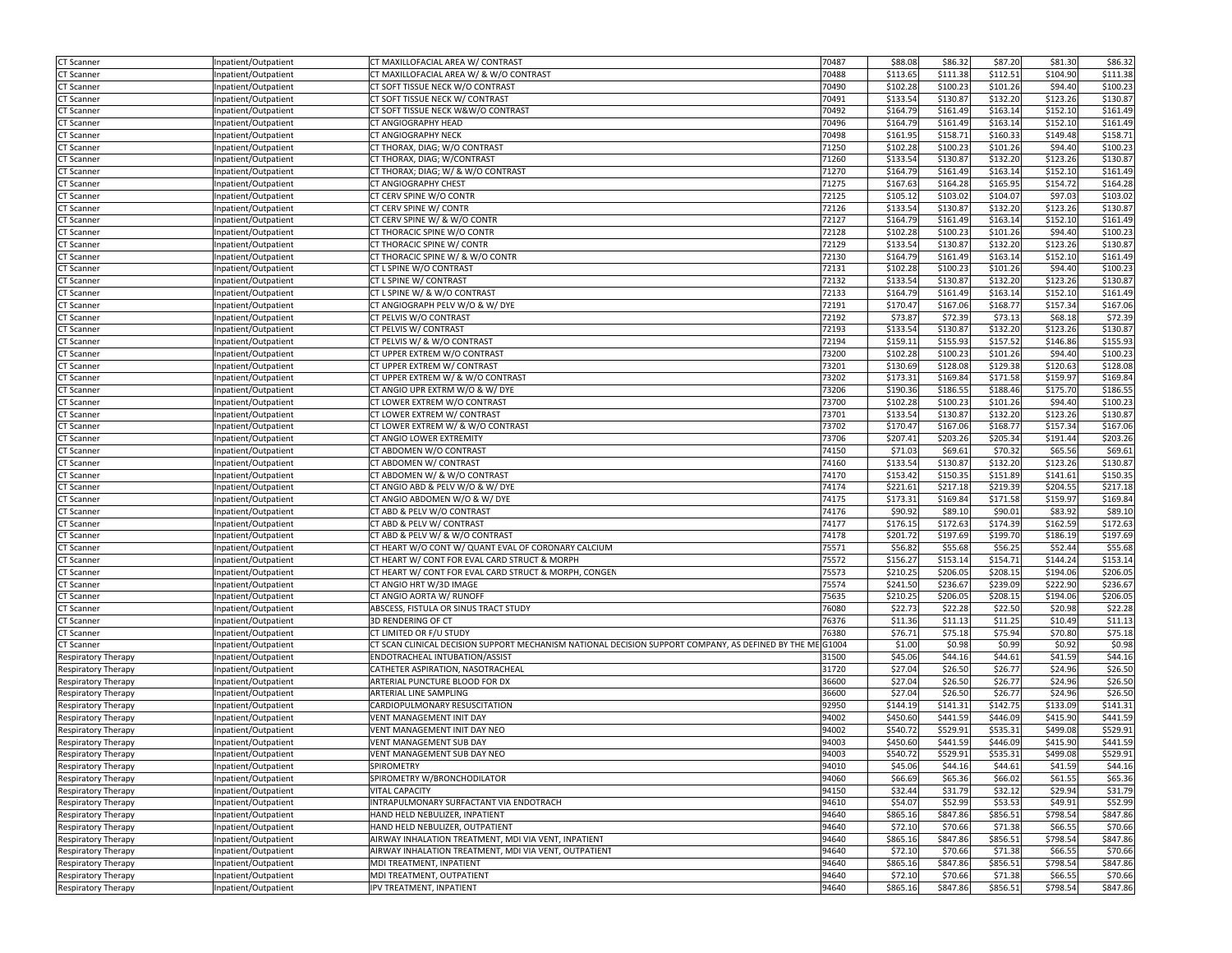| <b>CT Scanner</b>          | Inpatient/Outpatient | CT MAXILLOFACIAL AREA W/ CONTRAST                                                                         | 70487 | \$88.08  | \$86.32  | \$87.20  | \$81.30  | \$86.32  |
|----------------------------|----------------------|-----------------------------------------------------------------------------------------------------------|-------|----------|----------|----------|----------|----------|
| CT Scanner                 | Inpatient/Outpatient | CT MAXILLOFACIAL AREA W/ & W/O CONTRAST                                                                   | 70488 | \$113.65 | \$111.38 | \$112.51 | \$104.90 | \$111.38 |
| CT Scanner                 | Inpatient/Outpatient | CT SOFT TISSUE NECK W/O CONTRAST                                                                          | 70490 | \$102.28 | \$100.23 | \$101.26 | \$94.40  | \$100.23 |
| CT Scanner                 | Inpatient/Outpatient | CT SOFT TISSUE NECK W/ CONTRAST                                                                           | 70491 | \$133.54 | \$130.87 | \$132.20 | \$123.26 | \$130.87 |
| T Scanner                  | Inpatient/Outpatient | CT SOFT TISSUE NECK W&W/O CONTRAST                                                                        | 70492 | \$164.79 | \$161.49 | \$163.14 | \$152.10 | \$161.49 |
| T Scanner.                 | Inpatient/Outpatient | CT ANGIOGRAPHY HEAD                                                                                       | 70496 | \$164.79 | \$161.49 | \$163.14 | \$152.10 | \$161.49 |
|                            | Inpatient/Outpatient | CT ANGIOGRAPHY NECK                                                                                       | 70498 | \$161.95 | \$158.71 | \$160.33 | \$149.48 | \$158.71 |
| CT Scanner                 |                      |                                                                                                           |       |          |          |          |          |          |
| CT Scanner                 | Inpatient/Outpatient | CT THORAX, DIAG; W/O CONTRAST                                                                             | 71250 | \$102.28 | \$100.23 | \$101.26 | \$94.40  | \$100.23 |
| CT Scanner                 | Inpatient/Outpatient | CT THORAX, DIAG; W/CONTRAST                                                                               | 71260 | \$133.54 | \$130.87 | \$132.20 | \$123.26 | \$130.87 |
| T Scanner                  | Inpatient/Outpatient | CT THORAX; DIAG; W/ & W/O CONTRAST                                                                        | 71270 | \$164.79 | \$161.49 | \$163.14 | \$152.10 | \$161.49 |
| T Scanner                  | Inpatient/Outpatient | CT ANGIOGRAPHY CHEST                                                                                      | 71275 | \$167.63 | \$164.28 | \$165.95 | \$154.72 | \$164.28 |
| T Scanner                  | Inpatient/Outpatient | CT CERV SPINE W/O CONTR                                                                                   | 72125 | \$105.12 | \$103.02 | \$104.07 | \$97.03  | \$103.02 |
| <b>CT Scanner</b>          | Inpatient/Outpatient | CT CERV SPINE W/ CONTR                                                                                    | 72126 | \$133.54 | \$130.8  | \$132.20 | \$123.26 | \$130.87 |
| T Scanner.                 | Inpatient/Outpatient | CT CERV SPINE W/ & W/O CONTR                                                                              | 72127 | \$164.79 | \$161.49 | \$163.14 | \$152.10 | \$161.49 |
| T Scanner                  | Inpatient/Outpatient | CT THORACIC SPINE W/O CONTR                                                                               | 72128 | \$102.28 | \$100.23 | \$101.26 | \$94.40  | \$100.23 |
| T Scanner                  | Inpatient/Outpatient | CT THORACIC SPINE W/ CONTR                                                                                | 72129 | \$133.54 | \$130.87 | \$132.20 | \$123.26 | \$130.8  |
| .T Scanner                 | Inpatient/Outpatient | CT THORACIC SPINE W/ & W/O CONTR                                                                          | 72130 | \$164.79 | \$161.49 | \$163.14 | \$152.10 | \$161.49 |
| CT Scanner                 | Inpatient/Outpatient | CT L SPINE W/O CONTRAST                                                                                   | 72131 | \$102.28 | \$100.23 | \$101.26 | \$94.40  | \$100.23 |
|                            |                      |                                                                                                           |       |          |          |          |          |          |
| CT Scanner                 | Inpatient/Outpatient | CT L SPINE W/ CONTRAST                                                                                    | 72132 | \$133.54 | \$130.87 | \$132.20 | \$123.26 | \$130.87 |
| CT Scanner                 | Inpatient/Outpatient | CT L SPINE W/ & W/O CONTRAST                                                                              | 72133 | \$164.79 | \$161.49 | \$163.14 | \$152.10 | \$161.49 |
| <b>T</b> Scanner           | Inpatient/Outpatient | CT ANGIOGRAPH PELV W/O & W/ DYE                                                                           | 72191 | \$170.47 | \$167.06 | \$168.77 | \$157.34 | \$167.06 |
| .T Scanner                 | Inpatient/Outpatient | CT PELVIS W/O CONTRAST                                                                                    | 72192 | \$73.87  | \$72.39  | \$73.13  | \$68.18  | \$72.39  |
| CT Scanner                 | Inpatient/Outpatient | CT PELVIS W/ CONTRAST                                                                                     | 72193 | \$133.54 | \$130.8  | \$132.20 | \$123.26 | \$130.87 |
| CT Scanner                 | Inpatient/Outpatient | CT PELVIS W/ & W/O CONTRAST                                                                               | 72194 | \$159.1  | \$155.93 | \$157.52 | \$146.86 | \$155.93 |
| CT Scanner                 | Inpatient/Outpatient | CT UPPER EXTREM W/O CONTRAST                                                                              | 73200 | \$102.28 | \$100.23 | \$101.26 | \$94.40  | \$100.23 |
| CT Scanner                 | Inpatient/Outpatient | CT UPPER EXTREM W/ CONTRAST                                                                               | 73201 | \$130.69 | \$128.08 | \$129.38 | \$120.63 | \$128.08 |
| CT Scanner                 | Inpatient/Outpatient | CT UPPER EXTREM W/ & W/O CONTRAST                                                                         | 73202 | \$173.31 | \$169.84 | \$171.58 | \$159.97 | \$169.84 |
| <b>T</b> Scanner           | Inpatient/Outpatient | CT ANGIO UPR EXTRM W/O & W/ DYE                                                                           | 73206 | \$190.36 | \$186.55 | \$188.46 | \$175.70 | \$186.5  |
| CT Scanner                 | Inpatient/Outpatient | CT LOWER EXTREM W/O CONTRAST                                                                              | 73700 | \$102.28 | \$100.23 | \$101.26 | \$94.40  | \$100.23 |
| <b>T</b> Scanner           | Inpatient/Outpatient | CT LOWER EXTREM W/ CONTRAST                                                                               | 73701 | \$133.54 | \$130.87 | \$132.20 | \$123.26 | \$130.8  |
|                            |                      | CT LOWER EXTREM W/ & W/O CONTRAST                                                                         | 73702 | \$170.47 | \$167.06 | \$168.77 | \$157.34 | \$167.0  |
| T Scanner                  | Inpatient/Outpatient |                                                                                                           |       |          |          |          |          |          |
| CT Scanner                 | Inpatient/Outpatient | CT ANGIO LOWER EXTREMITY                                                                                  | 73706 | \$207.41 | \$203.26 | \$205.34 | \$191.44 | \$203.26 |
| CT Scanner                 | Inpatient/Outpatient | CT ABDOMEN W/O CONTRAST                                                                                   | 74150 | \$71.03  | \$69.61  | \$70.32  | \$65.56  | \$69.61  |
| CT Scanner                 | Inpatient/Outpatient | CT ABDOMEN W/ CONTRAST                                                                                    | 74160 | \$133.54 | \$130.87 | \$132.20 | \$123.26 | \$130.87 |
| T Scanner                  | Inpatient/Outpatient | CT ABDOMEN W/ & W/O CONTRAST                                                                              | 74170 | \$153.42 | \$150.35 | \$151.89 | \$141.61 | \$150.3  |
| T Scanner.                 | Inpatient/Outpatient | CT ANGIO ABD & PELV W/O & W/ DYE                                                                          | 74174 | \$221.61 | \$217.18 | \$219.39 | \$204.55 | \$217.18 |
| CT Scanner                 | Inpatient/Outpatient | CT ANGIO ABDOMEN W/O & W/ DYE                                                                             | 74175 | \$173.31 | \$169.84 | \$171.58 | \$159.97 | \$169.84 |
| CT Scanner                 | Inpatient/Outpatient | CT ABD & PELV W/O CONTRAST                                                                                | 74176 | \$90.92  | \$89.10  | \$90.01  | \$83.92  | \$89.10  |
| CT Scanner                 | Inpatient/Outpatient | CT ABD & PELV W/ CONTRAST                                                                                 | 74177 | \$176.15 | \$172.63 | \$174.39 | \$162.59 | \$172.63 |
| <b>T</b> Scanner           | Inpatient/Outpatient | CT ABD & PELV W/ & W/O CONTRAST                                                                           | 74178 | \$201.72 | \$197.69 | \$199.70 | \$186.19 | \$197.69 |
| T Scanner                  | Inpatient/Outpatient | CT HEART W/O CONT W/ QUANT EVAL OF CORONARY CALCIUM                                                       | 75571 | \$56.82  | \$55.68  | \$56.25  | \$52.44  | \$55.68  |
| T Scanner                  | Inpatient/Outpatient | CT HEART W/ CONT FOR EVAL CARD STRUCT & MORPH                                                             | 75572 | \$156.27 | \$153.14 | \$154.71 | \$144.24 | \$153.14 |
|                            |                      | CT HEART W/ CONT FOR EVAL CARD STRUCT & MORPH, CONGEN                                                     | 75573 | \$210.25 | \$206.05 | \$208.15 | \$194.06 | \$206.05 |
| <b>CT Scanner</b>          | Inpatient/Outpatient |                                                                                                           |       |          |          |          |          |          |
| CT Scanner                 | Inpatient/Outpatient | CT ANGIO HRT W/3D IMAGE                                                                                   | 75574 | \$241.50 | \$236.67 | \$239.09 | \$222.90 | \$236.67 |
| T Scanner                  | Inpatient/Outpatient | CT ANGIO AORTA W/ RUNOFF                                                                                  | 75635 | \$210.25 | \$206.05 | \$208.15 | \$194.06 | \$206.05 |
| T Scanner.                 | Inpatient/Outpatient | ABSCESS, FISTULA OR SINUS TRACT STUDY                                                                     | 76080 | \$22.73  | \$22.28  | \$22.50  | \$20.98  | \$22.28  |
| .T Scanner                 | Inpatient/Outpatient | 3D RENDERING OF CT                                                                                        | 76376 | \$11.36  | \$11.13  | \$11.25  | \$10.49  | \$11.13  |
| CT Scanner                 | Inpatient/Outpatient | CT LIMITED OR F/U STUDY                                                                                   | 76380 | \$76.71  | \$75.18  | \$75.94  | \$70.80  | \$75.18  |
| CT Scanner                 | Inpatient/Outpatient | CT SCAN CLINICAL DECISION SUPPORT MECHANISM NATIONAL DECISION SUPPORT COMPANY, AS DEFINED BY THE ME G1004 |       | \$1.00   | \$0.98   | \$0.99   | \$0.92   | \$0.98   |
| Respiratory Therapy        | Inpatient/Outpatient | ENDOTRACHEAL INTUBATION/ASSIST                                                                            | 31500 | \$45.06  | \$44.16  | \$44.61  | \$41.59  | \$44.16  |
| Respiratory Therapy        | Inpatient/Outpatient | CATHETER ASPIRATION, NASOTRACHEAL                                                                         | 31720 | \$27.04  | \$26.50  | \$26.77  | \$24.96  | \$26.50  |
| Respiratory Therapy        | Inpatient/Outpatient | ARTERIAL PUNCTURE BLOOD FOR DX                                                                            | 36600 | \$27.04  | \$26.50  | \$26.77  | \$24.96  | \$26.50  |
| Respiratory Therapy        | Inpatient/Outpatient | ARTERIAL LINE SAMPLING                                                                                    | 36600 | \$27.04  | \$26.50  | \$26.77  | \$24.96  | \$26.50  |
| Respiratory Therapy        | Inpatient/Outpatient | CARDIOPULMONARY RESUSCITATION                                                                             | 92950 | \$144.19 | \$141.31 | \$142.75 | \$133.09 | \$141.31 |
| Respiratory Therapy        | Inpatient/Outpatient | VENT MANAGEMENT INIT DAY                                                                                  | 94002 | \$450.60 | \$441.59 | \$446.09 | \$415.90 | \$441.59 |
| Respiratory Therapy        | Inpatient/Outpatient | VENT MANAGEMENT INIT DAY NEO                                                                              | 94002 | \$540.72 | \$529.91 | \$535.31 | \$499.08 | \$529.91 |
|                            |                      |                                                                                                           |       |          |          |          |          |          |
| <b>Respiratory Therapy</b> | Inpatient/Outpatient | VENT MANAGEMENT SUB DAY                                                                                   | 94003 | \$450.60 | \$441.59 | \$446.09 | \$415.90 | \$441.59 |
| Respiratory Therapy        | Inpatient/Outpatient | VENT MANAGEMENT SUB DAY NEO                                                                               | 94003 | \$540.72 | \$529.91 | \$535.31 | \$499.08 | \$529.91 |
| Respiratory Therapy        | Inpatient/Outpatient | SPIROMETRY                                                                                                | 94010 | \$45.06  | \$44.16  | \$44.61  | \$41.59  | \$44.16  |
| Respiratory Therapy        | Inpatient/Outpatient | SPIROMETRY W/BRONCHODILATOR                                                                               | 94060 | \$66.69  | \$65.36  | \$66.02  | \$61.55  | \$65.36  |
| Respiratory Therapy        | Inpatient/Outpatient | VITAL CAPACITY                                                                                            | 94150 | \$32.44  | \$31.79  | \$32.12  | \$29.94  | \$31.79  |
| <b>Respiratory Therapy</b> | Inpatient/Outpatient | INTRAPULMONARY SURFACTANT VIA ENDOTRACH                                                                   | 94610 | \$54.07  | \$52.99  | \$53.53  | \$49.91  | \$52.99  |
| <b>Respiratory Therapy</b> | Inpatient/Outpatient | HAND HELD NEBULIZER, INPATIENT                                                                            | 94640 | \$865.16 | \$847.86 | \$856.51 | \$798.54 | \$847.86 |
| <b>Respiratory Therapy</b> | Inpatient/Outpatient | HAND HELD NEBULIZER, OUTPATIENT                                                                           | 94640 | \$72.10  | \$70.66  | \$71.38  | \$66.55  | \$70.66  |
| Respiratory Therapy        | Inpatient/Outpatient | AIRWAY INHALATION TREATMENT, MDI VIA VENT, INPATIENT                                                      | 94640 | \$865.16 | \$847.86 | \$856.51 | \$798.54 | \$847.86 |
| <b>Respiratory Therapy</b> | Inpatient/Outpatient | AIRWAY INHALATION TREATMENT, MDI VIA VENT, OUTPATIENT                                                     | 94640 | \$72.10  | \$70.66  | \$71.38  | \$66.55  | \$70.66  |
| <b>Respiratory Therapy</b> | Inpatient/Outpatient | MDI TREATMENT, INPATIENT                                                                                  | 94640 | \$865.16 | \$847.86 | \$856.51 | \$798.54 | \$847.86 |
|                            | Inpatient/Outpatient | MDI TREATMENT, OUTPATIENT                                                                                 | 94640 | \$72.10  | \$70.66  | \$71.38  | \$66.55  | \$70.66  |
| Respiratory Therapy        |                      |                                                                                                           |       |          |          |          |          |          |
| Respiratory Therapy        | Inpatient/Outpatient | IPV TREATMENT, INPATIENT                                                                                  | 94640 | \$865.16 | \$847.86 | \$856.51 | \$798.54 | \$847.86 |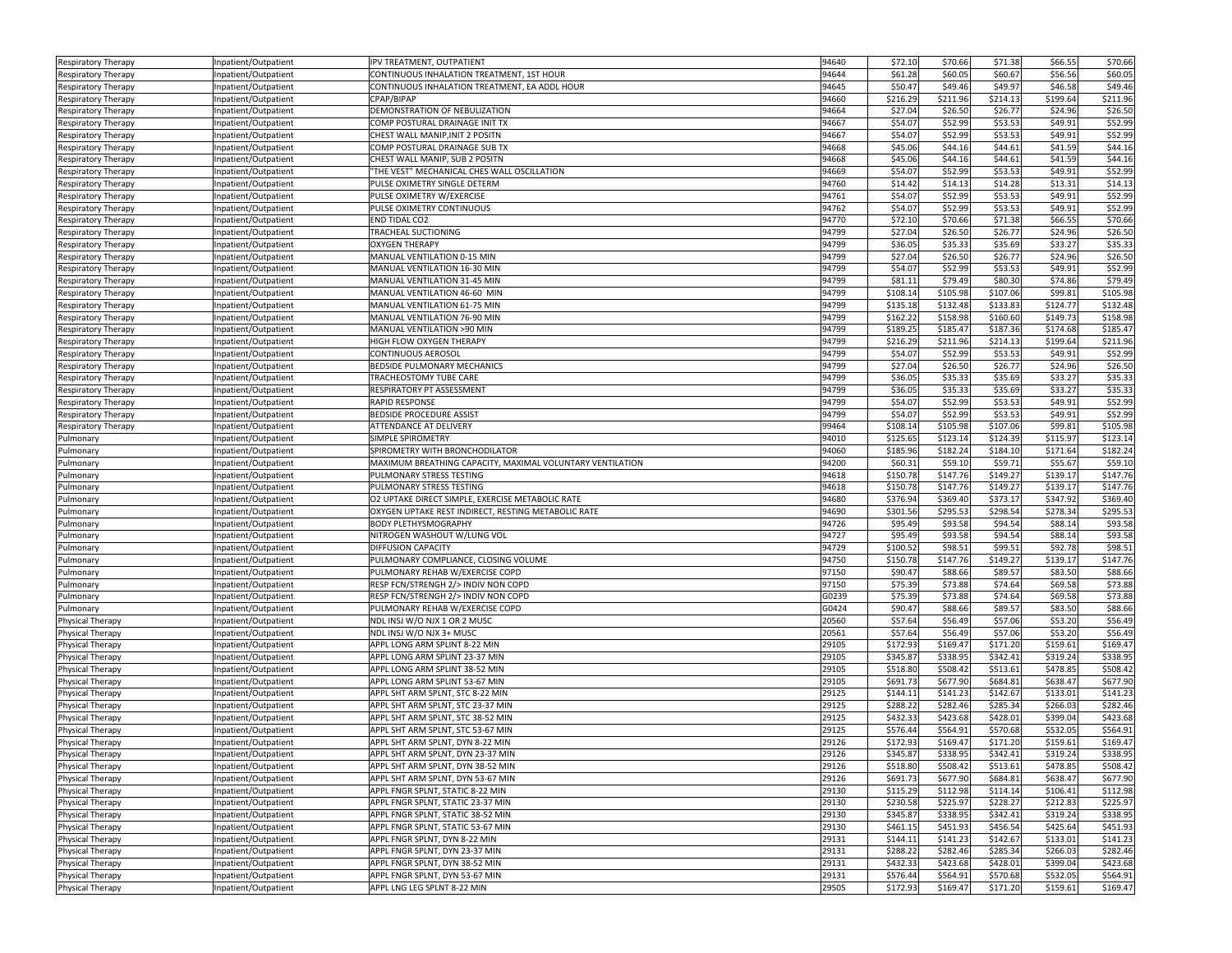| <b>Respiratory Therapy</b> | Inpatient/Outpatient | IPV TREATMENT, OUTPATIENT                                 | 94640 | \$72.10  | \$70.66  | \$71.38  | \$66.55  | \$70.66  |
|----------------------------|----------------------|-----------------------------------------------------------|-------|----------|----------|----------|----------|----------|
| Respiratory Therapy        | Inpatient/Outpatient | CONTINUOUS INHALATION TREATMENT, 1ST HOUR                 | 94644 | \$61.28  | \$60.05  | \$60.67  | \$56.56  | \$60.05  |
| Respiratory Therapy        | Inpatient/Outpatient | CONTINUOUS INHALATION TREATMENT, EA ADDL HOUR             | 94645 | \$50.47  | \$49.46  | \$49.97  | \$46.58  | \$49.46  |
| <b>Respiratory Therapy</b> | Inpatient/Outpatient | CPAP/BIPAP                                                | 94660 | \$216.29 | \$211.96 | \$214.13 | \$199.64 | \$211.96 |
| Respiratory Therapy        | Inpatient/Outpatient | DEMONSTRATION OF NEBULIZATION                             | 94664 | \$27.04  | \$26.50  | \$26.77  | \$24.96  | \$26.50  |
| Respiratory Therapy        | Inpatient/Outpatient | COMP POSTURAL DRAINAGE INIT TX                            | 94667 | \$54.07  | \$52.99  | \$53.53  | \$49.91  | \$52.99  |
| Respiratory Therapy        | Inpatient/Outpatient | CHEST WALL MANIP, INIT 2 POSITN                           | 94667 | \$54.07  | \$52.99  | \$53.53  | \$49.91  | \$52.99  |
|                            |                      | COMP POSTURAL DRAINAGE SUB TX                             | 94668 | \$45.06  | \$44.16  | \$44.61  | \$41.59  | \$44.16  |
| Respiratory Therapy        | Inpatient/Outpatient |                                                           |       |          |          |          |          |          |
| Respiratory Therapy        | Inpatient/Outpatient | CHEST WALL MANIP, SUB 2 POSITN                            | 94668 | \$45.06  | \$44.16  | \$44.61  | \$41.59  | \$44.16  |
| Respiratory Therapy        | Inpatient/Outpatient | "THE VEST" MECHANICAL CHES WALL OSCILLATION               | 94669 | \$54.07  | \$52.99  | \$53.53  | \$49.91  | \$52.99  |
| Respiratory Therapy        | Inpatient/Outpatient | PULSE OXIMETRY SINGLE DETERM                              | 94760 | \$14.42  | \$14.13  | \$14.28  | \$13.31  | \$14.13  |
| Respiratory Therapy        | Inpatient/Outpatient | PULSE OXIMETRY W/EXERCISE                                 | 94761 | \$54.07  | \$52.99  | \$53.53  | \$49.91  | \$52.99  |
| Respiratory Therapy        | Inpatient/Outpatient | PULSE OXIMETRY CONTINUOUS                                 | 94762 | \$54.07  | \$52.99  | \$53.53  | \$49.91  | \$52.99  |
| <b>Respiratory Therapy</b> | Inpatient/Outpatient | END TIDAL CO2                                             | 94770 | \$72.10  | \$70.66  | \$71.38  | \$66.55  | \$70.66  |
| Respiratory Therapy        | Inpatient/Outpatient | TRACHEAL SUCTIONING                                       | 94799 | \$27.04  | \$26.50  | \$26.77  | \$24.96  | \$26.50  |
| Respiratory Therapy        | Inpatient/Outpatient | <b>OXYGEN THERAPY</b>                                     | 94799 | \$36.05  | \$35.33  | \$35.69  | \$33.27  | \$35.33  |
| Respiratory Therapy        | Inpatient/Outpatient | MANUAL VENTILATION 0-15 MIN                               | 94799 | \$27.04  | \$26.50  | \$26.77  | \$24.96  | \$26.50  |
| Respiratory Therapy        | Inpatient/Outpatient | MANUAL VENTILATION 16-30 MIN                              | 94799 | \$54.07  | \$52.99  | \$53.53  | \$49.91  | \$52.99  |
|                            | Inpatient/Outpatient | MANUAL VENTILATION 31-45 MIN                              | 94799 | \$81.11  | \$79.49  | \$80.30  | \$74.86  | \$79.49  |
| <b>Respiratory Therapy</b> |                      |                                                           |       |          |          |          |          |          |
| Respiratory Therapy        | Inpatient/Outpatient | MANUAL VENTILATION 46-60 MIN                              | 94799 | \$108.14 | \$105.98 | \$107.06 | \$99.81  | \$105.98 |
| Respiratory Therapy        | Inpatient/Outpatient | MANUAL VENTILATION 61-75 MIN                              | 94799 | \$135.18 | \$132.48 | \$133.83 | \$124.77 | \$132.48 |
| Respiratory Therapy        | Inpatient/Outpatient | MANUAL VENTILATION 76-90 MIN                              | 94799 | \$162.22 | \$158.98 | \$160.60 | \$149.73 | \$158.98 |
| Respiratory Therapy        | Inpatient/Outpatient | MANUAL VENTILATION >90 MIN                                | 94799 | \$189.25 | \$185.4  | \$187.36 | \$174.68 | \$185.4  |
| <b>Respiratory Therapy</b> | Inpatient/Outpatient | HIGH FLOW OXYGEN THERAPY                                  | 94799 | \$216.29 | \$211.96 | \$214.13 | \$199.64 | \$211.96 |
| Respiratory Therapy        | Inpatient/Outpatient | CONTINUOUS AEROSOI                                        | 94799 | \$54.07  | \$52.99  | \$53.53  | \$49.91  | \$52.99  |
| Respiratory Therapy        | Inpatient/Outpatient | BEDSIDE PULMONARY MECHANICS                               | 94799 | \$27.04  | \$26.50  | \$26.77  | \$24.96  | \$26.50  |
| Respiratory Therapy        | Inpatient/Outpatient | TRACHEOSTOMY TUBE CARE                                    | 94799 | \$36.05  | \$35.33  | \$35.69  | \$33.27  | \$35.33  |
| Respiratory Therapy        | Inpatient/Outpatient | RESPIRATORY PT ASSESSMENT                                 | 94799 | \$36.05  | \$35.33  | \$35.69  | \$33.27  | \$35.33  |
| Respiratory Therapy        | Inpatient/Outpatient | RAPID RESPONSE                                            | 94799 | \$54.07  | \$52.99  | \$53.53  | \$49.91  | \$52.99  |
|                            |                      | BEDSIDE PROCEDURE ASSIST                                  | 94799 | \$54.07  | \$52.99  | \$53.53  | \$49.91  | \$52.99  |
| Respiratory Therapy        | Inpatient/Outpatient |                                                           |       | \$108.14 |          | \$107.06 | \$99.81  | \$105.98 |
| Respiratory Therapy        | Inpatient/Outpatient | ATTENDANCE AT DELIVERY                                    | 99464 |          | \$105.98 |          |          |          |
| Pulmonary                  | Inpatient/Outpatient | SIMPLE SPIROMETRY                                         | 94010 | \$125.65 | \$123.14 | \$124.39 | \$115.97 | \$123.14 |
| Pulmonary                  | Inpatient/Outpatient | SPIROMETRY WITH BRONCHODILATOR                            | 94060 | \$185.96 | \$182.24 | \$184.10 | \$171.64 | \$182.24 |
| Pulmonary                  | Inpatient/Outpatient | MAXIMUM BREATHING CAPACITY, MAXIMAL VOLUNTARY VENTILATION | 94200 | \$60.31  | \$59.10  | \$59.71  | \$55.67  | \$59.10  |
| Pulmonary                  | Inpatient/Outpatient | PULMONARY STRESS TESTING                                  | 94618 | \$150.78 | \$147.76 | \$149.27 | \$139.17 | \$147.76 |
| Pulmonary                  | Inpatient/Outpatient | PULMONARY STRESS TESTING                                  | 94618 | \$150.78 | \$147.76 | \$149.27 | \$139.17 | \$147.76 |
| Pulmonary                  | Inpatient/Outpatient | O2 UPTAKE DIRECT SIMPLE, EXERCISE METABOLIC RATE          | 94680 | \$376.94 | \$369.40 | \$373.17 | \$347.92 | \$369.40 |
| Pulmonary                  | Inpatient/Outpatient | OXYGEN UPTAKE REST INDIRECT, RESTING METABOLIC RATE       | 94690 | \$301.56 | \$295.53 | \$298.54 | \$278.34 | \$295.53 |
| Pulmonary                  | Inpatient/Outpatient | <b>BODY PLETHYSMOGRAPHY</b>                               | 94726 | \$95.49  | \$93.58  | \$94.54  | \$88.14  | \$93.58  |
| Pulmonary                  | Inpatient/Outpatient | NITROGEN WASHOUT W/LUNG VOL                               | 94727 | \$95.49  | \$93.58  | \$94.54  | \$88.14  | \$93.58  |
| Pulmonary                  | Inpatient/Outpatient | DIFFUSION CAPACITY                                        | 94729 | \$100.52 | \$98.51  | \$99.51  | \$92.78  | \$98.5   |
|                            |                      | PULMONARY COMPLIANCE, CLOSING VOLUME                      | 94750 |          |          |          |          |          |
| Pulmonary                  | Inpatient/Outpatient |                                                           |       | \$150.78 | \$147.76 | \$149.27 | \$139.17 | \$147.76 |
| Pulmonary                  | Inpatient/Outpatient | PULMONARY REHAB W/EXERCISE COPD                           | 97150 | \$90.47  | \$88.66  | \$89.57  | \$83.50  | \$88.66  |
| Pulmonary                  | Inpatient/Outpatient | RESP FCN/STRENGH 2/> INDIV NON COPD                       | 97150 | \$75.39  | \$73.88  | \$74.64  | \$69.58  | \$73.88  |
| Pulmonary                  | Inpatient/Outpatient | RESP FCN/STRENGH 2/> INDIV NON COPD                       | G0239 | \$75.39  | \$73.88  | \$74.64  | \$69.58  | \$73.88  |
| Pulmonary                  | Inpatient/Outpatient | PULMONARY REHAB W/EXERCISE COPD                           | G0424 | \$90.47  | \$88.66  | \$89.57  | \$83.50  | \$88.66  |
| Physical Therapy           | Inpatient/Outpatient | NDL INSJ W/O NJX 1 OR 2 MUSC                              | 20560 | \$57.64  | \$56.49  | \$57.06  | \$53.20  | \$56.49  |
| Physical Therapy           | Inpatient/Outpatient | NDL INSJ W/O NJX 3+ MUSC                                  | 20561 | \$57.64  | \$56.49  | \$57.06  | \$53.20  | \$56.49  |
| Physical Therapy           | Inpatient/Outpatient | APPL LONG ARM SPLINT 8-22 MIN                             | 29105 | \$172.93 | \$169.47 | \$171.20 | \$159.61 | \$169.4  |
| Physical Therapy           | Inpatient/Outpatient | APPL LONG ARM SPLINT 23-37 MIN                            | 29105 | \$345.87 | \$338.95 | \$342.41 | \$319.24 | \$338.95 |
| Physical Therapy           | Inpatient/Outpatient | APPL LONG ARM SPLINT 38-52 MIN                            | 29105 | \$518.80 | \$508.42 | \$513.61 | \$478.85 | \$508.42 |
| Physical Therapy           | Inpatient/Outpatient | APPL LONG ARM SPLINT 53-67 MIN                            | 29105 | \$691.73 | \$677.90 | \$684.81 | \$638.47 | \$677.90 |
| Physical Therapy           | Inpatient/Outpatient | APPL SHT ARM SPLNT, STC 8-22 MIN                          | 29125 | \$144.11 | \$141.23 | \$142.67 | \$133.01 | \$141.23 |
| Physical Therapy           | Inpatient/Outpatient | APPL SHT ARM SPLNT, STC 23-37 MIN                         | 29125 | \$288.22 | \$282.46 | \$285.34 | \$266.03 | \$282.46 |
|                            |                      | APPL SHT ARM SPLNT, STC 38-52 MIN                         | 29125 | \$432.33 | \$423.68 | \$428.01 | \$399.04 | \$423.68 |
| Physical Therapy           | Inpatient/Outpatient |                                                           |       |          |          |          | \$532.05 |          |
| Physical Therapy           | Inpatient/Outpatient | APPL SHT ARM SPLNT, STC 53-67 MIN                         | 29125 | \$576.44 | \$564.91 | \$570.68 |          | \$564.91 |
| Physical Therapy           | Inpatient/Outpatient | APPL SHT ARM SPLNT, DYN 8-22 MIN                          | 29126 | \$172.93 | \$169.47 | \$171.20 | \$159.61 | \$169.47 |
| Physical Therapy           | Inpatient/Outpatient | APPL SHT ARM SPLNT, DYN 23-37 MIN                         | 29126 | \$345.87 | \$338.95 | \$342.41 | \$319.24 | \$338.95 |
| Physical Therapy           | Inpatient/Outpatient | APPL SHT ARM SPLNT, DYN 38-52 MIN                         | 29126 | \$518.80 | \$508.42 | \$513.61 | \$478.85 | \$508.42 |
| Physical Therapy           | Inpatient/Outpatient | APPL SHT ARM SPLNT, DYN 53-67 MIN                         | 29126 | \$691.73 | \$677.90 | \$684.81 | \$638.47 | \$677.90 |
| Physical Therapy           | Inpatient/Outpatient | APPL FNGR SPLNT, STATIC 8-22 MIN                          | 29130 | \$115.29 | \$112.98 | \$114.14 | \$106.41 | \$112.98 |
| Physical Therapy           | Inpatient/Outpatient | APPL FNGR SPLNT, STATIC 23-37 MIN                         | 29130 | \$230.58 | \$225.97 | \$228.27 | \$212.83 | \$225.97 |
| Physical Therapy           | Inpatient/Outpatient | APPL FNGR SPLNT, STATIC 38-52 MIN                         | 29130 | \$345.87 | \$338.95 | \$342.41 | \$319.24 | \$338.95 |
| Physical Therapy           | Inpatient/Outpatient | APPL FNGR SPLNT, STATIC 53-67 MIN                         | 29130 | \$461.15 | \$451.93 | \$456.54 | \$425.64 | \$451.93 |
| Physical Therapy           | Inpatient/Outpatient | APPL FNGR SPLNT, DYN 8-22 MIN                             | 29131 | \$144.11 | \$141.23 | \$142.67 | \$133.01 | \$141.23 |
|                            |                      | APPL FNGR SPLNT, DYN 23-37 MIN                            | 29131 | \$288.22 | \$282.46 | \$285.34 | \$266.03 | \$282.46 |
| Physical Therapy           | Inpatient/Outpatient |                                                           |       |          |          |          |          |          |
| Physical Therapy           | Inpatient/Outpatient | APPL FNGR SPLNT, DYN 38-52 MIN                            | 29131 | \$432.33 | \$423.68 | \$428.01 | \$399.04 | \$423.68 |
| Physical Therapy           | Inpatient/Outpatient | APPL FNGR SPLNT, DYN 53-67 MIN                            | 29131 | \$576.44 | \$564.91 | \$570.68 | \$532.05 | \$564.91 |
| Physical Therapy           | Inpatient/Outpatient | APPL LNG LEG SPLNT 8-22 MIN                               | 29505 | \$172.93 | \$169.47 | \$171.20 | \$159.61 | \$169.47 |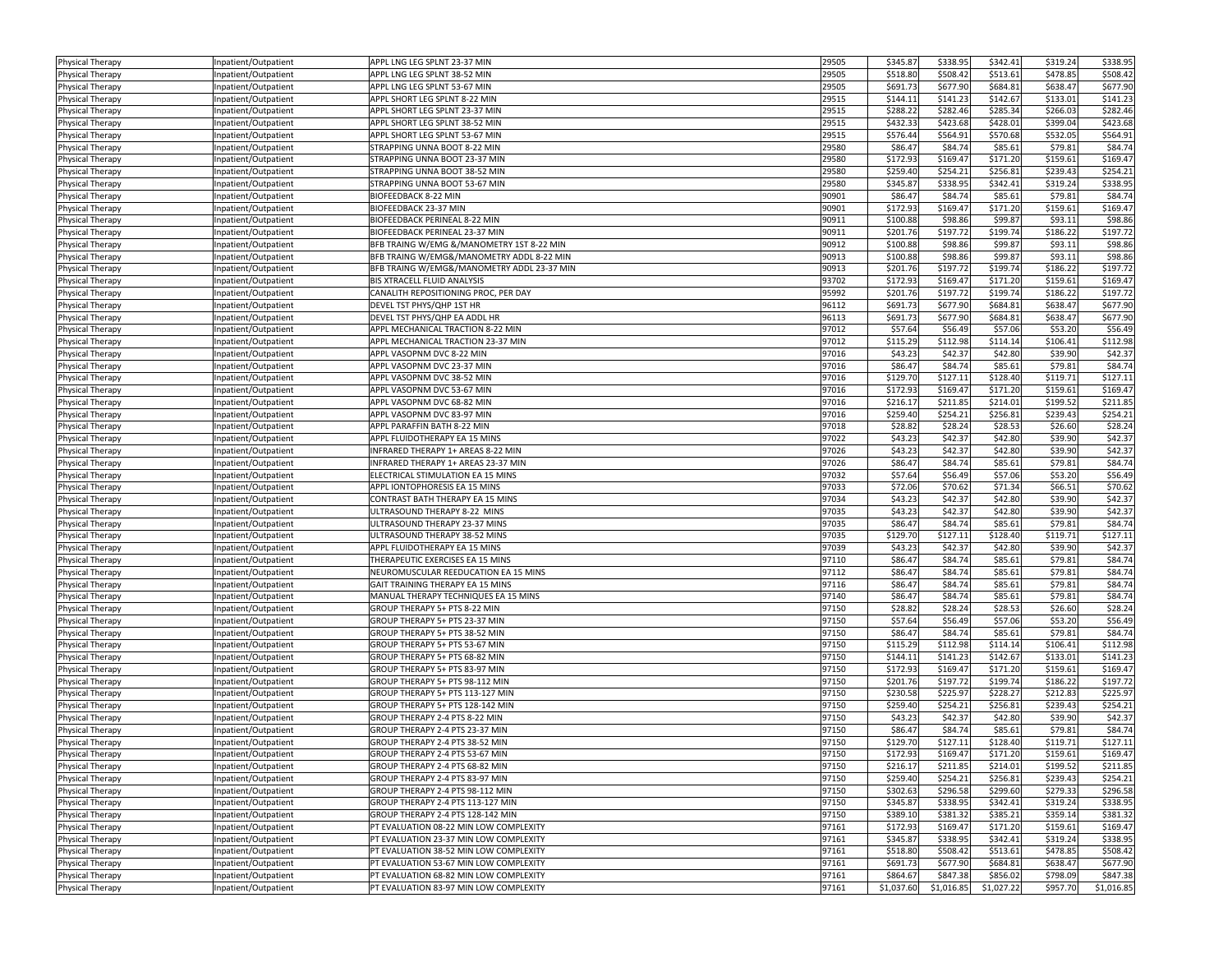| Physical Therapy        | Inpatient/Outpatient | APPL LNG LEG SPLNT 23-37 MIN               | 29505 | \$345.87   | \$338.95   | \$342.41   | \$319.24 | \$338.95   |
|-------------------------|----------------------|--------------------------------------------|-------|------------|------------|------------|----------|------------|
| Physical Therapy        | Inpatient/Outpatient | APPL LNG LEG SPLNT 38-52 MIN               | 29505 | \$518.80   | \$508.42   | \$513.61   | \$478.85 | \$508.42   |
| Physical Therapy        | Inpatient/Outpatient | APPL LNG LEG SPLNT 53-67 MIN               | 29505 | \$691.73   | \$677.90   | \$684.81   | \$638.47 | \$677.90   |
| <b>Physical Therapy</b> | Inpatient/Outpatient | APPL SHORT LEG SPLNT 8-22 MIN              | 29515 | \$144.11   | \$141.23   | \$142.67   | \$133.01 | \$141.23   |
| Physical Therapy        | Inpatient/Outpatient | APPL SHORT LEG SPLNT 23-37 MIN             | 29515 | \$288.22   | \$282.46   | \$285.34   | \$266.03 | \$282.4    |
| <b>Physical Therapy</b> | Inpatient/Outpatient | APPL SHORT LEG SPLNT 38-52 MIN             | 29515 | \$432.33   | \$423.68   | \$428.01   | \$399.04 | \$423.68   |
| Physical Therapy        | Inpatient/Outpatient | APPL SHORT LEG SPLNT 53-67 MIN             | 29515 | \$576.44   | \$564.91   | \$570.68   | \$532.05 | \$564.91   |
| Physical Therapy        | Inpatient/Outpatient | STRAPPING UNNA BOOT 8-22 MIN               | 29580 | \$86.47    | \$84.74    | \$85.61    | \$79.81  | \$84.74    |
| Physical Therapy        | Inpatient/Outpatient | STRAPPING UNNA BOOT 23-37 MIN              | 29580 | \$172.93   | \$169.47   | \$171.20   | \$159.61 | \$169.47   |
|                         | Inpatient/Outpatient | STRAPPING UNNA BOOT 38-52 MIN              | 29580 | \$259.40   | \$254.21   | \$256.81   | \$239.43 | \$254.21   |
| Physical Therapy        |                      | STRAPPING UNNA BOOT 53-67 MIN              | 29580 | \$345.87   | \$338.95   | \$342.41   | \$319.24 | \$338.95   |
| Physical Therapy        | Inpatient/Outpatient |                                            |       |            |            |            |          |            |
| <b>Physical Therapy</b> | Inpatient/Outpatient | BIOFEEDBACK 8-22 MIN                       | 90901 | \$86.47    | \$84.74    | \$85.61    | \$79.81  | \$84.74    |
| <b>Physical Therapy</b> | Inpatient/Outpatient | BIOFEEDBACK 23-37 MIN                      | 90901 | \$172.93   | \$169.47   | \$171.20   | \$159.61 | \$169.47   |
| Physical Therapy        | Inpatient/Outpatient | BIOFEEDBACK PERINEAL 8-22 MIN              | 90911 | \$100.88   | \$98.86    | \$99.87    | \$93.11  | \$98.86    |
| <b>Physical Therapy</b> | Inpatient/Outpatient | BIOFEEDBACK PERINEAL 23-37 MIN             | 90911 | \$201.76   | \$197.72   | \$199.74   | \$186.22 | \$197.72   |
| Physical Therapy        | Inpatient/Outpatient | BFB TRAING W/EMG &/MANOMETRY 1ST 8-22 MIN  | 90912 | \$100.88   | \$98.86    | \$99.87    | \$93.11  | \$98.86    |
| <b>Physical Therapy</b> | Inpatient/Outpatient | BFB TRAING W/EMG&/MANOMETRY ADDL 8-22 MIN  | 90913 | \$100.88   | \$98.86    | \$99.87    | \$93.11  | \$98.86    |
| Physical Therapy        | Inpatient/Outpatient | BFB TRAING W/EMG&/MANOMETRY ADDL 23-37 MIN | 90913 | \$201.76   | \$197.72   | \$199.74   | \$186.22 | \$197.72   |
| Physical Therapy        | Inpatient/Outpatient | BIS XTRACELL FLUID ANALYSIS                | 93702 | \$172.93   | \$169.47   | \$171.20   | \$159.61 | \$169.47   |
| Physical Therapy        | Inpatient/Outpatient | CANALITH REPOSITIONING PROC, PER DAY       | 95992 | \$201.76   | \$197.72   | \$199.74   | \$186.22 | \$197.72   |
| Physical Therapy        | Inpatient/Outpatient | DEVEL TST PHYS/QHP 1ST HR                  | 96112 | \$691.73   | \$677.90   | \$684.81   | \$638.47 | \$677.90   |
| <b>Physical Therapy</b> | Inpatient/Outpatient | DEVEL TST PHYS/QHP EA ADDL HR              | 96113 | \$691.73   | \$677.90   | \$684.81   | \$638.47 | \$677.90   |
| Physical Therapy        | Inpatient/Outpatient | APPL MECHANICAL TRACTION 8-22 MIN          | 97012 | \$57.64    | \$56.49    | \$57.06    | \$53.20  | \$56.49    |
| <b>Physical Therapy</b> | Inpatient/Outpatient | APPL MECHANICAL TRACTION 23-37 MIN         | 97012 | \$115.29   | \$112.98   | \$114.14   | \$106.41 | \$112.98   |
| Physical Therapy        | Inpatient/Outpatient | APPL VASOPNM DVC 8-22 MIN                  | 97016 | \$43.23    | \$42.37    | \$42.80    | \$39.90  | \$42.37    |
| Physical Therapy        | Inpatient/Outpatient | APPL VASOPNM DVC 23-37 MIN                 | 97016 | \$86.47    | \$84.74    | \$85.61    | \$79.81  | \$84.74    |
| Physical Therapy        | Inpatient/Outpatient | APPL VASOPNM DVC 38-52 MIN                 | 97016 | \$129.70   | \$127.11   | \$128.40   | \$119.71 | \$127.11   |
| Physical Therapy        | Inpatient/Outpatient | APPL VASOPNM DVC 53-67 MIN                 | 97016 | \$172.93   | \$169.47   | \$171.20   | \$159.61 | \$169.47   |
| Physical Therapy        | Inpatient/Outpatient | APPL VASOPNM DVC 68-82 MIN                 | 97016 | \$216.17   | \$211.85   | \$214.01   | \$199.52 | \$211.85   |
|                         | Inpatient/Outpatient | APPL VASOPNM DVC 83-97 MIN                 | 97016 | \$259.40   | \$254.21   | \$256.81   | \$239.43 | \$254.21   |
| <b>Physical Therapy</b> |                      | APPL PARAFFIN BATH 8-22 MIN                | 97018 | \$28.82    | \$28.24    | \$28.53    | \$26.60  | \$28.24    |
| Physical Therapy        | Inpatient/Outpatient |                                            |       |            |            |            |          |            |
| <b>Physical Therapy</b> | Inpatient/Outpatient | APPL FLUIDOTHERAPY EA 15 MINS              | 97022 | \$43.23    | \$42.37    | \$42.80    | \$39.90  | \$42.37    |
| Physical Therapy        | Inpatient/Outpatient | INFRARED THERAPY 1+ AREAS 8-22 MIN         | 97026 | \$43.23    | \$42.37    | \$42.80    | \$39.90  | \$42.37    |
| <b>Physical Therapy</b> | Inpatient/Outpatient | INFRARED THERAPY 1+ AREAS 23-37 MIN        | 97026 | \$86.47    | \$84.74    | \$85.61    | \$79.81  | \$84.74    |
| <b>Physical Therapy</b> | Inpatient/Outpatient | ELECTRICAL STIMULATION EA 15 MINS          | 97032 | \$57.64    | \$56.49    | \$57.06    | \$53.20  | \$56.49    |
| Physical Therapy        | Inpatient/Outpatient | APPL IONTOPHORESIS EA 15 MINS              | 97033 | \$72.06    | \$70.62    | \$71.34    | \$66.51  | \$70.62    |
| Physical Therapy        | Inpatient/Outpatient | CONTRAST BATH THERAPY EA 15 MINS           | 97034 | \$43.23    | \$42.37    | \$42.80    | \$39.90  | \$42.37    |
| Physical Therapy        | Inpatient/Outpatient | ULTRASOUND THERAPY 8-22 MINS               | 97035 | \$43.23    | \$42.37    | \$42.80    | \$39.90  | \$42.37    |
| Physical Therapy        | Inpatient/Outpatient | ULTRASOUND THERAPY 23-37 MINS              | 97035 | \$86.47    | \$84.74    | \$85.61    | \$79.81  | \$84.74    |
| Physical Therapy        | Inpatient/Outpatient | ULTRASOUND THERAPY 38-52 MINS              | 97035 | \$129.70   | \$127.11   | \$128.40   | \$119.71 | \$127.11   |
| Physical Therapy        | Inpatient/Outpatient | APPL FLUIDOTHERAPY EA 15 MINS              | 97039 | \$43.23    | \$42.37    | \$42.80    | \$39.90  | \$42.37    |
| <b>Physical Therapy</b> | Inpatient/Outpatient | THERAPEUTIC EXERCISES EA 15 MINS           | 97110 | \$86.47    | \$84.74    | \$85.61    | \$79.81  | \$84.74    |
| <b>Physical Therapy</b> | Inpatient/Outpatient | NEUROMUSCULAR REEDUCATION EA 15 MINS       | 97112 | \$86.47    | \$84.74    | \$85.61    | \$79.81  | \$84.74    |
| Physical Therapy        | Inpatient/Outpatient | GAIT TRAINING THERAPY EA 15 MINS           | 97116 | \$86.47    | \$84.74    | \$85.61    | \$79.81  | \$84.74    |
| <b>Physical Therapy</b> | Inpatient/Outpatient | MANUAL THERAPY TECHNIQUES EA 15 MINS       | 97140 | \$86.47    | \$84.74    | \$85.61    | \$79.81  | \$84.74    |
| Physical Therapy        | Inpatient/Outpatient | GROUP THERAPY 5+ PTS 8-22 MIN              | 97150 | \$28.82    | \$28.24    | \$28.53    | \$26.60  | \$28.24    |
| <b>Physical Therapy</b> | Inpatient/Outpatient | GROUP THERAPY 5+ PTS 23-37 MIN             | 97150 | \$57.64    | \$56.49    | \$57.06    | \$53.20  | \$56.49    |
| Physical Therapy        | Inpatient/Outpatient | GROUP THERAPY 5+ PTS 38-52 MIN             | 97150 | \$86.47    | \$84.74    | \$85.61    | \$79.81  | \$84.74    |
| Physical Therapy        | Inpatient/Outpatient | GROUP THERAPY 5+ PTS 53-67 MIN             | 97150 | \$115.29   | \$112.98   | \$114.14   | \$106.41 | \$112.98   |
| Physical Therapy        | Inpatient/Outpatient | GROUP THERAPY 5+ PTS 68-82 MIN             | 97150 | \$144.11   | \$141.23   | \$142.67   | \$133.01 | \$141.23   |
| Physical Therapy        | Inpatient/Outpatient | GROUP THERAPY 5+ PTS 83-97 MIN             | 97150 | \$172.93   | \$169.47   | \$171.20   | \$159.61 | \$169.47   |
| <b>Physical Therapy</b> | Inpatient/Outpatient | GROUP THERAPY 5+ PTS 98-112 MIN            | 97150 | \$201.76   | \$197.72   | \$199.74   | \$186.22 | \$197.72   |
| Physical Therapy        | Inpatient/Outpatient | GROUP THERAPY 5+ PTS 113-127 MIN           | 97150 | \$230.58   | \$225.97   | \$228.27   | \$212.83 | \$225.97   |
|                         |                      |                                            |       |            |            |            |          |            |
| <b>Physical Therapy</b> | Inpatient/Outpatient | GROUP THERAPY 5+ PTS 128-142 MIN           | 97150 | \$259.40   | \$254.21   | \$256.81   | \$239.43 | \$254.21   |
| <b>Physical Therapy</b> | Inpatient/Outpatient | GROUP THERAPY 2-4 PTS 8-22 MIN             | 97150 | \$43.23    | \$42.37    | \$42.80    | \$39.90  | \$42.37    |
| Physical Therapy        | Inpatient/Outpatient | GROUP THERAPY 2-4 PTS 23-37 MIN            | 97150 | \$86.47    | \$84.74    | \$85.61    | \$79.81  | \$84.74    |
| Physical Therapy        | Inpatient/Outpatient | GROUP THERAPY 2-4 PTS 38-52 MIN            | 97150 | \$129.70   | \$127.11   | \$128.40   | \$119.71 | \$127.11   |
| Physical Therapy        | Inpatient/Outpatient | GROUP THERAPY 2-4 PTS 53-67 MIN            | 97150 | \$172.93   | \$169.47   | \$171.20   | \$159.61 | \$169.47   |
| Physical Therapy        | Inpatient/Outpatient | GROUP THERAPY 2-4 PTS 68-82 MIN            | 97150 | \$216.17   | \$211.85   | \$214.01   | \$199.52 | \$211.85   |
| Physical Therapy        | Inpatient/Outpatient | GROUP THERAPY 2-4 PTS 83-97 MIN            | 97150 | \$259.40   | \$254.21   | \$256.81   | \$239.43 | \$254.21   |
| Physical Therapy        | Inpatient/Outpatient | GROUP THERAPY 2-4 PTS 98-112 MIN           | 97150 | \$302.63   | \$296.58   | \$299.60   | \$279.33 | \$296.58   |
| Physical Therapy        | Inpatient/Outpatient | GROUP THERAPY 2-4 PTS 113-127 MIN          | 97150 | \$345.87   | \$338.95   | \$342.41   | \$319.24 | \$338.95   |
| Physical Therapy        | Inpatient/Outpatient | GROUP THERAPY 2-4 PTS 128-142 MIN          | 97150 | \$389.10   | \$381.32   | \$385.21   | \$359.14 | \$381.32   |
| Physical Therapy        | Inpatient/Outpatient | PT EVALUATION 08-22 MIN LOW COMPLEXITY     | 97161 | \$172.93   | \$169.47   | \$171.20   | \$159.61 | \$169.47   |
| <b>Physical Therapy</b> | Inpatient/Outpatient | PT EVALUATION 23-37 MIN LOW COMPLEXITY     | 97161 | \$345.87   | \$338.95   | \$342.41   | \$319.24 | \$338.95   |
| Physical Therapy        | Inpatient/Outpatient | PT EVALUATION 38-52 MIN LOW COMPLEXITY     | 97161 | \$518.80   | \$508.42   | \$513.61   | \$478.85 | \$508.42   |
| Physical Therapy        | Inpatient/Outpatient | PT EVALUATION 53-67 MIN LOW COMPLEXITY     | 97161 | \$691.73   | \$677.90   | \$684.81   | \$638.47 | \$677.90   |
| <b>Physical Therapy</b> | Inpatient/Outpatient | PT EVALUATION 68-82 MIN LOW COMPLEXITY     | 97161 | \$864.67   | \$847.38   | \$856.02   | \$798.09 | \$847.38   |
| Physical Therapy        | Inpatient/Outpatient | PT EVALUATION 83-97 MIN LOW COMPLEXITY     | 97161 | \$1,037.60 | \$1,016.85 | \$1,027.22 | \$957.70 | \$1,016.85 |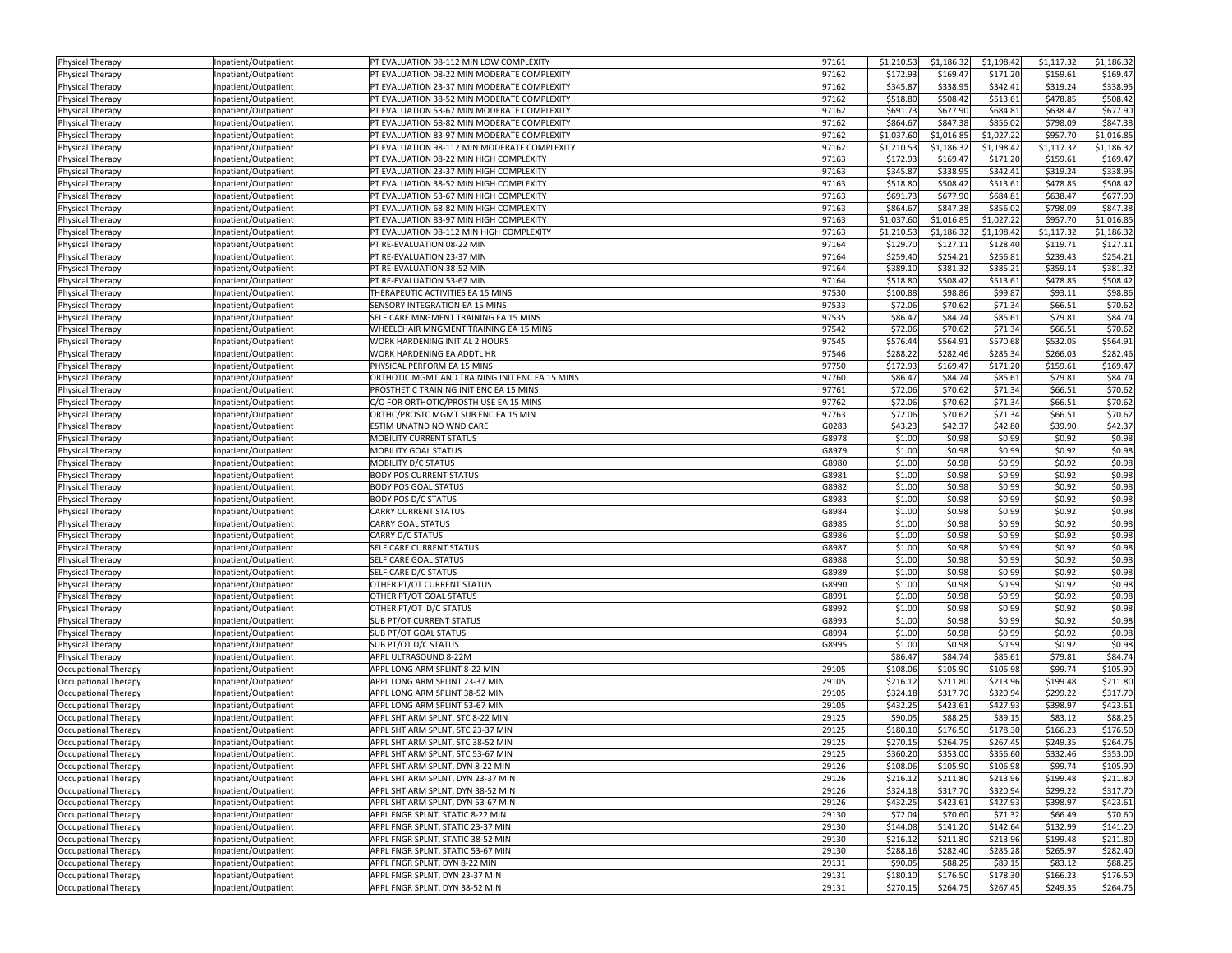| Physical Therapy            | Inpatient/Outpatient | PT EVALUATION 98-112 MIN LOW COMPLEXITY        | 97161 | \$1,210.53 | \$1,186.32 | \$1,198.42 | \$1,117.32 | \$1,186.32 |
|-----------------------------|----------------------|------------------------------------------------|-------|------------|------------|------------|------------|------------|
| <b>Physical Therapy</b>     | Inpatient/Outpatient | PT EVALUATION 08-22 MIN MODERATE COMPLEXITY    | 97162 | \$172.93   | \$169.47   | \$171.20   | \$159.61   | \$169.4    |
| Physical Therapy            | Inpatient/Outpatient | PT EVALUATION 23-37 MIN MODERATE COMPLEXITY    | 97162 | \$345.87   | \$338.95   | \$342.41   | \$319.24   | \$338.95   |
| Physical Therapy            | Inpatient/Outpatient | PT EVALUATION 38-52 MIN MODERATE COMPLEXITY    | 97162 | \$518.80   | \$508.42   | \$513.61   | \$478.85   | \$508.42   |
| Physical Therapy            | Inpatient/Outpatient | PT EVALUATION 53-67 MIN MODERATE COMPLEXITY    | 97162 | \$691.73   | \$677.90   | \$684.81   | \$638.47   | \$677.90   |
| Physical Therapy            | Inpatient/Outpatient | PT EVALUATION 68-82 MIN MODERATE COMPLEXITY    | 97162 | \$864.67   | \$847.38   | \$856.02   | \$798.09   | \$847.38   |
| <b>Physical Therapy</b>     | Inpatient/Outpatient | PT EVALUATION 83-97 MIN MODERATE COMPLEXITY    | 97162 | \$1,037.60 | \$1,016.85 | \$1,027.22 | \$957.70   | 51,016.85  |
| <b>Physical Therapy</b>     | Inpatient/Outpatient | PT EVALUATION 98-112 MIN MODERATE COMPLEXITY   | 97162 | \$1,210.53 | \$1,186.32 | \$1,198.42 | \$1,117.32 | \$1,186.3  |
| Physical Therapy            | Inpatient/Outpatient | PT EVALUATION 08-22 MIN HIGH COMPLEXITY        | 97163 | \$172.93   | \$169.47   | \$171.20   | \$159.61   | \$169.4    |
| <b>Physical Therapy</b>     | Inpatient/Outpatient | PT EVALUATION 23-37 MIN HIGH COMPLEXITY        | 97163 | \$345.87   | \$338.95   | \$342.41   | \$319.24   | \$338.9    |
| Physical Therapy            | Inpatient/Outpatient | PT EVALUATION 38-52 MIN HIGH COMPLEXITY        | 97163 | \$518.80   | \$508.42   | \$513.61   | \$478.85   | \$508.42   |
| Physical Therapy            | Inpatient/Outpatient | PT EVALUATION 53-67 MIN HIGH COMPLEXITY        | 97163 | \$691.73   | \$677.90   | \$684.81   | \$638.47   | \$677.90   |
| <b>Physical Therapy</b>     | Inpatient/Outpatient | PT EVALUATION 68-82 MIN HIGH COMPLEXITY        | 97163 | \$864.67   | \$847.38   | \$856.02   | \$798.09   | \$847.38   |
| <b>Physical Therapy</b>     | Inpatient/Outpatient | PT EVALUATION 83-97 MIN HIGH COMPLEXITY        | 97163 | \$1,037.60 | \$1,016.85 | \$1,027.22 | \$957.70   | \$1,016.85 |
| <b>Physical Therapy</b>     | Inpatient/Outpatient | PT EVALUATION 98-112 MIN HIGH COMPLEXITY       | 97163 | \$1,210.53 | \$1,186.32 | \$1,198.42 | \$1,117.32 | \$1,186.3  |
| Physical Therapy            | Inpatient/Outpatient | PT RE-EVALUATION 08-22 MIN                     | 97164 | \$129.70   | \$127.11   | \$128.40   | \$119.71   | \$127.1    |
| <b>Physical Therapy</b>     | Inpatient/Outpatient | PT RE-EVALUATION 23-37 MIN                     | 97164 | \$259.40   | \$254.21   | \$256.81   | \$239.43   | \$254.21   |
| Physical Therapy            | Inpatient/Outpatient | PT RE-EVALUATION 38-52 MIN                     | 97164 | \$389.10   | \$381.32   | \$385.21   | \$359.14   | \$381.32   |
| Physical Therapy            | Inpatient/Outpatient | PT RE-EVALUATION 53-67 MIN                     | 97164 | \$518.80   | \$508.42   | \$513.61   | \$478.85   | \$508.42   |
| <b>Physical Therapy</b>     | Inpatient/Outpatient | THERAPEUTIC ACTIVITIES EA 15 MINS              | 97530 | \$100.88   | \$98.86    | \$99.87    | \$93.11    | \$98.86    |
| Physical Therapy            | Inpatient/Outpatient | SENSORY INTEGRATION EA 15 MINS                 | 97533 | \$72.06    | \$70.62    | \$71.34    | \$66.51    | \$70.62    |
| <b>Physical Therapy</b>     | Inpatient/Outpatient | SELF CARE MNGMENT TRAINING EA 15 MINS          | 97535 | \$86.47    | \$84.74    | \$85.61    | \$79.81    | \$84.74    |
| Physical Therapy            | Inpatient/Outpatient | WHEELCHAIR MNGMENT TRAINING EA 15 MINS         | 97542 | \$72.06    | \$70.62    | \$71.34    | \$66.51    | \$70.62    |
| Physical Therapy            | Inpatient/Outpatient | WORK HARDENING INITIAL 2 HOURS                 | 97545 | \$576.44   | \$564.91   | \$570.68   | \$532.05   | \$564.91   |
| <b>Physical Therapy</b>     | Inpatient/Outpatient | WORK HARDENING EA ADDTL HR                     | 97546 | \$288.22   | \$282.46   | \$285.34   | \$266.03   | \$282.46   |
| Physical Therapy            | Inpatient/Outpatient | PHYSICAL PERFORM EA 15 MINS                    | 97750 | \$172.93   | \$169.47   | \$171.20   | \$159.61   | \$169.4    |
| <b>Physical Therapy</b>     | Inpatient/Outpatient | ORTHOTIC MGMT AND TRAINING INIT ENC EA 15 MINS | 97760 | \$86.47    | \$84.74    | \$85.61    | \$79.81    | \$84.74    |
| Physical Therapy            | Inpatient/Outpatient | PROSTHETIC TRAINING INIT ENC EA 15 MINS        | 97761 | \$72.06    | \$70.62    | \$71.34    | \$66.51    | \$70.62    |
| Physical Therapy            | Inpatient/Outpatient | C/O FOR ORTHOTIC/PROSTH USE EA 15 MINS         | 97762 | \$72.06    | \$70.62    | \$71.34    | \$66.51    | \$70.62    |
| <b>Physical Therapy</b>     | Inpatient/Outpatient | ORTHC/PROSTC MGMT SUB ENC EA 15 MIN            | 97763 | \$72.06    | \$70.62    | \$71.34    | \$66.51    | \$70.62    |
| Physical Therapy            | Inpatient/Outpatient | ESTIM UNATND NO WND CARE                       | G0283 | \$43.23    | \$42.37    | \$42.80    | \$39.90    | \$42.37    |
| Physical Therapy            | Inpatient/Outpatient | MOBILITY CURRENT STATUS                        | G8978 | \$1.00     | \$0.98     | \$0.99     | \$0.92     | \$0.98     |
| Physical Therapy            | Inpatient/Outpatient | MOBILITY GOAL STATUS                           | G8979 | \$1.00     | \$0.98     | \$0.99     | \$0.92     | \$0.98     |
| Physical Therapy            | Inpatient/Outpatient | MOBILITY D/C STATUS                            | G8980 | \$1.00     | \$0.98     | \$0.99     | \$0.92     | \$0.98     |
| Physical Therapy            | Inpatient/Outpatient | <b>BODY POS CURRENT STATUS</b>                 | G8981 | \$1.00     | \$0.98     | \$0.99     | \$0.92     | \$0.98     |
| Physical Therapy            | Inpatient/Outpatient | <b>BODY POS GOAL STATUS</b>                    | G8982 | \$1.00     | \$0.98     | \$0.99     | \$0.92     | \$0.98     |
| <b>Physical Therapy</b>     | Inpatient/Outpatient | <b>BODY POS D/C STATUS</b>                     | G8983 | \$1.00     | \$0.98     | \$0.99     | \$0.92     | \$0.98     |
| <b>Physical Therapy</b>     | Inpatient/Outpatient | CARRY CURRENT STATUS                           | G8984 | \$1.00     | \$0.98     | \$0.99     | \$0.92     | \$0.98     |
| Physical Therapy            | Inpatient/Outpatient | <b>CARRY GOAL STATUS</b>                       | G8985 | \$1.00     | \$0.98     | \$0.99     | \$0.92     | \$0.98     |
| <b>Physical Therapy</b>     | Inpatient/Outpatient | CARRY D/C STATUS                               | G8986 | \$1.00     | \$0.98     | \$0.99     | \$0.92     | \$0.98     |
| Physical Therapy            | Inpatient/Outpatient | SELF CARE CURRENT STATUS                       | G8987 | \$1.00     | \$0.98     | \$0.99     | \$0.92     | \$0.98     |
| Physical Therapy            | Inpatient/Outpatient | SELF CARE GOAL STATUS                          | G8988 | \$1.00     | \$0.98     | \$0.99     | \$0.92     | \$0.98     |
| <b>Physical Therapy</b>     | Inpatient/Outpatient | SELF CARE D/C STATUS                           | G8989 | \$1.00     | \$0.98     | \$0.99     | \$0.92     | \$0.98     |
| Physical Therapy            | Inpatient/Outpatient | OTHER PT/OT CURRENT STATUS                     | G8990 | \$1.00     | \$0.98     | \$0.99     | \$0.92     | \$0.98     |
| Physical Therapy            | Inpatient/Outpatient | OTHER PT/OT GOAL STATUS                        | G8991 | \$1.00     | \$0.98     | \$0.99     | \$0.92     | \$0.98     |
| Physical Therapy            | Inpatient/Outpatient | OTHER PT/OT D/C STATUS                         | G8992 | \$1.00     | \$0.98     | \$0.99     | \$0.92     | \$0.98     |
| <b>Physical Therapy</b>     | Inpatient/Outpatient | <b>SUB PT/OT CURRENT STATUS</b>                | G8993 | \$1.00     | \$0.98     | \$0.99     | \$0.92     | \$0.98     |
| Physical Therapy            | Inpatient/Outpatient | SUB PT/OT GOAL STATUS                          | G8994 | \$1.00     | \$0.98     | \$0.99     | \$0.92     | \$0.98     |
| <b>Physical Therapy</b>     | Inpatient/Outpatient | SUB PT/OT D/C STATUS                           | G8995 | \$1.00     | \$0.98     | \$0.99     | \$0.92     | \$0.98     |
| Physical Therapy            | Inpatient/Outpatient | APPL ULTRASOUND 8-22M                          |       | \$86.47    | \$84.74    | \$85.61    | \$79.81    | \$84.74    |
| Occupational Therapy        | Inpatient/Outpatient | APPL LONG ARM SPLINT 8-22 MIN                  | 29105 | \$108.06   | \$105.90   | \$106.98   | \$99.74    | \$105.90   |
| Occupational Therapy        | Inpatient/Outpatient | APPL LONG ARM SPLINT 23-37 MIN                 | 29105 | \$216.12   | \$211.80   | \$213.96   | \$199.48   | \$211.80   |
| Occupational Therapy        | Inpatient/Outpatient | APPL LONG ARM SPLINT 38-52 MIN                 | 29105 | \$324.18   | \$317.70   | \$320.94   | \$299.22   | \$317.70   |
| Occupational Therapy        | Inpatient/Outpatient | APPL LONG ARM SPLINT 53-67 MIN                 | 29105 | \$432.25   | \$423.61   | \$427.93   | \$398.97   | \$423.61   |
| Occupational Therapy        | Inpatient/Outpatient | APPL SHT ARM SPLNT, STC 8-22 MIN               | 29125 | \$90.05    | \$88.25    | \$89.15    | \$83.12    | \$88.25    |
| Occupational Therapy        | Inpatient/Outpatient | APPL SHT ARM SPLNT, STC 23-37 MIN              | 29125 | \$180.10   | \$176.50   | \$178.30   | \$166.23   | \$176.50   |
| Occupational Therapy        | Inpatient/Outpatient | APPL SHT ARM SPLNT, STC 38-52 MIN              | 29125 | \$270.15   | \$264.75   | \$267.45   | \$249.35   | \$264.75   |
| Occupational Therapy        | Inpatient/Outpatient | APPL SHT ARM SPLNT, STC 53-67 MIN              | 29125 | \$360.20   | \$353.00   | \$356.60   | \$332.46   | \$353.00   |
| Occupational Therapy        | Inpatient/Outpatient | APPL SHT ARM SPLNT, DYN 8-22 MIN               | 29126 | \$108.06   | \$105.90   | \$106.98   | \$99.74    | \$105.90   |
| Occupational Therapy        | Inpatient/Outpatient | APPL SHT ARM SPLNT, DYN 23-37 MIN              | 29126 | \$216.12   | \$211.80   | \$213.96   | \$199.48   | \$211.80   |
| <b>Occupational Therapy</b> | Inpatient/Outpatient | APPL SHT ARM SPLNT, DYN 38-52 MIN              | 29126 | \$324.18   | \$317.70   | \$320.94   | \$299.22   | \$317.70   |
| Occupational Therapy        | Inpatient/Outpatient | APPL SHT ARM SPLNT, DYN 53-67 MIN              | 29126 | \$432.25   | \$423.61   | \$427.93   | \$398.97   | \$423.61   |
| Occupational Therapy        | Inpatient/Outpatient | APPL FNGR SPLNT, STATIC 8-22 MIN               | 29130 | \$72.04    | \$70.60    | \$71.32    | \$66.49    | \$70.60    |
| <b>Occupational Therapy</b> | Inpatient/Outpatient | APPL FNGR SPLNT, STATIC 23-37 MIN              | 29130 | \$144.08   | \$141.20   | \$142.64   | \$132.99   | \$141.20   |
| Occupational Therapy        | Inpatient/Outpatient | APPL FNGR SPLNT, STATIC 38-52 MIN              | 29130 | \$216.12   | \$211.80   | \$213.96   | \$199.48   | \$211.80   |
| Occupational Therapy        | Inpatient/Outpatient | APPL FNGR SPLNT, STATIC 53-67 MIN              | 29130 | \$288.16   | \$282.40   | \$285.28   | \$265.97   | \$282.40   |
| Occupational Therapy        | Inpatient/Outpatient | APPL FNGR SPLNT, DYN 8-22 MIN                  | 29131 | \$90.05    | \$88.25    | \$89.15    | \$83.12    | \$88.25    |
| <b>Occupational Therapy</b> | Inpatient/Outpatient | APPL FNGR SPLNT, DYN 23-37 MIN                 | 29131 | \$180.10   | \$176.50   | \$178.30   | \$166.23   | \$176.50   |
| Occupational Therapy        | Inpatient/Outpatient | APPL FNGR SPLNT, DYN 38-52 MIN                 | 29131 | \$270.15   | \$264.75   | \$267.45   | \$249.35   | \$264.75   |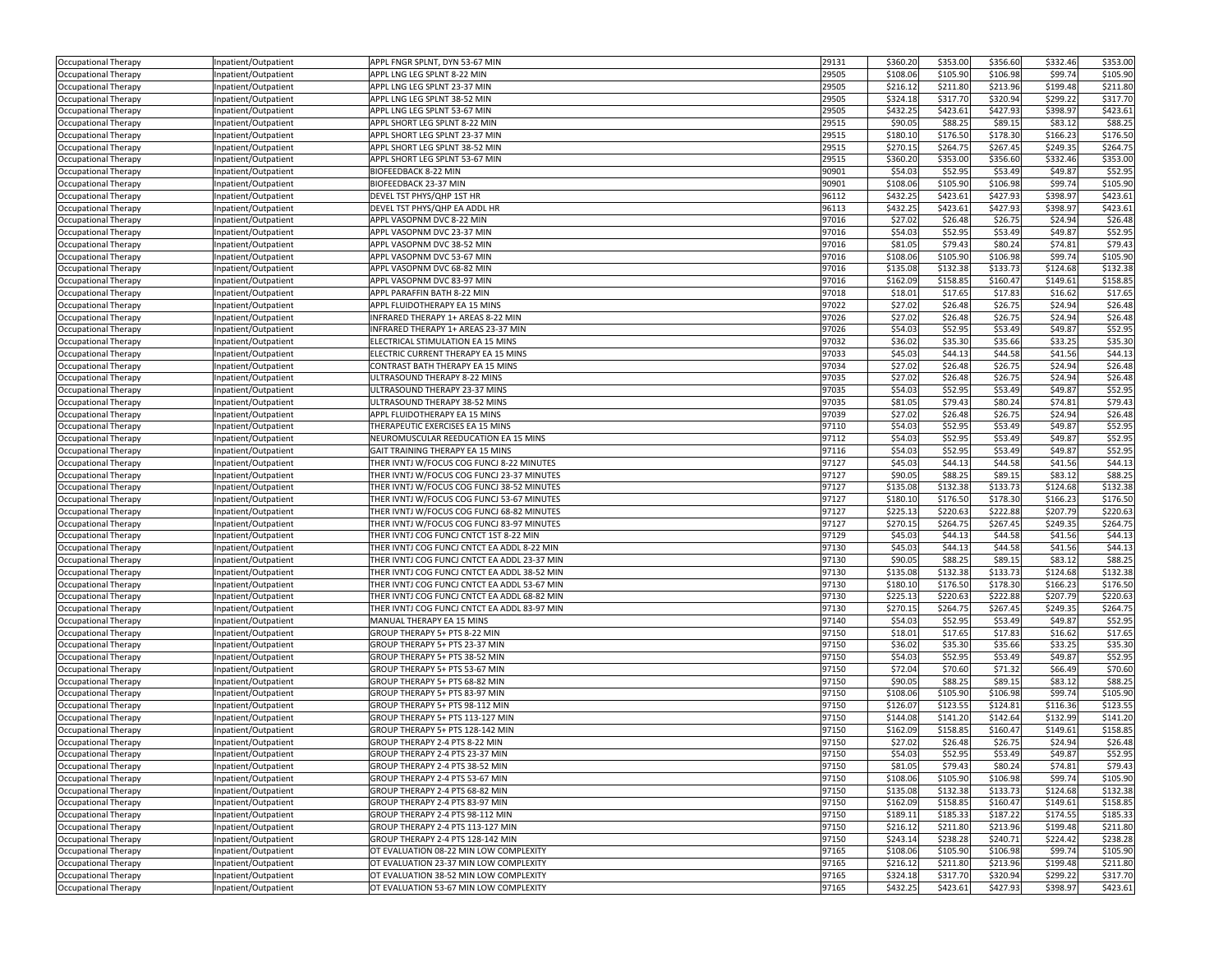| Occupational Therapy                                | Inpatient/Outpatient | APPL FNGR SPLNT, DYN 53-67 MIN                           | 29131          | \$360.20             | \$353.00             | \$356.60             | \$332.46            | \$353.00             |
|-----------------------------------------------------|----------------------|----------------------------------------------------------|----------------|----------------------|----------------------|----------------------|---------------------|----------------------|
| Occupational Therapy                                | Inpatient/Outpatient | APPL LNG LEG SPLNT 8-22 MIN                              | 29505          | \$108.06             | \$105.90             | \$106.98             | \$99.74             | \$105.90             |
| Occupational Therapy                                | Inpatient/Outpatient | APPL LNG LEG SPLNT 23-37 MIN                             | 29505          | \$216.12             | \$211.80             | \$213.96             | \$199.48            | \$211.80             |
| Occupational Therapy                                | Inpatient/Outpatient | APPL LNG LEG SPLNT 38-52 MIN                             | 29505          | \$324.18             | \$317.70             | \$320.94             | \$299.22            | \$317.70             |
| Occupational Therapy                                | Inpatient/Outpatient | APPL LNG LEG SPLNT 53-67 MIN                             | 29505          | \$432.25             | \$423.61             | \$427.93             | \$398.97            | \$423.61             |
| Occupational Therapy                                | Inpatient/Outpatient | APPL SHORT LEG SPLNT 8-22 MIN                            | 29515          | \$90.05              | \$88.25              | \$89.15              | \$83.12             | \$88.25              |
| Occupational Therapy                                | Inpatient/Outpatient | APPL SHORT LEG SPLNT 23-37 MIN                           | 29515          | \$180.10             | \$176.50             | \$178.30             | \$166.23            | \$176.50             |
| Occupational Therapy                                | Inpatient/Outpatient | APPL SHORT LEG SPLNT 38-52 MIN                           | 29515          | \$270.15             | \$264.75             | \$267.45             | \$249.35            | \$264.75             |
| Occupational Therapy                                | Inpatient/Outpatient | APPL SHORT LEG SPLNT 53-67 MIN                           | 29515          | \$360.20             | \$353.00             | \$356.60             | \$332.46            | \$353.00             |
| Occupational Therapy                                | Inpatient/Outpatient | <b>BIOFEEDBACK 8-22 MIN</b>                              | 90901          | \$54.03              | \$52.95              | \$53.49              | \$49.87             | \$52.95              |
| Occupational Therapy                                | Inpatient/Outpatient | BIOFEEDBACK 23-37 MIN                                    | 90901          | \$108.06             | \$105.90             | \$106.98             | \$99.74             | \$105.90             |
| Occupational Therapy                                | Inpatient/Outpatient | DEVEL TST PHYS/QHP 1ST HR                                | 96112          | \$432.25             | \$423.61             | \$427.93             | \$398.97            | \$423.61             |
| Occupational Therapy                                | Inpatient/Outpatient | DEVEL TST PHYS/QHP EA ADDL HR                            | 96113          | \$432.25             | \$423.61             | \$427.93             | \$398.97            | \$423.61             |
|                                                     |                      | APPL VASOPNM DVC 8-22 MIN                                | 97016          | \$27.02              | \$26.48              | \$26.75              | \$24.94             | \$26.48              |
| Occupational Therapy                                | Inpatient/Outpatient |                                                          | 97016          |                      |                      |                      |                     |                      |
| Occupational Therapy                                | Inpatient/Outpatient | APPL VASOPNM DVC 23-37 MIN<br>APPL VASOPNM DVC 38-52 MIN | 97016          | \$54.03<br>\$81.05   | \$52.95<br>\$79.43   | \$53.49<br>\$80.24   | \$49.87<br>\$74.81  | \$52.95<br>\$79.43   |
| Occupational Therapy                                | Inpatient/Outpatient |                                                          |                |                      |                      |                      | \$99.74             |                      |
| Occupational Therapy                                | Inpatient/Outpatient | APPL VASOPNM DVC 53-67 MIN<br>APPL VASOPNM DVC 68-82 MIN | 97016          | \$108.06<br>\$135.08 | \$105.90             | \$106.98<br>\$133.73 | \$124.68            | \$105.90             |
| Occupational Therapy                                | Inpatient/Outpatient |                                                          | 97016          |                      | \$132.38             |                      |                     | \$132.38             |
| Occupational Therapy                                | Inpatient/Outpatient | APPL VASOPNM DVC 83-97 MIN                               | 97016          | \$162.09             | \$158.85             | \$160.47             | \$149.61            | \$158.85             |
| Occupational Therapy                                | Inpatient/Outpatient | APPL PARAFFIN BATH 8-22 MIN                              | 97018          | \$18.01              | \$17.65              | \$17.83              | \$16.62             | \$17.65              |
| Occupational Therapy                                | Inpatient/Outpatient | APPL FLUIDOTHERAPY EA 15 MINS                            | 97022          | \$27.02              | \$26.48              | \$26.75              | \$24.94             | \$26.48              |
| Occupational Therapy                                | Inpatient/Outpatient | INFRARED THERAPY 1+ AREAS 8-22 MIN                       | 97026          | \$27.02              | \$26.48              | \$26.75              | \$24.94             | \$26.48              |
| Occupational Therapy                                | Inpatient/Outpatient | INFRARED THERAPY 1+ AREAS 23-37 MIN                      | 97026          | \$54.03              | \$52.95              | \$53.49              | \$49.87             | \$52.95              |
| Occupational Therapy                                | Inpatient/Outpatient | ELECTRICAL STIMULATION EA 15 MINS                        | 97032          | \$36.02              | \$35.30              | \$35.66              | \$33.25             | \$35.30              |
| Occupational Therapy                                | Inpatient/Outpatient | ELECTRIC CURRENT THERAPY EA 15 MINS                      | 97033          | \$45.03              | \$44.13              | \$44.58              | \$41.56             | \$44.13              |
| Occupational Therapy                                | Inpatient/Outpatient | CONTRAST BATH THERAPY EA 15 MINS                         | 97034          | \$27.02              | \$26.48              | \$26.75              | \$24.94             | \$26.48              |
| Occupational Therapy                                | Inpatient/Outpatient | ULTRASOUND THERAPY 8-22 MINS                             | 97035          | \$27.02              | \$26.48              | \$26.75              | \$24.94             | \$26.48              |
| Occupational Therapy                                | Inpatient/Outpatient | ULTRASOUND THERAPY 23-37 MINS                            | 97035          | \$54.03              | \$52.95              | \$53.49              | \$49.87             | \$52.95              |
| Occupational Therapy                                | Inpatient/Outpatient | ULTRASOUND THERAPY 38-52 MINS                            | 97035          | \$81.05              | \$79.43              | \$80.24              | \$74.81             | \$79.43              |
| Occupational Therapy                                | Inpatient/Outpatient | APPL FLUIDOTHERAPY EA 15 MINS                            | 97039          | \$27.02              | \$26.48              | \$26.75              | \$24.94             | \$26.48              |
| Occupational Therapy                                | Inpatient/Outpatient | THERAPEUTIC EXERCISES EA 15 MINS                         | 97110          | \$54.03              | \$52.95              | \$53.49              | \$49.87             | \$52.95              |
| Occupational Therapy                                | Inpatient/Outpatient | NEUROMUSCULAR REEDUCATION EA 15 MINS                     | 97112          | \$54.03              | \$52.95              | \$53.49              | \$49.87             | \$52.95              |
| Occupational Therapy                                | Inpatient/Outpatient | GAIT TRAINING THERAPY EA 15 MINS                         | 97116          | \$54.03              | \$52.95              | \$53.49              | \$49.87             | \$52.95              |
| Occupational Therapy                                | Inpatient/Outpatient | THER IVNTJ W/FOCUS COG FUNCJ 8-22 MINUTES                | 97127          | \$45.03              | \$44.13              | \$44.58              | \$41.56             | \$44.13              |
| Occupational Therapy                                | Inpatient/Outpatient | THER IVNTJ W/FOCUS COG FUNCJ 23-37 MINUTES               | 97127          | \$90.05              | \$88.25              | \$89.15              | \$83.12             | \$88.2               |
| Occupational Therapy                                | Inpatient/Outpatient | THER IVNTJ W/FOCUS COG FUNCJ 38-52 MINUTES               | 97127          | \$135.08             | \$132.38             | \$133.73             | \$124.68            | \$132.38             |
| Occupational Therapy                                | Inpatient/Outpatient | THER IVNTJ W/FOCUS COG FUNCJ 53-67 MINUTES               | 97127          | \$180.10             | \$176.50             | \$178.30             | \$166.23            | \$176.50             |
| Occupational Therapy                                | Inpatient/Outpatient | THER IVNTJ W/FOCUS COG FUNCJ 68-82 MINUTES               | 97127          | \$225.13             | \$220.63             | \$222.88             | \$207.79            | \$220.63             |
| Occupational Therapy                                | Inpatient/Outpatient | THER IVNTJ W/FOCUS COG FUNCJ 83-97 MINUTES               | 97127          | \$270.15             | \$264.75             | \$267.45             | \$249.35            | \$264.75             |
| Occupational Therapy                                | Inpatient/Outpatient | THER IVNTJ COG FUNCJ CNTCT 1ST 8-22 MIN                  | 97129          | \$45.03              | \$44.13              | \$44.58              | \$41.56             | \$44.13              |
| Occupational Therapy                                | Inpatient/Outpatient | THER IVNTJ COG FUNCJ CNTCT EA ADDL 8-22 MIN              | 97130          | \$45.03              | \$44.13              | \$44.58              | \$41.56             | \$44.13              |
| Occupational Therapy                                | Inpatient/Outpatient | THER IVNTJ COG FUNCJ CNTCT EA ADDL 23-37 MIN             | 97130          | \$90.05              | \$88.25              | \$89.15              | \$83.12             | \$88.25              |
| Occupational Therapy                                | Inpatient/Outpatient | THER IVNTJ COG FUNCJ CNTCT EA ADDL 38-52 MIN             | 97130          | \$135.08             | \$132.38             | \$133.73             | \$124.68            | \$132.38             |
| Occupational Therapy                                | Inpatient/Outpatient | THER IVNTJ COG FUNCJ CNTCT EA ADDL 53-67 MIN             | 97130          | \$180.10             | \$176.50             | \$178.30             | \$166.23            | \$176.50             |
| Occupational Therapy                                | Inpatient/Outpatient | THER IVNTJ COG FUNCJ CNTCT EA ADDL 68-82 MIN             | 97130          | \$225.13             | \$220.63             | \$222.88             | \$207.79            | \$220.63             |
| Occupational Therapy                                | Inpatient/Outpatient | THER IVNTJ COG FUNCJ CNTCT EA ADDL 83-97 MIN             | 97130          | \$270.15             | \$264.75             | \$267.45             | \$249.35            | \$264.75             |
| Occupational Therapy                                | Inpatient/Outpatient | MANUAL THERAPY EA 15 MINS                                | 97140          | \$54.03              | \$52.95              | \$53.49              | \$49.87             | \$52.95              |
| Occupational Therapy                                | Inpatient/Outpatient | GROUP THERAPY 5+ PTS 8-22 MIN                            | 97150          | \$18.01              | \$17.65              | \$17.83              | \$16.62             | \$17.65              |
| Occupational Therapy                                | Inpatient/Outpatient | GROUP THERAPY 5+ PTS 23-37 MIN                           | 97150          | \$36.02              | \$35.30              | \$35.66              | \$33.25             | \$35.30              |
| Occupational Therapy                                | Inpatient/Outpatient | GROUP THERAPY 5+ PTS 38-52 MIN                           | 97150          | \$54.03              | \$52.95              | \$53.49              | \$49.87             | \$52.95              |
| Occupational Therapy                                | Inpatient/Outpatient | GROUP THERAPY 5+ PTS 53-67 MIN                           | 97150          | \$72.04              | \$70.60              | \$71.32              | \$66.49             | \$70.60              |
| Occupational Therapy                                | Inpatient/Outpatient | GROUP THERAPY 5+ PTS 68-82 MIN                           | 97150          | \$90.05              | \$88.25              | \$89.15              | \$83.12             | \$88.25              |
| Occupational Therapy                                | Inpatient/Outpatient | GROUP THERAPY 5+ PTS 83-97 MIN                           | 97150          | \$108.06             | \$105.90             | \$106.98             | \$99.74             | \$105.90             |
| Occupational Therapy                                | Inpatient/Outpatient | GROUP THERAPY 5+ PTS 98-112 MIN                          | 97150          | \$126.07             | \$123.55             | \$124.81             | \$116.36            | \$123.55             |
| Occupational Therapy                                | Inpatient/Outpatient | GROUP THERAPY 5+ PTS 113-127 MIN                         | 97150          | \$144.08             | \$141.20             | \$142.64             | \$132.99            | \$141.20             |
| Occupational Therapy                                | Inpatient/Outpatient | GROUP THERAPY 5+ PTS 128-142 MIN                         | 97150          | \$162.09             | \$158.85             | \$160.47             | \$149.61            | \$158.85             |
| Occupational Therapy                                | Inpatient/Outpatient | GROUP THERAPY 2-4 PTS 8-22 MIN                           | 97150          | \$27.02              | \$26.48              | \$26.75              | \$24.94             | \$26.48              |
|                                                     |                      | GROUP THERAPY 2-4 PTS 23-37 MIN                          | 97150          | \$54.03              | \$52.95              | \$53.49              | \$49.87             | \$52.95              |
| Occupational Therapy                                | Inpatient/Outpatient | GROUP THERAPY 2-4 PTS 38-52 MIN                          |                |                      |                      |                      |                     | \$79.43              |
| Occupational Therapy<br><b>Occupational Therapy</b> | Inpatient/Outpatient | GROUP THERAPY 2-4 PTS 53-67 MIN                          | 97150          | \$81.05              | \$79.43              | \$80.24              | \$74.81             |                      |
|                                                     | Inpatient/Outpatient | GROUP THERAPY 2-4 PTS 68-82 MIN                          | 97150<br>97150 | \$108.06<br>\$135.08 | \$105.90<br>\$132.38 | \$106.98<br>\$133.73 | \$99.74<br>\$124.68 | \$105.90<br>\$132.38 |
| <b>Occupational Therapy</b>                         | Inpatient/Outpatient |                                                          |                |                      |                      |                      |                     |                      |
| Occupational Therapy                                | Inpatient/Outpatient | GROUP THERAPY 2-4 PTS 83-97 MIN                          | 97150          | \$162.09             | \$158.85             | \$160.47             | \$149.61            | \$158.85             |
| Occupational Therapy                                | Inpatient/Outpatient | GROUP THERAPY 2-4 PTS 98-112 MIN                         | 97150          | \$189.11             | \$185.33             | \$187.22             | \$174.55            | \$185.33             |
| Occupational Therapy                                | Inpatient/Outpatient | GROUP THERAPY 2-4 PTS 113-127 MIN                        | 97150          | \$216.12             | \$211.80             | \$213.96             | \$199.48            | \$211.80             |
| <b>Occupational Therapy</b>                         | Inpatient/Outpatient | GROUP THERAPY 2-4 PTS 128-142 MIN                        | 97150          | \$243.14             | \$238.28             | \$240.71             | \$224.42            | \$238.28             |
| Occupational Therapy                                | Inpatient/Outpatient | OT EVALUATION 08-22 MIN LOW COMPLEXITY                   | 97165          | \$108.06             | \$105.90             | \$106.98             | \$99.74             | \$105.90             |
| Occupational Therapy                                | Inpatient/Outpatient | OT EVALUATION 23-37 MIN LOW COMPLEXITY                   | 97165          | \$216.12             | \$211.80             | \$213.96             | \$199.48            | \$211.80             |
| Occupational Therapy                                | Inpatient/Outpatient | OT EVALUATION 38-52 MIN LOW COMPLEXITY                   | 97165          | \$324.18             | \$317.70             | \$320.94             | \$299.22            | \$317.70             |
| Occupational Therapy                                | Inpatient/Outpatient | OT EVALUATION 53-67 MIN LOW COMPLEXITY                   | 97165          | \$432.25             | \$423.61             | \$427.93             | \$398.97            | \$423.61             |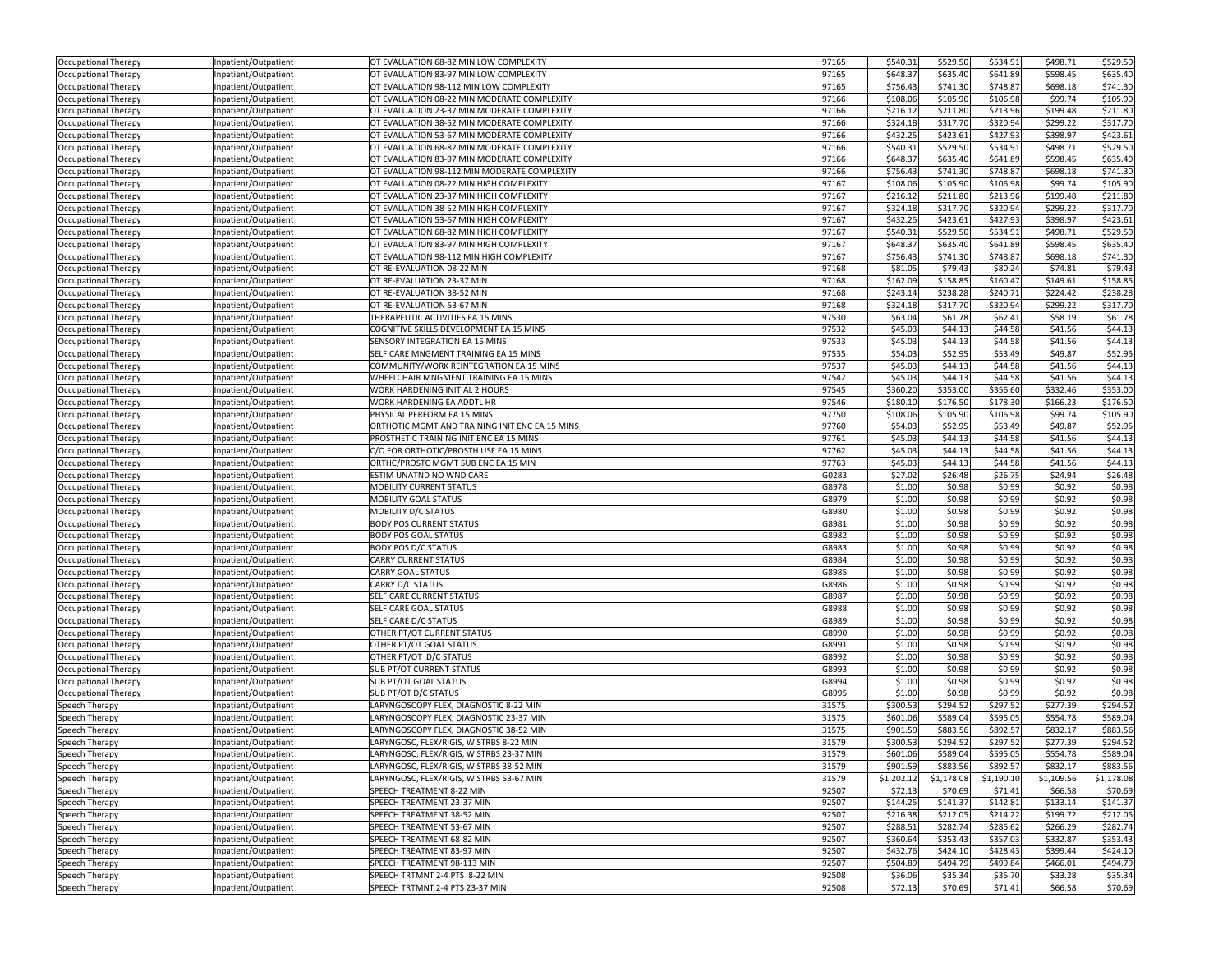| Occupational Therapy                         | Inpatient/Outpatient                         | OT EVALUATION 68-82 MIN LOW COMPLEXITY                          | 97165          | \$540.31             | \$529.50             | \$534.91             | \$498.71             | \$529.50             |
|----------------------------------------------|----------------------------------------------|-----------------------------------------------------------------|----------------|----------------------|----------------------|----------------------|----------------------|----------------------|
| Occupational Therapy                         | Inpatient/Outpatient                         | OT EVALUATION 83-97 MIN LOW COMPLEXITY                          | 97165          | \$648.37             | \$635.40             | \$641.89             | \$598.45             | \$635.40             |
| Occupational Therapy                         | Inpatient/Outpatient                         | OT EVALUATION 98-112 MIN LOW COMPLEXITY                         | 97165          | \$756.43             | \$741.30             | \$748.87             | \$698.18             | \$741.30             |
| Occupational Therapy                         | Inpatient/Outpatient                         | OT EVALUATION 08-22 MIN MODERATE COMPLEXITY                     | 97166          | \$108.06             | \$105.90             | \$106.98             | \$99.74              | \$105.90             |
| Occupational Therapy                         | Inpatient/Outpatient                         | OT EVALUATION 23-37 MIN MODERATE COMPLEXITY                     | 97166          | \$216.12             | \$211.80             | \$213.96             | \$199.48             | \$211.80             |
| Occupational Therapy                         | Inpatient/Outpatient                         | OT EVALUATION 38-52 MIN MODERATE COMPLEXITY                     | 97166          | \$324.18             | \$317.70             | \$320.94             | \$299.22             | \$317.70             |
| Occupational Therapy                         | Inpatient/Outpatient                         | OT EVALUATION 53-67 MIN MODERATE COMPLEXITY                     | 97166          | \$432.25             | \$423.61             | \$427.93             | \$398.97             | \$423.61             |
| Occupational Therapy                         | Inpatient/Outpatient                         | OT EVALUATION 68-82 MIN MODERATE COMPLEXITY                     | 97166          | \$540.31             | \$529.50             | \$534.91             | \$498.71             | \$529.50             |
| Occupational Therapy                         | Inpatient/Outpatient                         | OT EVALUATION 83-97 MIN MODERATE COMPLEXITY                     | 97166          | \$648.37             | \$635.40             | \$641.89             | \$598.45             | \$635.40             |
| Occupational Therapy                         | Inpatient/Outpatient                         | OT EVALUATION 98-112 MIN MODERATE COMPLEXITY                    | 97166          | \$756.43             | \$741.30             | \$748.87             | \$698.18             | \$741.30             |
| Occupational Therapy                         | Inpatient/Outpatient                         | OT EVALUATION 08-22 MIN HIGH COMPLEXITY                         | 97167          | \$108.06             | \$105.90             | \$106.98             | \$99.74              | \$105.90             |
| Occupational Therapy                         | Inpatient/Outpatient                         | OT EVALUATION 23-37 MIN HIGH COMPLEXITY                         | 97167          | \$216.12             | \$211.80             | \$213.96             | \$199.48             | \$211.80             |
| Occupational Therapy                         | Inpatient/Outpatient                         | OT EVALUATION 38-52 MIN HIGH COMPLEXITY                         | 97167          | \$324.18             | \$317.70             | \$320.94             | \$299.22             | \$317.70             |
| Occupational Therapy                         | Inpatient/Outpatient                         | OT EVALUATION 53-67 MIN HIGH COMPLEXITY                         | 97167          | \$432.25             | \$423.61             | \$427.93             | \$398.97             | \$423.61             |
| Occupational Therapy                         | Inpatient/Outpatient                         | OT EVALUATION 68-82 MIN HIGH COMPLEXITY                         | 97167          | \$540.31             | \$529.50             | \$534.91             | \$498.71             | \$529.50             |
| Occupational Therapy                         | Inpatient/Outpatient                         | OT EVALUATION 83-97 MIN HIGH COMPLEXITY                         | 97167          | \$648.37             | \$635.40             | \$641.89             | \$598.45             | \$635.40             |
| Occupational Therapy                         | Inpatient/Outpatient                         | OT EVALUATION 98-112 MIN HIGH COMPLEXITY                        | 97167          | \$756.43             | \$741.30             | \$748.87             | \$698.18             | \$741.30             |
| Occupational Therapy                         | Inpatient/Outpatient                         | OT RE-EVALUATION 08-22 MIN                                      | 97168          | \$81.05              | \$79.43              | \$80.24              | \$74.81              | \$79.4               |
| Occupational Therapy                         | Inpatient/Outpatient                         | OT RE-EVALUATION 23-37 MIN                                      | 97168          | \$162.09             | \$158.85             | \$160.47             | \$149.61             | \$158.85             |
| Occupational Therapy                         | Inpatient/Outpatient                         | OT RE-EVALUATION 38-52 MIN                                      | 97168          | \$243.14             | \$238.28             | \$240.71             | \$224.42             | \$238.28             |
| Occupational Therapy                         | Inpatient/Outpatient                         | OT RE-EVALUATION 53-67 MIN                                      | 97168          | \$324.18             | \$317.70             | \$320.94             | \$299.22             | \$317.70             |
| Occupational Therapy                         | Inpatient/Outpatient                         | THERAPEUTIC ACTIVITIES EA 15 MINS                               | 97530          | \$63.04              | \$61.78              | \$62.41              | \$58.19              | \$61.78              |
| Occupational Therapy                         | Inpatient/Outpatient                         | COGNITIVE SKILLS DEVELOPMENT EA 15 MINS                         | 97532          | \$45.03              | \$44.13              | \$44.58              | \$41.56              | \$44.13              |
| Occupational Therapy                         | Inpatient/Outpatient                         | SENSORY INTEGRATION EA 15 MINS                                  | 97533          | \$45.03              | \$44.13              | \$44.58              | \$41.56              | \$44.13              |
| Occupational Therapy                         | Inpatient/Outpatient                         | SELF CARE MNGMENT TRAINING EA 15 MINS                           | 97535          | \$54.03              | \$52.95              | \$53.49              | \$49.87              | \$52.95              |
| Occupational Therapy                         | Inpatient/Outpatient                         | COMMUNITY/WORK REINTEGRATION EA 15 MINS                         | 97537          | \$45.03              | \$44.13              | \$44.58              | \$41.56              | \$44.13              |
| Occupational Therapy                         | Inpatient/Outpatient                         | WHEELCHAIR MNGMENT TRAINING EA 15 MINS                          | 97542          | \$45.03              | \$44.13              | \$44.58              | \$41.56              | \$44.13              |
| Occupational Therapy                         | Inpatient/Outpatient                         | WORK HARDENING INITIAL 2 HOURS                                  | 97545          | \$360.20             | \$353.00             | \$356.60             | \$332.46             | \$353.00             |
| Occupational Therapy                         | Inpatient/Outpatient                         | WORK HARDENING EA ADDTL HR                                      | 97546          | \$180.10             | \$176.50             | \$178.30             | \$166.23             | \$176.50             |
| Occupational Therapy                         | Inpatient/Outpatient                         | PHYSICAL PERFORM EA 15 MINS                                     | 97750          | \$108.06             | \$105.90             | \$106.98             | \$99.74              | \$105.90             |
| Occupational Therapy                         | Inpatient/Outpatient                         | ORTHOTIC MGMT AND TRAINING INIT ENC EA 15 MINS                  | 97760          | \$54.03              | \$52.95              | \$53.49              | \$49.87              | \$52.95              |
| Occupational Therapy                         | Inpatient/Outpatient                         | PROSTHETIC TRAINING INIT ENC EA 15 MINS                         | 97761          | \$45.03              | \$44.13              | \$44.58              | \$41.56              | \$44.13              |
| Occupational Therapy                         | Inpatient/Outpatient                         | C/O FOR ORTHOTIC/PROSTH USE EA 15 MINS                          | 97762<br>97763 | \$45.03<br>\$45.03   | \$44.13              | \$44.58              | \$41.56<br>\$41.56   | \$44.13              |
| Occupational Therapy                         | Inpatient/Outpatient                         | ORTHC/PROSTC MGMT SUB ENC EA 15 MIN<br>ESTIM UNATND NO WND CARE | G0283          | \$27.02              | \$44.13<br>\$26.48   | \$44.58<br>\$26.75   | \$24.94              | \$44.13<br>\$26.48   |
| Occupational Therapy<br>Occupational Therapy | Inpatient/Outpatient<br>Inpatient/Outpatient | <b>MOBILITY CURRENT STATUS</b>                                  | G8978          | \$1.00               | \$0.98               | \$0.99               | \$0.92               | \$0.98               |
| Occupational Therapy                         | Inpatient/Outpatient                         | MOBILITY GOAL STATUS                                            | G8979          | \$1.00               | \$0.98               | \$0.99               | \$0.92               | \$0.98               |
| Occupational Therapy                         | Inpatient/Outpatient                         | MOBILITY D/C STATUS                                             | G8980          | \$1.00               | \$0.98               | \$0.99               | \$0.92               | \$0.98               |
| Occupational Therapy                         | Inpatient/Outpatient                         | <b>BODY POS CURRENT STATUS</b>                                  | G8981          | \$1.00               | \$0.98               | \$0.99               | \$0.92               | \$0.98               |
| Occupational Therapy                         | Inpatient/Outpatient                         | <b>BODY POS GOAL STATUS</b>                                     | G8982          | \$1.00               | \$0.98               | \$0.99               | \$0.92               | \$0.98               |
| Occupational Therapy                         | Inpatient/Outpatient                         | <b>BODY POS D/C STATUS</b>                                      | G8983          | \$1.00               | \$0.98               | \$0.99               | \$0.92               | \$0.98               |
| Occupational Therapy                         | Inpatient/Outpatient                         | <b>CARRY CURRENT STATUS</b>                                     | G8984          | \$1.00               | \$0.98               | \$0.99               | \$0.92               | \$0.98               |
| Occupational Therapy                         | Inpatient/Outpatient                         | <b>CARRY GOAL STATUS</b>                                        | G8985          | \$1.00               | \$0.98               | \$0.99               | \$0.92               | \$0.98               |
| Occupational Therapy                         | Inpatient/Outpatient                         | CARRY D/C STATUS                                                | G8986          | \$1.00               | \$0.98               | \$0.99               | \$0.92               | \$0.98               |
| Occupational Therapy                         | Inpatient/Outpatient                         | SELF CARE CURRENT STATUS                                        | G8987          | \$1.00               | \$0.98               | \$0.99               | \$0.92               | \$0.98               |
| Occupational Therapy                         | Inpatient/Outpatient                         | SELF CARE GOAL STATUS                                           | G8988          | \$1.00               | \$0.98               | \$0.99               | \$0.92               | \$0.98               |
| Occupational Therapy                         | Inpatient/Outpatient                         | SELF CARE D/C STATUS                                            | G8989          | \$1.00               | \$0.98               | \$0.99               | \$0.92               | \$0.98               |
| Occupational Therapy                         | Inpatient/Outpatient                         | OTHER PT/OT CURRENT STATUS                                      | G8990          | \$1.00               | \$0.98               | \$0.99               | \$0.92               | \$0.98               |
| Occupational Therapy                         | Inpatient/Outpatient                         | OTHER PT/OT GOAL STATUS                                         | G8991          | \$1.00               | \$0.98               | \$0.99               | \$0.92               | \$0.98               |
| Occupational Therapy                         | Inpatient/Outpatient                         | OTHER PT/OT D/C STATUS                                          | G8992          | \$1.00               | \$0.98               | \$0.99               | \$0.92               | \$0.98               |
| Occupational Therapy                         | Inpatient/Outpatient                         | SUB PT/OT CURRENT STATUS                                        | G8993          | \$1.00               | \$0.98               | \$0.99               | \$0.92               | \$0.98               |
| Occupational Therapy                         | Inpatient/Outpatient                         | SUB PT/OT GOAL STATUS                                           | G8994          | \$1.00               | \$0.98               | \$0.99               | \$0.92               | \$0.98               |
| Occupational Therapy                         | Inpatient/Outpatient                         | SUB PT/OT D/C STATUS<br>LARYNGOSCOPY FLEX, DIAGNOSTIC 8-22 MIN  | G8995          | \$1.00               | \$0.98               | \$0.99               | \$0.92               | \$0.98               |
| Speech Therapy<br>Speech Therapy             | Inpatient/Outpatient                         | LARYNGOSCOPY FLEX, DIAGNOSTIC 23-37 MIN                         | 31575<br>31575 | \$300.53<br>\$601.06 | \$294.52<br>\$589.04 | \$297.52<br>\$595.05 | \$277.39<br>\$554.78 | \$294.52<br>\$589.04 |
| Speech Therapy                               | Inpatient/Outpatient<br>Inpatient/Outpatient | LARYNGOSCOPY FLEX, DIAGNOSTIC 38-52 MIN                         | 31575          | \$901.59             | \$883.56             | \$892.57             | \$832.17             | \$883.56             |
| Speech Therapy                               | Inpatient/Outpatient                         | LARYNGOSC, FLEX/RIGIS, W STRBS 8-22 MIN                         | 31579          | \$300.53             | \$294.52             | \$297.52             | \$277.39             | \$294.52             |
| Speech Therapy                               | inpatient/Outpatient                         | LARYNGOSC, FLEX/RIGIS, W STRBS 23-37 MIN                        | 31579          | \$601.06             | \$589.04             | \$595.05             | \$554.78             | \$589.04             |
| Speech Therapy                               | Inpatient/Outpatient                         | LARYNGOSC, FLEX/RIGIS, W STRBS 38-52 MIN                        | 31579          | \$901.59             | \$883.56             | \$892.57             | \$832.17             | \$883.56             |
| Speech Therapy                               | Inpatient/Outpatient                         | LARYNGOSC, FLEX/RIGIS, W STRBS 53-67 MIN                        | 31579          | \$1,202.12           | \$1,178.08           | \$1,190.10           | \$1,109.56           | \$1,178.08           |
| Speech Therapy                               | Inpatient/Outpatient                         | SPEECH TREATMENT 8-22 MIN                                       | 92507          | \$72.13              | \$70.69              | \$71.41              | \$66.58              | \$70.69              |
| Speech Therapy                               | Inpatient/Outpatient                         | SPEECH TREATMENT 23-37 MIN                                      | 92507          | \$144.25             | \$141.37             | \$142.81             | \$133.14             | \$141.37             |
| Speech Therapy                               | Inpatient/Outpatient                         | SPEECH TREATMENT 38-52 MIN                                      | 92507          | \$216.38             | \$212.05             | \$214.22             | \$199.72             | \$212.05             |
| Speech Therapy                               | Inpatient/Outpatient                         | SPEECH TREATMENT 53-67 MIN                                      | 92507          | \$288.51             | \$282.74             | \$285.62             | \$266.29             | \$282.74             |
| Speech Therapy                               | Inpatient/Outpatient                         | SPEECH TREATMENT 68-82 MIN                                      | 92507          | \$360.64             | \$353.43             | \$357.03             | \$332.87             | \$353.43             |
| Speech Therapy                               | Inpatient/Outpatient                         | SPEECH TREATMENT 83-97 MIN                                      | 92507          | \$432.76             | \$424.10             | \$428.43             | \$399.44             | \$424.10             |
| Speech Therapy                               | Inpatient/Outpatient                         | SPEECH TREATMENT 98-113 MIN                                     | 92507          | \$504.89             | \$494.79             | \$499.84             | \$466.01             | \$494.79             |
| Speech Therapy                               | Inpatient/Outpatient                         | SPEECH TRTMNT 2-4 PTS 8-22 MIN                                  | 92508          | \$36.06              | \$35.34              | \$35.70              | \$33.28              | \$35.34              |
| Speech Therapy                               | Inpatient/Outpatient                         | SPEECH TRTMNT 2-4 PTS 23-37 MIN                                 | 92508          | \$72.13              | \$70.69              | \$71.41              | \$66.58              | \$70.69              |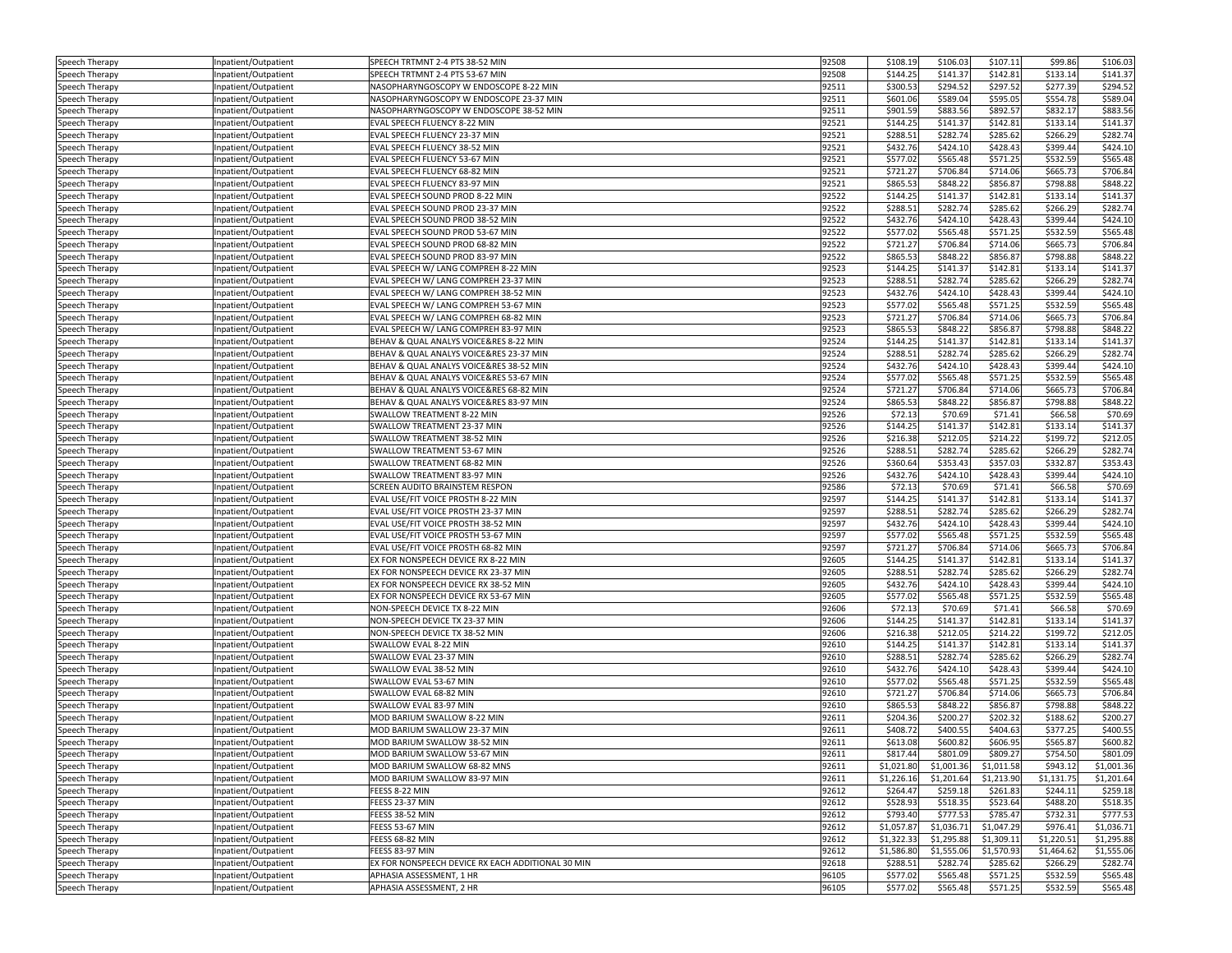| Speech Therapy                   | Inpatient/Outpatient                        | SPEECH TRTMNT 2-4 PTS 38-52 MIN                                       | 92508          | \$108.19             | \$106.03             | \$107.11             | \$99.86              | \$106.03             |
|----------------------------------|---------------------------------------------|-----------------------------------------------------------------------|----------------|----------------------|----------------------|----------------------|----------------------|----------------------|
| Speech Therapy                   | npatient/Outpatient                         | SPEECH TRTMNT 2-4 PTS 53-67 MIN                                       | 92508          | \$144.25             | \$141.37             | \$142.81             | \$133.14             | \$141.37             |
| Speech Therapy                   | npatient/Outpatient                         | NASOPHARYNGOSCOPY W ENDOSCOPE 8-22 MIN                                | 92511          | \$300.53             | \$294.52             | \$297.52             | \$277.39             | \$294.52             |
| Speech Therapy                   | npatient/Outpatient                         | NASOPHARYNGOSCOPY W ENDOSCOPE 23-37 MIN                               | 92511          | \$601.06             | \$589.04             | \$595.05             | \$554.78             | \$589.04             |
| Speech Therapy                   | npatient/Outpatient                         | NASOPHARYNGOSCOPY W ENDOSCOPE 38-52 MIN                               | 92511          | \$901.59             | \$883.56             | \$892.57             | \$832.17             | \$883.56             |
| Speech Therapy                   | Inpatient/Outpatient                        | EVAL SPEECH FLUENCY 8-22 MIN                                          | 92521          | \$144.25             | \$141.37             | \$142.81             | \$133.14             | \$141.37             |
| Speech Therapy                   | npatient/Outpatient                         | EVAL SPEECH FLUENCY 23-37 MIN                                         | 92521          | \$288.51             | \$282.74             | \$285.62             | \$266.29             | \$282.74             |
| Speech Therapy                   | npatient/Outpatient                         | EVAL SPEECH FLUENCY 38-52 MIN                                         | 92521          | \$432.76             | \$424.10             | \$428.43             | \$399.44             | \$424.10             |
| Speech Therapy                   | Inpatient/Outpatient                        | EVAL SPEECH FLUENCY 53-67 MIN                                         | 92521          | \$577.02             | \$565.48             | \$571.25             | \$532.59             | \$565.48             |
| Speech Therapy                   | Inpatient/Outpatient                        | EVAL SPEECH FLUENCY 68-82 MIN                                         | 92521          | \$721.27             | \$706.84             | \$714.06             | \$665.73             | \$706.84             |
| Speech Therapy                   | Inpatient/Outpatient                        | EVAL SPEECH FLUENCY 83-97 MIN                                         | 92521          | \$865.53             | \$848.22             | \$856.87             | \$798.88             | \$848.22             |
| Speech Therapy                   | Inpatient/Outpatient                        | EVAL SPEECH SOUND PROD 8-22 MIN                                       | 92522          | \$144.25             | \$141.37             | \$142.81             | \$133.14             | \$141.37             |
| Speech Therapy                   | Inpatient/Outpatient                        | EVAL SPEECH SOUND PROD 23-37 MIN                                      | 92522          | \$288.51             | \$282.74             | \$285.62             | \$266.29             | \$282.74             |
| Speech Therapy                   | Inpatient/Outpatient                        | EVAL SPEECH SOUND PROD 38-52 MIN                                      | 92522          | \$432.76             | \$424.10             | \$428.43             | \$399.44             | \$424.10             |
| Speech Therapy                   | npatient/Outpatient                         | EVAL SPEECH SOUND PROD 53-67 MIN                                      | 92522          | \$577.02             | \$565.48             | \$571.25             | \$532.59             | \$565.48             |
| Speech Therapy                   | Inpatient/Outpatient                        | EVAL SPEECH SOUND PROD 68-82 MIN                                      | 92522          | \$721.27             | \$706.84             | \$714.06             | \$665.73             | \$706.84             |
| Speech Therapy                   | Inpatient/Outpatient                        | EVAL SPEECH SOUND PROD 83-97 MIN                                      | 92522          | \$865.53             | \$848.22             | \$856.87             | \$798.88             | \$848.22             |
| Speech Therapy                   | npatient/Outpatient                         | EVAL SPEECH W/ LANG COMPREH 8-22 MIN                                  | 92523          | \$144.25             | \$141.37             | \$142.81             | \$133.14             | \$141.37             |
| Speech Therapy                   | npatient/Outpatient                         | EVAL SPEECH W/ LANG COMPREH 23-37 MIN                                 | 92523          | \$288.51             | \$282.74             | \$285.62             | \$266.29             | \$282.74             |
| Speech Therapy                   | npatient/Outpatient                         | EVAL SPEECH W/ LANG COMPREH 38-52 MIN                                 | 92523          | \$432.76             | \$424.10             | \$428.43             | \$399.44             | \$424.10             |
| Speech Therapy                   | Inpatient/Outpatient                        | EVAL SPEECH W/ LANG COMPREH 53-67 MIN                                 | 92523          | \$577.02             | \$565.48             | \$571.25             | \$532.59             | \$565.48             |
| Speech Therapy                   | npatient/Outpatient                         | EVAL SPEECH W/ LANG COMPREH 68-82 MIN                                 | 92523          | \$721.27             | \$706.84             | \$714.06             | \$665.73             | \$706.84             |
| Speech Therapy                   | npatient/Outpatient                         | EVAL SPEECH W/ LANG COMPREH 83-97 MIN                                 | 92523          | \$865.53             | \$848.22             | \$856.87             | \$798.88             | \$848.22             |
| Speech Therapy                   | Inpatient/Outpatient                        | BEHAV & QUAL ANALYS VOICE&RES 8-22 MIN                                | 92524          | \$144.25             | \$141.37             | \$142.81             | \$133.14             | \$141.37             |
| Speech Therapy                   | npatient/Outpatient                         | BEHAV & QUAL ANALYS VOICE&RES 23-37 MIN                               | 92524          | \$288.51             | \$282.74             | \$285.62             | \$266.29             | \$282.74             |
| Speech Therapy                   | Inpatient/Outpatient                        | BEHAV & QUAL ANALYS VOICE&RES 38-52 MIN                               | 92524          | \$432.76             | \$424.10             | \$428.43             | \$399.44             | \$424.10             |
| Speech Therapy                   | npatient/Outpatient                         | BEHAV & QUAL ANALYS VOICE&RES 53-67 MIN                               | 92524          | \$577.02             | \$565.48             | \$571.25             | \$532.59             | \$565.48             |
| Speech Therapy                   | npatient/Outpatient                         | BEHAV & QUAL ANALYS VOICE&RES 68-82 MIN                               | 92524          | \$721.27             | \$706.84             | \$714.06             | \$665.73             | \$706.84             |
| Speech Therapy                   | Inpatient/Outpatient                        | BEHAV & QUAL ANALYS VOICE&RES 83-97 MIN                               | 92524          | \$865.53             | \$848.22             | \$856.87             | \$798.88             | \$848.22             |
| Speech Therapy                   | Inpatient/Outpatient                        | <b>SWALLOW TREATMENT 8-22 MIN</b>                                     | 92526          | \$72.13              | \$70.69              | \$71.41              | \$66.58              | \$70.69              |
| Speech Therapy                   | Inpatient/Outpatient                        | SWALLOW TREATMENT 23-37 MIN                                           | 92526          | \$144.25             | \$141.37             | \$142.81             | \$133.14             | \$141.37             |
| Speech Therapy                   | Inpatient/Outpatient                        | SWALLOW TREATMENT 38-52 MIN                                           | 92526          | \$216.38             | \$212.05             | \$214.22             | \$199.72             | \$212.05             |
| Speech Therapy                   | Inpatient/Outpatient                        | SWALLOW TREATMENT 53-67 MIN                                           | 92526          | \$288.51             | \$282.74             | \$285.62             | \$266.29             | \$282.74             |
| Speech Therapy                   | Inpatient/Outpatient                        | SWALLOW TREATMENT 68-82 MIN                                           | 92526          | \$360.64             | \$353.43             | \$357.03             | \$332.87             | \$353.43             |
| Speech Therapy                   | npatient/Outpatient                         | SWALLOW TREATMENT 83-97 MIN                                           | 92526          | \$432.76             | \$424.10             | \$428.43             | \$399.44             | \$424.1              |
| Speech Therapy                   | Inpatient/Outpatient                        | SCREEN AUDITO BRAINSTEM RESPON                                        | 92586          | \$72.13              | \$70.69              | \$71.41              | \$66.58              | \$70.69              |
| Speech Therapy                   | Inpatient/Outpatient                        | EVAL USE/FIT VOICE PROSTH 8-22 MIN                                    | 92597          | \$144.25             | \$141.37             | \$142.81             | \$133.14             | \$141.37             |
|                                  |                                             | EVAL USE/FIT VOICE PROSTH 23-37 MIN                                   | 92597          | \$288.51             | \$282.74             | \$285.62             | \$266.29             | \$282.74             |
| Speech Therapy                   | npatient/Outpatient                         | EVAL USE/FIT VOICE PROSTH 38-52 MIN                                   | 92597          | \$432.76             | \$424.10             | \$428.43             | \$399.44             | \$424.10             |
| Speech Therapy                   | Inpatient/Outpatient                        | EVAL USE/FIT VOICE PROSTH 53-67 MIN                                   | 92597          | \$577.02             | \$565.48             | \$571.25             | \$532.59             | \$565.48             |
| Speech Therapy<br>Speech Therapy | npatient/Outpatient<br>Inpatient/Outpatient | EVAL USE/FIT VOICE PROSTH 68-82 MIN                                   | 92597          | \$721.27             | \$706.84             | \$714.06             | \$665.73             | \$706.84             |
|                                  |                                             | EX FOR NONSPEECH DEVICE RX 8-22 MIN                                   | 92605          | \$144.25             | \$141.37             | \$142.81             | \$133.14             | \$141.37             |
| Speech Therapy                   | npatient/Outpatient                         |                                                                       | 92605          | \$288.51             | \$282.74             | \$285.62             | \$266.29             | \$282.74             |
| Speech Therapy                   | npatient/Outpatient                         | EX FOR NONSPEECH DEVICE RX 23-37 MIN                                  | 92605          | \$432.76             | \$424.10             | \$428.43             | \$399.44             | \$424.10             |
| Speech Therapy                   | Inpatient/Outpatient                        | EX FOR NONSPEECH DEVICE RX 38-52 MIN                                  |                |                      |                      |                      |                      |                      |
| Speech Therapy                   | npatient/Outpatient                         | EX FOR NONSPEECH DEVICE RX 53-67 MIN<br>NON-SPEECH DEVICE TX 8-22 MIN | 92605<br>92606 | \$577.02             | \$565.48             | \$571.25<br>\$71.41  | \$532.59<br>\$66.58  | \$565.48             |
| Speech Therapy                   | Inpatient/Outpatient                        |                                                                       |                | \$72.13              | \$70.69              |                      |                      | \$70.69              |
| Speech Therapy                   | npatient/Outpatient                         | NON-SPEECH DEVICE TX 23-37 MIN                                        | 92606          | \$144.25             | \$141.37             | \$142.81             | \$133.14             | \$141.37             |
| Speech Therapy                   | npatient/Outpatient                         | NON-SPEECH DEVICE TX 38-52 MIN<br>SWALLOW EVAL 8-22 MIN               | 92606<br>92610 | \$216.38<br>\$144.25 | \$212.05<br>\$141.37 | \$214.22<br>\$142.81 | \$199.72<br>\$133.14 | \$212.05<br>\$141.37 |
| Speech Therapy                   | Inpatient/Outpatient                        | SWALLOW EVAL 23-37 MIN                                                |                |                      |                      |                      |                      |                      |
| Speech Therapy                   | Inpatient/Outpatient                        |                                                                       | 92610<br>92610 | \$288.51<br>\$432.76 | \$282.74<br>\$424.10 | \$285.62<br>\$428.43 | \$266.29<br>\$399.44 | \$282.74<br>\$424.10 |
| Speech Therapy                   | Inpatient/Outpatient                        | SWALLOW EVAL 38-52 MIN<br>SWALLOW EVAL 53-67 MIN                      |                |                      |                      | \$571.25             | \$532.59             | \$565.48             |
| Speech Therapy                   | Inpatient/Outpatient                        |                                                                       | 92610<br>92610 | \$577.02             | \$565.48             |                      |                      |                      |
| Speech Therapy                   | Inpatient/Outpatient                        | SWALLOW EVAL 68-82 MIN<br>SWALLOW EVAL 83-97 MIN                      | 92610          | \$721.27<br>\$865.53 | \$706.84             | \$714.06<br>\$856.87 | \$665.73<br>\$798.88 | \$706.84<br>\$848.22 |
| Speech Therapy                   | Inpatient/Outpatient                        |                                                                       |                |                      | \$848.22             |                      |                      |                      |
| Speech Therapy                   | npatient/Outpatient                         | MOD BARIUM SWALLOW 8-22 MIN<br>MOD BARIUM SWALLOW 23-37 MIN           | 92611<br>92611 | \$204.36             | \$200.27             | \$202.32<br>\$404.63 | \$188.62             | \$200.27             |
| Speech Therapy                   | Inpatient/Outpatient                        |                                                                       |                | \$408.72             | \$400.55             |                      | \$377.25             | \$400.55             |
| Speech Therapy                   | Inpatient/Outpatient                        | MOD BARIUM SWALLOW 38-52 MIN                                          | 92611          | \$613.08             | \$600.82             | \$606.95             | \$565.87             | \$600.82             |
| Speech Therapy                   | hpatient/Outpatient                         | MOD BARIUM SWALLOW 53-67 MIN                                          | 92611          | \$817.44             | \$801.09             | \$809.27             | \$754.50             | \$801.09             |
| Speech Therapy                   | Inpatient/Outpatient                        | MOD BARIUM SWALLOW 68-82 MNS                                          | 92611          | \$1,021.80           | \$1,001.36           | \$1,011.58           | \$943.12             | \$1,001.36           |
| Speech Therapy                   | Inpatient/Outpatient                        | MOD BARIUM SWALLOW 83-97 MIN                                          | 92611          | \$1,226.16           | \$1,201.64           | \$1,213.90           | \$1,131.75           | \$1,201.64           |
| Speech Therapy                   | Inpatient/Outpatient                        | FEESS 8-22 MIN                                                        | 92612          | \$264.47             | \$259.18             | \$261.83             | \$244.11             | \$259.18             |
| Speech Therapy                   | Inpatient/Outpatient                        | FEESS 23-37 MIN                                                       | 92612          | \$528.93             | \$518.35             | \$523.64             | \$488.20             | \$518.35             |
| Speech Therapy                   | Inpatient/Outpatient                        | FEESS 38-52 MIN                                                       | 92612          | \$793.40             | \$777.53             | \$785.47             | \$732.31             | \$777.53             |
| Speech Therapy                   | Inpatient/Outpatient                        | FEESS 53-67 MIN                                                       | 92612          | \$1,057.87           | \$1,036.71           | \$1,047.29           | \$976.41             | \$1,036.71           |
| Speech Therapy                   | Inpatient/Outpatient                        | FEESS 68-82 MIN                                                       | 92612          | \$1,322.33           | \$1,295.88           | \$1,309.11           | \$1,220.51           | \$1,295.88           |
| Speech Therapy                   | Inpatient/Outpatient                        | FEESS 83-97 MIN                                                       | 92612          | \$1,586.80           | \$1,555.06           | \$1,570.93           | \$1,464.62           | \$1,555.06           |
| Speech Therapy                   | Inpatient/Outpatient                        | EX FOR NONSPEECH DEVICE RX EACH ADDITIONAL 30 MIN                     | 92618          | \$288.51             | \$282.74             | \$285.62             | \$266.29             | \$282.74             |
| Speech Therapy                   | Inpatient/Outpatient                        | APHASIA ASSESSMENT, 1 HR                                              | 96105          | \$577.02             | \$565.48             | \$571.25             | \$532.59             | \$565.48             |
| Speech Therapy                   | Inpatient/Outpatient                        | APHASIA ASSESSMENT, 2 HR                                              | 96105          | \$577.02             | \$565.48             | \$571.25             | \$532.59             | \$565.48             |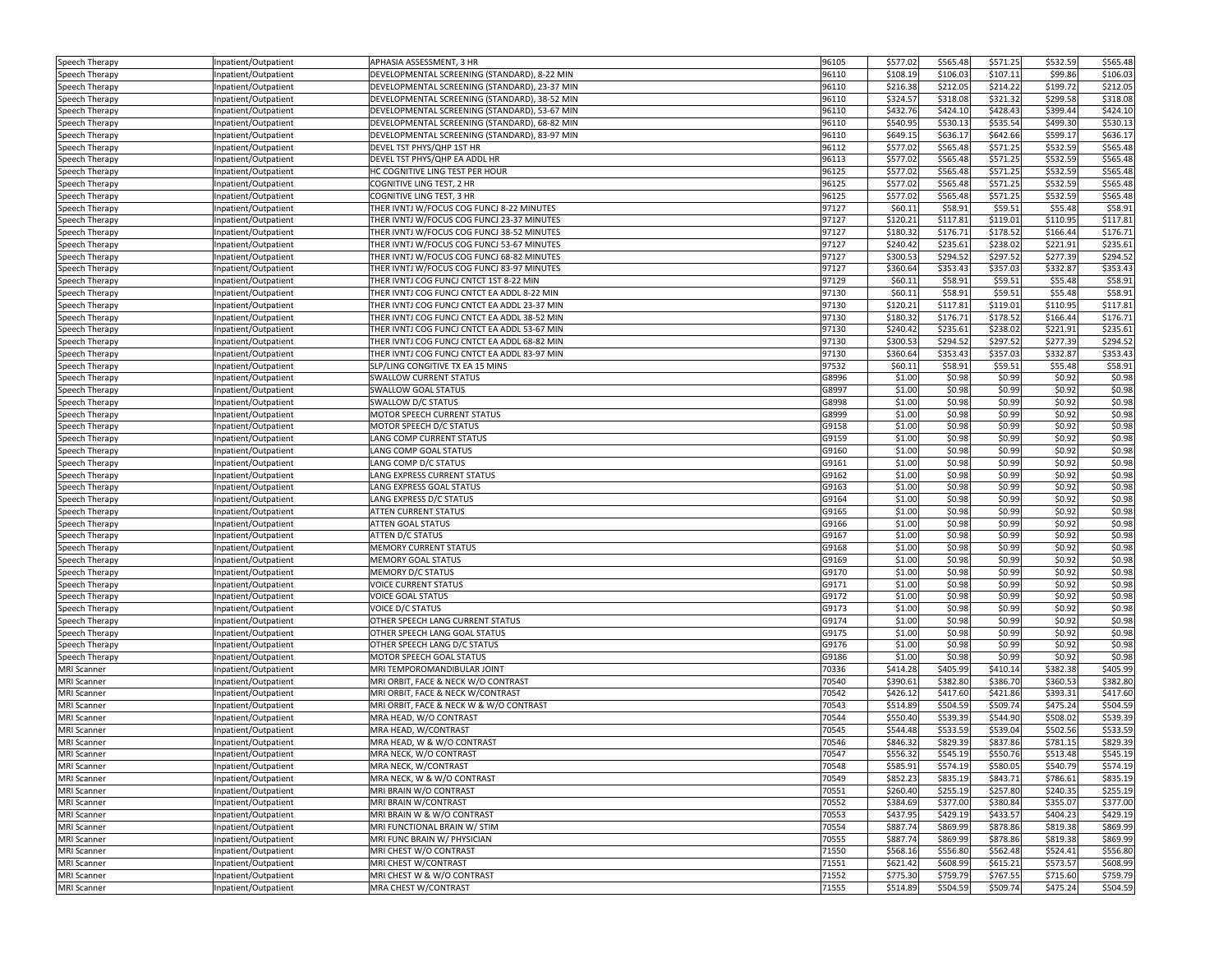| Speech Therapy     | Inpatient/Outpatient | APHASIA ASSESSMENT, 3 HR                      | 96105 | \$577.02 | \$565.48 | \$571.25 | \$532.59 | \$565.48 |
|--------------------|----------------------|-----------------------------------------------|-------|----------|----------|----------|----------|----------|
| Speech Therapy     | npatient/Outpatient  | DEVELOPMENTAL SCREENING (STANDARD), 8-22 MIN  | 96110 | \$108.19 | \$106.03 | \$107.11 | \$99.86  | \$106.03 |
| Speech Therapy     | npatient/Outpatient  | DEVELOPMENTAL SCREENING (STANDARD), 23-37 MIN | 96110 | \$216.38 | \$212.05 | \$214.22 | \$199.72 | \$212.05 |
| Speech Therapy     | Inpatient/Outpatient | DEVELOPMENTAL SCREENING (STANDARD), 38-52 MIN | 96110 | \$324.57 | \$318.08 | \$321.32 | \$299.58 | \$318.08 |
| Speech Therapy     | Inpatient/Outpatient | DEVELOPMENTAL SCREENING (STANDARD), 53-67 MIN | 96110 | \$432.76 | \$424.10 | \$428.43 | \$399.44 | \$424.10 |
| Speech Therapy     | Inpatient/Outpatient | DEVELOPMENTAL SCREENING (STANDARD), 68-82 MIN | 96110 | \$540.95 | \$530.13 | \$535.54 | \$499.30 | \$530.13 |
| Speech Therapy     | Inpatient/Outpatient | DEVELOPMENTAL SCREENING (STANDARD), 83-97 MIN | 96110 | \$649.15 | \$636.17 | \$642.66 | \$599.17 | \$636.1  |
| Speech Therapy     | npatient/Outpatient  | DEVEL TST PHYS/QHP 1ST HR                     | 96112 | \$577.02 | \$565.48 | \$571.25 | \$532.59 | \$565.48 |
| Speech Therapy     | npatient/Outpatient  | DEVEL TST PHYS/QHP EA ADDL HR                 | 96113 | \$577.02 | \$565.48 | \$571.25 | \$532.59 | \$565.48 |
| Speech Therapy     | Inpatient/Outpatient | HC COGNITIVE LING TEST PER HOUR               | 96125 | \$577.02 | \$565.48 | \$571.25 | \$532.59 | \$565.48 |
| Speech Therapy     | Inpatient/Outpatient | COGNITIVE LING TEST, 2 HR                     | 96125 | \$577.02 | \$565.48 | \$571.25 | \$532.59 | \$565.48 |
| Speech Therapy     | npatient/Outpatient  | COGNITIVE LING TEST, 3 HR                     | 96125 | \$577.02 | \$565.48 | \$571.25 | \$532.59 | \$565.48 |
| Speech Therapy     | Inpatient/Outpatient | THER IVNTJ W/FOCUS COG FUNCJ 8-22 MINUTES     | 97127 | \$60.11  | \$58.91  | \$59.51  | \$55.48  | \$58.91  |
| Speech Therapy     | Inpatient/Outpatient | THER IVNTJ W/FOCUS COG FUNCJ 23-37 MINUTES    | 97127 | \$120.21 | \$117.81 | \$119.01 | \$110.95 | \$117.81 |
| Speech Therapy     | npatient/Outpatient  | THER IVNTJ W/FOCUS COG FUNCJ 38-52 MINUTES    | 97127 | \$180.32 | \$176.71 | \$178.52 | \$166.44 | \$176.71 |
| Speech Therapy     | Inpatient/Outpatient | THER IVNTJ W/FOCUS COG FUNCJ 53-67 MINUTES    | 97127 | \$240.42 | \$235.61 | \$238.02 | \$221.91 | \$235.61 |
| Speech Therapy     | Inpatient/Outpatient | THER IVNTJ W/FOCUS COG FUNCJ 68-82 MINUTES    | 97127 | \$300.53 | \$294.52 | \$297.52 | \$277.39 | \$294.52 |
| Speech Therapy     | npatient/Outpatient  | THER IVNTJ W/FOCUS COG FUNCJ 83-97 MINUTES    | 97127 | \$360.64 | \$353.43 | \$357.03 | \$332.87 | \$353.43 |
| Speech Therapy     | Inpatient/Outpatient | THER IVNTJ COG FUNCJ CNTCT 1ST 8-22 MIN       | 97129 | \$60.11  | \$58.91  | \$59.51  | \$55.48  | \$58.91  |
| Speech Therapy     | npatient/Outpatient  | THER IVNTJ COG FUNCJ CNTCT EA ADDL 8-22 MIN   | 97130 | \$60.11  | \$58.91  | \$59.51  | \$55.48  | \$58.91  |
| Speech Therapy     | Inpatient/Outpatient | THER IVNTJ COG FUNCJ CNTCT EA ADDL 23-37 MIN  | 97130 | \$120.21 | \$117.81 | \$119.01 | \$110.95 | \$117.81 |
| Speech Therapy     | Inpatient/Outpatient | THER IVNTJ COG FUNCJ CNTCT EA ADDL 38-52 MIN  | 97130 | \$180.32 | \$176.71 | \$178.52 | \$166.44 | \$176.71 |
| Speech Therapy     | Inpatient/Outpatient | THER IVNTJ COG FUNCJ CNTCT EA ADDL 53-67 MIN  | 97130 | \$240.42 | \$235.61 | \$238.02 | \$221.91 | \$235.61 |
| Speech Therapy     | Inpatient/Outpatient | THER IVNTJ COG FUNCJ CNTCT EA ADDL 68-82 MIN  | 97130 | \$300.53 | \$294.52 | \$297.52 | \$277.39 | \$294.52 |
| Speech Therapy     | npatient/Outpatient  | THER IVNTJ COG FUNCJ CNTCT EA ADDL 83-97 MIN  | 97130 | \$360.64 | \$353.43 | \$357.03 | \$332.87 | \$353.4  |
| Speech Therapy     | Inpatient/Outpatient | SLP/LING CONGITIVE TX EA 15 MINS              | 97532 | \$60.11  | \$58.91  | \$59.51  | \$55.48  | \$58.91  |
| Speech Therapy     | Inpatient/Outpatient | <b>SWALLOW CURRENT STATUS</b>                 | G8996 | \$1.00   | \$0.98   | \$0.99   | \$0.92   | \$0.98   |
| Speech Therapy     | npatient/Outpatient  | <b>SWALLOW GOAL STATUS</b>                    | G8997 | \$1.00   | \$0.98   | \$0.99   | \$0.92   | \$0.98   |
| Speech Therapy     | Inpatient/Outpatient | SWALLOW D/C STATUS                            | G8998 | \$1.00   | \$0.98   | \$0.99   | \$0.92   | \$0.98   |
| Speech Therapy     | npatient/Outpatient  | MOTOR SPEECH CURRENT STATUS                   | G8999 | \$1.00   | \$0.98   | \$0.99   | \$0.92   | \$0.98   |
| Speech Therapy     | Inpatient/Outpatient | MOTOR SPEECH D/C STATUS                       | G9158 | \$1.00   | \$0.98   | \$0.99   | \$0.92   | \$0.98   |
| Speech Therapy     | Inpatient/Outpatient | LANG COMP CURRENT STATUS                      | G9159 | \$1.00   | \$0.98   | \$0.99   | \$0.92   | \$0.98   |
| Speech Therapy     | npatient/Outpatient  | LANG COMP GOAL STATUS                         | G9160 | \$1.00   | \$0.98   | \$0.99   | \$0.92   | \$0.98   |
| Speech Therapy     | Inpatient/Outpatient | LANG COMP D/C STATUS                          | G9161 | \$1.00   | \$0.98   | \$0.99   | \$0.92   | \$0.98   |
| Speech Therapy     | Inpatient/Outpatient | LANG EXPRESS CURRENT STATUS                   | G9162 | \$1.00   | \$0.98   | \$0.99   | \$0.92   | \$0.98   |
| Speech Therapy     | Inpatient/Outpatient | LANG EXPRESS GOAL STATUS                      | G9163 | \$1.00   | \$0.98   | \$0.99   | \$0.92   | \$0.98   |
| Speech Therapy     | Inpatient/Outpatient | LANG EXPRESS D/C STATUS                       | G9164 | \$1.00   | \$0.98   | \$0.99   | \$0.92   | \$0.98   |
| Speech Therapy     | npatient/Outpatient  | <b>ATTEN CURRENT STATUS</b>                   | G9165 | \$1.00   | \$0.98   | \$0.99   | \$0.92   | \$0.98   |
| Speech Therapy     | npatient/Outpatient  | <b>ATTEN GOAL STATUS</b>                      | G9166 | \$1.00   | \$0.98   | \$0.99   | \$0.92   | \$0.98   |
| Speech Therapy     | Inpatient/Outpatient | ATTEN D/C STATUS                              | G9167 | \$1.00   | \$0.98   | \$0.99   | \$0.92   | \$0.98   |
| Speech Therapy     | Inpatient/Outpatient | <b>MEMORY CURRENT STATUS</b>                  | G9168 | \$1.00   | \$0.98   | \$0.99   | \$0.92   | \$0.98   |
| Speech Therapy     | npatient/Outpatient  | <b>MEMORY GOAL STATUS</b>                     | G9169 | \$1.00   | \$0.98   | \$0.99   | \$0.92   | \$0.98   |
| Speech Therapy     | Inpatient/Outpatient | MEMORY D/C STATUS                             | G9170 | \$1.00   | \$0.98   | \$0.99   | \$0.92   | \$0.98   |
| Speech Therapy     | Inpatient/Outpatient | <b>VOICE CURRENT STATUS</b>                   | G9171 | \$1.00   | \$0.98   | \$0.99   | \$0.92   | \$0.98   |
| Speech Therapy     | Inpatient/Outpatient | <b>VOICE GOAL STATUS</b>                      | G9172 | \$1.00   | \$0.98   | \$0.99   | \$0.92   | \$0.98   |
| Speech Therapy     | Inpatient/Outpatient | <b>VOICE D/C STATUS</b>                       | G9173 | \$1.00   | \$0.98   | \$0.99   | \$0.92   | \$0.98   |
| Speech Therapy     | Inpatient/Outpatient | OTHER SPEECH LANG CURRENT STATUS              | G9174 | \$1.00   | \$0.98   | \$0.99   | \$0.92   | \$0.98   |
| Speech Therapy     | npatient/Outpatient  | OTHER SPEECH LANG GOAL STATUS                 | G9175 | \$1.00   | \$0.98   | \$0.99   | \$0.92   | \$0.98   |
| Speech Therapy     | Inpatient/Outpatient | OTHER SPEECH LANG D/C STATUS                  | G9176 | \$1.00   | \$0.98   | \$0.99   | \$0.92   | \$0.98   |
| Speech Therapy     | Inpatient/Outpatient | MOTOR SPEECH GOAL STATUS                      | G9186 | \$1.00   | \$0.98   | \$0.99   | \$0.92   | \$0.98   |
| <b>MRI Scanner</b> | Inpatient/Outpatient | MRI TEMPOROMANDIBULAR JOINT                   | 70336 | \$414.28 | \$405.99 | \$410.14 | \$382.38 | \$405.99 |
| <b>MRI Scanner</b> | Inpatient/Outpatient | MRI ORBIT, FACE & NECK W/O CONTRAST           | 70540 | \$390.61 | \$382.80 | \$386.70 | \$360.53 | \$382.80 |
| <b>MRI Scanner</b> | Inpatient/Outpatient | MRI ORBIT, FACE & NECK W/CONTRAST             | 70542 | \$426.12 | \$417.60 | \$421.86 | \$393.31 | \$417.60 |
| <b>MRI</b> Scanner | Inpatient/Outpatient | MRI ORBIT, FACE & NECK W & W/O CONTRAST       | 70543 | \$514.89 | \$504.59 | \$509.74 | \$475.24 | \$504.59 |
| <b>MRI Scanner</b> | npatient/Outpatient  | MRA HEAD, W/O CONTRAST                        | 70544 | \$550.40 | \$539.39 | \$544.90 | \$508.02 | \$539.39 |
| <b>MRI Scanner</b> | Inpatient/Outpatient | MRA HEAD, W/CONTRAST                          | 70545 | \$544.48 | \$533.59 | \$539.04 | \$502.56 | \$533.59 |
| <b>MRI Scanner</b> | Inpatient/Outpatient | MRA HEAD, W & W/O CONTRAST                    | 70546 | \$846.32 | \$829.39 | \$837.86 | \$781.15 | \$829.39 |
| <b>MRI Scanner</b> | npatient/Outpatient  | MRA NECK, W/O CONTRAST                        | 70547 | \$556.32 | \$545.19 | \$550.76 | \$513.48 | \$545.19 |
| <b>MRI Scanner</b> | Inpatient/Outpatient | MRA NECK, W/CONTRAST                          | 70548 | \$585.91 | \$574.19 | \$580.05 | \$540.79 | \$574.19 |
| <b>MRI Scanner</b> | Inpatient/Outpatient | MRA NECK, W & W/O CONTRAST                    | 70549 | \$852.23 | \$835.19 | \$843.71 | \$786.61 | \$835.19 |
| <b>MRI Scanner</b> | Inpatient/Outpatient | MRI BRAIN W/O CONTRAST                        | 70551 | \$260.40 | \$255.19 | \$257.80 | \$240.35 | \$255.19 |
| <b>MRI Scanner</b> | Inpatient/Outpatient | MRI BRAIN W/CONTRAST                          | 70552 | \$384.69 | \$377.00 | \$380.84 | \$355.07 | \$377.00 |
| <b>MRI Scanner</b> | Inpatient/Outpatient | MRI BRAIN W & W/O CONTRAST                    | 70553 | \$437.95 | \$429.19 | \$433.57 | \$404.23 | \$429.19 |
| <b>MRI Scanner</b> | Inpatient/Outpatient | MRI FUNCTIONAL BRAIN W/ STIM                  | 70554 | \$887.74 | \$869.99 | \$878.86 | \$819.38 | \$869.99 |
| <b>MRI Scanner</b> | Inpatient/Outpatient | MRI FUNC BRAIN W/ PHYSICIAN                   | 70555 | \$887.74 | \$869.99 | \$878.86 | \$819.38 | \$869.99 |
| <b>MRI Scanner</b> | Inpatient/Outpatient | MRI CHEST W/O CONTRAST                        | 71550 | \$568.16 | \$556.80 | \$562.48 | \$524.41 | \$556.80 |
| <b>MRI Scanner</b> | Inpatient/Outpatient | MRI CHEST W/CONTRAST                          | 71551 | \$621.42 | \$608.99 | \$615.21 | \$573.57 | \$608.99 |
| <b>MRI Scanner</b> | Inpatient/Outpatient | MRI CHEST W & W/O CONTRAST                    | 71552 | \$775.30 | \$759.79 | \$767.55 | \$715.60 | \$759.79 |
| <b>MRI Scanner</b> | Inpatient/Outpatient | MRA CHEST W/CONTRAST                          | 71555 | \$514.89 | \$504.59 | \$509.74 | \$475.24 | \$504.59 |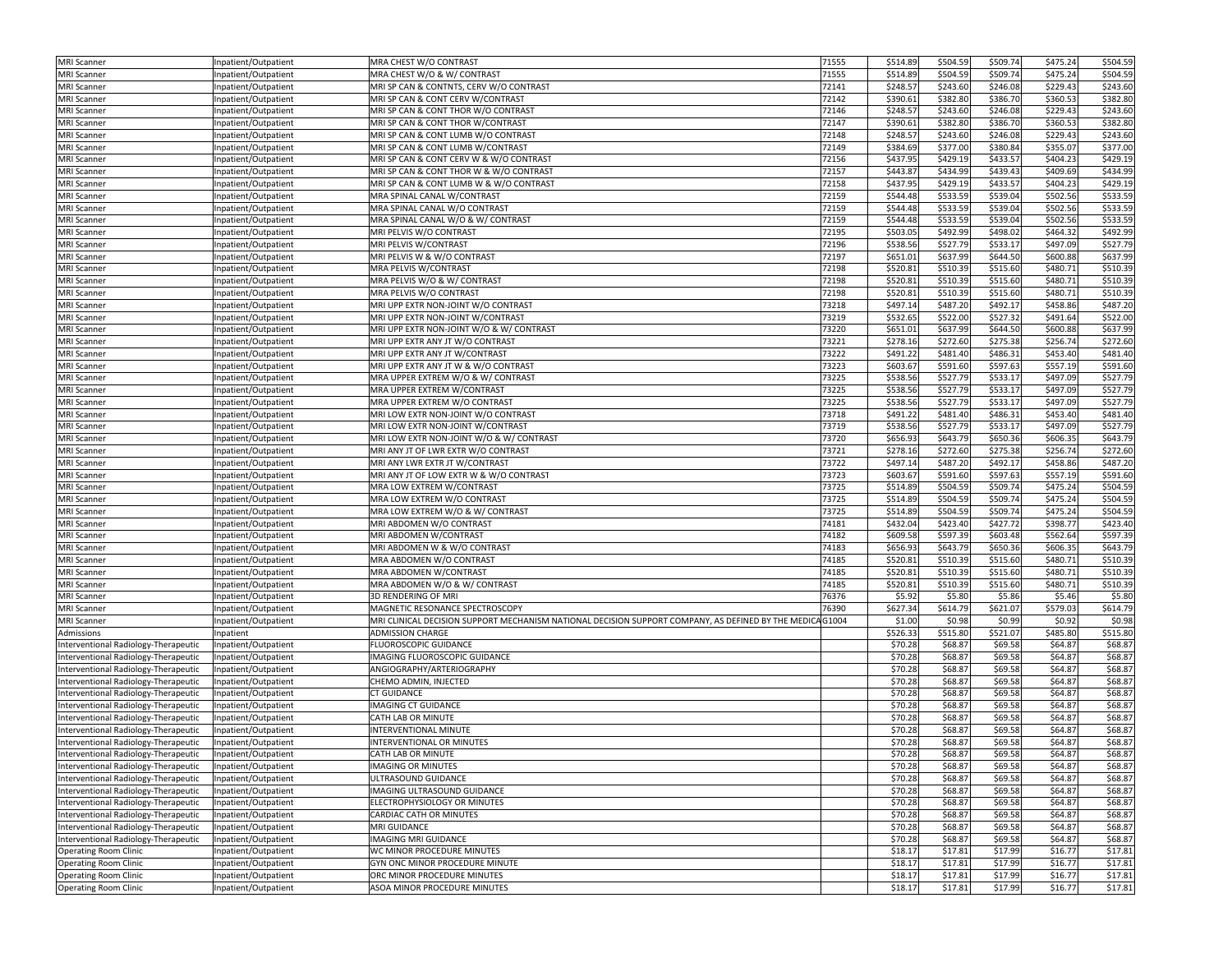| <b>MRI</b> Scanner                       | Inpatient/Outpatient                        | MRA CHEST W/O CONTRAST                                                                                   | 71555          | \$514.89             | \$504.59             | \$509.74             | \$475.24             | \$504.59 |
|------------------------------------------|---------------------------------------------|----------------------------------------------------------------------------------------------------------|----------------|----------------------|----------------------|----------------------|----------------------|----------|
| <b>MRI</b> Scanner                       | npatient/Outpatient                         | MRA CHEST W/O & W/ CONTRAST                                                                              | 71555          | \$514.89             | \$504.59             | \$509.74             | \$475.24             | \$504.59 |
| <b>MRI Scanner</b>                       | Inpatient/Outpatient                        | MRI SP CAN & CONTNTS, CERV W/O CONTRAST                                                                  | 72141          | \$248.57             | \$243.60             | \$246.08             | \$229.43             | \$243.60 |
| <b>MRI Scanner</b>                       | npatient/Outpatient                         | MRI SP CAN & CONT CERV W/CONTRAST                                                                        | 72142          | \$390.61             | \$382.80             | \$386.70             | \$360.53             | \$382.80 |
| <b>MRI</b> Scanner                       | npatient/Outpatient                         | MRI SP CAN & CONT THOR W/O CONTRAST                                                                      | 72146          | \$248.57             | \$243.60             | \$246.08             | \$229.43             | \$243.60 |
| <b>MRI Scanner</b>                       | Inpatient/Outpatient                        | MRI SP CAN & CONT THOR W/CONTRAST                                                                        | 72147          | \$390.61             | \$382.80             | \$386.70             | \$360.53             | \$382.80 |
| <b>MRI Scanner</b>                       | Inpatient/Outpatient                        | MRI SP CAN & CONT LUMB W/O CONTRAST                                                                      | 72148          | \$248.57             | \$243.60             | \$246.08             | \$229.43             | \$243.60 |
| <b>MRI Scanner</b>                       | Inpatient/Outpatient                        | MRI SP CAN & CONT LUMB W/CONTRAST                                                                        | 72149          | \$384.69             | \$377.00             | \$380.84             | \$355.07             | \$377.00 |
| <b>MRI Scanner</b>                       | Inpatient/Outpatient                        | MRI SP CAN & CONT CERV W & W/O CONTRAST                                                                  | 72156          | \$437.95             | \$429.19             | \$433.57             | \$404.23             | \$429.19 |
| <b>MRI</b> Scanner                       | Inpatient/Outpatient                        | MRI SP CAN & CONT THOR W & W/O CONTRAST                                                                  | 72157          | \$443.87             | \$434.99             | \$439.43             | \$409.69             | \$434.99 |
| <b>MRI</b> Scanner                       | npatient/Outpatient                         | MRI SP CAN & CONT LUMB W & W/O CONTRAST                                                                  | 72158          | \$437.95             | \$429.19             | \$433.57             | \$404.23             | \$429.19 |
| <b>MRI</b> Scanner                       | Inpatient/Outpatient                        | MRA SPINAL CANAL W/CONTRAST                                                                              | 72159          | \$544.48             | \$533.59             | \$539.04             | \$502.56             | \$533.59 |
| <b>MRI Scanner</b>                       | Inpatient/Outpatient                        | MRA SPINAL CANAL W/O CONTRAST                                                                            | 72159          | \$544.48             | \$533.59             | \$539.04             | \$502.56             | \$533.59 |
| <b>MRI Scanner</b>                       | Inpatient/Outpatient                        | MRA SPINAL CANAL W/O & W/ CONTRAST                                                                       | 72159          | \$544.48             | \$533.59             | \$539.04             | \$502.56             | \$533.59 |
| <b>MRI</b> Scanner                       | Inpatient/Outpatient                        | MRI PELVIS W/O CONTRAST                                                                                  | 72195          | \$503.05             | \$492.99             | \$498.02             | \$464.32             | \$492.99 |
| <b>MRI Scanner</b>                       | Inpatient/Outpatient                        | MRI PELVIS W/CONTRAST                                                                                    | 72196          | \$538.56             | \$527.79             | \$533.17             | \$497.09             | \$527.79 |
| <b>MRI Scanner</b>                       | Inpatient/Outpatient                        | MRI PELVIS W & W/O CONTRAST                                                                              | 72197          | \$651.01             | \$637.99             | \$644.50             | \$600.88             | \$637.99 |
| <b>MRI</b> Scanner                       | Inpatient/Outpatient                        | MRA PELVIS W/CONTRAST                                                                                    | 72198          | \$520.81             | \$510.39             | \$515.60             | \$480.71             | \$510.39 |
| <b>MRI Scanner</b>                       | Inpatient/Outpatient                        | MRA PELVIS W/O & W/ CONTRAST                                                                             | 72198          | \$520.81             | \$510.39             | \$515.60             | \$480.71             | \$510.39 |
| <b>MRI</b> Scanner                       |                                             | MRA PELVIS W/O CONTRAST                                                                                  | 72198          | \$520.81             | \$510.39             | \$515.60             | \$480.71             | \$510.39 |
| <b>MRI Scanner</b>                       | Inpatient/Outpatient<br>npatient/Outpatient | MRI UPP EXTR NON-JOINT W/O CONTRAST                                                                      | 73218          | \$497.14             | \$487.20             | \$492.17             | \$458.86             | \$487.20 |
|                                          |                                             | MRI UPP EXTR NON-JOINT W/CONTRAST                                                                        | 73219          | \$532.65             | \$522.00             | \$527.32             | \$491.64             | \$522.00 |
| <b>MRI</b> Scanner<br><b>MRI Scanner</b> | npatient/Outpatient                         | MRI UPP EXTR NON-JOINT W/O & W/ CONTRAST                                                                 | 73220          | \$651.01             | \$637.99             | \$644.50             | \$600.88             | \$637.99 |
|                                          | Inpatient/Outpatient                        |                                                                                                          |                |                      |                      |                      |                      |          |
| <b>MRI Scanner</b>                       | Inpatient/Outpatient                        | MRI UPP EXTR ANY JT W/O CONTRAST                                                                         | 73221          | \$278.16             | \$272.60             | \$275.38             | \$256.74             | \$272.60 |
| <b>MRI</b> Scanner                       | Inpatient/Outpatient                        | MRI UPP EXTR ANY JT W/CONTRAST                                                                           | 73222          | \$491.22             | \$481.40             | \$486.31             | \$453.40             | \$481.40 |
| <b>MRI Scanner</b>                       | Inpatient/Outpatient                        | MRI UPP EXTR ANY JT W & W/O CONTRAST                                                                     | 73223<br>73225 | \$603.67<br>\$538.56 | \$591.60<br>\$527.79 | \$597.63<br>\$533.17 | \$557.19<br>\$497.09 | \$591.60 |
| <b>MRI Scanner</b>                       | Inpatient/Outpatient                        | MRA UPPER EXTREM W/O & W/ CONTRAST                                                                       |                |                      |                      |                      |                      | \$527.79 |
| <b>MRI</b> Scanner                       | npatient/Outpatient                         | MRA UPPER EXTREM W/CONTRAST                                                                              | 73225          | \$538.56             | \$527.79             | \$533.17             | \$497.09             | \$527.79 |
| <b>MRI Scanner</b>                       | Inpatient/Outpatient                        | MRA UPPER EXTREM W/O CONTRAST                                                                            | 73225          | \$538.56             | \$527.79             | \$533.17             | \$497.09             | \$527.79 |
| <b>MRI</b> Scanner                       | Inpatient/Outpatient                        | MRI LOW EXTR NON-JOINT W/O CONTRAST                                                                      | 73718          | \$491.22             | \$481.40             | \$486.31             | \$453.40             | \$481.40 |
| <b>MRI</b> Scanner                       | npatient/Outpatient                         | MRI LOW EXTR NON-JOINT W/CONTRAST                                                                        | 73719          | \$538.56             | \$527.79             | \$533.17             | \$497.09             | \$527.79 |
| <b>MRI</b> Scanner                       | Inpatient/Outpatient                        | MRI LOW EXTR NON-JOINT W/O & W/ CONTRAST                                                                 | 73720          | \$656.93             | \$643.79             | \$650.36             | \$606.35             | \$643.79 |
| <b>MRI Scanner</b>                       | Inpatient/Outpatient                        | MRI ANY JT OF LWR EXTR W/O CONTRAST                                                                      | 73721          | \$278.16             | \$272.60             | \$275.38             | \$256.74             | \$272.60 |
| <b>MRI Scanner</b>                       | npatient/Outpatient                         | MRI ANY LWR EXTR JT W/CONTRAST                                                                           | 73722          | \$497.14             | \$487.20             | \$492.17             | \$458.86             | \$487.20 |
| <b>MRI Scanner</b>                       | Inpatient/Outpatient                        | MRI ANY JT OF LOW EXTR W & W/O CONTRAST                                                                  | 73723          | \$603.67             | \$591.60             | \$597.63             | \$557.19             | \$591.60 |
| <b>MRI Scanner</b>                       | npatient/Outpatient                         | MRA LOW EXTREM W/CONTRAST                                                                                | 73725          | \$514.89             | \$504.59             | \$509.74             | \$475.24             | \$504.59 |
| <b>MRI Scanner</b>                       | Inpatient/Outpatient                        | MRA LOW EXTREM W/O CONTRAST                                                                              | 73725          | \$514.89             | \$504.59             | \$509.74             | \$475.24             | \$504.59 |
| <b>MRI</b> Scanner                       | Inpatient/Outpatient                        | MRA LOW EXTREM W/O & W/ CONTRAST                                                                         | 73725          | \$514.89             | \$504.59             | \$509.74             | \$475.24             | \$504.59 |
| <b>MRI Scanner</b>                       | Inpatient/Outpatient                        | MRI ABDOMEN W/O CONTRAST                                                                                 | 74181          | \$432.04             | \$423.40             | \$427.72             | \$398.77             | \$423.40 |
| <b>MRI</b> Scanner                       | Inpatient/Outpatient                        | MRI ABDOMEN W/CONTRAST                                                                                   | 74182          | \$609.58             | \$597.39             | \$603.48             | \$562.64             | \$597.39 |
| <b>MRI</b> Scanner                       | npatient/Outpatient                         | MRI ABDOMEN W & W/O CONTRAST                                                                             | 74183          | \$656.93             | \$643.79             | \$650.36             | \$606.35             | \$643.79 |
| <b>MRI</b> Scanner                       | npatient/Outpatient                         | MRA ABDOMEN W/O CONTRAST                                                                                 | 74185          | \$520.81             | \$510.39             | \$515.60             | \$480.71             | \$510.39 |
| <b>MRI Scanner</b>                       | Inpatient/Outpatient                        | MRA ABDOMEN W/CONTRAST                                                                                   | 74185          | \$520.81             | \$510.39             | \$515.60             | \$480.71             | \$510.39 |
| <b>MRI Scanner</b>                       | Inpatient/Outpatient                        | MRA ABDOMEN W/O & W/ CONTRAST                                                                            | 74185          | \$520.81             | \$510.39             | \$515.60             | \$480.71             | \$510.39 |
| <b>MRI</b> Scanner                       | Inpatient/Outpatient                        | <b>3D RENDERING OF MRI</b>                                                                               | 76376          | \$5.92               | \$5.80               | \$5.86               | \$5.46               | \$5.80   |
| <b>MRI Scanner</b>                       | Inpatient/Outpatient                        | MAGNETIC RESONANCE SPECTROSCOPY                                                                          | 76390          | \$627.34             | \$614.79             | \$621.07             | \$579.03             | \$614.79 |
| <b>MRI</b> Scanner                       | Inpatient/Outpatient                        | MRI CLINICAL DECISION SUPPORT MECHANISM NATIONAL DECISION SUPPORT COMPANY, AS DEFINED BY THE MEDICAG1004 |                | \$1.00               | \$0.98               | \$0.99               | \$0.92               | \$0.98   |
| Admissions                               | Inpatient                                   | <b>ADMISSION CHARGE</b>                                                                                  |                | \$526.33             | \$515.80             | \$521.07             | \$485.80             | \$515.80 |
| Interventional Radiology-Therapeutic     | Inpatient/Outpatient                        | FLUOROSCOPIC GUIDANCE                                                                                    |                | \$70.28              | \$68.87              | \$69.58              | \$64.87              | \$68.87  |
| Interventional Radiology-Therapeutic     | Inpatient/Outpatient                        | IMAGING FLUOROSCOPIC GUIDANCE                                                                            |                | \$70.28              | \$68.87              | \$69.58              | \$64.87              | \$68.87  |
| Interventional Radiology-Therapeutic     | npatient/Outpatient                         | ANGIOGRAPHY/ARTERIOGRAPHY                                                                                |                | \$70.28              | \$68.87              | \$69.58              | \$64.87              | \$68.87  |
| Interventional Radiology-Therapeutic     | npatient/Outpatient                         | CHEMO ADMIN, INJECTED                                                                                    |                | \$70.28              | \$68.87              | \$69.58              | \$64.87              | \$68.87  |
| Interventional Radiology-Therapeutic     | npatient/Outpatient                         | <b>CT GUIDANCE</b>                                                                                       |                | \$70.28              | \$68.87              | \$69.58              | \$64.87              | \$68.87  |
| Interventional Radiology-Therapeutic     | npatient/Outpatient                         | <b>IMAGING CT GUIDANCE</b>                                                                               |                | \$70.28              | \$68.87              | \$69.58              | \$64.87              | \$68.87  |
| Interventional Radiology-Therapeutic     | npatient/Outpatient                         | CATH LAB OR MINUTE                                                                                       |                | \$70.28              | \$68.87              | \$69.58              | \$64.87              | \$68.87  |
| Interventional Radiology-Therapeutic     | npatient/Outpatient                         | INTERVENTIONAL MINUTE                                                                                    |                | \$70.28              | \$68.87              | \$69.58              | \$64.87              | \$68.87  |
| Interventional Radiology-Therapeutic     | npatient/Outpatient                         | INTERVENTIONAL OR MINUTES                                                                                |                | \$70.28              | \$68.87              | \$69.58              | \$64.87              | \$68.87  |
| Interventional Radiology-Therapeutic     | Inpatient/Outpatient                        | CATH LAB OR MINUTE                                                                                       |                | \$70.28              | \$68.87              | \$69.58              | \$64.87              | \$68.87  |
| Interventional Radiology-Therapeutic     | Inpatient/Outpatient                        | <b>IMAGING OR MINUTES</b>                                                                                |                | \$70.28              | \$68.87              | \$69.58              | \$64.87              | \$68.87  |
| Interventional Radiology-Therapeutic     | Inpatient/Outpatient                        | ULTRASOUND GUIDANCE                                                                                      |                | \$70.28              | \$68.87              | \$69.58              | \$64.87              | \$68.87  |
| Interventional Radiology-Therapeutic     | Inpatient/Outpatient                        | IMAGING ULTRASOUND GUIDANCE                                                                              |                | \$70.28              | \$68.87              | \$69.58              | \$64.87              | \$68.87  |
| Interventional Radiology-Therapeutic     | Inpatient/Outpatient                        | ELECTROPHYSIOLOGY OR MINUTES                                                                             |                | \$70.28              | \$68.87              | \$69.58              | \$64.87              | \$68.87  |
| Interventional Radiology-Therapeutic     | Inpatient/Outpatient                        | CARDIAC CATH OR MINUTES                                                                                  |                | \$70.28              | \$68.87              | \$69.58              | \$64.87              | \$68.87  |
| Interventional Radiology-Therapeutic     | Inpatient/Outpatient                        | <b>MRI GUIDANCE</b>                                                                                      |                | \$70.28              | \$68.87              | \$69.58              | \$64.87              | \$68.87  |
| Interventional Radiology-Therapeutic     | Inpatient/Outpatient                        | <b>IMAGING MRI GUIDANCE</b>                                                                              |                | \$70.28              | \$68.87              | \$69.58              | \$64.87              | \$68.87  |
| <b>Operating Room Clinic</b>             | Inpatient/Outpatient                        | WC MINOR PROCEDURE MINUTES                                                                               |                | \$18.17              | \$17.81              | \$17.99              | \$16.77              | \$17.81  |
| <b>Operating Room Clinic</b>             | Inpatient/Outpatient                        | GYN ONC MINOR PROCEDURE MINUTE                                                                           |                | \$18.17              | \$17.81              | \$17.99              | \$16.77              | \$17.81  |
| <b>Operating Room Clinic</b>             | Inpatient/Outpatient                        | ORC MINOR PROCEDURE MINUTES                                                                              |                | \$18.17              | \$17.81              | \$17.99              | \$16.77              | \$17.81  |
| <b>Operating Room Clinic</b>             | Inpatient/Outpatient                        | ASOA MINOR PROCEDURE MINUTES                                                                             |                | \$18.17              | \$17.81              | \$17.99              | \$16.77              | \$17.81  |